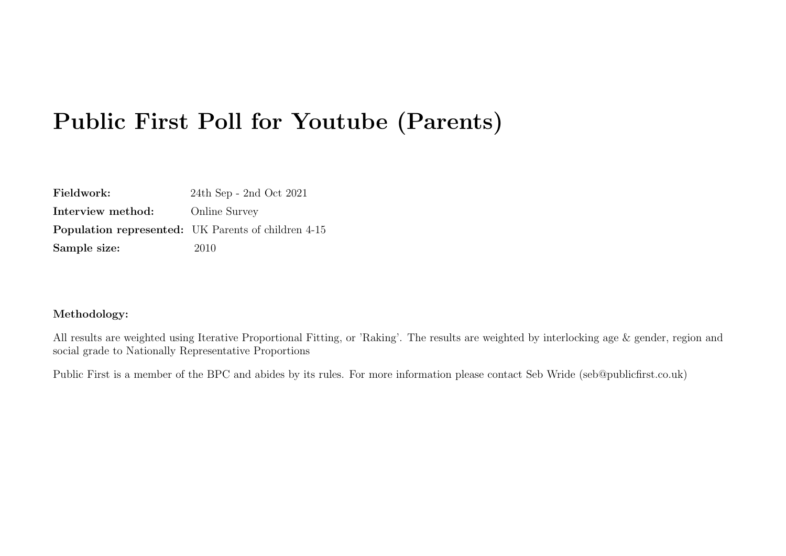| Fieldwork:        | $24th$ Sep - 2nd Oct $2021$                                |
|-------------------|------------------------------------------------------------|
| Interview method: | <b>Online Survey</b>                                       |
|                   | <b>Population represented:</b> UK Parents of children 4-15 |
| Sample size:      | 2010                                                       |

#### Methodology:

All results are weighted using Iterative Proportional Fitting, or 'Raking'. The results are weighted by interlocking age & gender, region and social grade to Nationally Representative Proportions

Public First is a member of the BPC and abides by its rules. For more information please contact Seb Wride (seb@publicfirst.co.uk)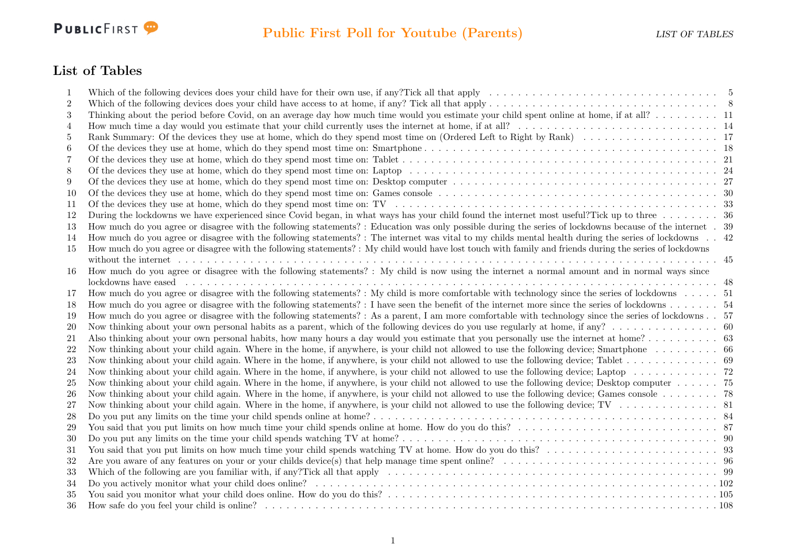

### List of Tables

| 1              |                                                                                                                                                               |  |
|----------------|---------------------------------------------------------------------------------------------------------------------------------------------------------------|--|
| $\overline{2}$ |                                                                                                                                                               |  |
| 3              | Thinking about the period before Covid, on an average day how much time would you estimate your child spent online at home, if at all? 11                     |  |
| 4              |                                                                                                                                                               |  |
| 5              |                                                                                                                                                               |  |
| 6              |                                                                                                                                                               |  |
| 7              |                                                                                                                                                               |  |
| 8              |                                                                                                                                                               |  |
| 9              |                                                                                                                                                               |  |
| 10             |                                                                                                                                                               |  |
| 11             |                                                                                                                                                               |  |
| 12             | During the lockdowns we have experienced since Covid began, in what ways has your child found the internet most useful?Tick up to three 36                    |  |
| 13             | How much do you agree or disagree with the following statements? : Education was only possible during the series of lockdowns because of the internet . 39    |  |
| 14             | How much do you agree or disagree with the following statements? : The internet was vital to my childs mental health during the series of lockdowns 42        |  |
| 15             | How much do you agree or disagree with the following statements? : My child would have lost touch with family and friends during the series of lockdowns      |  |
|                |                                                                                                                                                               |  |
| 16             | How much do you agree or disagree with the following statements? : My child is now using the internet a normal amount and in normal ways since                |  |
|                |                                                                                                                                                               |  |
| 17             | How much do you agree or disagree with the following statements? : My child is more comfortable with technology since the series of lockdowns 51              |  |
| 18             |                                                                                                                                                               |  |
| 19             | How much do you agree or disagree with the following statements? : As a parent, I am more comfortable with technology since the series of lockdowns. . 57     |  |
| <b>20</b>      |                                                                                                                                                               |  |
| 21             |                                                                                                                                                               |  |
| 22             | Now thinking about your child again. Where in the home, if anywhere, is your child not allowed to use the following device; Smartphone 66                     |  |
| 23             |                                                                                                                                                               |  |
| 24             |                                                                                                                                                               |  |
| 25             | Now thinking about your child again. Where in the home, if anywhere, is your child not allowed to use the following device; Desktop computer $\dots \dots$ 75 |  |
| 26             | Now thinking about your child again. Where in the home, if anywhere, is your child not allowed to use the following device; Games console $\dots \dots \dots$ |  |
| 27             |                                                                                                                                                               |  |
| 28             |                                                                                                                                                               |  |
| 29             |                                                                                                                                                               |  |
| 30             |                                                                                                                                                               |  |
| 31             |                                                                                                                                                               |  |
| 32             |                                                                                                                                                               |  |
| 33             |                                                                                                                                                               |  |
| 34             |                                                                                                                                                               |  |
| 35             |                                                                                                                                                               |  |
| 36             |                                                                                                                                                               |  |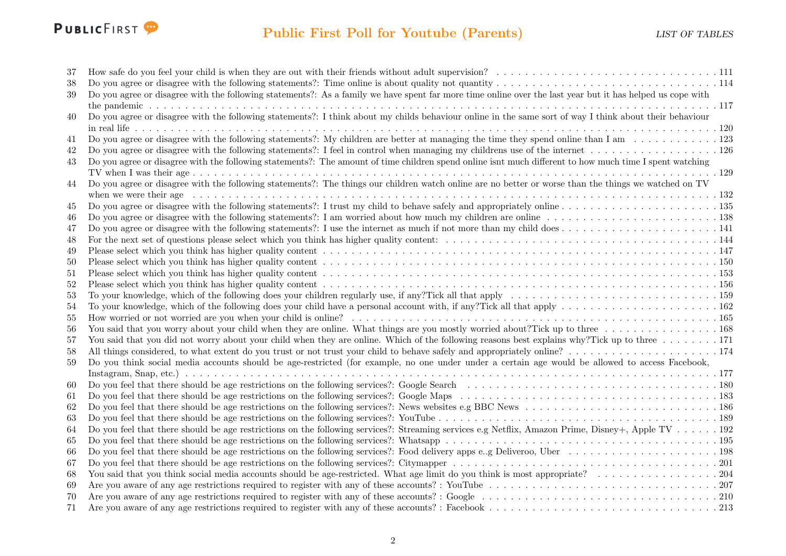

| 37 |                                                                                                                                                                |
|----|----------------------------------------------------------------------------------------------------------------------------------------------------------------|
| 38 |                                                                                                                                                                |
| 39 | Do you agree or disagree with the following statements?: As a family we have spent far more time online over the last year but it has helped us cope with      |
|    |                                                                                                                                                                |
| 40 | Do you agree or disagree with the following statements?: I think about my childs behaviour online in the same sort of way I think about their behaviour        |
|    |                                                                                                                                                                |
| 41 |                                                                                                                                                                |
| 42 |                                                                                                                                                                |
| 43 | Do you agree or disagree with the following statements?: The amount of time children spend online isnt much different to how much time I spent watching        |
|    |                                                                                                                                                                |
| 44 | Do you agree or disagree with the following statements?: The things our children watch online are no better or worse than the things we watched on TV          |
|    |                                                                                                                                                                |
| 45 |                                                                                                                                                                |
| 46 |                                                                                                                                                                |
| 47 |                                                                                                                                                                |
| 48 |                                                                                                                                                                |
| 49 |                                                                                                                                                                |
| 50 |                                                                                                                                                                |
| 51 |                                                                                                                                                                |
| 52 |                                                                                                                                                                |
| 53 |                                                                                                                                                                |
| 54 | To your knowledge, which of the following does your child have a personal account with, if any?Tick all that apply $\ldots \ldots \ldots \ldots \ldots \ldots$ |
| 55 |                                                                                                                                                                |
| 56 |                                                                                                                                                                |
| 57 | You said that you did not worry about your child when they are online. Which of the following reasons best explains why? Tick up to three 171                  |
| 58 |                                                                                                                                                                |
| 59 | Do you think social media accounts should be age-restricted (for example, no one under under a certain age would be allowed to access Facebook,                |
|    |                                                                                                                                                                |
| 60 |                                                                                                                                                                |
| 61 |                                                                                                                                                                |
| 62 |                                                                                                                                                                |
| 63 |                                                                                                                                                                |
| 64 | Do you feel that there should be age restrictions on the following services?: Streaming services e.g Netflix, Amazon Prime, Disney+, Apple TV 192              |
| 65 |                                                                                                                                                                |
| 66 |                                                                                                                                                                |
| 67 |                                                                                                                                                                |
| 68 |                                                                                                                                                                |
| 69 |                                                                                                                                                                |
| 70 |                                                                                                                                                                |
| 71 |                                                                                                                                                                |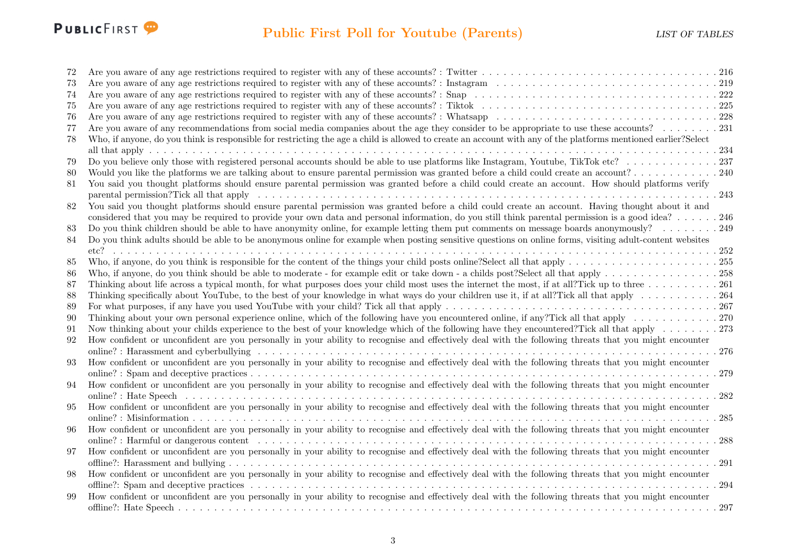

## Public First Poll for Youtube (Parents) LIST OF TABLES

| 72     |                                                                                                                                                                  |
|--------|------------------------------------------------------------------------------------------------------------------------------------------------------------------|
| 73     |                                                                                                                                                                  |
| 74     |                                                                                                                                                                  |
| 75     |                                                                                                                                                                  |
| 76     |                                                                                                                                                                  |
| 77     | Are you aware of any recommendations from social media companies about the age they consider to be appropriate to use these accounts? 231                        |
| 78     | Who, if anyone, do you think is responsible for restricting the age a child is allowed to create an account with any of the platforms mentioned earlier?Select   |
|        |                                                                                                                                                                  |
| 79     |                                                                                                                                                                  |
| 80     | Would you like the platforms we are talking about to ensure parental permission was granted before a child could create an account?240                           |
| 81     | You said you thought platforms should ensure parental permission was granted before a child could create an account. How should platforms verify                 |
|        |                                                                                                                                                                  |
| $82\,$ | You said you thought platforms should ensure parental permission was granted before a child could create an account. Having thought about it and                 |
|        | considered that you may be required to provide your own data and personal information, do you still think parental permission is a good idea? 246                |
| 83     |                                                                                                                                                                  |
| 84     | Do you think adults should be able to be anonymous online for example when posting sensitive questions on online forms, visiting adult-content websites          |
|        |                                                                                                                                                                  |
| 85     |                                                                                                                                                                  |
| 86     |                                                                                                                                                                  |
| 87     | Thinking about life across a typical month, for what purposes does your child most uses the internet the most, if at all?Tick up to three $\dots \dots \dots$    |
| 88     | Thinking specifically about YouTube, to the best of your knowledge in what ways do your children use it, if at all?Tick all that apply $\dots \dots \dots \dots$ |
| 89     |                                                                                                                                                                  |
| 90     |                                                                                                                                                                  |
| 91     | Now thinking about your childs experience to the best of your knowledge which of the following have they encountered? Tick all that apply 273                    |
| 92     | How confident or unconfident are you personally in your ability to recognise and effectively deal with the following threats that you might encounter            |
|        |                                                                                                                                                                  |
| 93     | How confident or unconfident are you personally in your ability to recognise and effectively deal with the following threats that you might encounter            |
|        |                                                                                                                                                                  |
| 94     | How confident or unconfident are you personally in your ability to recognise and effectively deal with the following threats that you might encounter            |
|        | 282                                                                                                                                                              |
| 95     | How confident or unconfident are you personally in your ability to recognise and effectively deal with the following threats that you might encounter            |
|        | 285                                                                                                                                                              |
| 96     | How confident or unconfident are you personally in your ability to recognise and effectively deal with the following threats that you might encounter            |
|        | 288                                                                                                                                                              |
| 97     | How confident or unconfident are you personally in your ability to recognise and effectively deal with the following threats that you might encounter            |
|        | . 291                                                                                                                                                            |
| 98     | How confident or unconfident are you personally in your ability to recognise and effectively deal with the following threats that you might encounter            |
|        | .294                                                                                                                                                             |
| 99     | How confident or unconfident are you personally in your ability to recognise and effectively deal with the following threats that you might encounter            |
|        |                                                                                                                                                                  |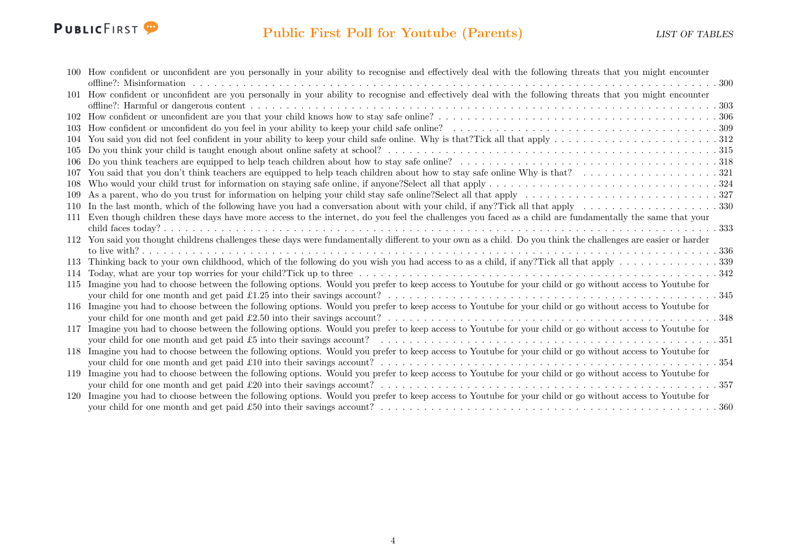

|      | 100 How confident or unconfident are you personally in your ability to recognise and effectively deal with the following threats that you might encounter      |
|------|----------------------------------------------------------------------------------------------------------------------------------------------------------------|
|      |                                                                                                                                                                |
|      | 101 How confident or unconfident are you personally in your ability to recognise and effectively deal with the following threats that you might encounter      |
|      |                                                                                                                                                                |
| 102  |                                                                                                                                                                |
|      |                                                                                                                                                                |
|      |                                                                                                                                                                |
| 105  |                                                                                                                                                                |
|      |                                                                                                                                                                |
| 107  |                                                                                                                                                                |
| -108 |                                                                                                                                                                |
| 109  |                                                                                                                                                                |
| 110  |                                                                                                                                                                |
| 111  | Even though children these days have more access to the internet, do you feel the challenges you faced as a child are fundamentally the same that your         |
|      |                                                                                                                                                                |
|      | 112 You said you thought childrens challenges these days were fundamentally different to your own as a child. Do you think the challenges are easier or harder |
|      |                                                                                                                                                                |
| 113  |                                                                                                                                                                |
| 114  |                                                                                                                                                                |
| 115  | Imagine you had to choose between the following options. Would you prefer to keep access to Youtube for your child or go without access to Youtube for         |
|      |                                                                                                                                                                |
|      | 116 Imagine you had to choose between the following options. Would you prefer to keep access to Youtube for your child or go without access to Youtube for     |
|      |                                                                                                                                                                |
| 117  | Imagine you had to choose between the following options. Would you prefer to keep access to Youtube for your child or go without access to Youtube for         |
|      |                                                                                                                                                                |
| 118  | Imagine you had to choose between the following options. Would you prefer to keep access to Youtube for your child or go without access to Youtube for         |
|      |                                                                                                                                                                |
| 119  | Imagine you had to choose between the following options. Would you prefer to keep access to Youtube for your child or go without access to Youtube for         |
|      |                                                                                                                                                                |
| 120  | Imagine you had to choose between the following options. Would you prefer to keep access to Youtube for your child or go without access to Youtube for         |
|      |                                                                                                                                                                |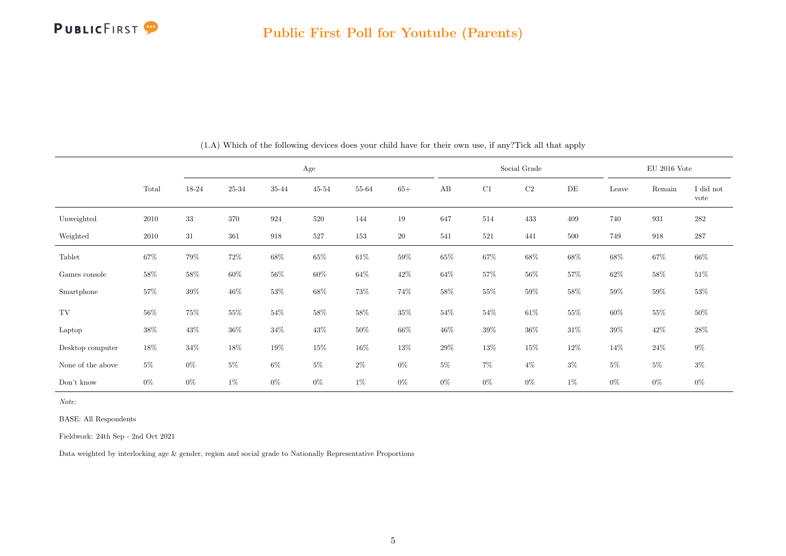

<span id="page-5-0"></span>

|                   |        |        |           | Age    |           |        |        |        |        | Social Grade |        | $EU$ 2016 Vote |        |                   |
|-------------------|--------|--------|-----------|--------|-----------|--------|--------|--------|--------|--------------|--------|----------------|--------|-------------------|
|                   | Total  | 18-24  | $25 - 34$ | 35-44  | $45 - 54$ | 55-64  | $65+$  | AB     | C1     | C2           | DE     | Leave          | Remain | I did not<br>vote |
| Unweighted        | 2010   | 33     | 370       | 924    | 520       | 144    | 19     | 647    | 514    | 433          | 409    | 740            | 931    | $282\,$           |
| Weighted          | 2010   | 31     | 361       | 918    | $527\,$   | 153    | $20\,$ | 541    | 521    | 441          | 500    | 749            | 918    | 287               |
| Tablet            | $67\%$ | 79%    | $72\%$    | $68\%$ | $65\%$    | $61\%$ | $59\%$ | $65\%$ | $67\%$ | $68\%$       | $68\%$ | $68\%$         | 67%    | $66\%$            |
| Games console     | $58\%$ | 58%    | 60%       | $56\%$ | 60%       | $64\%$ | $42\%$ | 64%    | $57\%$ | 56%          | 57%    | $62\%$         | 58%    | $51\%$            |
| Smartphone        | $57\%$ | $39\%$ | $46\%$    | $53\%$ | $68\%$    | $73\%$ | 74%    | $58\%$ | $55\%$ | $59\%$       | $58\%$ | $59\%$         | $59\%$ | $53\%$            |
| TV                | $56\%$ | 75%    | 55%       | $54\%$ | $58\%$    | $58\%$ | $35\%$ | $54\%$ | $54\%$ | $61\%$       | $55\%$ | $60\%$         | 55%    | $50\%$            |
| Laptop            | 38%    | 43\%   | $36\%$    | $34\%$ | $43\%$    | $50\%$ | $66\%$ | $46\%$ | $39\%$ | $36\%$       | $31\%$ | $39\%$         | $42\%$ | $28\%$            |
| Desktop computer  | 18%    | $34\%$ | 18%       | 19%    | $15\%$    | $16\%$ | $13\%$ | 29%    | $13\%$ | $15\%$       | $12\%$ | $14\%$         | $24\%$ | $9\%$             |
| None of the above | $5\%$  | $0\%$  | $5\%$     | $6\%$  | $5\%$     | $2\%$  | $0\%$  | $5\%$  | $7\%$  | $4\%$        | $3\%$  | $5\%$          | $5\%$  | $3\%$             |
| Don't know        | $0\%$  | $0\%$  | $1\%$     | $0\%$  | $0\%$     | $1\%$  | $0\%$  | $0\%$  | $0\%$  | $0\%$        | 1%     | $0\%$          | $0\%$  | $0\%$             |

(1.A) Which of the following devices does your child have for their own use, if any?Tick all that apply

BASE: All Respondents

Fieldwork: 24th Sep - 2nd Oct 2021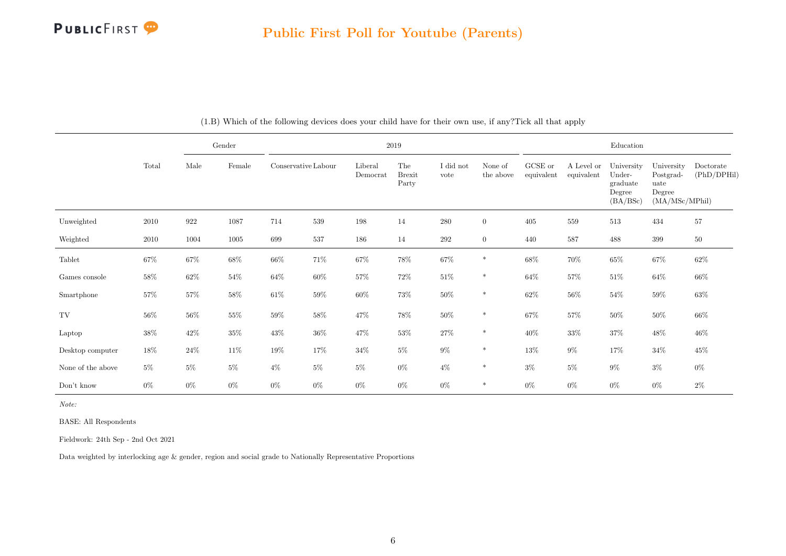

|                   |          |        | Gender |                     | 2019   |                     |                               |                   |                      |                       |                          | Education                                              |                                                             |                          |  |  |  |
|-------------------|----------|--------|--------|---------------------|--------|---------------------|-------------------------------|-------------------|----------------------|-----------------------|--------------------------|--------------------------------------------------------|-------------------------------------------------------------|--------------------------|--|--|--|
|                   | Total    | Male   | Female | Conservative Labour |        | Liberal<br>Democrat | The<br><b>Brexit</b><br>Party | I did not<br>vote | None of<br>the above | GCSE or<br>equivalent | A Level or<br>equivalent | University<br>Under-<br>graduate<br>Degree<br>(BA/BSc) | University<br>Postgrad-<br>uate<br>Degree<br>(MA/MSc/MPhil) | Doctorate<br>(PhD/DPHil) |  |  |  |
| Unweighted        | $2010\,$ | 922    | 1087   | 714                 | 539    | 198                 | 14                            | 280               | $\overline{0}$       | 405                   | 559                      | 513                                                    | 434                                                         | $57\,$                   |  |  |  |
| Weighted          | 2010     | 1004   | 1005   | 699                 | 537    | 186                 | 14                            | 292               | $\overline{0}$       | 440                   | 587                      | 488                                                    | 399                                                         | 50                       |  |  |  |
| Tablet            | $67\%$   | $67\%$ | $68\%$ | $66\%$              | 71\%   | $67\%$              | $78\%$                        | $67\%$            | $\ast$               | $68\%$                | $70\%$                   | $65\%$                                                 | $67\%$                                                      | $62\%$                   |  |  |  |
| Games console     | 58\%     | $62\%$ | $54\%$ | $64\%$              | $60\%$ | $57\%$              | 72\%                          | $51\%$            | $\ast$               | $64\%$                | $57\%$                   | $51\%$                                                 | $64\%$                                                      | 66%                      |  |  |  |
| Smartphone        | $57\%$   | $57\%$ | $58\%$ | $61\%$              | $59\%$ | $60\%$              | 73%                           | $50\%$            | $\ast$               | $62\%$                | 56%                      | $54\%$                                                 | $59\%$                                                      | $63\%$                   |  |  |  |
| TV                | $56\%$   | $56\%$ | $55\%$ | $59\%$              | $58\%$ | 47%                 | $78\%$                        | $50\%$            | $\ast$               | $67\%$                | 57%                      | $50\%$                                                 | $50\%$                                                      | $66\%$                   |  |  |  |
| Laptop            | $38\%$   | $42\%$ | $35\%$ | $43\%$              | $36\%$ | 47%                 | $53\%$                        | $27\%$            | $\ast$               | $40\%$                | $33\%$                   | $37\%$                                                 | $48\%$                                                      | $46\%$                   |  |  |  |
| Desktop computer  | $18\%$   | $24\%$ | $11\%$ | $19\%$              | 17%    | $34\%$              | $5\%$                         | $9\%$             | $\ast$               | 13%                   | $9\%$                    | 17%                                                    | $34\%$                                                      | $45\%$                   |  |  |  |
| None of the above | $5\%$    | $5\%$  | 5%     | $4\%$               | $5\%$  | $5\%$               | $0\%$                         | $4\%$             | $\ast$               | $3\%$                 | $5\%$                    | $9\%$                                                  | $3\%$                                                       | $0\%$                    |  |  |  |
| Don't know        | $0\%$    | $0\%$  | $0\%$  | $0\%$               | $0\%$  | $0\%$               | $0\%$                         | $0\%$             | $\ast$               | $0\%$                 | $0\%$                    | $0\%$                                                  | $0\%$                                                       | $2\%$                    |  |  |  |

(1.B) Which of the following devices does your child have for their own use, if any?Tick all that apply

Note:

BASE: All Respondents

Fieldwork: 24th Sep - 2nd Oct 2021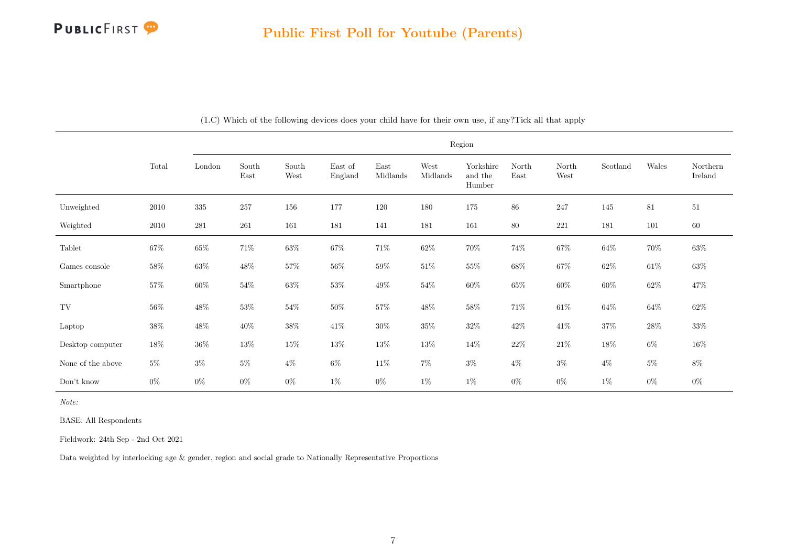|                   |          |           | Region        |               |                    |                                   |                  |                                |               |               |          |        |                     |  |  |
|-------------------|----------|-----------|---------------|---------------|--------------------|-----------------------------------|------------------|--------------------------------|---------------|---------------|----------|--------|---------------------|--|--|
|                   | Total    | London    | South<br>East | South<br>West | East of<br>England | $\operatorname{East}$<br>Midlands | West<br>Midlands | Yorkshire<br>and the<br>Humber | North<br>East | North<br>West | Scotland | Wales  | Northern<br>Ireland |  |  |
| Unweighted        | $2010\,$ | 335       | 257           | 156           | 177                | 120                               | 180              | 175                            | 86            | 247           | 145      | 81     | 51                  |  |  |
| Weighted          | 2010     | $\bf 281$ | $261\,$       | 161           | 181                | 141                               | 181              | 161                            | $80\,$        | $221\,$       | 181      | 101    | $60\,$              |  |  |
| Tablet            | $67\%$   | $65\%$    | $71\%$        | $63\%$        | $67\%$             | $71\%$                            | $62\%$           | 70%                            | 74%           | $67\%$        | $64\%$   | $70\%$ | $63\%$              |  |  |
| Games console     | $58\%$   | $63\%$    | $48\%$        | $57\%$        | $56\%$             | $59\%$                            | $51\%$           | $55\%$                         | $68\%$        | $67\%$        | $62\%$   | $61\%$ | $63\%$              |  |  |
| Smartphone        | $57\%$   | $60\%$    | $54\%$        | $63\%$        | $53\%$             | $49\%$                            | $54\%$           | $60\%$                         | $65\%$        | $60\%$        | $60\%$   | $62\%$ | 47%                 |  |  |
| TV                | $56\%$   | $48\%$    | $53\%$        | $54\%$        | $50\%$             | $57\%$                            | $48\%$           | $58\%$                         | $71\%$        | $61\%$        | $64\%$   | $64\%$ | $62\%$              |  |  |
| Laptop            | $38\%$   | $48\%$    | $40\%$        | $38\%$        | $41\%$             | $30\%$                            | $35\%$           | $32\%$                         | $42\%$        | $41\%$        | $37\%$   | $28\%$ | $33\%$              |  |  |
| Desktop computer  | $18\%$   | $36\%$    | $13\%$        | $15\%$        | $13\%$             | $13\%$                            | $13\%$           | 14\%                           | $22\%$        | $21\%$        | $18\%$   | $6\%$  | $16\%$              |  |  |
| None of the above | $5\%$    | $3\%$     | $5\%$         | $4\%$         | $6\%$              | $11\%$                            | $7\%$            | $3\%$                          | $4\%$         | $3\%$         | $4\%$    | $5\%$  | $8\%$               |  |  |
| Don't know        | $0\%$    | $0\%$     | $0\%$         | $0\%$         | $1\%$              | $0\%$                             | $1\%$            | $1\%$                          | $0\%$         | $0\%$         | $1\%$    | $0\%$  | $0\%$               |  |  |

(1.C) Which of the following devices does your child have for their own use, if any?Tick all that apply

Note:

BASE: All Respondents

Fieldwork: 24th Sep - 2nd Oct 2021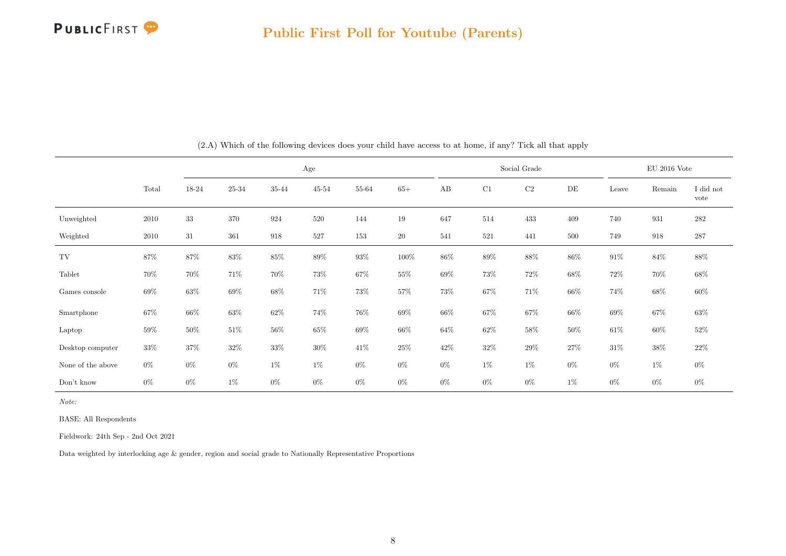

<span id="page-8-0"></span>

|                   |        |        |           |        | Age       |        |         |        |        | Social Grade |        | $\rm EU$ 2016 Vote |        |                   |
|-------------------|--------|--------|-----------|--------|-----------|--------|---------|--------|--------|--------------|--------|--------------------|--------|-------------------|
|                   | Total  | 18-24  | $25 - 34$ | 35-44  | $45 - 54$ | 55-64  | $65+$   | AB     | C1     | C2           | DE     | Leave              | Remain | I did not<br>vote |
| Unweighted        | 2010   | 33     | 370       | 924    | 520       | 144    | 19      | 647    | 514    | 433          | 409    | 740                | 931    | 282               |
| Weighted          | 2010   | 31     | 361       | 918    | 527       | 153    | 20      | 541    | 521    | 441          | 500    | 749                | 918    | $287\,$           |
| TV                | $87\%$ | $87\%$ | $83\%$    | $85\%$ | 89%       | $93\%$ | $100\%$ | 86%    | $89\%$ | $88\%$       | 86%    | $91\%$             | $84\%$ | 88\%              |
| Tablet            | 70%    | 70%    | 71%       | 70%    | 73%       | $67\%$ | $55\%$  | 69%    | 73%    | $72\%$       | $68\%$ | 72%                | 70%    | $68\%$            |
| Games console     | $69\%$ | $63\%$ | 69%       | $68\%$ | $71\%$    | 73%    | $57\%$  | $73\%$ | $67\%$ | $71\%$       | $66\%$ | $74\%$             | $68\%$ | $60\%$            |
| Smartphone        | $67\%$ | $66\%$ | $63\%$    | $62\%$ | 74%       | 76%    | $69\%$  | $66\%$ | 67%    | $67\%$       | $66\%$ | 69%                | $67\%$ | $63\%$            |
| Laptop            | 59%    | $50\%$ | $51\%$    | $56\%$ | $65\%$    | $69\%$ | $66\%$  | $64\%$ | $62\%$ | $58\%$       | $50\%$ | $61\%$             | $60\%$ | $52\%$            |
| Desktop computer  | 33%    | 37%    | $32\%$    | $33\%$ | $30\%$    | $41\%$ | $25\%$  | $42\%$ | $32\%$ | $29\%$       | 27%    | $31\%$             | $38\%$ | 22%               |
| None of the above | $0\%$  | $0\%$  | $0\%$     | $1\%$  | $1\%$     | $0\%$  | $0\%$   | $0\%$  | $1\%$  | $1\%$        | $0\%$  | $0\%$              | $1\%$  | $0\%$             |
| Don't know        | $0\%$  | $0\%$  | $1\%$     | $0\%$  | $0\%$     | $0\%$  | $0\%$   | $0\%$  | $0\%$  | $0\%$        | $1\%$  | $0\%$              | $0\%$  | $0\%$             |

(2.A) Which of the following devices does your child have access to at home, if any? Tick all that apply

Note:

BASE: All Respondents

Fieldwork: 24th Sep - 2nd Oct 2021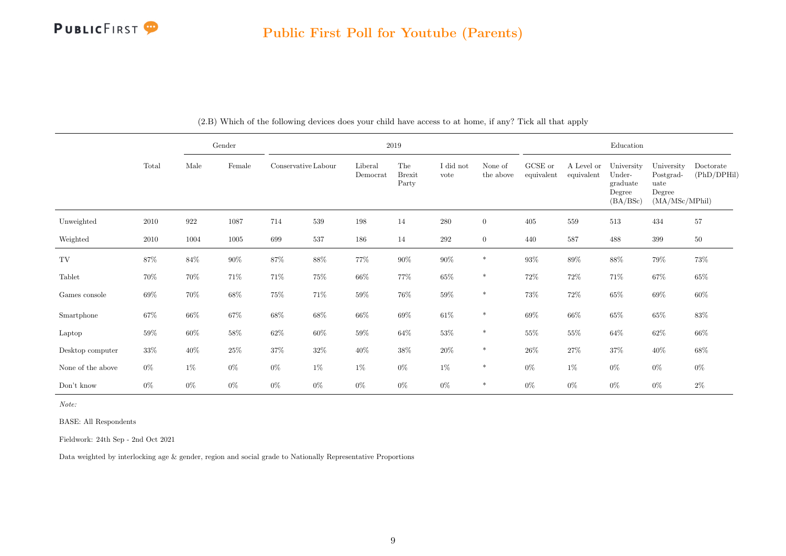|                   |        |                    | Gender   |                     | 2019   |                     |                               |                   |                      |                       |                          | Education                                              |                                                             |                          |  |  |
|-------------------|--------|--------------------|----------|---------------------|--------|---------------------|-------------------------------|-------------------|----------------------|-----------------------|--------------------------|--------------------------------------------------------|-------------------------------------------------------------|--------------------------|--|--|
|                   | Total  | Male               | Female   | Conservative Labour |        | Liberal<br>Democrat | The<br><b>Brexit</b><br>Party | I did not<br>vote | None of<br>the above | GCSE or<br>equivalent | A Level or<br>equivalent | University<br>Under-<br>graduate<br>Degree<br>(BA/BSc) | University<br>Postgrad-<br>uate<br>Degree<br>(MA/MSc/MPhil) | Doctorate<br>(PhD/DPHil) |  |  |
| Unweighted        | 2010   | $\boldsymbol{922}$ | 1087     | 714                 | 539    | 198                 | 14                            | 280               | $\overline{0}$       | 405                   | 559                      | 513                                                    | 434                                                         | 57                       |  |  |
| Weighted          | 2010   | 1004               | $1005\,$ | 699                 | 537    | 186                 | 14                            | 292               | $\overline{0}$       | 440                   | 587                      | 488                                                    | 399                                                         | 50                       |  |  |
| TV                | $87\%$ | $84\%$             | $90\%$   | $87\%$              | $88\%$ | $77\%$              | $90\%$                        | $90\%$            | $\ast$               | $93\%$                | $89\%$                   | $88\%$                                                 | $79\%$                                                      | $73\%$                   |  |  |
| Tablet            | 70%    | 70%                | 71%      | 71%                 | 75%    | $66\%$              | 77%                           | $65\%$            | $\ast$               | 72\%                  | $72\%$                   | 71%                                                    | $67\%$                                                      | 65%                      |  |  |
| Games console     | $69\%$ | 70%                | 68%      | $75\%$              | 71\%   | $59\%$              | 76%                           | $59\%$            | $*$                  | 73%                   | $72\%$                   | $65\%$                                                 | $69\%$                                                      | $60\%$                   |  |  |
| Smartphone        | $67\%$ | $66\%$             | 67%      | 68%                 | $68\%$ | $66\%$              | 69%                           | $61\%$            | $\ast$               | $69\%$                | 66\%                     | $65\%$                                                 | $65\%$                                                      | $83\%$                   |  |  |
| Laptop            | $59\%$ | $60\%$             | $58\%$   | $62\%$              | $60\%$ | $59\%$              | $64\%$                        | $53\%$            | $\ast$               | $55\%$                | $55\%$                   | $64\%$                                                 | $62\%$                                                      | $66\%$                   |  |  |
| Desktop computer  | $33\%$ | $40\%$             | 25\%     | $37\%$              | $32\%$ | $40\%$              | $38\%$                        | $20\%$            | $\ast$               | $26\%$                | $27\%$                   | $37\%$                                                 | $40\%$                                                      | $68\%$                   |  |  |
| None of the above | $0\%$  | $1\%$              | $0\%$    | $0\%$               | $1\%$  | $1\%$               | $0\%$                         | $1\%$             | $\ast$               | $0\%$                 | $1\%$                    | $0\%$                                                  | $0\%$                                                       | $0\%$                    |  |  |
| Don't know        | $0\%$  | $0\%$              | $0\%$    | $0\%$               | $0\%$  | $0\%$               | $0\%$                         | $0\%$             | $\ast$               | $0\%$                 | $0\%$                    | $0\%$                                                  | $0\%$                                                       | $2\%$                    |  |  |

(2.B) Which of the following devices does your child have access to at home, if any? Tick all that apply

Note:

BASE: All Respondents

Fieldwork: 24th Sep - 2nd Oct 2021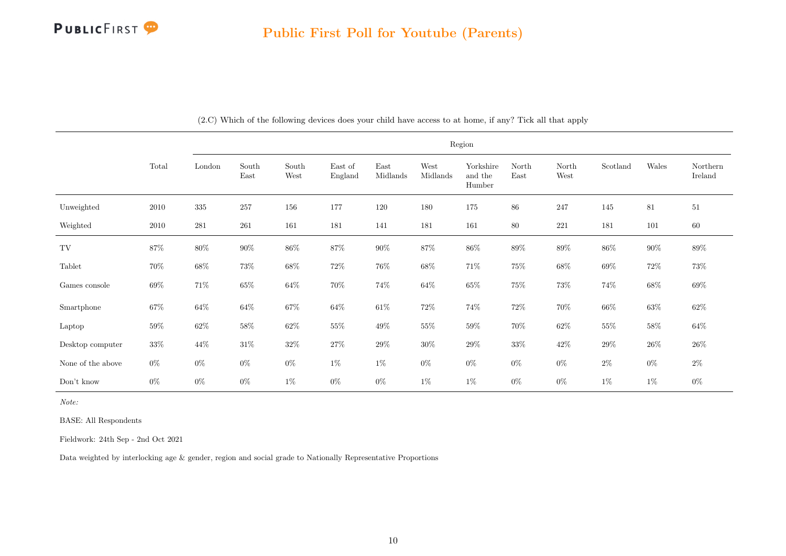|                       |          |           |               |               |                    |                  |                  | Region                         |               |               |          |        |                     |
|-----------------------|----------|-----------|---------------|---------------|--------------------|------------------|------------------|--------------------------------|---------------|---------------|----------|--------|---------------------|
|                       | Total    | London    | South<br>East | South<br>West | East of<br>England | East<br>Midlands | West<br>Midlands | Yorkshire<br>and the<br>Humber | North<br>East | North<br>West | Scotland | Wales  | Northern<br>Ireland |
| Unweighted            | 2010     | $335\,$   | $257\,$       | 156           | 177                | 120              | 180              | 175                            | $86\,$        | 247           | 145      | 81     | 51                  |
| Weighted              | $2010\,$ | $\bf 281$ | 261           | 161           | 181                | 141              | 181              | 161                            | $80\,$        | $221\,$       | 181      | 101    | 60                  |
| TV                    | $87\%$   | $80\%$    | $90\%$        | $86\%$        | $87\%$             | $90\%$           | 87%              | $86\%$                         | $89\%$        | $89\%$        | $86\%$   | $90\%$ | $89\%$              |
| Tablet                | 70%      | $68\%$    | $73\%$        | $68\%$        | $72\%$             | $76\%$           | $68\%$           | $71\%$                         | $75\%$        | $68\%$        | $69\%$   | $72\%$ | $73\%$              |
| Games console         | $69\%$   | $71\%$    | $65\%$        | $64\%$        | $70\%$             | 74%              | $64\%$           | 65%                            | $75\%$        | 73%           | $74\%$   | 68%    | $69\%$              |
| Smartphone            | $67\%$   | $64\%$    | $64\%$        | $67\%$        | $64\%$             | $61\%$           | $72\%$           | $74\%$                         | $72\%$        | $70\%$        | $66\%$   | $63\%$ | $62\%$              |
| Laptop                | $59\%$   | $62\%$    | $58\%$        | $62\%$        | $55\%$             | 49\%             | $55\%$           | $59\%$                         | $70\%$        | $62\%$        | $55\%$   | $58\%$ | $64\%$              |
| Desktop computer      | 33%      | $44\%$    | $31\%$        | $32\%$        | $27\%$             | $29\%$           | $30\%$           | $29\%$                         | $33\%$        | $42\%$        | $29\%$   | $26\%$ | $26\%$              |
| None of the above     | $0\%$    | $0\%$     | $0\%$         | $0\%$         | $1\%$              | $1\%$            | $0\%$            | $0\%$                          | $0\%$         | $0\%$         | $2\%$    | $0\%$  | $2\%$               |
| $\mathrm{Don't}$ know | $0\%$    | $0\%$     | $0\%$         | $1\%$         | $0\%$              | $0\%$            | $1\%$            | $1\%$                          | $0\%$         | $0\%$         | $1\%$    | $1\%$  | $0\%$               |

(2.C) Which of the following devices does your child have access to at home, if any? Tick all that apply

Note:

BASE: All Respondents

Fieldwork: 24th Sep - 2nd Oct 2021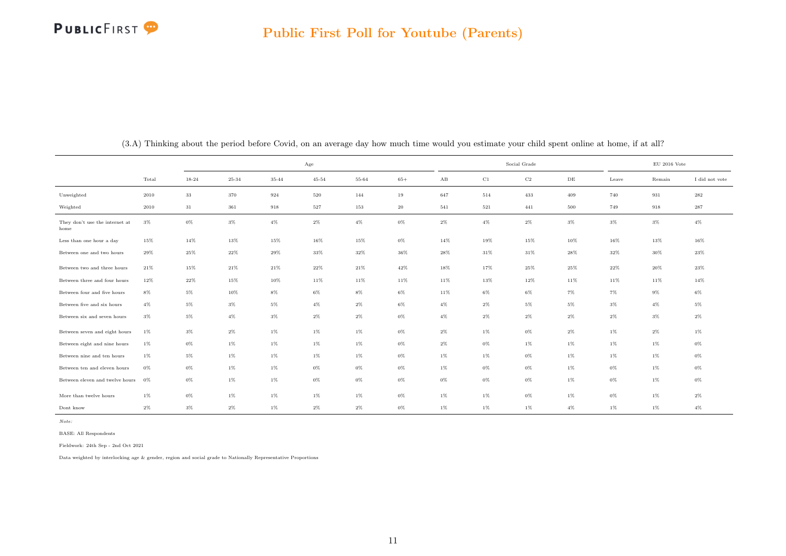<span id="page-11-0"></span>

|                                        |        |           |           |           | Age       |        |        |        |        | Social Grade | $\rm EU$ 2016 Vote |        |        |                |
|----------------------------------------|--------|-----------|-----------|-----------|-----------|--------|--------|--------|--------|--------------|--------------------|--------|--------|----------------|
|                                        | Total  | $18 - 24$ | $25 - 34$ | $35 - 44$ | $45 - 54$ | 55-64  | $65+$  | AB     | C1     | C2           | DE                 | Leave  | Remain | I did not vote |
| Unweighted                             | 2010   | $33\,$    | 370       | 924       | 520       | 144    | 19     | 647    | 514    | 433          | 409                | 740    | 931    | $\bf 282$      |
| Weighted                               | 2010   | 31        | $361\,$   | 918       | 527       | 153    | 20     | 541    | 521    | 441          | 500                | 749    | 918    | $\bf 287$      |
| They don't use the internet at<br>home | $3\%$  | $0\%$     | $3\%$     | $4\%$     | $2\%$     | $4\%$  | $0\%$  | $2\%$  | $4\%$  | $2\%$        | $3\%$              | $3\%$  | $3\%$  | $4\%$          |
| Less than one hour a day               | $15\%$ | 14%       | 13%       | 15%       | 16%       | 15%    | $0\%$  | 14%    | 19%    | 15%          | 10%                | 16%    | 13%    | 16%            |
| Between one and two hours              | 29%    | 25%       | $22\%$    | 29%       | 33%       | $32\%$ | $36\%$ | 28%    | $31\%$ | $31\%$       | 28%                | 32%    | 30%    | 23%            |
| Between two and three hours            | $21\%$ | 15%       | $21\%$    | $21\%$    | 22%       | 21%    | $42\%$ | 18%    | 17%    | $25\%$       | 25%                | $22\%$ | 20%    | $23\%$         |
| Between three and four hours           | $12\%$ | 22%       | $15\%$    | 10%       | 11%       | 11%    | 11%    | 11%    | 13%    | 12%          | 11%                | 11%    | 11%    | 14%            |
| Between four and five hours            | $8\%$  | $5\%$     | 10%       | $8\%$     | $6\%$     | $8\%$  | $6\%$  | $11\%$ | $6\%$  | $6\%$        | $7\%$              | $7\%$  | $9\%$  | $6\%$          |
| Between five and six hours             | $4\%$  | $5\%$     | $3\%$     | $5\%$     | $4\%$     | $2\%$  | 6%     | $4\%$  | $2\%$  | $5\%$        | $5\%$              | $3\%$  | $4\%$  | $5\%$          |
| Between six and seven hours            | $3\%$  | $5\%$     | $4\%$     | $3\%$     | $2\%$     | $2\%$  | $0\%$  | $4\%$  | $2\%$  | $2\%$        | $2\%$              | $2\%$  | $3\%$  | $2\%$          |
| Between seven and eight hours          | $1\%$  | $3\%$     | $2\%$     | $1\%$     | $1\%$     | $1\%$  | $0\%$  | $2\%$  | $1\%$  | $0\%$        | $2\%$              | $1\%$  | $2\%$  | $1\%$          |
| Between eight and nine hours           | $1\%$  | $0\%$     | $1\%$     | $1\%$     | $1\%$     | $1\%$  | $0\%$  | $2\%$  | $0\%$  | $1\%$        | $1\%$              | $1\%$  | $1\%$  | $0\%$          |
| Between nine and ten hours             | $1\%$  | $5\%$     | 1%        | $1\%$     | $1\%$     | $1\%$  | 0%     | $1\%$  | $1\%$  | $0\%$        | $1\%$              | $1\%$  | $1\%$  | $0\%$          |
| Between ten and eleven hours           | 0%     | $0\%$     | $1\%$     | $1\%$     | $0\%$     | $0\%$  | $0\%$  | $1\%$  | $0\%$  | $0\%$        | $1\%$              | $0\%$  | $1\%$  | $0\%$          |
| Between eleven and twelve hours        | $0\%$  | $0\%$     | $1\%$     | $1\%$     | $0\%$     | 0%     | $0\%$  | $0\%$  | $0\%$  | $0\%$        | $1\%$              | $0\%$  | $1\%$  | $0\%$          |
| More than twelve hours                 | $1\%$  | $0\%$     | $1\%$     | $1\%$     | $1\%$     | $1\%$  | $0\%$  | $1\%$  | $1\%$  | $0\%$        | $1\%$              | $0\%$  | $1\%$  | $2\%$          |
| Dont know                              | $2\%$  | $3\%$     | $2\%$     | $1\%$     | $2\%$     | $2\%$  | $0\%$  | $1\%$  | $1\%$  | $1\%$        | $4\%$              | $1\%$  | $1\%$  | $4\%$          |

(3.A) Thinking about the period before Covid, on an average day how much time would you estimate your child spent online at home, if at all?

Note:

BASE: All Respondents

Fieldwork: 24th Sep - 2nd Oct 2021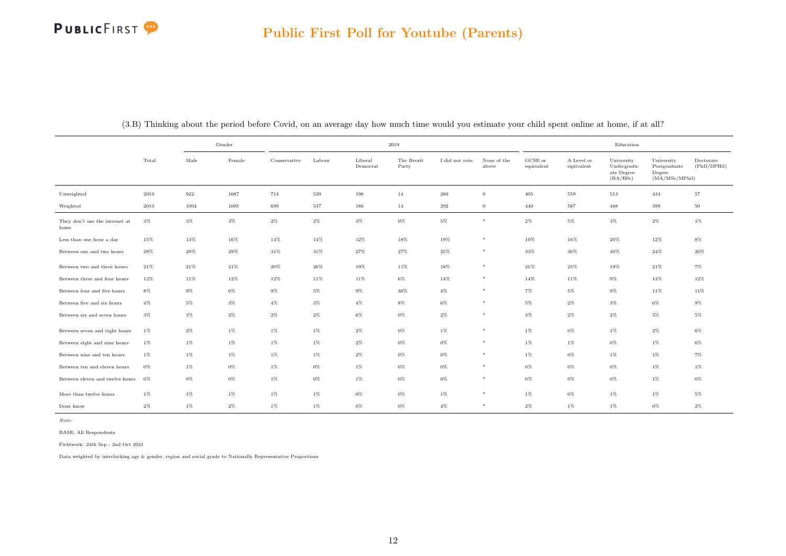|                                        |        | Gender |        |              |        | 2019                |                     |                |                      |                       |                          | Education                                           |                                                        |                          |
|----------------------------------------|--------|--------|--------|--------------|--------|---------------------|---------------------|----------------|----------------------|-----------------------|--------------------------|-----------------------------------------------------|--------------------------------------------------------|--------------------------|
|                                        | Total  | Male   | Female | Conservative | Labour | Liberal<br>Democrat | The Brexit<br>Party | I did not vote | None of the<br>above | GCSE or<br>equivalent | A Level or<br>equivalent | University<br>Undergradu-<br>ate Degree<br>(BA/BSc) | University<br>Postgraduate<br>Degree<br>(MA/MSc/MPhil) | Doctorate<br>(PhD/DPHil) |
| Unweighted                             | 2010   | 922    | 1087   | 714          | 539    | 198                 | 14                  | 280            | $\mathbf{0}$         | 405                   | 559                      | 513                                                 | 434                                                    | 57                       |
| Weighted                               | 2010   | 1004   | 1005   | 699          | 537    | 186                 | 14                  | 292            | $\overline{0}$       | 440                   | 587                      | 488                                                 | 399                                                    | 50                       |
| They don't use the internet at<br>home | $3\%$  | $3\%$  | $3\%$  | $2\%$        | 2%     | $3\%$               | $0\%$               | $5\%$          | $\ast$               | $2\%$                 | 5%                       | $3\%$                                               | $2\%$                                                  | 1%                       |
| Less than one hour a day               | 15%    | 13%    | 16%    | 14%          | 14%    | 12%                 | $18\%$              | 19%            | $*$                  | 10%                   | 16%                      | 20%                                                 | 12%                                                    | $8\%$                    |
| Between one and two hours              | $29\%$ | 29%    | 29%    | $31\%$       | 31%    | 27%                 | 27%                 | 25%            | $*$                  | 33%                   | 30%                      | $30\%$                                              | 24%                                                    | 20%                      |
| Between two and three hours            | 21%    | 21%    | 21%    | 20%          | 26%    | 19%                 | 11%                 | 18%            | $*$                  | $21\%$                | 25%                      | 19%                                                 | 21%                                                    | $7\%$                    |
| Between three and four hours           | 12%    | 11%    | 12%    | 12%          | 11%    | 11%                 | $6\%$               | 14%            | $\ast$               | 14%                   | 11%                      | $9\%$                                               | 13%                                                    | 12%                      |
| Between four and five hours            | 8%     | $9\%$  | $6\%$  | $9\%$        | $5\%$  | 9%                  | 30%                 | 4%             | $*$                  | $7\%$                 | 5%                       | $9\%$                                               | 11%                                                    | 11%                      |
| Between five and six hours             | $4\%$  | $5\%$  | $3\%$  | $4\%$        | $3\%$  | $4\%$               | $8\%$               | $6\%$          | $*$                  | $5\%$                 | $2\%$                    | $3\%$                                               | $6\%$                                                  | $9\%$                    |
| Between six and seven hours            | $3\%$  | $3\%$  | $2\%$  | $2\%$        | 2%     | $6\%$               | $0\%$               | $2\%$          | $*$                  | $3\%$                 | $2\%$                    | $2\%$                                               | $5\%$                                                  | $5\%$                    |
| Between seven and eight hours          | $1\%$  | $2\%$  | $1\%$  | $1\%$        | $1\%$  | $2\%$               | $0\%$               | $1\%$          | $*$                  | $1\%$                 | $0\%$                    | $1\%$                                               | $2\%$                                                  | $6\%$                    |
| Between eight and nine hours           | 1%     | $1\%$  | $1\%$  | $1\%$        | $1\%$  | $2\%$               | $0\%$               | $0\%$          | $*$                  | $1\%$                 | $1\%$                    | $0\%$                                               | $1\%$                                                  | $6\%$                    |
| Between nine and ten hours             | 1%     | $1\%$  | $1\%$  | $1\%$        | $1\%$  | $2\%$               | $0\%$               | $0\%$          | $\ast$               | $1\%$                 | $0\%$                    | $1\%$                                               | $1\%$                                                  | $7\%$                    |
| Between ten and eleven hours           | 0%     | $1\%$  | $0\%$  | 1%           | $0\%$  | $1\%$               | $0\%$               | 0%             | $*$                  | 0%                    | $0\%$                    | $0\%$                                               | $1\%$                                                  | $1\%$                    |
| Between eleven and twelve hours        | 0%     | $0\%$  | $0\%$  | 1%           | $0\%$  | $1\%$               | $0\%$               | 0%             | $*$                  | $0\%$                 | $0\%$                    | $0\%$                                               | $1\%$                                                  | $0\%$                    |
| More than twelve hours                 | $1\%$  | $1\%$  | $1\%$  | 1%           | $1\%$  | $0\%$               | $0\%$               | $1\%$          | $*$                  | $1\%$                 | $0\%$                    | $1\%$                                               | $1\%$                                                  | $5\%$                    |
| Dont know                              | $2\%$  | $1\%$  | $2\%$  | $1\%$        | 1%     | $0\%$               | $0\%$               | 4%             | $*$                  | $2\%$                 | 1%                       | $1\%$                                               | $0\%$                                                  | $2\%$                    |

(3.B) Thinking about the period before Covid, on an average day how much time would you estimate your child spent online at home, if at all?

Note:

BASE: All Respondents

Fieldwork: 24th Sep - 2nd Oct 2021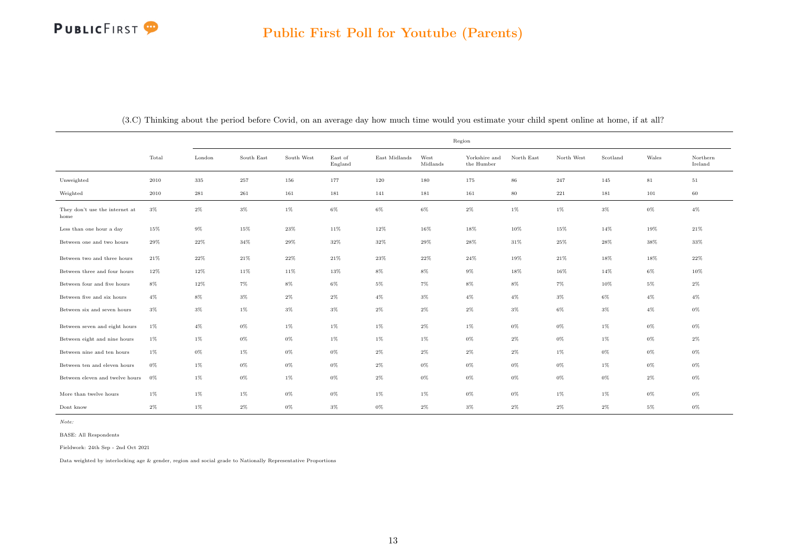|                                        |       |        |            |            |                    |               | Region           |                             |            |            |          |       |                     |
|----------------------------------------|-------|--------|------------|------------|--------------------|---------------|------------------|-----------------------------|------------|------------|----------|-------|---------------------|
|                                        | Total | London | South East | South West | East of<br>England | East Midlands | West<br>Midlands | Yorkshire and<br>the Humber | North East | North West | Scotland | Wales | Northern<br>Ireland |
| Unweighted                             | 2010  | 335    | 257        | 156        | 177                | 120           | 180              | 175                         | 86         | $\bf 247$  | 145      | 81    | $51\,$              |
| Weighted                               | 2010  | 281    | 261        | 161        | 181                | 141           | 181              | 161                         | 80         | 221        | 181      | 101   | 60                  |
| They don't use the internet at<br>home | 3%    | $2\%$  | $3\%$      | $1\%$      | $6\%$              | $6\%$         | $6\%$            | $2\%$                       | $1\%$      | $1\%$      | $3\%$    | $0\%$ | $4\%$               |
| Less than one hour a day               | 15%   | $9\%$  | 15%        | 23%        | 11%                | $12\%$        | 16%              | 18%                         | 10%        | 15%        | 14%      | 19%   | $21\%$              |
| Between one and two hours              | 29%   | 22%    | 34%        | 29%        | 32%                | 32%           | 29%              | 28%                         | $31\%$     | 25%        | 28%      | 38%   | 33%                 |
| Between two and three hours            | 21%   | $22\%$ | $21\%$     | 22%        | $21\%$             | $23\%$        | $22\%$           | $24\%$                      | 19%        | $21\%$     | 18%      | 18%   | $22\%$              |
| Between three and four hours           | 12%   | 12%    | 11%        | 11%        | 13%                | 8%            | 8%               | $9\%$                       | 18%        | 16%        | 14%      | 6%    | 10%                 |
| Between four and five hours            | $8\%$ | 12%    | $7\%$      | $8\%$      | $6\%$              | $5\%$         | 7%               | $8\%$                       | $8\%$      | $7\%$      | 10%      | $5\%$ | $2\%$               |
| Between five and six hours             | $4\%$ | $8\%$  | $3\%$      | $2\%$      | $2\%$              | $4\%$         | $3\%$            | $4\%$                       | $4\%$      | $3\%$      | 6%       | $4\%$ | $4\%$               |
| Between six and seven hours            | $3\%$ | $3\%$  | $1\%$      | $3\%$      | $3\%$              | $2\%$         | $2\%$            | $2\%$                       | $3\%$      | $6\%$      | 3%       | $4\%$ | $0\%$               |
| Between seven and eight hours          | 1%    | $4\%$  | $0\%$      | $1\%$      | $1\%$              | 1%            | $2\%$            | $1\%$                       | $0\%$      | $0\%$      | 1%       | 0%    | $0\%$               |
| Between eight and nine hours           | $1\%$ | $1\%$  | $0\%$      | $0\%$      | $1\%$              | 1%            | $1\%$            | $0\%$                       | $2\%$      | $0\%$      | 1%       | 0%    | $2\%$               |
| Between nine and ten hours             | 1%    | $0\%$  | $1\%$      | $0\%$      | $0\%$              | $2\%$         | $2\%$            | $2\%$                       | $2\%$      | $1\%$      | 0%       | 0%    | $0\%$               |
| Between ten and eleven hours           | $0\%$ | $1\%$  | $0\%$      | $0\%$      | $0\%$              | $2\%$         | $0\%$            | $0\%$                       | $0\%$      | $0\%$      | 1%       | 0%    | $0\%$               |
| Between eleven and twelve hours 0%     |       | $1\%$  | $0\%$      | $1\%$      | $0\%$              | $2\%$         | $0\%$            | $0\%$                       | $0\%$      | $0\%$      | $0\%$    | $2\%$ | $0\%$               |
| More than twelve hours                 | 1%    | $1\%$  | $1\%$      | $0\%$      | $0\%$              | 1%            | $1\%$            | $0\%$                       | $0\%$      | $1\%$      | $1\%$    | 0%    | 0%                  |
| Dont know                              | 2%    | $1\%$  | $2\%$      | $0\%$      | 3%                 | $0\%$         | $2\%$            | 3%                          | $2\%$      | $2\%$      | $2\%$    | 5%    | 0%                  |

(3.C) Thinking about the period before Covid, on an average day how much time would you estimate your child spent online at home, if at all?

Note:

BASE: All Respondents

Fieldwork: 24th Sep - 2nd Oct 2021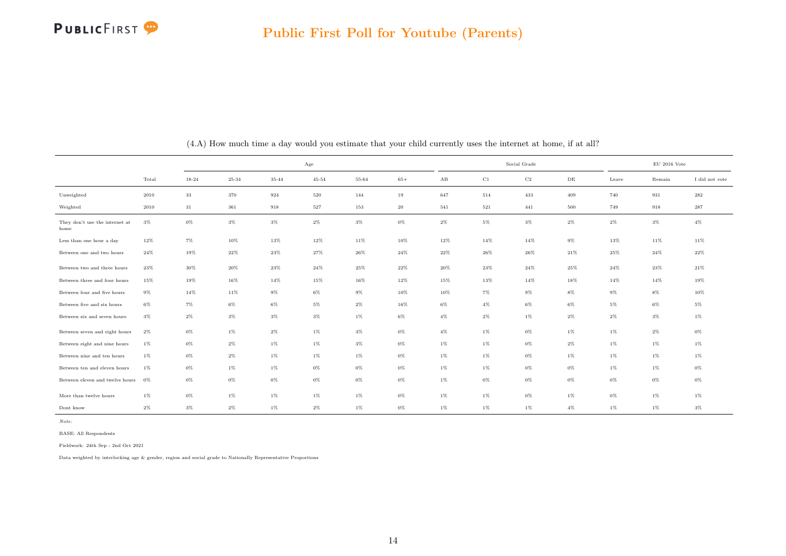

<span id="page-14-0"></span>

|                                        |        |        |           |           | Age       |        |        |                        |        | Social Grade |        |        | $\rm EU$ 2016 Vote |                |
|----------------------------------------|--------|--------|-----------|-----------|-----------|--------|--------|------------------------|--------|--------------|--------|--------|--------------------|----------------|
|                                        | Total  | 18-24  | $25 - 34$ | $35 - 44$ | $45 - 54$ | 55-64  | $65+$  | $\mathbf{A}\mathbf{B}$ | C1     | C2           | DE     | Leave  | Remain             | I did not vote |
| Unweighted                             | 2010   | 33     | 370       | 924       | 520       | 144    | 19     | 647                    | 514    | 433          | 409    | 740    | 931                | 282            |
| Weighted                               | 2010   | 31     | 361       | 918       | 527       | 153    | $20\,$ | 541                    | 521    | 441          | 500    | 749    | 918                | $\bf 287$      |
| They don't use the internet at<br>home | $3\%$  | $0\%$  | $3\%$     | $3\%$     | $2\%$     | $3\%$  | $0\%$  | $2\%$                  | $5\%$  | $3\%$        | $2\%$  | $2\%$  | $3\%$              | $4\%$          |
| Less than one hour a day               | 12%    | $7\%$  | 10%       | 13%       | 12%       | 11%    | $10\%$ | 12%                    | 14%    | 14%          | $9\%$  | 13%    | 11%                | 11%            |
| Between one and two hours              | $24\%$ | 19%    | $22\%$    | $23\%$    | 27%       | $26\%$ | $24\%$ | 22%                    | $26\%$ | $26\%$       | 21%    | $25\%$ | $24\%$             | $22\%$         |
| Between two and three hours            | $23\%$ | $30\%$ | $20\%$    | $23\%$    | $24\%$    | $25\%$ | $22\%$ | $20\%$                 | $23\%$ | $24\%$       | $25\%$ | $24\%$ | $23\%$             | $21\%$         |
| Between three and four hours           | $15\%$ | 19%    | $16\%$    | 14%       | 15%       | 16%    | $12\%$ | 15%                    | 13%    | 14%          | 18%    | 14%    | 14%                | 19%            |
| Between four and five hours            | $9\%$  | 14%    | $11\%$    | $9\%$     | $6\%$     | $9\%$  | $10\%$ | 10%                    | $7\%$  | $9\%$        | $8\%$  | $9\%$  | $8\%$              | 10%            |
| Between five and six hours             | $6\%$  | $7\%$  | $6\%$     | $6\%$     | $5\%$     | $2\%$  | $16\%$ | $6\%$                  | $4\%$  | $6\%$        | $6\%$  | $5\%$  | $6\%$              | $5\%$          |
| Between six and seven hours            | $3\%$  | $2\%$  | $3\%$     | $3\%$     | $3\%$     | $1\%$  | $6\%$  | $4\%$                  | $2\%$  | $1\%$        | $2\%$  | $2\%$  | $3\%$              | $1\%$          |
| Between seven and eight hours          | 2%     | $0\%$  | $1\%$     | $2\%$     | $1\%$     | $3\%$  | $0\%$  | $4\%$                  | $1\%$  | $0\%$        | $1\%$  | $1\%$  | $2\%$              | $0\%$          |
| Between eight and nine hours           | $1\%$  | $0\%$  | $2\%$     | $1\%$     | $1\%$     | $3\%$  | $0\%$  | $1\%$                  | $1\%$  | $0\%$        | $2\%$  | $1\%$  | $1\%$              | $1\%$          |
| Between nine and ten hours             | $1\%$  | $0\%$  | $2\%$     | $1\%$     | $1\%$     | 1%     | 0%     | $1\%$                  | $1\%$  | 0%           | $1\%$  | $1\%$  | $1\%$              | $1\%$          |
| Between ten and eleven hours           | $1\%$  | 0%     | $1\%$     | $1\%$     | $0\%$     | $0\%$  | $0\%$  | $1\%$                  | $1\%$  | $0\%$        | $0\%$  | $1\%$  | $1\%$              | $0\%$          |
| Between eleven and twelve hours        | $0\%$  | $0\%$  | $0\%$     | $0\%$     | $0\%$     | $0\%$  | $0\%$  | $1\%$                  | $0\%$  | $0\%$        | $0\%$  | $0\%$  | $0\%$              | $0\%$          |
| More than twelve hours                 | $1\%$  | $0\%$  | $1\%$     | $1\%$     | $1\%$     | $1\%$  | $0\%$  | $1\%$                  | $1\%$  | $0\%$        | $1\%$  | $0\%$  | $1\%$              | $1\%$          |
| Dont know                              | $2\%$  | $3\%$  | $2\%$     | $1\%$     | $2\%$     | $1\%$  | $0\%$  | $1\%$                  | $1\%$  | $1\%$        | $4\%$  | $1\%$  | $1\%$              | $3\%$          |

(4.A) How much time a day would you estimate that your child currently uses the internet at home, if at all?

BASE: All Respondents

Fieldwork: 24th Sep - 2nd Oct 2021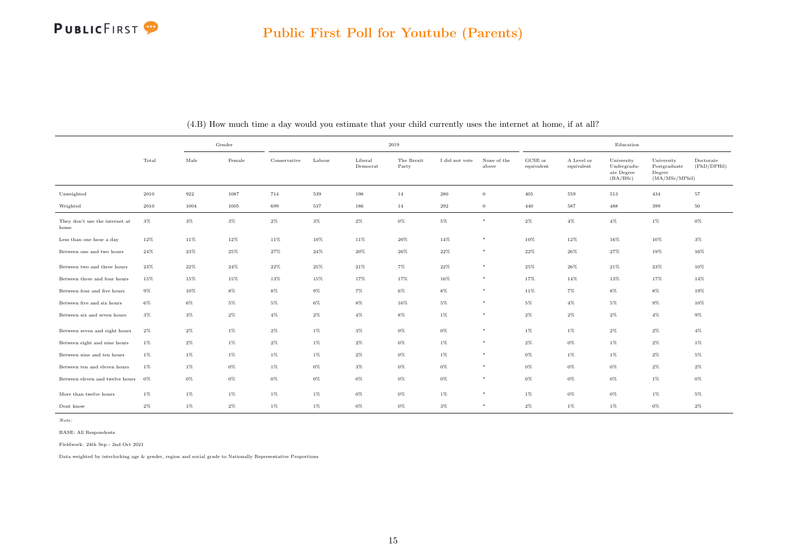

|                                        |       | Gender |        |              |        | 2019                |                     |                |                      |                       |                          | Education                                           |                                                         |                          |
|----------------------------------------|-------|--------|--------|--------------|--------|---------------------|---------------------|----------------|----------------------|-----------------------|--------------------------|-----------------------------------------------------|---------------------------------------------------------|--------------------------|
|                                        | Total | Male   | Female | Conservative | Labour | Liberal<br>Democrat | The Brexit<br>Party | I did not vote | None of the<br>above | GCSE or<br>equivalent | A Level or<br>equivalent | University<br>Undergradu-<br>ate Degree<br>(BA/BSc) | University<br>Postgraduate<br>Degree<br>(MA/MSc/MPhill) | Doctorate<br>(PhD/DPHil) |
| Unweighted                             | 2010  | 922    | 1087   | 714          | 539    | 198                 | 14                  | 280            | $\overline{0}$       | 405                   | 559                      | 513                                                 | 434                                                     | 57                       |
| Weighted                               | 2010  | 1004   | 1005   | 699          | 537    | 186                 | 14                  | 292            | $\mathbf{0}$         | 440                   | 587                      | 488                                                 | 399                                                     | $50\,$                   |
| They don't use the internet at<br>home | $3\%$ | $3\%$  | $3\%$  | $2\%$        | $3\%$  | $2\%$               | $0\%$               | $5\%$          | $*$                  | $2\%$                 | $4\%$                    | $4\%$                                               | $1\%$                                                   | $0\%$                    |
| Less than one hour a day               | 12%   | 11%    | 12%    | 11%          | 10%    | 11%                 | $20\%$              | $14\%$         | $*$                  | 10%                   | 12%                      | 16%                                                 | 10%                                                     | $3\%$                    |
| Between one and two hours              | 24%   | 23%    | 25%    | 27%          | 24%    | 20%                 | 26%                 | 22%            | $*$                  | 22%                   | 26%                      | 27%                                                 | 19%                                                     | 16%                      |
| Between two and three hours            | 23%   | 22%    | $24\%$ | $22\%$       | 25%    | $21\%$              | $7\%$               | 22%            | $*$                  | $25\%$                | 26%                      | 21%                                                 | $23\%$                                                  | 10%                      |
| Between three and four hours           | 15%   | 15%    | 15%    | 13%          | 15%    | 17%                 | 17%                 | 16%            | $*$                  | 17%                   | 14%                      | 13%                                                 | $17\%$                                                  | 14%                      |
| Between four and five hours            | $9\%$ | 10%    | $8\%$  | $8\%$        | $9\%$  | $7\%$               | $6\%$               | $8\%$          | $*$                  | 11%                   | $7\%$                    | $8\%$                                               | $8\%$                                                   | 19%                      |
| Between five and six hours             | 6%    | 6%     | $5\%$  | $5\%$        | 6%     | $8\%$               | 16%                 | 5%             | $*$                  | 5%                    | 4%                       | $5\%$                                               | 9%                                                      | 10%                      |
| Between six and seven hours            | $3\%$ | $3\%$  | $2\%$  | $4\%$        | $2\%$  | $4\%$               | $8\%$               | $1\%$          | $*$                  | $2\%$                 | $2\%$                    | $2\%$                                               | $4\%$                                                   | $9\%$                    |
| Between seven and eight hours          | $2\%$ | $2\%$  | $1\%$  | $2\%$        | $1\%$  | $3\%$               | $0\%$               | 0%             | $*$                  | $1\%$                 | $1\%$                    | $2\%$                                               | $2\%$                                                   | $4\%$                    |
| Between eight and nine hours           | $1\%$ | $2\%$  | $1\%$  | $2\%$        | $1\%$  | $2\%$               | $0\%$               | $1\%$          | $*$                  | $2\%$                 | $0\%$                    | $1\%$                                               | $2\%$                                                   | $1\%$                    |
| Between nine and ten hours             | 1%    | $1\%$  | $1\%$  | 1%           | $1\%$  | $2\%$               | $0\%$               | $1\%$          | $*$                  | $0\%$                 | 1%                       | $1\%$                                               | $2\%$                                                   | $5\%$                    |
| Between ten and eleven hours           | 1%    | $1\%$  | $0\%$  | $1\%$        | $0\%$  | $3\%$               | $0\%$               | $0\%$          | $\ast$               | $0\%$                 | $0\%$                    | $0\%$                                               | $2\%$                                                   | $2\%$                    |
| Between eleven and twelve hours        | 0%    | $0\%$  | $0\%$  | $0\%$        | $0\%$  | $0\%$               | $0\%$               | 0%             | $*$                  | $0\%$                 | $0\%$                    | $0\%$                                               | $1\%$                                                   | $0\%$                    |
| More than twelve hours                 | $1\%$ | $1\%$  | $1\%$  | $1\%$        | $1\%$  | $0\%$               | $0\%$               | $1\%$          | $\ast$               | $1\%$                 | $0\%$                    | $0\%$                                               | $1\%$                                                   | $5\%$                    |
| Dont know                              | $2\%$ | $1\%$  | $2\%$  | $1\%$        | 1%     | $0\%$               | $0\%$               | 3%             | $\ast$               | $2\%$                 | 1%                       | $1\%$                                               | $0\%$                                                   | $2\%$                    |

(4.B) How much time a day would you estimate that your child currently uses the internet at home, if at all?

Note:

BASE: All Respondents

Fieldwork: 24th Sep - 2nd Oct 2021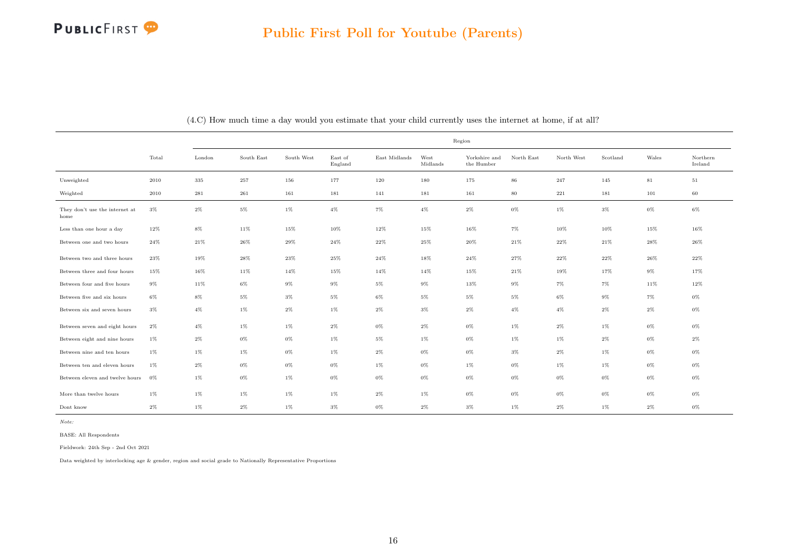|                                        |       |        |            |            |                    |               |                  | Region                      |            |            |          |             |                     |
|----------------------------------------|-------|--------|------------|------------|--------------------|---------------|------------------|-----------------------------|------------|------------|----------|-------------|---------------------|
|                                        | Total | London | South East | South West | East of<br>England | East Midlands | West<br>Midlands | Yorkshire and<br>the Humber | North East | North West | Scotland | Wales       | Northern<br>Ireland |
| Unweighted                             | 2010  | 335    | 257        | 156        | 177                | 120           | 180              | 175                         | 86         | 247        | 145      | $8\sqrt{1}$ | 51                  |
| Weighted                               | 2010  | 281    | 261        | 161        | 181                | 141           | 181              | 161                         | 80         | 221        | 181      | 101         | 60                  |
| They don't use the internet at<br>home | $3\%$ | $2\%$  | $5\%$      | 1%         | $4\%$              | $7\%$         | $4\%$            | $2\%$                       | 0%         | 1%         | $3\%$    | $0\%$       | 6%                  |
| Less than one hour a day               | 12%   | $8\%$  | 11%        | 15%        | 10%                | 12%           | 15%              | $16\%$                      | $7\%$      | $10\%$     | 10%      | 15%         | $16\%$              |
| Between one and two hours              | 24%   | $21\%$ | $26\%$     | $29\%$     | 24%                | $22\%$        | 25%              | $20\%$                      | $21\%$     | $22\%$     | $21\%$   | $28\%$      | $26\%$              |
| Between two and three hours            | 23%   | 19%    | 28%        | 23%        | 25%                | 24%           | 18%              | 24%                         | 27%        | 22%        | 22%      | 26%         | 22%                 |
| Between three and four hours           | 15%   | $16\%$ | 11%        | 14%        | 15%                | 14%           | 14%              | 15%                         | 21%        | 19%        | 17%      | $9\%$       | 17%                 |
| Between four and five hours            | $9\%$ | 11%    | 6%         | $9\%$      | 9%                 | $5\%$         | $9\%$            | 13%                         | $9\%$      | $7\%$      | $7\%$    | 11%         | 12%                 |
| Between five and six hours             | $6\%$ | $8\%$  | $5\%$      | $3\%$      | $5\%$              | $6\%$         | $5\%$            | $5\%$                       | $5\%$      | $6\%$      | $9\%$    | 7%          | $0\%$               |
| Between six and seven hours            | $3\%$ | $4\%$  | 1%         | $2\%$      | 1%                 | $2\%$         | $3\%$            | $2\%$                       | 4%         | $4\%$      | $2\%$    | $2\%$       | $0\%$               |
| Between seven and eight hours          | $2\%$ | $4\%$  | $1\%$      | $1\%$      | $2\%$              | $0\%$         | $2\%$            | $0\%$                       | $1\%$      | $2\%$      | $1\%$    | $0\%$       | $0\%$               |
| Between eight and nine hours           | $1\%$ | $2\%$  | 0%         | $0\%$      | 1%                 | $5\%$         | $1\%$            | $0\%$                       | 1%         | 1%         | $2\%$    | $0\%$       | 2%                  |
| Between nine and ten hours             | $1\%$ | $1\%$  | 1%         | $0\%$      | 1%                 | $2\%$         | $0\%$            | $0\%$                       | $3\%$      | $2\%$      | $1\%$    | $0\%$       | $0\%$               |
| Between ten and eleven hours           | $1\%$ | $2\%$  | 0%         | $0\%$      | 0%                 | $1\%$         | $0\%$            | 1%                          | 0%         | 1%         | $1\%$    | 0%          | 0%                  |
| Between eleven and twelve hours        | 0%    | $1\%$  | $0\%$      | $1\%$      | $0\%$              | $0\%$         | $0\%$            | $0\%$                       | $0\%$      | $0\%$      | $0\%$    | $0\%$       | $0\%$               |
| More than twelve hours                 | $1\%$ | $1\%$  | 1%         | $1\%$      | 1%                 | $2\%$         | $1\%$            | $0\%$                       | $0\%$      | $0\%$      | $0\%$    | $0\%$       | 0%                  |
| Dont know                              | $2\%$ | $1\%$  | $2\%$      | 1%         | $3\%$              | $0\%$         | $2\%$            | $3\%$                       | 1%         | $2\%$      | $1\%$    | $2\%$       | 0%                  |

(4.C) How much time a day would you estimate that your child currently uses the internet at home, if at all?

Note:

BASE: All Respondents

Fieldwork: 24th Sep - 2nd Oct 2021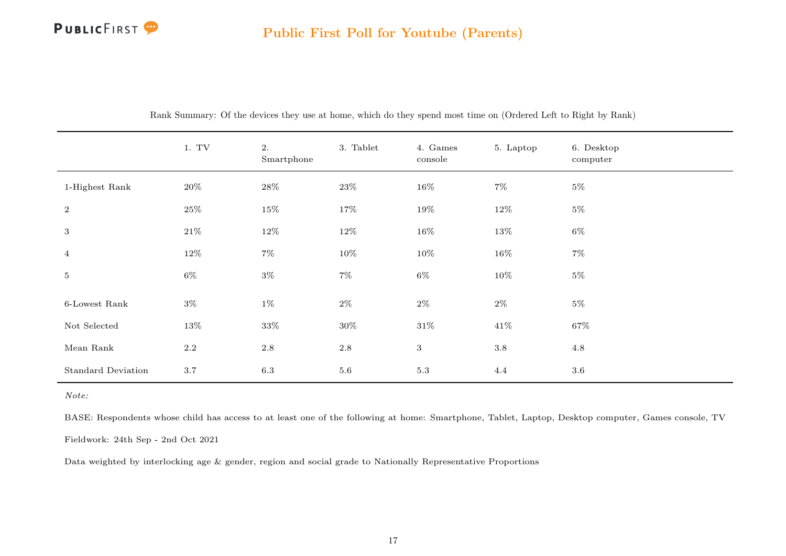<span id="page-17-0"></span>

|                           | 1. TV   | 2.<br>Smartphone | 3. Tablet | 4. Games<br>console | 5. Laptop | 6. Desktop<br>computer |
|---------------------------|---------|------------------|-----------|---------------------|-----------|------------------------|
| 1-Highest Rank            | $20\%$  | 28%              | 23%       | $16\%$              | $7\%$     | $5\%$                  |
| 2                         | $25\%$  | $15\%$           | 17%       | $19\%$              | $12\%$    | $5\%$                  |
| $\mathbf{3}$              | $21\%$  | $12\%$           | $12\%$    | $16\%$              | 13%       | $6\%$                  |
| $\overline{4}$            | 12%     | $7\%$            | $10\%$    | $10\%$              | $16\%$    | $7\%$                  |
| 5 <sub>5</sub>            | $6\%$   | $3\%$            | $7\%$     | $6\%$               | $10\%$    | $5\%$                  |
| $6$ -Lowest Rank          | $3\%$   | $1\%$            | $2\%$     | $2\%$               | $2\%$     | $5\%$                  |
| Not Selected              | 13%     | 33%              | 30%       | $31\%$              | 41%       | 67%                    |
| Mean Rank                 | $2.2\,$ | $2.8\,$          | $2.8\,$   | $3\phantom{.}$      | $3.8\,$   | 4.8                    |
| <b>Standard Deviation</b> | 3.7     | 6.3              | 5.6       | 5.3                 | 4.4       | $3.6\,$                |

Rank Summary: Of the devices they use at home, which do they spend most time on (Ordered Left to Right by Rank)

Note:

BASE: Respondents whose child has access to at least one of the following at home: Smartphone, Tablet, Laptop, Desktop computer, Games console, TV

Fieldwork: 24th Sep - 2nd Oct 2021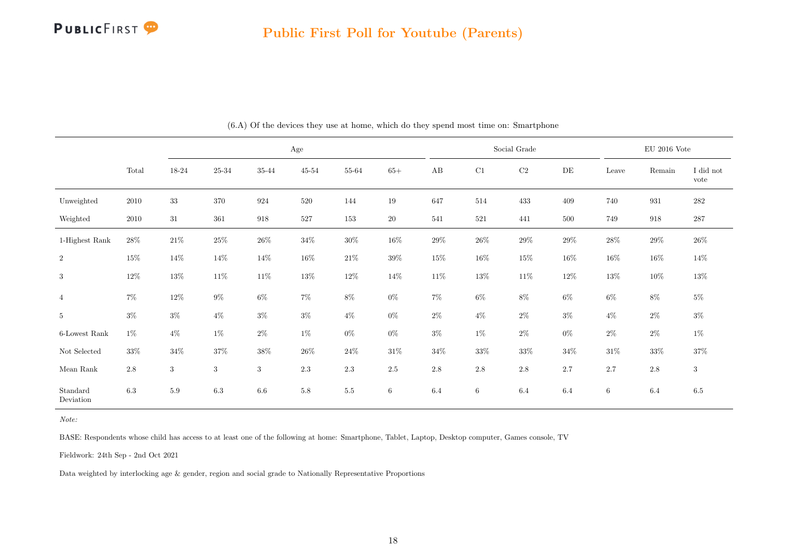

<span id="page-18-0"></span>

|                       |         |            |            |            | $\rm Age$ |         |                 |          |          | Social Grade |         |                 | $\mathop{\rm EU}$ 2016 Vote |                   |
|-----------------------|---------|------------|------------|------------|-----------|---------|-----------------|----------|----------|--------------|---------|-----------------|-----------------------------|-------------------|
|                       | Total   | $18 - 24$  | 25-34      | 35-44      | $45 - 54$ | 55-64   | $65+$           | $\rm AB$ | $\rm C1$ | $\rm C2$     | DE      | Leave           | Remain                      | I did not<br>vote |
| Unweighted            | 2010    | $33\,$     | 370        | 924        | 520       | 144     | 19              | 647      | 514      | 433          | 409     | 740             | 931                         | $282\,$           |
| Weighted              | 2010    | $31\,$     | 361        | 918        | $527\,$   | 153     | $20\,$          | 541      | 521      | 441          | $500\,$ | 749             | 918                         | $287\,$           |
| 1-Highest Rank        | $28\%$  | $21\%$     | $25\%$     | $26\%$     | $34\%$    | $30\%$  | $16\%$          | $29\%$   | $26\%$   | $29\%$       | $29\%$  | $28\%$          | $29\%$                      | $26\%$            |
| $\,2$                 | 15%     | $14\%$     | 14%        | $14\%$     | $16\%$    | $21\%$  | $39\%$          | 15%      | $16\%$   | $15\%$       | $16\%$  | $16\%$          | 16%                         | $14\%$            |
| 3                     | $12\%$  | $13\%$     | $11\%$     | $11\%$     | $13\%$    | $12\%$  | $14\%$          | $11\%$   | $13\%$   | $11\%$       | $12\%$  | $13\%$          | $10\%$                      | $13\%$            |
| $\overline{4}$        | $7\%$   | $12\%$     | $9\%$      | $6\%$      | $7\%$     | $8\%$   | $0\%$           | $7\%$    | $6\%$    | $8\%$        | $6\%$   | $6\%$           | $8\%$                       | $5\%$             |
| $5\phantom{.0}$       | $3\%$   | $3\%$      | $4\%$      | $3\%$      | $3\%$     | $4\%$   | $0\%$           | $2\%$    | $4\%$    | $2\%$        | $3\%$   | $4\%$           | $2\%$                       | $3\%$             |
| $6$ -Lowest Rank      | $1\%$   | $4\%$      | $1\%$      | $2\%$      | $1\%$     | $0\%$   | $0\%$           | $3\%$    | $1\%$    | $2\%$        | $0\%$   | $2\%$           | $2\%$                       | $1\%$             |
| Not Selected          | 33%     | $34\%$     | 37%        | 38%        | $26\%$    | $24\%$  | $31\%$          | $34\%$   | $33\%$   | $33\%$       | $34\%$  | $31\%$          | 33%                         | $37\%$            |
| Mean $\rm Rank$       | $2.8\,$ | $\sqrt{3}$ | $\sqrt{3}$ | $\sqrt{3}$ | 2.3       | $2.3\,$ | $2.5\,$         | 2.8      | $2.8\,$  | $2.8\,$      | 2.7     | 2.7             | $2.8\,$                     | $\sqrt{3}$        |
| Standard<br>Deviation | 6.3     | $5.9\,$    | $6.3\,$    | $6.6\,$    | $5.8\,$   | $5.5\,$ | $6\phantom{.0}$ | 6.4      | $\,6\,$  | 6.4          | 6.4     | $6\phantom{.0}$ | $6.4\,$                     | $6.5\,$           |

(6.A) Of the devices they use at home, which do they spend most time on: Smartphone

BASE: Respondents whose child has access to at least one of the following at home: Smartphone, Tablet, Laptop, Desktop computer, Games console, TV

Fieldwork: 24th Sep - 2nd Oct 2021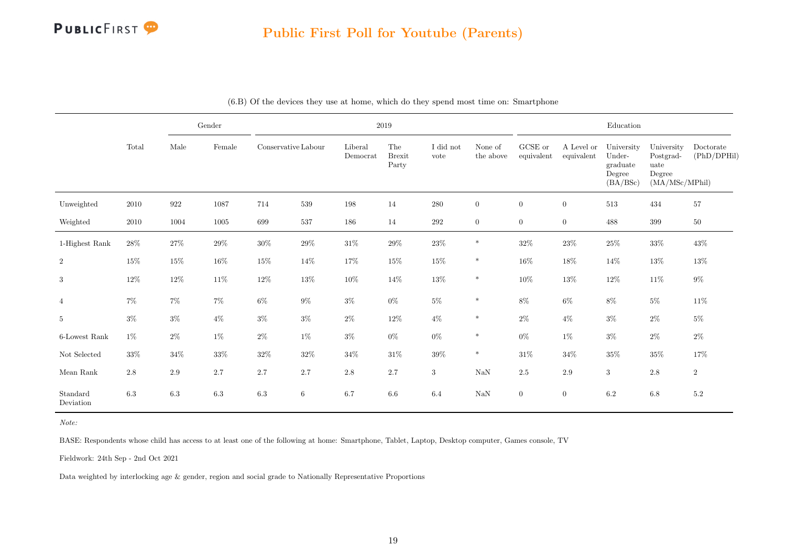

|                       |         |        | $\operatorname{Gender}$ |                     |        |                     | 2019                          |                   |                      |                       |                          | ${\bf Education}$                                      |                                                             |                          |
|-----------------------|---------|--------|-------------------------|---------------------|--------|---------------------|-------------------------------|-------------------|----------------------|-----------------------|--------------------------|--------------------------------------------------------|-------------------------------------------------------------|--------------------------|
|                       | Total   | Male   | Female                  | Conservative Labour |        | Liberal<br>Democrat | The<br><b>Brexit</b><br>Party | I did not<br>vote | None of<br>the above | GCSE or<br>equivalent | A Level or<br>equivalent | University<br>Under-<br>graduate<br>Degree<br>(BA/BSc) | University<br>Postgrad-<br>uate<br>Degree<br>(MA/MSc/MPhil) | Doctorate<br>(PhD/DPHil) |
| Unweighted            | 2010    | 922    | 1087                    | 714                 | 539    | 198                 | 14                            | 280               | $\overline{0}$       | $\overline{0}$        | $\theta$                 | 513                                                    | 434                                                         | 57                       |
| Weighted              | 2010    | 1004   | 1005                    | 699                 | 537    | 186                 | 14                            | $\,292$           | $\overline{0}$       | $\overline{0}$        | $\boldsymbol{0}$         | 488                                                    | 399                                                         | $50\,$                   |
| 1-Highest Rank        | $28\%$  | 27%    | $29\%$                  | $30\%$              | $29\%$ | $31\%$              | $29\%$                        | $23\%$            | $\ast$               | $32\%$                | $23\%$                   | 25%                                                    | $33\%$                                                      | 43%                      |
| $\overline{2}$        | 15%     | 15%    | $16\%$                  | 15%                 | $14\%$ | $17\%$              | 15%                           | $15\%$            | $\ast$               | $16\%$                | 18%                      | 14%                                                    | $13\%$                                                      | 13%                      |
| 3                     | 12%     | 12%    | $11\%$                  | $12\%$              | $13\%$ | $10\%$              | 14%                           | $13\%$            | $\ast$               | $10\%$                | $13\%$                   | 12%                                                    | $11\%$                                                      | $9\%$                    |
| $\overline{4}$        | $7\%$   | $7\%$  | $7\%$                   | $6\%$               | $9\%$  | $3\%$               | $0\%$                         | $5\%$             | $\ast$               | $8\%$                 | $6\%$                    | $8\%$                                                  | $5\%$                                                       | 11\%                     |
| $\overline{5}$        | $3\%$   | $3\%$  | $4\%$                   | $3\%$               | $3\%$  | $2\%$               | $12\%$                        | $4\%$             | $\ast$               | $2\%$                 | $4\%$                    | $3\%$                                                  | $2\%$                                                       | $5\%$                    |
| 6-Lowest Rank         | $1\%$   | $2\%$  | $1\%$                   | $2\%$               | $1\%$  | $3\%$               | $0\%$                         | $0\%$             | $\ast$               | $0\%$                 | $1\%$                    | $3\%$                                                  | $2\%$                                                       | $2\%$                    |
| Not Selected          | 33%     | $34\%$ | $33\%$                  | $32\%$              | $32\%$ | $34\%$              | 31%                           | $39\%$            | $\ast$               | $31\%$                | $34\%$                   | $35\%$                                                 | $35\%$                                                      | 17%                      |
| Mean $\rm{Rank}$      | $2.8\,$ | 2.9    | 2.7                     | 2.7                 | 2.7    | $2.8\,$             | 2.7                           | $\boldsymbol{3}$  | $\rm NaN$            | 2.5                   | $2.9\,$                  | $\sqrt{3}$                                             | $2.8\,$                                                     | $\,2$                    |
| Standard<br>Deviation | 6.3     | 6.3    | 6.3                     | 6.3                 | 6      | 6.7                 | 6.6                           | 6.4               | $\rm NaN$            | $\overline{0}$        | $\boldsymbol{0}$         | 6.2                                                    | $6.8\,$                                                     | 5.2                      |

(6.B) Of the devices they use at home, which do they spend most time on: Smartphone

BASE: Respondents whose child has access to at least one of the following at home: Smartphone, Tablet, Laptop, Desktop computer, Games console, TV

Fieldwork: 24th Sep - 2nd Oct 2021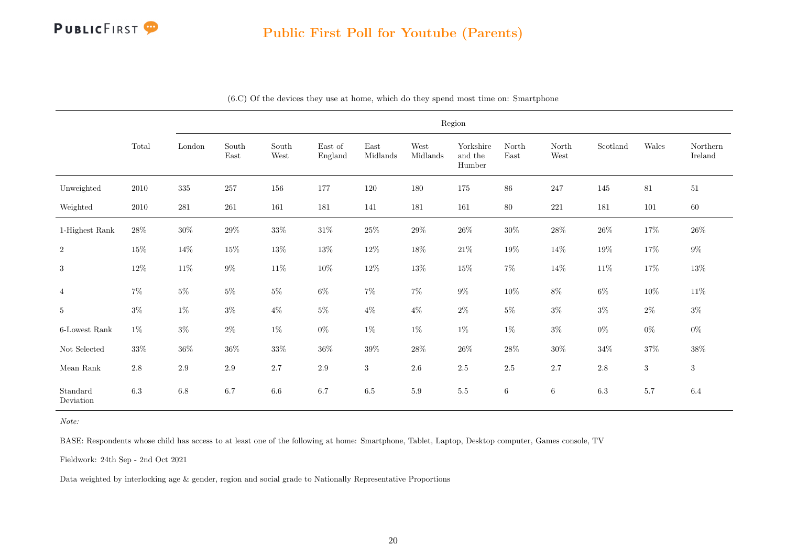

|                       |          |         |               |               |                    |                  |                  | Region                         |               |                 |          |            |                     |
|-----------------------|----------|---------|---------------|---------------|--------------------|------------------|------------------|--------------------------------|---------------|-----------------|----------|------------|---------------------|
|                       | Total    | London  | South<br>East | South<br>West | East of<br>England | East<br>Midlands | West<br>Midlands | Yorkshire<br>and the<br>Humber | North<br>East | North<br>West   | Scotland | Wales      | Northern<br>Ireland |
| Unweighted            | $2010\,$ | 335     | 257           | 156           | 177                | 120              | 180              | 175                            | $86\,$        | 247             | 145      | 81         | $51\,$              |
| Weighted              | 2010     | 281     | 261           | 161           | 181                | 141              | 181              | 161                            | $80\,$        | 221             | 181      | 101        | 60                  |
| 1-Highest Rank        | $28\%$   | $30\%$  | $29\%$        | $33\%$        | $31\%$             | 25%              | $29\%$           | $26\%$                         | $30\%$        | $28\%$          | $26\%$   | 17%        | $26\%$              |
| $\overline{2}$        | $15\%$   | 14%     | $15\%$        | $13\%$        | $13\%$             | $12\%$           | $18\%$           | $21\%$                         | $19\%$        | $14\%$          | $19\%$   | $17\%$     | $9\%$               |
| 3                     | $12\%$   | $11\%$  | $9\%$         | $11\%$        | $10\%$             | $12\%$           | $13\%$           | $15\%$                         | $7\%$         | $14\%$          | 11%      | $17\%$     | $13\%$              |
| $\overline{4}$        | $7\%$    | $5\%$   | $5\%$         | $5\%$         | $6\%$              | $7\%$            | $7\%$            | $9\%$                          | $10\%$        | $8\%$           | $6\%$    | $10\%$     | $11\%$              |
| 5                     | $3\%$    | $1\%$   | $3\%$         | $4\%$         | $5\%$              | $4\%$            | $4\%$            | $2\%$                          | $5\%$         | $3\%$           | $3\%$    | $2\%$      | $3\%$               |
| 6-Lowest Rank         | $1\%$    | $3\%$   | $2\%$         | $1\%$         | $0\%$              | $1\%$            | $1\%$            | $1\%$                          | $1\%$         | $3\%$           | $0\%$    | $0\%$      | $0\%$               |
| Not Selected          | $33\%$   | $36\%$  | $36\%$        | $33\%$        | $36\%$             | $39\%$           | $28\%$           | $26\%$                         | $28\%$        | $30\%$          | $34\%$   | $37\%$     | $38\%$              |
| Mean $\rm Rank$       | $2.8\,$  | $2.9\,$ | $2.9\,$       | $2.7\,$       | $2.9\,$            | $\sqrt{3}$       | $2.6\,$          | $2.5\,$                        | $2.5\,$       | $2.7\,$         | $2.8\,$  | $\sqrt{3}$ | $\sqrt{3}$          |
| Standard<br>Deviation | $6.3\,$  | $6.8\,$ | 6.7           | $6.6\,$       | 6.7                | $6.5\,$          | $5.9\,$          | $5.5\,$                        | 6             | $6\phantom{.}6$ | $6.3\,$  | 5.7        | $6.4\,$             |

(6.C) Of the devices they use at home, which do they spend most time on: Smartphone

Note:

BASE: Respondents whose child has access to at least one of the following at home: Smartphone, Tablet, Laptop, Desktop computer, Games console, TV

Fieldwork: 24th Sep - 2nd Oct 2021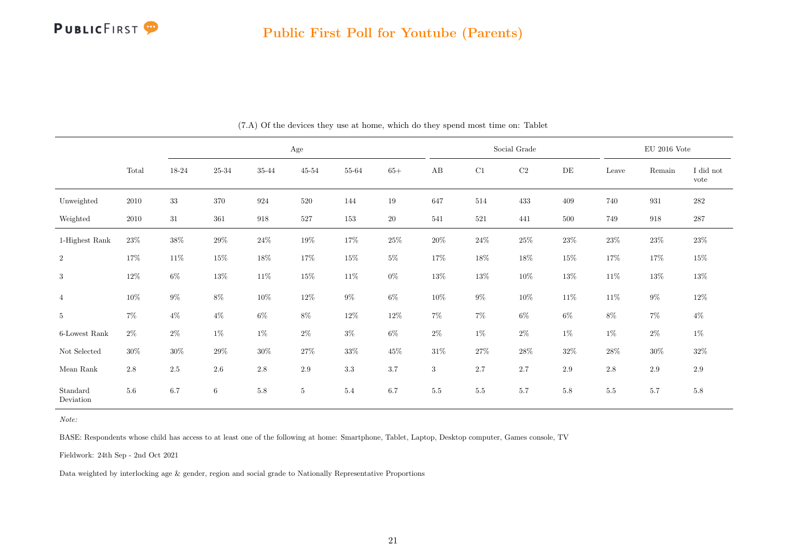

<span id="page-21-0"></span>

|                       |         |           |         |                 | Age            |         |        |          |          | Social Grade |           |         | $\rm EU$ 2016 Vote |                   |
|-----------------------|---------|-----------|---------|-----------------|----------------|---------|--------|----------|----------|--------------|-----------|---------|--------------------|-------------------|
|                       | Total   | $18 - 24$ | 25-34   | $35\mbox{-} 44$ | $45\hbox{-}54$ | 55-64   | $65+$  | $\rm AB$ | $\rm C1$ | $\rm C2$     | $\rm{DE}$ | Leave   | Remain             | I did not<br>vote |
| Unweighted            | 2010    | $33\,$    | 370     | 924             | $520\,$        | 144     | $19\,$ | 647      | 514      | 433          | 409       | 740     | 931                | $282\,$           |
| Weighted              | 2010    | $31\,$    | 361     | 918             | $527\,$        | 153     | $20\,$ | 541      | $521\,$  | 441          | $500\,$   | 749     | 918                | 287               |
| 1-Highest Rank        | $23\%$  | $38\%$    | $29\%$  | $24\%$          | $19\%$         | $17\%$  | $25\%$ | $20\%$   | $24\%$   | $25\%$       | $23\%$    | $23\%$  | $23\%$             | $23\%$            |
| $\,2$                 | $17\%$  | $11\%$    | $15\%$  | $18\%$          | $17\%$         | $15\%$  | $5\%$  | 17%      | 18%      | $18\%$       | $15\%$    | $17\%$  | $17\%$             | $15\%$            |
| 3                     | $12\%$  | $6\%$     | $13\%$  | $11\%$          | $15\%$         | $11\%$  | $0\%$  | $13\%$   | $13\%$   | $10\%$       | $13\%$    | $11\%$  | $13\%$             | $13\%$            |
| $\overline{4}$        | 10%     | $9\%$     | $8\%$   | $10\%$          | $12\%$         | $9\%$   | $6\%$  | $10\%$   | $9\%$    | $10\%$       | $11\%$    | $11\%$  | $9\%$              | $12\%$            |
| $\overline{5}$        | $7\%$   | $4\%$     | $4\%$   | $6\%$           | $8\%$          | $12\%$  | $12\%$ | $7\%$    | $7\%$    | $6\%$        | $6\%$     | $8\%$   | $7\%$              | $4\%$             |
| 6-Lowest Rank         | $2\%$   | $2\%$     | $1\%$   | $1\%$           | $2\%$          | $3\%$   | $6\%$  | $2\%$    | $1\%$    | $2\%$        | $1\%$     | $1\%$   | $2\%$              | $1\%$             |
| Not Selected          | $30\%$  | $30\%$    | 29%     | $30\%$          | $27\%$         | $33\%$  | $45\%$ | $31\%$   | $27\%$   | $28\%$       | $32\%$    | $28\%$  | 30%                | $32\%$            |
| Mean $\rm{Rank}$      | $2.8\,$ | $2.5\,$   | $2.6\,$ | 2.8             | 2.9            | $3.3\,$ | 3.7    | 3        | 2.7      | 2.7          | $2.9\,$   | 2.8     | $2.9\,$            | $2.9\,$           |
| Standard<br>Deviation | 5.6     | 6.7       | $\,6\,$ | 5.8             | $\bf 5$        | 5.4     | 6.7    | $5.5\,$  | $5.5\,$  | 5.7          | 5.8       | $5.5\,$ | $5.7\,$            | $5.8\,$           |

(7.A) Of the devices they use at home, which do they spend most time on: Tablet

BASE: Respondents whose child has access to at least one of the following at home: Smartphone, Tablet, Laptop, Desktop computer, Games console, TV

Fieldwork: 24th Sep - 2nd Oct 2021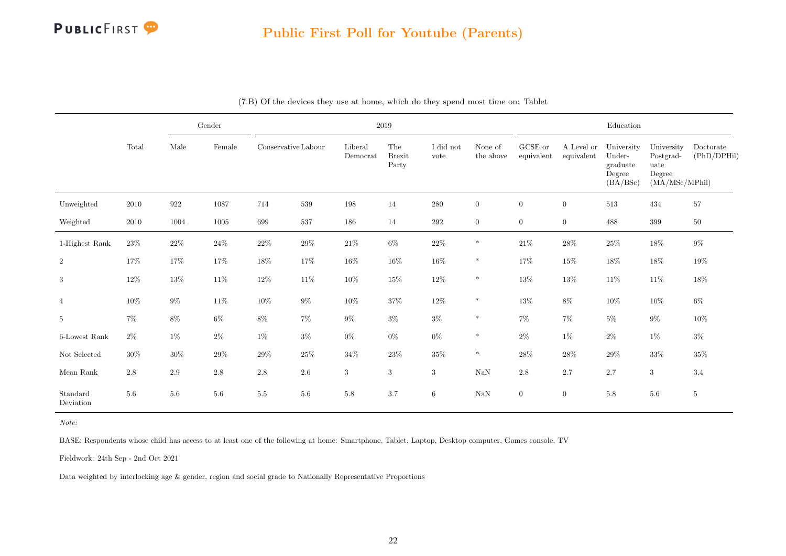

|                       |        |         | Gender   |                     |         |                     | 2019                          |                   |                      |                       |                          | Education                                              |                                                             |                          |
|-----------------------|--------|---------|----------|---------------------|---------|---------------------|-------------------------------|-------------------|----------------------|-----------------------|--------------------------|--------------------------------------------------------|-------------------------------------------------------------|--------------------------|
|                       | Total  | Male    | Female   | Conservative Labour |         | Liberal<br>Democrat | The<br><b>Brexit</b><br>Party | I did not<br>vote | None of<br>the above | GCSE or<br>equivalent | A Level or<br>equivalent | University<br>Under-<br>graduate<br>Degree<br>(BA/BSc) | University<br>Postgrad-<br>uate<br>Degree<br>(MA/MSc/MPhil) | Doctorate<br>(PhD/DPHil) |
| Unweighted            | 2010   | 922     | 1087     | 714                 | 539     | 198                 | 14                            | 280               | $\overline{0}$       | $\overline{0}$        | $\mathbf{0}$             | 513                                                    | 434                                                         | 57                       |
| Weighted              | 2010   | 1004    | $1005\,$ | 699                 | 537     | 186                 | 14                            | $\,292$           | $\overline{0}$       | $\overline{0}$        | $\boldsymbol{0}$         | 488                                                    | 399                                                         | $50\,$                   |
| 1-Highest Rank        | $23\%$ | $22\%$  | $24\%$   | $22\%$              | $29\%$  | $21\%$              | $6\%$                         | $22\%$            | $\ast$               | $21\%$                | $28\%$                   | $25\%$                                                 | $18\%$                                                      | $9\%$                    |
| $\,2$                 | 17%    | 17%     | $17\%$   | 18%                 | $17\%$  | $16\%$              | $16\%$                        | $16\%$            | $\ast$               | $17\%$                | $15\%$                   | 18%                                                    | $18\%$                                                      | 19%                      |
| $\sqrt{3}$            | $12\%$ | $13\%$  | $11\%$   | $12\%$              | $11\%$  | $10\%$              | 15%                           | $12\%$            | $\ast$               | $13\%$                | $13\%$                   | $11\%$                                                 | $11\%$                                                      | $18\%$                   |
| $\overline{4}$        | 10%    | $9\%$   | $11\%$   | $10\%$              | $9\%$   | $10\%$              | $37\%$                        | $12\%$            | $\ast$               | $13\%$                | $8\%$                    | 10%                                                    | $10\%$                                                      | $6\%$                    |
| $\,$ 5 $\,$           | $7\%$  | $8\%$   | $6\%$    | $8\%$               | $7\%$   | $9\%$               | $3\%$                         | $3\%$             | $\ast$               | $7\%$                 | $7\%$                    | $5\%$                                                  | $9\%$                                                       | 10%                      |
| 6-Lowest Rank         | $2\%$  | $1\%$   | $2\%$    | $1\%$               | $3\%$   | $0\%$               | $0\%$                         | $0\%$             | $\ast$               | $2\%$                 | $1\%$                    | $2\%$                                                  | $1\%$                                                       | $3\%$                    |
| $\hbox{Not Selected}$ | $30\%$ | $30\%$  | $29\%$   | $29\%$              | $25\%$  | $34\%$              | $23\%$                        | $35\%$            | $\ast$               | $28\%$                | $28\%$                   | $29\%$                                                 | $33\%$                                                      | $35\%$                   |
| Mean Rank             | 2.8    | $2.9\,$ | $2.8\,$  | $2.8\,$             | $2.6\,$ | 3                   | $\boldsymbol{3}$              | $\sqrt{3}$        | $\rm NaN$            | $2.8\,$               | 2.7                      | $2.7\,$                                                | $\sqrt{3}$                                                  | 3.4                      |
| Standard<br>Deviation | 5.6    | 5.6     | 5.6      | 5.5                 | 5.6     | $5.8\,$             | 3.7                           | $6\phantom{.}$    | $\rm NaN$            | $\overline{0}$        | $\overline{0}$           | 5.8                                                    | $5.6\,$                                                     | $5\phantom{.0}$          |

|  |  |  |  |  | (7.B) Of the devices they use at home, which do they spend most time on: Tablet |
|--|--|--|--|--|---------------------------------------------------------------------------------|
|--|--|--|--|--|---------------------------------------------------------------------------------|

Note:

BASE: Respondents whose child has access to at least one of the following at home: Smartphone, Tablet, Laptop, Desktop computer, Games console, TV

Fieldwork: 24th Sep - 2nd Oct 2021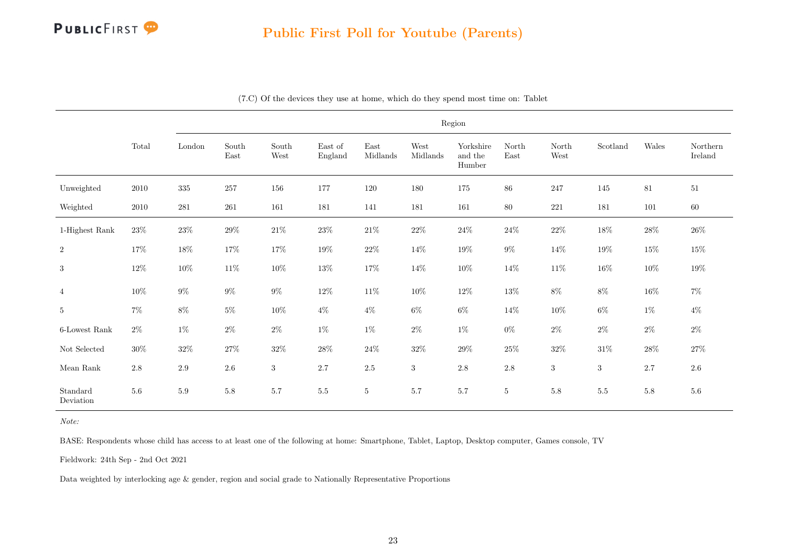

|                       |                                 |                         |               |                  |                    |                                   |                  | Region                         |                 |               |                  |         |                     |
|-----------------------|---------------------------------|-------------------------|---------------|------------------|--------------------|-----------------------------------|------------------|--------------------------------|-----------------|---------------|------------------|---------|---------------------|
|                       | $\operatorname{\mathsf{Total}}$ | $\operatorname{London}$ | South<br>East | South<br>West    | East of<br>England | $\operatorname{East}$<br>Midlands | West<br>Midlands | Yorkshire<br>and the<br>Humber | North<br>East   | North<br>West | Scotland         | Wales   | Northern<br>Ireland |
| Unweighted            | 2010                            | $335\,$                 | $257\,$       | 156              | 177                | 120                               | 180              | $175\,$                        | $86\,$          | 247           | 145              | 81      | 51                  |
| Weighted              | $2010\,$                        | 281                     | 261           | 161              | 181                | 141                               | 181              | 161                            | $80\,$          | 221           | 181              | 101     | $60\,$              |
| 1-Highest Rank        | $23\%$                          | $23\%$                  | $29\%$        | $21\%$           | $23\%$             | $21\%$                            | $22\%$           | $24\%$                         | $24\%$          | $22\%$        | $18\%$           | $28\%$  | $26\%$              |
| $\,2$                 | $17\%$                          | $18\%$                  | 17%           | $17\%$           | $19\%$             | $22\%$                            | $14\%$           | $19\%$                         | $9\%$           | 14%           | $19\%$           | $15\%$  | $15\%$              |
| 3                     | $12\%$                          | $10\%$                  | $11\%$        | $10\%$           | $13\%$             | 17%                               | $14\%$           | $10\%$                         | 14%             | $11\%$        | 16%              | $10\%$  | 19%                 |
| $\overline{4}$        | $10\%$                          | $9\%$                   | $9\%$         | $9\%$            | $12\%$             | $11\%$                            | $10\%$           | $12\%$                         | $13\%$          | $8\%$         | $8\%$            | $16\%$  | $7\%$               |
| $5\phantom{.0}$       | $7\%$                           | $8\%$                   | $5\%$         | $10\%$           | $4\%$              | $4\%$                             | $6\%$            | $6\%$                          | 14%             | $10\%$        | $6\%$            | $1\%$   | $4\%$               |
| $6$ -Lowest Rank      | $2\%$                           | $1\%$                   | $2\%$         | $2\%$            | $1\%$              | $1\%$                             | $2\%$            | $1\%$                          | $0\%$           | $2\%$         | $2\%$            | $2\%$   | $2\%$               |
| Not Selected          | $30\%$                          | $32\%$                  | $27\%$        | $32\%$           | $28\%$             | $24\%$                            | $32\%$           | $29\%$                         | $25\%$          | $32\%$        | $31\%$           | $28\%$  | $27\%$              |
| Mean Rank             | $2.8\,$                         | $2.9\,$                 | $2.6\,$       | $\boldsymbol{3}$ | 2.7                | $2.5\,$                           | $\sqrt{3}$       | $2.8\,$                        | $2.8\,$         | $\sqrt{3}$    | $\boldsymbol{3}$ | 2.7     | $2.6\,$             |
| Standard<br>Deviation | $5.6\,$                         | $5.9\,$                 | $5.8\,$       | 5.7              | $5.5\,$            | $\bf 5$                           | 5.7              | $5.7\,$                        | $5\phantom{.0}$ | $5.8\,$       | $5.5\,$          | $5.8\,$ | $5.6\,$             |

(7.C) Of the devices they use at home, which do they spend most time on: Tablet

Note:

BASE: Respondents whose child has access to at least one of the following at home: Smartphone, Tablet, Laptop, Desktop computer, Games console, TV

Fieldwork: 24th Sep - 2nd Oct 2021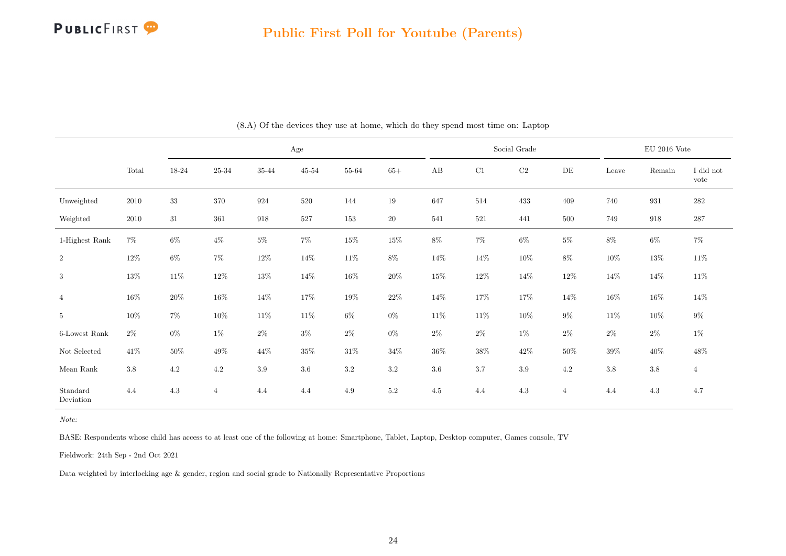#### Public First Poll for Youtube (Parents)

<span id="page-24-0"></span>

|                       |          |           |                |                    | $\rm Age$ |                |         |                        |        | Social Grade |                |        | $\mathop{\rm EU}$ 2016 Vote |                   |
|-----------------------|----------|-----------|----------------|--------------------|-----------|----------------|---------|------------------------|--------|--------------|----------------|--------|-----------------------------|-------------------|
|                       | Total    | $18 - 24$ | $25\hbox{-}34$ | $35 - 44$          | $45 - 54$ | $55\mbox{-}64$ | $65+$   | $\mathbf{A}\mathbf{B}$ | C1     | $\rm C2$     | DE             | Leave  | Remain                      | I did not<br>vote |
| Unweighted            | $2010\,$ | $33\,$    | 370            | 924                | $520\,$   | 144            | $19\,$  | 647                    | 514    | 433          | 409            | 740    | $\boldsymbol{931}$          | $\bf 282$         |
| Weighted              | $2010\,$ | $31\,$    | 361            | $\boldsymbol{918}$ | $527\,$   | 153            | $20\,$  | 541                    | 521    | 441          | $500\,$        | 749    | 918                         | $287\,$           |
| 1-Highest Rank        | $7\%$    | $6\%$     | $4\%$          | $5\%$              | $7\%$     | $15\%$         | $15\%$  | $8\%$                  | $7\%$  | $6\%$        | $5\%$          | $8\%$  | $6\%$                       | $7\%$             |
| $\,2$                 | $12\%$   | $6\%$     | $7\%$          | $12\%$             | $14\%$    | $11\%$         | $8\%$   | 14%                    | $14\%$ | $10\%$       | $8\%$          | $10\%$ | $13\%$                      | $11\%$            |
| $\sqrt{3}$            | $13\%$   | $11\%$    | $12\%$         | 13%                | $14\%$    | $16\%$         | $20\%$  | $15\%$                 | 12%    | $14\%$       | 12%            | $14\%$ | $14\%$                      | $11\%$            |
| $\overline{4}$        | $16\%$   | $20\%$    | $16\%$         | $14\%$             | $17\%$    | $19\%$         | $22\%$  | $14\%$                 | $17\%$ | $17\%$       | $14\%$         | $16\%$ | $16\%$                      | $14\%$            |
| $\bf 5$               | $10\%$   | $7\%$     | $10\%$         | $11\%$             | $11\%$    | $6\%$          | $0\%$   | $11\%$                 | 11\%   | $10\%$       | $9\%$          | $11\%$ | $10\%$                      | $9\%$             |
| 6-Lowest Rank         | $2\%$    | $0\%$     | $1\%$          | $2\%$              | $3\%$     | $2\%$          | $0\%$   | $2\%$                  | $2\%$  | $1\%$        | $2\%$          | $2\%$  | $2\%$                       | $1\%$             |
| $\hbox{Not Selected}$ | $41\%$   | $50\%$    | $49\%$         | 44%                | $35\%$    | $31\%$         | $34\%$  | $36\%$                 | $38\%$ | $42\%$       | $50\%$         | $39\%$ | $40\%$                      | $48\%$            |
| Mean Rank             | $3.8\,$  | $4.2\,$   | $4.2\,$        | $3.9\,$            | $3.6\,$   | $3.2\,$        | $3.2\,$ | $3.6\,$                | 3.7    | $3.9\,$      | $4.2\,$        | 3.8    | $3.8\,$                     | $\overline{4}$    |
| Standard<br>Deviation | 4.4      | 4.3       | $\overline{4}$ | 4.4                | 4.4       | $4.9\,$        | $5.2\,$ | $4.5\,$                | 4.4    | $4.3\,$      | $\overline{4}$ | 4.4    | 4.3                         | 4.7               |

(8.A) Of the devices they use at home, which do they spend most time on: Laptop

Note:

BASE: Respondents whose child has access to at least one of the following at home: Smartphone, Tablet, Laptop, Desktop computer, Games console, TV

Fieldwork: 24th Sep - 2nd Oct 2021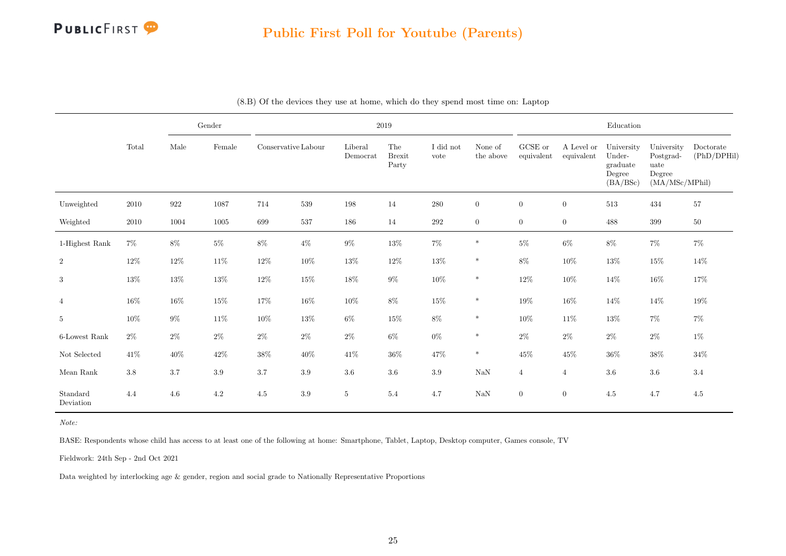

|                       |         |                    | $\operatorname{Gender}$ |                     |         |                     | 2019                          |                   |                      |                       |                          | ${\bf Education}$                                      |                                                             |                          |
|-----------------------|---------|--------------------|-------------------------|---------------------|---------|---------------------|-------------------------------|-------------------|----------------------|-----------------------|--------------------------|--------------------------------------------------------|-------------------------------------------------------------|--------------------------|
|                       | Total   | Male               | Female                  | Conservative Labour |         | Liberal<br>Democrat | The<br><b>Brexit</b><br>Party | I did not<br>vote | None of<br>the above | GCSE or<br>equivalent | A Level or<br>equivalent | University<br>Under-<br>graduate<br>Degree<br>(BA/BSc) | University<br>Postgrad-<br>uate<br>Degree<br>(MA/MSc/MPhil) | Doctorate<br>(PhD/DPHil) |
| Unweighted            | 2010    | $\boldsymbol{922}$ | 1087                    | 714                 | 539     | 198                 | 14                            | 280               | $\overline{0}$       | $\overline{0}$        | $\boldsymbol{0}$         | 513                                                    | 434                                                         | 57                       |
| Weighted              | 2010    | 1004               | 1005                    | 699                 | 537     | 186                 | 14                            | $\,292$           | $\boldsymbol{0}$     | $\overline{0}$        | $\boldsymbol{0}$         | 488                                                    | 399                                                         | $50\,$                   |
| 1-Highest Rank        | $7\%$   | $8\%$              | $5\%$                   | $8\%$               | $4\%$   | $9\%$               | $13\%$                        | $7\%$             | $\ast$               | $5\%$                 | $6\%$                    | $8\%$                                                  | $7\%$                                                       | $7\%$                    |
| $\,2$                 | 12%     | $12\%$             | $11\%$                  | $12\%$              | $10\%$  | $13\%$              | 12%                           | $13\%$            | $\ast$               | $8\%$                 | 10%                      | 13%                                                    | $15\%$                                                      | 14%                      |
| $\sqrt{3}$            | 13%     | $13\%$             | 13%                     | $12\%$              | $15\%$  | 18%                 | $9\%$                         | $10\%$            | $\ast$               | $12\%$                | 10%                      | 14%                                                    | $16\%$                                                      | 17%                      |
| $\overline{4}$        | 16%     | $16\%$             | $15\%$                  | $17\%$              | $16\%$  | $10\%$              | $8\%$                         | $15\%$            | $\ast$               | $19\%$                | $16\%$                   | 14%                                                    | $14\%$                                                      | 19%                      |
| $\,$ 5 $\,$           | $10\%$  | $9\%$              | $11\%$                  | $10\%$              | $13\%$  | $6\%$               | 15%                           | $8\%$             | $\ast$               | $10\%$                | $11\%$                   | 13%                                                    | $7\%$                                                       | $7\%$                    |
| 6-Lowest Rank         | $2\%$   | $2\%$              | $2\%$                   | $2\%$               | $2\%$   | $2\%$               | $6\%$                         | $0\%$             | $\ast$               | $2\%$                 | $2\%$                    | $2\%$                                                  | $2\%$                                                       | $1\%$                    |
| $\hbox{Not Selected}$ | 41\%    | 40%                | $42\%$                  | $38\%$              | $40\%$  | 41\%                | 36%                           | $47\%$            | $\ast$               | $45\%$                | 45%                      | $36\%$                                                 | $38\%$                                                      | $34\%$                   |
| Mean Rank             | $3.8\,$ | 3.7                | $3.9\,$                 | 3.7                 | $3.9\,$ | $3.6\,$             | $3.6\,$                       | $3.9\,$           | $\rm NaN$            | $\overline{4}$        | $\overline{4}$           | $3.6\,$                                                | $3.6\,$                                                     | $3.4\,$                  |
| Standard<br>Deviation | 4.4     | 4.6                | 4.2                     | 4.5                 | $3.9\,$ | $5\phantom{.0}$     | 5.4                           | 4.7               | $\rm NaN$            | $\overline{0}$        | $\boldsymbol{0}$         | 4.5                                                    | 4.7                                                         | 4.5                      |

| (8.B) Of the devices they use at home, which do they spend most time on: Laptop |  |
|---------------------------------------------------------------------------------|--|
|---------------------------------------------------------------------------------|--|

Note:

BASE: Respondents whose child has access to at least one of the following at home: Smartphone, Tablet, Laptop, Desktop computer, Games console, TV

Fieldwork: 24th Sep - 2nd Oct 2021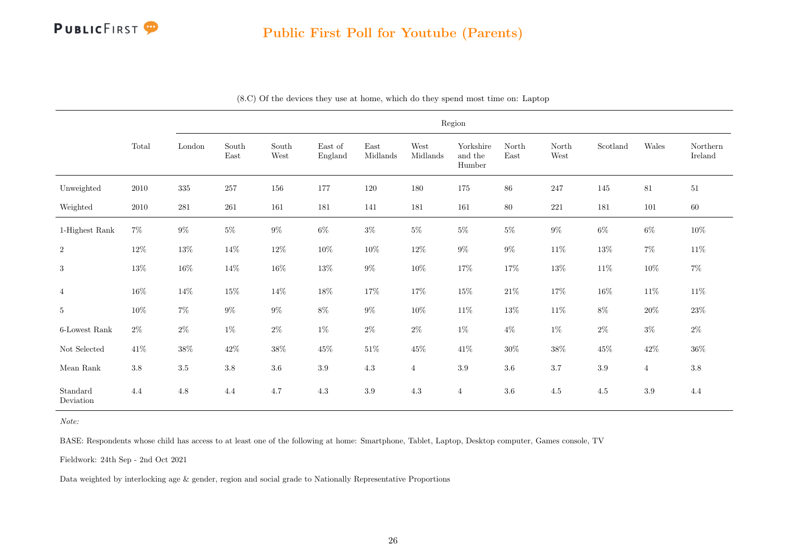

|                       |          |                         |               |               |                    |                  |                  | Region                         |               |               |          |                |                     |
|-----------------------|----------|-------------------------|---------------|---------------|--------------------|------------------|------------------|--------------------------------|---------------|---------------|----------|----------------|---------------------|
|                       | Total    | $\operatorname{London}$ | South<br>East | South<br>West | East of<br>England | East<br>Midlands | West<br>Midlands | Yorkshire<br>and the<br>Humber | North<br>East | North<br>West | Scotland | Wales          | Northern<br>Ireland |
| Unweighted            | 2010     | 335                     | $257\,$       | $156\,$       | 177                | 120              | 180              | $175\,$                        | $86\,$        | 247           | 145      | 81             | $51\,$              |
| Weighted              | $2010\,$ | 281                     | 261           | 161           | 181                | 141              | 181              | 161                            | $80\,$        | $221\,$       | 181      | 101            | $60\,$              |
| 1-Highest Rank        | $7\%$    | $9\%$                   | $5\%$         | $9\%$         | $6\%$              | $3\%$            | $5\%$            | $5\%$                          | $5\%$         | $9\%$         | $6\%$    | $6\%$          | $10\%$              |
| $\,2$                 | $12\%$   | $13\%$                  | $14\%$        | $12\%$        | $10\%$             | $10\%$           | $12\%$           | $9\%$                          | $9\%$         | $11\%$        | $13\%$   | $7\%$          | $11\%$              |
| 3                     | 13%      | $16\%$                  | 14%           | $16\%$        | $13\%$             | $9\%$            | $10\%$           | 17%                            | 17%           | $13\%$        | $11\%$   | $10\%$         | $7\%$               |
| $\overline{4}$        | $16\%$   | $14\%$                  | $15\%$        | $14\%$        | $18\%$             | 17%              | $17\%$           | $15\%$                         | $21\%$        | $17\%$        | $16\%$   | $11\%$         | $11\%$              |
| $\overline{5}$        | $10\%$   | $7\%$                   | $9\%$         | $9\%$         | $8\%$              | $9\%$            | $10\%$           | $11\%$                         | $13\%$        | $11\%$        | $8\%$    | $20\%$         | $23\%$              |
| 6-Lowest Rank         | $2\%$    | $2\%$                   | $1\%$         | $2\%$         | $1\%$              | $2\%$            | $2\%$            | $1\%$                          | $4\%$         | $1\%$         | $2\%$    | $3\%$          | $2\%$               |
| $\hbox{Not Selected}$ | 41\%     | $38\%$                  | $42\%$        | $38\%$        | $45\%$             | $51\%$           | $45\%$           | $41\%$                         | $30\%$        | $38\%$        | 45%      | $42\%$         | $36\%$              |
| Mean Rank             | $3.8\,$  | $3.5\,$                 | $3.8\,$       | $3.6\,$       | $3.9\,$            | $4.3\,$          | $\overline{4}$   | $3.9\,$                        | 3.6           | 3.7           | $3.9\,$  | $\overline{4}$ | $3.8\,$             |
| Standard<br>Deviation | 4.4      | $4.8\,$                 | 4.4           | 4.7           | $4.3\,$            | $3.9\,$          | 4.3              | $\overline{4}$                 | $3.6\,$       | $4.5\,$       | $4.5\,$  | 3.9            | 4.4                 |

(8.C) Of the devices they use at home, which do they spend most time on: Laptop

Note:

BASE: Respondents whose child has access to at least one of the following at home: Smartphone, Tablet, Laptop, Desktop computer, Games console, TV

Fieldwork: 24th Sep - 2nd Oct 2021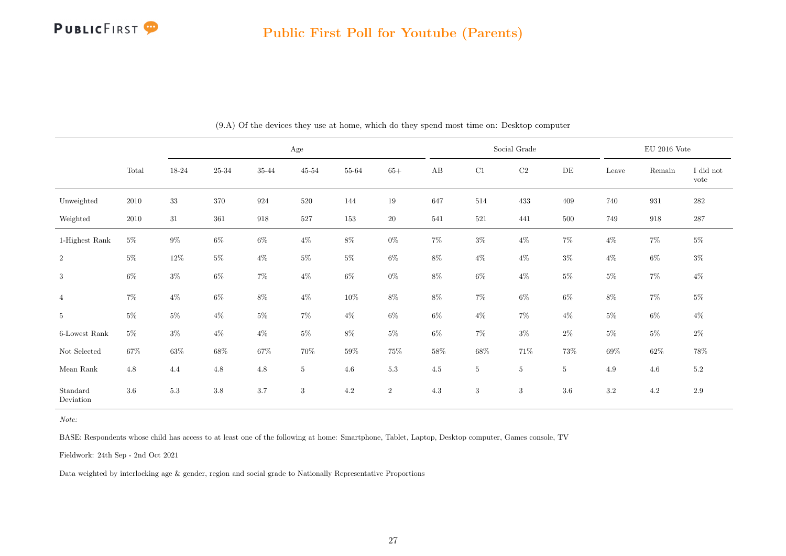

<span id="page-27-0"></span>

|                       |          | $\rm Age$ |         |         |           |         |                |          |            | Social Grade     |                |         | $\mathop{\rm EU}$ 2016 Vote |                   |
|-----------------------|----------|-----------|---------|---------|-----------|---------|----------------|----------|------------|------------------|----------------|---------|-----------------------------|-------------------|
|                       | Total    | $18 - 24$ | 25-34   | 35-44   | $45 - 54$ | 55-64   | $65+$          | $\rm AB$ | $\rm C1$   | $\rm C2$         | DE             | Leave   | Remain                      | I did not<br>vote |
| Unweighted            | $2010\,$ | $33\,$    | $370\,$ | 924     | $520\,$   | 144     | 19             | 647      | $514\,$    | 433              | 409            | 740     | 931                         | $282\,$           |
| Weighted              | 2010     | $31\,$    | 361     | 918     | $527\,$   | $153\,$ | $20\,$         | 541      | $521\,$    | 441              | $500\,$        | 749     | 918                         | $287\,$           |
| 1-Highest Rank        | $5\%$    | $9\%$     | $6\%$   | $6\%$   | $4\%$     | $8\%$   | $0\%$          | $7\%$    | $3\%$      | $4\%$            | 7%             | $4\%$   | $7\%$                       | $5\%$             |
| $\,2$                 | $5\%$    | $12\%$    | $5\%$   | $4\%$   | $5\%$     | $5\%$   | $6\%$          | $8\%$    | $4\%$      | $4\%$            | $3\%$          | $4\%$   | $6\%$                       | $3\%$             |
| 3                     | $6\%$    | $3\%$     | $6\%$   | $7\%$   | $4\%$     | $6\%$   | $0\%$          | $8\%$    | $6\%$      | $4\%$            | $5\%$          | $5\%$   | $7\%$                       | $4\%$             |
| $\overline{4}$        | $7\%$    | $4\%$     | $6\%$   | $8\%$   | $4\%$     | $10\%$  | $8\%$          | $8\%$    | $7\%$      | $6\%$            | $6\%$          | $8\%$   | $7\%$                       | $5\%$             |
| $5\phantom{.0}$       | $5\%$    | $5\%$     | $4\%$   | $5\%$   | $7\%$     | $4\%$   | $6\%$          | $6\%$    | $4\%$      | $7\%$            | $4\%$          | $5\%$   | $6\%$                       | $4\%$             |
| 6-Lowest Rank         | $5\%$    | $3\%$     | $4\%$   | $4\%$   | $5\%$     | $8\%$   | $5\%$          | $6\%$    | $7\%$      | $3\%$            | $2\%$          | $5\%$   | $5\%$                       | $2\%$             |
| Not Selected          | 67%      | 63%       | $68\%$  | 67%     | $70\%$    | $59\%$  | $75\%$         | $58\%$   | 68%        | $71\%$           | $73\%$         | $69\%$  | $62\%$                      | $78\%$            |
| Mean $\rm Rank$       | 4.8      | 4.4       | $4.8\,$ | $4.8\,$ | $5\,$     | $4.6\,$ | $5.3\,$        | 4.5      | $5\,$      | $\overline{5}$   | $\overline{5}$ | 4.9     | 4.6                         | $5.2\,$           |
| Standard<br>Deviation | $3.6\,$  | 5.3       | $3.8\,$ | 3.7     | 3         | $4.2\,$ | $\overline{2}$ | 4.3      | $\sqrt{3}$ | $\boldsymbol{3}$ | $3.6\,$        | $3.2\,$ | 4.2                         | $2.9\,$           |

(9.A) Of the devices they use at home, which do they spend most time on: Desktop computer

BASE: Respondents whose child has access to at least one of the following at home: Smartphone, Tablet, Laptop, Desktop computer, Games console, TV

Fieldwork: 24th Sep - 2nd Oct 2021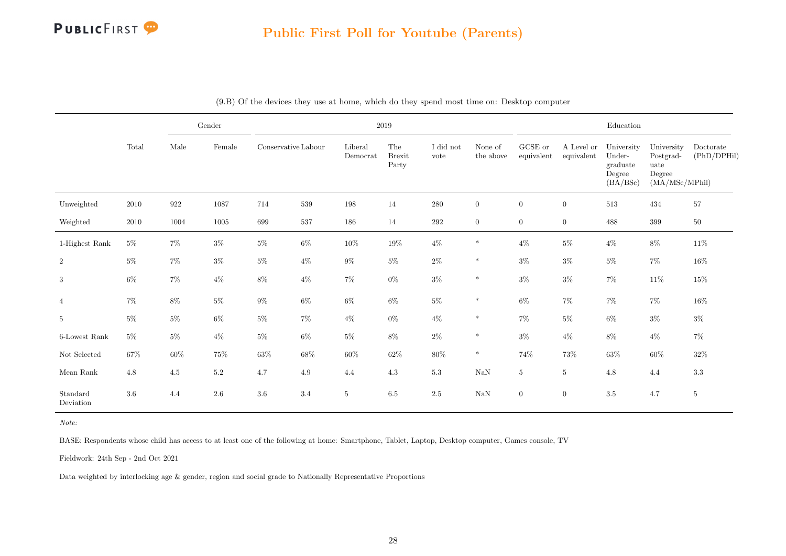

|                       |       |                    | Gender  |                     |         |                     | 2019                          |                   |                      |                       |                          | Education                                              |                                                             |                          |
|-----------------------|-------|--------------------|---------|---------------------|---------|---------------------|-------------------------------|-------------------|----------------------|-----------------------|--------------------------|--------------------------------------------------------|-------------------------------------------------------------|--------------------------|
|                       | Total | Male               | Female  | Conservative Labour |         | Liberal<br>Democrat | The<br><b>Brexit</b><br>Party | I did not<br>vote | None of<br>the above | GCSE or<br>equivalent | A Level or<br>equivalent | University<br>Under-<br>graduate<br>Degree<br>(BA/BSc) | University<br>Postgrad-<br>uate<br>Degree<br>(MA/MSc/MPhil) | Doctorate<br>(PhD/DPHil) |
| Unweighted            | 2010  | $\boldsymbol{922}$ | 1087    | 714                 | $539\,$ | 198                 | 14                            | 280               | $\boldsymbol{0}$     | $\overline{0}$        | $\boldsymbol{0}$         | 513                                                    | 434                                                         | 57                       |
| Weighted              | 2010  | 1004               | 1005    | 699                 | 537     | 186                 | 14                            | $\,292$           | $\overline{0}$       | $\overline{0}$        | $\boldsymbol{0}$         | 488                                                    | 399                                                         | $50\,$                   |
| 1-Highest Rank        | $5\%$ | $7\%$              | $3\%$   | $5\%$               | $6\%$   | $10\%$              | $19\%$                        | $4\%$             | $\ast$               | $4\%$                 | $5\%$                    | $4\%$                                                  | $8\%$                                                       | 11\%                     |
| $\sqrt{2}$            | $5\%$ | $7\%$              | $3\%$   | $5\%$               | $4\%$   | $9\%$               | $5\%$                         | $2\%$             | $\ast$               | $3\%$                 | $3\%$                    | $5\%$                                                  | $7\%$                                                       | $16\%$                   |
| $\sqrt{3}$            | $6\%$ | $7\%$              | $4\%$   | $8\%$               | $4\%$   | $7\%$               | $0\%$                         | $3\%$             | $\ast$               | $3\%$                 | $3\%$                    | 7%                                                     | $11\%$                                                      | 15%                      |
| $\overline{4}$        | $7\%$ | $8\%$              | $5\%$   | $9\%$               | $6\%$   | $6\%$               | $6\%$                         | $5\%$             | $\ast$               | $6\%$                 | $7\%$                    | $7\%$                                                  | $7\%$                                                       | $16\%$                   |
| $\,$ 5                | $5\%$ | $5\%$              | $6\%$   | $5\%$               | $7\%$   | $4\%$               | $0\%$                         | $4\%$             | $\ast$               | $7\%$                 | $5\%$                    | $6\%$                                                  | $3\%$                                                       | $3\%$                    |
| 6-Lowest Rank         | $5\%$ | $5\%$              | $4\%$   | $5\%$               | $6\%$   | $5\%$               | $8\%$                         | $2\%$             | $\ast$               | $3\%$                 | $4\%$                    | $8\%$                                                  | $4\%$                                                       | 7%                       |
| $\hbox{Not Selected}$ | 67%   | 60%                | $75\%$  | $63\%$              | $68\%$  | $60\%$              | $62\%$                        | $80\%$            | $\ast$               | $74\%$                | 73%                      | 63%                                                    | $60\%$                                                      | $32\%$                   |
| Mean $\rm{Rank}$      | 4.8   | 4.5                | $5.2\,$ | 4.7                 | 4.9     | 4.4                 | $4.3\,$                       | $5.3\,$           | $\rm NaN$            | $5\phantom{.0}$       | $\overline{5}$           | 4.8                                                    | 4.4                                                         | $3.3\,$                  |
| Standard<br>Deviation | 3.6   | 4.4                | 2.6     | 3.6                 | 3.4     | $5\phantom{.0}$     | 6.5                           | $2.5\,$           | $\rm NaN$            | $\overline{0}$        | $\boldsymbol{0}$         | 3.5                                                    | 4.7                                                         | $5\phantom{.0}$          |

(9.B) Of the devices they use at home, which do they spend most time on: Desktop computer

Note:

BASE: Respondents whose child has access to at least one of the following at home: Smartphone, Tablet, Laptop, Desktop computer, Games console, TV

Fieldwork: 24th Sep - 2nd Oct 2021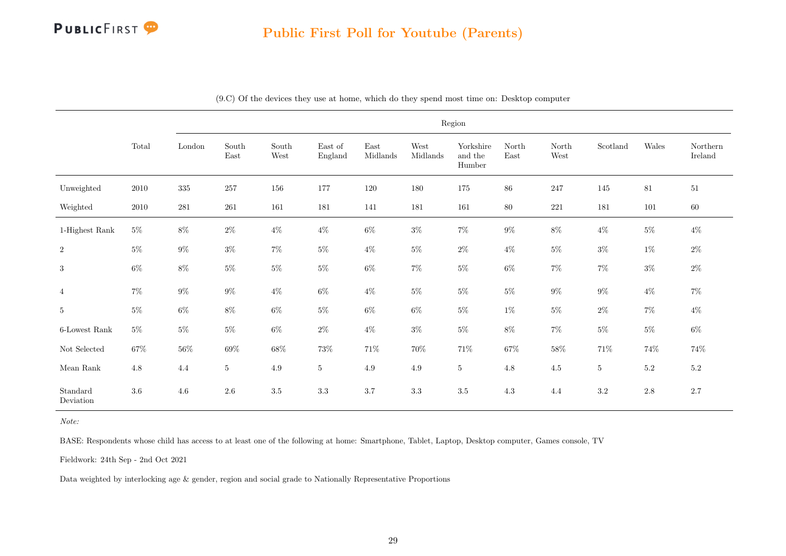

|                       |          |         | Region                         |               |                    |                  |                  |                                |               |               |                           |         |                     |  |  |
|-----------------------|----------|---------|--------------------------------|---------------|--------------------|------------------|------------------|--------------------------------|---------------|---------------|---------------------------|---------|---------------------|--|--|
|                       | Total    | London  | $\operatorname{South}$<br>East | South<br>West | East of<br>England | East<br>Midlands | West<br>Midlands | Yorkshire<br>and the<br>Humber | North<br>East | North<br>West | $\operatorname{Scotland}$ | Wales   | Northern<br>Ireland |  |  |
| Unweighted            | 2010     | 335     | 257                            | 156           | 177                | 120              | 180              | 175                            | $86\,$        | 247           | 145                       | $81\,$  | 51                  |  |  |
| Weighted              | $2010\,$ | $281\,$ | $261\,$                        | 161           | 181                | 141              | 181              | 161                            | $80\,$        | 221           | 181                       | $101\,$ | $60\,$              |  |  |
| 1-Highest Rank        | $5\%$    | $8\%$   | $2\%$                          | $4\%$         | $4\%$              | $6\%$            | $3\%$            | $7\%$                          | $9\%$         | $8\%$         | $4\%$                     | $5\%$   | $4\%$               |  |  |
| $\overline{2}$        | $5\%$    | $9\%$   | $3\%$                          | $7\%$         | $5\%$              | $4\%$            | $5\%$            | $2\%$                          | $4\%$         | $5\%$         | $3\%$                     | $1\%$   | $2\%$               |  |  |
| 3                     | $6\%$    | $8\%$   | $5\%$                          | $5\%$         | $5\%$              | $6\%$            | $7\%$            | $5\%$                          | $6\%$         | $7\%$         | $7\%$                     | $3\%$   | $2\%$               |  |  |
| $\overline{4}$        | $7\%$    | $9\%$   | $9\%$                          | $4\%$         | $6\%$              | $4\%$            | $5\%$            | $5\%$                          | $5\%$         | $9\%$         | $9\%$                     | $4\%$   | $7\%$               |  |  |
| $\bf 5$               | 5%       | $6\%$   | $8\%$                          | $6\%$         | $5\%$              | $6\%$            | $6\%$            | $5\%$                          | $1\%$         | $5\%$         | $2\%$                     | $7\%$   | $4\%$               |  |  |
| 6-Lowest Rank         | $5\%$    | $5\%$   | $5\%$                          | $6\%$         | $2\%$              | $4\%$            | $3\%$            | $5\%$                          | $8\%$         | $7\%$         | $5\%$                     | $5\%$   | $6\%$               |  |  |
| $\hbox{Not Selected}$ | 67%      | $56\%$  | $69\%$                         | $68\%$        | $73\%$             | $71\%$           | 70%              | $71\%$                         | $67\%$        | $58\%$        | $71\%$                    | 74%     | 74%                 |  |  |
| Mean $\rm Rank$       | 4.8      | 4.4     | $5\phantom{.0}$                | $4.9\,$       | $5\,$              | 4.9              | 4.9              | $\bf 5$                        | 4.8           | 4.5           | 5                         | $5.2\,$ | $5.2\,$             |  |  |
| Standard<br>Deviation | $3.6\,$  | 4.6     | $2.6\,$                        | $3.5\,$       | $3.3\,$            | 3.7              | $3.3\,$          | $3.5\,$                        | 4.3           | 4.4           | $3.2\,$                   | $2.8\,$ | $2.7\,$             |  |  |

(9.C) Of the devices they use at home, which do they spend most time on: Desktop computer

Note:

BASE: Respondents whose child has access to at least one of the following at home: Smartphone, Tablet, Laptop, Desktop computer, Games console, TV

Fieldwork: 24th Sep - 2nd Oct 2021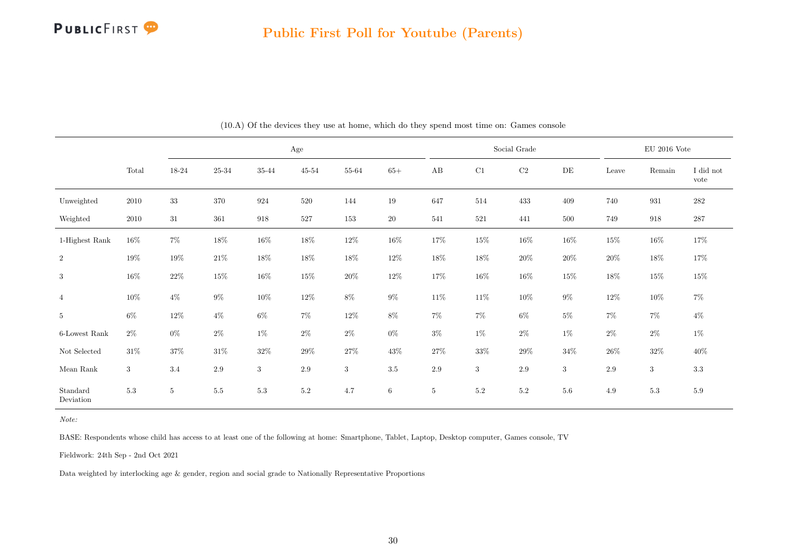

<span id="page-30-0"></span>

|                            |            |                 |           |                    | Age       |            |                 |                 |            | Social Grade |            |        | $\mathop{\rm EU}$ 2016 Vote |                   |
|----------------------------|------------|-----------------|-----------|--------------------|-----------|------------|-----------------|-----------------|------------|--------------|------------|--------|-----------------------------|-------------------|
|                            | Total      | $18 - 24$       | $25 - 34$ | $35\mbox{-} 44$    | $45 - 54$ | 55-64      | $65+$           | $\rm AB$        | C1         | $\rm C2$     | $\rm{DE}$  | Leave  | Remain                      | I did not<br>vote |
| Unweighted                 | 2010       | $33\,$          | 370       | 924                | 520       | 144        | $19\,$          | 647             | 514        | 433          | 409        | 740    | 931                         | $282\,$           |
| Weighted                   | $2010\,$   | $31\,$          | 361       | $\boldsymbol{918}$ | 527       | 153        | $20\,$          | 541             | 521        | 441          | $500\,$    | 749    | 918                         | $287\,$           |
| 1-Highest Rank             | $16\%$     | $7\%$           | $18\%$    | $16\%$             | $18\%$    | $12\%$     | $16\%$          | $17\%$          | $15\%$     | $16\%$       | $16\%$     | $15\%$ | $16\%$                      | $17\%$            |
| $\,2$                      | 19%        | 19%             | $21\%$    | 18%                | $18\%$    | 18%        | $12\%$          | 18%             | $18\%$     | $20\%$       | $20\%$     | $20\%$ | 18%                         | $17\%$            |
| 3                          | $16\%$     | $22\%$          | $15\%$    | $16\%$             | $15\%$    | $20\%$     | $12\%$          | $17\%$          | $16\%$     | $16\%$       | $15\%$     | $18\%$ | $15\%$                      | $15\%$            |
| $\overline{4}$             | 10%        | $4\%$           | $9\%$     | 10%                | $12\%$    | $8\%$      | $9\%$           | $11\%$          | $11\%$     | $10\%$       | $9\%$      | $12\%$ | 10%                         | $7\%$             |
| $5\,$                      | $6\%$      | 12%             | $4\%$     | $6\%$              | $7\%$     | $12\%$     | $8\%$           | $7\%$           | $7\%$      | $6\%$        | $5\%$      | $7\%$  | $7\%$                       | $4\%$             |
| 6-Lowest Rank              | $2\%$      | $0\%$           | $2\%$     | $1\%$              | $2\%$     | $2\%$      | $0\%$           | $3\%$           | $1\%$      | $2\%$        | $1\%$      | $2\%$  | $2\%$                       | $1\%$             |
| Not Selected               | $31\%$     | $37\%$          | $31\%$    | $32\%$             | $29\%$    | $27\%$     | $43\%$          | 27%             | $33\%$     | $29\%$       | $34\%$     | $26\%$ | $32\%$                      | $40\%$            |
| $\operatorname{Mean}$ Rank | $\sqrt{3}$ | 3.4             | $2.9\,$   | $\sqrt{3}$         | 2.9       | $\sqrt{3}$ | $3.5\,$         | $2.9\,$         | $\sqrt{3}$ | $2.9\,$      | $\sqrt{3}$ | 2.9    | 3                           | $3.3\,$           |
| Standard<br>Deviation      | $5.3\,$    | $5\phantom{.0}$ | $5.5\,$   | 5.3                | $5.2\,$   | 4.7        | $6\phantom{.0}$ | $5\phantom{.0}$ | 5.2        | $5.2\,$      | $5.6\,$    | 4.9    | $5.3\,$                     | 5.9               |

(10.A) Of the devices they use at home, which do they spend most time on: Games console

BASE: Respondents whose child has access to at least one of the following at home: Smartphone, Tablet, Laptop, Desktop computer, Games console, TV

Fieldwork: 24th Sep - 2nd Oct 2021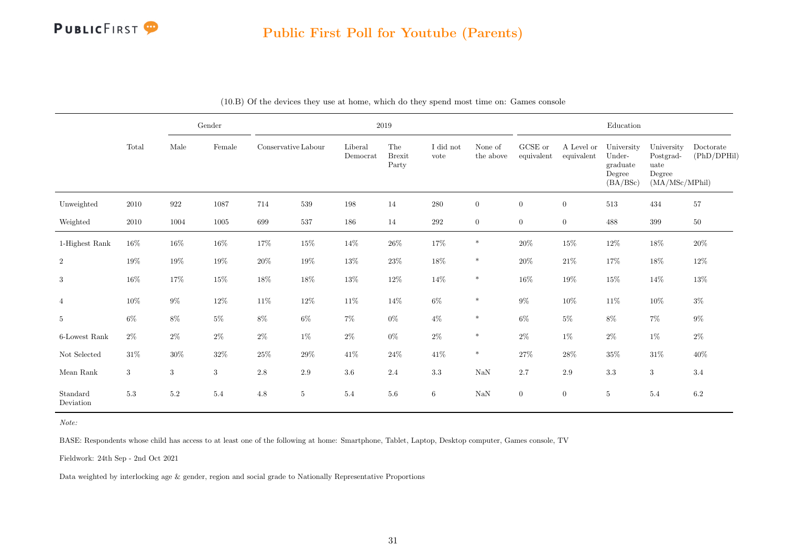

|                       |                 |            | Gender           |                     |         |                     | 2019                          |                   |                      |                       |                          | Education                                              |                                                             |                          |
|-----------------------|-----------------|------------|------------------|---------------------|---------|---------------------|-------------------------------|-------------------|----------------------|-----------------------|--------------------------|--------------------------------------------------------|-------------------------------------------------------------|--------------------------|
|                       | Total           | Male       | Female           | Conservative Labour |         | Liberal<br>Democrat | The<br><b>Brexit</b><br>Party | I did not<br>vote | None of<br>the above | GCSE or<br>equivalent | A Level or<br>equivalent | University<br>Under-<br>graduate<br>Degree<br>(BA/BSc) | University<br>Postgrad-<br>uate<br>Degree<br>(MA/MSc/MPhil) | Doctorate<br>(PhD/DPHil) |
| Unweighted            | 2010            | 922        | 1087             | 714                 | $539\,$ | 198                 | 14                            | 280               | $\overline{0}$       | $\overline{0}$        | $\theta$                 | 513                                                    | 434                                                         | $57\,$                   |
| Weighted              | 2010            | 1004       | 1005             | 699                 | 537     | 186                 | 14                            | 292               | $\overline{0}$       | $\overline{0}$        | $\boldsymbol{0}$         | 488                                                    | 399                                                         | 50                       |
| 1-Highest Rank        | 16%             | $16\%$     | $16\%$           | 17%                 | $15\%$  | $14\%$              | $26\%$                        | $17\%$            | $\ast$               | $20\%$                | $15\%$                   | $12\%$                                                 | $18\%$                                                      | $20\%$                   |
| $\overline{2}$        | 19%             | $19\%$     | $19\%$           | $20\%$              | $19\%$  | $13\%$              | $23\%$                        | $18\%$            | $\ast$               | $20\%$                | $21\%$                   | 17%                                                    | $18\%$                                                      | 12%                      |
| 3                     | $16\%$          | 17%        | 15%              | 18%                 | $18\%$  | $13\%$              | $12\%$                        | $14\%$            | $\ast$               | $16\%$                | 19%                      | 15%                                                    | $14\%$                                                      | 13%                      |
| $\overline{4}$        | $10\%$          | $9\%$      | $12\%$           | $11\%$              | $12\%$  | $11\%$              | 14%                           | $6\%$             | $\ast$               | $9\%$                 | $10\%$                   | $11\%$                                                 | $10\%$                                                      | $3\%$                    |
| $\overline{5}$        | $6\%$           | $8\%$      | $5\%$            | $8\%$               | $6\%$   | $7\%$               | $0\%$                         | $4\%$             | $\ast$               | $6\%$                 | $5\%$                    | $8\%$                                                  | $7\%$                                                       | $9\%$                    |
| 6-Lowest Rank         | $2\%$           | $2\%$      | $2\%$            | $2\%$               | $1\%$   | $2\%$               | $0\%$                         | $2\%$             | $\ast$               | $2\%$                 | $1\%$                    | $2\%$                                                  | $1\%$                                                       | $2\%$                    |
| Not Selected          | $31\%$          | 30%        | $32\%$           | $25\%$              | $29\%$  | 41\%                | 24%                           | $41\%$            | $\ast$               | $27\%$                | $28\%$                   | 35%                                                    | $31\%$                                                      | 40%                      |
| Mean Rank             | $3\phantom{.0}$ | $\sqrt{3}$ | $\boldsymbol{3}$ | 2.8                 | $2.9\,$ | $3.6\,$             | 2.4                           | $3.3\,$           | $\rm NaN$            | $2.7\,$               | $2.9\,$                  | $3.3\,$                                                | $\sqrt{3}$                                                  | 3.4                      |
| Standard<br>Deviation | 5.3             | 5.2        | 5.4              | 4.8                 | 5       | 5.4                 | 5.6                           | $6\phantom{.}$    | $\rm NaN$            | $\overline{0}$        | $\overline{0}$           | $5\,$                                                  | 5.4                                                         | $6.2\,$                  |

| (10.B) Of the devices they use at home, which do they spend most time on: Games console |  |
|-----------------------------------------------------------------------------------------|--|
|-----------------------------------------------------------------------------------------|--|

BASE: Respondents whose child has access to at least one of the following at home: Smartphone, Tablet, Laptop, Desktop computer, Games console, TV

Fieldwork: 24th Sep - 2nd Oct 2021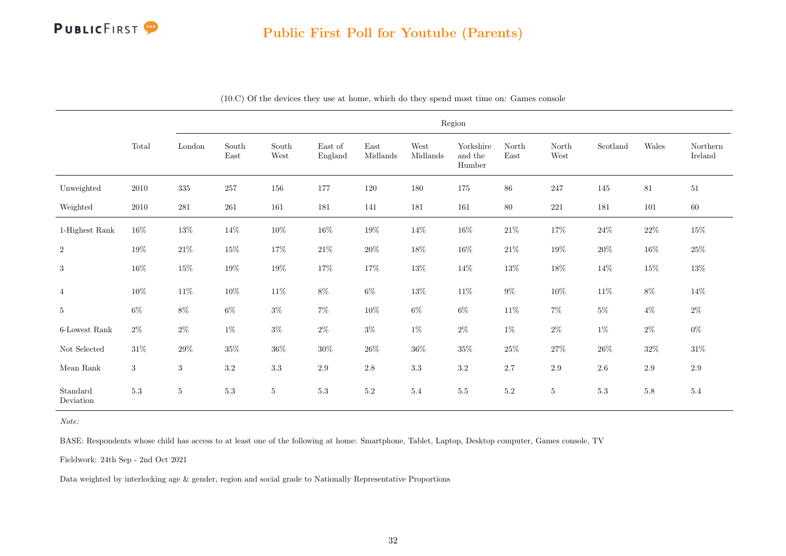

|                       | Region                          |         |               |                |                    |                                   |                  |                                |               |                |          |         |                     |
|-----------------------|---------------------------------|---------|---------------|----------------|--------------------|-----------------------------------|------------------|--------------------------------|---------------|----------------|----------|---------|---------------------|
|                       | $\operatorname{\mathsf{Total}}$ | London  | South<br>East | South<br>West  | East of<br>England | $\operatorname{East}$<br>Midlands | West<br>Midlands | Yorkshire<br>and the<br>Humber | North<br>East | North<br>West  | Scotland | Wales   | Northern<br>Ireland |
| Unweighted            | 2010                            | $335\,$ | 257           | 156            | 177                | 120                               | 180              | 175                            | $86\,$        | 247            | 145      | 81      | 51                  |
| Weighted              | 2010                            | 281     | 261           | 161            | 181                | 141                               | 181              | 161                            | 80            | 221            | 181      | 101     | $60\,$              |
| 1-Highest Rank        | $16\%$                          | $13\%$  | $14\%$        | $10\%$         | $16\%$             | 19%                               | $14\%$           | $16\%$                         | $21\%$        | $17\%$         | $24\%$   | $22\%$  | $15\%$              |
| $\,2$                 | $19\%$                          | $21\%$  | 15%           | $17\%$         | $21\%$             | $20\%$                            | $18\%$           | $16\%$                         | $21\%$        | 19%            | $20\%$   | $16\%$  | $25\%$              |
| $\sqrt{3}$            | $16\%$                          | $15\%$  | $19\%$        | $19\%$         | 17%                | 17%                               | $13\%$           | $14\%$                         | $13\%$        | $18\%$         | 14%      | $15\%$  | $13\%$              |
| $\overline{4}$        | $10\%$                          | $11\%$  | $10\%$        | $11\%$         | $8\%$              | $6\%$                             | $13\%$           | 11\%                           | $9\%$         | $10\%$         | 11%      | $8\%$   | 14%                 |
| 5                     | $6\%$                           | $8\%$   | $6\%$         | $3\%$          | $7\%$              | $10\%$                            | $6\%$            | $6\%$                          | $11\%$        | $7\%$          | $5\%$    | $4\%$   | $2\%$               |
| 6-Lowest Rank         | $2\%$                           | $2\%$   | $1\%$         | $3\%$          | $2\%$              | $3\%$                             | $1\%$            | $2\%$                          | $1\%$         | $2\%$          | $1\%$    | $2\%$   | $0\%$               |
| Not Selected          | $31\%$                          | $29\%$  | $35\%$        | $36\%$         | $30\%$             | $26\%$                            | $36\%$           | $35\%$                         | $25\%$        | $27\%$         | $26\%$   | $32\%$  | $31\%$              |
| Mean Rank             | 3                               | 3       | $3.2\,$       | 3.3            | $2.9\,$            | $2.8\,$                           | 3.3              | $3.2\,$                        | $2.7\,$       | $2.9\,$        | $2.6\,$  | $2.9\,$ | $2.9\,$             |
| Standard<br>Deviation | $5.3\,$                         | $\bf 5$ | $5.3\,$       | $\overline{5}$ | $5.3\,$            | $5.2\,$                           | $5.4\,$          | $5.5\,$                        | $5.2\,$       | $\overline{5}$ | $5.3\,$  | $5.8\,$ | $5.4\,$             |

(10.C) Of the devices they use at home, which do they spend most time on: Games console

Note:

BASE: Respondents whose child has access to at least one of the following at home: Smartphone, Tablet, Laptop, Desktop computer, Games console, TV

Fieldwork: 24th Sep - 2nd Oct 2021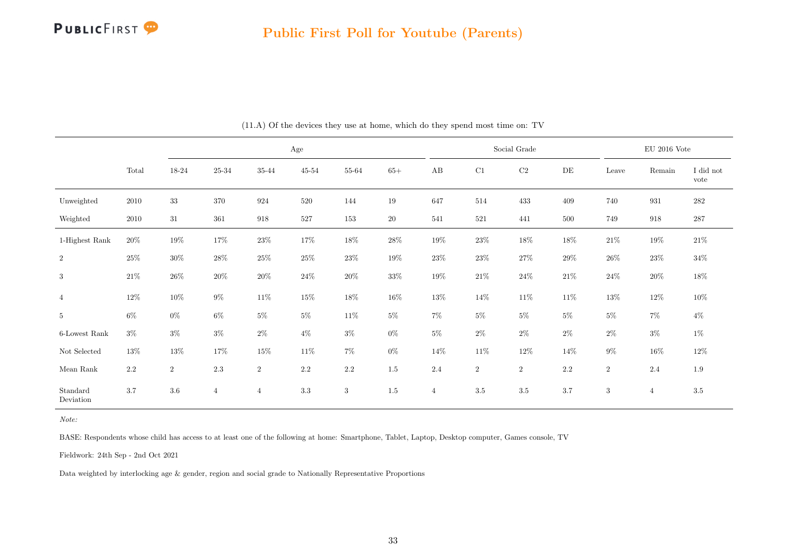

<span id="page-33-0"></span>

|                       |          | $\rm Age$      |                |                |           |         |        |                |          | Social Grade | $\mathop{\rm EU}$ 2016 Vote |                |                    |                   |
|-----------------------|----------|----------------|----------------|----------------|-----------|---------|--------|----------------|----------|--------------|-----------------------------|----------------|--------------------|-------------------|
|                       | Total    | $18 - 24$      | 25-34          | 35-44          | $45 - 54$ | 55-64   | $65+$  | $\rm AB$       | $\rm C1$ | $\rm C2$     | DE                          | Leave          | Remain             | I did not<br>vote |
| Unweighted            | $2010\,$ | $33\,$         | $370\,$        | 924            | $520\,$   | 144     | 19     | 647            | 514      | 433          | 409                         | 740            | $\boldsymbol{931}$ | $282\,$           |
| Weighted              | 2010     | $31\,$         | $361\,$        | 918            | $527\,$   | $153\,$ | $20\,$ | 541            | $521\,$  | 441          | $500\,$                     | 749            | 918                | $287\,$           |
| 1-Highest Rank        | 20%      | $19\%$         | $17\%$         | 23\%           | $17\%$    | $18\%$  | $28\%$ | $19\%$         | $23\%$   | $18\%$       | $18\%$                      | $21\%$         | 19%                | $21\%$            |
| $\,2$                 | $25\%$   | $30\%$         | $28\%$         | $25\%$         | $25\%$    | $23\%$  | $19\%$ | $23\%$         | $23\%$   | $27\%$       | $29\%$                      | $26\%$         | 23%                | $34\%$            |
| 3                     | $21\%$   | $26\%$         | $20\%$         | $20\%$         | $24\%$    | $20\%$  | $33\%$ | $19\%$         | $21\%$   | $24\%$       | $21\%$                      | $24\%$         | $20\%$             | $18\%$            |
| $\overline{4}$        | $12\%$   | $10\%$         | $9\%$          | $11\%$         | $15\%$    | $18\%$  | $16\%$ | $13\%$         | $14\%$   | $11\%$       | $11\%$                      | $13\%$         | $12\%$             | $10\%$            |
| $5\phantom{.0}$       | $6\%$    | $0\%$          | $6\%$          | $5\%$          | $5\%$     | $11\%$  | $5\%$  | $7\%$          | $5\%$    | $5\%$        | $5\%$                       | $5\%$          | $7\%$              | $4\%$             |
| $6$ -Lowest Rank      | $3\%$    | $3\%$          | $3\%$          | $2\%$          | $4\%$     | $3\%$   | $0\%$  | $5\%$          | $2\%$    | $2\%$        | $2\%$                       | $2\%$          | $3\%$              | $1\%$             |
| Not Selected          | 13%      | $13\%$         | 17%            | 15%            | $11\%$    | $7\%$   | $0\%$  | 14%            | $11\%$   | $12\%$       | 14%                         | $9\%$          | $16\%$             | $12\%$            |
| Mean Rank             | $2.2\,$  | $\overline{2}$ | $2.3\,$        | $\,2$          | $2.2\,$   | $2.2\,$ | 1.5    | 2.4            | $\,2$    | $\sqrt{2}$   | $2.2\,$                     | $\overline{2}$ | 2.4                | $1.9\,$           |
| Standard<br>Deviation | $3.7\,$  | $3.6\,$        | $\overline{4}$ | $\overline{4}$ | 3.3       | 3       | 1.5    | $\overline{4}$ | 3.5      | $3.5\,$      | 3.7                         | 3              | $\overline{4}$     | 3.5               |

(11.A) Of the devices they use at home, which do they spend most time on: TV

BASE: Respondents whose child has access to at least one of the following at home: Smartphone, Tablet, Laptop, Desktop computer, Games console, TV

Fieldwork: 24th Sep - 2nd Oct 2021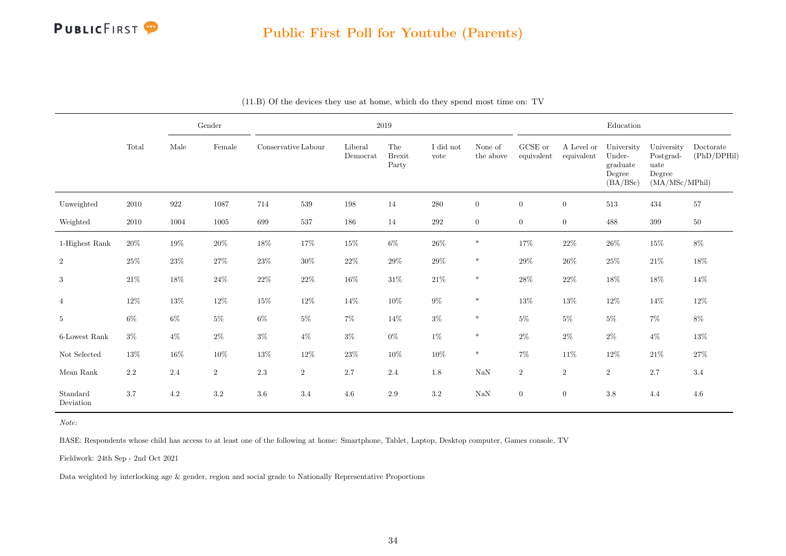

|                       |         | Gender |         |                     |                |                     | $2019\,$                      |                   | Education            |                       |                          |                                                        |                                                             |                          |
|-----------------------|---------|--------|---------|---------------------|----------------|---------------------|-------------------------------|-------------------|----------------------|-----------------------|--------------------------|--------------------------------------------------------|-------------------------------------------------------------|--------------------------|
|                       | Total   | Male   | Female  | Conservative Labour |                | Liberal<br>Democrat | The<br><b>Brexit</b><br>Party | I did not<br>vote | None of<br>the above | GCSE or<br>equivalent | A Level or<br>equivalent | University<br>Under-<br>graduate<br>Degree<br>(BA/BSc) | University<br>Postgrad-<br>uate<br>Degree<br>(MA/MSc/MPhil) | Doctorate<br>(PhD/DPHil) |
| Unweighted            | 2010    | 922    | 1087    | 714                 | 539            | 198                 | 14                            | 280               | $\overline{0}$       | $\overline{0}$        | $\mathbf{0}$             | 513                                                    | 434                                                         | 57                       |
| Weighted              | 2010    | 1004   | 1005    | 699                 | 537            | 186                 | 14                            | 292               | $\overline{0}$       | $\overline{0}$        | $\boldsymbol{0}$         | 488                                                    | 399                                                         | $50\,$                   |
| 1-Highest Rank        | $20\%$  | $19\%$ | $20\%$  | $18\%$              | $17\%$         | $15\%$              | $6\%$                         | $26\%$            | $\ast$               | $17\%$                | $22\%$                   | $26\%$                                                 | $15\%$                                                      | $8\%$                    |
| $\overline{2}$        | 25%     | 23\%   | $27\%$  | $23\%$              | $30\%$         | $22\%$              | 29%                           | $29\%$            | $\ast$               | $29\%$                | $26\%$                   | $25\%$                                                 | $21\%$                                                      | $18\%$                   |
| $\sqrt{3}$            | 21%     | 18%    | $24\%$  | $22\%$              | $22\%$         | $16\%$              | $31\%$                        | $21\%$            | $\ast$               | $28\%$                | $22\%$                   | 18%                                                    | $18\%$                                                      | 14%                      |
| $\overline{4}$        | $12\%$  | $13\%$ | $12\%$  | 15%                 | $12\%$         | $14\%$              | $10\%$                        | $9\%$             | $\ast$               | $13\%$                | $13\%$                   | 12%                                                    | 14%                                                         | $12\%$                   |
| $\sqrt{5}$            | $6\%$   | $6\%$  | $5\%$   | $6\%$               | $5\%$          | $7\%$               | 14%                           | $3\%$             | $\ast$               | $5\%$                 | $5\%$                    | $5\%$                                                  | $7\%$                                                       | 8%                       |
| 6-Lowest Rank         | $3\%$   | $4\%$  | $2\%$   | $3\%$               | $4\%$          | $3\%$               | $0\%$                         | $1\%$             | $\ast$               | $2\%$                 | $2\%$                    | $2\%$                                                  | $4\%$                                                       | $13\%$                   |
| $\hbox{Not Selected}$ | 13%     | 16%    | $10\%$  | $13\%$              | $12\%$         | $23\%$              | 10%                           | $10\%$            | $\ast$               | $7\%$                 | 11\%                     | 12%                                                    | $21\%$                                                      | $27\%$                   |
| Mean Rank             | $2.2\,$ | 2.4    | $\,2$   | $2.3\,$             | $\overline{2}$ | 2.7                 | 2.4                           | $1.8\,$           | $\rm NaN$            | $\overline{2}$        | $\,2$                    | $\,2$                                                  | 2.7                                                         | $3.4\,$                  |
| Standard<br>Deviation | 3.7     | 4.2    | $3.2\,$ | 3.6                 | 3.4            | $4.6\,$             | 2.9                           | $3.2\,$           | $\rm NaN$            | $\overline{0}$        | $\overline{0}$           | 3.8                                                    | 4.4                                                         | 4.6                      |

|  |  |  |  |  |  |  |  |  |  | (11.B) Of the devices they use at home, which do they spend most time on: TV |  |
|--|--|--|--|--|--|--|--|--|--|------------------------------------------------------------------------------|--|
|--|--|--|--|--|--|--|--|--|--|------------------------------------------------------------------------------|--|

Note:

BASE: Respondents whose child has access to at least one of the following at home: Smartphone, Tablet, Laptop, Desktop computer, Games console, TV

Fieldwork: 24th Sep - 2nd Oct 2021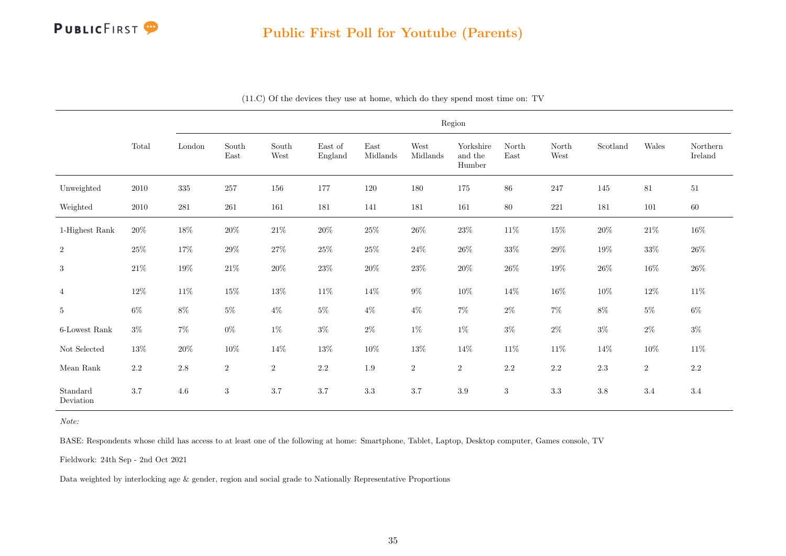

|                       |                                 | Region                  |                |                  |                    |                                   |                  |                                |               |               |          |        |                     |
|-----------------------|---------------------------------|-------------------------|----------------|------------------|--------------------|-----------------------------------|------------------|--------------------------------|---------------|---------------|----------|--------|---------------------|
|                       | $\operatorname{\mathsf{Total}}$ | $\operatorname{London}$ | South<br>East  | South<br>West    | East of<br>England | $\operatorname{East}$<br>Midlands | West<br>Midlands | Yorkshire<br>and the<br>Humber | North<br>East | North<br>West | Scotland | Wales  | Northern<br>Ireland |
| Unweighted            | 2010                            | $335\,$                 | $257\,$        | 156              | 177                | 120                               | 180              | $175\,$                        | $86\,$        | 247           | 145      | 81     | 51                  |
| Weighted              | $2010\,$                        | 281                     | 261            | 161              | 181                | 141                               | 181              | 161                            | $80\,$        | 221           | 181      | 101    | $60\,$              |
| 1-Highest Rank        | $20\%$                          | $18\%$                  | $20\%$         | $21\%$           | $20\%$             | $25\%$                            | $26\%$           | $23\%$                         | $11\%$        | $15\%$        | $20\%$   | $21\%$ | $16\%$              |
| $\,2$                 | $25\%$                          | 17%                     | $29\%$         | $27\%$           | $25\%$             | $25\%$                            | $24\%$           | $26\%$                         | $33\%$        | $29\%$        | $19\%$   | $33\%$ | $26\%$              |
| 3                     | $21\%$                          | $19\%$                  | $21\%$         | $20\%$           | $23\%$             | $20\%$                            | $23\%$           | $20\%$                         | $26\%$        | $19\%$        | $26\%$   | $16\%$ | $26\%$              |
| $\overline{4}$        | $12\%$                          | $11\%$                  | $15\%$         | $13\%$           | $11\%$             | 14%                               | $9\%$            | $10\%$                         | 14%           | $16\%$        | $10\%$   | $12\%$ | $11\%$              |
| $5\phantom{.0}$       | $6\%$                           | $8\%$                   | $5\%$          | $4\%$            | $5\%$              | $4\%$                             | $4\%$            | $7\%$                          | $2\%$         | $7\%$         | $8\%$    | $5\%$  | 6%                  |
| $6$ -Lowest Rank      | $3\%$                           | $7\%$                   | $0\%$          | $1\%$            | $3\%$              | $2\%$                             | $1\%$            | $1\%$                          | $3\%$         | $2\%$         | $3\%$    | $2\%$  | $3\%$               |
| Not Selected          | 13%                             | $20\%$                  | $10\%$         | 14%              | $13\%$             | $10\%$                            | $13\%$           | 14%                            | $11\%$        | $11\%$        | 14%      | $10\%$ | $11\%$              |
| Mean Rank             | $2.2\,$                         | $2.8\,$                 | $\,2\,$        | $\boldsymbol{2}$ | $2.2\,$            | $1.9\,$                           | $\,2$            | $\,2$                          | $2.2\,$       | $2.2\,$       | $2.3\,$  | $\,2$  | $2.2\,$             |
| Standard<br>Deviation | 3.7                             | 4.6                     | $\overline{3}$ | 3.7              | 3.7                | $3.3\,$                           | 3.7              | $3.9\,$                        | 3             | 3.3           | $3.8\,$  | 3.4    | 3.4                 |

(11.C) Of the devices they use at home, which do they spend most time on: TV

Note:

BASE: Respondents whose child has access to at least one of the following at home: Smartphone, Tablet, Laptop, Desktop computer, Games console, TV

Fieldwork: 24th Sep - 2nd Oct 2021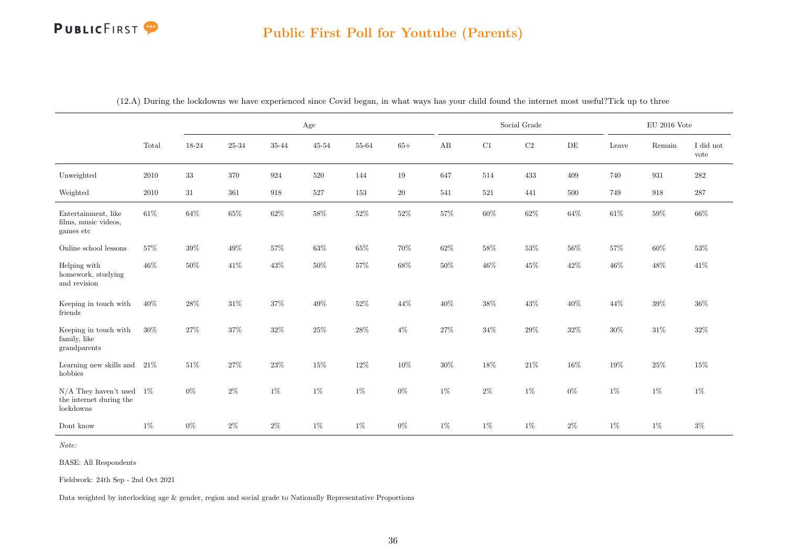|                                                                    |          |        |        |        | Age       |        |        | Social Grade |        |          |        | $\rm EU$ 2016 Vote |        |                   |
|--------------------------------------------------------------------|----------|--------|--------|--------|-----------|--------|--------|--------------|--------|----------|--------|--------------------|--------|-------------------|
|                                                                    | Total    | 18-24  | 25-34  | 35-44  | $45 - 54$ | 55-64  | $65+$  | AB           | C1     | $\rm C2$ | DE     | Leave              | Remain | I did not<br>vote |
| Unweighted                                                         | 2010     | $33\,$ | 370    | 924    | 520       | 144    | 19     | 647          | 514    | 433      | 409    | 740                | 931    | 282               |
| Weighted                                                           | $2010\,$ | $31\,$ | 361    | 918    | 527       | 153    | $20\,$ | 541          | 521    | 441      | 500    | 749                | 918    | $287\,$           |
| Entertainment, like<br>films, music videos,<br>games etc           | 61\%     | $64\%$ | $65\%$ | $62\%$ | 58%       | $52\%$ | $52\%$ | 57%          | $60\%$ | $62\%$   | 64%    | $61\%$             | $59\%$ | 66%               |
| Online school lessons                                              | 57%      | 39%    | 49%    | 57%    | 63%       | 65%    | $70\%$ | 62%          | 58%    | $53\%$   | 56%    | 57%                | 60%    | 53%               |
| Helping with<br>homework, studying<br>and revision                 | 46%      | 50%    | 41\%   | 43%    | $50\%$    | $57\%$ | 68%    | 50%          | $46\%$ | 45%      | 42%    | 46%                | 48%    | 41\%              |
| Keeping in touch with<br>friends                                   | 40%      | 28%    | $31\%$ | 37%    | 49%       | $52\%$ | $44\%$ | 40%          | $38\%$ | $43\%$   | 40%    | 44%                | $39\%$ | 36%               |
| Keeping in touch with<br>family, like<br>grandparents              | $30\%$   | $27\%$ | $37\%$ | $32\%$ | $25\%$    | $28\%$ | $4\%$  | $27\%$       | $34\%$ | $29\%$   | $32\%$ | $30\%$             | $31\%$ | $32\%$            |
| Learning new skills and<br>hobbies                                 | 21\%     | 51\%   | $27\%$ | $23\%$ | $15\%$    | $12\%$ | $10\%$ | 30%          | $18\%$ | $21\%$   | 16%    | $19\%$             | $25\%$ | 15%               |
| $N/A$ They haven't used 1%<br>the internet during the<br>lockdowns |          | $0\%$  | $2\%$  | $1\%$  | $1\%$     | $1\%$  | $0\%$  | $1\%$        | $2\%$  | $1\%$    | $0\%$  | $1\%$              | $1\%$  | $1\%$             |
| Dont know                                                          | 1%       | $0\%$  | $2\%$  | $2\%$  | $1\%$     | $1\%$  | $0\%$  | $1\%$        | $1\%$  | $1\%$    | $2\%$  | $1\%$              | 1%     | $3\%$             |

(12.A) During the lockdowns we have experienced since Covid began, in what ways has your child found the internet most useful?Tick up to three

Note:

BASE: All Respondents

Fieldwork: 24th Sep - 2nd Oct 2021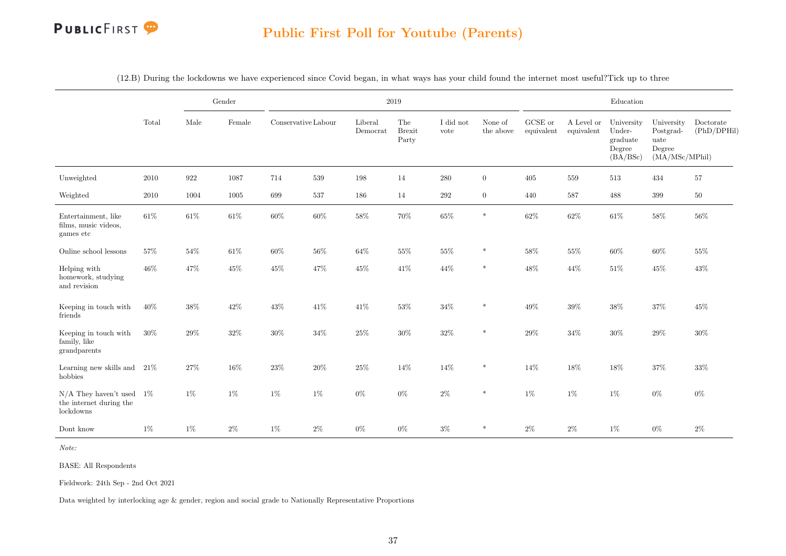

|                                                                    |        |        | Gender | 2019                |        |                     |                               |                   |                      |                       | Education                |                                                        |                                                             |                          |
|--------------------------------------------------------------------|--------|--------|--------|---------------------|--------|---------------------|-------------------------------|-------------------|----------------------|-----------------------|--------------------------|--------------------------------------------------------|-------------------------------------------------------------|--------------------------|
|                                                                    | Total  | Male   | Female | Conservative Labour |        | Liberal<br>Democrat | The<br><b>Brexit</b><br>Party | I did not<br>vote | None of<br>the above | GCSE or<br>equivalent | A Level or<br>equivalent | University<br>Under-<br>graduate<br>Degree<br>(BA/BSc) | University<br>Postgrad-<br>uate<br>Degree<br>(MA/MSc/MPhil) | Doctorate<br>(PhD/DPHil) |
| Unweighted                                                         | 2010   | 922    | 1087   | 714                 | 539    | 198                 | 14                            | $280\,$           | $\overline{0}$       | 405                   | 559                      | 513                                                    | 434                                                         | 57                       |
| Weighted                                                           | 2010   | 1004   | 1005   | 699                 | 537    | 186                 | 14                            | 292               | $\overline{0}$       | 440                   | 587                      | 488                                                    | 399                                                         | $50\,$                   |
| Entertainment, like<br>films, music videos,<br>games etc           | $61\%$ | $61\%$ | $61\%$ | 60%                 | $60\%$ | $58\%$              | $70\%$                        | $65\%$            | $\ast$               | $62\%$                | $62\%$                   | $61\%$                                                 | $58\%$                                                      | $56\%$                   |
| Online school lessons                                              | 57%    | 54%    | 61\%   | 60%                 | 56%    | 64%                 | $55\%$                        | 55%               | *                    | $58\%$                | 55%                      | 60%                                                    | $60\%$                                                      | 55%                      |
| Helping with<br>homework, studying<br>and revision                 | 46%    | 47%    | $45\%$ | 45%                 | 47%    | $45\%$              | $41\%$                        | 44%               | $\ast$               | $48\%$                | 44%                      | $51\%$                                                 | $45\%$                                                      | 43%                      |
| Keeping in touch with<br>friends                                   | 40%    | $38\%$ | $42\%$ | 43%                 | $41\%$ | $41\%$              | $53\%$                        | $34\%$            | $\ast$               | $49\%$                | $39\%$                   | $38\%$                                                 | $37\%$                                                      | 45%                      |
| Keeping in touch with<br>family, like<br>grandparents              | 30%    | 29%    | $32\%$ | $30\%$              | $34\%$ | $25\%$              | $30\%$                        | $32\%$            | $\ast$               | $29\%$                | 34%                      | $30\%$                                                 | $29\%$                                                      | 30%                      |
| Learning new skills and<br>hobbies                                 | 21\%   | 27%    | 16%    | 23%                 | $20\%$ | $25\%$              | 14%                           | 14%               | $\ast$               | $14\%$                | 18%                      | 18%                                                    | $37\%$                                                      | $33\%$                   |
| $N/A$ They haven't used 1%<br>the internet during the<br>lockdowns |        | $1\%$  | $1\%$  | 1%                  | 1%     | $0\%$               | $0\%$                         | $2\%$             | $\ast$               | 1%                    | $1\%$                    | $1\%$                                                  | $0\%$                                                       | $0\%$                    |
| Dont know                                                          | $1\%$  | $1\%$  | $2\%$  | $1\%$               | $2\%$  | $0\%$               | $0\%$                         | $3\%$             | $\ast$               | $2\%$                 | $2\%$                    | $1\%$                                                  | $0\%$                                                       | $2\%$                    |

(12.B) During the lockdowns we have experienced since Covid began, in what ways has your child found the internet most useful?Tick up to three

Note:

BASE: All Respondents

Fieldwork: 24th Sep - 2nd Oct 2021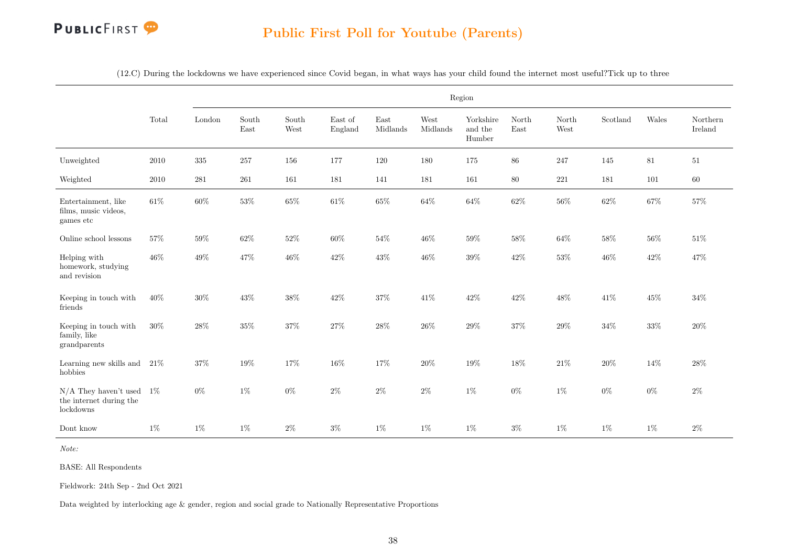

|  |  |  | (12.C) During the lockdowns we have experienced since Covid began, in what ways has your child found the internet most useful?Tick up to three |
|--|--|--|------------------------------------------------------------------------------------------------------------------------------------------------|
|  |  |  |                                                                                                                                                |

|                                                                    |          | Region  |               |               |                    |                  |                  |                                |               |               |          |        |                     |  |
|--------------------------------------------------------------------|----------|---------|---------------|---------------|--------------------|------------------|------------------|--------------------------------|---------------|---------------|----------|--------|---------------------|--|
|                                                                    | Total    | London  | South<br>East | South<br>West | East of<br>England | East<br>Midlands | West<br>Midlands | Yorkshire<br>and the<br>Humber | North<br>East | North<br>West | Scotland | Wales  | Northern<br>Ireland |  |
| Unweighted                                                         | 2010     | $335\,$ | 257           | 156           | 177                | 120              | 180              | 175                            | 86            | 247           | 145      | 81     | 51                  |  |
| Weighted                                                           | $2010\,$ | $281\,$ | $261\,$       | 161           | 181                | 141              | 181              | 161                            | $80\,$        | 221           | 181      | 101    | $60\,$              |  |
| Entertainment, like<br>films, music videos,<br>games etc           | $61\%$   | $60\%$  | $53\%$        | $65\%$        | $61\%$             | $65\%$           | $64\%$           | $64\%$                         | $62\%$        | $56\%$        | $62\%$   | $67\%$ | $57\%$              |  |
| Online school lessons                                              | 57%      | $59\%$  | $62\%$        | $52\%$        | $60\%$             | $54\%$           | 46%              | $59\%$                         | 58%           | $64\%$        | 58%      | $56\%$ | $51\%$              |  |
| Helping with<br>homework, studying<br>and revision                 | 46%      | $49\%$  | 47%           | $46\%$        | $42\%$             | $43\%$           | $46\%$           | $39\%$                         | $42\%$        | $53\%$        | 46%      | $42\%$ | 47%                 |  |
| Keeping in touch with<br>friends                                   | $40\%$   | $30\%$  | $43\%$        | $38\%$        | 42%                | $37\%$           | 41\%             | $42\%$                         | $42\%$        | $48\%$        | $41\%$   | $45\%$ | $34\%$              |  |
| Keeping in touch with<br>family, like<br>grandparents              | $30\%$   | $28\%$  | 35%           | $37\%$        | $27\%$             | $28\%$           | $26\%$           | $29\%$                         | $37\%$        | $29\%$        | $34\%$   | $33\%$ | 20%                 |  |
| Learning new skills and<br>hobbies                                 | 21%      | $37\%$  | $19\%$        | $17\%$        | $16\%$             | 17%              | $20\%$           | $19\%$                         | $18\%$        | $21\%$        | $20\%$   | 14%    | $28\%$              |  |
| $N/A$ They haven't used 1%<br>the internet during the<br>lockdowns |          | $0\%$   | $1\%$         | $0\%$         | $2\%$              | $2\%$            | $2\%$            | $1\%$                          | $0\%$         | $1\%$         | $0\%$    | $0\%$  | $2\%$               |  |
| Dont know                                                          | $1\%$    | $1\%$   | $1\%$         | $2\%$         | $3\%$              | $1\%$            | $1\%$            | $1\%$                          | $3\%$         | $1\%$         | $1\%$    | $1\%$  | $2\%$               |  |

Note:

BASE: All Respondents

Fieldwork: 24th Sep - 2nd Oct 2021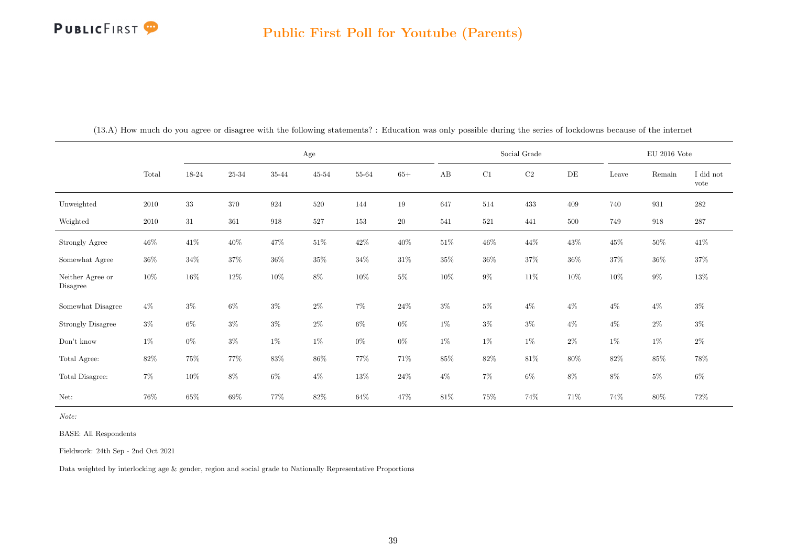#### Public First Poll for Youtube (Parents)

|                              |          | Age    |           |        |           |           |        | Social Grade |         |           |        | $\rm EU$ 2016 Vote |        |                   |
|------------------------------|----------|--------|-----------|--------|-----------|-----------|--------|--------------|---------|-----------|--------|--------------------|--------|-------------------|
|                              | Total    | 18-24  | $25 - 34$ | 35-44  | $45 - 54$ | $55 - 64$ | $65+$  | AB           | C1      | $\rm{C2}$ | DE     | Leave              | Remain | I did not<br>vote |
| Unweighted                   | $2010\,$ | $33\,$ | 370       | 924    | 520       | 144       | $19\,$ | 647          | 514     | 433       | 409    | 740                | 931    | $\bf 282$         |
| Weighted                     | 2010     | 31     | 361       | 918    | 527       | 153       | $20\,$ | 541          | $521\,$ | 441       | 500    | 749                | 918    | 287               |
| Strongly Agree               | $46\%$   | $41\%$ | $40\%$    | 47%    | $51\%$    | $42\%$    | $40\%$ | $51\%$       | $46\%$  | 44\%      | 43%    | 45%                | $50\%$ | 41%               |
| Somewhat Agree               | $36\%$   | $34\%$ | $37\%$    | $36\%$ | $35\%$    | $34\%$    | $31\%$ | $35\%$       | $36\%$  | $37\%$    | $36\%$ | $37\%$             | $36\%$ | $37\%$            |
| Neither Agree or<br>Disagree | $10\%$   | 16%    | $12\%$    | $10\%$ | $8\%$     | $10\%$    | $5\%$  | $10\%$       | $9\%$   | 11\%      | $10\%$ | $10\%$             | $9\%$  | $13\%$            |
| Somewhat Disagree            | $4\%$    | $3\%$  | $6\%$     | $3\%$  | $2\%$     | $7\%$     | $24\%$ | $3\%$        | $5\%$   | $4\%$     | $4\%$  | $4\%$              | $4\%$  | $3\%$             |
| <b>Strongly Disagree</b>     | $3\%$    | $6\%$  | $3\%$     | $3\%$  | $2\%$     | $6\%$     | $0\%$  | 1%           | $3\%$   | $3\%$     | $4\%$  | $4\%$              | $2\%$  | $3\%$             |
| Don't know                   | $1\%$    | $0\%$  | $3\%$     | $1\%$  | $1\%$     | $0\%$     | $0\%$  | $1\%$        | $1\%$   | $1\%$     | $2\%$  | $1\%$              | $1\%$  | $2\%$             |
| Total Agree:                 | $82\%$   | $75\%$ | $77\%$    | $83\%$ | $86\%$    | $77\%$    | 71%    | 85%          | $82\%$  | $81\%$    | 80%    | $82\%$             | $85\%$ | $78\%$            |
| Total Disagree:              | $7\%$    | $10\%$ | $8\%$     | $6\%$  | $4\%$     | $13\%$    | $24\%$ | $4\%$        | $7\%$   | $6\%$     | $8\%$  | $8\%$              | $5\%$  | $6\%$             |
| Net:                         | 76%      | $65\%$ | $69\%$    | 77%    | $82\%$    | $64\%$    | 47\%   | 81%          | $75\%$  | 74\%      | 71%    | 74%                | 80%    | 72\%              |

(13.A) How much do you agree or disagree with the following statements? : Education was only possible during the series of lockdowns because of the internet

Note:

BASE: All Respondents

Fieldwork: 24th Sep - 2nd Oct 2021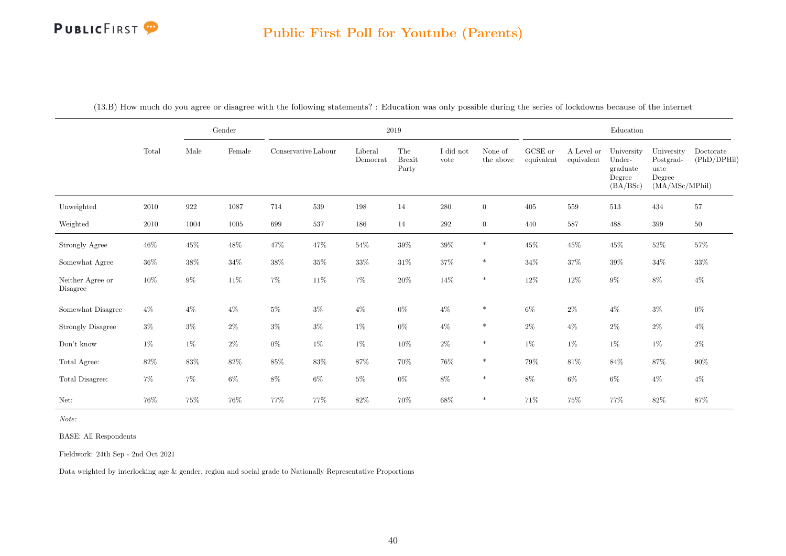#### Public First Poll for Youtube (Parents)

|                              |        |        | Gender | $2019\,$            |         |                     |                               |                   |                      |                       |                          | Education                                              |                                                             |                          |
|------------------------------|--------|--------|--------|---------------------|---------|---------------------|-------------------------------|-------------------|----------------------|-----------------------|--------------------------|--------------------------------------------------------|-------------------------------------------------------------|--------------------------|
|                              | Total  | Male   | Female | Conservative Labour |         | Liberal<br>Democrat | The<br><b>Brexit</b><br>Party | I did not<br>vote | None of<br>the above | GCSE or<br>equivalent | A Level or<br>equivalent | University<br>Under-<br>graduate<br>Degree<br>(BA/BSc) | University<br>Postgrad-<br>uate<br>Degree<br>(MA/MSc/MPhil) | Doctorate<br>(PhD/DPHil) |
| Unweighted                   | 2010   | 922    | 1087   | 714                 | $539\,$ | 198                 | 14                            | $280\,$           | $\overline{0}$       | 405                   | 559                      | 513                                                    | 434                                                         | $57\,$                   |
| Weighted                     | 2010   | 1004   | 1005   | 699                 | $537\,$ | 186                 | 14                            | $\,292$           | $\overline{0}$       | 440                   | 587                      | 488                                                    | 399                                                         | $50\,$                   |
| Strongly Agree               | $46\%$ | $45\%$ | $48\%$ | $47\%$              | $47\%$  | $54\%$              | $39\%$                        | $39\%$            | $\ast$               | $45\%$                | $45\%$                   | $45\%$                                                 | $52\%$                                                      | $57\%$                   |
| Somewhat Agree               | $36\%$ | $38\%$ | $34\%$ | $38\%$              | $35\%$  | $33\%$              | $31\%$                        | $37\%$            | $\ast$               | $34\%$                | $37\%$                   | $39\%$                                                 | $34\%$                                                      | $33\%$                   |
| Neither Agree or<br>Disagree | $10\%$ | $9\%$  | 11\%   | $7\%$               | $11\%$  | $7\%$               | $20\%$                        | $14\%$            | $\ast$               | $12\%$                | $12\%$                   | $9\%$                                                  | $8\%$                                                       | $4\%$                    |
| Somewhat Disagree            | $4\%$  | $4\%$  | $4\%$  | $5\%$               | $3\%$   | $4\%$               | $0\%$                         | $4\%$             | $\ast$               | $6\%$                 | $2\%$                    | $4\%$                                                  | $3\%$                                                       | $0\%$                    |
| <b>Strongly Disagree</b>     | $3\%$  | $3\%$  | $2\%$  | $3\%$               | $3\%$   | $1\%$               | $0\%$                         | $4\%$             | $\ast$               | $2\%$                 | $4\%$                    | $2\%$                                                  | $2\%$                                                       | $4\%$                    |
| $\mathrm{Don't}$ know        | $1\%$  | $1\%$  | $2\%$  | $0\%$               | $1\%$   | $1\%$               | $10\%$                        | $2\%$             | $\ast$               | $1\%$                 | $1\%$                    | $1\%$                                                  | $1\%$                                                       | $2\%$                    |
| Total Agree:                 | $82\%$ | $83\%$ | $82\%$ | $85\%$              | $83\%$  | $87\%$              | $70\%$                        | $76\%$            | $\ast$               | $79\%$                | $81\%$                   | $84\%$                                                 | $87\%$                                                      | $90\%$                   |
| Total Disagree:              | $7\%$  | $7\%$  | $6\%$  | $8\%$               | $6\%$   | $5\%$               | $0\%$                         | $8\%$             | $\ast$               | $8\%$                 | $6\%$                    | $6\%$                                                  | $4\%$                                                       | $4\%$                    |
| Net:                         | 76%    | 75%    | 76\%   | 77%                 | 77%     | $82\%$              | $70\%$                        | $68\%$            | $\ast$               | 71\%                  | 75%                      | 77%                                                    | $82\%$                                                      | $87\%$                   |

(13.B) How much do you agree or disagree with the following statements? : Education was only possible during the series of lockdowns because of the internet

Note:

BASE: All Respondents

Fieldwork: 24th Sep - 2nd Oct 2021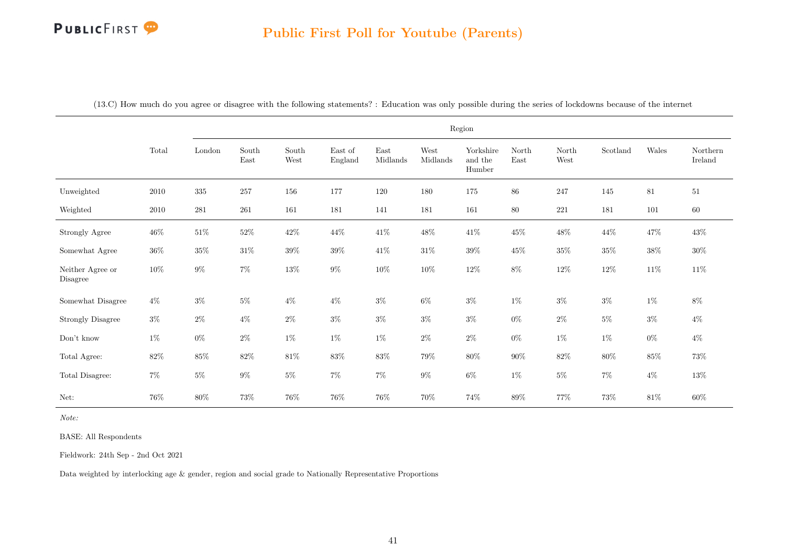|                              |          | Region    |                                |               |                    |                  |                  |                                   |               |               |          |        |                     |
|------------------------------|----------|-----------|--------------------------------|---------------|--------------------|------------------|------------------|-----------------------------------|---------------|---------------|----------|--------|---------------------|
|                              | Total    | London    | $\operatorname{South}$<br>East | South<br>West | East of<br>England | East<br>Midlands | West<br>Midlands | Yorkshire<br>and the<br>$H$ umber | North<br>East | North<br>West | Scotland | Wales  | Northern<br>Ireland |
| Unweighted                   | $2010\,$ | $335\,$   | 257                            | 156           | 177                | 120              | $180\,$          | 175                               | $86\,$        | 247           | 145      | 81     | $51\,$              |
| Weighted                     | 2010     | $\bf 281$ | $261\,$                        | 161           | 181                | 141              | 181              | 161                               | 80            | $221\,$       | 181      | 101    | 60                  |
| Strongly Agree               | $46\%$   | $51\%$    | $52\%$                         | $42\%$        | 44\%               | $41\%$           | $48\%$           | $41\%$                            | $45\%$        | $48\%$        | $44\%$   | $47\%$ | $43\%$              |
| Somewhat Agree               | $36\%$   | $35\%$    | $31\%$                         | $39\%$        | $39\%$             | $41\%$           | $31\%$           | $39\%$                            | $45\%$        | $35\%$        | $35\%$   | $38\%$ | $30\%$              |
| Neither Agree or<br>Disagree | $10\%$   | $9\%$     | $7\%$                          | $13\%$        | $9\%$              | $10\%$           | $10\%$           | $12\%$                            | $8\%$         | $12\%$        | $12\%$   | $11\%$ | $11\%$              |
| Somewhat Disagree            | $4\%$    | $3\%$     | $5\%$                          | $4\%$         | $4\%$              | $3\%$            | $6\%$            | $3\%$                             | $1\%$         | $3\%$         | $3\%$    | $1\%$  | $8\%$               |
| <b>Strongly Disagree</b>     | $3\%$    | $2\%$     | $4\%$                          | $2\%$         | $3\%$              | $3\%$            | $3\%$            | $3\%$                             | $0\%$         | $2\%$         | $5\%$    | $3\%$  | $4\%$               |
| Don't know                   | $1\%$    | $0\%$     | $2\%$                          | $1\%$         | $1\%$              | $1\%$            | $2\%$            | $2\%$                             | $0\%$         | $1\%$         | $1\%$    | $0\%$  | $4\%$               |
| Total Agree:                 | $82\%$   | $85\%$    | $82\%$                         | $81\%$        | $83\%$             | $83\%$           | $79\%$           | $80\%$                            | $90\%$        | $82\%$        | $80\%$   | $85\%$ | $73\%$              |
| Total Disagree:              | $7\%$    | $5\%$     | $9\%$                          | $5\%$         | $7\%$              | $7\%$            | $9\%$            | $6\%$                             | $1\%$         | $5\%$         | $7\%$    | $4\%$  | $13\%$              |
| Net:                         | $76\%$   | $80\%$    | $73\%$                         | $76\%$        | $76\%$             | $76\%$           | $70\%$           | $74\%$                            | $89\%$        | $77\%$        | $73\%$   | $81\%$ | $60\%$              |

Note:

BASE: All Respondents

Fieldwork: 24th Sep - 2nd Oct 2021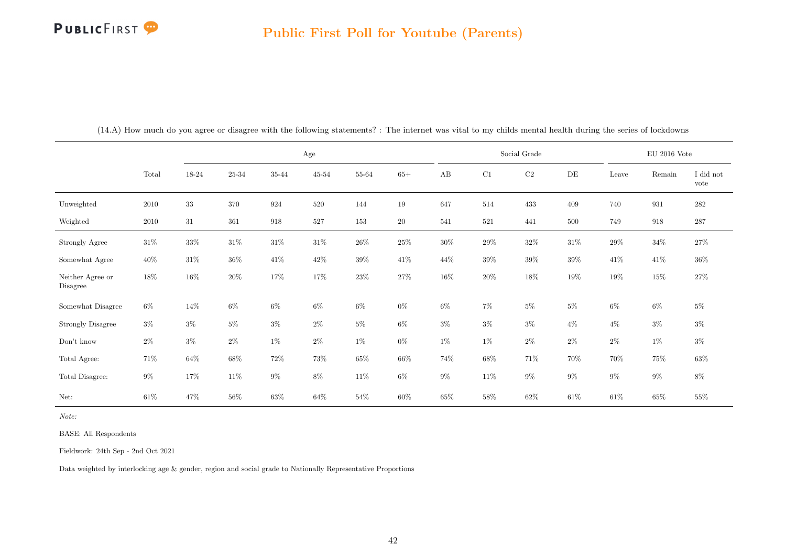|                              |        | Age    |        |        |           |                |           | Social Grade |        |          |        | $\rm EU$ 2016 Vote |        |                   |
|------------------------------|--------|--------|--------|--------|-----------|----------------|-----------|--------------|--------|----------|--------|--------------------|--------|-------------------|
|                              | Total  | 18-24  | 25-34  | 35-44  | $45 - 54$ | $55\mbox{-}64$ | $65+$     | AB           | C1     | $\rm C2$ | DE     | Leave              | Remain | I did not<br>vote |
| Unweighted                   | 2010   | $33\,$ | 370    | 924    | 520       | 144            | 19        | 647          | 514    | 433      | 409    | 740                | 931    | $282\,$           |
| Weighted                     | 2010   | 31     | 361    | 918    | 527       | 153            | <b>20</b> | 541          | 521    | 441      | 500    | 749                | 918    | 287               |
| Strongly Agree               | $31\%$ | $33\%$ | $31\%$ | $31\%$ | $31\%$    | $26\%$         | $25\%$    | $30\%$       | $29\%$ | $32\%$   | $31\%$ | $29\%$             | $34\%$ | 27%               |
| Somewhat Agree               | $40\%$ | $31\%$ | $36\%$ | $41\%$ | $42\%$    | $39\%$         | $41\%$    | 44\%         | $39\%$ | $39\%$   | 39%    | $41\%$             | $41\%$ | $36\%$            |
| Neither Agree or<br>Disagree | $18\%$ | 16%    | $20\%$ | 17%    | 17%       | $23\%$         | 27\%      | 16%          | $20\%$ | 18%      | 19%    | $19\%$             | 15%    | 27%               |
| Somewhat Disagree            | $6\%$  | 14\%   | $6\%$  | $6\%$  | $6\%$     | $6\%$          | $0\%$     | $6\%$        | $7\%$  | $5\%$    | $5\%$  | $6\%$              | $6\%$  | $5\%$             |
| <b>Strongly Disagree</b>     | $3\%$  | $3\%$  | $5\%$  | $3\%$  | $2\%$     | $5\%$          | $6\%$     | $3\%$        | $3\%$  | $3\%$    | $4\%$  | $4\%$              | $3\%$  | $3\%$             |
| Don't know                   | $2\%$  | $3\%$  | $2\%$  | $1\%$  | $2\%$     | $1\%$          | $0\%$     | $1\%$        | $1\%$  | $2\%$    | $2\%$  | $2\%$              | $1\%$  | $3\%$             |
| Total Agree:                 | $71\%$ | $64\%$ | 68\%   | 72%    | 73%       | $65\%$         | $66\%$    | 74%          | $68\%$ | 71\%     | $70\%$ | $70\%$             | 75%    | $63\%$            |
| Total Disagree:              | $9\%$  | 17%    | $11\%$ | $9\%$  | $8\%$     | $11\%$         | $6\%$     | $9\%$        | 11\%   | $9\%$    | $9\%$  | $9\%$              | $9\%$  | $8\%$             |
| Net:                         | $61\%$ | 47\%   | $56\%$ | 63%    | $64\%$    | $54\%$         | $60\%$    | $65\%$       | $58\%$ | $62\%$   | $61\%$ | $61\%$             | $65\%$ | $55\%$            |

(14.A) How much do you agree or disagree with the following statements? : The internet was vital to my childs mental health during the series of lockdowns

Note:

BASE: All Respondents

Fieldwork: 24th Sep - 2nd Oct 2021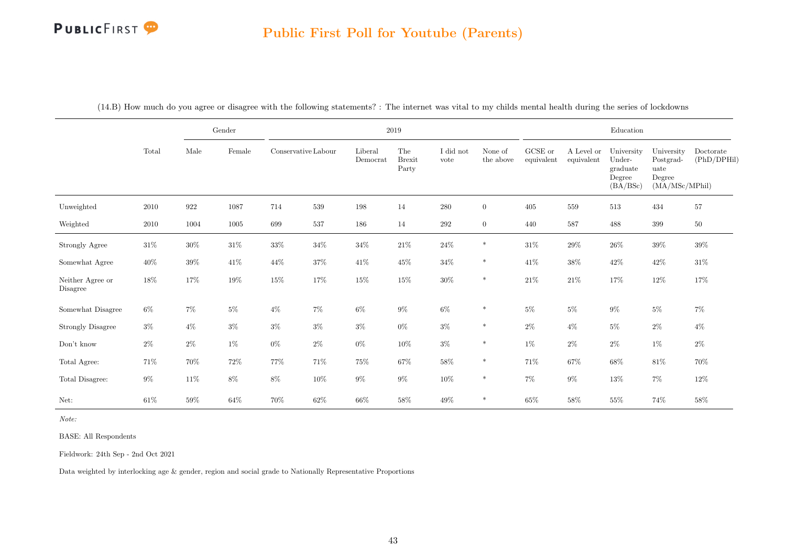#### Public First Poll for Youtube (Parents)

|                              |        |        | $\operatorname{Gender}$ |                     |        |                     | $2019\,$                      |                   |                      |                       |                          | Education                                              |                                                             |                          |
|------------------------------|--------|--------|-------------------------|---------------------|--------|---------------------|-------------------------------|-------------------|----------------------|-----------------------|--------------------------|--------------------------------------------------------|-------------------------------------------------------------|--------------------------|
|                              | Total  | Male   | Female                  | Conservative Labour |        | Liberal<br>Democrat | The<br><b>Brexit</b><br>Party | I did not<br>vote | None of<br>the above | GCSE or<br>equivalent | A Level or<br>equivalent | University<br>Under-<br>graduate<br>Degree<br>(BA/BSc) | University<br>Postgrad-<br>uate<br>Degree<br>(MA/MSc/MPhil) | Doctorate<br>(PhD/DPHil) |
| Unweighted                   | 2010   | 922    | 1087                    | 714                 | 539    | 198                 | 14                            | $280\,$           | $\overline{0}$       | 405                   | 559                      | 513                                                    | 434                                                         | $57\,$                   |
| Weighted                     | 2010   | 1004   | 1005                    | 699                 | 537    | 186                 | 14                            | $\,292$           | $\overline{0}$       | 440                   | 587                      | 488                                                    | 399                                                         | $50\,$                   |
| Strongly Agree               | $31\%$ | $30\%$ | $31\%$                  | $33\%$              | $34\%$ | $34\%$              | $21\%$                        | $24\%$            | $\ast$               | $31\%$                | $29\%$                   | $26\%$                                                 | $39\%$                                                      | $39\%$                   |
| Somewhat Agree               | $40\%$ | $39\%$ | $41\%$                  | 44\%                | $37\%$ | $41\%$              | $45\%$                        | $34\%$            | $\ast$               | $41\%$                | 38%                      | $42\%$                                                 | $42\%$                                                      | $31\%$                   |
| Neither Agree or<br>Disagree | 18%    | 17%    | $19\%$                  | $15\%$              | 17%    | $15\%$              | $15\%$                        | $30\%$            | $\ast$               | $21\%$                | $21\%$                   | 17%                                                    | 12%                                                         | 17%                      |
| Somewhat Disagree            | $6\%$  | $7\%$  | $5\%$                   | $4\%$               | $7\%$  | $6\%$               | $9\%$                         | $6\%$             | $\ast$               | $5\%$                 | $5\%$                    | $9\%$                                                  | $5\%$                                                       | $7\%$                    |
| <b>Strongly Disagree</b>     | $3\%$  | $4\%$  | $3\%$                   | $3\%$               | $3\%$  | $3\%$               | $0\%$                         | $3\%$             | $\ast$               | $2\%$                 | $4\%$                    | $5\%$                                                  | $2\%$                                                       | $4\%$                    |
| $\mathrm{Don't}$ know        | $2\%$  | $2\%$  | $1\%$                   | $0\%$               | $2\%$  | $0\%$               | $10\%$                        | $3\%$             | $\ast$               | $1\%$                 | $2\%$                    | $2\%$                                                  | $1\%$                                                       | $2\%$                    |
| Total Agree:                 | $71\%$ | $70\%$ | $72\%$                  | $77\%$              | $71\%$ | $75\%$              | $67\%$                        | $58\%$            | $\ast$               | $71\%$                | $67\%$                   | $68\%$                                                 | $81\%$                                                      | $70\%$                   |
| Total Disagree:              | $9\%$  | $11\%$ | $8\%$                   | $8\%$               | $10\%$ | $9\%$               | $9\%$                         | $10\%$            | $\ast$               | $7\%$                 | $9\%$                    | $13\%$                                                 | $7\%$                                                       | $12\%$                   |
| Net:                         | $61\%$ | $59\%$ | $64\%$                  | $70\%$              | $62\%$ | $66\%$              | $58\%$                        | 49\%              | $\ast$               | $65\%$                | $58\%$                   | $55\%$                                                 | $74\%$                                                      | $58\%$                   |

(14.B) How much do you agree or disagree with the following statements? : The internet was vital to my childs mental health during the series of lockdowns

Note:

BASE: All Respondents

Fieldwork: 24th Sep - 2nd Oct 2021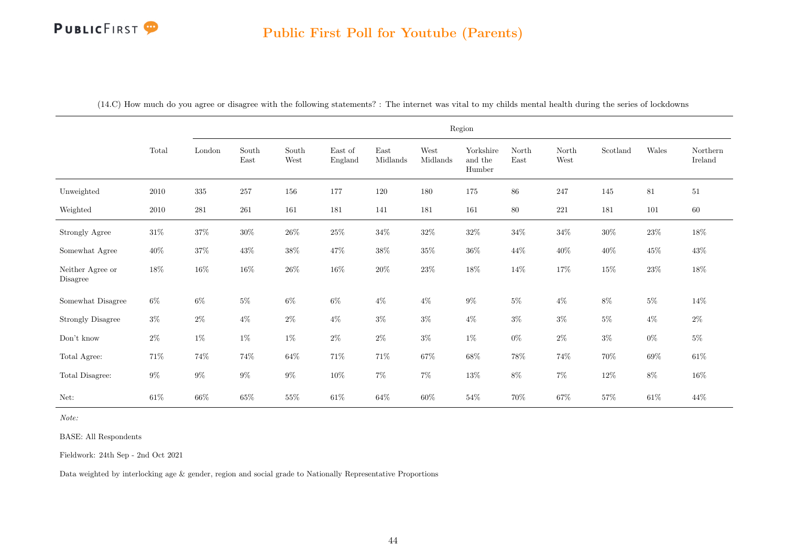|                              |          |           | Region                         |                                |                    |                                          |                  |                                |               |               |          |                                |                     |  |
|------------------------------|----------|-----------|--------------------------------|--------------------------------|--------------------|------------------------------------------|------------------|--------------------------------|---------------|---------------|----------|--------------------------------|---------------------|--|
|                              | Total    | London    | $\operatorname{South}$<br>East | $\operatorname{South}$<br>West | East of<br>England | $\operatorname{East}$<br>$\it{Midlands}$ | West<br>Midlands | Yorkshire<br>and the<br>Humber | North<br>East | North<br>West | Scotland | $\label{p:val} \textbf{Wales}$ | Northern<br>Ireland |  |
| Unweighted                   | $2010\,$ | $335\,$   | 257                            | 156                            | 177                | 120                                      | 180              | $175\,$                        | 86            | $247\,$       | 145      | 81                             | 51                  |  |
| Weighted                     | 2010     | $\bf 281$ | $261\,$                        | 161                            | 181                | 141                                      | 181              | 161                            | $80\,$        | $221\,$       | 181      | 101                            | $60\,$              |  |
| Strongly Agree               | $31\%$   | $37\%$    | $30\%$                         | $26\%$                         | $25\%$             | $34\%$                                   | $32\%$           | $32\%$                         | $34\%$        | $34\%$        | $30\%$   | $23\%$                         | $18\%$              |  |
| Somewhat Agree               | $40\%$   | $37\%$    | $43\%$                         | $38\%$                         | $47\%$             | $38\%$                                   | $35\%$           | $36\%$                         | $44\%$        | $40\%$        | $40\%$   | $45\%$                         | $43\%$              |  |
| Neither Agree or<br>Disagree | $18\%$   | $16\%$    | $16\%$                         | $26\%$                         | $16\%$             | $20\%$                                   | $23\%$           | $18\%$                         | $14\%$        | $17\%$        | $15\%$   | $23\%$                         | $18\%$              |  |
| Somewhat Disagree            | $6\%$    | $6\%$     | $5\%$                          | $6\%$                          | $6\%$              | $4\%$                                    | $4\%$            | $9\%$                          | $5\%$         | $4\%$         | $8\%$    | $5\%$                          | 14\%                |  |
| <b>Strongly Disagree</b>     | $3\%$    | $2\%$     | $4\%$                          | $2\%$                          | $4\%$              | $3\%$                                    | $3\%$            | $4\%$                          | $3\%$         | $3\%$         | $5\%$    | $4\%$                          | $2\%$               |  |
| Don't know                   | $2\%$    | $1\%$     | $1\%$                          | $1\%$                          | $2\%$              | $2\%$                                    | $3\%$            | $1\%$                          | $0\%$         | $2\%$         | $3\%$    | $0\%$                          | $5\%$               |  |
| Total Agree:                 | 71%      | 74%       | 74%                            | $64\%$                         | 71%                | $71\%$                                   | $67\%$           | $68\%$                         | $78\%$        | $74\%$        | $70\%$   | $69\%$                         | $61\%$              |  |
| Total Disagree:              | $9\%$    | $9\%$     | $9\%$                          | $9\%$                          | $10\%$             | $7\%$                                    | $7\%$            | $13\%$                         | $8\%$         | $7\%$         | $12\%$   | $8\%$                          | $16\%$              |  |
| Net:                         | $61\%$   | $66\%$    | $65\%$                         | $55\%$                         | $61\%$             | $64\%$                                   | $60\%$           | $54\%$                         | 70%           | $67\%$        | $57\%$   | $61\%$                         | $44\%$              |  |

Note:

BASE: All Respondents

Fieldwork: 24th Sep - 2nd Oct 2021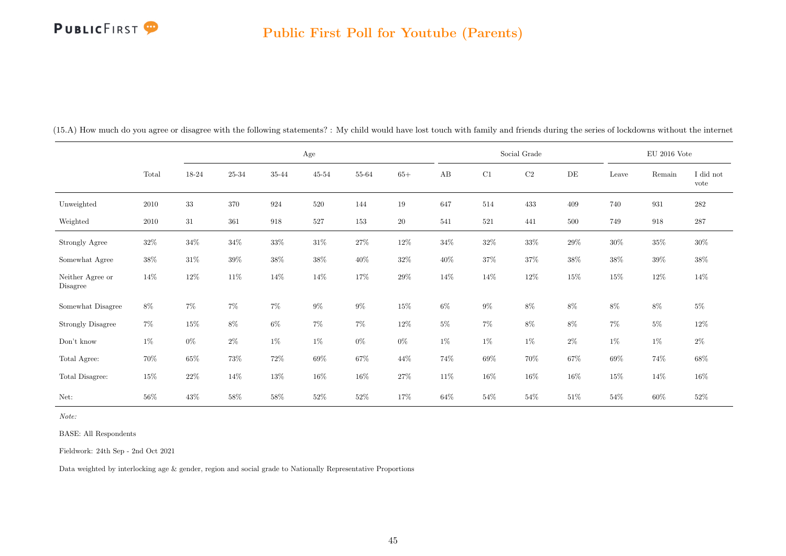|                              |          |        |           |        | $_{\rm Age}$ |        |        |        |        | Social Grade |           |        | $EU$ 2016 Vote |                   |
|------------------------------|----------|--------|-----------|--------|--------------|--------|--------|--------|--------|--------------|-----------|--------|----------------|-------------------|
|                              | Total    | 18-24  | $25 - 34$ | 35-44  | $45 - 54$    | 55-64  | $65+$  | AB     | C1     | $\rm{C2}$    | $\rm{DE}$ | Leave  | Remain         | I did not<br>vote |
| Unweighted                   | $2010\,$ | $33\,$ | $370\,$   | 924    | 520          | 144    | 19     | 647    | 514    | 433          | 409       | 740    | 931            | $282\,$           |
| Weighted                     | 2010     | $31\,$ | 361       | 918    | 527          | 153    | $20\,$ | 541    | 521    | 441          | 500       | 749    | 918            | $287\,$           |
| Strongly Agree               | $32\%$   | $34\%$ | $34\%$    | $33\%$ | $31\%$       | $27\%$ | $12\%$ | $34\%$ | $32\%$ | $33\%$       | 29%       | $30\%$ | $35\%$         | $30\%$            |
| Somewhat Agree               | $38\%$   | $31\%$ | $39\%$    | $38\%$ | $38\%$       | $40\%$ | $32\%$ | $40\%$ | $37\%$ | $37\%$       | 38%       | $38\%$ | $39\%$         | $38\%$            |
| Neither Agree or<br>Disagree | $14\%$   | $12\%$ | $11\%$    | $14\%$ | $14\%$       | $17\%$ | $29\%$ | $14\%$ | $14\%$ | $12\%$       | $15\%$    | $15\%$ | 12\%           | $14\%$            |
| Somewhat Disagree            | 8%       | 7%     | $7\%$     | $7\%$  | $9\%$        | $9\%$  | $15\%$ | 6%     | $9\%$  | $8\%$        | 8%        | $8\%$  | $8\%$          | $5\%$             |
| <b>Strongly Disagree</b>     | $7\%$    | $15\%$ | $8\%$     | $6\%$  | $7\%$        | $7\%$  | 12%    | $5\%$  | $7\%$  | $8\%$        | $8\%$     | $7\%$  | $5\%$          | $12\%$            |
| $\mathrm{Don't}$ know        | $1\%$    | $0\%$  | $2\%$     | $1\%$  | $1\%$        | $0\%$  | $0\%$  | $1\%$  | $1\%$  | $1\%$        | $2\%$     | $1\%$  | $1\%$          | $2\%$             |
| Total Agree:                 | $70\%$   | $65\%$ | 73%       | $72\%$ | $69\%$       | $67\%$ | $44\%$ | 74%    | $69\%$ | $70\%$       | 67%       | $69\%$ | 74%            | $68\%$            |
| Total Disagree:              | $15\%$   | $22\%$ | $14\%$    | $13\%$ | $16\%$       | $16\%$ | 27%    | $11\%$ | $16\%$ | $16\%$       | $16\%$    | $15\%$ | 14\%           | $16\%$            |
| Net:                         | $56\%$   | $43\%$ | 58%       | $58\%$ | $52\%$       | $52\%$ | 17%    | $64\%$ | $54\%$ | $54\%$       | $51\%$    | $54\%$ | $60\%$         | $52\%$            |

(15.A) How much do you agree or disagree with the following statements? : My child would have lost touch with family and friends during the series of lockdowns without the internet

Note:

BASE: All Respondents

Fieldwork: 24th Sep - 2nd Oct 2021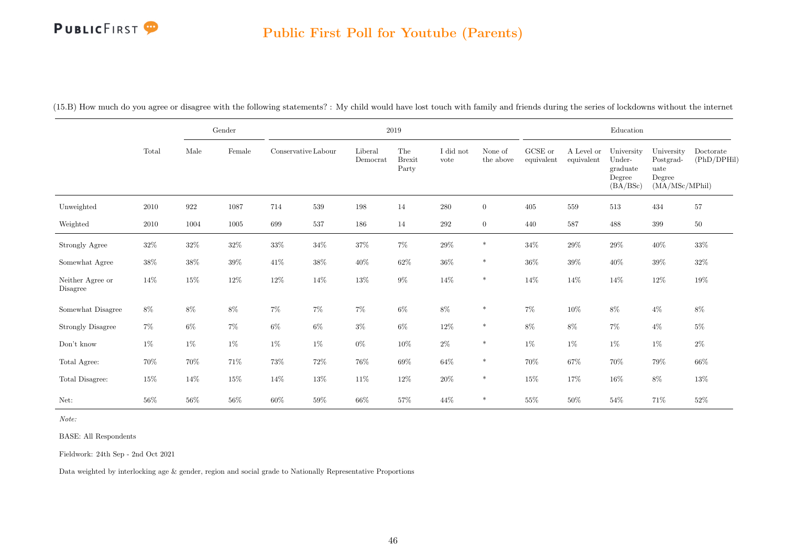#### Public First Poll for Youtube (Parents)

|                              |        |        | Gender   |        |                     |                     | 2019                          |                   |                      |                       |                          | Education                                              |                                                             |                          |
|------------------------------|--------|--------|----------|--------|---------------------|---------------------|-------------------------------|-------------------|----------------------|-----------------------|--------------------------|--------------------------------------------------------|-------------------------------------------------------------|--------------------------|
|                              | Total  | Male   | Female   |        | Conservative Labour | Liberal<br>Democrat | The<br><b>Brexit</b><br>Party | I did not<br>vote | None of<br>the above | GCSE or<br>equivalent | A Level or<br>equivalent | University<br>Under-<br>graduate<br>Degree<br>(BA/BSc) | University<br>Postgrad-<br>uate<br>Degree<br>(MA/MSc/MPhil) | Doctorate<br>(PhD/DPHil) |
| Unweighted                   | 2010   | 922    | 1087     | 714    | 539                 | 198                 | 14                            | $280\,$           | $\overline{0}$       | 405                   | 559                      | 513                                                    | 434                                                         | $57\,$                   |
| Weighted                     | 2010   | 1004   | $1005\,$ | 699    | 537                 | 186                 | 14                            | $\,292$           | $\overline{0}$       | 440                   | 587                      | 488                                                    | 399                                                         | $50\,$                   |
| Strongly Agree               | $32\%$ | $32\%$ | $32\%$   | $33\%$ | $34\%$              | $37\%$              | $7\%$                         | $29\%$            | $\ast$               | $34\%$                | $29\%$                   | $29\%$                                                 | $40\%$                                                      | $33\%$                   |
| Somewhat Agree               | $38\%$ | 38%    | $39\%$   | 41%    | $38\%$              | $40\%$              | $62\%$                        | $36\%$            | $\ast$               | $36\%$                | $39\%$                   | $40\%$                                                 | $39\%$                                                      | $32\%$                   |
| Neither Agree or<br>Disagree | 14%    | $15\%$ | $12\%$   | $12\%$ | $14\%$              | $13\%$              | $9\%$                         | $14\%$            | $\ast$               | $14\%$                | $14\%$                   | $14\%$                                                 | 12\%                                                        | $19\%$                   |
| Somewhat Disagree            | $8\%$  | 8%     | $8\%$    | $7\%$  | $7\%$               | $7\%$               | $6\%$                         | $8\%$             | $\ast$               | $7\%$                 | $10\%$                   | $8\%$                                                  | $4\%$                                                       | $8\%$                    |
| <b>Strongly Disagree</b>     | $7\%$  | $6\%$  | $7\%$    | $6\%$  | $6\%$               | $3\%$               | $6\%$                         | $12\%$            | $\ast$               | $8\%$                 | $8\%$                    | $7\%$                                                  | $4\%$                                                       | $5\%$                    |
| Don't know                   | $1\%$  | $1\%$  | $1\%$    | $1\%$  | $1\%$               | $0\%$               | $10\%$                        | $2\%$             | $\ast$               | $1\%$                 | 1%                       | $1\%$                                                  | $1\%$                                                       | $2\%$                    |
| Total Agree:                 | $70\%$ | 70%    | $71\%$   | $73\%$ | $72\%$              | $76\%$              | $69\%$                        | $64\%$            | $\ast$               | 70%                   | $67\%$                   | $70\%$                                                 | $79\%$                                                      | $66\%$                   |
| Total Disagree:              | $15\%$ | $14\%$ | $15\%$   | 14%    | $13\%$              | $11\%$              | 12\%                          | $20\%$            | $\ast$               | 15%                   | 17%                      | $16\%$                                                 | $8\%$                                                       | $13\%$                   |
| Net:                         | 56%    | $56\%$ | $56\%$   | $60\%$ | $59\%$              | $66\%$              | $57\%$                        | 44\%              | $\ast$               | $55\%$                | $50\%$                   | $54\%$                                                 | 71%                                                         | $52\%$                   |

(15.B) How much do you agree or disagree with the following statements? : My child would have lost touch with family and friends during the series of lockdowns without the internet

Note:

BASE: All Respondents

Fieldwork: 24th Sep - 2nd Oct 2021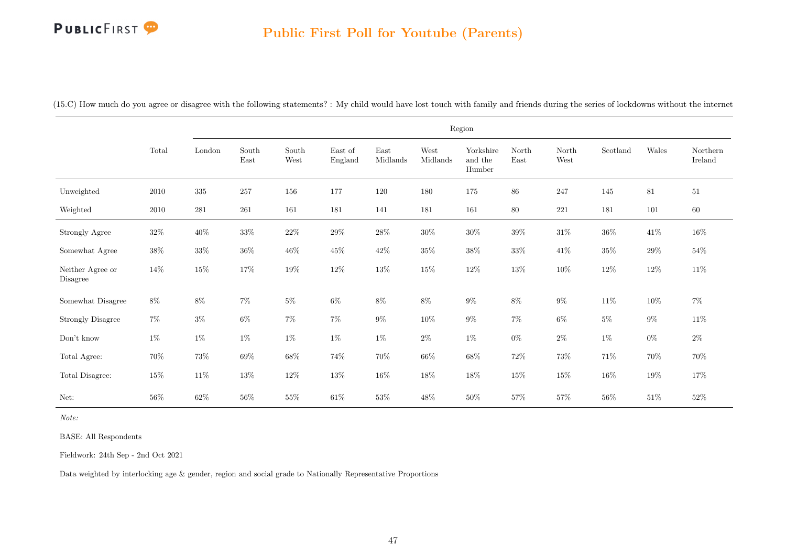#### Public First Poll for Youtube (Parents)

(15.C) How much do you agree or disagree with the following statements? : My child would have lost touch with family and friends during the series of lockdowns without the internet

|                              |          |         |                                |               |                    |                  |                  | Region                         |               |               |          |        |                     |
|------------------------------|----------|---------|--------------------------------|---------------|--------------------|------------------|------------------|--------------------------------|---------------|---------------|----------|--------|---------------------|
|                              | Total    | London  | $\operatorname{South}$<br>East | South<br>West | East of<br>England | East<br>Midlands | West<br>Midlands | Yorkshire<br>and the<br>Humber | North<br>East | North<br>West | Scotland | Wales  | Northern<br>Ireland |
| Unweighted                   | $2010\,$ | $335\,$ | 257                            | 156           | 177                | 120              | 180              | 175                            | $86\,$        | 247           | 145      | $81\,$ | 51                  |
| Weighted                     | 2010     | $281\,$ | 261                            | 161           | 181                | 141              | 181              | 161                            | $80\,$        | $221\,$       | 181      | 101    | 60                  |
| Strongly Agree               | $32\%$   | $40\%$  | $33\%$                         | $22\%$        | $29\%$             | $28\%$           | $30\%$           | $30\%$                         | $39\%$        | $31\%$        | $36\%$   | $41\%$ | $16\%$              |
| Somewhat Agree               | $38\%$   | $33\%$  | $36\%$                         | $46\%$        | $45\%$             | $42\%$           | $35\%$           | $38\%$                         | $33\%$        | $41\%$        | $35\%$   | $29\%$ | $54\%$              |
| Neither Agree or<br>Disagree | 14%      | $15\%$  | $17\%$                         | $19\%$        | $12\%$             | $13\%$           | $15\%$           | $12\%$                         | $13\%$        | $10\%$        | $12\%$   | $12\%$ | $11\%$              |
| Somewhat Disagree            | $8\%$    | $8\%$   | $7\%$                          | $5\%$         | $6\%$              | $8\%$            | $8\%$            | $9\%$                          | $8\%$         | $9\%$         | $11\%$   | $10\%$ | $7\%$               |
| <b>Strongly Disagree</b>     | $7\%$    | $3\%$   | $6\%$                          | $7\%$         | $7\%$              | $9\%$            | $10\%$           | $9\%$                          | $7\%$         | $6\%$         | $5\%$    | $9\%$  | $11\%$              |
| Don't know                   | $1\%$    | $1\%$   | $1\%$                          | $1\%$         | $1\%$              | $1\%$            | $2\%$            | $1\%$                          | $0\%$         | $2\%$         | $1\%$    | $0\%$  | $2\%$               |
| Total Agree:                 | $70\%$   | $73\%$  | $69\%$                         | $68\%$        | 74%                | $70\%$           | 66%              | $68\%$                         | $72\%$        | $73\%$        | $71\%$   | $70\%$ | 70%                 |
| Total Disagree:              | $15\%$   | $11\%$  | $13\%$                         | $12\%$        | $13\%$             | $16\%$           | $18\%$           | $18\%$                         | $15\%$        | $15\%$        | $16\%$   | $19\%$ | 17%                 |
| Net:                         | 56%      | 62%     | $56\%$                         | $55\%$        | $61\%$             | $53\%$           | $48\%$           | $50\%$                         | $57\%$        | $57\%$        | 56%      | $51\%$ | $52\%$              |

Note:

BASE: All Respondents

Fieldwork: 24th Sep - 2nd Oct 2021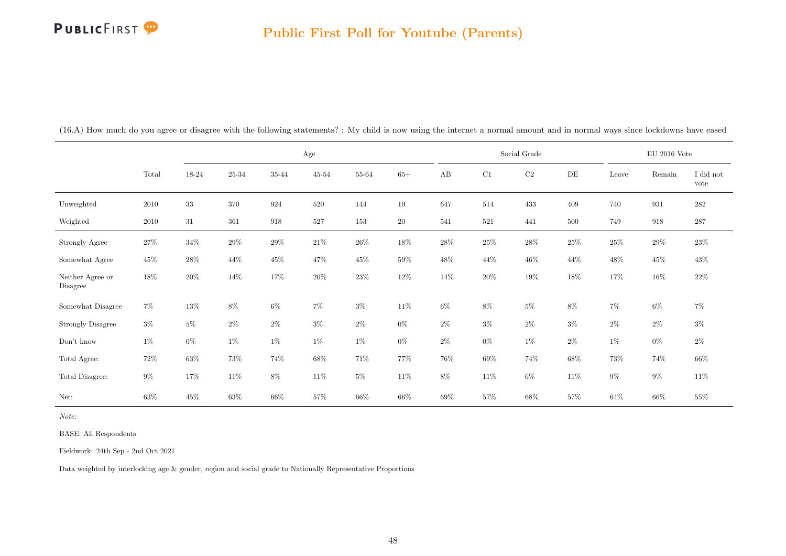|                              |        |           |                | $\rm Age$       |           |           |           |        |        | Social Grade |        |        | $\rm EU$ 2016 Vote |                   |
|------------------------------|--------|-----------|----------------|-----------------|-----------|-----------|-----------|--------|--------|--------------|--------|--------|--------------------|-------------------|
|                              | Total  | $18 - 24$ | $25\hbox{-}34$ | $35\mbox{-} 44$ | $45 - 54$ | $55 - 64$ | $65+$     | AB     | C1     | $\rm{C2}$    | DE     | Leave  | Remain             | I did not<br>vote |
| Unweighted                   | 2010   | $33\,$    | $370\,$        | 924             | 520       | 144       | 19        | 647    | 514    | 433          | 409    | 740    | 931                | 282               |
| Weighted                     | 2010   | 31        | 361            | 918             | 527       | 153       | <b>20</b> | 541    | 521    | 441          | 500    | 749    | 918                | 287               |
| Strongly Agree               | $27\%$ | $34\%$    | $29\%$         | $29\%$          | $21\%$    | $26\%$    | $18\%$    | $28\%$ | $25\%$ | $28\%$       | $25\%$ | $25\%$ | $29\%$             | $23\%$            |
| Somewhat Agree               | 45\%   | $28\%$    | $44\%$         | $45\%$          | 47%       | $45\%$    | 59%       | $48\%$ | $44\%$ | $46\%$       | 44%    | $48\%$ | 45%                | 43%               |
| Neither Agree or<br>Disagree | 18%    | 20%       | 14%            | 17%             | 20%       | $23\%$    | $12\%$    | 14%    | $20\%$ | $19\%$       | 18%    | 17%    | $16\%$             | $22\%$            |
| Somewhat Disagree            | $7\%$  | $13\%$    | $8\%$          | $6\%$           | 7%        | $3\%$     | $11\%$    | $6\%$  | $8\%$  | $5\%$        | 8%     | $7\%$  | $6\%$              | 7%                |
| <b>Strongly Disagree</b>     | $3\%$  | $5\%$     | $2\%$          | $2\%$           | $3\%$     | $2\%$     | $0\%$     | $2\%$  | $3\%$  | $2\%$        | $3\%$  | $2\%$  | $2\%$              | $3\%$             |
| Don't know                   | $1\%$  | $0\%$     | $1\%$          | $1\%$           | $1\%$     | $1\%$     | $0\%$     | $2\%$  | $0\%$  | $1\%$        | $2\%$  | $1\%$  | $0\%$              | $2\%$             |
| Total Agree:                 | 72\%   | 63%       | $73\%$         | 74%             | 68%       | $71\%$    | $77\%$    | 76%    | $69\%$ | 74%          | 68%    | 73%    | 74%                | $66\%$            |
| Total Disagree:              | $9\%$  | $17\%$    | $11\%$         | $8\%$           | 11\%      | $5\%$     | $11\%$    | $8\%$  | 11\%   | $6\%$        | $11\%$ | $9\%$  | $9\%$              | $11\%$            |
| Net:                         | $63\%$ | 45\%      | $63\%$         | 66%             | 57%       | $66\%$    | $66\%$    | 69%    | $57\%$ | 68%          | 57%    | $64\%$ | 66%                | $55\%$            |

(16.A) How much do you agree or disagree with the following statements? : My child is now using the internet a normal amount and in normal ways since lockdowns have eased

Note:

BASE: All Respondents

Fieldwork: 24th Sep - 2nd Oct 2021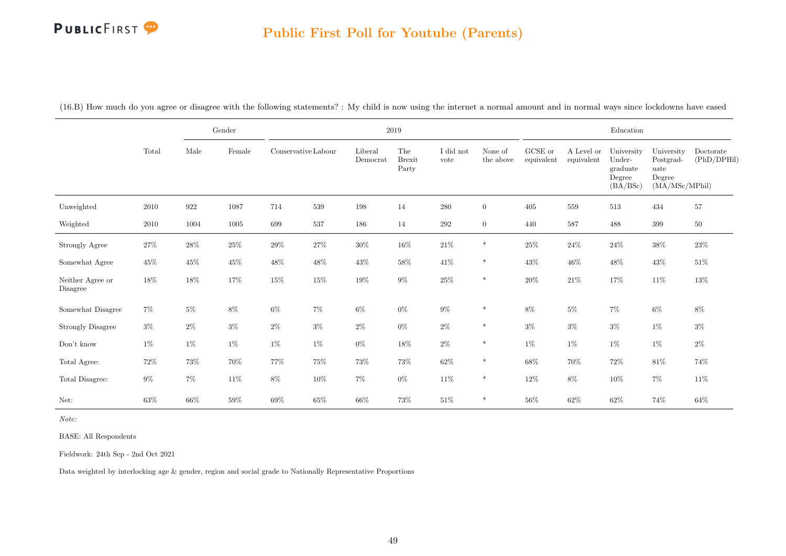#### Public First Poll for Youtube (Parents)

|                              |        |        | Gender |                     |        |                     | $2019\,$                      |                   |                      |                       |                          | Education                                              |                                                             |                          |
|------------------------------|--------|--------|--------|---------------------|--------|---------------------|-------------------------------|-------------------|----------------------|-----------------------|--------------------------|--------------------------------------------------------|-------------------------------------------------------------|--------------------------|
|                              | Total  | Male   | Female | Conservative Labour |        | Liberal<br>Democrat | The<br><b>Brexit</b><br>Party | I did not<br>vote | None of<br>the above | GCSE or<br>equivalent | A Level or<br>equivalent | University<br>Under-<br>graduate<br>Degree<br>(BA/BSc) | University<br>Postgrad-<br>uate<br>Degree<br>(MA/MSc/MPhil) | Doctorate<br>(PhD/DPHil) |
| Unweighted                   | 2010   | 922    | 1087   | 714                 | 539    | 198                 | 14                            | $280\,$           | $\overline{0}$       | 405                   | 559                      | 513                                                    | 434                                                         | 57                       |
| Weighted                     | 2010   | 1004   | 1005   | 699                 | 537    | 186                 | 14                            | 292               | $\overline{0}$       | 440                   | 587                      | 488                                                    | 399                                                         | $50\,$                   |
| Strongly Agree               | 27\%   | $28\%$ | 25%    | $29\%$              | $27\%$ | $30\%$              | $16\%$                        | $21\%$            | $\ast$               | $25\%$                | $24\%$                   | $24\%$                                                 | $38\%$                                                      | $23\%$                   |
| Somewhat Agree               | $45\%$ | $45\%$ | $45\%$ | $48\%$              | $48\%$ | $43\%$              | $58\%$                        | $41\%$            | $\ast$               | $43\%$                | $46\%$                   | $48\%$                                                 | $43\%$                                                      | $51\%$                   |
| Neither Agree or<br>Disagree | $18\%$ | $18\%$ | $17\%$ | $15\%$              | $15\%$ | $19\%$              | $9\%$                         | $25\%$            | $\ast$               | $20\%$                | $21\%$                   | $17\%$                                                 | $11\%$                                                      | $13\%$                   |
| Somewhat Disagree            | $7\%$  | $5\%$  | $8\%$  | $6\%$               | $7\%$  | $6\%$               | $0\%$                         | $9\%$             | $\ast$               | 8%                    | $5\%$                    | $7\%$                                                  | $6\%$                                                       | $8\%$                    |
| <b>Strongly Disagree</b>     | $3\%$  | $2\%$  | $3\%$  | $2\%$               | $3\%$  | $2\%$               | $0\%$                         | $2\%$             | $\ast$               | $3\%$                 | $3\%$                    | $3\%$                                                  | $1\%$                                                       | $3\%$                    |
| Don't know                   | $1\%$  | $1\%$  | $1\%$  | $1\%$               | $1\%$  | $0\%$               | $18\%$                        | $2\%$             | $\ast$               | $1\%$                 | $1\%$                    | $1\%$                                                  | $1\%$                                                       | $2\%$                    |
| Total Agree:                 | 72\%   | $73\%$ | $70\%$ | $77\%$              | $75\%$ | $73\%$              | 73%                           | $62\%$            | $\ast$               | $68\%$                | $70\%$                   | 72\%                                                   | $81\%$                                                      | $74\%$                   |
| Total Disagree:              | $9\%$  | $7\%$  | $11\%$ | $8\%$               | $10\%$ | $7\%$               | $0\%$                         | $11\%$            | $\ast$               | $12\%$                | $8\%$                    | $10\%$                                                 | $7\%$                                                       | $11\%$                   |
| Net:                         | 63%    | $66\%$ | $59\%$ | $69\%$              | $65\%$ | $66\%$              | $73\%$                        | $51\%$            | $\ast$               | $56\%$                | $62\%$                   | $62\%$                                                 | 74%                                                         | $64\%$                   |

(16.B) How much do you agree or disagree with the following statements? : My child is now using the internet a normal amount and in normal ways since lockdowns have eased

Note:

BASE: All Respondents

Fieldwork: 24th Sep - 2nd Oct 2021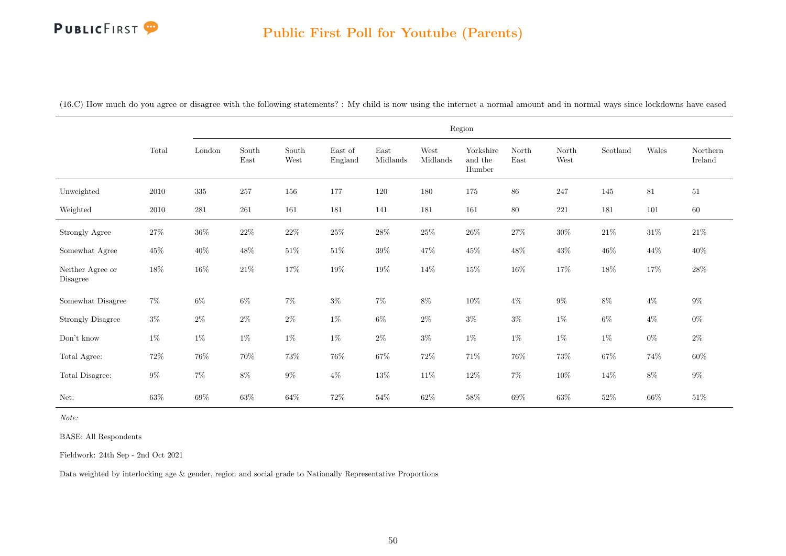#### Public First Poll for Youtube (Parents)

(16.C) How much do you agree or disagree with the following statements? : My child is now using the internet a normal amount and in normal ways since lockdowns have eased

|                              |          |           |               |               |                    |                  |                  | Region                         |               |               |          |        |                     |
|------------------------------|----------|-----------|---------------|---------------|--------------------|------------------|------------------|--------------------------------|---------------|---------------|----------|--------|---------------------|
|                              | Total    | London    | South<br>East | South<br>West | East of<br>England | East<br>Midlands | West<br>Midlands | Yorkshire<br>and the<br>Humber | North<br>East | North<br>West | Scotland | Wales  | Northern<br>Ireland |
| Unweighted                   | $2010\,$ | $335\,$   | 257           | 156           | 177                | 120              | 180              | 175                            | 86            | 247           | 145      | 81     | $51\,$              |
| Weighted                     | 2010     | $\bf 281$ | $261\,$       | 161           | 181                | 141              | 181              | 161                            | 80            | $221\,$       | 181      | 101    | 60                  |
| Strongly Agree               | $27\%$   | $36\%$    | $22\%$        | $22\%$        | $25\%$             | $28\%$           | $25\%$           | $26\%$                         | $27\%$        | $30\%$        | $21\%$   | $31\%$ | $21\%$              |
| Somewhat Agree               | $45\%$   | $40\%$    | $48\%$        | $51\%$        | $51\%$             | $39\%$           | $47\%$           | $45\%$                         | $48\%$        | $43\%$        | $46\%$   | $44\%$ | $40\%$              |
| Neither Agree or<br>Disagree | $18\%$   | $16\%$    | $21\%$        | $17\%$        | $19\%$             | $19\%$           | $14\%$           | $15\%$                         | $16\%$        | $17\%$        | $18\%$   | $17\%$ | $28\%$              |
| Somewhat Disagree            | $7\%$    | $6\%$     | $6\%$         | $7\%$         | $3\%$              | $7\%$            | $8\%$            | $10\%$                         | $4\%$         | $9\%$         | $8\%$    | $4\%$  | $9\%$               |
| <b>Strongly Disagree</b>     | $3\%$    | $2\%$     | $2\%$         | $2\%$         | $1\%$              | $6\%$            | $2\%$            | $3\%$                          | $3\%$         | $1\%$         | $6\%$    | $4\%$  | $0\%$               |
| Don't know                   | $1\%$    | $1\%$     | $1\%$         | $1\%$         | $1\%$              | $2\%$            | $3\%$            | $1\%$                          | $1\%$         | $1\%$         | $1\%$    | $0\%$  | $2\%$               |
| Total Agree:                 | $72\%$   | $76\%$    | $70\%$        | $73\%$        | $76\%$             | $67\%$           | $72\%$           | $71\%$                         | $76\%$        | $73\%$        | $67\%$   | $74\%$ | $60\%$              |
| Total Disagree:              | $9\%$    | $7\%$     | $8\%$         | $9\%$         | $4\%$              | $13\%$           | $11\%$           | $12\%$                         | $7\%$         | $10\%$        | $14\%$   | $8\%$  | $9\%$               |
| Net:                         | $63\%$   | $69\%$    | $63\%$        | $64\%$        | 72\%               | $54\%$           | $62\%$           | $58\%$                         | 69%           | $63\%$        | $52\%$   | $66\%$ | $51\%$              |

Note:

BASE: All Respondents

Fieldwork: 24th Sep - 2nd Oct 2021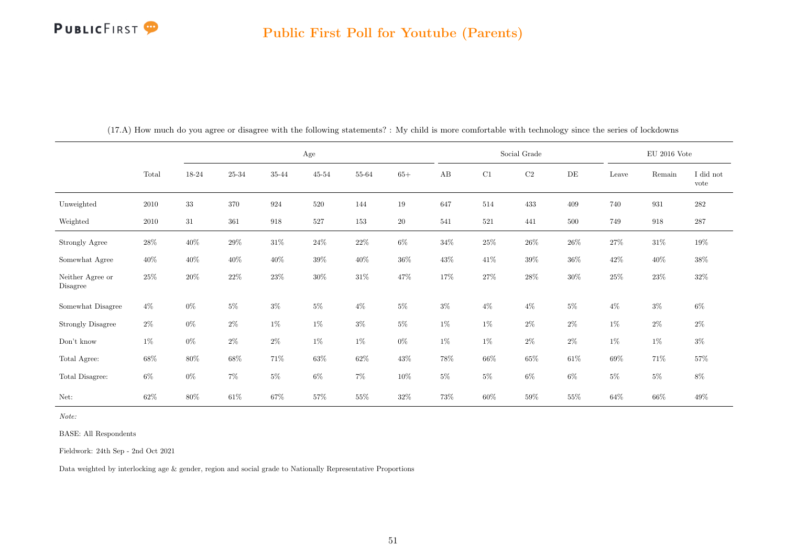|                              |        |        |         | Age    |           |        |           |        |        | Social Grade |           |        | $\rm EU$ 2016 Vote |                   |
|------------------------------|--------|--------|---------|--------|-----------|--------|-----------|--------|--------|--------------|-----------|--------|--------------------|-------------------|
|                              | Total  | 18-24  | 25-34   | 35-44  | $45 - 54$ | 55-64  | $65+$     | AB     | C1     | $\rm{C2}$    | $\rm{DE}$ | Leave  | Remain             | I did not<br>vote |
| Unweighted                   | 2010   | $33\,$ | $370\,$ | 924    | 520       | 144    | 19        | 647    | 514    | 433          | 409       | 740    | 931                | $\bf 282$         |
| Weighted                     | 2010   | 31     | 361     | 918    | 527       | 153    | <b>20</b> | 541    | 521    | 441          | 500       | 749    | 918                | $287\,$           |
| Strongly Agree               | $28\%$ | $40\%$ | $29\%$  | $31\%$ | $24\%$    | $22\%$ | $6\%$     | $34\%$ | $25\%$ | $26\%$       | $26\%$    | $27\%$ | $31\%$             | $19\%$            |
| Somewhat Agree               | 40\%   | $40\%$ | 40\%    | 40\%   | $39\%$    | $40\%$ | $36\%$    | $43\%$ | 41\%   | $39\%$       | $36\%$    | 42\%   | $40\%$             | $38\%$            |
| Neither Agree or<br>Disagree | $25\%$ | $20\%$ | $22\%$  | $23\%$ | $30\%$    | $31\%$ | 47%       | 17%    | $27\%$ | $28\%$       | $30\%$    | $25\%$ | $23\%$             | $32\%$            |
| Somewhat Disagree            | $4\%$  | $0\%$  | $5\%$   | $3\%$  | $5\%$     | $4\%$  | $5\%$     | $3\%$  | $4\%$  | $4\%$        | $5\%$     | $4\%$  | $3\%$              | $6\%$             |
| <b>Strongly Disagree</b>     | $2\%$  | $0\%$  | $2\%$   | $1\%$  | $1\%$     | $3\%$  | $5\%$     | $1\%$  | $1\%$  | $2\%$        | $2\%$     | $1\%$  | $2\%$              | $2\%$             |
| Don't know                   | $1\%$  | $0\%$  | $2\%$   | $2\%$  | $1\%$     | 1%     | $0\%$     | $1\%$  | $1\%$  | $2\%$        | $2\%$     | $1\%$  | $1\%$              | $3\%$             |
| Total Agree:                 | 68%    | 80%    | $68\%$  | 71%    | $63\%$    | $62\%$ | $43\%$    | $78\%$ | $66\%$ | $65\%$       | $61\%$    | $69\%$ | 71%                | $57\%$            |
| Total Disagree:              | $6\%$  | $0\%$  | $7\%$   | $5\%$  | $6\%$     | $7\%$  | $10\%$    | $5\%$  | $5\%$  | $6\%$        | $6\%$     | $5\%$  | $5\%$              | $8\%$             |
| Net:                         | $62\%$ | 80%    | $61\%$  | 67%    | 57%       | $55\%$ | $32\%$    | 73%    | $60\%$ | 59%          | 55%       | 64%    | 66%                | $49\%$            |

(17.A) How much do you agree or disagree with the following statements? : My child is more comfortable with technology since the series of lockdowns

Note:

BASE: All Respondents

Fieldwork: 24th Sep - 2nd Oct 2021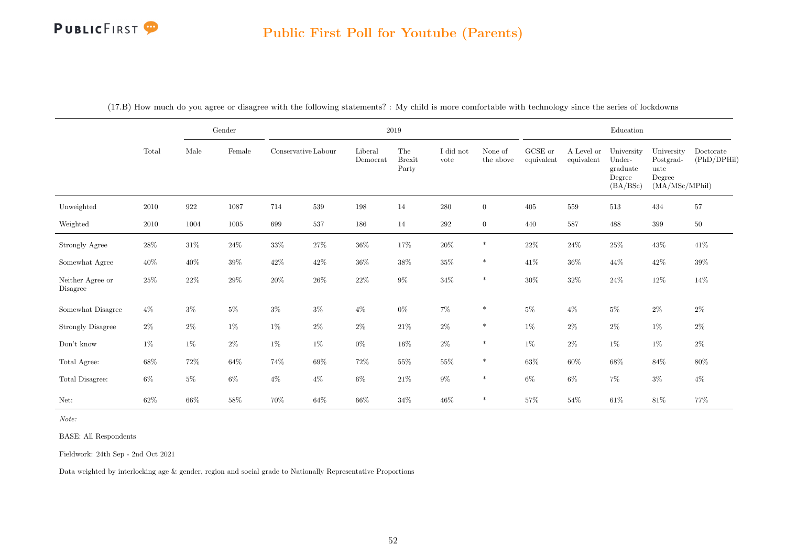|                              |        |        | $\operatorname{Gender}$ |        |                     |                     | $2019\,$                      |                   |                      |                       |                          | Education                                              |                                                             |                          |
|------------------------------|--------|--------|-------------------------|--------|---------------------|---------------------|-------------------------------|-------------------|----------------------|-----------------------|--------------------------|--------------------------------------------------------|-------------------------------------------------------------|--------------------------|
|                              | Total  | Male   | Female                  |        | Conservative Labour | Liberal<br>Democrat | The<br><b>Brexit</b><br>Party | I did not<br>vote | None of<br>the above | GCSE or<br>equivalent | A Level or<br>equivalent | University<br>Under-<br>graduate<br>Degree<br>(BA/BSc) | University<br>Postgrad-<br>uate<br>Degree<br>(MA/MSc/MPhil) | Doctorate<br>(PhD/DPHil) |
| Unweighted                   | 2010   | 922    | 1087                    | 714    | 539                 | 198                 | 14                            | 280               | $\overline{0}$       | 405                   | 559                      | 513                                                    | 434                                                         | 57                       |
| Weighted                     | 2010   | 1004   | 1005                    | 699    | $537\,$             | 186                 | 14                            | $\,292$           | $\overline{0}$       | 440                   | 587                      | 488                                                    | 399                                                         | $50\,$                   |
| Strongly Agree               | $28\%$ | $31\%$ | $24\%$                  | $33\%$ | $27\%$              | $36\%$              | $17\%$                        | $20\%$            | $\ast$               | $22\%$                | $24\%$                   | $25\%$                                                 | $43\%$                                                      | $41\%$                   |
| Somewhat Agree               | $40\%$ | $40\%$ | $39\%$                  | $42\%$ | 42\%                | $36\%$              | $38\%$                        | $35\%$            | $\ast$               | 41\%                  | $36\%$                   | $44\%$                                                 | $42\%$                                                      | $39\%$                   |
| Neither Agree or<br>Disagree | 25%    | $22\%$ | $29\%$                  | $20\%$ | $26\%$              | $22\%$              | $9\%$                         | $34\%$            | $\ast$               | $30\%$                | $32\%$                   | $24\%$                                                 | $12\%$                                                      | $14\%$                   |
| Somewhat Disagree            | $4\%$  | $3\%$  | $5\%$                   | $3\%$  | $3\%$               | $4\%$               | $0\%$                         | $7\%$             | $\ast$               | $5\%$                 | $4\%$                    | $5\%$                                                  | $2\%$                                                       | $2\%$                    |
| <b>Strongly Disagree</b>     | $2\%$  | $2\%$  | $1\%$                   | $1\%$  | $2\%$               | $2\%$               | $21\%$                        | $2\%$             | $\ast$               | $1\%$                 | $2\%$                    | $2\%$                                                  | $1\%$                                                       | $2\%$                    |
| Don't know                   | $1\%$  | $1\%$  | $2\%$                   | $1\%$  | $1\%$               | $0\%$               | $16\%$                        | $2\%$             | $*$                  | $1\%$                 | $2\%$                    | $1\%$                                                  | $1\%$                                                       | $2\%$                    |
| Total Agree:                 | $68\%$ | $72\%$ | $64\%$                  | 74%    | $69\%$              | $72\%$              | $55\%$                        | $55\%$            | $\ast$               | $63\%$                | $60\%$                   | $68\%$                                                 | $84\%$                                                      | $80\%$                   |
| Total Disagree:              | $6\%$  | $5\%$  | $6\%$                   | $4\%$  | $4\%$               | $6\%$               | $21\%$                        | $9\%$             | $\ast$               | $6\%$                 | $6\%$                    | $7\%$                                                  | $3\%$                                                       | $4\%$                    |
| Net:                         | 62%    | $66\%$ | $58\%$                  | 70%    | $64\%$              | 66%                 | $34\%$                        | $46\%$            | $\ast$               | $57\%$                | $54\%$                   | $61\%$                                                 | $81\%$                                                      | 77%                      |

(17.B) How much do you agree or disagree with the following statements? : My child is more comfortable with technology since the series of lockdowns

Note:

BASE: All Respondents

Fieldwork: 24th Sep - 2nd Oct 2021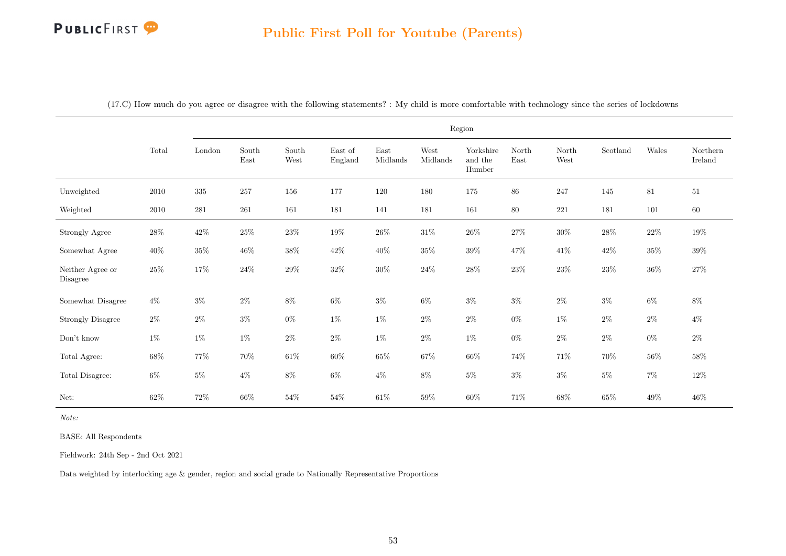|                              |          |                         |                                                 |               |                    |                  |                  | Region                         |               |               |          |        |                     |
|------------------------------|----------|-------------------------|-------------------------------------------------|---------------|--------------------|------------------|------------------|--------------------------------|---------------|---------------|----------|--------|---------------------|
|                              | Total    | $\operatorname{London}$ | $\operatorname{South}$<br>$\operatorname{East}$ | South<br>West | East of<br>England | East<br>Midlands | West<br>Midlands | Yorkshire<br>and the<br>Humber | North<br>East | North<br>West | Scotland | Wales  | Northern<br>Ireland |
| Unweighted                   | 2010     | $335\,$                 | 257                                             | 156           | 177                | 120              | 180              | 175                            | $86\,$        | $247\,$       | 145      | $81\,$ | $51\,$              |
| Weighted                     | $2010\,$ | $\bf 281$               | $261\,$                                         | 161           | 181                | 141              | 181              | 161                            | $80\,$        | $221\,$       | 181      | 101    | $60\,$              |
| Strongly Agree               | $28\%$   | $42\%$                  | $25\%$                                          | $23\%$        | $19\%$             | $26\%$           | $31\%$           | $26\%$                         | $27\%$        | $30\%$        | $28\%$   | $22\%$ | $19\%$              |
| Somewhat Agree               | $40\%$   | $35\%$                  | $46\%$                                          | $38\%$        | $42\%$             | $40\%$           | $35\%$           | $39\%$                         | $47\%$        | $41\%$        | $42\%$   | $35\%$ | $39\%$              |
| Neither Agree or<br>Disagree | $25\%$   | 17%                     | $24\%$                                          | $29\%$        | $32\%$             | $30\%$           | $24\%$           | $28\%$                         | $23\%$        | $23\%$        | $23\%$   | $36\%$ | $27\%$              |
| Somewhat Disagree            | $4\%$    | $3\%$                   | $2\%$                                           | $8\%$         | $6\%$              | $3\%$            | $6\%$            | $3\%$                          | $3\%$         | $2\%$         | $3\%$    | $6\%$  | $8\%$               |
| <b>Strongly Disagree</b>     | $2\%$    | $2\%$                   | $3\%$                                           | $0\%$         | $1\%$              | $1\%$            | $2\%$            | $2\%$                          | $0\%$         | $1\%$         | $2\%$    | $2\%$  | $4\%$               |
| Don't know                   | $1\%$    | $1\%$                   | $1\%$                                           | $2\%$         | $2\%$              | $1\%$            | $2\%$            | $1\%$                          | $0\%$         | $2\%$         | $2\%$    | $0\%$  | $2\%$               |
| Total Agree:                 | $68\%$   | $77\%$                  | $70\%$                                          | $61\%$        | $60\%$             | $65\%$           | $67\%$           | $66\%$                         | $74\%$        | $71\%$        | $70\%$   | $56\%$ | $58\%$              |
| Total Disagree:              | $6\%$    | $5\%$                   | $4\%$                                           | $8\%$         | $6\%$              | $4\%$            | $8\%$            | $5\%$                          | $3\%$         | $3\%$         | $5\%$    | $7\%$  | $12\%$              |
| Net:                         | $62\%$   | $72\%$                  | $66\%$                                          | $54\%$        | $54\%$             | $61\%$           | $59\%$           | $60\%$                         | $71\%$        | $68\%$        | $65\%$   | $49\%$ | $46\%$              |

(17.C) How much do you agree or disagree with the following statements? : My child is more comfortable with technology since the series of lockdowns

Note:

BASE: All Respondents

Fieldwork: 24th Sep - 2nd Oct 2021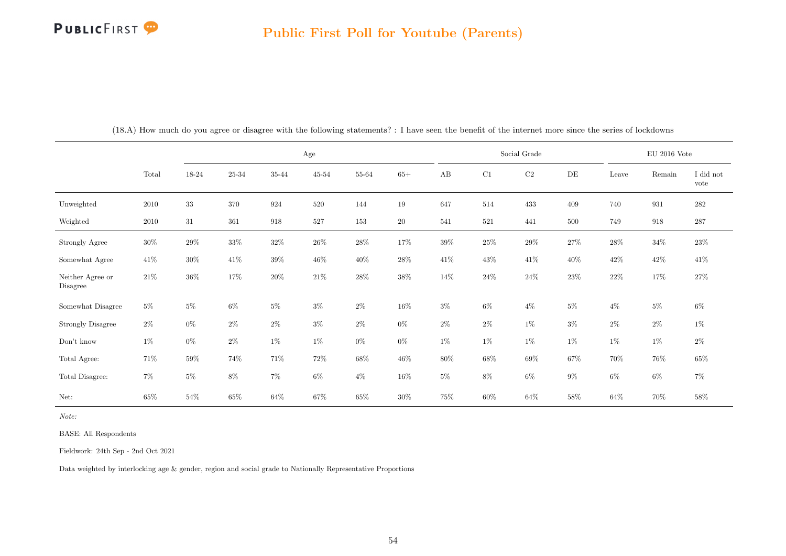|                              |        |        |           |        | Age       |        |           |          |        | Social Grade |           |        | $EU$ 2016 Vote |                   |
|------------------------------|--------|--------|-----------|--------|-----------|--------|-----------|----------|--------|--------------|-----------|--------|----------------|-------------------|
|                              | Total  | 18-24  | $25 - 34$ | 35-44  | $45 - 54$ | 55-64  | $65+$     | $\rm AB$ | C1     | $\rm C2$     | $\rm{DE}$ | Leave  | Remain         | I did not<br>vote |
| Unweighted                   | 2010   | 33     | $370\,$   | 924    | 520       | 144    | 19        | 647      | 514    | 433          | 409       | 740    | 931            | ${\bf 282}$       |
| Weighted                     | 2010   | 31     | 361       | 918    | 527       | 153    | <b>20</b> | 541      | 521    | 441          | 500       | 749    | 918            | $287\,$           |
| Strongly Agree               | $30\%$ | $29\%$ | $33\%$    | $32\%$ | $26\%$    | $28\%$ | $17\%$    | $39\%$   | $25\%$ | $29\%$       | 27%       | 28%    | $34\%$         | $23\%$            |
| Somewhat Agree               | 41\%   | $30\%$ | $41\%$    | $39\%$ | $46\%$    | $40\%$ | $28\%$    | $41\%$   | $43\%$ | $41\%$       | $40\%$    | $42\%$ | $42\%$         | $41\%$            |
| Neither Agree or<br>Disagree | $21\%$ | $36\%$ | 17%       | $20\%$ | $21\%$    | $28\%$ | $38\%$    | $14\%$   | $24\%$ | $24\%$       | $23\%$    | $22\%$ | 17%            | 27\%              |
| Somewhat Disagree            | $5\%$  | $5\%$  | $6\%$     | $5\%$  | $3\%$     | $2\%$  | $16\%$    | $3\%$    | $6\%$  | $4\%$        | $5\%$     | $4\%$  | $5\%$          | $6\%$             |
| <b>Strongly Disagree</b>     | $2\%$  | $0\%$  | $2\%$     | $2\%$  | $3\%$     | $2\%$  | $0\%$     | $2\%$    | $2\%$  | $1\%$        | $3\%$     | $2\%$  | $2\%$          | $1\%$             |
| Don't know                   | $1\%$  | $0\%$  | $2\%$     | $1\%$  | $1\%$     | $0\%$  | $0\%$     | $1\%$    | $1\%$  | $1\%$        | $1\%$     | 1%     | $1\%$          | $2\%$             |
| Total Agree:                 | 71%    | $59\%$ | $74\%$    | 71%    | $72\%$    | $68\%$ | $46\%$    | $80\%$   | $68\%$ | $69\%$       | 67%       | 70%    | 76%            | $65\%$            |
| Total Disagree:              | $7\%$  | $5\%$  | $8\%$     | $7\%$  | $6\%$     | $4\%$  | 16%       | $5\%$    | $8\%$  | $6\%$        | $9\%$     | $6\%$  | $6\%$          | $7\%$             |
| Net:                         | $65\%$ | $54\%$ | $65\%$    | $64\%$ | $67\%$    | $65\%$ | $30\%$    | 75%      | $60\%$ | $64\%$       | 58%       | $64\%$ | $70\%$         | $58\%$            |

(18.A) How much do you agree or disagree with the following statements? : I have seen the benefit of the internet more since the series of lockdowns

Note:

BASE: All Respondents

Fieldwork: 24th Sep - 2nd Oct 2021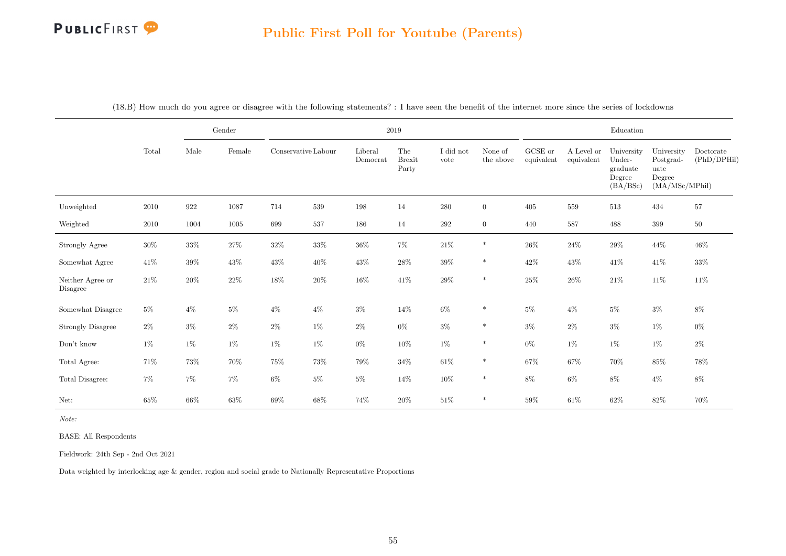|                              |        |         | Gender |                     |        |                     | $2019\,$                      |                   |                      |                       |                          | Education                                              |                                                             |                          |
|------------------------------|--------|---------|--------|---------------------|--------|---------------------|-------------------------------|-------------------|----------------------|-----------------------|--------------------------|--------------------------------------------------------|-------------------------------------------------------------|--------------------------|
|                              | Total  | Male    | Female | Conservative Labour |        | Liberal<br>Democrat | The<br><b>Brexit</b><br>Party | I did not<br>vote | None of<br>the above | GCSE or<br>equivalent | A Level or<br>equivalent | University<br>Under-<br>graduate<br>Degree<br>(BA/BSc) | University<br>Postgrad-<br>uate<br>Degree<br>(MA/MSc/MPhil) | Doctorate<br>(PhD/DPHil) |
| Unweighted                   | 2010   | $922\,$ | 1087   | 714                 | 539    | 198                 | 14                            | $280\,$           | $\overline{0}$       | 405                   | 559                      | 513                                                    | 434                                                         | $57\,$                   |
| Weighted                     | 2010   | 1004    | 1005   | 699                 | 537    | 186                 | 14                            | $\,292$           | $\overline{0}$       | 440                   | 587                      | 488                                                    | 399                                                         | $50\,$                   |
| Strongly Agree               | $30\%$ | $33\%$  | $27\%$ | $32\%$              | $33\%$ | $36\%$              | $7\%$                         | $21\%$            | $\ast$               | $26\%$                | $24\%$                   | $29\%$                                                 | $44\%$                                                      | $46\%$                   |
| Somewhat Agree               | 41\%   | $39\%$  | $43\%$ | $43\%$              | $40\%$ | $43\%$              | $28\%$                        | $39\%$            | $\ast$               | $42\%$                | $43\%$                   | $41\%$                                                 | $41\%$                                                      | $33\%$                   |
| Neither Agree or<br>Disagree | $21\%$ | $20\%$  | $22\%$ | $18\%$              | $20\%$ | $16\%$              | $41\%$                        | $29\%$            | $\ast$               | $25\%$                | $26\%$                   | $21\%$                                                 | $11\%$                                                      | $11\%$                   |
| Somewhat Disagree            | $5\%$  | $4\%$   | $5\%$  | $4\%$               | $4\%$  | $3\%$               | $14\%$                        | $6\%$             | $\ast$               | $5\%$                 | $4\%$                    | $5\%$                                                  | $3\%$                                                       | $8\%$                    |
| <b>Strongly Disagree</b>     | $2\%$  | $3\%$   | $2\%$  | $2\%$               | $1\%$  | $2\%$               | $0\%$                         | $3\%$             | $\ast$               | $3\%$                 | $2\%$                    | $3\%$                                                  | $1\%$                                                       | $0\%$                    |
| $\mathrm{Don't}$ know        | $1\%$  | $1\%$   | $1\%$  | $1\%$               | 1%     | $0\%$               | $10\%$                        | $1\%$             | $\ast$               | $0\%$                 | $1\%$                    | $1\%$                                                  | 1%                                                          | $2\%$                    |
| Total Agree:                 | $71\%$ | $73\%$  | 70%    | $75\%$              | $73\%$ | 79%                 | $34\%$                        | $61\%$            | $\ast$               | $67\%$                | $67\%$                   | $70\%$                                                 | $85\%$                                                      | 78%                      |
| Total Disagree:              | $7\%$  | $7\%$   | $7\%$  | $6\%$               | $5\%$  | $5\%$               | $14\%$                        | $10\%$            | $\ast$               | $8\%$                 | $6\%$                    | $8\%$                                                  | $4\%$                                                       | $8\%$                    |
| Net:                         | $65\%$ | $66\%$  | $63\%$ | $69\%$              | $68\%$ | $74\%$              | $20\%$                        | $51\%$            | $\ast$               | $59\%$                | $61\%$                   | $62\%$                                                 | $82\%$                                                      | $70\%$                   |

(18.B) How much do you agree or disagree with the following statements? : I have seen the benefit of the internet more since the series of lockdowns

Note:

BASE: All Respondents

Fieldwork: 24th Sep - 2nd Oct 2021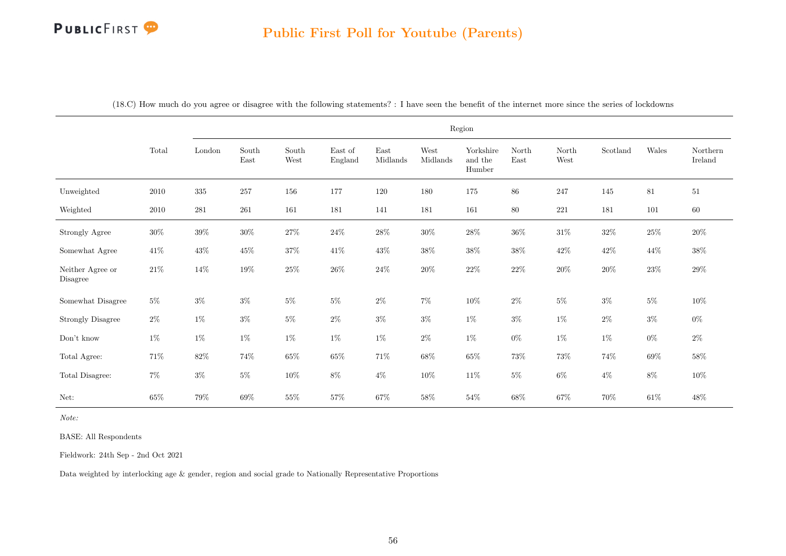|                                                                                                     |          |           |               |               |                    |                  |                  | Region                         |               |               |          |        |                     |
|-----------------------------------------------------------------------------------------------------|----------|-----------|---------------|---------------|--------------------|------------------|------------------|--------------------------------|---------------|---------------|----------|--------|---------------------|
|                                                                                                     | Total    | London    | South<br>East | South<br>West | East of<br>England | East<br>Midlands | West<br>Midlands | Yorkshire<br>and the<br>Humber | North<br>East | North<br>West | Scotland | Wales  | Northern<br>Ireland |
| Unweighted                                                                                          | 2010     | $335\,$   | 257           | 156           | 177                | 120              | 180              | 175                            | 86            | 247           | 145      | 81     | $51\,$              |
| Weighted                                                                                            | $2010\,$ | $\bf 281$ | $261\,$       | 161           | 181                | 141              | 181              | 161                            | $80\,$        | $221\,$       | 181      | 101    | $60\,$              |
| <b>Strongly Agree</b>                                                                               | $30\%$   | $39\%$    | $30\%$        | $27\%$        | $24\%$             | $28\%$           | $30\%$           | $28\%$                         | $36\%$        | $31\%$        | $32\%$   | $25\%$ | $20\%$              |
| Somewhat Agree                                                                                      | $41\%$   | $43\%$    | $45\%$        | $37\%$        | $41\%$             | $43\%$           | $38\%$           | $38\%$                         | $38\%$        | $42\%$        | $42\%$   | 44\%   | $38\%$              |
| Neither Agree or $% \left\langle \left\langle \cdot ,\cdot \right\rangle \right\rangle$<br>Disagree | $21\%$   | 14\%      | $19\%$        | $25\%$        | $26\%$             | $24\%$           | $20\%$           | $22\%$                         | $22\%$        | $20\%$        | $20\%$   | $23\%$ | $29\%$              |
| Somewhat Disagree                                                                                   | $5\%$    | $3\%$     | $3\%$         | $5\%$         | $5\%$              | $2\%$            | $7\%$            | $10\%$                         | $2\%$         | $5\%$         | $3\%$    | $5\%$  | $10\%$              |
| <b>Strongly Disagree</b>                                                                            | $2\%$    | $1\%$     | $3\%$         | $5\%$         | $2\%$              | $3\%$            | $3\%$            | $1\%$                          | $3\%$         | $1\%$         | $2\%$    | $3\%$  | $0\%$               |
| Don't know                                                                                          | $1\%$    | $1\%$     | $1\%$         | $1\%$         | $1\%$              | $1\%$            | $2\%$            | $1\%$                          | $0\%$         | $1\%$         | $1\%$    | $0\%$  | $2\%$               |
| Total Agree:                                                                                        | 71%      | $82\%$    | $74\%$        | $65\%$        | $65\%$             | $71\%$           | $68\%$           | $65\%$                         | $73\%$        | $73\%$        | 74%      | $69\%$ | $58\%$              |
| Total Disagree:                                                                                     | $7\%$    | $3\%$     | $5\%$         | $10\%$        | $8\%$              | $4\%$            | $10\%$           | $11\%$                         | $5\%$         | $6\%$         | $4\%$    | $8\%$  | $10\%$              |
| Net:                                                                                                | $65\%$   | $79\%$    | $69\%$        | $55\%$        | $57\%$             | $67\%$           | $58\%$           | 54%                            | $68\%$        | $67\%$        | $70\%$   | $61\%$ | $48\%$              |

(18.C) How much do you agree or disagree with the following statements? : I have seen the benefit of the internet more since the series of lockdowns

Note:

BASE: All Respondents

Fieldwork: 24th Sep - 2nd Oct 2021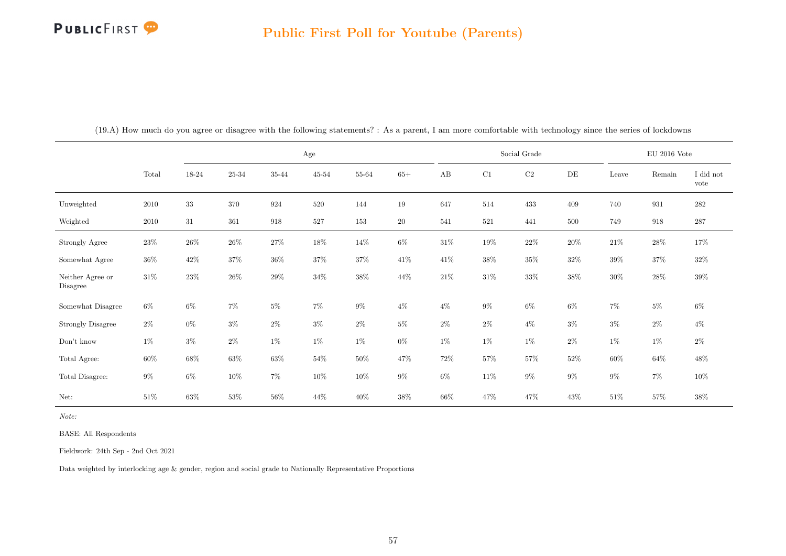|                              |        |        |         |        | Age       |        |           |        |         | Social Grade |           |        | $\rm EU$ 2016 Vote |                   |
|------------------------------|--------|--------|---------|--------|-----------|--------|-----------|--------|---------|--------------|-----------|--------|--------------------|-------------------|
|                              | Total  | 18-24  | 25-34   | 35-44  | $45 - 54$ | 55-64  | $65+$     | AB     | C1      | $\rm{C2}$    | $\rm{DE}$ | Leave  | Remain             | I did not<br>vote |
| Unweighted                   | 2010   | $33\,$ | $370\,$ | 924    | 520       | 144    | 19        | 647    | 514     | 433          | 409       | 740    | 931                | $\bf 282$         |
| Weighted                     | 2010   | 31     | 361     | 918    | 527       | 153    | <b>20</b> | 541    | $521\,$ | 441          | 500       | 749    | 918                | $287\,$           |
| Strongly Agree               | $23\%$ | $26\%$ | $26\%$  | $27\%$ | 18%       | $14\%$ | $6\%$     | $31\%$ | $19\%$  | $22\%$       | $20\%$    | $21\%$ | $28\%$             | 17%               |
| Somewhat Agree               | $36\%$ | $42\%$ | $37\%$  | $36\%$ | 37%       | $37\%$ | $41\%$    | 41\%   | $38\%$  | $35\%$       | $32\%$    | $39\%$ | $37\%$             | $32\%$            |
| Neither Agree or<br>Disagree | $31\%$ | $23\%$ | $26\%$  | $29\%$ | $34\%$    | $38\%$ | 44\%      | $21\%$ | $31\%$  | $33\%$       | $38\%$    | $30\%$ | $28\%$             | $39\%$            |
| Somewhat Disagree            | $6\%$  | 6%     | $7\%$   | $5\%$  | 7%        | $9\%$  | $4\%$     | $4\%$  | $9\%$   | $6\%$        | $6\%$     | $7\%$  | $5\%$              | $6\%$             |
| <b>Strongly Disagree</b>     | $2\%$  | $0\%$  | $3\%$   | $2\%$  | $3\%$     | $2\%$  | $5\%$     | $2\%$  | $2\%$   | $4\%$        | $3\%$     | $3\%$  | $2\%$              | $4\%$             |
| Don't know                   | $1\%$  | $3\%$  | $2\%$   | $1\%$  | $1\%$     | 1%     | $0\%$     | $1\%$  | $1\%$   | $1\%$        | $2\%$     | $1\%$  | $1\%$              | $2\%$             |
| Total Agree:                 | $60\%$ | 68%    | $63\%$  | $63\%$ | $54\%$    | $50\%$ | 47%       | $72\%$ | $57\%$  | $57\%$       | $52\%$    | $60\%$ | $64\%$             | $48\%$            |
| Total Disagree:              | $9\%$  | $6\%$  | $10\%$  | $7\%$  | 10%       | 10\%   | $9\%$     | $6\%$  | 11\%    | $9\%$        | $9\%$     | $9\%$  | $7\%$              | $10\%$            |
| Net:                         | $51\%$ | $63\%$ | $53\%$  | $56\%$ | 44\%      | $40\%$ | 38\%      | $66\%$ | 47\%    | 47\%         | $43\%$    | $51\%$ | $57\%$             | $38\%$            |

(19.A) How much do you agree or disagree with the following statements? : As a parent, I am more comfortable with technology since the series of lockdowns

Note:

BASE: All Respondents

Fieldwork: 24th Sep - 2nd Oct 2021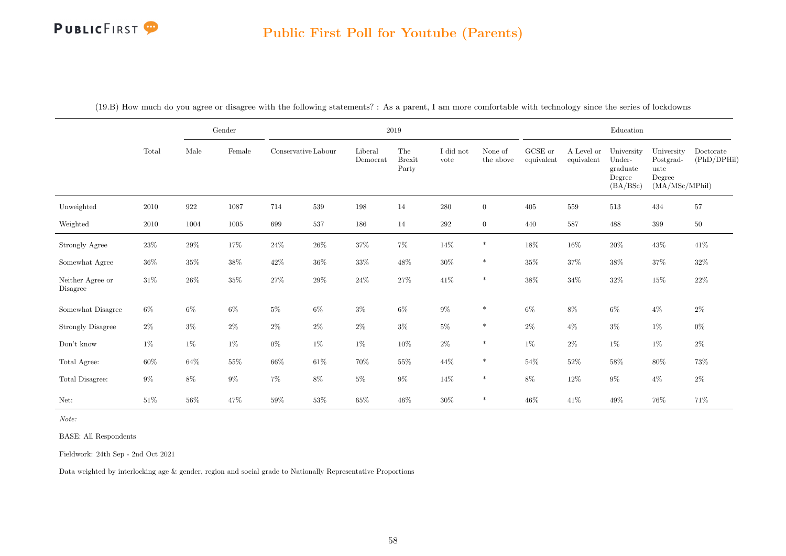#### Public First Poll for Youtube (Parents)

|                              |        |        | Gender |                     |         |                     | $2019\,$                      |                   |                      |                       |                          | Education                                              |                                                             |                          |
|------------------------------|--------|--------|--------|---------------------|---------|---------------------|-------------------------------|-------------------|----------------------|-----------------------|--------------------------|--------------------------------------------------------|-------------------------------------------------------------|--------------------------|
|                              | Total  | Male   | Female | Conservative Labour |         | Liberal<br>Democrat | The<br><b>Brexit</b><br>Party | I did not<br>vote | None of<br>the above | GCSE or<br>equivalent | A Level or<br>equivalent | University<br>Under-<br>graduate<br>Degree<br>(BA/BSc) | University<br>Postgrad-<br>uate<br>Degree<br>(MA/MSc/MPhil) | Doctorate<br>(PhD/DPHil) |
| Unweighted                   | 2010   | 922    | 1087   | 714                 | $539\,$ | 198                 | 14                            | 280               | $\overline{0}$       | 405                   | 559                      | 513                                                    | 434                                                         | $57\,$                   |
| Weighted                     | 2010   | 1004   | 1005   | 699                 | $537\,$ | 186                 | 14                            | $\,292$           | $\overline{0}$       | 440                   | 587                      | 488                                                    | 399                                                         | $50\,$                   |
| Strongly Agree               | $23\%$ | $29\%$ | $17\%$ | $24\%$              | $26\%$  | $37\%$              | $7\%$                         | $14\%$            | $\ast$               | $18\%$                | $16\%$                   | $20\%$                                                 | $43\%$                                                      | $41\%$                   |
| Somewhat Agree               | $36\%$ | $35\%$ | $38\%$ | 42\%                | $36\%$  | $33\%$              | $48\%$                        | $30\%$            | $\ast$               | $35\%$                | $37\%$                   | $38\%$                                                 | $37\%$                                                      | $32\%$                   |
| Neither Agree or<br>Disagree | $31\%$ | $26\%$ | $35\%$ | 27%                 | $29\%$  | $24\%$              | $27\%$                        | $41\%$            | $\ast$               | $38\%$                | $34\%$                   | $32\%$                                                 | 15%                                                         | $22\%$                   |
| Somewhat Disagree            | $6\%$  | $6\%$  | $6\%$  | $5\%$               | $6\%$   | $3\%$               | $6\%$                         | $9\%$             | $\ast$               | $6\%$                 | $8\%$                    | $6\%$                                                  | $4\%$                                                       | $2\%$                    |
| <b>Strongly Disagree</b>     | $2\%$  | $3\%$  | $2\%$  | $2\%$               | $2\%$   | $2\%$               | $3\%$                         | $5\%$             | $\ast$               | $2\%$                 | $4\%$                    | $3\%$                                                  | $1\%$                                                       | $0\%$                    |
| $\mathrm{Don't}$ know        | $1\%$  | $1\%$  | $1\%$  | $0\%$               | $1\%$   | $1\%$               | $10\%$                        | $2\%$             | $\ast$               | $1\%$                 | $2\%$                    | $1\%$                                                  | $1\%$                                                       | $2\%$                    |
| Total Agree:                 | $60\%$ | $64\%$ | $55\%$ | $66\%$              | $61\%$  | $70\%$              | $55\%$                        | $44\%$            | $\ast$               | $54\%$                | $52\%$                   | $58\%$                                                 | $80\%$                                                      | $73\%$                   |
| Total Disagree:              | $9\%$  | $8\%$  | $9\%$  | $7\%$               | $8\%$   | $5\%$               | $9\%$                         | $14\%$            | $\ast$               | $8\%$                 | $12\%$                   | $9\%$                                                  | $4\%$                                                       | $2\%$                    |
| Net:                         | 51\%   | $56\%$ | $47\%$ | $59\%$              | $53\%$  | $65\%$              | $46\%$                        | $30\%$            | $\ast$               | $46\%$                | 41%                      | 49\%                                                   | 76%                                                         | 71%                      |

(19.B) How much do you agree or disagree with the following statements? : As a parent, I am more comfortable with technology since the series of lockdowns

Note:

BASE: All Respondents

Fieldwork: 24th Sep - 2nd Oct 2021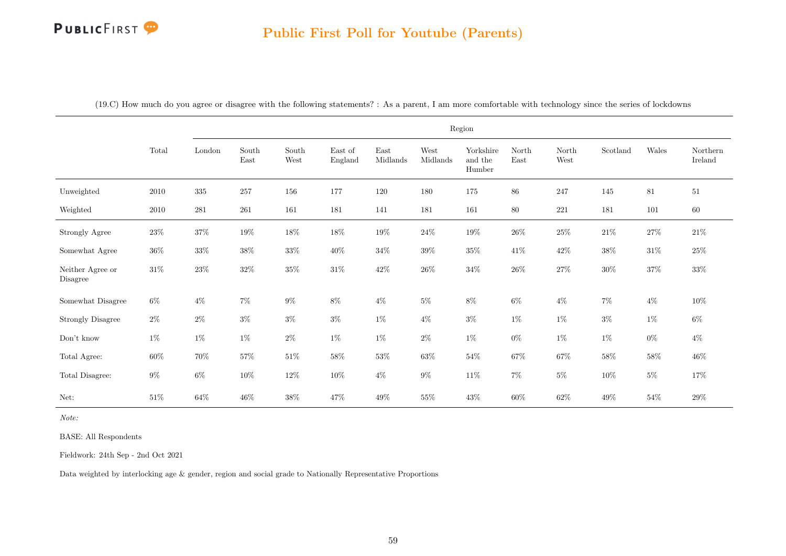# Public First Poll for Youtube (Parents)

| (19.C) How much do you agree or disagree with the following statements? : As a parent, I am more comfortable with technology since the series of lockdowns |  |  |  |  |  |  |  |  |
|------------------------------------------------------------------------------------------------------------------------------------------------------------|--|--|--|--|--|--|--|--|
|------------------------------------------------------------------------------------------------------------------------------------------------------------|--|--|--|--|--|--|--|--|

|                              |          |           |               |               |                    |                  |                  | Region                         |               |               |          |        |                     |
|------------------------------|----------|-----------|---------------|---------------|--------------------|------------------|------------------|--------------------------------|---------------|---------------|----------|--------|---------------------|
|                              | Total    | London    | South<br>East | South<br>West | East of<br>England | East<br>Midlands | West<br>Midlands | Yorkshire<br>and the<br>Humber | North<br>East | North<br>West | Scotland | Wales  | Northern<br>Ireland |
| Unweighted                   | $2010\,$ | 335       | 257           | 156           | 177                | 120              | 180              | 175                            | 86            | 247           | 145      | 81     | 51                  |
| Weighted                     | $2010\,$ | $\bf 281$ | $261\,$       | 161           | 181                | 141              | 181              | 161                            | 80            | $221\,$       | 181      | 101    | 60                  |
| Strongly Agree               | $23\%$   | $37\%$    | $19\%$        | $18\%$        | $18\%$             | $19\%$           | $24\%$           | $19\%$                         | $26\%$        | $25\%$        | $21\%$   | $27\%$ | $21\%$              |
| Somewhat Agree               | $36\%$   | $33\%$    | $38\%$        | $33\%$        | $40\%$             | $34\%$           | $39\%$           | $35\%$                         | $41\%$        | $42\%$        | $38\%$   | $31\%$ | $25\%$              |
| Neither Agree or<br>Disagree | $31\%$   | $23\%$    | $32\%$        | $35\%$        | $31\%$             | $42\%$           | $26\%$           | $34\%$                         | $26\%$        | $27\%$        | $30\%$   | $37\%$ | $33\%$              |
| Somewhat Disagree            | $6\%$    | $4\%$     | $7\%$         | $9\%$         | $8\%$              | $4\%$            | $5\%$            | $8\%$                          | $6\%$         | $4\%$         | $7\%$    | $4\%$  | $10\%$              |
| <b>Strongly Disagree</b>     | $2\%$    | $2\%$     | $3\%$         | $3\%$         | $3\%$              | $1\%$            | $4\%$            | $3\%$                          | $1\%$         | $1\%$         | $3\%$    | $1\%$  | $6\%$               |
| Don't know                   | $1\%$    | $1\%$     | $1\%$         | $2\%$         | $1\%$              | $1\%$            | $2\%$            | $1\%$                          | $0\%$         | $1\%$         | $1\%$    | $0\%$  | $4\%$               |
| Total Agree:                 | $60\%$   | 70%       | $57\%$        | $51\%$        | $58\%$             | $53\%$           | $63\%$           | $54\%$                         | $67\%$        | $67\%$        | $58\%$   | $58\%$ | $46\%$              |
| Total Disagree:              | $9\%$    | $6\%$     | $10\%$        | $12\%$        | $10\%$             | $4\%$            | $9\%$            | $11\%$                         | $7\%$         | $5\%$         | $10\%$   | $5\%$  | $17\%$              |
| Net:                         | $51\%$   | $64\%$    | $46\%$        | $38\%$        | $47\%$             | $49\%$           | $55\%$           | $43\%$                         | $60\%$        | $62\%$        | $49\%$   | $54\%$ | $29\%$              |

Note:

BASE: All Respondents

Fieldwork: 24th Sep - 2nd Oct 2021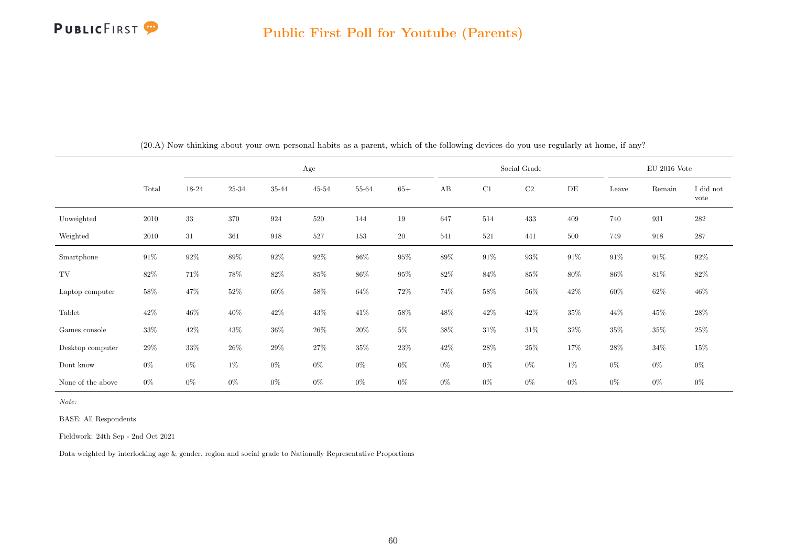

|                   |        |        |        |        | Age    |        |        |        |        | Social Grade |        |        | $EU$ 2016 Vote |                   |
|-------------------|--------|--------|--------|--------|--------|--------|--------|--------|--------|--------------|--------|--------|----------------|-------------------|
|                   | Total  | 18-24  | 25-34  | 35-44  | 45-54  | 55-64  | $65+$  | AB     | C1     | $\rm C2$     | DE     | Leave  | Remain         | I did not<br>vote |
| Unweighted        | 2010   | 33     | 370    | 924    | 520    | 144    | 19     | 647    | 514    | 433          | 409    | 740    | 931            | $282\,$           |
| Weighted          | 2010   | $31\,$ | 361    | 918    | 527    | 153    | $20\,$ | 541    | 521    | 441          | 500    | 749    | 918            | $287\,$           |
| Smartphone        | $91\%$ | $92\%$ | 89%    | $92\%$ | $92\%$ | 86%    | $95\%$ | 89%    | $91\%$ | $93\%$       | $91\%$ | $91\%$ | $91\%$         | $92\%$            |
| TV                | $82\%$ | 71%    | 78%    | $82\%$ | $85\%$ | 86%    | $95\%$ | $82\%$ | 84\%   | $85\%$       | 80%    | 86%    | $81\%$         | 82\%              |
| Laptop computer   | $58\%$ | 47\%   | $52\%$ | $60\%$ | $58\%$ | $64\%$ | 72\%   | 74%    | 58%    | 56%          | 42\%   | $60\%$ | $62\%$         | $46\%$            |
| Tablet            | $42\%$ | 46%    | 40\%   | $42\%$ | 43\%   | $41\%$ | $58\%$ | $48\%$ | $42\%$ | $42\%$       | 35%    | $44\%$ | $45\%$         | $28\%$            |
| Games console     | $33\%$ | 42\%   | $43\%$ | $36\%$ | $26\%$ | $20\%$ | $5\%$  | $38\%$ | $31\%$ | $31\%$       | $32\%$ | $35\%$ | $35\%$         | $25\%$            |
| Desktop computer  | $29\%$ | $33\%$ | $26\%$ | $29\%$ | 27%    | $35\%$ | $23\%$ | $42\%$ | $28\%$ | $25\%$       | 17%    | 28%    | $34\%$         | $15\%$            |
| Dont know         | $0\%$  | $0\%$  | $1\%$  | $0\%$  | $0\%$  | $0\%$  | $0\%$  | $0\%$  | $0\%$  | $0\%$        | $1\%$  | $0\%$  | $0\%$          | $0\%$             |
| None of the above | $0\%$  | $0\%$  | $0\%$  | $0\%$  | $0\%$  | $0\%$  | $0\%$  | $0\%$  | $0\%$  | $0\%$        | $0\%$  | $0\%$  | $0\%$          | $0\%$             |

(20.A) Now thinking about your own personal habits as a parent, which of the following devices do you use regularly at home, if any?

Note:

BASE: All Respondents

Fieldwork: 24th Sep - 2nd Oct 2021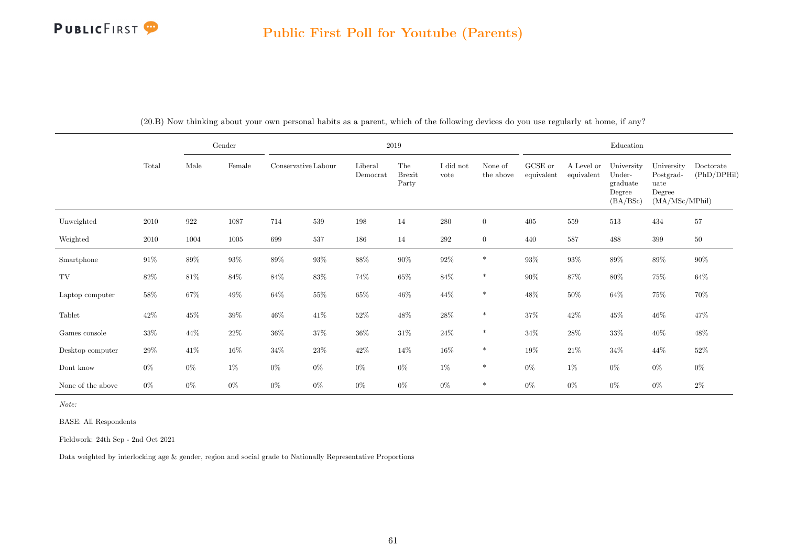|                   |        |                    | Gender |                     |        |                     | $2019\,$                      |                   |                      |                       |                          | Education                                               |                                                             |                          |
|-------------------|--------|--------------------|--------|---------------------|--------|---------------------|-------------------------------|-------------------|----------------------|-----------------------|--------------------------|---------------------------------------------------------|-------------------------------------------------------------|--------------------------|
|                   | Total  | Male               | Female | Conservative Labour |        | Liberal<br>Democrat | The<br><b>Brexit</b><br>Party | I did not<br>vote | None of<br>the above | GCSE or<br>equivalent | A Level or<br>equivalent | University<br>Under-<br>graduate<br>Degree<br>(BA/ BSc) | University<br>Postgrad-<br>uate<br>Degree<br>(MA/MSc/MPhil) | Doctorate<br>(PhD/DPHil) |
| Unweighted        | 2010   | $\boldsymbol{922}$ | 1087   | 714                 | 539    | $198\,$             | 14                            | $280\,$           | $\overline{0}$       | 405                   | 559                      | 513                                                     | 434                                                         | 57                       |
| Weighted          | 2010   | 1004               | 1005   | 699                 | 537    | 186                 | 14                            | 292               | $\overline{0}$       | 440                   | 587                      | 488                                                     | 399                                                         | $50\,$                   |
| Smartphone        | $91\%$ | 89%                | $93\%$ | $89\%$              | $93\%$ | $88\%$              | $90\%$                        | $92\%$            | $\ast$               | 93%                   | $93\%$                   | $89\%$                                                  | $89\%$                                                      | $90\%$                   |
| TV                | 82\%   | $81\%$             | $84\%$ | $84\%$              | 83\%   | $74\%$              | $65\%$                        | $84\%$            | $\ast$               | $90\%$                | $87\%$                   | $80\%$                                                  | $75\%$                                                      | $64\%$                   |
| Laptop computer   | 58%    | $67\%$             | $49\%$ | $64\%$              | $55\%$ | $65\%$              | $46\%$                        | $44\%$            | $\ast$               | $48\%$                | $50\%$                   | $64\%$                                                  | 75%                                                         | 70%                      |
| Tablet            | $42\%$ | 45%                | $39\%$ | $46\%$              | $41\%$ | $52\%$              | $48\%$                        | $28\%$            | $\ast$               | $37\%$                | $42\%$                   | $45\%$                                                  | $46\%$                                                      | 47%                      |
| Games console     | $33\%$ | 44\%               | $22\%$ | $36\%$              | 37%    | $36\%$              | $31\%$                        | $24\%$            | $\ast$               | $34\%$                | $28\%$                   | $33\%$                                                  | $40\%$                                                      | $48\%$                   |
| Desktop computer  | $29\%$ | 41\%               | $16\%$ | 34%                 | 23\%   | 42\%                | 14%                           | $16\%$            | $\ast$               | $19\%$                | $21\%$                   | $34\%$                                                  | 44%                                                         | $52\%$                   |
| Dont know         | $0\%$  | $0\%$              | $1\%$  | $0\%$               | $0\%$  | $0\%$               | $0\%$                         | $1\%$             | $\ast$               | $0\%$                 | $1\%$                    | $0\%$                                                   | $0\%$                                                       | $0\%$                    |
| None of the above | $0\%$  | $0\%$              | $0\%$  | $0\%$               | $0\%$  | $0\%$               | $0\%$                         | $0\%$             | $\ast$               | $0\%$                 | $0\%$                    | $0\%$                                                   | $0\%$                                                       | $2\%$                    |

(20.B) Now thinking about your own personal habits as a parent, which of the following devices do you use regularly at home, if any?

Note:

BASE: All Respondents

Fieldwork: 24th Sep - 2nd Oct 2021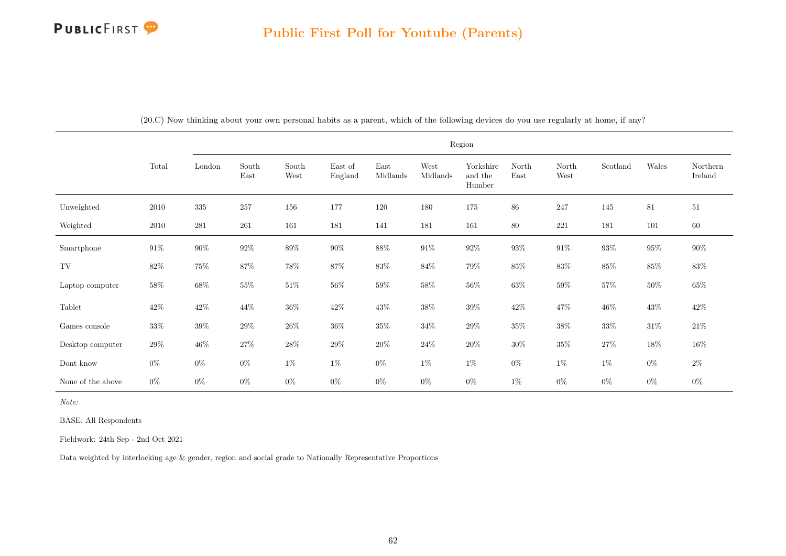|                   |          |           |               |               |                    |                                   |                                   | Region                         |               |               |          |        |                     |
|-------------------|----------|-----------|---------------|---------------|--------------------|-----------------------------------|-----------------------------------|--------------------------------|---------------|---------------|----------|--------|---------------------|
|                   | Total    | London    | South<br>East | South<br>West | East of<br>England | $\operatorname{East}$<br>Midlands | $\operatorname{West}$<br>Midlands | Yorkshire<br>and the<br>Humber | North<br>East | North<br>West | Scotland | Wales  | Northern<br>Ireland |
| Unweighted        | $2010\,$ | $335\,$   | $257\,$       | 156           | 177                | 120                               | 180                               | 175                            | 86            | 247           | 145      | 81     | 51                  |
| Weighted          | 2010     | $\bf 281$ | 261           | 161           | 181                | 141                               | 181                               | 161                            | $80\,$        | 221           | 181      | 101    | 60                  |
| Smartphone        | $91\%$   | $90\%$    | $92\%$        | $89\%$        | $90\%$             | $88\%$                            | $91\%$                            | $92\%$                         | $93\%$        | $91\%$        | $93\%$   | $95\%$ | $90\%$              |
| TV                | $82\%$   | $75\%$    | $87\%$        | $78\%$        | $87\%$             | $83\%$                            | $84\%$                            | 79%                            | $85\%$        | $83\%$        | $85\%$   | $85\%$ | $83\%$              |
| Laptop computer   | $58\%$   | $68\%$    | $55\%$        | $51\%$        | $56\%$             | $59\%$                            | $58\%$                            | $56\%$                         | $63\%$        | $59\%$        | $57\%$   | $50\%$ | $65\%$              |
| Tablet            | $42\%$   | $42\%$    | 44\%          | $36\%$        | $42\%$             | $43\%$                            | $38\%$                            | $39\%$                         | $42\%$        | $47\%$        | $46\%$   | $43\%$ | $42\%$              |
| Games console     | $33\%$   | $39\%$    | $29\%$        | $26\%$        | $36\%$             | $35\%$                            | $34\%$                            | $29\%$                         | $35\%$        | $38\%$        | $33\%$   | $31\%$ | $21\%$              |
| Desktop computer  | $29\%$   | $46\%$    | $27\%$        | $28\%$        | $29\%$             | $20\%$                            | $24\%$                            | $20\%$                         | $30\%$        | $35\%$        | $27\%$   | $18\%$ | $16\%$              |
| Dont know         | $0\%$    | $0\%$     | $0\%$         | $1\%$         | $1\%$              | $0\%$                             | $1\%$                             | $1\%$                          | $0\%$         | $1\%$         | $1\%$    | $0\%$  | $2\%$               |
| None of the above | $0\%$    | $0\%$     | $0\%$         | $0\%$         | $0\%$              | $0\%$                             | $0\%$                             | $0\%$                          | $1\%$         | $0\%$         | $0\%$    | $0\%$  | $0\%$               |

(20.C) Now thinking about your own personal habits as a parent, which of the following devices do you use regularly at home, if any?

Note:

BASE: All Respondents

Fieldwork: 24th Sep - 2nd Oct 2021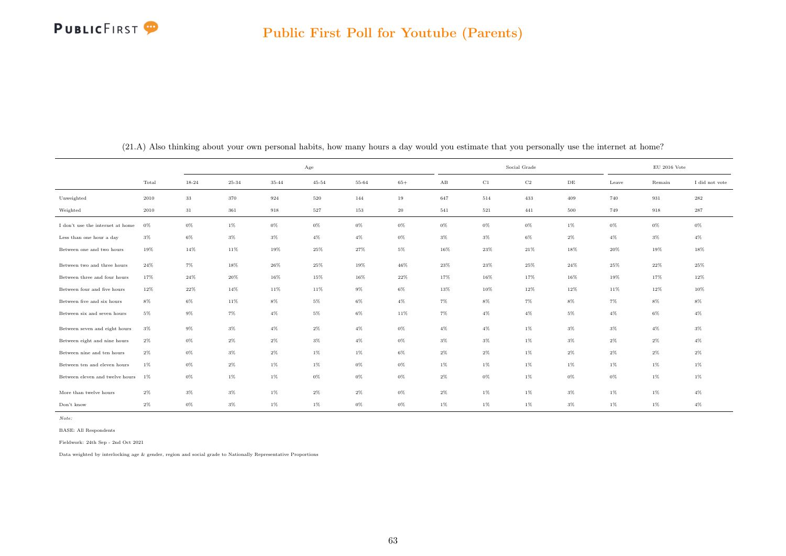|                                  |       |           |       |        | Age       |       |        |                        |        | Social Grade |           |       | $\rm EU$ 2016 Vote |                |
|----------------------------------|-------|-----------|-------|--------|-----------|-------|--------|------------------------|--------|--------------|-----------|-------|--------------------|----------------|
|                                  | Total | $18 - 24$ | 25-34 | 35-44  | $45 - 54$ | 55-64 | $65+$  | $\mathbf{A}\mathbf{B}$ | C1     | $_{\rm C2}$  | $\rm{DE}$ | Leave | Remain             | I did not vote |
| Unweighted                       | 2010  | 33        | 370   | 924    | $520\,$   | 144   | $19\,$ | 647                    | 514    | 433          | 409       | 740   | 931                | 282            |
| Weighted                         | 2010  | 31        | 361   | 918    | $527\,$   | 153   | 20     | 541                    | 521    | 441          | $500\,$   | 749   | $\boldsymbol{918}$ | 287            |
| I don't use the internet at home | 0%    | $0\%$     | $1\%$ | $0\%$  | $0\%$     | $0\%$ | $0\%$  | $0\%$                  | $0\%$  | $0\%$        | $1\%$     | $0\%$ | $0\%$              | $0\%$          |
| Less than one hour a day         | $3\%$ | $6\%$     | $3\%$ | $3\%$  | $4\%$     | $4\%$ | $0\%$  | $3\%$                  | $3\%$  | $6\%$        | $2\%$     | $4\%$ | $3\%$              | $4\%$          |
| Between one and two hours        | 19%   | 14%       | 11%   | 19%    | 25%       | 27%   | $5\%$  | 16%                    | 23%    | $21\%$       | 18%       | 20%   | 19%                | 18%            |
| Between two and three hours      | 24%   | $7\%$     | 18%   | $26\%$ | $25\%$    | 19%   | $46\%$ | 23%                    | $23\%$ | $25\%$       | 24%       | 25%   | $22\%$             | 25%            |
| Between three and four hours     | 17%   | 24%       | 20%   | 16%    | 15%       | 16%   | $22\%$ | 17%                    | 16%    | 17%          | 16%       | 19%   | 17%                | 12%            |
| Between four and five hours      | 12%   | $22\%$    | 14%   | 11%    | 11%       | $9\%$ | $6\%$  | 13%                    | 10%    | 12%          | 12%       | 11%   | 12%                | 10%            |
| Between five and six hours       | $8\%$ | $6\%$     | 11%   | $8\%$  | $5\%$     | $6\%$ | $4\%$  | $7\%$                  | $8\%$  | $7\%$        | $8\%$     | $7\%$ | $8\%$              | $8\%$          |
| Between six and seven hours      | $5\%$ | $9\%$     | $7\%$ | $4\%$  | $5\%$     | $6\%$ | 11%    | 7%                     | $4\%$  | $4\%$        | $5\%$     | $4\%$ | $6\%$              | $4\%$          |
| Between seven and eight hours    | $3\%$ | $9\%$     | $3\%$ | $4\%$  | $2\%$     | $4\%$ | $0\%$  | $4\%$                  | $4\%$  | $1\%$        | $3\%$     | $3\%$ | $4\%$              | $3\%$          |
| Between eight and nine hours     | $2\%$ | $0\%$     | $2\%$ | $2\%$  | $3\%$     | $4\%$ | $0\%$  | $3\%$                  | $3\%$  | $1\%$        | $3\%$     | $2\%$ | $2\%$              | $4\%$          |
| Between nine and ten hours       | $2\%$ | $0\%$     | $3\%$ | $2\%$  | 1%        | $1\%$ | $6\%$  | $2\%$                  | $2\%$  | $1\%$        | $2\%$     | $2\%$ | $2\%$              | $2\%$          |
| Between ten and eleven hours     | 1%    | $0\%$     | $2\%$ | $1\%$  | 1%        | $0\%$ | $0\%$  | $1\%$                  | $1\%$  | $1\%$        | $1\%$     | $1\%$ | $1\%$              | $1\%$          |
| Between eleven and twelve hours  | $1\%$ | $0\%$     | $1\%$ | $1\%$  | $0\%$     | $0\%$ | $0\%$  | $2\%$                  | $0\%$  | $1\%$        | $0\%$     | $0\%$ | $1\%$              | $1\%$          |
| More than twelve hours           | $2\%$ | $3\%$     | $3\%$ | $1\%$  | $2\%$     | $2\%$ | $0\%$  | $2\%$                  | $1\%$  | $1\%$        | $3\%$     | $1\%$ | $1\%$              | $4\%$          |
| Don't know                       | $2\%$ | $0\%$     | $3\%$ | $1\%$  | $1\%$     | $0\%$ | $0\%$  | $1\%$                  | $1\%$  | $1\%$        | $3\%$     | $1\%$ | $1\%$              | $4\%$          |

(21.A) Also thinking about your own personal habits, how many hours a day would you estimate that you personally use the internet at home?

Note:

BASE: All Respondents

Fieldwork: 24th Sep - 2nd Oct 2021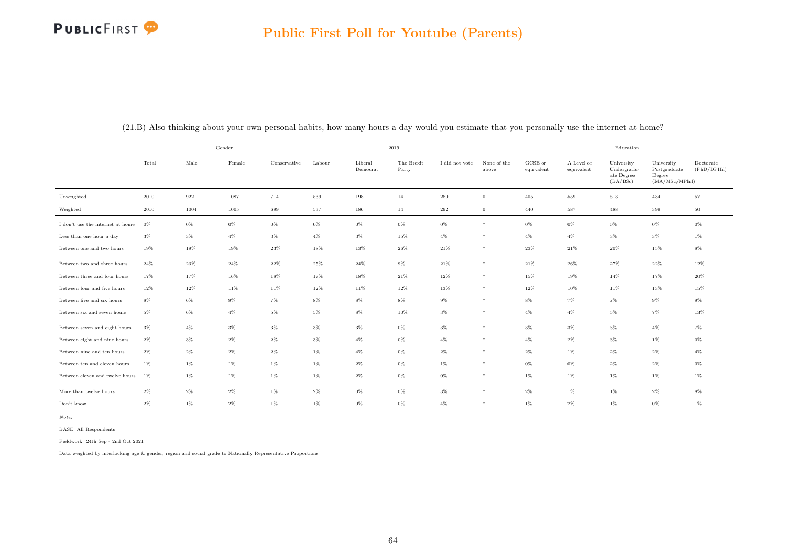#### PUBLICFIRST<sup>9</sup>

|                                    |       |       | Gender |              |        |                     | 2019                |                |                      |                       |                          | Education                                           |                                                         |                          |
|------------------------------------|-------|-------|--------|--------------|--------|---------------------|---------------------|----------------|----------------------|-----------------------|--------------------------|-----------------------------------------------------|---------------------------------------------------------|--------------------------|
|                                    | Total | Male  | Female | Conservative | Labour | Liberal<br>Democrat | The Brexit<br>Party | I did not vote | None of the<br>above | GCSE or<br>equivalent | A Level or<br>equivalent | University<br>Undergradu-<br>ate Degree<br>(BA/BSc) | University<br>Postgraduate<br>Degree<br>(MA/MSc/MPhill) | Doctorate<br>(PhD/DPHil) |
| Unweighted                         | 2010  | 922   | 1087   | 714          | 539    | 198                 | 14                  | 280            | $\overline{0}$       | 405                   | 559                      | 513                                                 | 434                                                     | 57                       |
| Weighted                           | 2010  | 1004  | 1005   | 699          | 537    | 186                 | 14                  | 292            | $\mathbf{0}$         | 440                   | 587                      | 488                                                 | 399                                                     | $50\,$                   |
| I don't use the internet at home   | 0%    | $0\%$ | $0\%$  | $0\%$        | $0\%$  | 0%                  | $0\%$               | 0%             | $\ast$               | $0\%$                 | $0\%$                    | $0\%$                                               | $0\%$                                                   | 0%                       |
| Less than one hour a day           | $3\%$ | $3\%$ | $4\%$  | $3\%$        | $4\%$  | $3\%$               | 15%                 | 4%             | $*$                  | $4\%$                 | $4\%$                    | $3\%$                                               | $3\%$                                                   | $1\%$                    |
| Between one and two hours          | 19%   | 19%   | 19%    | 23%          | 18%    | 13%                 | 26%                 | 21%            | *                    | $23\%$                | 21%                      | $20\%$                                              | 15%                                                     | $8\%$                    |
| Between two and three hours        | 24%   | 23%   | 24%    | 22%          | 25%    | 24%                 | $9\%$               | 21%            | $\ast$               | 21%                   | 26%                      | 27%                                                 | 22%                                                     | 12%                      |
| Between three and four hours       | 17%   | 17%   | 16%    | 18%          | 17%    | 18%                 | $21\%$              | 12%            | $*$                  | 15%                   | 19%                      | 14%                                                 | 17%                                                     | 20%                      |
| Between four and five hours        | 12%   | 12%   | 11%    | 11%          | 12%    | 11%                 | $12\%$              | $13\%$         | $*$                  | $12\%$                | 10%                      | 11%                                                 | 13%                                                     | 15%                      |
| Between five and six hours         | $8\%$ | $6\%$ | 9%     | $7\%$        | 8%     | 8%                  | $8\%$               | $9\%$          | *                    | $8\%$                 | 7%                       | 7%                                                  | $9\%$                                                   | $9\%$                    |
| Between six and seven hours        | $5\%$ | $6\%$ | $4\%$  | $5\%$        | $5\%$  | $8\%$               | 10%                 | $3\%$          | $*$                  | $4\%$                 | $4\%$                    | $5\%$                                               | $7\%$                                                   | 13%                      |
| Between seven and eight hours      | $3\%$ | $4\%$ | $3\%$  | $3\%$        | $3\%$  | 3%                  | $0\%$               | $3\%$          | $*$                  | $3\%$                 | $3\%$                    | $3\%$                                               | $4\%$                                                   | $7\%$                    |
| Between eight and nine hours       | $2\%$ | $3\%$ | $2\%$  | $2\%$        | $3\%$  | $4\%$               | $0\%$               | $4\%$          | $*$                  | $4\%$                 | 2%                       | $3\%$                                               | $1\%$                                                   | $0\%$                    |
| Between nine and ten hours         | $2\%$ | $2\%$ | $2\%$  | $2\%$        | $1\%$  | $4\%$               | $0\%$               | $2\%$          | *                    | $2\%$                 | $1\%$                    | $2\%$                                               | $2\%$                                                   | $4\%$                    |
| Between ten and eleven hours       | $1\%$ | $1\%$ | $1\%$  | $1\%$        | $1\%$  | $2\%$               | $0\%$               | $1\%$          | $*$                  | $0\%$                 | 0%                       | $2\%$                                               | $2\%$                                                   | 0%                       |
| Between eleven and twelve hours 1% |       | $1\%$ | $1\%$  | $1\%$        | $1\%$  | $2\%$               | $0\%$               | 0%             | *                    | $1\%$                 | $1\%$                    | $1\%$                                               | $1\%$                                                   | $1\%$                    |
| More than twelve hours             | $2\%$ | $2\%$ | $2\%$  | $1\%$        | $2\%$  | $0\%$               | $0\%$               | $3\%$          | $*$                  | $2\%$                 | $1\%$                    | $1\%$                                               | $2\%$                                                   | $8\%$                    |
| Don't know                         | $2\%$ | $1\%$ | $2\%$  | $1\%$        | $1\%$  | 0%                  | 0%                  | $4\%$          | *                    | $1\%$                 | 2%                       | 1%                                                  | $0\%$                                                   | $1\%$                    |

(21.B) Also thinking about your own personal habits, how many hours a day would you estimate that you personally use the internet at home?

Note:

BASE: All Respondents

Fieldwork: 24th Sep - 2nd Oct 2021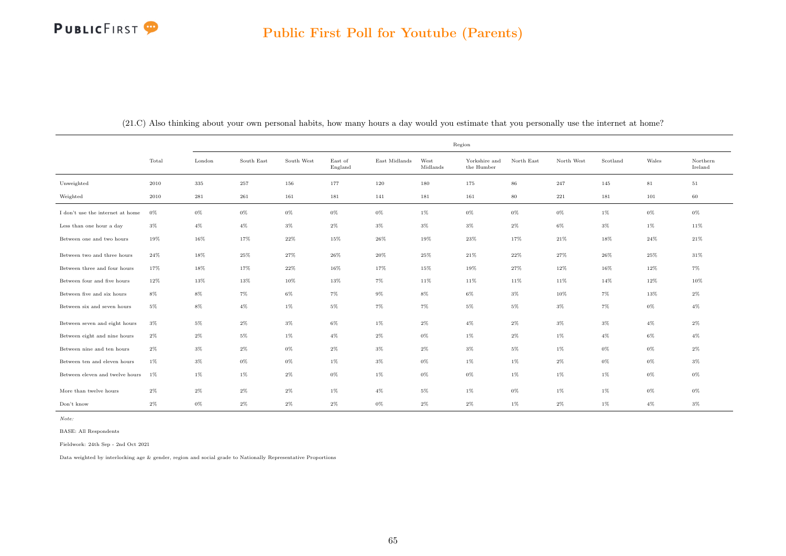|                                  |       |           |            |            |                    |               |                  | Region                      |            |            |          |        |                     |
|----------------------------------|-------|-----------|------------|------------|--------------------|---------------|------------------|-----------------------------|------------|------------|----------|--------|---------------------|
|                                  | Total | London    | South East | South West | East of<br>England | East Midlands | West<br>Midlands | Yorkshire and<br>the Humber | North East | North West | Scotland | Wales  | Northern<br>Ireland |
| Unweighted                       | 2010  | 335       | $257\,$    | 156        | 177                | 120           | 180              | 175                         | $86\,$     | 247        | 145      | $81\,$ | 51                  |
| Weighted                         | 2010  | $\bf 281$ | 261        | 161        | 181                | 141           | 181              | 161                         | 80         | 221        | 181      | 101    | 60                  |
| I don't use the internet at home | $0\%$ | $0\%$     | 0%         | $0\%$      | $0\%$              | $0\%$         | $1\%$            | $0\%$                       | 0%         | 0%         | $1\%$    | $0\%$  | $0\%$               |
| Less than one hour a day         | $3\%$ | $4\%$     | $4\%$      | $3\%$      | $2\%$              | $3\%$         | $3\%$            | $3\%$                       | $2\%$      | 6%         | $3\%$    | $1\%$  | 11%                 |
| Between one and two hours        | 19%   | 16%       | 17%        | 22%        | 15%                | 26%           | 19%              | 23%                         | 17%        | 21%        | 18%      | 24%    | $21\%$              |
| Between two and three hours      | 24%   | $18\%$    | $25\%$     | 27%        | 26%                | 20%           | 25%              | 21%                         | 22%        | 27%        | 26%      | 25%    | 31%                 |
| Between three and four hours     | 17%   | $18\%$    | 17%        | $22\%$     | 16%                | 17%           | 15%              | 19%                         | 27%        | 12%        | 16%      | 12%    | 7%                  |
| Between four and five hours      | 12%   | 13%       | $13\%$     | $10\%$     | 13%                | $7\%$         | 11%              | 11%                         | 11%        | 11%        | 14%      | $12\%$ | 10%                 |
| Between five and six hours       | $8\%$ | $8\%$     | $7\%$      | $6\%$      | $7\%$              | $9\%$         | $8\%$            | $6\%$                       | $3\%$      | 10%        | $7\%$    | 13%    | $2\%$               |
| Between six and seven hours      | $5\%$ | 8%        | $4\%$      | $1\%$      | 5%                 | $7\%$         | 7%               | $5\%$                       | $5\%$      | 3%         | 7%       | $0\%$  | $4\%$               |
| Between seven and eight hours    | $3\%$ | $5\%$     | $2\%$      | $3\%$      | $6\%$              | 1%            | $2\%$            | $4\%$                       | $2\%$      | $3\%$      | $3\%$    | $4\%$  | $2\%$               |
| Between eight and nine hours     | $2\%$ | $2\%$     | $5\%$      | 1%         | $4\%$              | $2\%$         | $0\%$            | 1%                          | $2\%$      | 1%         | $4\%$    | $6\%$  | $4\%$               |
| Between nine and ten hours       | $2\%$ | $3\%$     | $2\%$      | $0\%$      | $2\%$              | $3\%$         | $2\%$            | $3\%$                       | $5\%$      | 1%         | $0\%$    | $0\%$  | $2\%$               |
| Between ten and eleven hours     | $1\%$ | $3\%$     | $0\%$      | $0\%$      | $1\%$              | $3\%$         | $0\%$            | $1\%$                       | $1\%$      | $2\%$      | $0\%$    | $0\%$  | $3\%$               |
| Between eleven and twelve hours  | $1\%$ | $1\%$     | $1\%$      | $2\%$      | $0\%$              | $1\%$         | $0\%$            | $0\%$                       | $1\%$      | 1%         | $1\%$    | $0\%$  | $0\%$               |
| More than twelve hours           | $2\%$ | $2\%$     | $2\%$      | $2\%$      | $1\%$              | $4\%$         | $5\%$            | $1\%$                       | $0\%$      | 1%         | $1\%$    | $0\%$  | $0\%$               |
| Don't know                       | $2\%$ | $0\%$     | $2\%$      | $2\%$      | $2\%$              | $0\%$         | $2\%$            | $2\%$                       | $1\%$      | $2\%$      | $1\%$    | $4\%$  | $3\%$               |

(21.C) Also thinking about your own personal habits, how many hours a day would you estimate that you personally use the internet at home?

Note:

BASE: All Respondents

Fieldwork: 24th Sep - 2nd Oct 2021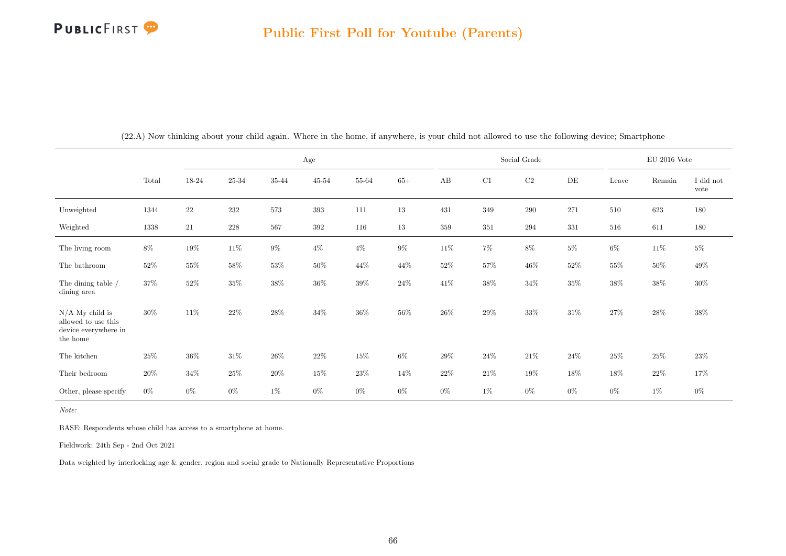|                                                                              |        |        |         |        | Age       |        |        |        |        | Social Grade |           |        | EU 2016 Vote |                   |
|------------------------------------------------------------------------------|--------|--------|---------|--------|-----------|--------|--------|--------|--------|--------------|-----------|--------|--------------|-------------------|
|                                                                              | Total  | 18-24  | 25-34   | 35-44  | $45 - 54$ | 55-64  | $65+$  | AB     | C1     | $\rm{C2}$    | $\rm{DE}$ | Leave  | Remain       | I did not<br>vote |
| Unweighted                                                                   | 1344   | $22\,$ | $232\,$ | 573    | 393       | 111    | 13     | 431    | 349    | $\,290$      | 271       | 510    | 623          | 180               |
| Weighted                                                                     | 1338   | 21     | 228     | 567    | 392       | 116    | $13\,$ | 359    | 351    | 294          | 331       | 516    | 611          | 180               |
| The living room                                                              | $8\%$  | 19%    | 11\%    | $9\%$  | $4\%$     | $4\%$  | $9\%$  | $11\%$ | $7\%$  | $8\%$        | $5\%$     | $6\%$  | 11\%         | $5\%$             |
| The bathroom                                                                 | $52\%$ | 55%    | 58%     | $53\%$ | 50%       | $44\%$ | $44\%$ | 52%    | $57\%$ | $46\%$       | 52%       | $55\%$ | $50\%$       | $49\%$            |
| The dining table /<br>dining area                                            | $37\%$ | $52\%$ | $35\%$  | $38\%$ | $36\%$    | $39\%$ | $24\%$ | $41\%$ | $38\%$ | $34\%$       | $35\%$    | $38\%$ | $38\%$       | $30\%$            |
| $N/A$ My child is<br>allowed to use this<br>device everywhere in<br>the home | $30\%$ | 11\%   | $22\%$  | $28\%$ | $34\%$    | $36\%$ | $56\%$ | 26%    | $29\%$ | $33\%$       | $31\%$    | $27\%$ | $28\%$       | 38%               |
| The kitchen                                                                  | $25\%$ | 36%    | $31\%$  | $26\%$ | 22\%      | $15\%$ | $6\%$  | 29%    | $24\%$ | $21\%$       | 24%       | $25\%$ | $25\%$       | 23\%              |
| Their bedroom                                                                | $20\%$ | 34%    | $25\%$  | $20\%$ | 15%       | $23\%$ | $14\%$ | 22\%   | $21\%$ | 19%          | 18%       | $18\%$ | $22\%$       | 17%               |
| Other, please specify                                                        | $0\%$  | $0\%$  | $0\%$   | $1\%$  | $0\%$     | $0\%$  | $0\%$  | $0\%$  | $1\%$  | $0\%$        | $0\%$     | $0\%$  | $1\%$        | $0\%$             |

(22.A) Now thinking about your child again. Where in the home, if anywhere, is your child not allowed to use the following device; Smartphone

Note:

BASE: Respondents whose child has access to a smartphone at home.

Fieldwork: 24th Sep - 2nd Oct 2021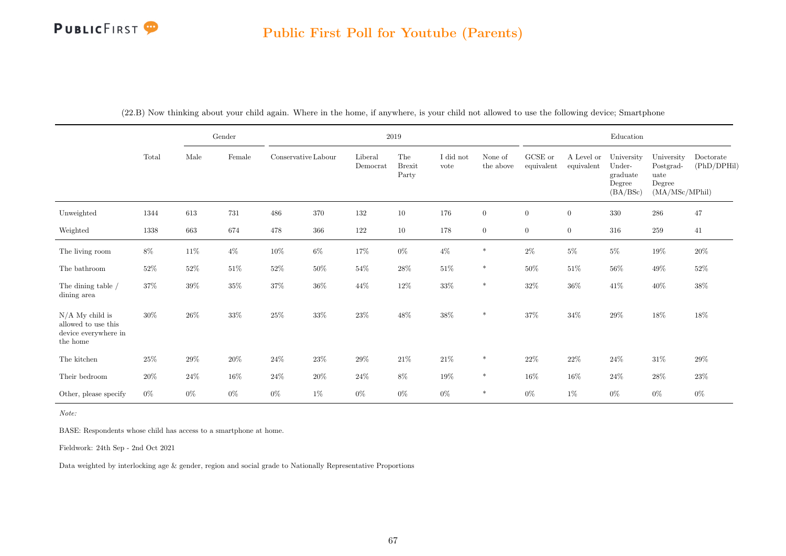|                                                                              |        |        | Gender |                     |        |                     | 2019                          |                   |                      |                               |                          | Education                                              |                                                             |                          |
|------------------------------------------------------------------------------|--------|--------|--------|---------------------|--------|---------------------|-------------------------------|-------------------|----------------------|-------------------------------|--------------------------|--------------------------------------------------------|-------------------------------------------------------------|--------------------------|
|                                                                              | Total  | Male   | Female | Conservative Labour |        | Liberal<br>Democrat | The<br><b>Brexit</b><br>Party | I did not<br>vote | None of<br>the above | ${\rm GCSE}$ or<br>equivalent | A Level or<br>equivalent | University<br>Under-<br>graduate<br>Degree<br>(BA/BSc) | University<br>Postgrad-<br>uate<br>Degree<br>(MA/MSc/MPhil) | Doctorate<br>(PhD/DPHil) |
| Unweighted                                                                   | 1344   | 613    | 731    | 486                 | 370    | 132                 | $10\,$                        | 176               | $\overline{0}$       | $\boldsymbol{0}$              | $\boldsymbol{0}$         | $330\,$                                                | $\,286$                                                     | 47                       |
| Weighted                                                                     | 1338   | 663    | 674    | 478                 | 366    | 122                 | $10\,$                        | 178               | $\overline{0}$       | $\overline{0}$                | $\overline{0}$           | 316                                                    | 259                                                         | 41                       |
| The living room                                                              | $8\%$  | $11\%$ | $4\%$  | $10\%$              | $6\%$  | 17%                 | $0\%$                         | $4\%$             | $\ast$               | $2\%$                         | $5\%$                    | $5\%$                                                  | $19\%$                                                      | $20\%$                   |
| The bathroom                                                                 | $52\%$ | $52\%$ | $51\%$ | $52\%$              | $50\%$ | $54\%$              | $28\%$                        | $51\%$            | $\ast$               | $50\%$                        | $51\%$                   | $56\%$                                                 | $49\%$                                                      | $52\%$                   |
| The dining table /<br>dining area                                            | $37\%$ | $39\%$ | $35\%$ | $37\%$              | $36\%$ | 44\%                | $12\%$                        | $33\%$            | $\ast$               | $32\%$                        | $36\%$                   | 41\%                                                   | 40\%                                                        | $38\%$                   |
| $N/A$ My child is<br>allowed to use this<br>device everywhere in<br>the home | $30\%$ | $26\%$ | $33\%$ | $25\%$              | $33\%$ | $23\%$              | $48\%$                        | $38\%$            | $\ast$               | $37\%$                        | $34\%$                   | $29\%$                                                 | 18%                                                         | $18\%$                   |
| The kitchen                                                                  | $25\%$ | $29\%$ | $20\%$ | $24\%$              | $23\%$ | $29\%$              | $21\%$                        | $21\%$            | $\ast$               | $22\%$                        | $22\%$                   | $24\%$                                                 | $31\%$                                                      | 29%                      |
| Their bedroom                                                                | 20%    | $24\%$ | $16\%$ | $24\%$              | $20\%$ | $24\%$              | $8\%$                         | $19\%$            | $\ast$               | $16\%$                        | 16%                      | $24\%$                                                 | $28\%$                                                      | $23\%$                   |
| Other, please specify                                                        | $0\%$  | $0\%$  | $0\%$  | $0\%$               | $1\%$  | $0\%$               | $0\%$                         | $0\%$             | $\ast$               | $0\%$                         | $1\%$                    | $0\%$                                                  | $0\%$                                                       | $0\%$                    |

(22.B) Now thinking about your child again. Where in the home, if anywhere, is your child not allowed to use the following device; Smartphone

Note:

BASE: Respondents whose child has access to a smartphone at home.

Fieldwork: 24th Sep - 2nd Oct 2021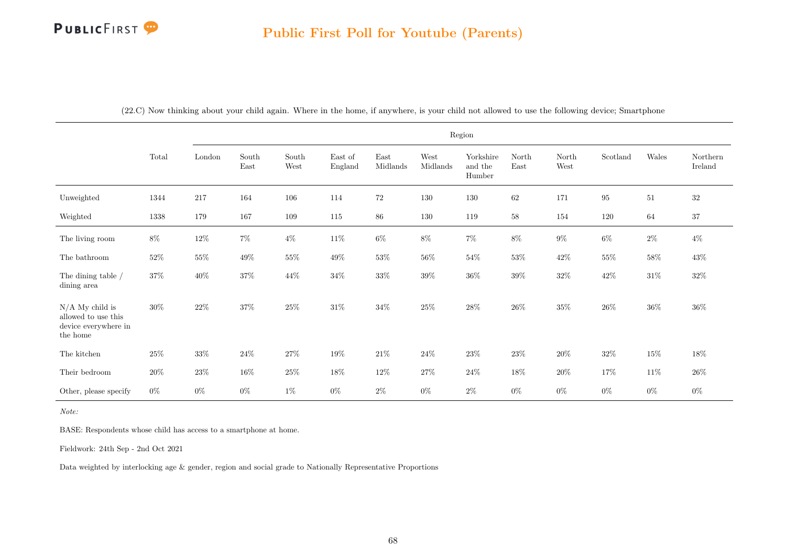|                                                                              | Region |        |                                |                                |                    |                  |                  |                                |               |               |          |        |                     |
|------------------------------------------------------------------------------|--------|--------|--------------------------------|--------------------------------|--------------------|------------------|------------------|--------------------------------|---------------|---------------|----------|--------|---------------------|
|                                                                              | Total  | London | South<br>$\operatorname{East}$ | South<br>$\operatorname{West}$ | East of<br>England | East<br>Midlands | West<br>Midlands | Yorkshire<br>and the<br>Humber | North<br>East | North<br>West | Scotland | Wales  | Northern<br>Ireland |
| Unweighted                                                                   | 1344   | 217    | 164                            | 106                            | 114                | $72\,$           | 130              | 130                            | 62            | 171           | $\bf 95$ | 51     | $32\,$              |
| Weighted                                                                     | 1338   | 179    | 167                            | 109                            | 115                | 86               | 130              | 119                            | $58\,$        | 154           | 120      | 64     | $37\,$              |
| The living room                                                              | $8\%$  | $12\%$ | $7\%$                          | $4\%$                          | $11\%$             | $6\%$            | $8\%$            | $7\%$                          | $8\%$         | $9\%$         | $6\%$    | $2\%$  | $4\%$               |
| The bathroom                                                                 | $52\%$ | $55\%$ | $49\%$                         | $55\%$                         | $49\%$             | $53\%$           | $56\%$           | $54\%$                         | $53\%$        | $42\%$        | $55\%$   | $58\%$ | $43\%$              |
| The dining table $/$<br>dining area                                          | $37\%$ | $40\%$ | $37\%$                         | $44\%$                         | $34\%$             | $33\%$           | $39\%$           | $36\%$                         | $39\%$        | $32\%$        | $42\%$   | $31\%$ | $32\%$              |
| $N/A$ My child is<br>allowed to use this<br>device everywhere in<br>the home | $30\%$ | $22\%$ | 37%                            | $25\%$                         | $31\%$             | 34%              | 25%              | $28\%$                         | 26\%          | $35\%$        | $26\%$   | $36\%$ | $36\%$              |
| The kitchen                                                                  | $25\%$ | $33\%$ | $24\%$                         | $27\%$                         | 19%                | $21\%$           | $24\%$           | $23\%$                         | $23\%$        | $20\%$        | $32\%$   | $15\%$ | 18%                 |
| Their bedroom                                                                | $20\%$ | $23\%$ | $16\%$                         | $25\%$                         | $18\%$             | $12\%$           | $27\%$           | $24\%$                         | $18\%$        | $20\%$        | $17\%$   | $11\%$ | $26\%$              |
| Other, please specify                                                        | $0\%$  | $0\%$  | $0\%$                          | $1\%$                          | $0\%$              | $2\%$            | $0\%$            | $2\%$                          | $0\%$         | $0\%$         | $0\%$    | $0\%$  | $0\%$               |

(22.C) Now thinking about your child again. Where in the home, if anywhere, is your child not allowed to use the following device; Smartphone

Note:

BASE: Respondents whose child has access to a smartphone at home.

Fieldwork: 24th Sep - 2nd Oct 2021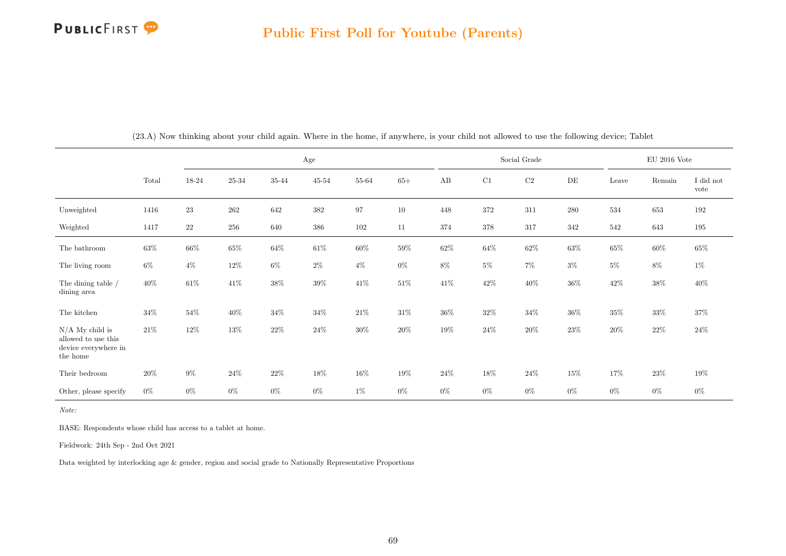

|                                                                              |        |        |        |        | Age       |           |        |        |        | Social Grade | $\rm EU$ 2016 Vote |        |        |                   |
|------------------------------------------------------------------------------|--------|--------|--------|--------|-----------|-----------|--------|--------|--------|--------------|--------------------|--------|--------|-------------------|
|                                                                              | Total  | 18-24  | 25-34  | 35-44  | $45 - 54$ | $55 - 64$ | $65+$  | AB     | C1     | $\rm{C2}$    | $\rm{DE}$          | Leave  | Remain | I did not<br>vote |
| Unweighted                                                                   | 1416   | $23\,$ | 262    | 642    | 382       | 97        | $10\,$ | 448    | 372    | 311          | 280                | 534    | 653    | 192               |
| Weighted                                                                     | 1417   | $22\,$ | 256    | 640    | 386       | 102       | 11     | 374    | 378    | 317          | 342                | 542    | 643    | 195               |
| The bathroom                                                                 | $63\%$ | $66\%$ | $65\%$ | $64\%$ | $61\%$    | $60\%$    | $59\%$ | $62\%$ | $64\%$ | $62\%$       | $63\%$             | $65\%$ | $60\%$ | $65\%$            |
| The living room                                                              | $6\%$  | $4\%$  | $12\%$ | $6\%$  | $2\%$     | $4\%$     | $0\%$  | $8\%$  | $5\%$  | $7\%$        | $3\%$              | $5\%$  | $8\%$  | $1\%$             |
| The dining table /<br>dining area                                            | $40\%$ | $61\%$ | $41\%$ | $38\%$ | $39\%$    | $41\%$    | $51\%$ | 41\%   | $42\%$ | $40\%$       | $36\%$             | $42\%$ | $38\%$ | $40\%$            |
| The kitchen                                                                  | $34\%$ | $54\%$ | 40\%   | $34\%$ | $34\%$    | $21\%$    | $31\%$ | $36\%$ | $32\%$ | $34\%$       | $36\%$             | $35\%$ | $33\%$ | 37%               |
| $N/A$ My child is<br>allowed to use this<br>device everywhere in<br>the home | $21\%$ | 12%    | 13%    | $22\%$ | $24\%$    | $30\%$    | $20\%$ | $19\%$ | $24\%$ | $20\%$       | $23\%$             | $20\%$ | $22\%$ | $24\%$            |
| Their bedroom                                                                | $20\%$ | $9\%$  | $24\%$ | $22\%$ | 18%       | $16\%$    | $19\%$ | $24\%$ | $18\%$ | $24\%$       | $15\%$             | 17%    | $23\%$ | 19%               |
| Other, please specify                                                        | $0\%$  | $0\%$  | $0\%$  | $0\%$  | $0\%$     | $1\%$     | $0\%$  | $0\%$  | $0\%$  | $0\%$        | $0\%$              | $0\%$  | $0\%$  | $0\%$             |

(23.A) Now thinking about your child again. Where in the home, if anywhere, is your child not allowed to use the following device; Tablet

Note:

BASE: Respondents whose child has access to a tablet at home.

Fieldwork: 24th Sep - 2nd Oct 2021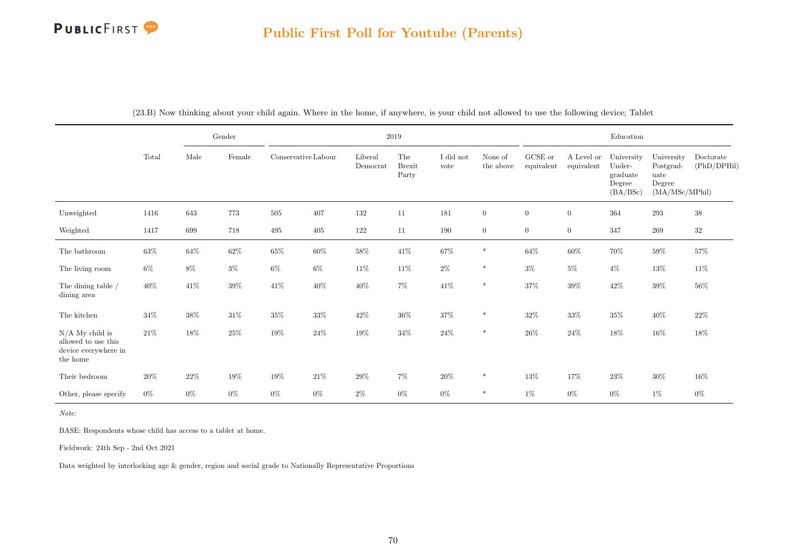#### Public First Poll for Youtube (Parents)

|                                                                              |        |        | Gender  |                     |        |                     | $2019\,$                      | Education         |                      |                       |                          |                                                        |                                                             |                          |
|------------------------------------------------------------------------------|--------|--------|---------|---------------------|--------|---------------------|-------------------------------|-------------------|----------------------|-----------------------|--------------------------|--------------------------------------------------------|-------------------------------------------------------------|--------------------------|
|                                                                              | Total  | Male   | Female  | Conservative Labour |        | Liberal<br>Democrat | The<br><b>Brexit</b><br>Party | I did not<br>vote | None of<br>the above | GCSE or<br>equivalent | A Level or<br>equivalent | University<br>Under-<br>graduate<br>Degree<br>(BA/BSc) | University<br>Postgrad-<br>uate<br>Degree<br>(MA/MSc/MPhil) | Doctorate<br>(PhD/DPHil) |
| Unweighted                                                                   | 1416   | 643    | 773     | 505                 | 407    | 132                 | 11                            | 181               | $\overline{0}$       | $\boldsymbol{0}$      | $\boldsymbol{0}$         | 364                                                    | $\,293$                                                     | $38\,$                   |
| Weighted                                                                     | 1417   | 699    | $718\,$ | 495                 | 405    | 122                 | 11                            | 190               | $\overline{0}$       | $\boldsymbol{0}$      | $\boldsymbol{0}$         | 347                                                    | 269                                                         | $32\,$                   |
| The bathroom                                                                 | $63\%$ | $64\%$ | $62\%$  | $65\%$              | $60\%$ | $58\%$              | $41\%$                        | $67\%$            | $\ast$               | $64\%$                | $60\%$                   | $70\%$                                                 | $59\%$                                                      | $57\%$                   |
| The living room                                                              | $6\%$  | 8%     | $3\%$   | $6\%$               | $6\%$  | $11\%$              | $11\%$                        | $2\%$             | $\ast$               | $3\%$                 | $5\%$                    | $4\%$                                                  | $13\%$                                                      | $11\%$                   |
| The dining table /<br>dining area                                            | $40\%$ | $41\%$ | $39\%$  | $41\%$              | $40\%$ | $40\%$              | $7\%$                         | $41\%$            | $\ast$               | $37\%$                | $39\%$                   | $42\%$                                                 | $39\%$                                                      | $56\%$                   |
| The kitchen                                                                  | $34\%$ | $38\%$ | $31\%$  | $35\%$              | $33\%$ | 42\%                | $36\%$                        | $37\%$            | $\ast$               | 32%                   | $33\%$                   | $35\%$                                                 | $40\%$                                                      | $22\%$                   |
| $N/A$ My child is<br>allowed to use this<br>device everywhere in<br>the home | $21\%$ | 18%    | $25\%$  | 19%                 | 24\%   | 19%                 | $34\%$                        | $24\%$            | $\ast$               | $26\%$                | $24\%$                   | $18\%$                                                 | $16\%$                                                      | $18\%$                   |
| Their bedroom                                                                | 20%    | $22\%$ | $19\%$  | 19%                 | $21\%$ | $29\%$              | $7\%$                         | $20\%$            | $\ast$               | $13\%$                | 17%                      | $23\%$                                                 | $30\%$                                                      | 16%                      |
| Other, please specify                                                        | $0\%$  | $0\%$  | $0\%$   | $0\%$               | $0\%$  | $2\%$               | $0\%$                         | $0\%$             | $\ast$               | $1\%$                 | $0\%$                    | $0\%$                                                  | $1\%$                                                       | $0\%$                    |

(23.B) Now thinking about your child again. Where in the home, if anywhere, is your child not allowed to use the following device; Tablet

Note:

BASE: Respondents whose child has access to a tablet at home.

Fieldwork: 24th Sep - 2nd Oct 2021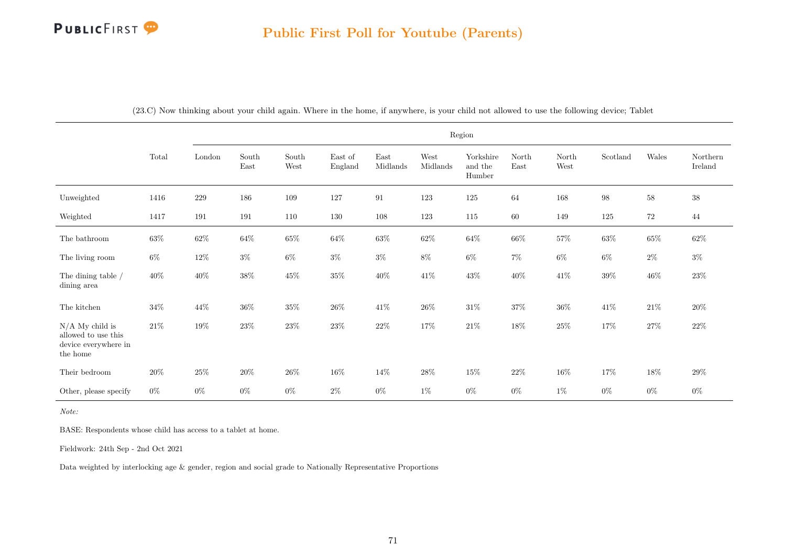|                                                                              | Region |        |                                |                                |                    |                  |                  |                                |                                |                                |                   |        |                     |
|------------------------------------------------------------------------------|--------|--------|--------------------------------|--------------------------------|--------------------|------------------|------------------|--------------------------------|--------------------------------|--------------------------------|-------------------|--------|---------------------|
|                                                                              | Total  | London | South<br>$\operatorname{East}$ | South<br>$\operatorname{West}$ | East of<br>England | East<br>Midlands | West<br>Midlands | Yorkshire<br>and the<br>Humber | $\operatorname{North}$<br>East | North<br>$\operatorname{West}$ | Scotland          | Wales  | Northern<br>Ireland |
| Unweighted                                                                   | 1416   | 229    | 186                            | 109                            | 127                | 91               | 123              | 125                            | 64                             | 168                            | $\boldsymbol{98}$ | $58\,$ | $38\,$              |
| Weighted                                                                     | 1417   | 191    | 191                            | 110                            | 130                | 108              | 123              | 115                            | 60                             | 149                            | 125               | 72     | 44                  |
| The bathroom                                                                 | $63\%$ | $62\%$ | $64\%$                         | $65\%$                         | $64\%$             | $63\%$           | $62\%$           | $64\%$                         | $66\%$                         | $57\%$                         | $63\%$            | $65\%$ | $62\%$              |
| The living room                                                              | $6\%$  | $12\%$ | $3\%$                          | $6\%$                          | $3\%$              | $3\%$            | $8\%$            | $6\%$                          | $7\%$                          | $6\%$                          | 6%                | $2\%$  | $3\%$               |
| The dining table $\slash$<br>dining area                                     | $40\%$ | $40\%$ | $38\%$                         | $45\%$                         | $35\%$             | $40\%$           | $41\%$           | $43\%$                         | $40\%$                         | $41\%$                         | $39\%$            | $46\%$ | $23\%$              |
| The kitchen                                                                  | $34\%$ | 44\%   | $36\%$                         | $35\%$                         | $26\%$             | $41\%$           | $26\%$           | $31\%$                         | $37\%$                         | $36\%$                         | $41\%$            | $21\%$ | $20\%$              |
| $N/A$ My child is<br>allowed to use this<br>device everywhere in<br>the home | $21\%$ | $19\%$ | $23\%$                         | $23\%$                         | $23\%$             | $22\%$           | $17\%$           | $21\%$                         | $18\%$                         | $25\%$                         | $17\%$            | $27\%$ | $22\%$              |
| Their bedroom                                                                | $20\%$ | $25\%$ | $20\%$                         | $26\%$                         | $16\%$             | $14\%$           | $28\%$           | $15\%$                         | $22\%$                         | $16\%$                         | $17\%$            | $18\%$ | 29%                 |
| Other, please specify                                                        | $0\%$  | $0\%$  | $0\%$                          | $0\%$                          | $2\%$              | $0\%$            | $1\%$            | $0\%$                          | $0\%$                          | $1\%$                          | $0\%$             | $0\%$  | $0\%$               |

(23.C) Now thinking about your child again. Where in the home, if anywhere, is your child not allowed to use the following device; Tablet

Note:

BASE: Respondents whose child has access to a tablet at home.

Fieldwork: 24th Sep - 2nd Oct 2021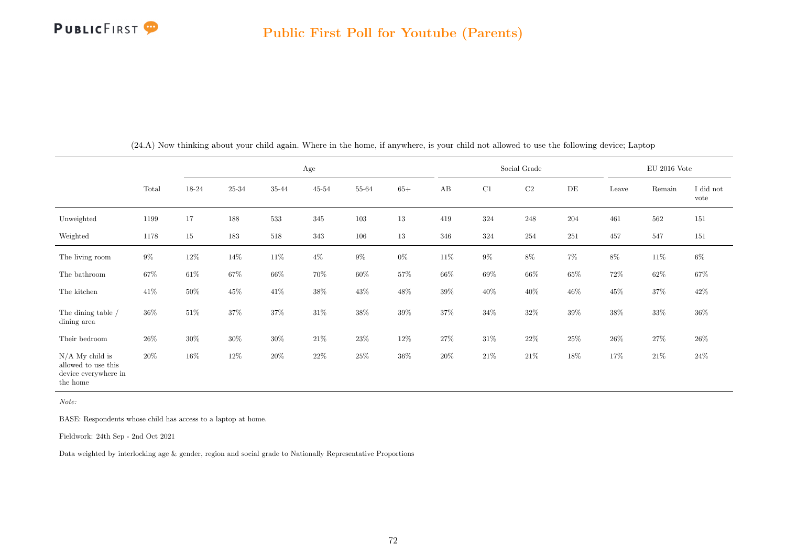

|                                                                              |        |        |        |        | Age       |        |        |        |        | Social Grade |        |        | $\rm EU$ 2016 Vote |                   |
|------------------------------------------------------------------------------|--------|--------|--------|--------|-----------|--------|--------|--------|--------|--------------|--------|--------|--------------------|-------------------|
|                                                                              | Total  | 18-24  | 25-34  | 35-44  | $45 - 54$ | 55-64  | $65+$  | AB     | C1     | C2           | DE     | Leave  | Remain             | I did not<br>vote |
| Unweighted                                                                   | 1199   | 17     | 188    | 533    | 345       | 103    | 13     | 419    | 324    | $248\,$      | 204    | 461    | 562                | 151               |
| Weighted                                                                     | 1178   | $15\,$ | 183    | 518    | 343       | 106    | 13     | 346    | 324    | 254          | 251    | 457    | 547                | 151               |
| The living room                                                              | $9\%$  | $12\%$ | 14\%   | $11\%$ | $4\%$     | $9\%$  | $0\%$  | $11\%$ | $9\%$  | $8\%$        | $7\%$  | $8\%$  | $11\%$             | $6\%$             |
| The bathroom                                                                 | $67\%$ | 61\%   | 67%    | $66\%$ | 70%       | $60\%$ | 57%    | $66\%$ | 69%    | $66\%$       | 65%    | $72\%$ | $62\%$             | 67%               |
| The kitchen                                                                  | 41\%   | $50\%$ | $45\%$ | $41\%$ | $38\%$    | $43\%$ | 48%    | $39\%$ | 40\%   | 40\%         | 46%    | $45\%$ | $37\%$             | $42\%$            |
| The dining table /<br>dining area                                            | $36\%$ | 51\%   | 37%    | $37\%$ | 31\%      | $38\%$ | 39%    | 37%    | $34\%$ | $32\%$       | 39%    | $38\%$ | 33%                | $36\%$            |
| Their bedroom                                                                | $26\%$ | $30\%$ | $30\%$ | $30\%$ | $21\%$    | $23\%$ | $12\%$ | 27%    | $31\%$ | $22\%$       | $25\%$ | $26\%$ | $27\%$             | $26\%$            |
| $N/A$ My child is<br>allowed to use this<br>device everywhere in<br>the home | $20\%$ | 16%    | $12\%$ | $20\%$ | $22\%$    | $25\%$ | $36\%$ | $20\%$ | $21\%$ | $21\%$       | 18%    | $17\%$ | $21\%$             | $24\%$            |

(24.A) Now thinking about your child again. Where in the home, if anywhere, is your child not allowed to use the following device; Laptop

Note:

BASE: Respondents whose child has access to a laptop at home.

Fieldwork: 24th Sep - 2nd Oct 2021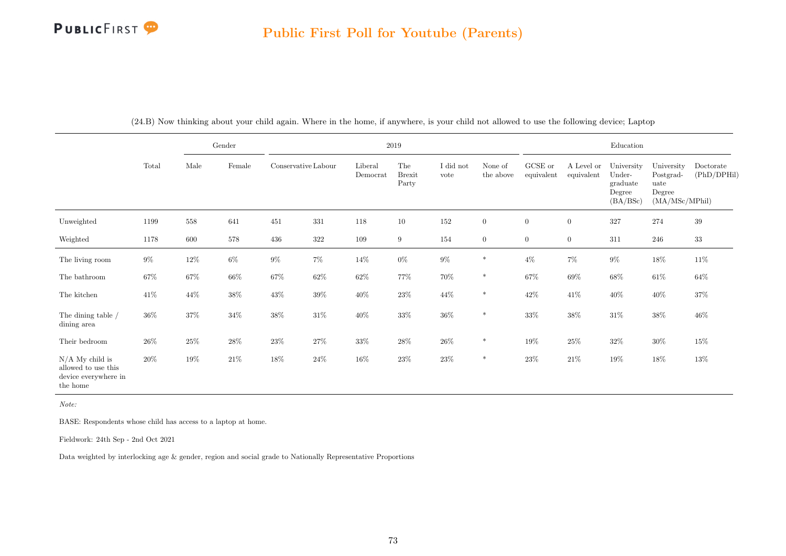|                                                                              |        |        | Gender          |                     |         |                     | $2019\,$                      |                   |                      |                       |                          | Education                                              |                                                             |                          |
|------------------------------------------------------------------------------|--------|--------|-----------------|---------------------|---------|---------------------|-------------------------------|-------------------|----------------------|-----------------------|--------------------------|--------------------------------------------------------|-------------------------------------------------------------|--------------------------|
|                                                                              | Total  | Male   | $\mbox{Female}$ | Conservative Labour |         | Liberal<br>Democrat | The<br><b>Brexit</b><br>Party | I did not<br>vote | None of<br>the above | GCSE or<br>equivalent | A Level or<br>equivalent | University<br>Under-<br>graduate<br>Degree<br>(BA/BSc) | University<br>Postgrad-<br>uate<br>Degree<br>(MA/MSc/MPhil) | Doctorate<br>(PhD/DPHil) |
| Unweighted                                                                   | 1199   | 558    | 641             | 451                 | 331     | 118                 | 10                            | 152               | $\overline{0}$       | $\boldsymbol{0}$      | $\boldsymbol{0}$         | 327                                                    | 274                                                         | $39\,$                   |
| Weighted                                                                     | 1178   | 600    | 578             | 436                 | $322\,$ | 109                 | 9                             | 154               | $\overline{0}$       | $\boldsymbol{0}$      | $\boldsymbol{0}$         | 311                                                    | 246                                                         | $33\,$                   |
| The living room                                                              | $9\%$  | $12\%$ | $6\%$           | $9\%$               | $7\%$   | $14\%$              | $0\%$                         | $9\%$             | $\ast$               | $4\%$                 | $7\%$                    | $9\%$                                                  | $18\%$                                                      | $11\%$                   |
| The bathroom                                                                 | $67\%$ | 67%    | $66\%$          | 67%                 | $62\%$  | $62\%$              | 77%                           | 70%               | $\ast$               | $67\%$                | 69%                      | $68\%$                                                 | $61\%$                                                      | $64\%$                   |
| The kitchen                                                                  | $41\%$ | $44\%$ | $38\%$          | $43\%$              | $39\%$  | $40\%$              | $23\%$                        | $44\%$            | $\ast$               | 42\%                  | 41%                      | 40\%                                                   | $40\%$                                                      | $37\%$                   |
| The dining table /<br>dining area                                            | $36\%$ | 37%    | $34\%$          | $38\%$              | $31\%$  | $40\%$              | $33\%$                        | $36\%$            | $\ast$               | $33\%$                | 38%                      | $31\%$                                                 | $38\%$                                                      | $46\%$                   |
| Their bedroom                                                                | 26\%   | 25%    | $28\%$          | $23\%$              | $27\%$  | $33\%$              | $28\%$                        | $26\%$            | $\ast$               | $19\%$                | $25\%$                   | $32\%$                                                 | $30\%$                                                      | $15\%$                   |
| $N/A$ My child is<br>allowed to use this<br>device everywhere in<br>the home | $20\%$ | $19\%$ | $21\%$          | $18\%$              | $24\%$  | $16\%$              | $23\%$                        | $23\%$            | $\ast$               | 23%                   | $21\%$                   | 19%                                                    | 18%                                                         | $13\%$                   |

(24.B) Now thinking about your child again. Where in the home, if anywhere, is your child not allowed to use the following device; Laptop

Note:

BASE: Respondents whose child has access to a laptop at home.

Fieldwork: 24th Sep - 2nd Oct 2021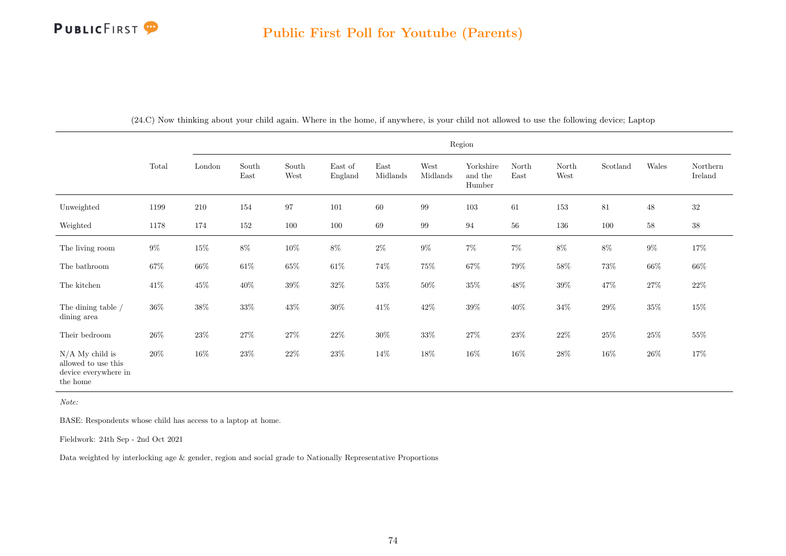|                                                                              |        |        |               |               |                    |                  |                  | Region                         |               |               |          |        |                     |
|------------------------------------------------------------------------------|--------|--------|---------------|---------------|--------------------|------------------|------------------|--------------------------------|---------------|---------------|----------|--------|---------------------|
|                                                                              | Total  | London | South<br>East | South<br>West | East of<br>England | East<br>Midlands | West<br>Midlands | Yorkshire<br>and the<br>Humber | North<br>East | North<br>West | Scotland | Wales  | Northern<br>Ireland |
| Unweighted                                                                   | 1199   | 210    | 154           | 97            | 101                | 60               | 99               | 103                            | 61            | 153           | 81       | 48     | $32\,$              |
| Weighted                                                                     | 1178   | 174    | 152           | 100           | 100                | 69               | 99               | 94                             | 56            | 136           | 100      | 58     | $38\,$              |
| The living room                                                              | $9\%$  | $15\%$ | $8\%$         | $10\%$        | $8\%$              | $2\%$            | $9\%$            | $7\%$                          | $7\%$         | $8\%$         | $8\%$    | $9\%$  | $17\%$              |
| The bathroom                                                                 | $67\%$ | $66\%$ | $61\%$        | $65\%$        | $61\%$             | $74\%$           | $75\%$           | $67\%$                         | $79\%$        | $58\%$        | $73\%$   | $66\%$ | $66\%$              |
| The kitchen                                                                  | $41\%$ | $45\%$ | $40\%$        | $39\%$        | $32\%$             | $53\%$           | $50\%$           | $35\%$                         | $48\%$        | $39\%$        | $47\%$   | $27\%$ | $22\%$              |
| The dining table /<br>dining area                                            | $36\%$ | $38\%$ | $33\%$        | $43\%$        | $30\%$             | $41\%$           | $42\%$           | $39\%$                         | $40\%$        | $34\%$        | $29\%$   | $35\%$ | $15\%$              |
| Their bedroom                                                                | $26\%$ | $23\%$ | $27\%$        | $27\%$        | $22\%$             | $30\%$           | $33\%$           | $27\%$                         | $23\%$        | $22\%$        | $25\%$   | $25\%$ | $55\%$              |
| $N/A$ My child is<br>allowed to use this<br>device everywhere in<br>the home | $20\%$ | $16\%$ | $23\%$        | $22\%$        | $23\%$             | $14\%$           | $18\%$           | $16\%$                         | $16\%$        | $28\%$        | $16\%$   | $26\%$ | 17%                 |

(24.C) Now thinking about your child again. Where in the home, if anywhere, is your child not allowed to use the following device; Laptop

Note:

BASE: Respondents whose child has access to a laptop at home.

Fieldwork: 24th Sep - 2nd Oct 2021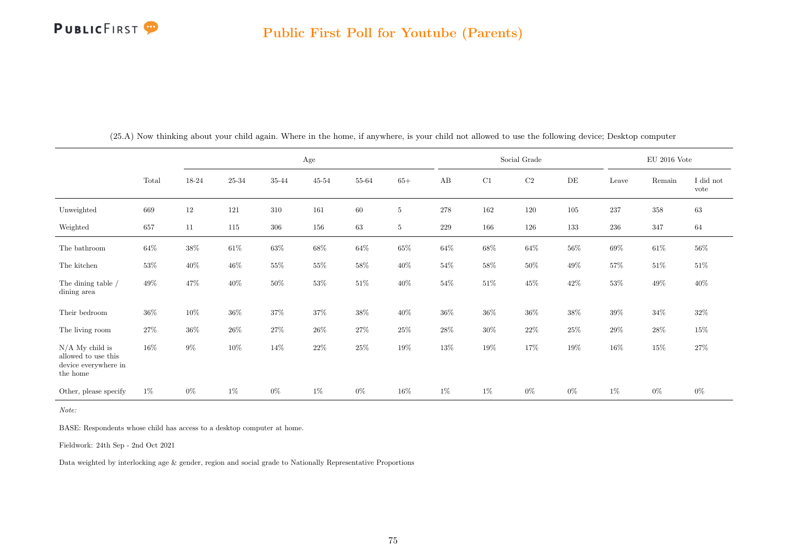|                                                                              |        |        |           |         | Age       |        |                 |        |        | Social Grade |        |         | EU 2016 Vote |                   |
|------------------------------------------------------------------------------|--------|--------|-----------|---------|-----------|--------|-----------------|--------|--------|--------------|--------|---------|--------------|-------------------|
|                                                                              | Total  | 18-24  | $25 - 34$ | 35-44   | $45 - 54$ | 55-64  | $65+$           | AB     | C1     | $\rm{C2}$    | DE     | Leave   | Remain       | I did not<br>vote |
| Unweighted                                                                   | 669    | 12     | 121       | 310     | 161       | 60     | $5\phantom{.0}$ | 278    | 162    | 120          | 105    | $237\,$ | $358\,$      | 63                |
| Weighted                                                                     | 657    | 11     | 115       | $306\,$ | 156       | 63     | $5^{\circ}$     | 229    | 166    | 126          | 133    | $236\,$ | 347          | 64                |
| The bathroom                                                                 | $64\%$ | $38\%$ | $61\%$    | $63\%$  | $68\%$    | $64\%$ | $65\%$          | $64\%$ | $68\%$ | $64\%$       | $56\%$ | $69\%$  | $61\%$       | $56\%$            |
| The kitchen                                                                  | $53\%$ | $40\%$ | $46\%$    | 55%     | $55\%$    | $58\%$ | $40\%$          | $54\%$ | $58\%$ | $50\%$       | $49\%$ | $57\%$  | $51\%$       | $51\%$            |
| The dining table $\slash$<br>dining area                                     | $49\%$ | $47\%$ | $40\%$    | $50\%$  | $53\%$    | $51\%$ | $40\%$          | $54\%$ | $51\%$ | $45\%$       | $42\%$ | $53\%$  | $49\%$       | $40\%$            |
| Their bedroom                                                                | $36\%$ | 10%    | $36\%$    | 37%     | 37%       | $38\%$ | $40\%$          | 36%    | $36\%$ | $36\%$       | 38%    | $39\%$  | $34\%$       | $32\%$            |
| The living room                                                              | 27%    | $36\%$ | $26\%$    | $27\%$  | $26\%$    | $27\%$ | $25\%$          | $28\%$ | $30\%$ | $22\%$       | 25%    | $29\%$  | $28\%$       | $15\%$            |
| $N/A$ My child is<br>allowed to use this<br>device everywhere in<br>the home | $16\%$ | $9\%$  | $10\%$    | 14%     | $22\%$    | $25\%$ | 19%             | 13%    | $19\%$ | 17%          | 19%    | $16\%$  | $15\%$       | 27%               |
| Other, please specify                                                        | $1\%$  | $0\%$  | 1%        | $0\%$   | $1\%$     | $0\%$  | $16\%$          | $1\%$  | 1%     | $0\%$        | $0\%$  | $1\%$   | $0\%$        | $0\%$             |

(25.A) Now thinking about your child again. Where in the home, if anywhere, is your child not allowed to use the following device; Desktop computer

Note:

BASE: Respondents whose child has access to a desktop computer at home.

Fieldwork: 24th Sep - 2nd Oct 2021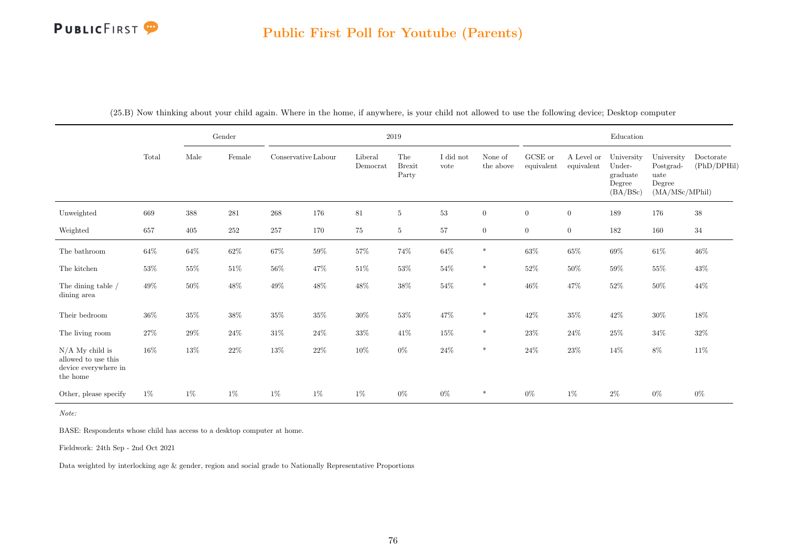## Public First Poll for Youtube (Parents)

|                                                                              |        |        | Gender  |                     |        |                     | $2019\,$                      |                   |                      |                       |                          | Education                                              |                                                             |                          |
|------------------------------------------------------------------------------|--------|--------|---------|---------------------|--------|---------------------|-------------------------------|-------------------|----------------------|-----------------------|--------------------------|--------------------------------------------------------|-------------------------------------------------------------|--------------------------|
|                                                                              | Total  | Male   | Female  | Conservative Labour |        | Liberal<br>Democrat | The<br><b>Brexit</b><br>Party | I did not<br>vote | None of<br>the above | GCSE or<br>equivalent | A Level or<br>equivalent | University<br>Under-<br>graduate<br>Degree<br>(BA/BSc) | University<br>Postgrad-<br>uate<br>Degree<br>(MA/MSc/MPhil) | Doctorate<br>(PhD/DPHil) |
| Unweighted                                                                   | 669    | 388    | $281\,$ | 268                 | 176    | $81\,$              | $5\,$                         | $53\,$            | $\boldsymbol{0}$     | $\overline{0}$        | $\boldsymbol{0}$         | 189                                                    | 176                                                         | $38\,$                   |
| Weighted                                                                     | 657    | 405    | 252     | 257                 | 170    | 75                  | 5                             | 57                | $\overline{0}$       | $\overline{0}$        | $\boldsymbol{0}$         | 182                                                    | 160                                                         | 34                       |
| The bathroom                                                                 | $64\%$ | $64\%$ | $62\%$  | $67\%$              | $59\%$ | $57\%$              | $74\%$                        | $64\%$            | $\ast$               | $63\%$                | $65\%$                   | $69\%$                                                 | $61\%$                                                      | $46\%$                   |
| The kitchen                                                                  | $53\%$ | $55\%$ | $51\%$  | $56\%$              | 47\%   | $51\%$              | $53\%$                        | $54\%$            | $\ast$               | $52\%$                | $50\%$                   | $59\%$                                                 | $55\%$                                                      | $43\%$                   |
| The dining table /<br>dining area                                            | $49\%$ | $50\%$ | 48%     | $49\%$              | $48\%$ | $48\%$              | $38\%$                        | $54\%$            | $\ast$               | $46\%$                | $47\%$                   | $52\%$                                                 | $50\%$                                                      | $44\%$                   |
| Their bedroom                                                                | $36\%$ | $35\%$ | $38\%$  | $35\%$              | $35\%$ | $30\%$              | $53\%$                        | $47\%$            | $\ast$               | $42\%$                | 35%                      | 42\%                                                   | $30\%$                                                      | $18\%$                   |
| The living room                                                              | $27\%$ | $29\%$ | $24\%$  | $31\%$              | $24\%$ | $33\%$              | $41\%$                        | $15\%$            | $\ast$               | $23\%$                | $24\%$                   | $25\%$                                                 | $34\%$                                                      | $32\%$                   |
| $N/A$ My child is<br>allowed to use this<br>device everywhere in<br>the home | $16\%$ | $13\%$ | $22\%$  | $13\%$              | $22\%$ | $10\%$              | $0\%$                         | $24\%$            | $\ast$               | $24\%$                | 23\%                     | $14\%$                                                 | $8\%$                                                       | $11\%$                   |
| Other, please specify                                                        | 1%     | 1%     | $1\%$   | $1\%$               | $1\%$  | $1\%$               | $0\%$                         | $0\%$             | $\ast$               | $0\%$                 | $1\%$                    | $2\%$                                                  | $0\%$                                                       | $0\%$                    |

(25.B) Now thinking about your child again. Where in the home, if anywhere, is your child not allowed to use the following device; Desktop computer

Note:

BASE: Respondents whose child has access to a desktop computer at home.

Fieldwork: 24th Sep - 2nd Oct 2021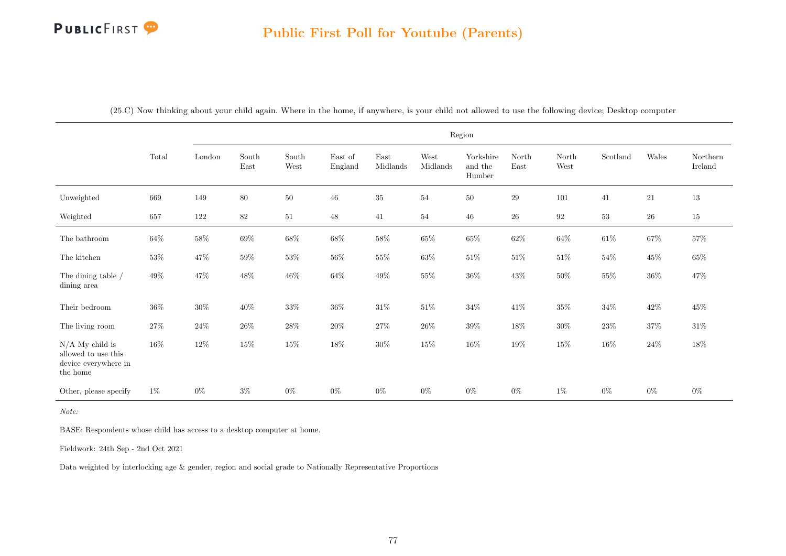|                                                                              |        |        |               |               |                    |                  |                  | Region                         |               |               |          |            |                     |
|------------------------------------------------------------------------------|--------|--------|---------------|---------------|--------------------|------------------|------------------|--------------------------------|---------------|---------------|----------|------------|---------------------|
|                                                                              | Total  | London | South<br>East | South<br>West | East of<br>England | East<br>Midlands | West<br>Midlands | Yorkshire<br>and the<br>Humber | North<br>East | North<br>West | Scotland | Wales      | Northern<br>Ireland |
| Unweighted                                                                   | 669    | 149    | 80            | 50            | 46                 | $35\,$           | 54               | 50                             | $\,29$        | 101           | 41       | 21         | 13                  |
| Weighted                                                                     | 657    | 122    | $82\,$        | 51            | $48\,$             | 41               | 54               | 46                             | $26\,$        | $\rm 92$      | $53\,$   | ${\bf 26}$ | 15                  |
| The bathroom                                                                 | $64\%$ | $58\%$ | $69\%$        | $68\%$        | $68\%$             | $58\%$           | $65\%$           | $65\%$                         | $62\%$        | $64\%$        | $61\%$   | $67\%$     | $57\%$              |
| The kitchen                                                                  | $53\%$ | $47\%$ | $59\%$        | $53\%$        | $56\%$             | $55\%$           | $63\%$           | $51\%$                         | $51\%$        | $51\%$        | $54\%$   | $45\%$     | $65\%$              |
| The dining table /<br>dining area                                            | $49\%$ | $47\%$ | $48\%$        | $46\%$        | $64\%$             | $49\%$           | $55\%$           | $36\%$                         | $43\%$        | $50\%$        | $55\%$   | $36\%$     | $47\%$              |
| Their bedroom                                                                | $36\%$ | $30\%$ | $40\%$        | $33\%$        | $36\%$             | $31\%$           | $51\%$           | $34\%$                         | $41\%$        | $35\%$        | $34\%$   | $42\%$     | 45%                 |
| The living room                                                              | $27\%$ | $24\%$ | $26\%$        | $28\%$        | $20\%$             | $27\%$           | $26\%$           | $39\%$                         | $18\%$        | $30\%$        | $23\%$   | $37\%$     | $31\%$              |
| $N/A$ My child is<br>allowed to use this<br>device everywhere in<br>the home | 16%    | $12\%$ | $15\%$        | $15\%$        | $18\%$             | $30\%$           | $15\%$           | $16\%$                         | $19\%$        | $15\%$        | $16\%$   | $24\%$     | $18\%$              |
| Other, please specify                                                        | $1\%$  | $0\%$  | $3\%$         | $0\%$         | $0\%$              | $0\%$            | $0\%$            | $0\%$                          | $0\%$         | $1\%$         | $0\%$    | $0\%$      | $0\%$               |

(25.C) Now thinking about your child again. Where in the home, if anywhere, is your child not allowed to use the following device; Desktop computer

Note:

BASE: Respondents whose child has access to a desktop computer at home.

Fieldwork: 24th Sep - 2nd Oct 2021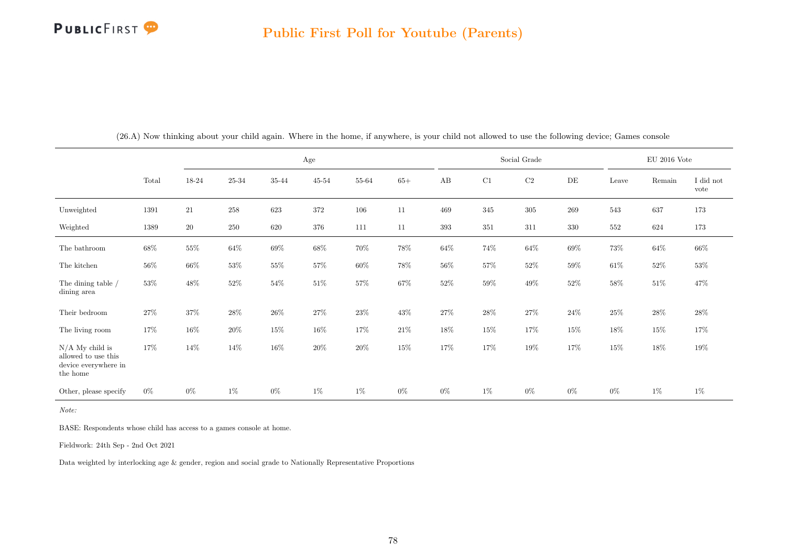|                                                                              |        |        |           |        | Age       |        |        |        |         | Social Grade |        |         | $EU$ 2016 Vote |                   |
|------------------------------------------------------------------------------|--------|--------|-----------|--------|-----------|--------|--------|--------|---------|--------------|--------|---------|----------------|-------------------|
|                                                                              | Total  | 18-24  | $25 - 34$ | 35-44  | $45 - 54$ | 55-64  | $65+$  | AB     | C1      | $\rm{C2}$    | DE     | Leave   | Remain         | I did not<br>vote |
| Unweighted                                                                   | 1391   | $21\,$ | 258       | 623    | 372       | 106    | 11     | 469    | 345     | 305          | 269    | 543     | 637            | 173               |
| Weighted                                                                     | 1389   | $20\,$ | $250\,$   | 620    | 376       | 111    | $11\,$ | 393    | $351\,$ | 311          | 330    | $552\,$ | 624            | 173               |
| The bathroom                                                                 | 68%    | $55\%$ | $64\%$    | $69\%$ | $68\%$    | $70\%$ | $78\%$ | $64\%$ | $74\%$  | $64\%$       | $69\%$ | $73\%$  | $64\%$         | $66\%$            |
| The kitchen                                                                  | $56\%$ | 66\%   | $53\%$    | $55\%$ | 57%       | $60\%$ | $78\%$ | 56%    | $57\%$  | $52\%$       | $59\%$ | $61\%$  | $52\%$         | $53\%$            |
| The dining table /<br>dining area                                            | $53\%$ | $48\%$ | $52\%$    | $54\%$ | $51\%$    | $57\%$ | $67\%$ | $52\%$ | $59\%$  | $49\%$       | $52\%$ | $58\%$  | $51\%$         | 47%               |
| Their bedroom                                                                | 27%    | 37%    | $28\%$    | $26\%$ | 27%       | $23\%$ | 43\%   | $27\%$ | $28\%$  | $27\%$       | $24\%$ | $25\%$  | $28\%$         | 28\%              |
| The living room                                                              | 17%    | $16\%$ | $20\%$    | $15\%$ | $16\%$    | $17\%$ | $21\%$ | $18\%$ | $15\%$  | $17\%$       | $15\%$ | $18\%$  | $15\%$         | 17%               |
| $N/A$ My child is<br>allowed to use this<br>device everywhere in<br>the home | 17%    | 14%    | 14%       | $16\%$ | 20%       | $20\%$ | 15%    | 17%    | 17%     | 19%          | 17%    | $15\%$  | $18\%$         | $19\%$            |
| Other, please specify                                                        | $0\%$  | $0\%$  | $1\%$     | $0\%$  | $1\%$     | $1\%$  | $0\%$  | $0\%$  | $1\%$   | $0\%$        | $0\%$  | $0\%$   | $1\%$          | 1%                |

(26.A) Now thinking about your child again. Where in the home, if anywhere, is your child not allowed to use the following device; Games console

Note:

BASE: Respondents whose child has access to a games console at home.

Fieldwork: 24th Sep - 2nd Oct 2021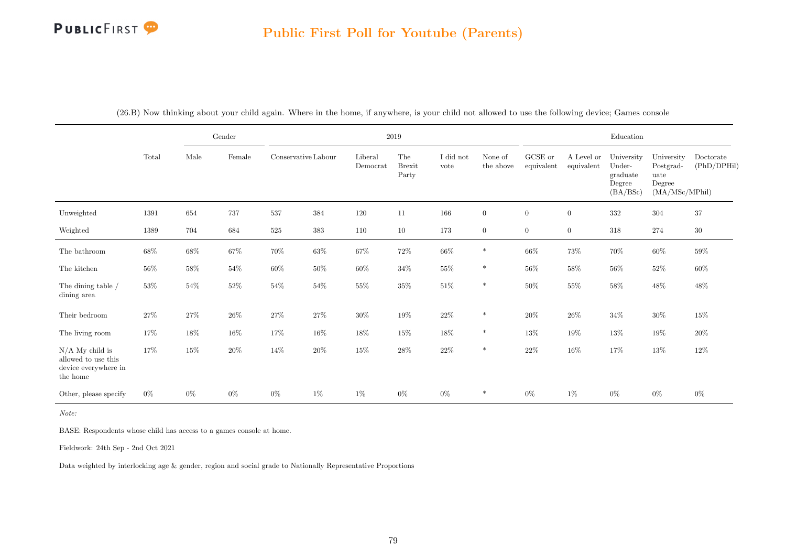## Public First Poll for Youtube (Parents)

|                                                                              |        |        | Gender |                     |        |                     | 2019                          |                   |                      |                       |                          | Education                                              |                                                             |                          |
|------------------------------------------------------------------------------|--------|--------|--------|---------------------|--------|---------------------|-------------------------------|-------------------|----------------------|-----------------------|--------------------------|--------------------------------------------------------|-------------------------------------------------------------|--------------------------|
|                                                                              | Total  | Male   | Female | Conservative Labour |        | Liberal<br>Democrat | The<br><b>Brexit</b><br>Party | I did not<br>vote | None of<br>the above | GCSE or<br>equivalent | A Level or<br>equivalent | University<br>Under-<br>graduate<br>Degree<br>(BA/BSc) | University<br>Postgrad-<br>uate<br>Degree<br>(MA/MSc/MPhil) | Doctorate<br>(PhD/DPHil) |
| Unweighted                                                                   | 1391   | 654    | 737    | 537                 | 384    | 120                 | 11                            | 166               | $\overline{0}$       | $\overline{0}$        | $\boldsymbol{0}$         | $332\,$                                                | 304                                                         | $37\,$                   |
| Weighted                                                                     | 1389   | 704    | 684    | 525                 | 383    | 110                 | 10                            | 173               | $\overline{0}$       | $\overline{0}$        | $\overline{0}$           | 318                                                    | 274                                                         | $30\,$                   |
| The bathroom                                                                 | $68\%$ | $68\%$ | $67\%$ | $70\%$              | $63\%$ | $67\%$              | $72\%$                        | $66\%$            | $\ast$               | $66\%$                | $73\%$                   | $70\%$                                                 | $60\%$                                                      | $59\%$                   |
| The kitchen                                                                  | $56\%$ | $58\%$ | $54\%$ | $60\%$              | $50\%$ | $60\%$              | $34\%$                        | $55\%$            | $\ast$               | $56\%$                | $58\%$                   | $56\%$                                                 | $52\%$                                                      | 60%                      |
| The dining table /<br>dining area                                            | $53\%$ | $54\%$ | $52\%$ | $54\%$              | $54\%$ | $55\%$              | $35\%$                        | $51\%$            | $\ast$               | $50\%$                | $55\%$                   | $58\%$                                                 | $48\%$                                                      | $48\%$                   |
| Their bedroom                                                                | $27\%$ | $27\%$ | $26\%$ | $27\%$              | $27\%$ | $30\%$              | $19\%$                        | $22\%$            | $\ast$               | $20\%$                | $26\%$                   | $34\%$                                                 | $30\%$                                                      | $15\%$                   |
| The living room                                                              | $17\%$ | 18%    | $16\%$ | $17\%$              | $16\%$ | $18\%$              | $15\%$                        | 18%               | $\ast$               | 13%                   | 19%                      | $13\%$                                                 | $19\%$                                                      | $20\%$                   |
| $N/A$ My child is<br>allowed to use this<br>device everywhere in<br>the home | 17%    | $15\%$ | $20\%$ | 14\%                | $20\%$ | $15\%$              | $28\%$                        | $22\%$            | $\ast$               | $22\%$                | $16\%$                   | $17\%$                                                 | 13%                                                         | $12\%$                   |
| Other, please specify                                                        | $0\%$  | $0\%$  | $0\%$  | $0\%$               | $1\%$  | 1%                  | $0\%$                         | $0\%$             | $\ast$               | $0\%$                 | $1\%$                    | $0\%$                                                  | $0\%$                                                       | $0\%$                    |

(26.B) Now thinking about your child again. Where in the home, if anywhere, is your child not allowed to use the following device; Games console

Note:

BASE: Respondents whose child has access to a games console at home.

Fieldwork: 24th Sep - 2nd Oct 2021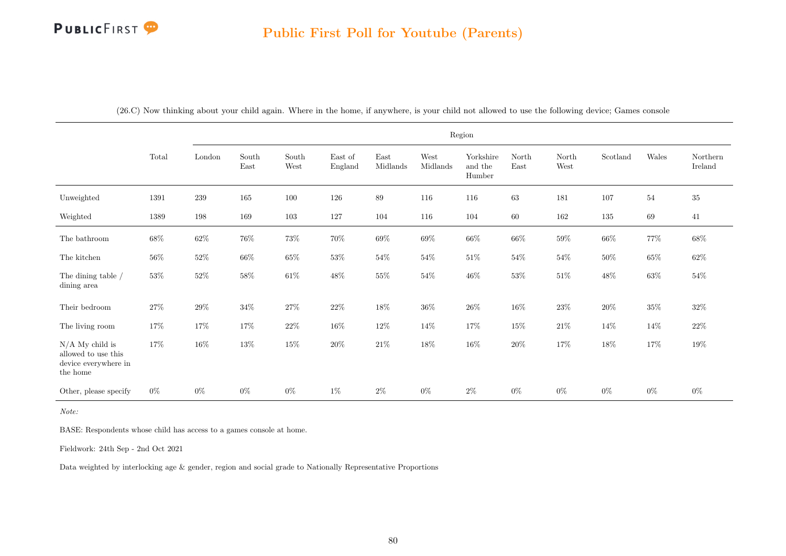|                                                                              |        |         |               |               |                    |                  |                  | Region                         |               |               |          |        |                     |
|------------------------------------------------------------------------------|--------|---------|---------------|---------------|--------------------|------------------|------------------|--------------------------------|---------------|---------------|----------|--------|---------------------|
|                                                                              | Total  | London  | South<br>East | South<br>West | East of<br>England | East<br>Midlands | West<br>Midlands | Yorkshire<br>and the<br>Humber | North<br>East | North<br>West | Scotland | Wales  | Northern<br>Ireland |
| Unweighted                                                                   | 1391   | $239\,$ | 165           | 100           | 126                | 89               | 116              | 116                            | 63            | 181           | 107      | 54     | $35\,$              |
| Weighted                                                                     | 1389   | 198     | 169           | 103           | 127                | 104              | 116              | 104                            | 60            | 162           | 135      | 69     | 41                  |
| The bathroom                                                                 | $68\%$ | $62\%$  | $76\%$        | $73\%$        | $70\%$             | $69\%$           | $69\%$           | $66\%$                         | $66\%$        | $59\%$        | $66\%$   | $77\%$ | $68\%$              |
| The kitchen                                                                  | 56%    | $52\%$  | $66\%$        | $65\%$        | 53%                | 54%              | 54%              | $51\%$                         | $54\%$        | 54%           | 50%      | $65\%$ | $62\%$              |
| The dining table /<br>dining area                                            | $53\%$ | $52\%$  | $58\%$        | $61\%$        | $48\%$             | $55\%$           | $54\%$           | $46\%$                         | $53\%$        | $51\%$        | $48\%$   | $63\%$ | $54\%$              |
| Their bedroom                                                                | $27\%$ | $29\%$  | $34\%$        | $27\%$        | $22\%$             | $18\%$           | $36\%$           | $26\%$                         | $16\%$        | $23\%$        | $20\%$   | $35\%$ | $32\%$              |
| The living room                                                              | 17%    | $17\%$  | 17%           | $22\%$        | $16\%$             | $12\%$           | 14%              | $17\%$                         | $15\%$        | $21\%$        | $14\%$   | 14%    | $22\%$              |
| $N/A$ My child is<br>allowed to use this<br>device everywhere in<br>the home | 17%    | $16\%$  | $13\%$        | $15\%$        | $20\%$             | $21\%$           | $18\%$           | $16\%$                         | $20\%$        | $17\%$        | $18\%$   | $17\%$ | $19\%$              |
| Other, please specify                                                        | $0\%$  | $0\%$   | $0\%$         | $0\%$         | $1\%$              | $2\%$            | $0\%$            | $2\%$                          | $0\%$         | $0\%$         | $0\%$    | $0\%$  | $0\%$               |

(26.C) Now thinking about your child again. Where in the home, if anywhere, is your child not allowed to use the following device; Games console

Note:

BASE: Respondents whose child has access to a games console at home.

Fieldwork: 24th Sep - 2nd Oct 2021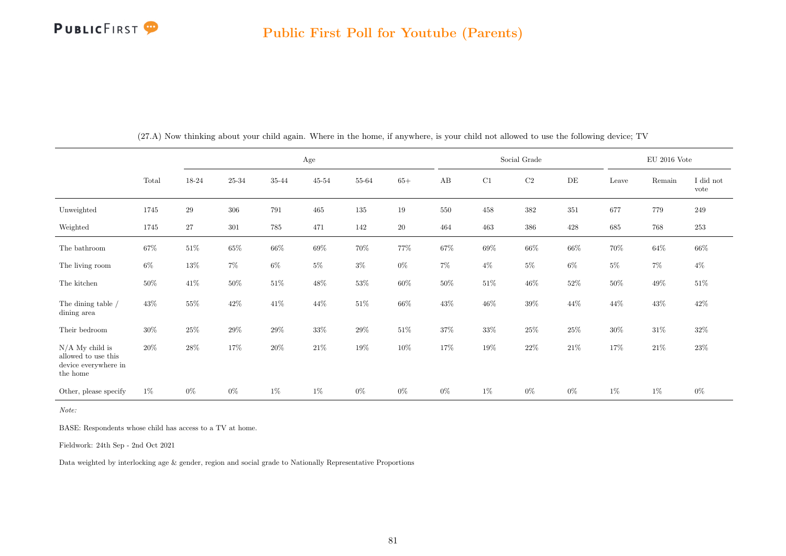

|                                                                              |        |        |        |         | Age       |           |        |        |        | Social Grade |           |        | $EU$ 2016 Vote |                   |
|------------------------------------------------------------------------------|--------|--------|--------|---------|-----------|-----------|--------|--------|--------|--------------|-----------|--------|----------------|-------------------|
|                                                                              | Total  | 18-24  | 25-34  | 35-44   | $45 - 54$ | $55 - 64$ | $65+$  | AB     | C1     | C2           | $\rm{DE}$ | Leave  | Remain         | I did not<br>vote |
| Unweighted                                                                   | 1745   | $\,29$ | 306    | 791     | 465       | 135       | $19\,$ | 550    | 458    | $382\,$      | 351       | 677    | 779            | 249               |
| Weighted                                                                     | 1745   | 27     | 301    | $785\,$ | 471       | 142       | $20\,$ | 464    | 463    | 386          | 428       | 685    | 768            | $253\,$           |
| The bathroom                                                                 | 67%    | $51\%$ | $65\%$ | $66\%$  | $69\%$    | $70\%$    | $77\%$ | $67\%$ | $69\%$ | $66\%$       | $66\%$    | $70\%$ | $64\%$         | $66\%$            |
| The living room                                                              | $6\%$  | $13\%$ | $7\%$  | $6\%$   | $5\%$     | $3\%$     | $0\%$  | $7\%$  | $4\%$  | $5\%$        | $6\%$     | $5\%$  | $7\%$          | $4\%$             |
| The kitchen                                                                  | $50\%$ | $41\%$ | $50\%$ | $51\%$  | 48\%      | $53\%$    | $60\%$ | $50\%$ | $51\%$ | $46\%$       | $52\%$    | $50\%$ | 49%            | $51\%$            |
| The dining table /<br>dining area                                            | 43\%   | $55\%$ | $42\%$ | $41\%$  | $44\%$    | $51\%$    | $66\%$ | $43\%$ | $46\%$ | $39\%$       | $44\%$    | $44\%$ | $43\%$         | 42\%              |
| Their bedroom                                                                | $30\%$ | $25\%$ | $29\%$ | $29\%$  | $33\%$    | $29\%$    | $51\%$ | 37%    | $33\%$ | $25\%$       | $25\%$    | $30\%$ | $31\%$         | $32\%$            |
| $N/A$ My child is<br>allowed to use this<br>device everywhere in<br>the home | $20\%$ | 28%    | 17%    | $20\%$  | $21\%$    | 19%       | $10\%$ | 17%    | 19%    | $22\%$       | $21\%$    | 17%    | 21\%           | $23\%$            |
| Other, please specify                                                        | $1\%$  | $0\%$  | $0\%$  | $1\%$   | $1\%$     | $0\%$     | $0\%$  | $0\%$  | $1\%$  | $0\%$        | $0\%$     | $1\%$  | $1\%$          | $0\%$             |

(27.A) Now thinking about your child again. Where in the home, if anywhere, is your child not allowed to use the following device; TV

Note:

BASE: Respondents whose child has access to a TV at home.

Fieldwork: 24th Sep - 2nd Oct 2021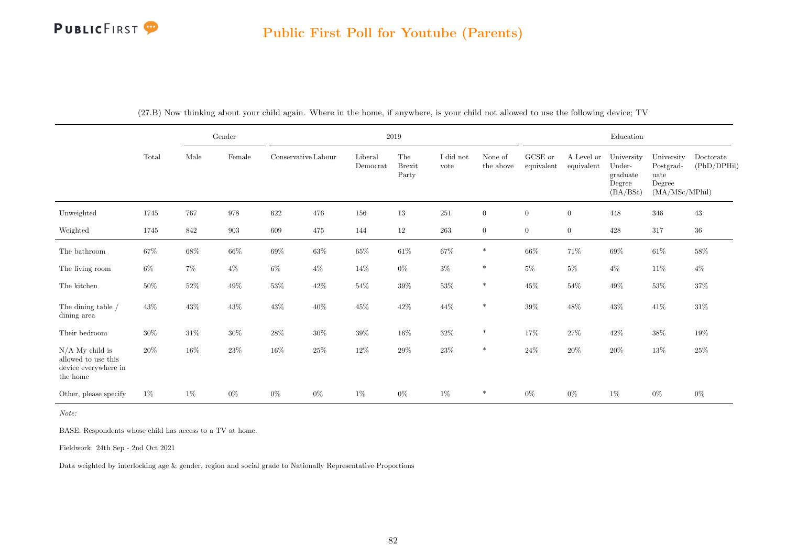## Public First Poll for Youtube (Parents)

|                                                                              |        |        | Gender             |                     |        |                     | $2019\,$                      |                   |                      |                       |                          | Education                                              |                                                             |                          |
|------------------------------------------------------------------------------|--------|--------|--------------------|---------------------|--------|---------------------|-------------------------------|-------------------|----------------------|-----------------------|--------------------------|--------------------------------------------------------|-------------------------------------------------------------|--------------------------|
|                                                                              | Total  | Male   | Female             | Conservative Labour |        | Liberal<br>Democrat | The<br><b>Brexit</b><br>Party | I did not<br>vote | None of<br>the above | GCSE or<br>equivalent | A Level or<br>equivalent | University<br>Under-<br>graduate<br>Degree<br>(BA/BSc) | University<br>Postgrad-<br>uate<br>Degree<br>(MA/MSc/MPhil) | Doctorate<br>(PhD/DPHil) |
| Unweighted                                                                   | 1745   | 767    | 978                | 622                 | 476    | 156                 | 13                            | 251               | $\overline{0}$       | $\boldsymbol{0}$      | $\boldsymbol{0}$         | 448                                                    | 346                                                         | 43                       |
| Weighted                                                                     | 1745   | 842    | $\boldsymbol{903}$ | 609                 | 475    | 144                 | 12                            | 263               | $\overline{0}$       | $\overline{0}$        | $\overline{0}$           | 428                                                    | 317                                                         | $36\,$                   |
| The bathroom                                                                 | $67\%$ | 68%    | $66\%$             | $69\%$              | $63\%$ | $65\%$              | $61\%$                        | $67\%$            | $\ast$               | $66\%$                | $71\%$                   | $69\%$                                                 | $61\%$                                                      | $58\%$                   |
| The living room                                                              | $6\%$  | $7\%$  | $4\%$              | $6\%$               | $4\%$  | 14\%                | $0\%$                         | $3\%$             | $\ast$               | $5\%$                 | $5\%$                    | $4\%$                                                  | 11\%                                                        | $4\%$                    |
| The kitchen                                                                  | $50\%$ | $52\%$ | $49\%$             | $53\%$              | $42\%$ | $54\%$              | $39\%$                        | $53\%$            | $\ast$               | $45\%$                | $54\%$                   | 49\%                                                   | $53\%$                                                      | $37\%$                   |
| The dining table /<br>dining area                                            | $43\%$ | $43\%$ | $43\%$             | $43\%$              | $40\%$ | $45\%$              | $42\%$                        | $44\%$            | $\ast$               | $39\%$                | $48\%$                   | $43\%$                                                 | 41%                                                         | $31\%$                   |
| Their bedroom                                                                | $30\%$ | $31\%$ | $30\%$             | $28\%$              | $30\%$ | $39\%$              | $16\%$                        | $32\%$            | $\ast$               | 17%                   | 27%                      | 42\%                                                   | 38%                                                         | $19\%$                   |
| $N/A$ My child is<br>allowed to use this<br>device everywhere in<br>the home | $20\%$ | $16\%$ | $23\%$             | $16\%$              | $25\%$ | $12\%$              | $29\%$                        | $23\%$            | $\ast$               | $24\%$                | $20\%$                   | $20\%$                                                 | $13\%$                                                      | $25\%$                   |
| Other, please specify                                                        | $1\%$  | $1\%$  | $0\%$              | $0\%$               | $0\%$  | $1\%$               | $0\%$                         | 1%                | $\ast$               | $0\%$                 | $0\%$                    | $1\%$                                                  | $0\%$                                                       | $0\%$                    |

(27.B) Now thinking about your child again. Where in the home, if anywhere, is your child not allowed to use the following device; TV

Note:

BASE: Respondents whose child has access to a TV at home.

Fieldwork: 24th Sep - 2nd Oct 2021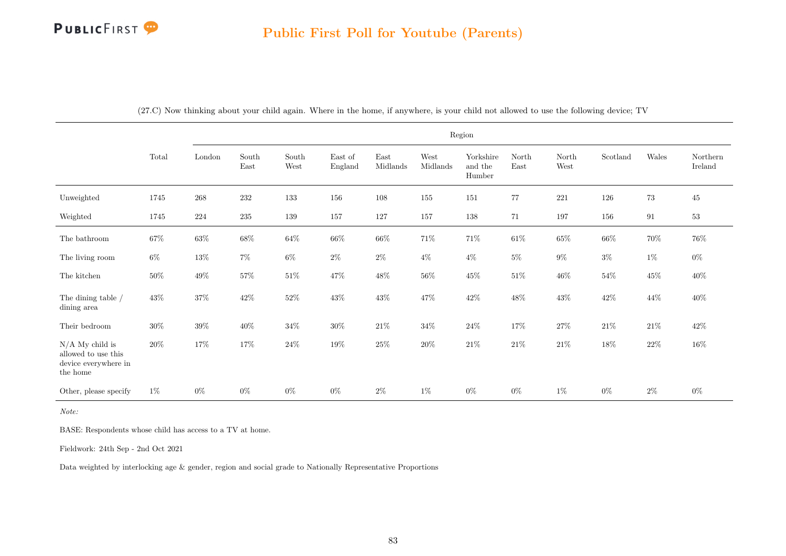|                                                                              |        |         |                                |               |                    |                  |                  | Region                         |                                |                                |          |        |                     |
|------------------------------------------------------------------------------|--------|---------|--------------------------------|---------------|--------------------|------------------|------------------|--------------------------------|--------------------------------|--------------------------------|----------|--------|---------------------|
|                                                                              | Total  | London  | South<br>$\operatorname{East}$ | South<br>West | East of<br>England | East<br>Midlands | West<br>Midlands | Yorkshire<br>and the<br>Humber | North<br>$\operatorname{East}$ | North<br>$\operatorname{West}$ | Scotland | Wales  | Northern<br>Ireland |
| Unweighted                                                                   | 1745   | $268\,$ | 232                            | $133\,$       | 156                | $108\,$          | 155              | 151                            | 77                             | 221                            | 126      | $73\,$ | 45                  |
| Weighted                                                                     | 1745   | 224     | 235                            | 139           | 157                | 127              | 157              | 138                            | 71                             | 197                            | 156      | 91     | 53                  |
| The bathroom                                                                 | $67\%$ | $63\%$  | $68\%$                         | $64\%$        | $66\%$             | $66\%$           | $71\%$           | $71\%$                         | $61\%$                         | $65\%$                         | $66\%$   | $70\%$ | $76\%$              |
| The living room                                                              | $6\%$  | $13\%$  | $7\%$                          | $6\%$         | $2\%$              | $2\%$            | $4\%$            | $4\%$                          | $5\%$                          | $9\%$                          | $3\%$    | $1\%$  | $0\%$               |
| The kitchen                                                                  | $50\%$ | $49\%$  | 57%                            | $51\%$        | $47\%$             | $48\%$           | $56\%$           | $45\%$                         | $51\%$                         | $46\%$                         | 54%      | $45\%$ | $40\%$              |
| The dining table /<br>dining area                                            | $43\%$ | $37\%$  | $42\%$                         | $52\%$        | $43\%$             | $43\%$           | $47\%$           | $42\%$                         | $48\%$                         | $43\%$                         | $42\%$   | $44\%$ | $40\%$              |
| Their bedroom                                                                | $30\%$ | $39\%$  | $40\%$                         | $34\%$        | $30\%$             | $21\%$           | $34\%$           | $24\%$                         | 17%                            | $27\%$                         | $21\%$   | $21\%$ | $42\%$              |
| $N/A$ My child is<br>allowed to use this<br>device everywhere in<br>the home | $20\%$ | $17\%$  | 17%                            | $24\%$        | $19\%$             | $25\%$           | $20\%$           | $21\%$                         | $21\%$                         | $21\%$                         | $18\%$   | $22\%$ | $16\%$              |
| Other, please specify                                                        | $1\%$  | $0\%$   | $0\%$                          | $0\%$         | $0\%$              | $2\%$            | $1\%$            | $0\%$                          | $0\%$                          | $1\%$                          | $0\%$    | $2\%$  | $0\%$               |

(27.C) Now thinking about your child again. Where in the home, if anywhere, is your child not allowed to use the following device; TV

Note:

BASE: Respondents whose child has access to a TV at home.

Fieldwork: 24th Sep - 2nd Oct 2021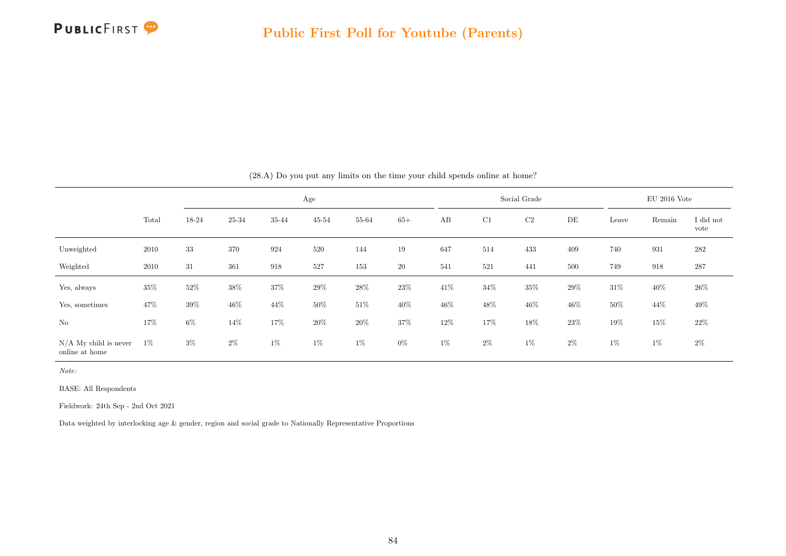

|                                           |        |        |        |        | Age       |        |        |       |        | Social Grade |        |        | $EU$ 2016 Vote |                   |
|-------------------------------------------|--------|--------|--------|--------|-----------|--------|--------|-------|--------|--------------|--------|--------|----------------|-------------------|
|                                           | Total  | 18-24  | 25-34  | 35-44  | $45 - 54$ | 55-64  | $65+$  | AB    | C1     | C2           | DE     | Leave  | Remain         | I did not<br>vote |
| Unweighted                                | 2010   | 33     | 370    | 924    | 520       | 144    | 19     | 647   | 514    | 433          | 409    | 740    | 931            | 282               |
| Weighted                                  | 2010   | 31     | 361    | 918    | 527       | 153    | 20     | 541   | 521    | 441          | 500    | 749    | 918            | 287               |
| Yes, always                               | $35\%$ | $52\%$ | $38\%$ | $37\%$ | $29\%$    | 28%    | $23\%$ | 41\%  | $34\%$ | $35\%$       | $29\%$ | $31\%$ | 40\%           | $26\%$            |
| Yes, sometimes                            | 47%    | 39%    | $46\%$ | 44%    | $50\%$    | $51\%$ | 40%    | 46%   | $48\%$ | 46%          | 46%    | $50\%$ | 44\%           | 49%               |
| $\rm No$                                  | 17%    | $6\%$  | 14\%   | 17%    | $20\%$    | $20\%$ | 37%    | 12\%  | 17%    | 18%          | $23\%$ | $19\%$ | 15%            | $22\%$            |
| $N/A$ My child is never<br>online at home | $1\%$  | $3\%$  | $2\%$  | $1\%$  | $1\%$     | $1\%$  | $0\%$  | $1\%$ | $2\%$  | $1\%$        | $2\%$  | $1\%$  | $1\%$          | $2\%$             |

(28.A) Do you put any limits on the time your child spends online at home?

Note:

BASE: All Respondents

Fieldwork: 24th Sep - 2nd Oct 2021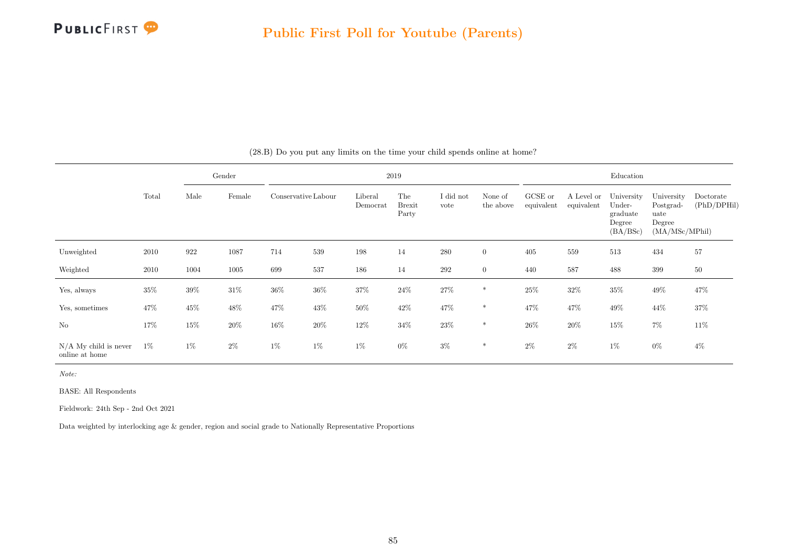

|                                           |        |        | Gender |                     |        |                     | 2019                          |                   |                      |                       |                          | Education                                              |                                                             |                          |
|-------------------------------------------|--------|--------|--------|---------------------|--------|---------------------|-------------------------------|-------------------|----------------------|-----------------------|--------------------------|--------------------------------------------------------|-------------------------------------------------------------|--------------------------|
|                                           | Total  | Male   | Female | Conservative Labour |        | Liberal<br>Democrat | The<br><b>Brexit</b><br>Party | I did not<br>vote | None of<br>the above | GCSE or<br>equivalent | A Level or<br>equivalent | University<br>Under-<br>graduate<br>Degree<br>(BA/BSc) | University<br>Postgrad-<br>uate<br>Degree<br>(MA/MSc/MPhil) | Doctorate<br>(PhD/DPHil) |
| Unweighted                                | 2010   | 922    | 1087   | 714                 | 539    | 198                 | 14                            | $280\,$           | $\overline{0}$       | 405                   | 559                      | 513                                                    | 434                                                         | 57                       |
| Weighted                                  | 2010   | 1004   | 1005   | 699                 | 537    | 186                 | 14                            | $\,292$           | $\overline{0}$       | 440                   | 587                      | 488                                                    | 399                                                         | 50                       |
| Yes, always                               | $35\%$ | $39\%$ | $31\%$ | $36\%$              | $36\%$ | $37\%$              | $24\%$                        | $27\%$            | $\ast$               | 25%                   | $32\%$                   | $35\%$                                                 | 49\%                                                        | 47%                      |
| Yes, sometimes                            | 47%    | $45\%$ | $48\%$ | 47\%                | 43\%   | $50\%$              | $42\%$                        | 47%               | $\ast$               | 47\%                  | 47%                      | 49\%                                                   | $44\%$                                                      | $37\%$                   |
| N <sub>o</sub>                            | 17%    | $15\%$ | $20\%$ | 16%                 | $20\%$ | $12\%$              | $34\%$                        | $23\%$            | $\ast$               | 26\%                  | 20%                      | 15%                                                    | $7\%$                                                       | $11\%$                   |
| $N/A$ My child is never<br>online at home | $1\%$  | $1\%$  | $2\%$  | $1\%$               | $1\%$  | $1\%$               | $0\%$                         | $3\%$             | $\ast$               | $2\%$                 | $2\%$                    | $1\%$                                                  | $0\%$                                                       | $4\%$                    |

(28.B) Do you put any limits on the time your child spends online at home?

Note:

BASE: All Respondents

Fieldwork: 24th Sep - 2nd Oct 2021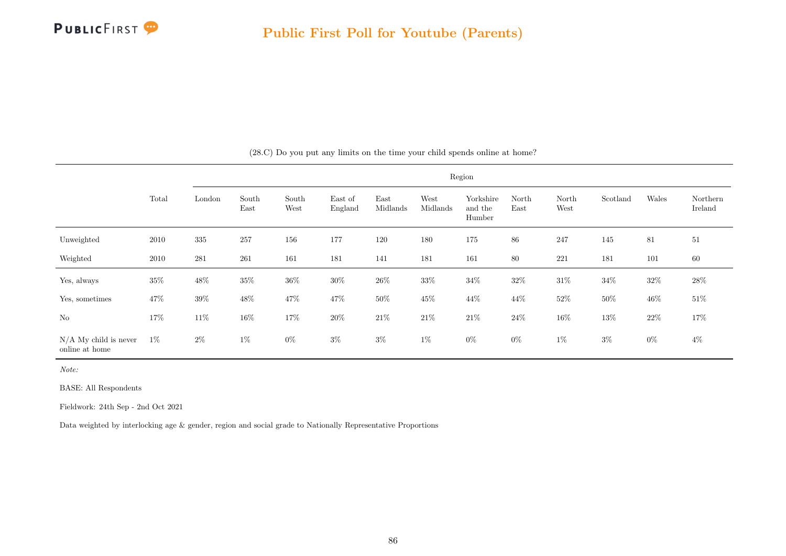

|                                           |        |         |               |               |                    |                  |                  | Region                         |               |               |          |        |                     |
|-------------------------------------------|--------|---------|---------------|---------------|--------------------|------------------|------------------|--------------------------------|---------------|---------------|----------|--------|---------------------|
|                                           | Total  | London  | South<br>East | South<br>West | East of<br>England | East<br>Midlands | West<br>Midlands | Yorkshire<br>and the<br>Humber | North<br>East | North<br>West | Scotland | Wales  | Northern<br>Ireland |
| Unweighted                                | 2010   | $335\,$ | 257           | 156           | 177                | 120              | 180              | 175                            | $86\,$        | 247           | 145      | 81     | 51                  |
| Weighted                                  | 2010   | 281     | 261           | 161           | 181                | 141              | 181              | 161                            | 80            | $221\,$       | 181      | 101    | 60                  |
| Yes, always                               | $35\%$ | $48\%$  | $35\%$        | $36\%$        | $30\%$             | $26\%$           | $33\%$           | $34\%$                         | $32\%$        | $31\%$        | $34\%$   | $32\%$ | $28\%$              |
| Yes, sometimes                            | 47\%   | $39\%$  | $48\%$        | 47\%          | 47%                | $50\%$           | $45\%$           | $44\%$                         | 44%           | $52\%$        | $50\%$   | $46\%$ | $51\%$              |
| No                                        | 17%    | $11\%$  | $16\%$        | $17\%$        | $20\%$             | $21\%$           | $21\%$           | $21\%$                         | $24\%$        | $16\%$        | $13\%$   | $22\%$ | $17\%$              |
| $N/A$ My child is never<br>online at home | $1\%$  | $2\%$   | $1\%$         | $0\%$         | $3\%$              | $3\%$            | $1\%$            | $0\%$                          | $0\%$         | $1\%$         | $3\%$    | $0\%$  | $4\%$               |

(28.C) Do you put any limits on the time your child spends online at home?

Note:

BASE: All Respondents

Fieldwork: 24th Sep - 2nd Oct 2021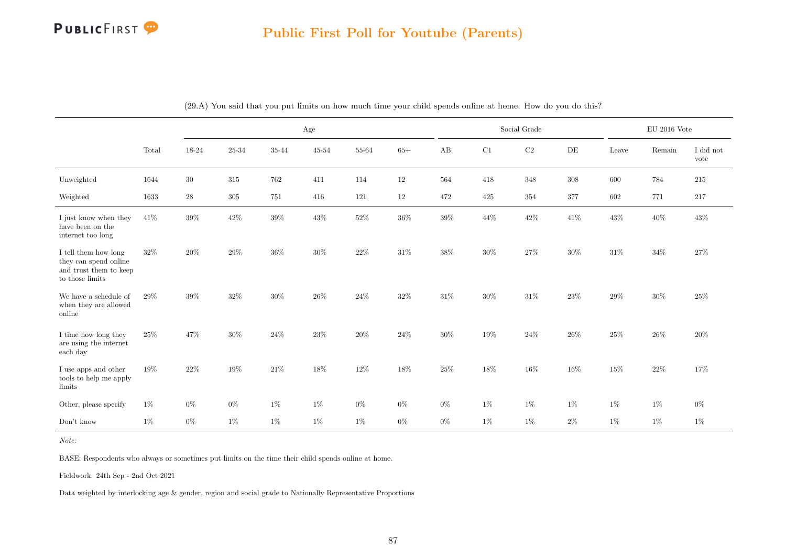

|                                                                                            |        |          |         |        | Age       |        |        |        |        | Social Grade |        |        | $EU$ 2016 Vote |                   |
|--------------------------------------------------------------------------------------------|--------|----------|---------|--------|-----------|--------|--------|--------|--------|--------------|--------|--------|----------------|-------------------|
|                                                                                            | Total  | 18-24    | 25-34   | 35-44  | $45 - 54$ | 55-64  | $65+$  | AB     | C1     | $\rm C2$     | DE     | Leave  | Remain         | I did not<br>vote |
| Unweighted                                                                                 | 1644   | 30       | 315     | 762    | 411       | 114    | $12\,$ | 564    | 418    | 348          | 308    | 600    | 784            | 215               |
| Weighted                                                                                   | 1633   | $\bf 28$ | $305\,$ | 751    | 416       | 121    | 12     | 472    | 425    | 354          | 377    | 602    | 771            | 217               |
| I just know when they<br>have been on the<br>internet too long                             | 41\%   | 39%      | $42\%$  | $39\%$ | 43%       | $52\%$ | $36\%$ | $39\%$ | 44%    | $42\%$       | $41\%$ | $43\%$ | $40\%$         | 43%               |
| I tell them how long<br>they can spend online<br>and trust them to keep<br>to those limits | 32%    | $20\%$   | $29\%$  | $36\%$ | $30\%$    | $22\%$ | $31\%$ | $38\%$ | $30\%$ | $27\%$       | $30\%$ | $31\%$ | $34\%$         | $27\%$            |
| We have a schedule of<br>when they are allowed<br>online                                   | 29%    | 39%      | $32\%$  | $30\%$ | 26%       | $24\%$ | $32\%$ | 31\%   | $30\%$ | $31\%$       | 23\%   | $29\%$ | $30\%$         | 25%               |
| I time how long they<br>are using the internet<br>each day                                 | 25%    | 47%      | $30\%$  | $24\%$ | $23\%$    | $20\%$ | $24\%$ | $30\%$ | 19%    | $24\%$       | $26\%$ | $25\%$ | 26%            | 20%               |
| I use apps and other<br>tools to help me apply<br>limits                                   | $19\%$ | 22%      | $19\%$  | $21\%$ | 18%       | $12\%$ | $18\%$ | $25\%$ | 18%    | $16\%$       | $16\%$ | $15\%$ | $22\%$         | 17%               |
| Other, please specify                                                                      | $1\%$  | $0\%$    | $0\%$   | $1\%$  | $1\%$     | $0\%$  | $0\%$  | $0\%$  | $1\%$  | $1\%$        | $1\%$  | $1\%$  | $1\%$          | $0\%$             |
| Don't know                                                                                 | $1\%$  | $0\%$    | $1\%$   | $1\%$  | $1\%$     | 1%     | $0\%$  | $0\%$  | $1\%$  | 1%           | $2\%$  | $1\%$  | $1\%$          | $1\%$             |

(29.A) You said that you put limits on how much time your child spends online at home. How do you do this?

Note:

BASE: Respondents who always or sometimes put limits on the time their child spends online at home.

Fieldwork: 24th Sep - 2nd Oct 2021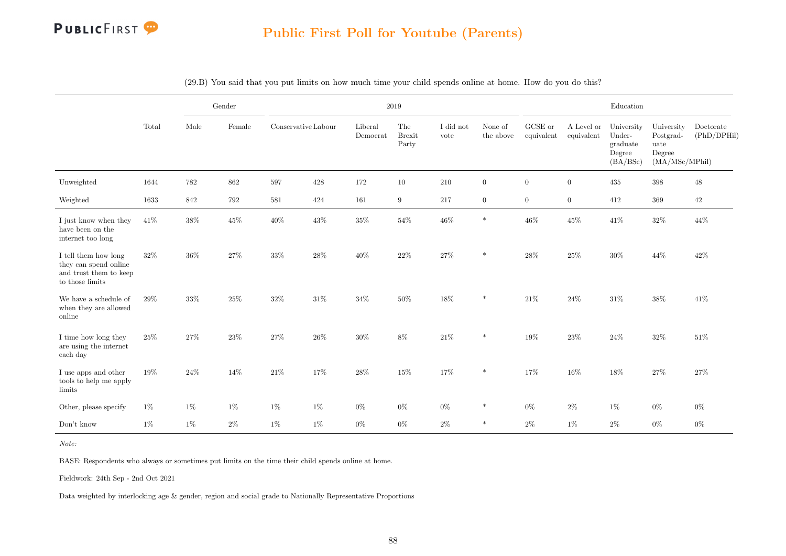

|                                                                                            |        |         | Gender |                     |         | 2019                |                               |                   |                      |                       |                          | Education                                              |                                                             |                          |
|--------------------------------------------------------------------------------------------|--------|---------|--------|---------------------|---------|---------------------|-------------------------------|-------------------|----------------------|-----------------------|--------------------------|--------------------------------------------------------|-------------------------------------------------------------|--------------------------|
|                                                                                            | Total  | Male    | Female | Conservative Labour |         | Liberal<br>Democrat | The<br><b>Brexit</b><br>Party | I did not<br>vote | None of<br>the above | GCSE or<br>equivalent | A Level or<br>equivalent | University<br>Under-<br>graduate<br>Degree<br>(BA/BSc) | University<br>Postgrad-<br>uate<br>Degree<br>(MA/MSc/MPhil) | Doctorate<br>(PhD/DPHil) |
| Unweighted                                                                                 | 1644   | $782\,$ | 862    | 597                 | $428\,$ | 172                 | $10\,$                        | 210               | $\boldsymbol{0}$     | $\overline{0}$        | $\boldsymbol{0}$         | 435                                                    | $398\,$                                                     | $48\,$                   |
| Weighted                                                                                   | 1633   | 842     | 792    | 581                 | 424     | 161                 | $\boldsymbol{9}$              | 217               | $\overline{0}$       | $\overline{0}$        | $\overline{0}$           | 412                                                    | 369                                                         | $42\,$                   |
| I just know when they<br>have been on the<br>internet too long                             | 41\%   | $38\%$  | $45\%$ | 40%                 | $43\%$  | $35\%$              | $54\%$                        | $46\%$            | $\ast$               | $46\%$                | 45%                      | 41\%                                                   | $32\%$                                                      | 44%                      |
| I tell them how long<br>they can spend online<br>and trust them to keep<br>to those limits | $32\%$ | $36\%$  | $27\%$ | $33\%$              | $28\%$  | $40\%$              | $22\%$                        | $27\%$            | $\ast$               | $28\%$                | $25\%$                   | $30\%$                                                 | $44\%$                                                      | $42\%$                   |
| We have a schedule of<br>when they are allowed<br>online                                   | 29%    | $33\%$  | $25\%$ | $32\%$              | $31\%$  | $34\%$              | $50\%$                        | $18\%$            | $\ast$               | $21\%$                | 24%                      | $31\%$                                                 | $38\%$                                                      | 41\%                     |
| I time how long they<br>are using the internet<br>each day                                 | 25%    | $27\%$  | $23\%$ | $27\%$              | $26\%$  | $30\%$              | $8\%$                         | $21\%$            | $\ast$               | $19\%$                | $23\%$                   | $24\%$                                                 | $32\%$                                                      | 51%                      |
| I use apps and other<br>tools to help me apply<br>limits                                   | $19\%$ | $24\%$  | 14%    | $21\%$              | 17%     | $28\%$              | $15\%$                        | $17\%$            | $\ast$               | $17\%$                | $16\%$                   | $18\%$                                                 | $27\%$                                                      | $27\%$                   |
| Other, please specify                                                                      | $1\%$  | $1\%$   | $1\%$  | $1\%$               | 1%      | $0\%$               | $0\%$                         | $0\%$             | $\ast$               | $0\%$                 | $2\%$                    | $1\%$                                                  | $0\%$                                                       | $0\%$                    |
| Don't know                                                                                 | $1\%$  | $1\%$   | $2\%$  | $1\%$               | $1\%$   | $0\%$               | $0\%$                         | $2\%$             | $\ast$               | $2\%$                 | $1\%$                    | $2\%$                                                  | $0\%$                                                       | $0\%$                    |

(29.B) You said that you put limits on how much time your child spends online at home. How do you do this?

Note:

BASE: Respondents who always or sometimes put limits on the time their child spends online at home.

Fieldwork: 24th Sep - 2nd Oct 2021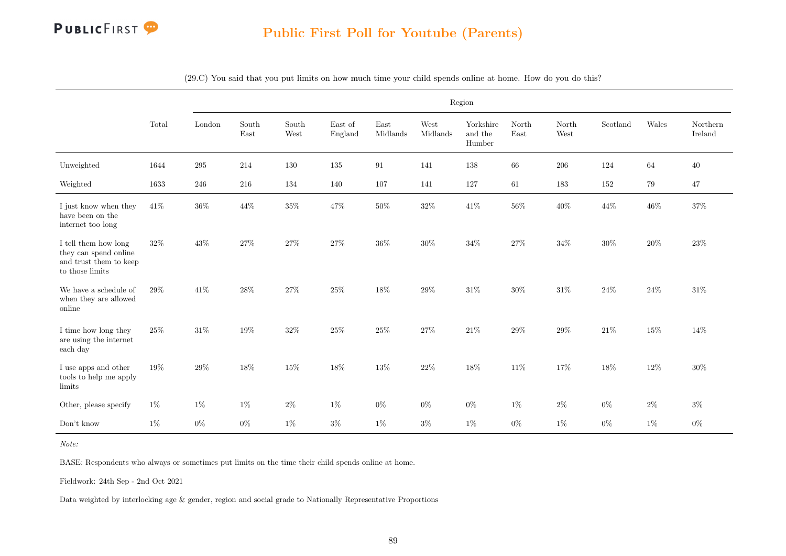

|                                                                                            |        |        |               |               |                    |                  |                  | Region                         |               |               |          |        |                     |
|--------------------------------------------------------------------------------------------|--------|--------|---------------|---------------|--------------------|------------------|------------------|--------------------------------|---------------|---------------|----------|--------|---------------------|
|                                                                                            | Total  | London | South<br>East | South<br>West | East of<br>England | East<br>Midlands | West<br>Midlands | Yorkshire<br>and the<br>Humber | North<br>East | North<br>West | Scotland | Wales  | Northern<br>Ireland |
| Unweighted                                                                                 | 1644   | 295    | 214           | 130           | 135                | 91               | 141              | 138                            | 66            | 206           | 124      | 64     | 40                  |
| Weighted                                                                                   | 1633   | 246    | 216           | 134           | 140                | 107              | 141              | 127                            | 61            | 183           | 152      | 79     | 47                  |
| I just know when they<br>have been on the<br>internet too long                             | 41%    | $36\%$ | 44%           | $35\%$        | 47%                | $50\%$           | $32\%$           | $41\%$                         | $56\%$        | $40\%$        | 44%      | 46%    | $37\%$              |
| I tell them how long<br>they can spend online<br>and trust them to keep<br>to those limits | $32\%$ | 43%    | $27\%$        | $27\%$        | $27\%$             | $36\%$           | $30\%$           | $34\%$                         | $27\%$        | $34\%$        | $30\%$   | $20\%$ | $23\%$              |
| We have a schedule of<br>when they are allowed<br>online                                   | 29%    | 41\%   | $28\%$        | $27\%$        | 25%                | $18\%$           | $29\%$           | 31\%                           | $30\%$        | 31%           | 24%      | 24%    | 31\%                |
| I time how long they<br>are using the internet<br>each day                                 | $25\%$ | $31\%$ | 19%           | $32\%$        | $25\%$             | $25\%$           | 27%              | $21\%$                         | $29\%$        | $29\%$        | $21\%$   | 15%    | 14%                 |
| I use apps and other<br>tools to help me apply<br>limits                                   | 19%    | $29\%$ | 18%           | $15\%$        | $18\%$             | $13\%$           | $22\%$           | $18\%$                         | 11%           | 17%           | 18%      | $12\%$ | 30%                 |
| Other, please specify                                                                      | $1\%$  | $1\%$  | $1\%$         | $2\%$         | $1\%$              | $0\%$            | $0\%$            | $0\%$                          | $1\%$         | $2\%$         | $0\%$    | $2\%$  | $3\%$               |
| Don't know                                                                                 | $1\%$  | $0\%$  | $0\%$         | $1\%$         | $3\%$              | $1\%$            | $3\%$            | $1\%$                          | $0\%$         | $1\%$         | $0\%$    | $1\%$  | $0\%$               |

(29.C) You said that you put limits on how much time your child spends online at home. How do you do this?

Note:

BASE: Respondents who always or sometimes put limits on the time their child spends online at home.

Fieldwork: 24th Sep - 2nd Oct 2021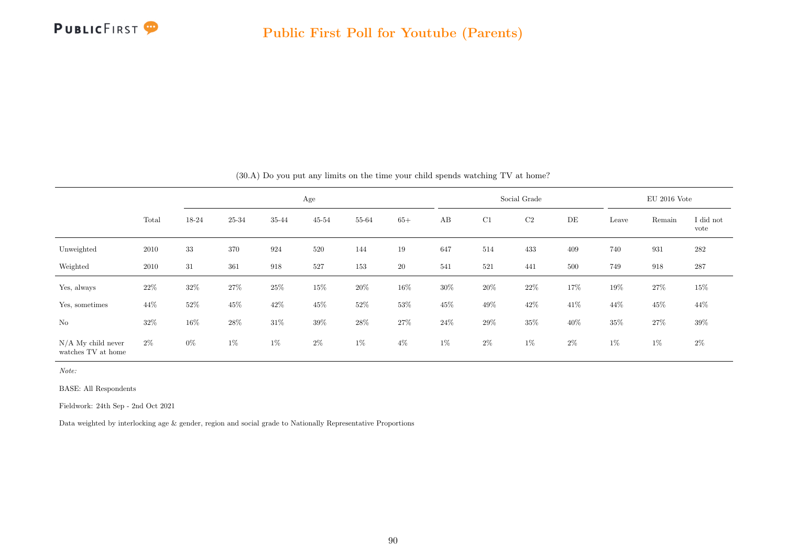

|                                            |        |        |        |        | Age       |        |        |        |        | Social Grade |        |        | $EU$ 2016 Vote |                   |
|--------------------------------------------|--------|--------|--------|--------|-----------|--------|--------|--------|--------|--------------|--------|--------|----------------|-------------------|
|                                            | Total  | 18-24  | 25-34  | 35-44  | $45 - 54$ | 55-64  | $65+$  | AB     | C1     | C2           | DE     | Leave  | Remain         | I did not<br>vote |
| Unweighted                                 | 2010   | 33     | 370    | 924    | 520       | 144    | 19     | 647    | 514    | 433          | 409    | 740    | 931            | 282               |
| Weighted                                   | 2010   | 31     | 361    | 918    | 527       | 153    | 20     | 541    | 521    | 441          | 500    | 749    | 918            | 287               |
| Yes, always                                | $22\%$ | $32\%$ | 27%    | 25%    | 15%       | $20\%$ | 16\%   | $30\%$ | $20\%$ | $22\%$       | 17%    | 19%    | $27\%$         | $15\%$            |
| Yes, sometimes                             | 44\%   | $52\%$ | $45\%$ | $42\%$ | 45\%      | $52\%$ | $53\%$ | 45\%   | $49\%$ | 42%          | $41\%$ | 44\%   | $45\%$         | $44\%$            |
| $\rm No$                                   | 32%    | $16\%$ | 28\%   | $31\%$ | $39\%$    | 28%    | $27\%$ | $24\%$ | 29%    | $35\%$       | 40%    | $35\%$ | $27\%$         | $39\%$            |
| $N/A$ My child never<br>watches TV at home | $2\%$  | $0\%$  | $1\%$  | $1\%$  | $2\%$     | $1\%$  | $4\%$  | $1\%$  | $2\%$  | $1\%$        | $2\%$  | $1\%$  | $1\%$          | $2\%$             |

(30.A) Do you put any limits on the time your child spends watching TV at home?

Note:

BASE: All Respondents

Fieldwork: 24th Sep - 2nd Oct 2021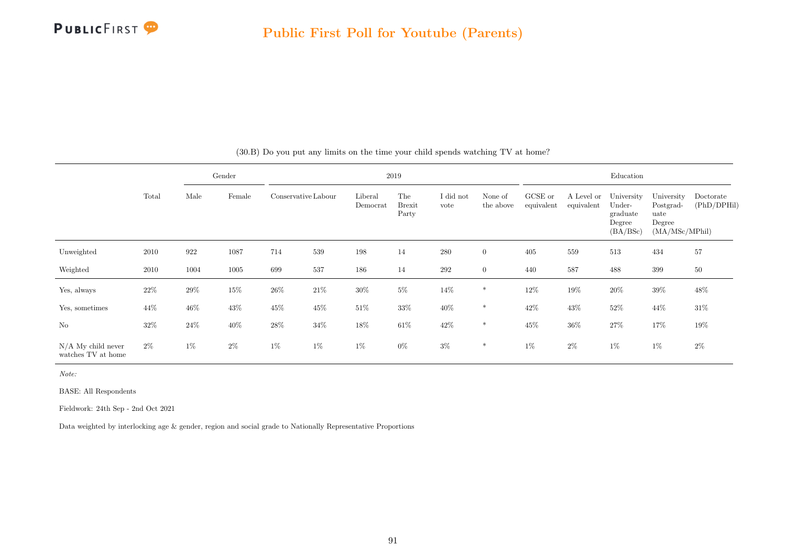

|                                            |        |        | Gender |                     |        |                     | 2019                          |                   |                      |                       |                          | Education                                              |                                                             |                          |
|--------------------------------------------|--------|--------|--------|---------------------|--------|---------------------|-------------------------------|-------------------|----------------------|-----------------------|--------------------------|--------------------------------------------------------|-------------------------------------------------------------|--------------------------|
|                                            | Total  | Male   | Female | Conservative Labour |        | Liberal<br>Democrat | The<br><b>Brexit</b><br>Party | I did not<br>vote | None of<br>the above | GCSE or<br>equivalent | A Level or<br>equivalent | University<br>Under-<br>graduate<br>Degree<br>(BA/BSc) | University<br>Postgrad-<br>uate<br>Degree<br>(MA/MSc/MPhil) | Doctorate<br>(PhD/DPHil) |
| Unweighted                                 | 2010   | 922    | 1087   | 714                 | 539    | 198                 | 14                            | $280\,$           | $\overline{0}$       | 405                   | 559                      | 513                                                    | 434                                                         | 57                       |
| Weighted                                   | 2010   | 1004   | 1005   | 699                 | 537    | 186                 | 14                            | $\,292$           | $\overline{0}$       | 440                   | 587                      | 488                                                    | 399                                                         | 50                       |
| Yes, always                                | $22\%$ | 29%    | $15\%$ | $26\%$              | $21\%$ | $30\%$              | $5\%$                         | 14\%              | $\ast$               | $12\%$                | $19\%$                   | $20\%$                                                 | $39\%$                                                      | 48%                      |
| Yes, sometimes                             | 44%    | $46\%$ | 43\%   | $45\%$              | $45\%$ | $51\%$              | $33\%$                        | $40\%$            | $\ast$               | 42%                   | 43%                      | $52\%$                                                 | $44\%$                                                      | $31\%$                   |
| N <sub>o</sub>                             | 32\%   | $24\%$ | $40\%$ | $28\%$              | $34\%$ | 18%                 | $61\%$                        | $42\%$            | $\ast$               | $45\%$                | $36\%$                   | $27\%$                                                 | 17%                                                         | $19\%$                   |
| $N/A$ My child never<br>watches TV at home | $2\%$  | $1\%$  | $2\%$  | $1\%$               | $1\%$  | $1\%$               | $0\%$                         | $3\%$             | $\ast$               | $1\%$                 | $2\%$                    | $1\%$                                                  | $1\%$                                                       | $2\%$                    |

(30.B) Do you put any limits on the time your child spends watching TV at home?

Note:

BASE: All Respondents

Fieldwork: 24th Sep - 2nd Oct 2021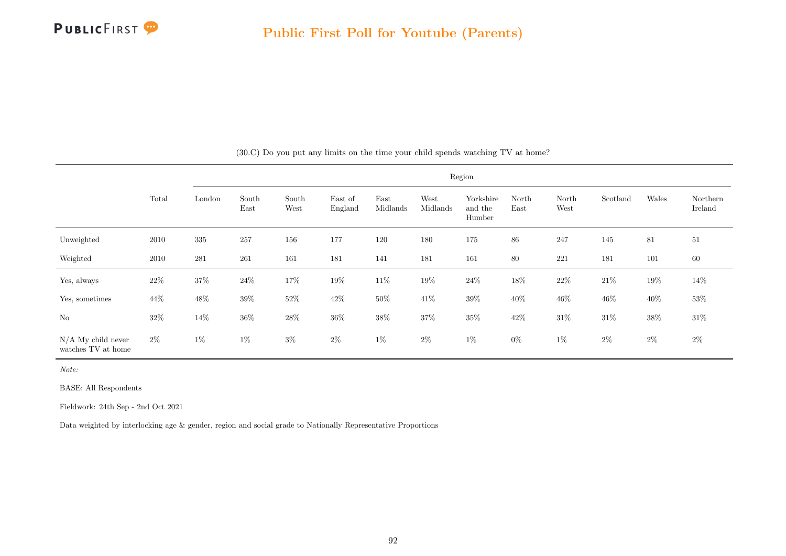

|                                            |        |         |               |               |                    |                  |                  | Region                         |               |               |          |         |                     |
|--------------------------------------------|--------|---------|---------------|---------------|--------------------|------------------|------------------|--------------------------------|---------------|---------------|----------|---------|---------------------|
|                                            | Total  | London  | South<br>East | South<br>West | East of<br>England | East<br>Midlands | West<br>Midlands | Yorkshire<br>and the<br>Humber | North<br>East | North<br>West | Scotland | Wales   | Northern<br>Ireland |
| Unweighted                                 | 2010   | $335\,$ | 257           | 156           | 177                | 120              | 180              | 175                            | 86            | 247           | 145      | 81      | 51                  |
| Weighted                                   | 2010   | 281     | 261           | 161           | 181                | 141              | 181              | 161                            | 80            | 221           | 181      | $101\,$ | 60                  |
| Yes, always                                | $22\%$ | $37\%$  | $24\%$        | 17%           | $19\%$             | $11\%$           | $19\%$           | $24\%$                         | $18\%$        | $22\%$        | $21\%$   | $19\%$  | 14\%                |
| Yes, sometimes                             | $44\%$ | $48\%$  | 39%           | $52\%$        | $42\%$             | 50%              | $41\%$           | $39\%$                         | 40\%          | $46\%$        | 46\%     | $40\%$  | 53%                 |
| No                                         | $32\%$ | $14\%$  | $36\%$        | $28\%$        | $36\%$             | $38\%$           | $37\%$           | $35\%$                         | $42\%$        | $31\%$        | $31\%$   | $38\%$  | $31\%$              |
| $N/A$ My child never<br>watches TV at home | $2\%$  | $1\%$   | $1\%$         | $3\%$         | $2\%$              | $1\%$            | $2\%$            | $1\%$                          | $0\%$         | $1\%$         | $2\%$    | $2\%$   | $2\%$               |

(30.C) Do you put any limits on the time your child spends watching TV at home?

Note:

BASE: All Respondents

Fieldwork: 24th Sep - 2nd Oct 2021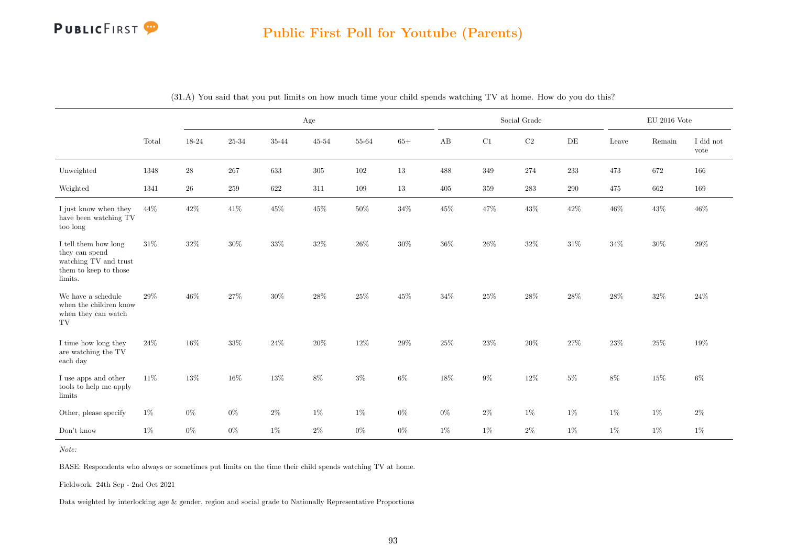#### Public First Poll for Youtube (Parents)

|                                                                                                     |       |             |        |        | Age       |        |        |        |         | Social Grade |        |        | $\rm EU$ 2016 Vote      |                   |
|-----------------------------------------------------------------------------------------------------|-------|-------------|--------|--------|-----------|--------|--------|--------|---------|--------------|--------|--------|-------------------------|-------------------|
|                                                                                                     | Total | 18-24       | 25-34  | 35-44  | $45 - 54$ | 55-64  | $65+$  | AB     | C1      | $\rm{C2}$    | DE     | Leave  | $\operatorname{Remain}$ | I did not<br>vote |
| Unweighted                                                                                          | 1348  | $\sqrt{28}$ | 267    | 633    | $305\,$   | 102    | $13\,$ | 488    | $349\,$ | $274\,$      | 233    | 473    | 672                     | 166               |
| Weighted                                                                                            | 1341  | $26\,$      | 259    | 622    | 311       | 109    | 13     | 405    | $359\,$ | $283\,$      | 290    | 475    | 662                     | 169               |
| I just know when they<br>have been watching TV<br>too long                                          | 44\%  | 42%         | $41\%$ | $45\%$ | $45\%$    | $50\%$ | $34\%$ | $45\%$ | 47%     | $43\%$       | $42\%$ | $46\%$ | $43\%$                  | $46\%$            |
| I tell them how long<br>they can spend<br>watching TV and trust<br>them to keep to those<br>limits. | 31%   | 32%         | $30\%$ | 33%    | 32%       | 26%    | 30%    | 36%    | 26\%    | 32%          | $31\%$ | 34%    | 30%                     | 29%               |
| We have a schedule<br>when the children know<br>when they can watch<br>TV                           | 29%   | 46%         | $27\%$ | $30\%$ | 28%       | $25\%$ | $45\%$ | 34%    | 25%     | 28%          | 28%    | 28%    | 32%                     | 24\%              |
| I time how long they<br>are watching the TV<br>each day                                             | 24\%  | 16%         | $33\%$ | $24\%$ | 20%       | 12%    | $29\%$ | 25%    | $23\%$  | $20\%$       | 27%    | $23\%$ | $25\%$                  | 19%               |
| I use apps and other<br>tools to help me apply<br>limits                                            | 11\%  | 13%         | $16\%$ | $13\%$ | $8\%$     | $3\%$  | $6\%$  | 18%    | $9\%$   | $12\%$       | $5\%$  | $8\%$  | 15%                     | $6\%$             |
| Other, please specify                                                                               | $1\%$ | $0\%$       | $0\%$  | $2\%$  | $1\%$     | 1%     | $0\%$  | $0\%$  | $2\%$   | $1\%$        | $1\%$  | $1\%$  | $1\%$                   | $2\%$             |
| Don't know                                                                                          | $1\%$ | $0\%$       | $0\%$  | $1\%$  | $2\%$     | $0\%$  | $0\%$  | $1\%$  | $1\%$   | $2\%$        | 1%     | $1\%$  | $1\%$                   | $1\%$             |

(31.A) You said that you put limits on how much time your child spends watching TV at home. How do you do this?

Note:

BASE: Respondents who always or sometimes put limits on the time their child spends watching TV at home.

Fieldwork: 24th Sep - 2nd Oct 2021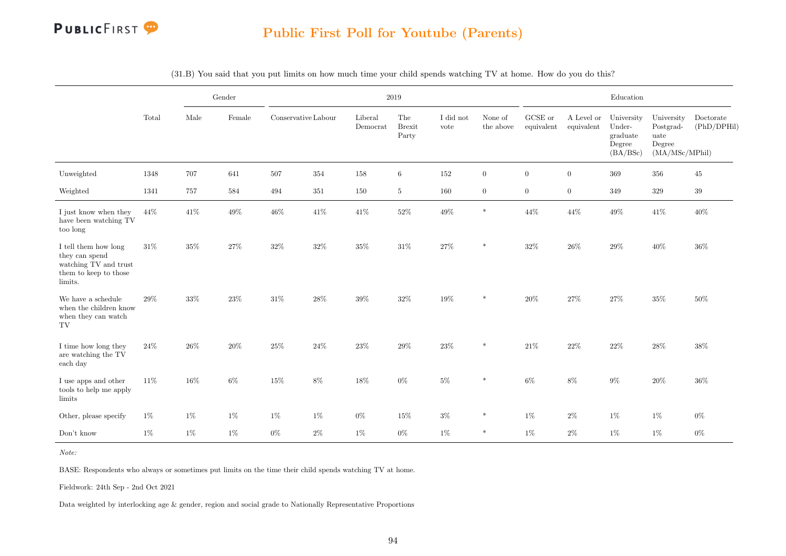

|                                                                                                     |        |        | Gender |                     |        | $2019\,$                                        |                               |                   |                      |                               |                          | Education                                              |                                                             |                          |
|-----------------------------------------------------------------------------------------------------|--------|--------|--------|---------------------|--------|-------------------------------------------------|-------------------------------|-------------------|----------------------|-------------------------------|--------------------------|--------------------------------------------------------|-------------------------------------------------------------|--------------------------|
|                                                                                                     | Total  | Male   | Female | Conservative Labour |        | Liberal<br>$\label{eq:emocrat} {\rm Demonorat}$ | The<br><b>Brexit</b><br>Party | I did not<br>vote | None of<br>the above | ${\rm GCSE}$ or<br>equivalent | A Level or<br>equivalent | University<br>Under-<br>graduate<br>Degree<br>(BA/BSc) | University<br>Postgrad-<br>uate<br>Degree<br>(MA/MSc/MPhil) | Doctorate<br>(PhD/DPHil) |
| Unweighted                                                                                          | 1348   | 707    | 641    | 507                 | 354    | 158                                             | 6                             | 152               | $\overline{0}$       | $\overline{0}$                | $\overline{0}$           | 369                                                    | 356                                                         | 45                       |
| Weighted                                                                                            | 1341   | 757    | 584    | 494                 | 351    | 150                                             | $\overline{5}$                | 160               | $\overline{0}$       | $\overline{0}$                | $\overline{0}$           | 349                                                    | $329\,$                                                     | $39\,$                   |
| I just know when they<br>have been watching TV<br>too long                                          | $44\%$ | 41\%   | $49\%$ | $46\%$              | $41\%$ | $41\%$                                          | $52\%$                        | 49%               | $\ast$               | $44\%$                        | $44\%$                   | $49\%$                                                 | $41\%$                                                      | 40%                      |
| I tell them how long<br>they can spend<br>watching TV and trust<br>them to keep to those<br>limits. | 31%    | 35%    | $27\%$ | 32%                 | 32%    | $35\%$                                          | 31%                           | 27%               | $\ast$               | $32\%$                        | 26%                      | $29\%$                                                 | 40%                                                         | 36%                      |
| We have a schedule<br>when the children know<br>when they can watch<br>TV                           | 29%    | 33%    | $23\%$ | $31\%$              | 28%    | $39\%$                                          | $32\%$                        | $19\%$            | $\ast$               | $20\%$                        | 27%                      | $27\%$                                                 | $35\%$                                                      | 50%                      |
| I time how long they<br>are watching the TV<br>each day                                             | $24\%$ | $26\%$ | $20\%$ | $25\%$              | $24\%$ | $23\%$                                          | $29\%$                        | $23\%$            | $\ast$               | $21\%$                        | $22\%$                   | $22\%$                                                 | $28\%$                                                      | 38%                      |
| I use apps and other<br>tools to help me apply<br>limits                                            | $11\%$ | 16%    | $6\%$  | 15%                 | $8\%$  | 18%                                             | $0\%$                         | $5\%$             | $\ast$               | $6\%$                         | $8\%$                    | $9\%$                                                  | $20\%$                                                      | 36%                      |
| Other, please specify                                                                               | 1%     | $1\%$  | 1%     | $1\%$               | $1\%$  | $0\%$                                           | $15\%$                        | $3\%$             | $\ast$               | $1\%$                         | $2\%$                    | $1\%$                                                  | $1\%$                                                       | $0\%$                    |
| Don't know                                                                                          | $1\%$  | $1\%$  | $1\%$  | $0\%$               | $2\%$  | $1\%$                                           | $0\%$                         | $1\%$             | $\ast$               | $1\%$                         | $2\%$                    | $1\%$                                                  | $1\%$                                                       | $0\%$                    |

(31.B) You said that you put limits on how much time your child spends watching TV at home. How do you do this?

Note:

BASE: Respondents who always or sometimes put limits on the time their child spends watching TV at home.

Fieldwork: 24th Sep - 2nd Oct 2021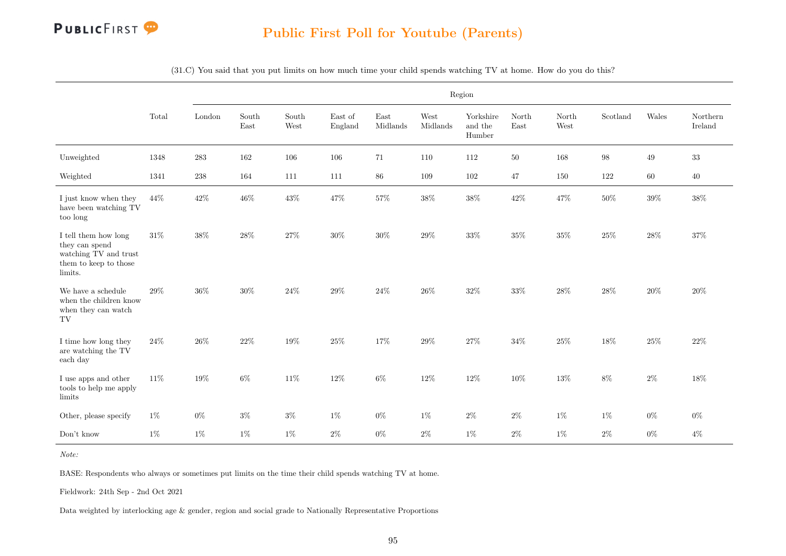

(31.C) You said that you put limits on how much time your child spends watching TV at home. How do you do this?

|                                                                                                                      |        |           |               |               |                    |                  |                  | Region                         |               |               |                   |        |                     |
|----------------------------------------------------------------------------------------------------------------------|--------|-----------|---------------|---------------|--------------------|------------------|------------------|--------------------------------|---------------|---------------|-------------------|--------|---------------------|
|                                                                                                                      | Total  | London    | South<br>East | South<br>West | East of<br>England | East<br>Midlands | West<br>Midlands | Yorkshire<br>and the<br>Humber | North<br>East | North<br>West | Scotland          | Wales  | Northern<br>Ireland |
| Unweighted                                                                                                           | 1348   | $\bf 283$ | 162           | $106\,$       | 106                | 71               | 110              | 112                            | $50\,$        | 168           | $\boldsymbol{98}$ | $49\,$ | $33\,$              |
| Weighted                                                                                                             | 1341   | $238\,$   | 164           | 111           | 111                | 86               | 109              | 102                            | 47            | 150           | 122               | 60     | 40                  |
| I just know when they<br>have been watching TV<br>too long                                                           | 44%    | 42%       | 46%           | 43%           | $47\%$             | $57\%$           | $38\%$           | $38\%$                         | 42%           | 47%           | $50\%$            | $39\%$ | $38\%$              |
| I tell them how long<br>they can spend<br>watching $\operatorname{TV}$ and trust<br>them to keep to those<br>limits. | $31\%$ | $38\%$    | 28%           | $27\%$        | $30\%$             | $30\%$           | $29\%$           | $33\%$                         | 35%           | $35\%$        | $25\%$            | $28\%$ | $37\%$              |
| We have a schedule<br>when the children know<br>when they can watch<br>TV                                            | 29%    | $36\%$    | $30\%$        | $24\%$        | $29\%$             | $24\%$           | 26%              | $32\%$                         | $33\%$        | $28\%$        | $28\%$            | $20\%$ | $20\%$              |
| I time how long they<br>are watching the $\operatorname{TV}$<br>each day                                             | $24\%$ | $26\%$    | 22%           | 19%           | $25\%$             | 17%              | $29\%$           | $27\%$                         | $34\%$        | $25\%$        | $18\%$            | $25\%$ | $22\%$              |
| I use apps and other<br>tools to help me apply<br>limits                                                             | 11%    | 19%       | $6\%$         | 11%           | 12%                | $6\%$            | 12%              | $12\%$                         | 10%           | $13\%$        | $8\%$             | $2\%$  | 18%                 |
| Other, please specify                                                                                                | $1\%$  | $0\%$     | $3\%$         | $3\%$         | $1\%$              | $0\%$            | $1\%$            | $2\%$                          | $2\%$         | $1\%$         | $1\%$             | $0\%$  | $0\%$               |
| Don't know                                                                                                           | $1\%$  | $1\%$     | $1\%$         | $1\%$         | $2\%$              | $0\%$            | $2\%$            | $1\%$                          | $2\%$         | $1\%$         | $2\%$             | $0\%$  | $4\%$               |

Note:

BASE: Respondents who always or sometimes put limits on the time their child spends watching TV at home.

Fieldwork: 24th Sep - 2nd Oct 2021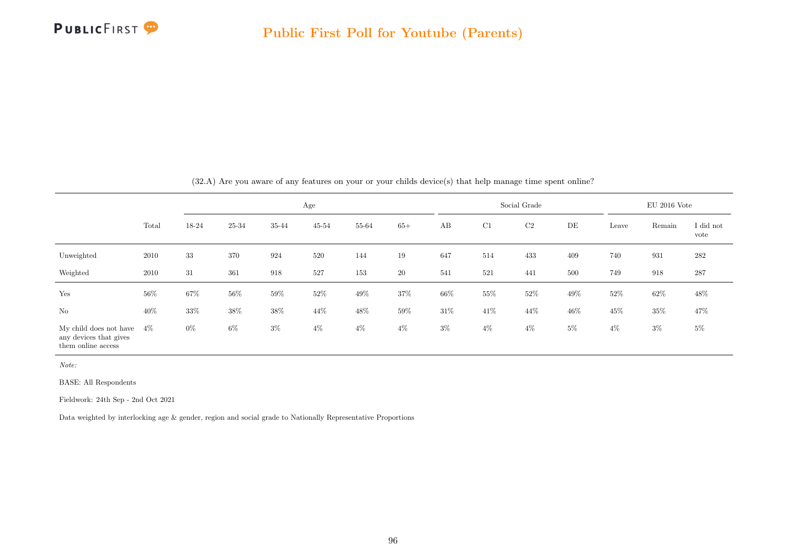

|                                                                        |        |        |        |        | Age       |        |        |       |        | Social Grade |       |        | $EU$ 2016 Vote |                   |
|------------------------------------------------------------------------|--------|--------|--------|--------|-----------|--------|--------|-------|--------|--------------|-------|--------|----------------|-------------------|
|                                                                        | Total  | 18-24  | 25-34  | 35-44  | $45 - 54$ | 55-64  | $65+$  | AB    | C1     | C2           | DE    | Leave  | Remain         | I did not<br>vote |
| Unweighted                                                             | 2010   | 33     | 370    | 924    | 520       | 144    | 19     | 647   | 514    | 433          | 409   | 740    | 931            | $\bf 282$         |
| Weighted                                                               | 2010   | 31     | 361    | 918    | 527       | 153    | 20     | 541   | 521    | 441          | 500   | 749    | 918            | 287               |
| Yes                                                                    | $56\%$ | $67\%$ | $56\%$ | $59\%$ | $52\%$    | $49\%$ | $37\%$ | 66\%  | $55\%$ | $52\%$       | 49%   | $52\%$ | $62\%$         | 48\%              |
| $\rm No$                                                               | $40\%$ | $33\%$ | $38\%$ | $38\%$ | 44\%      | 48%    | $59\%$ | 31\%  | 41\%   | 44\%         | 46%   | $45\%$ | $35\%$         | 47\%              |
| My child does not have<br>any devices that gives<br>them online access | 4%     | $0\%$  | $6\%$  | $3\%$  | $4\%$     | $4\%$  | $4\%$  | $3\%$ | $4\%$  | $4\%$        | $5\%$ | $4\%$  | $3\%$          | $5\%$             |

(32.A) Are you aware of any features on your or your childs device(s) that help manage time spent online?

Note:

BASE: All Respondents

Fieldwork: 24th Sep - 2nd Oct 2021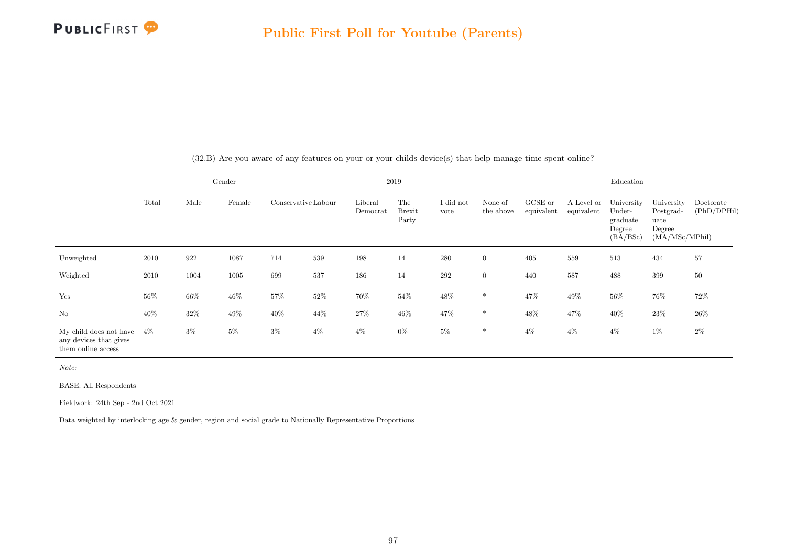

|                                                                        |        |       | Gender |                     |        |                     | 2019                          |                   |                      |                       |                          | Education                                              |                                                             |                          |
|------------------------------------------------------------------------|--------|-------|--------|---------------------|--------|---------------------|-------------------------------|-------------------|----------------------|-----------------------|--------------------------|--------------------------------------------------------|-------------------------------------------------------------|--------------------------|
|                                                                        | Total  | Male  | Female | Conservative Labour |        | Liberal<br>Democrat | The<br><b>Brexit</b><br>Party | I did not<br>vote | None of<br>the above | GCSE or<br>equivalent | A Level or<br>equivalent | University<br>Under-<br>graduate<br>Degree<br>(BA/BSc) | University<br>Postgrad-<br>uate<br>Degree<br>(MA/MSc/MPhil) | Doctorate<br>(PhD/DPHil) |
| Unweighted                                                             | 2010   | 922   | 1087   | 714                 | 539    | 198                 | 14                            | 280               | $\overline{0}$       | 405                   | 559                      | 513                                                    | 434                                                         | 57                       |
| Weighted                                                               | 2010   | 1004  | 1005   | 699                 | 537    | 186                 | 14                            | 292               | $\overline{0}$       | 440                   | 587                      | 488                                                    | 399                                                         | $50\,$                   |
| Yes                                                                    | $56\%$ | 66%   | $46\%$ | $57\%$              | $52\%$ | 70%                 | $54\%$                        | 48\%              | $\ast$               | 47\%                  | $49\%$                   | $56\%$                                                 | 76%                                                         | 72%                      |
| No                                                                     | 40%    | 32%   | $49\%$ | 40%                 | 44\%   | $27\%$              | 46%                           | 47%               | $\ast$               | $48\%$                | 47%                      | $40\%$                                                 | 23%                                                         | 26%                      |
| My child does not have<br>any devices that gives<br>them online access | $4\%$  | $3\%$ | $5\%$  | $3\%$               | $4\%$  | $4\%$               | $0\%$                         | $5\%$             | $\ast$               | $4\%$                 | $4\%$                    | $4\%$                                                  | $1\%$                                                       | $2\%$                    |

(32.B) Are you aware of any features on your or your childs device(s) that help manage time spent online?

Note:

BASE: All Respondents

Fieldwork: 24th Sep - 2nd Oct 2021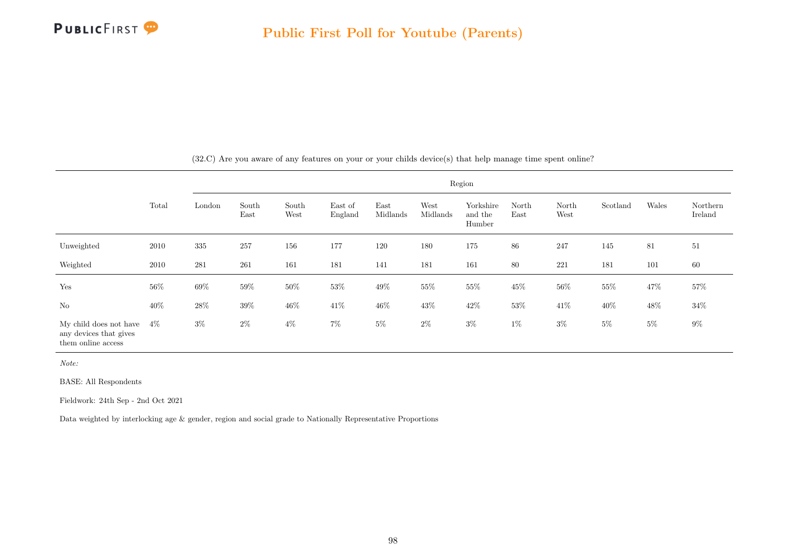

|                                                                        |        |         |               |               |                    |                  |                  | Region                         |               |               |          |        |                     |
|------------------------------------------------------------------------|--------|---------|---------------|---------------|--------------------|------------------|------------------|--------------------------------|---------------|---------------|----------|--------|---------------------|
|                                                                        | Total  | London  | South<br>East | South<br>West | East of<br>England | East<br>Midlands | West<br>Midlands | Yorkshire<br>and the<br>Humber | North<br>East | North<br>West | Scotland | Wales  | Northern<br>Ireland |
| Unweighted                                                             | 2010   | $335\,$ | 257           | 156           | 177                | 120              | 180              | 175                            | 86            | 247           | 145      | 81     | $51\,$              |
| Weighted                                                               | 2010   | 281     | 261           | 161           | 181                | 141              | 181              | 161                            | 80            | 221           | 181      | 101    | 60                  |
| Yes                                                                    | $56\%$ | $69\%$  | $59\%$        | $50\%$        | $53\%$             | $49\%$           | $55\%$           | $55\%$                         | $45\%$        | $56\%$        | $55\%$   | $47\%$ | 57%                 |
| $\rm No$                                                               | $40\%$ | $28\%$  | $39\%$        | $46\%$        | $41\%$             | $46\%$           | $43\%$           | $42\%$                         | $53\%$        | $41\%$        | $40\%$   | $48\%$ | $34\%$              |
| My child does not have<br>any devices that gives<br>them online access | $4\%$  | $3\%$   | $2\%$         | $4\%$         | $7\%$              | $5\%$            | $2\%$            | $3\%$                          | $1\%$         | $3\%$         | $5\%$    | $5\%$  | $9\%$               |

(32.C) Are you aware of any features on your or your childs device(s) that help manage time spent online?

Note:

BASE: All Respondents

Fieldwork: 24th Sep - 2nd Oct 2021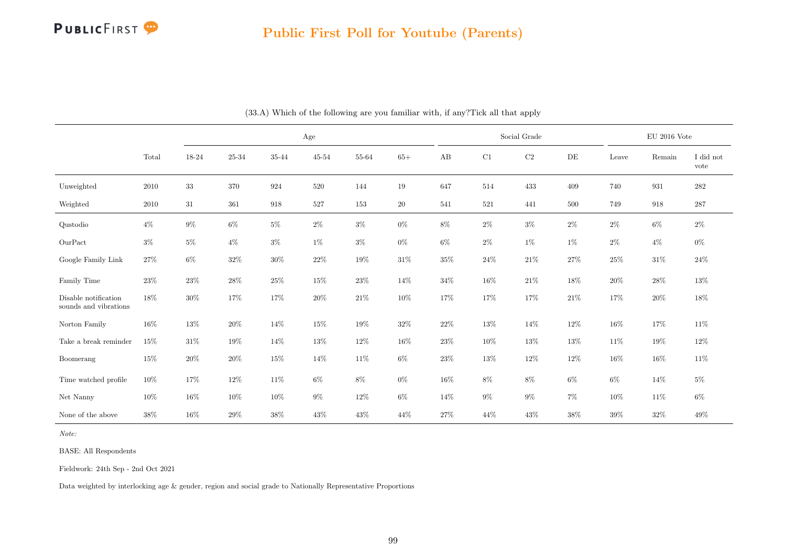

|                                               |        |        |        |        | Age       |        |           |        |        | Social Grade |        |        | $\mathrm{EU}$ 2016 Vote |                   |
|-----------------------------------------------|--------|--------|--------|--------|-----------|--------|-----------|--------|--------|--------------|--------|--------|-------------------------|-------------------|
|                                               | Total  | 18-24  | 25-34  | 35-44  | $45 - 54$ | 55-64  | $65+$     | AB     | C1     | $\rm{C2}$    | DE     | Leave  | Remain                  | I did not<br>vote |
| Unweighted                                    | 2010   | $33\,$ | 370    | 924    | 520       | 144    | $19\,$    | 647    | 514    | 433          | 409    | 740    | 931                     | $282\,$           |
| Weighted                                      | 2010   | 31     | 361    | 918    | 527       | 153    | <b>20</b> | 541    | 521    | 441          | 500    | 749    | 918                     | $287\,$           |
| Qustodio                                      | $4\%$  | $9\%$  | $6\%$  | $5\%$  | $2\%$     | $3\%$  | $0\%$     | $8\%$  | $2\%$  | $3\%$        | $2\%$  | $2\%$  | $6\%$                   | $2\%$             |
| OurPact                                       | $3\%$  | $5\%$  | $4\%$  | $3\%$  | $1\%$     | $3\%$  | $0\%$     | $6\%$  | $2\%$  | $1\%$        | $1\%$  | $2\%$  | $4\%$                   | $0\%$             |
| Google Family Link                            | 27\%   | $6\%$  | $32\%$ | $30\%$ | 22%       | $19\%$ | 31%       | 35%    | $24\%$ | 21\%         | 27%    | 25%    | 31%                     | 24\%              |
| Family Time                                   | 23%    | $23\%$ | $28\%$ | $25\%$ | 15%       | $23\%$ | 14%       | 34%    | $16\%$ | $21\%$       | 18%    | $20\%$ | 28\%                    | $13\%$            |
| Disable notification<br>sounds and vibrations | 18%    | 30%    | $17\%$ | $17\%$ | $20\%$    | $21\%$ | $10\%$    | $17\%$ | $17\%$ | $17\%$       | $21\%$ | $17\%$ | $20\%$                  | $18\%$            |
| Norton Family                                 | $16\%$ | $13\%$ | $20\%$ | $14\%$ | 15%       | $19\%$ | $32\%$    | $22\%$ | $13\%$ | 14\%         | $12\%$ | $16\%$ | 17%                     | $11\%$            |
| Take a break reminder                         | 15%    | 31\%   | $19\%$ | 14%    | 13%       | $12\%$ | 16%       | 23\%   | 10%    | 13%          | 13%    | $11\%$ | 19%                     | 12%               |
| Boomerang                                     | $15\%$ | $20\%$ | $20\%$ | $15\%$ | 14%       | $11\%$ | $6\%$     | 23%    | $13\%$ | $12\%$       | $12\%$ | $16\%$ | 16%                     | $11\%$            |
| Time watched profile                          | $10\%$ | 17%    | 12%    | 11\%   | $6\%$     | $8\%$  | $0\%$     | 16%    | $8\%$  | 8%           | 6%     | $6\%$  | 14%                     | $5\%$             |
| Net Nanny                                     | $10\%$ | 16%    | 10%    | 10%    | $9\%$     | 12%    | $6\%$     | 14%    | $9\%$  | $9\%$        | 7%     | $10\%$ | 11\%                    | $6\%$             |
| None of the above                             | $38\%$ | 16%    | $29\%$ | $38\%$ | 43%       | $43\%$ | 44\%      | 27%    | 44\%   | 43%          | $38\%$ | $39\%$ | $32\%$                  | 49\%              |

(33.A) Which of the following are you familiar with, if any?Tick all that apply

Note:

BASE: All Respondents

Fieldwork: 24th Sep - 2nd Oct 2021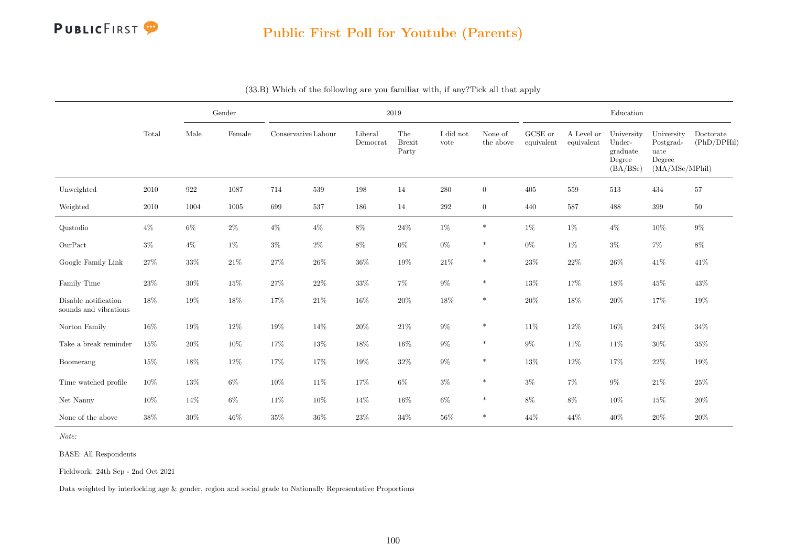

|                                               |        |         | Gender |                     |         |                     | 2019                          |                   |                      |                       |                          | Education                                              |                                                             |                          |
|-----------------------------------------------|--------|---------|--------|---------------------|---------|---------------------|-------------------------------|-------------------|----------------------|-----------------------|--------------------------|--------------------------------------------------------|-------------------------------------------------------------|--------------------------|
|                                               | Total  | Male    | Female | Conservative Labour |         | Liberal<br>Democrat | The<br><b>Brexit</b><br>Party | I did not<br>vote | None of<br>the above | GCSE or<br>equivalent | A Level or<br>equivalent | University<br>Under-<br>graduate<br>Degree<br>(BA/BSc) | University<br>Postgrad-<br>uate<br>Degree<br>(MA/MSc/MPhil) | Doctorate<br>(PhD/DPHil) |
| Unweighted                                    | 2010   | $922\,$ | 1087   | 714                 | $539\,$ | 198                 | 14                            | $280\,$           | $\overline{0}$       | $405\,$               | 559                      | 513                                                    | 434                                                         | $57\,$                   |
| Weighted                                      | 2010   | 1004    | 1005   | 699                 | 537     | 186                 | 14                            | 292               | $\overline{0}$       | 440                   | 587                      | 488                                                    | 399                                                         | $50\,$                   |
| Qustodio                                      | $4\%$  | $6\%$   | $2\%$  | $4\%$               | $4\%$   | $8\%$               | $24\%$                        | $1\%$             | $\ast$               | $1\%$                 | $1\%$                    | $4\%$                                                  | $10\%$                                                      | $9\%$                    |
| OurPact                                       | $3\%$  | $4\%$   | $1\%$  | $3\%$               | $2\%$   | $8\%$               | $0\%$                         | $0\%$             | *                    | $0\%$                 | $1\%$                    | $3\%$                                                  | $7\%$                                                       | $8\%$                    |
| Google Family Link                            | $27\%$ | $33\%$  | $21\%$ | $27\%$              | 26%     | $36\%$              | $19\%$                        | $21\%$            | $\ast$               | $23\%$                | $22\%$                   | $26\%$                                                 | 41\%                                                        | 41\%                     |
| Family Time                                   | 23%    | 30%     | $15\%$ | 27%                 | $22\%$  | $33\%$              | $7\%$                         | $9\%$             | $\ast$               | 13%                   | 17%                      | $18\%$                                                 | $45\%$                                                      | 43%                      |
| Disable notification<br>sounds and vibrations | $18\%$ | 19%     | $18\%$ | 17%                 | $21\%$  | 16%                 | $20\%$                        | $18\%$            | $\ast$               | $20\%$                | 18%                      | $20\%$                                                 | 17%                                                         | 19%                      |
| Norton Family                                 | $16\%$ | 19%     | $12\%$ | $19\%$              | 14\%    | $20\%$              | $21\%$                        | $9\%$             | $\ast$               | 11%                   | 12%                      | $16\%$                                                 | $24\%$                                                      | $34\%$                   |
| Take a break reminder                         | $15\%$ | 20%     | $10\%$ | 17%                 | $13\%$  | 18%                 | $16\%$                        | $9\%$             | $\ast$               | $9\%$                 | 11\%                     | 11\%                                                   | $30\%$                                                      | $35\%$                   |
| Boomerang                                     | $15\%$ | 18%     | $12\%$ | 17%                 | 17%     | 19%                 | $32\%$                        | $9\%$             | $\ast$               | 13%                   | 12%                      | 17%                                                    | $22\%$                                                      | 19%                      |
| Time watched profile                          | $10\%$ | 13%     | $6\%$  | 10%                 | 11\%    | 17%                 | $6\%$                         | $3\%$             | $\ast$               | $3\%$                 | $7\%$                    | $9\%$                                                  | $21\%$                                                      | $25\%$                   |
| Net Nanny                                     | 10%    | 14%     | $6\%$  | 11\%                | 10%     | 14%                 | 16%                           | $6\%$             | $\ast$               | $8\%$                 | 8%                       | $10\%$                                                 | 15%                                                         | $20\%$                   |
| None of the above                             | 38%    | 30%     | 46\%   | $35\%$              | 36%     | 23\%                | 34%                           | 56%               | $\ast$               | 44%                   | 44%                      | 40%                                                    | $20\%$                                                      | $20\%$                   |

#### (33.B) Which of the following are you familiar with, if any?Tick all that apply

Note:

BASE: All Respondents

Fieldwork: 24th Sep - 2nd Oct 2021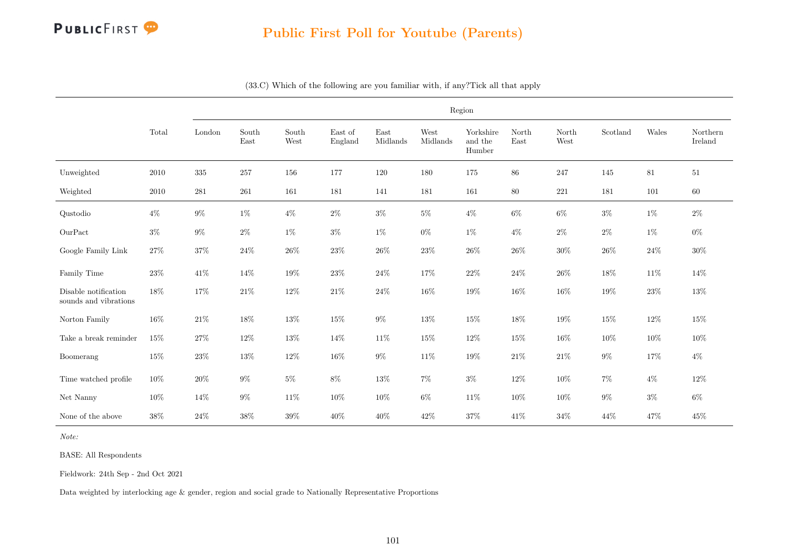

|                                               |        |         |               |               |                    |                  |                  | Region                         |               |               |          |        |                     |
|-----------------------------------------------|--------|---------|---------------|---------------|--------------------|------------------|------------------|--------------------------------|---------------|---------------|----------|--------|---------------------|
|                                               | Total  | London  | South<br>East | South<br>West | East of<br>England | East<br>Midlands | West<br>Midlands | Yorkshire<br>and the<br>Humber | North<br>East | North<br>West | Scotland | Wales  | Northern<br>Ireland |
| Unweighted                                    | 2010   | $335\,$ | 257           | 156           | 177                | 120              | 180              | 175                            | $86\,$        | 247           | 145      | $81\,$ | $51\,$              |
| Weighted                                      | 2010   | 281     | 261           | 161           | 181                | 141              | 181              | 161                            | $80\,$        | $221\,$       | 181      | 101    | 60                  |
| Qustodio                                      | $4\%$  | $9\%$   | $1\%$         | $4\%$         | $2\%$              | $3\%$            | $5\%$            | $4\%$                          | $6\%$         | $6\%$         | $3\%$    | $1\%$  | $2\%$               |
| OurPact                                       | $3\%$  | $9\%$   | $2\%$         | $1\%$         | $3\%$              | $1\%$            | $0\%$            | $1\%$                          | $4\%$         | $2\%$         | $2\%$    | $1\%$  | $0\%$               |
| Google Family Link                            | 27%    | $37\%$  | $24\%$        | $26\%$        | $23\%$             | $26\%$           | $23\%$           | $26\%$                         | 26\%          | 30%           | 26\%     | $24\%$ | $30\%$              |
| Family Time                                   | $23\%$ | $41\%$  | 14%           | $19\%$        | $23\%$             | $24\%$           | 17%              | $22\%$                         | $24\%$        | $26\%$        | 18%      | $11\%$ | 14%                 |
| Disable notification<br>sounds and vibrations | $18\%$ | $17\%$  | $21\%$        | $12\%$        | $21\%$             | $24\%$           | 16%              | 19%                            | $16\%$        | $16\%$        | $19\%$   | $23\%$ | $13\%$              |
| Norton Family                                 | 16%    | $21\%$  | 18%           | 13%           | $15\%$             | $9\%$            | $13\%$           | $15\%$                         | $18\%$        | $19\%$        | $15\%$   | $12\%$ | $15\%$              |
| Take a break reminder                         | $15\%$ | $27\%$  | $12\%$        | 13%           | 14%                | $11\%$           | 15%              | $12\%$                         | $15\%$        | $16\%$        | $10\%$   | $10\%$ | $10\%$              |
| Boomerang                                     | $15\%$ | $23\%$  | $13\%$        | $12\%$        | 16%                | $9\%$            | 11%              | $19\%$                         | $21\%$        | $21\%$        | $9\%$    | $17\%$ | $4\%$               |
| Time watched profile                          | 10%    | 20%     | $9\%$         | $5\%$         | $8\%$              | $13\%$           | $7\%$            | $3\%$                          | 12%           | 10%           | $7\%$    | $4\%$  | 12%                 |
| Net Nanny                                     | 10%    | 14%     | $9\%$         | 11%           | 10%                | 10%              | $6\%$            | 11%                            | 10%           | 10%           | $9\%$    | $3\%$  | $6\%$               |
| None of the above                             | $38\%$ | $24\%$  | $38\%$        | $39\%$        | 40%                | $40\%$           | $42\%$           | $37\%$                         | $41\%$        | $34\%$        | $44\%$   | $47\%$ | $45\%$              |

(33.C) Which of the following are you familiar with, if any?Tick all that apply

Note:

BASE: All Respondents

Fieldwork: 24th Sep - 2nd Oct 2021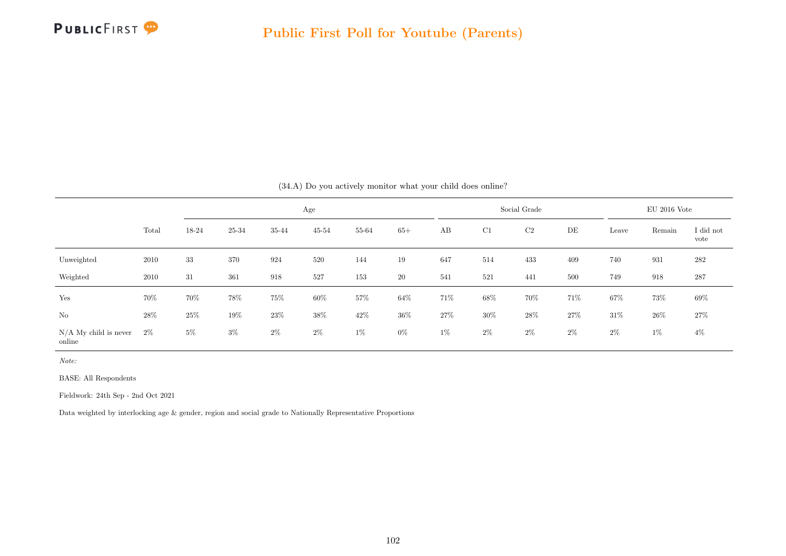

|                                   |       |        |        |        |           |        |        | (34.A) Do you actively monitor what your child does online? |        |                |        |        |                |                   |
|-----------------------------------|-------|--------|--------|--------|-----------|--------|--------|-------------------------------------------------------------|--------|----------------|--------|--------|----------------|-------------------|
|                                   |       |        |        |        | Age       |        |        |                                                             |        | Social Grade   |        |        | $EU$ 2016 Vote |                   |
|                                   | Total | 18-24  | 25-34  | 35-44  | $45 - 54$ | 55-64  | $65+$  | AB                                                          | C1     | C <sub>2</sub> | DE     | Leave  | Remain         | I did not<br>vote |
| Unweighted                        | 2010  | 33     | 370    | 924    | 520       | 144    | 19     | 647                                                         | 514    | 433            | 409    | 740    | 931            | 282               |
| Weighted                          | 2010  | 31     | 361    | 918    | 527       | 153    | $20\,$ | 541                                                         | 521    | 441            | 500    | 749    | 918            | 287               |
| Yes                               | 70%   | 70%    | $78\%$ | $75\%$ | $60\%$    | 57%    | 64%    | 71\%                                                        | $68\%$ | 70%            | 71%    | $67\%$ | 73%            | $69\%$            |
| No                                | 28%   | $25\%$ | $19\%$ | $23\%$ | $38\%$    | $42\%$ | $36\%$ | $27\%$                                                      | $30\%$ | $28\%$         | $27\%$ | $31\%$ | $26\%$         | 27\%              |
| $N/A$ My child is never<br>online | $2\%$ | $5\%$  | $3\%$  | $2\%$  | $2\%$     | $1\%$  | $0\%$  | $1\%$                                                       | $2\%$  | $2\%$          | $2\%$  | $2\%$  | $1\%$          | $4\%$             |

 $(34.4)$  Do you actively manitor what your child does online?

Note:

BASE: All Respondents

Fieldwork: 24th Sep - 2nd Oct 2021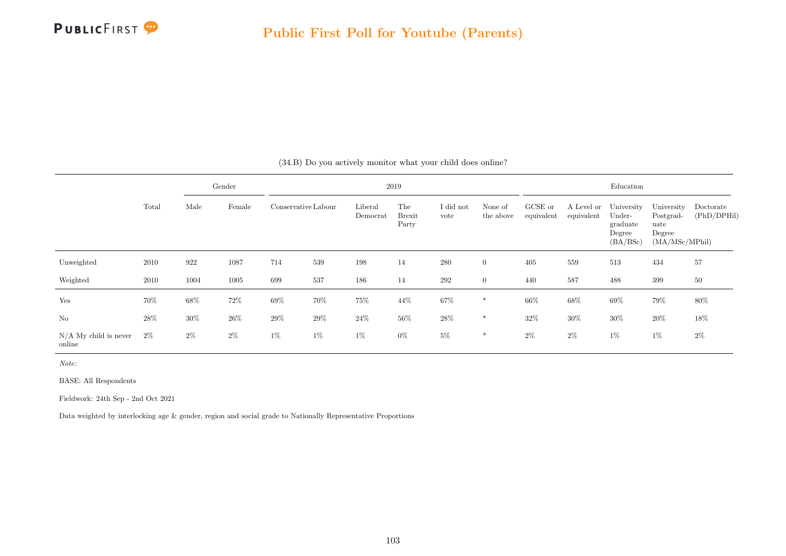

|                                   |       |        | Gender |        |                     |                     | 2019                          |                   |                      |                       |                          | Education                                              |                                                             |                          |
|-----------------------------------|-------|--------|--------|--------|---------------------|---------------------|-------------------------------|-------------------|----------------------|-----------------------|--------------------------|--------------------------------------------------------|-------------------------------------------------------------|--------------------------|
|                                   | Total | Male   | Female |        | Conservative Labour | Liberal<br>Democrat | The<br><b>Brexit</b><br>Party | I did not<br>vote | None of<br>the above | GCSE or<br>equivalent | A Level or<br>equivalent | University<br>Under-<br>graduate<br>Degree<br>(BA/BSc) | University<br>Postgrad-<br>uate<br>Degree<br>(MA/MSc/MPhil) | Doctorate<br>(PhD/DPHil) |
| Unweighted                        | 2010  | 922    | 1087   | 714    | 539                 | 198                 | 14                            | 280               | $\overline{0}$       | 405                   | 559                      | 513                                                    | 434                                                         | 57                       |
| Weighted                          | 2010  | 1004   | 1005   | 699    | 537                 | 186                 | 14                            | 292               | $\overline{0}$       | 440                   | 587                      | 488                                                    | 399                                                         | 50                       |
| Yes                               | 70%   | $68\%$ | 72%    | $69\%$ | 70%                 | 75%                 | 44\%                          | $67\%$            | $\ast$               | $66\%$                | 68%                      | $69\%$                                                 | 79%                                                         | 80%                      |
| No                                | 28\%  | $30\%$ | $26\%$ | $29\%$ | $29\%$              | $24\%$              | 56%                           | $28\%$            | $\ast$               | 32%                   | $30\%$                   | $30\%$                                                 | $20\%$                                                      | 18%                      |
| $N/A$ My child is never<br>online | $2\%$ | $2\%$  | $2\%$  | $1\%$  | $1\%$               | $1\%$               | $0\%$                         | $5\%$             | $\ast$               | $2\%$                 | $2\%$                    | $1\%$                                                  | $1\%$                                                       | $2\%$                    |

(34.B) Do you actively monitor what your child does online?

Note:

BASE: All Respondents

Fieldwork: 24th Sep - 2nd Oct 2021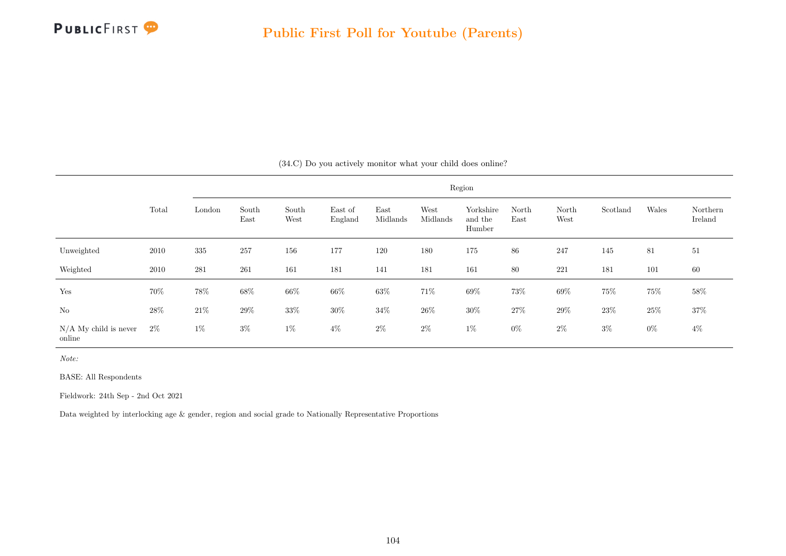

|                                   |       |         |               |               |                    |                  |                  | Region                         |               |               |          |        |                     |  |  |
|-----------------------------------|-------|---------|---------------|---------------|--------------------|------------------|------------------|--------------------------------|---------------|---------------|----------|--------|---------------------|--|--|
|                                   | Total | London  | South<br>East | South<br>West | East of<br>England | East<br>Midlands | West<br>Midlands | Yorkshire<br>and the<br>Humber | North<br>East | North<br>West | Scotland | Wales  | Northern<br>Ireland |  |  |
| Unweighted                        | 2010  | 335     | 257           | 156           | 177                | 120              | 180              | 175                            | $86\,$        | 247           | 145      | 81     | 51                  |  |  |
| Weighted                          | 2010  | $281\,$ | $261\,$       | 161           | 181                | 141              | 181              | 161                            | $80\,$        | 221           | 181      | 101    | 60                  |  |  |
| Yes                               | 70%   | $78\%$  | 68%           | $66\%$        | 66%                | $63\%$           | 71%              | $69\%$                         | 73%           | $69\%$        | 75%      | $75\%$ | 58%                 |  |  |
| $\rm No$                          | 28\%  | $21\%$  | $29\%$        | 33\%          | $30\%$             | $34\%$           | $26\%$           | $30\%$                         | $27\%$        | $29\%$        | 23\%     | $25\%$ | 37%                 |  |  |
| $N/A$ My child is never<br>online | $2\%$ | $1\%$   | $3\%$         | $1\%$         | $4\%$              | $2\%$            | $2\%$            | $1\%$                          | $0\%$         | $2\%$         | $3\%$    | $0\%$  | $4\%$               |  |  |

(34.C) Do you actively monitor what your child does online?

Note:

BASE: All Respondents

Fieldwork: 24th Sep - 2nd Oct 2021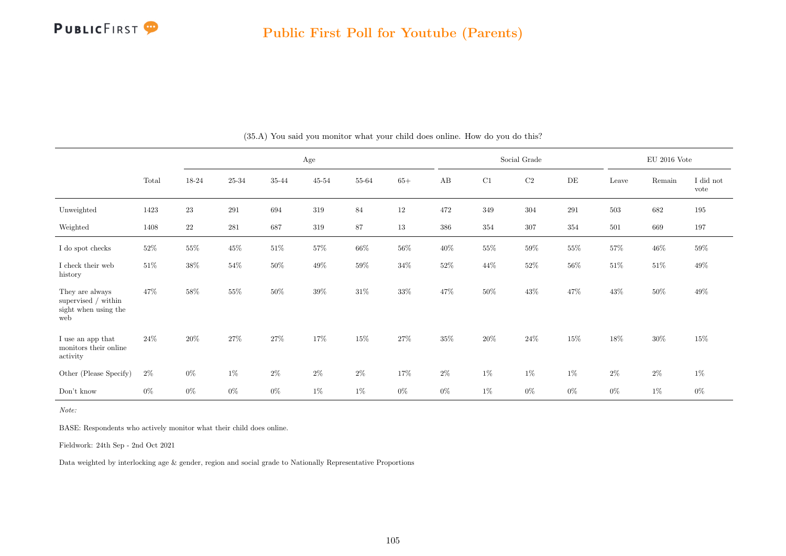

|                                                                         |        |          |           |        | $_{\rm Age}$ |        |        |        |         | Social Grade |           |         | $\rm EU$ 2016 Vote |                   |
|-------------------------------------------------------------------------|--------|----------|-----------|--------|--------------|--------|--------|--------|---------|--------------|-----------|---------|--------------------|-------------------|
|                                                                         | Total  | 18-24    | $25 - 34$ | 35-44  | $45 - 54$    | 55-64  | $65+$  | AB     | C1      | $\rm C2$     | $\rm{DE}$ | Leave   | Remain             | I did not<br>vote |
| Unweighted                                                              | 1423   | $\bf 23$ | 291       | 694    | $319\,$      | 84     | $12\,$ | 472    | $349\,$ | 304          | 291       | $503\,$ | 682                | $195\,$           |
| Weighted                                                                | 1408   | 22       | 281       | 687    | 319          | 87     | $13\,$ | 386    | 354     | $307\,$      | 354       | 501     | 669                | 197               |
| I do spot checks                                                        | $52\%$ | $55\%$   | $45\%$    | $51\%$ | $57\%$       | $66\%$ | $56\%$ | $40\%$ | $55\%$  | $59\%$       | $55\%$    | $57\%$  | $46\%$             | $59\%$            |
| I check their web<br>history                                            | $51\%$ | $38\%$   | $54\%$    | $50\%$ | $49\%$       | $59\%$ | $34\%$ | $52\%$ | $44\%$  | $52\%$       | $56\%$    | $51\%$  | $51\%$             | $49\%$            |
| They are always<br>supervised $/$ within<br>sight when using the<br>web | $47\%$ | 58%      | $55\%$    | $50\%$ | 39%          | $31\%$ | $33\%$ | 47%    | $50\%$  | $43\%$       | 47%       | $43\%$  | $50\%$             | $49\%$            |
| ${\rm I}$ use an app that<br>monitors their online<br>activity          | $24\%$ | 20%      | 27%       | $27\%$ | 17%          | $15\%$ | $27\%$ | 35%    | $20\%$  | $24\%$       | 15%       | $18\%$  | $30\%$             | $15\%$            |
| Other (Please Specify)                                                  | $2\%$  | $0\%$    | $1\%$     | $2\%$  | $2\%$        | $2\%$  | $17\%$ | $2\%$  | $1\%$   | $1\%$        | $1\%$     | $2\%$   | $2\%$              | $1\%$             |
| Don't know                                                              | $0\%$  | $0\%$    | $0\%$     | $0\%$  | $1\%$        | $1\%$  | $0\%$  | $0\%$  | $1\%$   | $0\%$        | $0\%$     | $0\%$   | $1\%$              | $0\%$             |

(35.A) You said you monitor what your child does online. How do you do this?

Note:

BASE: Respondents who actively monitor what their child does online.

Fieldwork: 24th Sep - 2nd Oct 2021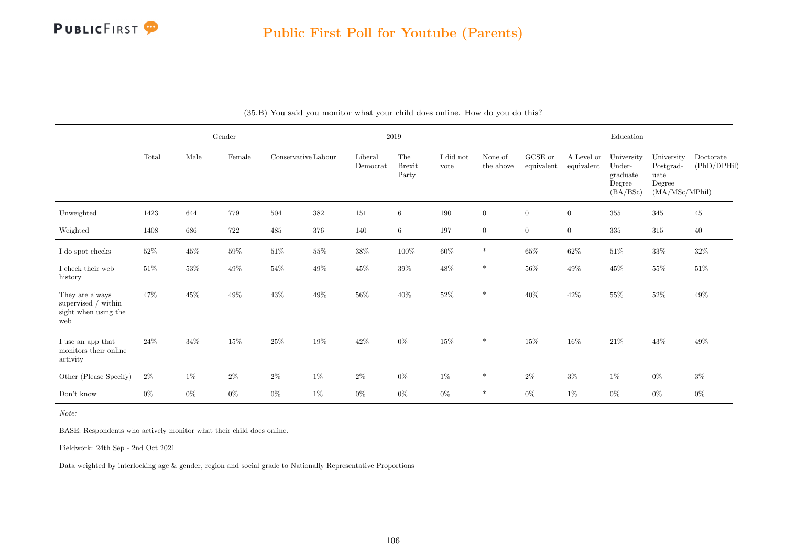

|                                                                       |        |        | Gender |                     |         |                     | $2019\,$                      |                   |                      |                               |                          | Education                                              |                                                             |                          |
|-----------------------------------------------------------------------|--------|--------|--------|---------------------|---------|---------------------|-------------------------------|-------------------|----------------------|-------------------------------|--------------------------|--------------------------------------------------------|-------------------------------------------------------------|--------------------------|
|                                                                       | Total  | Male   | Female | Conservative Labour |         | Liberal<br>Democrat | The<br><b>Brexit</b><br>Party | I did not<br>vote | None of<br>the above | ${\rm GCSE}$ or<br>equivalent | A Level or<br>equivalent | University<br>Under-<br>graduate<br>Degree<br>(BA/BSc) | University<br>Postgrad-<br>uate<br>Degree<br>(MA/MSc/MPhil) | Doctorate<br>(PhD/DPHil) |
| Unweighted                                                            | 1423   | 644    | 779    | 504                 | $382\,$ | 151                 | $\,6\,$                       | 190               | $\overline{0}$       | $\boldsymbol{0}$              | $\boldsymbol{0}$         | $355\,$                                                | $345\,$                                                     | 45                       |
| Weighted                                                              | 1408   | 686    | 722    | 485                 | 376     | 140                 | 6                             | 197               | $\overline{0}$       | $\overline{0}$                | $\overline{0}$           | 335                                                    | 315                                                         | 40                       |
| I do spot checks                                                      | $52\%$ | $45\%$ | $59\%$ | $51\%$              | $55\%$  | $38\%$              | $100\%$                       | $60\%$            | $\ast$               | $65\%$                        | $62\%$                   | $51\%$                                                 | $33\%$                                                      | $32\%$                   |
| I check their web<br>history                                          | $51\%$ | $53\%$ | $49\%$ | $54\%$              | $49\%$  | $45\%$              | $39\%$                        | $48\%$            | $\ast$               | $56\%$                        | 49%                      | $45\%$                                                 | $55\%$                                                      | $51\%$                   |
| They are always<br>supervised / within<br>sight when using the<br>web | 47%    | $45\%$ | $49\%$ | $43\%$              | 49\%    | $56\%$              | $40\%$                        | $52\%$            | $\ast$               | $40\%$                        | $42\%$                   | $55\%$                                                 | $52\%$                                                      | $49\%$                   |
| I use an app that<br>monitors their online<br>activity                | 24\%   | 34\%   | 15%    | 25%                 | 19%     | $42\%$              | $0\%$                         | $15\%$            | $\ast$               | 15%                           | $16\%$                   | $21\%$                                                 | 43%                                                         | $49\%$                   |
| Other (Please Specify)                                                | $2\%$  | $1\%$  | $2\%$  | $2\%$               | $1\%$   | $2\%$               | $0\%$                         | 1%                | $\ast$               | $2\%$                         | $3\%$                    | $1\%$                                                  | $0\%$                                                       | $3\%$                    |
| Don't know                                                            | $0\%$  | $0\%$  | $0\%$  | $0\%$               | $1\%$   | $0\%$               | $0\%$                         | $0\%$             | $\ast$               | $0\%$                         | $1\%$                    | $0\%$                                                  | $0\%$                                                       | $0\%$                    |

Note:

BASE: Respondents who actively monitor what their child does online.

Fieldwork: 24th Sep - 2nd Oct 2021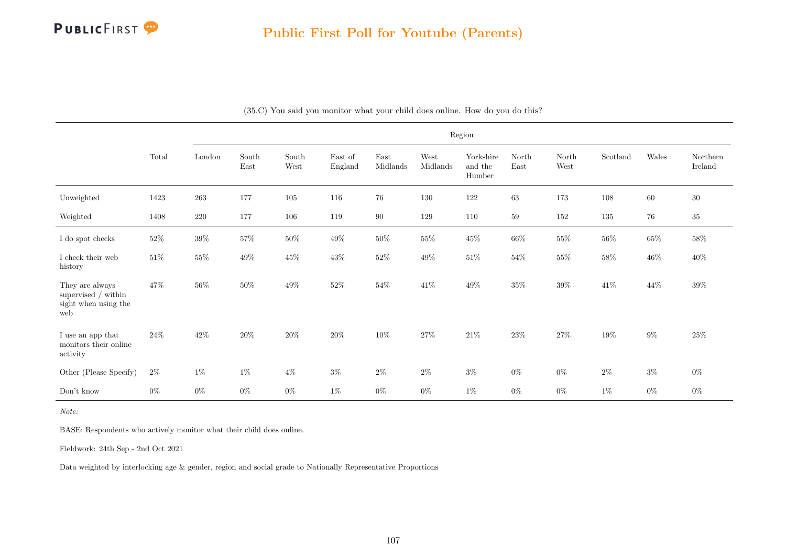

|                                                                         |        | Region |               |               |                    |                  |                  |                                |               |               |                           |        |                     |
|-------------------------------------------------------------------------|--------|--------|---------------|---------------|--------------------|------------------|------------------|--------------------------------|---------------|---------------|---------------------------|--------|---------------------|
|                                                                         | Total  | London | South<br>East | South<br>West | East of<br>England | East<br>Midlands | West<br>Midlands | Yorkshire<br>and the<br>Humber | North<br>East | North<br>West | $\operatorname{Scotland}$ | Wales  | Northern<br>Ireland |
| Unweighted                                                              | 1423   | 263    | 177           | 105           | 116                | $76\,$           | 130              | 122                            | $63\,$        | 173           | 108                       | $60\,$ | $30\,$              |
| Weighted                                                                | 1408   | 220    | 177           | 106           | 119                | $90\,$           | 129              | 110                            | $59\,$        | $152\,$       | 135                       | 76     | $35\,$              |
| I do spot checks                                                        | $52\%$ | $39\%$ | $57\%$        | $50\%$        | $49\%$             | $50\%$           | $55\%$           | $45\%$                         | 66%           | $55\%$        | 56\%                      | $65\%$ | $58\%$              |
| I check their web<br>history                                            | $51\%$ | $55\%$ | $49\%$        | $45\%$        | $43\%$             | $52\%$           | $49\%$           | $51\%$                         | $54\%$        | $55\%$        | $58\%$                    | $46\%$ | $40\%$              |
| They are always<br>supervised $/$ within<br>sight when using the<br>web | 47%    | $56\%$ | $50\%$        | $49\%$        | $52\%$             | $54\%$           | 41\%             | $49\%$                         | $35\%$        | $39\%$        | $41\%$                    | $44\%$ | $39\%$              |
| I use an app that<br>monitors their online<br>activity                  | $24\%$ | $42\%$ | $20\%$        | $20\%$        | $20\%$             | $10\%$           | 27%              | $21\%$                         | 23\%          | $27\%$        | 19%                       | $9\%$  | $25\%$              |
| Other (Please Specify)                                                  | $2\%$  | $1\%$  | 1%            | $4\%$         | $3\%$              | $2\%$            | $2\%$            | $3\%$                          | $0\%$         | $0\%$         | $2\%$                     | $3\%$  | $0\%$               |
| Don't know                                                              | $0\%$  | $0\%$  | $0\%$         | $0\%$         | $1\%$              | $0\%$            | $0\%$            | $1\%$                          | $0\%$         | $0\%$         | $1\%$                     | $0\%$  | $0\%$               |

(35.C) You said you monitor what your child does online. How do you do this?

Note:

BASE: Respondents who actively monitor what their child does online.

Fieldwork: 24th Sep - 2nd Oct 2021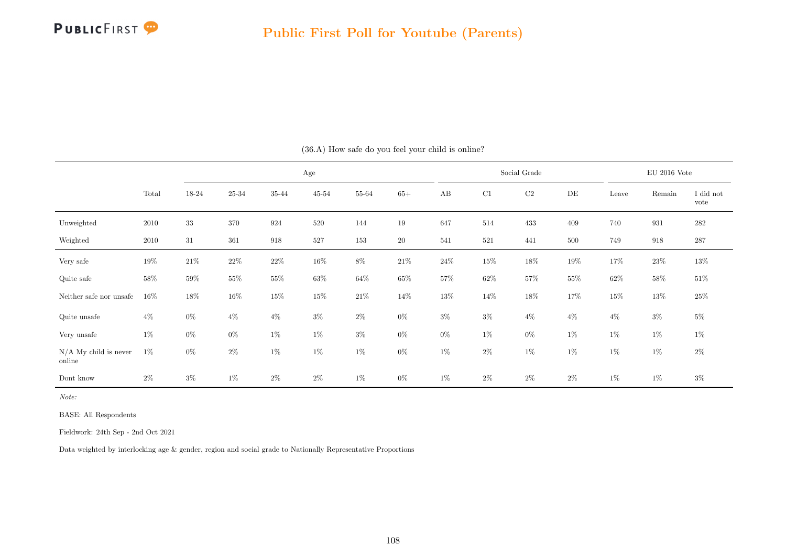

|                                   |          |        |        |                    | $\rm Age$ |        |        |        |         | Social Grade |           |        | $\rm EU$ 2016 Vote |                   |
|-----------------------------------|----------|--------|--------|--------------------|-----------|--------|--------|--------|---------|--------------|-----------|--------|--------------------|-------------------|
|                                   | Total    | 18-24  | 25-34  | 35-44              | $45 - 54$ | 55-64  | $65+$  | AB     | C1      | $\rm{C2}$    | $\rm{DE}$ | Leave  | Remain             | I did not<br>vote |
| Unweighted                        | $2010\,$ | 33     | 370    | 924                | 520       | 144    | 19     | 647    | 514     | 433          | 409       | 740    | 931                | $282\,$           |
| Weighted                          | 2010     | 31     | 361    | $\boldsymbol{918}$ | 527       | 153    | $20\,$ | 541    | $521\,$ | 441          | 500       | 749    | 918                | $287\,$           |
| Very safe                         | $19\%$   | $21\%$ | $22\%$ | $22\%$             | $16\%$    | $8\%$  | $21\%$ | $24\%$ | $15\%$  | 18%          | $19\%$    | 17%    | $23\%$             | $13\%$            |
| Quite safe                        | $58\%$   | $59\%$ | $55\%$ | $55\%$             | $63\%$    | $64\%$ | $65\%$ | 57%    | $62\%$  | 57%          | $55\%$    | $62\%$ | $58\%$             | $51\%$            |
| Neither safe nor unsafe           | 16%      | $18\%$ | $16\%$ | $15\%$             | $15\%$    | $21\%$ | $14\%$ | 13%    | $14\%$  | 18%          | 17%       | $15\%$ | 13%                | $25\%$            |
| Quite unsafe                      | $4\%$    | $0\%$  | $4\%$  | $4\%$              | $3\%$     | $2\%$  | $0\%$  | $3\%$  | $3\%$   | $4\%$        | $4\%$     | $4\%$  | $3\%$              | $5\%$             |
| Very unsafe                       | $1\%$    | $0\%$  | $0\%$  | $1\%$              | $1\%$     | $3\%$  | $0\%$  | $0\%$  | $1\%$   | $0\%$        | $1\%$     | $1\%$  | $1\%$              | $1\%$             |
| $N/A$ My child is never<br>online | $1\%$    | $0\%$  | $2\%$  | $1\%$              | $1\%$     | $1\%$  | $0\%$  | $1\%$  | $2\%$   | $1\%$        | $1\%$     | $1\%$  | $1\%$              | $2\%$             |
| Dont know                         | $2\%$    | $3\%$  | $1\%$  | $2\%$              | $2\%$     | $1\%$  | $0\%$  | 1%     | $2\%$   | $2\%$        | $2\%$     | $1\%$  | $1\%$              | $3\%$             |

(36.A) How safe do you feel your child is online?

Note:

BASE: All Respondents

Fieldwork: 24th Sep - 2nd Oct 2021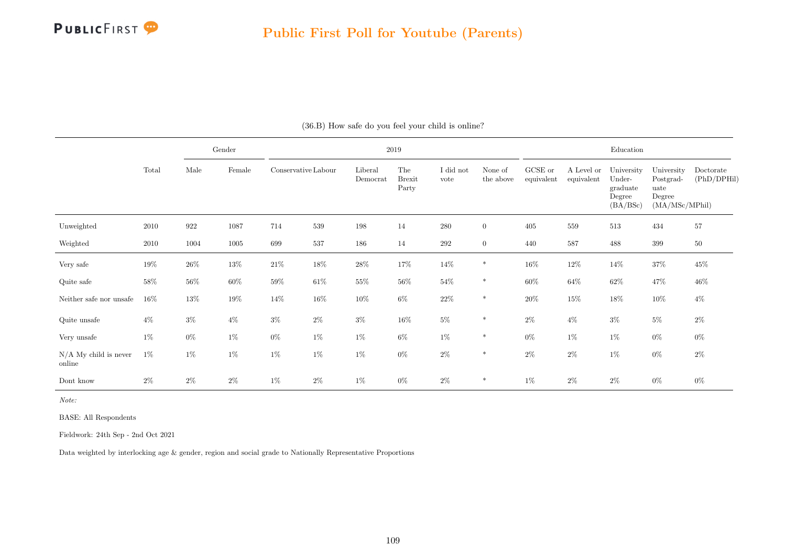

|                                   |        |        | Gender |                     |        |                     | 2019                          |                   |                      |                       |                          | Education                                              |                                                             |                          |
|-----------------------------------|--------|--------|--------|---------------------|--------|---------------------|-------------------------------|-------------------|----------------------|-----------------------|--------------------------|--------------------------------------------------------|-------------------------------------------------------------|--------------------------|
|                                   | Total  | Male   | Female | Conservative Labour |        | Liberal<br>Democrat | The<br><b>Brexit</b><br>Party | I did not<br>vote | None of<br>the above | GCSE or<br>equivalent | A Level or<br>equivalent | University<br>Under-<br>graduate<br>Degree<br>(BA/BSc) | University<br>Postgrad-<br>uate<br>Degree<br>(MA/MSc/MPhil) | Doctorate<br>(PhD/DPHil) |
| Unweighted                        | 2010   | 922    | 1087   | 714                 | 539    | 198                 | 14                            | $280\,$           | $\overline{0}$       | 405                   | 559                      | $513\,$                                                | 434                                                         | 57                       |
| Weighted                          | 2010   | 1004   | 1005   | 699                 | 537    | 186                 | 14                            | $\,292$           | $\overline{0}$       | 440                   | 587                      | 488                                                    | $399\,$                                                     | $50\,$                   |
| Very safe                         | 19%    | $26\%$ | $13\%$ | $21\%$              | $18\%$ | $28\%$              | 17%                           | $14\%$            | $\ast$               | $16\%$                | $12\%$                   | 14\%                                                   | $37\%$                                                      | $45\%$                   |
| Quite safe                        | $58\%$ | $56\%$ | $60\%$ | $59\%$              | $61\%$ | $55\%$              | $56\%$                        | $54\%$            | $\ast$               | $60\%$                | $64\%$                   | $62\%$                                                 | $47\%$                                                      | 46%                      |
| Neither safe nor unsafe           | $16\%$ | 13%    | $19\%$ | 14\%                | $16\%$ | $10\%$              | $6\%$                         | $22\%$            | $\ast$               | $20\%$                | $15\%$                   | $18\%$                                                 | $10\%$                                                      | $4\%$                    |
| Quite unsafe                      | $4\%$  | $3\%$  | $4\%$  | $3\%$               | $2\%$  | $3\%$               | $16\%$                        | $5\%$             | $\ast$               | $2\%$                 | $4\%$                    | $3\%$                                                  | $5\%$                                                       | $2\%$                    |
| Very unsafe                       | $1\%$  | $0\%$  | $1\%$  | $0\%$               | $1\%$  | 1%                  | $6\%$                         | $1\%$             | $\ast$               | $0\%$                 | 1%                       | $1\%$                                                  | $0\%$                                                       | $0\%$                    |
| $N/A$ My child is never<br>online | $1\%$  | $1\%$  | $1\%$  | $1\%$               | $1\%$  | $1\%$               | $0\%$                         | $2\%$             | $\ast$               | $2\%$                 | $2\%$                    | $1\%$                                                  | $0\%$                                                       | $2\%$                    |
| Dont know                         | $2\%$  | $2\%$  | $2\%$  | $1\%$               | $2\%$  | $1\%$               | $0\%$                         | $2\%$             | $\ast$               | $1\%$                 | $2\%$                    | $2\%$                                                  | $0\%$                                                       | $0\%$                    |

(36.B) How safe do you feel your child is online?

Note:

BASE: All Respondents

Fieldwork: 24th Sep - 2nd Oct 2021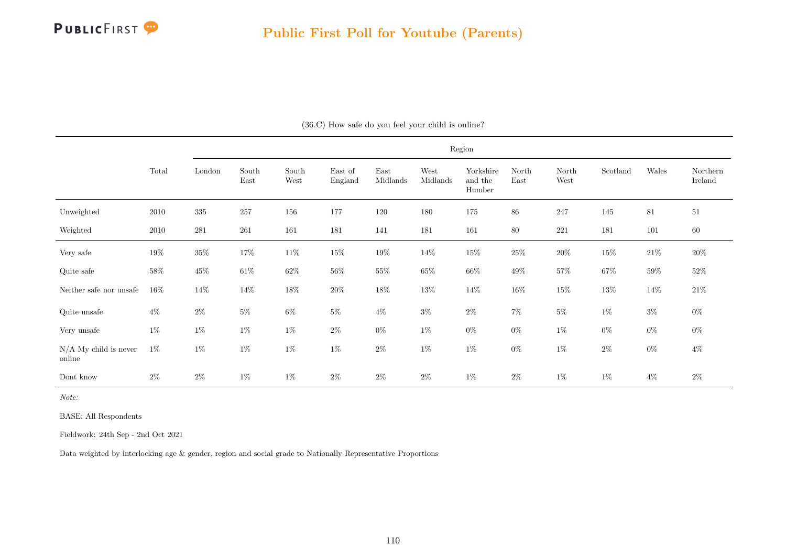

|                                   |        |           |               |               |                    |                  |                  | Region                         |               |               |          |        |                     |
|-----------------------------------|--------|-----------|---------------|---------------|--------------------|------------------|------------------|--------------------------------|---------------|---------------|----------|--------|---------------------|
|                                   | Total  | London    | South<br>East | South<br>West | East of<br>England | East<br>Midlands | West<br>Midlands | Yorkshire<br>and the<br>Humber | North<br>East | North<br>West | Scotland | Wales  | Northern<br>Ireland |
| Unweighted                        | 2010   | $335\,$   | $257\,$       | 156           | 177                | 120              | 180              | 175                            | $86\,$        | 247           | 145      | 81     | 51                  |
| Weighted                          | 2010   | $\bf 281$ | $261\,$       | 161           | 181                | 141              | 181              | 161                            | $80\,$        | $221\,$       | 181      | 101    | $60\,$              |
| Very safe                         | $19\%$ | $35\%$    | $17\%$        | $11\%$        | $15\%$             | $19\%$           | 14\%             | $15\%$                         | $25\%$        | $20\%$        | $15\%$   | $21\%$ | $20\%$              |
| Quite safe                        | $58\%$ | $45\%$    | $61\%$        | $62\%$        | $56\%$             | $55\%$           | $65\%$           | $66\%$                         | $49\%$        | $57\%$        | $67\%$   | $59\%$ | $52\%$              |
| Neither safe nor unsafe           | $16\%$ | $14\%$    | 14\%          | $18\%$        | $20\%$             | $18\%$           | $13\%$           | 14\%                           | $16\%$        | $15\%$        | $13\%$   | $14\%$ | $21\%$              |
| Quite unsafe                      | $4\%$  | $2\%$     | $5\%$         | $6\%$         | $5\%$              | $4\%$            | $3\%$            | $2\%$                          | $7\%$         | $5\%$         | $1\%$    | $3\%$  | $0\%$               |
| Very unsafe                       | $1\%$  | $1\%$     | $1\%$         | $1\%$         | $2\%$              | $0\%$            | $1\%$            | $0\%$                          | $0\%$         | $1\%$         | $0\%$    | $0\%$  | $0\%$               |
| $N/A$ My child is never<br>online | $1\%$  | $1\%$     | $1\%$         | $1\%$         | $1\%$              | $2\%$            | $1\%$            | $1\%$                          | $0\%$         | $1\%$         | $2\%$    | $0\%$  | $4\%$               |
| Dont know                         | $2\%$  | $2\%$     | $1\%$         | $1\%$         | $2\%$              | $2\%$            | $2\%$            | $1\%$                          | $2\%$         | $1\%$         | $1\%$    | $4\%$  | $2\%$               |

(36.C) How safe do you feel your child is online?

Note:

BASE: All Respondents

Fieldwork: 24th Sep - 2nd Oct 2021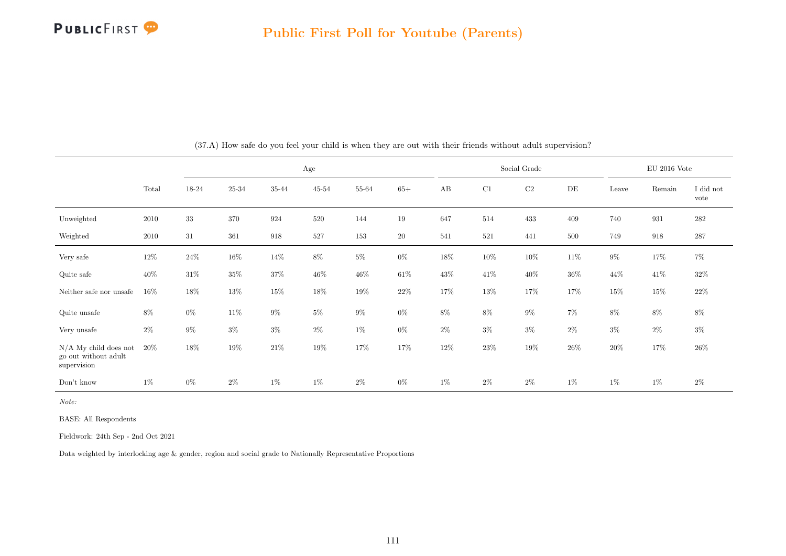

|                                                                |        |        |        |        | Age       |        |        |        |        | Social Grade |           |        | $\mathrm{EU}$ 2016 Vote |                   |
|----------------------------------------------------------------|--------|--------|--------|--------|-----------|--------|--------|--------|--------|--------------|-----------|--------|-------------------------|-------------------|
|                                                                | Total  | 18-24  | 25-34  | 35-44  | $45 - 54$ | 55-64  | $65+$  | AB     | C1     | C2           | $\rm{DE}$ | Leave  | Remain                  | I did not<br>vote |
| Unweighted                                                     | 2010   | $33\,$ | 370    | 924    | 520       | 144    | 19     | 647    | 514    | 433          | 409       | 740    | 931                     | $282\,$           |
| Weighted                                                       | 2010   | 31     | 361    | 918    | 527       | 153    | $20\,$ | 541    | 521    | 441          | 500       | 749    | 918                     | $287\,$           |
| Very safe                                                      | $12\%$ | $24\%$ | $16\%$ | $14\%$ | $8\%$     | $5\%$  | $0\%$  | $18\%$ | $10\%$ | $10\%$       | 11\%      | $9\%$  | 17%                     | $7\%$             |
| Quite safe                                                     | $40\%$ | $31\%$ | $35\%$ | $37\%$ | $46\%$    | $46\%$ | $61\%$ | $43\%$ | $41\%$ | $40\%$       | $36\%$    | $44\%$ | $41\%$                  | $32\%$            |
| Neither safe nor unsafe                                        | $16\%$ | 18%    | $13\%$ | $15\%$ | $18\%$    | $19\%$ | $22\%$ | 17%    | 13%    | $17\%$       | 17%       | 15%    | 15%                     | $22\%$            |
| Quite unsafe                                                   | $8\%$  | $0\%$  | $11\%$ | $9\%$  | $5\%$     | $9\%$  | $0\%$  | $8\%$  | $8\%$  | $9\%$        | $7\%$     | $8\%$  | $8\%$                   | $8\%$             |
| Very unsafe                                                    | $2\%$  | $9\%$  | $3\%$  | $3\%$  | $2\%$     | $1\%$  | $0\%$  | $2\%$  | $3\%$  | $3\%$        | $2\%$     | $3\%$  | $2\%$                   | $3\%$             |
| $N/A$ My child does not<br>go out without adult<br>supervision | $20\%$ | 18%    | $19\%$ | $21\%$ | $19\%$    | 17%    | 17%    | 12%    | $23\%$ | 19%          | $26\%$    | $20\%$ | 17%                     | $26\%$            |
| Don't know                                                     | $1\%$  | $0\%$  | $2\%$  | $1\%$  | $1\%$     | $2\%$  | $0\%$  | $1\%$  | $2\%$  | $2\%$        | $1\%$     | $1\%$  | $1\%$                   | $2\%$             |

(37.A) How safe do you feel your child is when they are out with their friends without adult supervision?

Note:

BASE: All Respondents

Fieldwork: 24th Sep - 2nd Oct 2021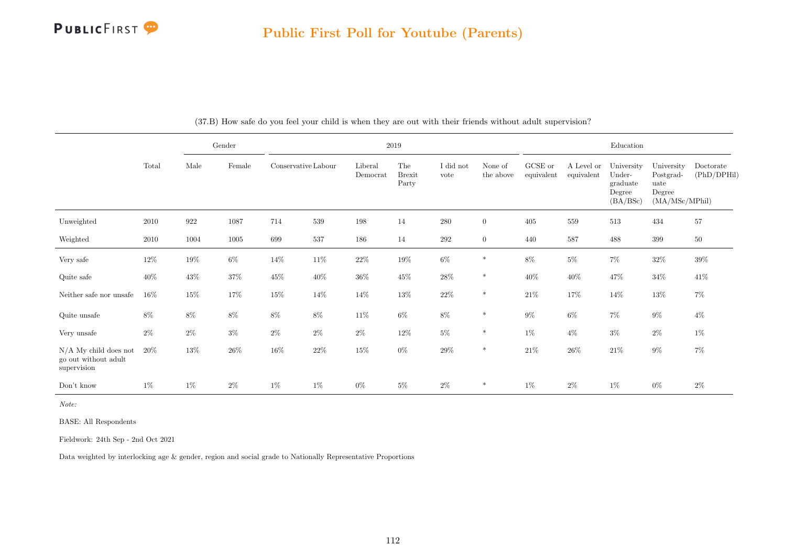|                                                                |          |        | Gender |                     |        |                     | 2019                          |                   |                      |                       |                          | $\operatorname{Education}$                             |                                                             |                          |
|----------------------------------------------------------------|----------|--------|--------|---------------------|--------|---------------------|-------------------------------|-------------------|----------------------|-----------------------|--------------------------|--------------------------------------------------------|-------------------------------------------------------------|--------------------------|
|                                                                | Total    | Male   | Female | Conservative Labour |        | Liberal<br>Democrat | The<br><b>Brexit</b><br>Party | I did not<br>vote | None of<br>the above | GCSE or<br>equivalent | A Level or<br>equivalent | University<br>Under-<br>graduate<br>Degree<br>(BA/BSc) | University<br>Postgrad-<br>uate<br>Degree<br>(MA/MSc/MPhil) | Doctorate<br>(PhD/DPHil) |
| Unweighted                                                     | $2010\,$ | 922    | 1087   | 714                 | 539    | 198                 | 14                            | $280\,$           | $\overline{0}$       | 405                   | 559                      | 513                                                    | 434                                                         | 57                       |
| Weighted                                                       | 2010     | 1004   | 1005   | 699                 | 537    | 186                 | 14                            | 292               | $\overline{0}$       | 440                   | 587                      | 488                                                    | 399                                                         | $50\,$                   |
| Very safe                                                      | $12\%$   | $19\%$ | $6\%$  | $14\%$              | $11\%$ | $22\%$              | $19\%$                        | $6\%$             | $\ast$               | $8\%$                 | $5\%$                    | $7\%$                                                  | $32\%$                                                      | $39\%$                   |
| Quite safe                                                     | 40%      | $43\%$ | $37\%$ | $45\%$              | $40\%$ | $36\%$              | $45\%$                        | $28\%$            | $\ast$               | $40\%$                | $40\%$                   | 47\%                                                   | $34\%$                                                      | $41\%$                   |
| Neither safe nor unsafe                                        | 16%      | $15\%$ | 17%    | $15\%$              | 14%    | $14\%$              | $13\%$                        | $22\%$            | $\ast$               | $21\%$                | 17%                      | 14%                                                    | $13\%$                                                      | $7\%$                    |
| Quite unsafe                                                   | $8\%$    | $8\%$  | 8%     | $8\%$               | $8\%$  | $11\%$              | $6\%$                         | $8\%$             | $\ast$               | $9\%$                 | $6\%$                    | $7\%$                                                  | $9\%$                                                       | $4\%$                    |
| Very unsafe                                                    | $2\%$    | $2\%$  | $3\%$  | $2\%$               | $2\%$  | $2\%$               | $12\%$                        | $5\%$             | $\ast$               | $1\%$                 | $4\%$                    | $3\%$                                                  | $2\%$                                                       | $1\%$                    |
| $N/A$ My child does not<br>go out without adult<br>supervision | 20%      | $13\%$ | $26\%$ | $16\%$              | $22\%$ | $15\%$              | $0\%$                         | $29\%$            | $\ast$               | $21\%$                | 26\%                     | $21\%$                                                 | $9\%$                                                       | $7\%$                    |
| Don't know                                                     | $1\%$    | $1\%$  | $2\%$  | $1\%$               | $1\%$  | $0\%$               | $5\%$                         | $2\%$             | $\ast$               | $1\%$                 | $2\%$                    | $1\%$                                                  | $0\%$                                                       | $2\%$                    |

(37.B) How safe do you feel your child is when they are out with their friends without adult supervision?

Note:

BASE: All Respondents

Fieldwork: 24th Sep - 2nd Oct 2021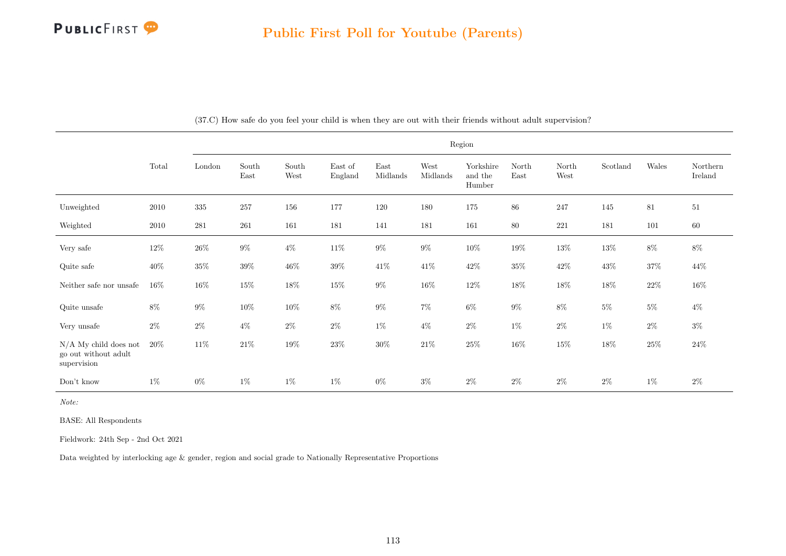|                                                                |        |         |               |                                |                    |                  |                  | Region                         |               |               |          |        |                     |
|----------------------------------------------------------------|--------|---------|---------------|--------------------------------|--------------------|------------------|------------------|--------------------------------|---------------|---------------|----------|--------|---------------------|
|                                                                | Total  | London  | South<br>East | $\operatorname{South}$<br>West | East of<br>England | East<br>Midlands | West<br>Midlands | Yorkshire<br>and the<br>Humber | North<br>East | North<br>West | Scotland | Wales  | Northern<br>Ireland |
| Unweighted                                                     | 2010   | $335\,$ | 257           | 156                            | 177                | 120              | 180              | 175                            | 86            | 247           | 145      | 81     | 51                  |
| Weighted                                                       | 2010   | 281     | 261           | 161                            | 181                | 141              | 181              | 161                            | 80            | $221\,$       | 181      | 101    | $60\,$              |
| Very safe                                                      | $12\%$ | $26\%$  | $9\%$         | $4\%$                          | $11\%$             | $9\%$            | $9\%$            | $10\%$                         | $19\%$        | $13\%$        | $13\%$   | $8\%$  | $8\%$               |
| Quite safe                                                     | $40\%$ | $35\%$  | $39\%$        | $46\%$                         | $39\%$             | $41\%$           | $41\%$           | $42\%$                         | $35\%$        | $42\%$        | $43\%$   | $37\%$ | 44\%                |
| Neither safe nor unsafe                                        | $16\%$ | $16\%$  | $15\%$        | $18\%$                         | $15\%$             | $9\%$            | $16\%$           | $12\%$                         | $18\%$        | $18\%$        | $18\%$   | $22\%$ | $16\%$              |
| Quite unsafe                                                   | 8%     | $9\%$   | $10\%$        | $10\%$                         | $8\%$              | $9\%$            | $7\%$            | $6\%$                          | $9\%$         | $8\%$         | $5\%$    | $5\%$  | $4\%$               |
| Very unsafe                                                    | $2\%$  | $2\%$   | $4\%$         | $2\%$                          | $2\%$              | $1\%$            | $4\%$            | $2\%$                          | $1\%$         | $2\%$         | $1\%$    | $2\%$  | $3\%$               |
| $N/A$ My child does not<br>go out without adult<br>supervision | $20\%$ | $11\%$  | $21\%$        | $19\%$                         | $23\%$             | $30\%$           | $21\%$           | $25\%$                         | $16\%$        | $15\%$        | 18%      | $25\%$ | $24\%$              |
| Don't know                                                     | 1%     | $0\%$   | $1\%$         | $1\%$                          | $1\%$              | $0\%$            | $3\%$            | $2\%$                          | $2\%$         | $2\%$         | $2\%$    | $1\%$  | $2\%$               |

(37.C) How safe do you feel your child is when they are out with their friends without adult supervision?

Note:

BASE: All Respondents

Fieldwork: 24th Sep - 2nd Oct 2021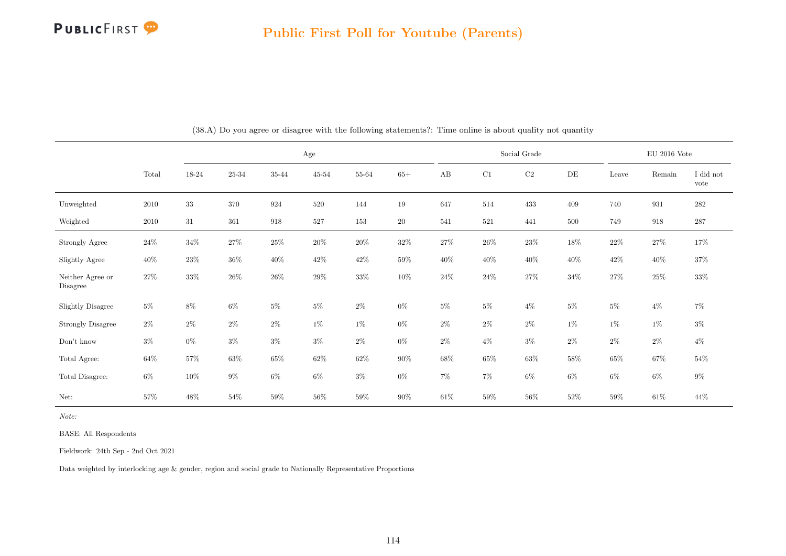

|                              |        | Age    |         |        |           |        |        |        | Social Grade |        |           | $\rm EU$ 2016 Vote |        |                   |
|------------------------------|--------|--------|---------|--------|-----------|--------|--------|--------|--------------|--------|-----------|--------------------|--------|-------------------|
|                              | Total  | 18-24  | 25-34   | 35-44  | $45 - 54$ | 55-64  | $65+$  | AB     | C1           | C2     | $\rm{DE}$ | Leave              | Remain | I did not<br>vote |
| Unweighted                   | 2010   | 33     | 370     | 924    | 520       | 144    | 19     | 647    | 514          | 433    | 409       | 740                | 931    | $282\,$           |
| Weighted                     | 2010   | $31\,$ | $361\,$ | 918    | 527       | 153    | $20\,$ | 541    | $521\,$      | 441    | 500       | 749                | 918    | $287\,$           |
| Strongly Agree               | $24\%$ | $34\%$ | $27\%$  | $25\%$ | $20\%$    | $20\%$ | $32\%$ | 27%    | $26\%$       | $23\%$ | 18%       | $22\%$             | $27\%$ | $17\%$            |
| Slightly Agree               | $40\%$ | $23\%$ | $36\%$  | $40\%$ | $42\%$    | $42\%$ | $59\%$ | $40\%$ | $40\%$       | $40\%$ | $40\%$    | $42\%$             | $40\%$ | $37\%$            |
| Neither Agree or<br>Disagree | 27%    | 33%    | $26\%$  | $26\%$ | 29%       | $33\%$ | $10\%$ | $24\%$ | $24\%$       | $27\%$ | $34\%$    | $27\%$             | $25\%$ | $33\%$            |
| <b>Slightly Disagree</b>     | $5\%$  | $8\%$  | $6\%$   | $5\%$  | $5\%$     | $2\%$  | $0\%$  | $5\%$  | $5\%$        | $4\%$  | $5\%$     | $5\%$              | $4\%$  | $7\%$             |
| <b>Strongly Disagree</b>     | $2\%$  | $2\%$  | $2\%$   | $2\%$  | $1\%$     | $1\%$  | $0\%$  | $2\%$  | $2\%$        | $2\%$  | $1\%$     | $1\%$              | $1\%$  | $3\%$             |
| $\mathrm{Don't}$ know        | $3\%$  | $0\%$  | $3\%$   | $3\%$  | $3\%$     | $2\%$  | $0\%$  | $2\%$  | $4\%$        | $3\%$  | $2\%$     | $2\%$              | $2\%$  | $4\%$             |
| Total Agree:                 | $64\%$ | 57%    | $63\%$  | $65\%$ | $62\%$    | $62\%$ | $90\%$ | $68\%$ | $65\%$       | $63\%$ | $58\%$    | $65\%$             | $67\%$ | $54\%$            |
| Total Disagree:              | $6\%$  | $10\%$ | $9\%$   | $6\%$  | $6\%$     | $3\%$  | $0\%$  | $7\%$  | $7\%$        | $6\%$  | $6\%$     | $6\%$              | $6\%$  | $9\%$             |
| Net:                         | 57%    | 48%    | $54\%$  | 59%    | $56\%$    | $59\%$ | $90\%$ | $61\%$ | $59\%$       | $56\%$ | $52\%$    | $59\%$             | $61\%$ | $44\%$            |

(38.A) Do you agree or disagree with the following statements?: Time online is about quality not quantity

Note:

BASE: All Respondents

Fieldwork: 24th Sep - 2nd Oct 2021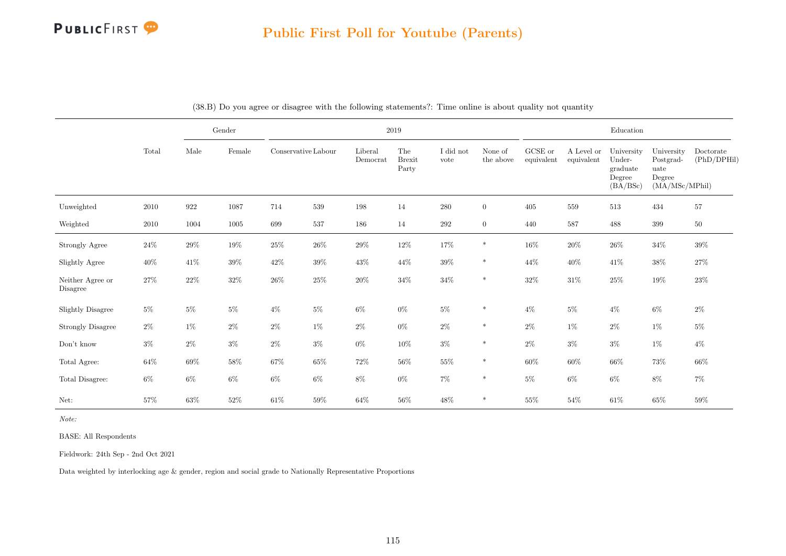

|                              |        |        | $\operatorname{Gender}$ |                     |         |                     | $\,2019$                      |                   |                      |                               |                          | Education                                              |                                                             |                          |
|------------------------------|--------|--------|-------------------------|---------------------|---------|---------------------|-------------------------------|-------------------|----------------------|-------------------------------|--------------------------|--------------------------------------------------------|-------------------------------------------------------------|--------------------------|
|                              | Total  | Male   | Female                  | Conservative Labour |         | Liberal<br>Democrat | The<br><b>Brexit</b><br>Party | I did not<br>vote | None of<br>the above | ${\rm GCSE}$ or<br>equivalent | A Level or<br>equivalent | University<br>Under-<br>graduate<br>Degree<br>(BA/BSc) | University<br>Postgrad-<br>uate<br>Degree<br>(MA/MSc/MPhil) | Doctorate<br>(PhD/DPHil) |
| Unweighted                   | 2010   | 922    | 1087                    | 714                 | $539\,$ | 198                 | 14                            | $280\,$           | $\overline{0}$       | 405                           | $559\,$                  | 513                                                    | 434                                                         | $57\,$                   |
| Weighted                     | 2010   | 1004   | 1005                    | 699                 | 537     | 186                 | 14                            | $\,292$           | $\overline{0}$       | 440                           | 587                      | 488                                                    | 399                                                         | $50\,$                   |
| Strongly Agree               | $24\%$ | $29\%$ | $19\%$                  | $25\%$              | $26\%$  | $29\%$              | $12\%$                        | $17\%$            | $\ast$               | $16\%$                        | $20\%$                   | $26\%$                                                 | $34\%$                                                      | $39\%$                   |
| Slightly Agree               | $40\%$ | $41\%$ | $39\%$                  | $42\%$              | $39\%$  | $43\%$              | $44\%$                        | $39\%$            | $\ast$               | $44\%$                        | $40\%$                   | $41\%$                                                 | $38\%$                                                      | $27\%$                   |
| Neither Agree or<br>Disagree | $27\%$ | $22\%$ | $32\%$                  | $26\%$              | $25\%$  | $20\%$              | $34\%$                        | $34\%$            | $\ast$               | $32\%$                        | $31\%$                   | $25\%$                                                 | $19\%$                                                      | $23\%$                   |
| Slightly Disagree            | $5\%$  | $5\%$  | $5\%$                   | $4\%$               | $5\%$   | $6\%$               | $0\%$                         | $5\%$             | $\ast$               | $4\%$                         | $5\%$                    | $4\%$                                                  | $6\%$                                                       | $2\%$                    |
| <b>Strongly Disagree</b>     | $2\%$  | $1\%$  | $2\%$                   | $2\%$               | $1\%$   | $2\%$               | $0\%$                         | $2\%$             | $\ast$               | $2\%$                         | $1\%$                    | $2\%$                                                  | $1\%$                                                       | $5\%$                    |
| Don't know                   | $3\%$  | $2\%$  | $3\%$                   | $2\%$               | $3\%$   | $0\%$               | $10\%$                        | $3\%$             | $\ast$               | $2\%$                         | $3\%$                    | $3\%$                                                  | $1\%$                                                       | $4\%$                    |
| Total Agree:                 | $64\%$ | $69\%$ | $58\%$                  | $67\%$              | $65\%$  | $72\%$              | $56\%$                        | $55\%$            | $\ast$               | $60\%$                        | $60\%$                   | $66\%$                                                 | $73\%$                                                      | 66%                      |
| Total Disagree:              | $6\%$  | $6\%$  | $6\%$                   | $6\%$               | $6\%$   | $8\%$               | $0\%$                         | $7\%$             | $\ast$               | $5\%$                         | $6\%$                    | $6\%$                                                  | $8\%$                                                       | $7\%$                    |
| Net:                         | 57%    | 63%    | $52\%$                  | $61\%$              | 59%     | $64\%$              | $56\%$                        | $48\%$            | $\ast$               | $55\%$                        | 54%                      | $61\%$                                                 | $65\%$                                                      | $59\%$                   |

|  |  | (38.B) Do you agree or disagree with the following statements?: Time online is about quality not quantity |  |  |
|--|--|-----------------------------------------------------------------------------------------------------------|--|--|
|  |  |                                                                                                           |  |  |

Note:

BASE: All Respondents

Fieldwork: 24th Sep - 2nd Oct 2021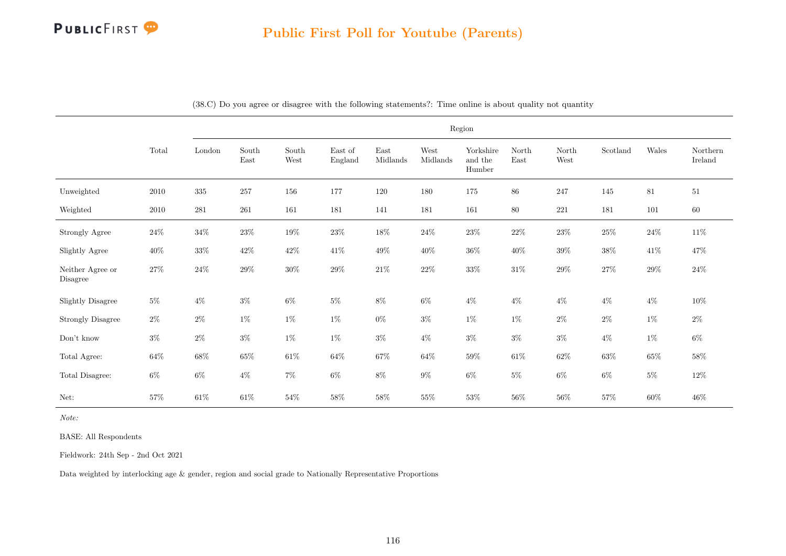

|                              |          |           |                                |                                |                    |                  |                  | Region                         |               |               |          |        |                     |
|------------------------------|----------|-----------|--------------------------------|--------------------------------|--------------------|------------------|------------------|--------------------------------|---------------|---------------|----------|--------|---------------------|
|                              | Total    | London    | South<br>$\operatorname{East}$ | South<br>$\operatorname{West}$ | East of<br>England | East<br>Midlands | West<br>Midlands | Yorkshire<br>and the<br>Humber | North<br>East | North<br>West | Scotland | Wales  | Northern<br>Ireland |
| Unweighted                   | 2010     | $335\,$   | $257\,$                        | 156                            | 177                | 120              | 180              | $175\,$                        | $86\,$        | 247           | 145      | $81\,$ | $51\,$              |
| Weighted                     | $2010\,$ | $\bf 281$ | $261\,$                        | 161                            | 181                | 141              | 181              | 161                            | 80            | 221           | 181      | 101    | $60\,$              |
| Strongly Agree               | $24\%$   | $34\%$    | $23\%$                         | $19\%$                         | $23\%$             | $18\%$           | $24\%$           | $23\%$                         | $22\%$        | $23\%$        | $25\%$   | $24\%$ | $11\%$              |
| Slightly Agree               | $40\%$   | $33\%$    | $42\%$                         | $42\%$                         | 41%                | $49\%$           | $40\%$           | $36\%$                         | $40\%$        | $39\%$        | $38\%$   | $41\%$ | $47\%$              |
| Neither Agree or<br>Disagree | $27\%$   | $24\%$    | $29\%$                         | $30\%$                         | $29\%$             | $21\%$           | $22\%$           | $33\%$                         | $31\%$        | $29\%$        | $27\%$   | $29\%$ | $24\%$              |
| <b>Slightly Disagree</b>     | $5\%$    | $4\%$     | $3\%$                          | $6\%$                          | $5\%$              | $8\%$            | $6\%$            | $4\%$                          | $4\%$         | $4\%$         | $4\%$    | $4\%$  | $10\%$              |
| <b>Strongly Disagree</b>     | $2\%$    | $2\%$     | $1\%$                          | $1\%$                          | $1\%$              | $0\%$            | $3\%$            | $1\%$                          | $1\%$         | $2\%$         | $2\%$    | $1\%$  | $2\%$               |
| $\mathrm{Don't}$ know        | $3\%$    | $2\%$     | $3\%$                          | $1\%$                          | $1\%$              | $3\%$            | $4\%$            | $3\%$                          | $3\%$         | $3\%$         | $4\%$    | $1\%$  | $6\%$               |
| Total Agree:                 | $64\%$   | $68\%$    | $65\%$                         | $61\%$                         | $64\%$             | 67%              | $64\%$           | $59\%$                         | $61\%$        | $62\%$        | $63\%$   | $65\%$ | $58\%$              |
| Total Disagree:              | $6\%$    | $6\%$     | $4\%$                          | $7\%$                          | $6\%$              | $8\%$            | $9\%$            | $6\%$                          | $5\%$         | $6\%$         | $6\%$    | $5\%$  | $12\%$              |
| Net:                         | $57\%$   | $61\%$    | $61\%$                         | $54\%$                         | $58\%$             | $58\%$           | $55\%$           | $53\%$                         | $56\%$        | $56\%$        | $57\%$   | $60\%$ | $46\%$              |

(38.C) Do you agree or disagree with the following statements?: Time online is about quality not quantity

Note:

BASE: All Respondents

Fieldwork: 24th Sep - 2nd Oct 2021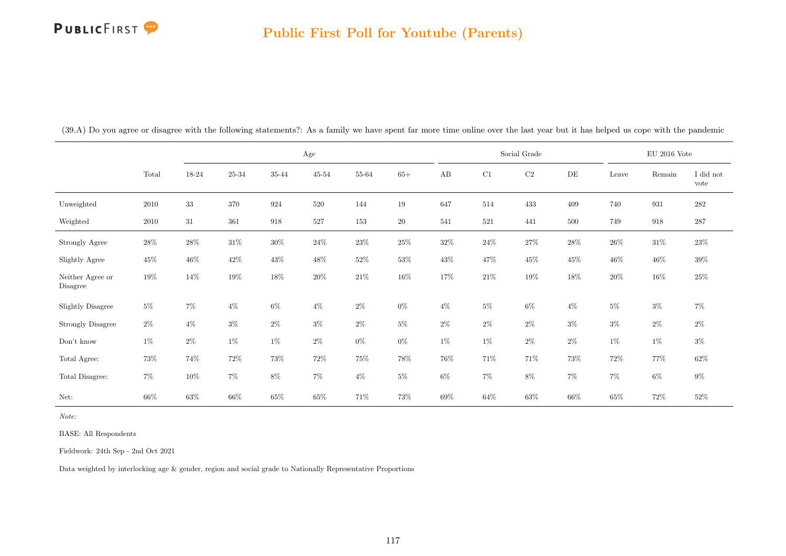|                              |        |        |           | Age    |           |        |        |        |        | Social Grade |           |        | $\rm EU$ 2016 Vote |                   |
|------------------------------|--------|--------|-----------|--------|-----------|--------|--------|--------|--------|--------------|-----------|--------|--------------------|-------------------|
|                              | Total  | 18-24  | $25 - 34$ | 35-44  | $45 - 54$ | 55-64  | $65+$  | AB     | C1     | $\rm{C2}$    | $\rm{DE}$ | Leave  | Remain             | I did not<br>vote |
| Unweighted                   | 2010   | $33\,$ | 370       | 924    | 520       | 144    | 19     | 647    | 514    | 433          | 409       | 740    | 931                | $\bf 282$         |
| Weighted                     | 2010   | 31     | 361       | 918    | 527       | 153    | $20\,$ | 541    | 521    | 441          | 500       | 749    | 918                | 287               |
| <b>Strongly Agree</b>        | $28\%$ | 28\%   | $31\%$    | $30\%$ | $24\%$    | $23\%$ | $25\%$ | $32\%$ | $24\%$ | $27\%$       | 28\%      | $26\%$ | $31\%$             | $23\%$            |
| Slightly Agree               | $45\%$ | $46\%$ | $42\%$    | $43\%$ | $48\%$    | $52\%$ | $53\%$ | $43\%$ | $47\%$ | $45\%$       | 45\%      | $46\%$ | $46\%$             | $39\%$            |
| Neither Agree or<br>Disagree | $19\%$ | 14\%   | $19\%$    | 18%    | $20\%$    | $21\%$ | $16\%$ | 17%    | $21\%$ | $19\%$       | 18%       | $20\%$ | $16\%$             | $25\%$            |
| <b>Slightly Disagree</b>     | $5\%$  | $7\%$  | $4\%$     | $6\%$  | $4\%$     | $2\%$  | $0\%$  | $4\%$  | $5\%$  | $6\%$        | $4\%$     | $5\%$  | $3\%$              | $7\%$             |
| <b>Strongly Disagree</b>     | $2\%$  | $4\%$  | $3\%$     | $2\%$  | $3\%$     | $2\%$  | $5\%$  | $2\%$  | $2\%$  | $2\%$        | $3\%$     | $3\%$  | $2\%$              | $2\%$             |
| Don't know                   | $1\%$  | $2\%$  | $1\%$     | $1\%$  | $2\%$     | $0\%$  | $0\%$  | $1\%$  | $1\%$  | $2\%$        | $2\%$     | $1\%$  | $1\%$              | $3\%$             |
| Total Agree:                 | $73\%$ | 74%    | $72\%$    | $73\%$ | 72\%      | $75\%$ | 78%    | 76%    | $71\%$ | 71\%         | 73%       | $72\%$ | 77%                | $62\%$            |
| Total Disagree:              | $7\%$  | $10\%$ | $7\%$     | $8\%$  | 7%        | $4\%$  | $5\%$  | $6\%$  | $7\%$  | $8\%$        | $7\%$     | $7\%$  | $6\%$              | $9\%$             |
| Net:                         | $66\%$ | $63\%$ | 66\%      | $65\%$ | $65\%$    | 71\%   | 73%    | $69\%$ | $64\%$ | $63\%$       | 66%       | $65\%$ | $72\%$             | $52\%$            |

(39.A) Do you agree or disagree with the following statements?: As a family we have spent far more time online over the last year but it has helped us cope with the pandemic

Note:

BASE: All Respondents

Fieldwork: 24th Sep - 2nd Oct 2021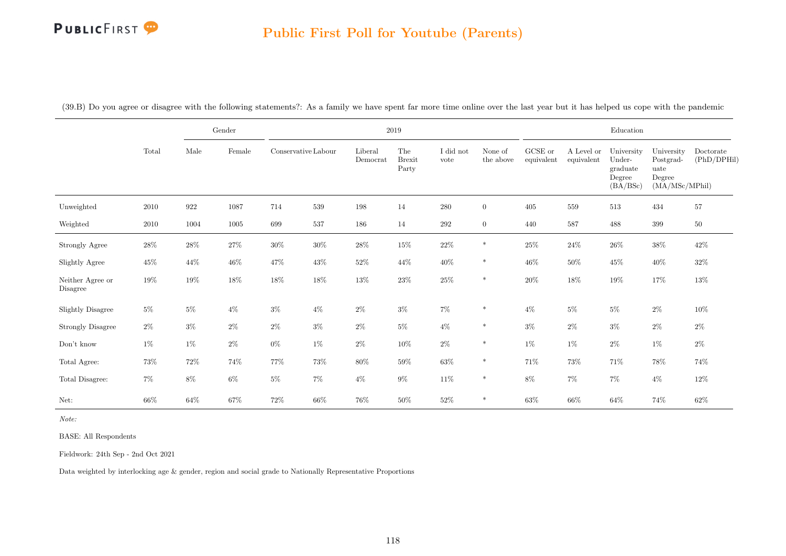#### Public First Poll for Youtube (Parents)

|                              |        |        | Gender          |                     |        |                     | $\,2019$                      |                   |                      |                               |                          | Education                                              |                                                             |                          |
|------------------------------|--------|--------|-----------------|---------------------|--------|---------------------|-------------------------------|-------------------|----------------------|-------------------------------|--------------------------|--------------------------------------------------------|-------------------------------------------------------------|--------------------------|
|                              | Total  | Male   | $\mbox{Female}$ | Conservative Labour |        | Liberal<br>Democrat | The<br><b>Brexit</b><br>Party | I did not<br>vote | None of<br>the above | ${\rm GCSE}$ or<br>equivalent | A Level or<br>equivalent | University<br>Under-<br>graduate<br>Degree<br>(BA/BSc) | University<br>Postgrad-<br>uate<br>Degree<br>(MA/MSc/MPhil) | Doctorate<br>(PhD/DPHil) |
| Unweighted                   | 2010   | 922    | 1087            | 714                 | 539    | 198                 | 14                            | 280               | $\overline{0}$       | 405                           | 559                      | 513                                                    | 434                                                         | 57                       |
| Weighted                     | 2010   | 1004   | 1005            | 699                 | 537    | 186                 | 14                            | 292               | $\overline{0}$       | 440                           | 587                      | 488                                                    | 399                                                         | $50\,$                   |
| Strongly Agree               | $28\%$ | $28\%$ | $27\%$          | $30\%$              | $30\%$ | $28\%$              | $15\%$                        | $22\%$            | $\ast$               | $25\%$                        | $24\%$                   | $26\%$                                                 | $38\%$                                                      | $42\%$                   |
| Slightly Agree               | $45\%$ | 44\%   | $46\%$          | $47\%$              | $43\%$ | $52\%$              | 44\%                          | $40\%$            | $\ast$               | $46\%$                        | $50\%$                   | 45\%                                                   | $40\%$                                                      | $32\%$                   |
| Neither Agree or<br>Disagree | 19%    | $19\%$ | $18\%$          | $18\%$              | $18\%$ | $13\%$              | $23\%$                        | $25\%$            | $\ast$               | $20\%$                        | $18\%$                   | $19\%$                                                 | 17%                                                         | $13\%$                   |
| <b>Slightly Disagree</b>     | $5\%$  | $5\%$  | $4\%$           | $3\%$               | $4\%$  | $2\%$               | $3\%$                         | $7\%$             | $\ast$               | $4\%$                         | $5\%$                    | $5\%$                                                  | $2\%$                                                       | $10\%$                   |
| <b>Strongly Disagree</b>     | $2\%$  | $3\%$  | $2\%$           | $2\%$               | $3\%$  | $2\%$               | $5\%$                         | $4\%$             | $\ast$               | $3\%$                         | $2\%$                    | $3\%$                                                  | $2\%$                                                       | $2\%$                    |
| $\mathrm{Don't}$ know        | $1\%$  | $1\%$  | $2\%$           | $0\%$               | $1\%$  | $2\%$               | 10%                           | $2\%$             | $\ast$               | $1\%$                         | $1\%$                    | $2\%$                                                  | $1\%$                                                       | $2\%$                    |
| Total Agree:                 | $73\%$ | $72\%$ | 74%             | $77\%$              | 73%    | 80%                 | $59\%$                        | $63\%$            | $\ast$               | 71\%                          | $73\%$                   | 71%                                                    | $78\%$                                                      | 74%                      |
| Total Disagree:              | $7\%$  | $8\%$  | $6\%$           | $5\%$               | $7\%$  | $4\%$               | $9\%$                         | $11\%$            | $\ast$               | $8\%$                         | $7\%$                    | $7\%$                                                  | $4\%$                                                       | $12\%$                   |
| Net:                         | 66%    | $64\%$ | $67\%$          | $72\%$              | $66\%$ | $76\%$              | $50\%$                        | $52\%$            | $\ast$               | $63\%$                        | $66\%$                   | $64\%$                                                 | 74%                                                         | $62\%$                   |

(39.B) Do you agree or disagree with the following statements?: As a family we have spent far more time online over the last year but it has helped us cope with the pandemic

Note:

BASE: All Respondents

Fieldwork: 24th Sep - 2nd Oct 2021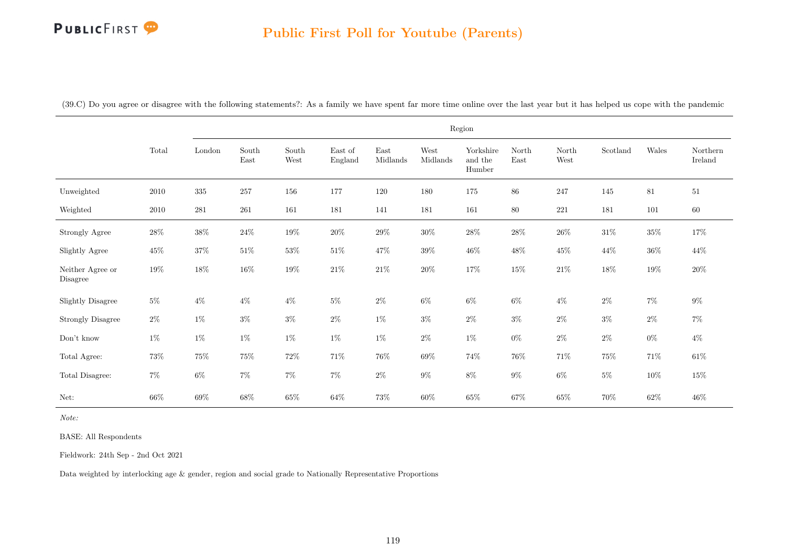# Public First Poll for Youtube (Parents)

|  |  |  | (39.C) Do you agree or disagree with the following statements?: As a family we have spent far more time online over the last year but it has helped us cope with the pandemic |  |  |  |  |  |  |
|--|--|--|-------------------------------------------------------------------------------------------------------------------------------------------------------------------------------|--|--|--|--|--|--|
|--|--|--|-------------------------------------------------------------------------------------------------------------------------------------------------------------------------------|--|--|--|--|--|--|

|                              |          |           |                                |               |                    |                                   |                  | Region                         |               |               |          |        |                     |
|------------------------------|----------|-----------|--------------------------------|---------------|--------------------|-----------------------------------|------------------|--------------------------------|---------------|---------------|----------|--------|---------------------|
|                              | Total    | London    | $\operatorname{South}$<br>East | South<br>West | East of<br>England | $\operatorname{East}$<br>Midlands | West<br>Midlands | Yorkshire<br>and the<br>Humber | North<br>East | North<br>West | Scotland | Wales  | Northern<br>Ireland |
| Unweighted                   | $2010\,$ | $335\,$   | $257\,$                        | 156           | 177                | 120                               | 180              | 175                            | $86\,$        | 247           | 145      | $81\,$ | $51\,$              |
| Weighted                     | 2010     | $\bf 281$ | $261\,$                        | 161           | 181                | 141                               | 181              | 161                            | $80\,$        | $221\,$       | 181      | 101    | 60                  |
| Strongly Agree               | $28\%$   | $38\%$    | $24\%$                         | $19\%$        | $20\%$             | $29\%$                            | $30\%$           | $28\%$                         | $28\%$        | $26\%$        | $31\%$   | $35\%$ | $17\%$              |
| Slightly Agree               | $45\%$   | $37\%$    | $51\%$                         | $53\%$        | $51\%$             | $47\%$                            | $39\%$           | $46\%$                         | $48\%$        | $45\%$        | $44\%$   | $36\%$ | 44\%                |
| Neither Agree or<br>Disagree | $19\%$   | $18\%$    | $16\%$                         | $19\%$        | $21\%$             | $21\%$                            | $20\%$           | $17\%$                         | $15\%$        | $21\%$        | $18\%$   | $19\%$ | $20\%$              |
| <b>Slightly Disagree</b>     | $5\%$    | $4\%$     | $4\%$                          | $4\%$         | $5\%$              | $2\%$                             | $6\%$            | $6\%$                          | $6\%$         | $4\%$         | $2\%$    | $7\%$  | $9\%$               |
| <b>Strongly Disagree</b>     | $2\%$    | $1\%$     | $3\%$                          | $3\%$         | $2\%$              | $1\%$                             | $3\%$            | $2\%$                          | $3\%$         | $2\%$         | $3\%$    | $2\%$  | $7\%$               |
| Don't know                   | $1\%$    | $1\%$     | $1\%$                          | $1\%$         | $1\%$              | $1\%$                             | $2\%$            | $1\%$                          | $0\%$         | $2\%$         | $2\%$    | $0\%$  | $4\%$               |
| Total Agree:                 | $73\%$   | $75\%$    | $75\%$                         | $72\%$        | $71\%$             | $76\%$                            | 69%              | $74\%$                         | $76\%$        | $71\%$        | $75\%$   | $71\%$ | $61\%$              |
| Total Disagree:              | $7\%$    | $6\%$     | $7\%$                          | $7\%$         | $7\%$              | $2\%$                             | $9\%$            | $8\%$                          | $9\%$         | $6\%$         | $5\%$    | $10\%$ | $15\%$              |
| Net:                         | 66\%     | $69\%$    | $68\%$                         | $65\%$        | $64\%$             | 73%                               | $60\%$           | $65\%$                         | $67\%$        | $65\%$        | $70\%$   | $62\%$ | $46\%$              |

Note:

BASE: All Respondents

Fieldwork: 24th Sep - 2nd Oct 2021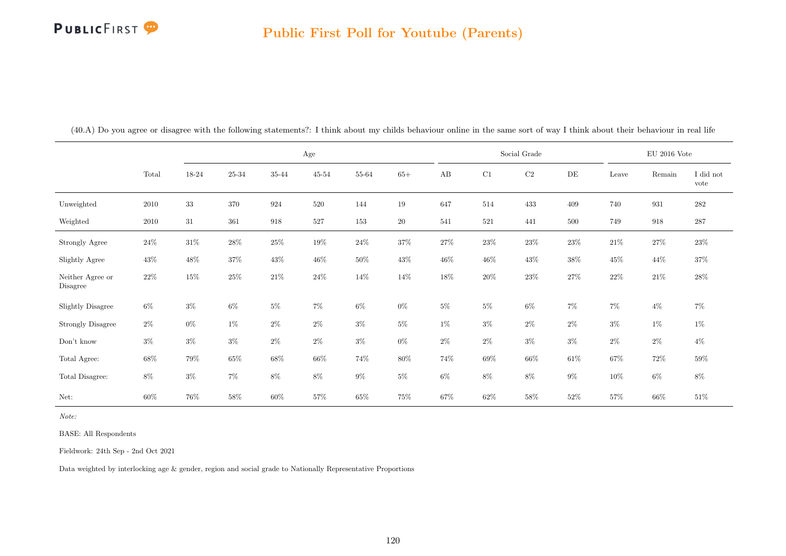#### Public First Poll for Youtube (Parents)

|                              |          |        |           |        | Age       |        |        |        |         | Social Grade |           |        | $\rm EU$ 2016 Vote |                   |
|------------------------------|----------|--------|-----------|--------|-----------|--------|--------|--------|---------|--------------|-----------|--------|--------------------|-------------------|
|                              | Total    | 18-24  | $25 - 34$ | 35-44  | $45 - 54$ | 55-64  | $65+$  | AB     | C1      | $\rm{C2}$    | $\rm{DE}$ | Leave  | Remain             | I did not<br>vote |
| Unweighted                   | 2010     | $33\,$ | $370\,$   | 924    | 520       | 144    | $19\,$ | 647    | 514     | 433          | 409       | 740    | 931                | $282\,$           |
| Weighted                     | $2010\,$ | $31\,$ | 361       | 918    | 527       | 153    | $20\,$ | 541    | $521\,$ | 441          | 500       | 749    | 918                | $287\,$           |
| Strongly Agree               | $24\%$   | $31\%$ | 28%       | $25\%$ | $19\%$    | $24\%$ | $37\%$ | 27\%   | $23\%$  | $23\%$       | $23\%$    | $21\%$ | $27\%$             | $23\%$            |
| Slightly Agree               | $43\%$   | 48\%   | $37\%$    | $43\%$ | $46\%$    | $50\%$ | $43\%$ | $46\%$ | $46\%$  | $43\%$       | $38\%$    | $45\%$ | 44\%               | $37\%$            |
| Neither Agree or<br>Disagree | $22\%$   | $15\%$ | $25\%$    | $21\%$ | $24\%$    | $14\%$ | 14\%   | 18%    | $20\%$  | $23\%$       | $27\%$    | $22\%$ | $21\%$             | $28\%$            |
| <b>Slightly Disagree</b>     | $6\%$    | $3\%$  | $6\%$     | $5\%$  | 7%        | $6\%$  | $0\%$  | $5\%$  | $5\%$   | $6\%$        | $7\%$     | $7\%$  | $4\%$              | $7\%$             |
| <b>Strongly Disagree</b>     | $2\%$    | $0\%$  | $1\%$     | $2\%$  | $2\%$     | $3\%$  | $5\%$  | $1\%$  | $3\%$   | $2\%$        | $2\%$     | $3\%$  | $1\%$              | $1\%$             |
| Don't know                   | $3\%$    | $3\%$  | $3\%$     | $2\%$  | $2\%$     | $3\%$  | $0\%$  | $2\%$  | $2\%$   | $3\%$        | $3\%$     | $2\%$  | $2\%$              | $4\%$             |
| Total Agree:                 | $68\%$   | 79%    | $65\%$    | $68\%$ | $66\%$    | $74\%$ | $80\%$ | 74%    | $69\%$  | $66\%$       | $61\%$    | $67\%$ | $72\%$             | $59\%$            |
| Total Disagree:              | $8\%$    | $3\%$  | $7\%$     | $8\%$  | $8\%$     | $9\%$  | $5\%$  | $6\%$  | $8\%$   | $8\%$        | $9\%$     | $10\%$ | $6\%$              | $8\%$             |
| Net:                         | 60%      | 76%    | 58%       | $60\%$ | $57\%$    | $65\%$ | $75\%$ | 67%    | $62\%$  | 58%          | $52\%$    | 57%    | 66%                | $51\%$            |

(40.A) Do you agree or disagree with the following statements?: I think about my childs behaviour online in the same sort of way I think about their behaviour in real life

Note:

BASE: All Respondents

Fieldwork: 24th Sep - 2nd Oct 2021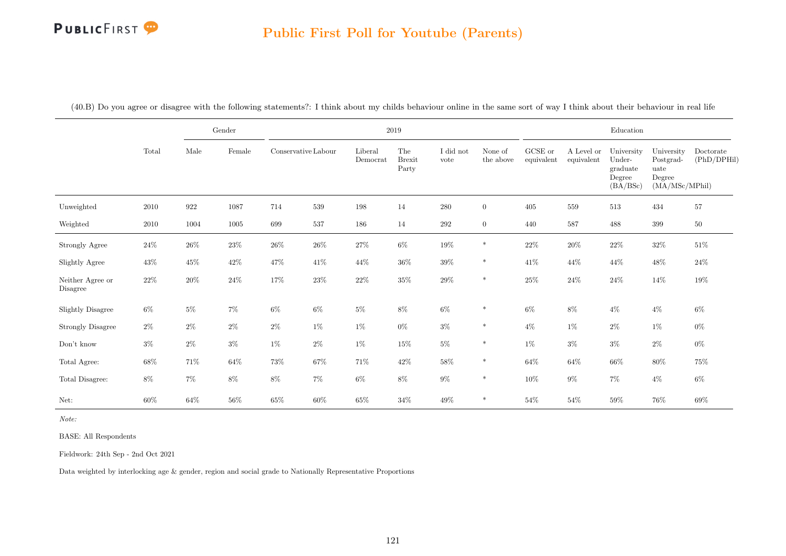#### Public First Poll for Youtube (Parents)

|                              |        |        | Gender   |                     |        | $2019\,$            |                               |                   |                      |                               |                          | Education                                              |                                                             |                          |
|------------------------------|--------|--------|----------|---------------------|--------|---------------------|-------------------------------|-------------------|----------------------|-------------------------------|--------------------------|--------------------------------------------------------|-------------------------------------------------------------|--------------------------|
|                              | Total  | Male   | Female   | Conservative Labour |        | Liberal<br>Democrat | The<br><b>Brexit</b><br>Party | I did not<br>vote | None of<br>the above | ${\rm GCSE}$ or<br>equivalent | A Level or<br>equivalent | University<br>Under-<br>graduate<br>Degree<br>(BA/BSc) | University<br>Postgrad-<br>uate<br>Degree<br>(MA/MSc/MPhil) | Doctorate<br>(PhD/DPHil) |
| Unweighted                   | 2010   | 922    | 1087     | 714                 | 539    | 198                 | 14                            | $280\,$           | $\overline{0}$       | 405                           | 559                      | 513                                                    | 434                                                         | 57                       |
| Weighted                     | 2010   | 1004   | $1005\,$ | 699                 | 537    | 186                 | 14                            | 292               | $\overline{0}$       | 440                           | 587                      | 488                                                    | 399                                                         | $50\,$                   |
| Strongly Agree               | $24\%$ | $26\%$ | $23\%$   | $26\%$              | $26\%$ | $27\%$              | $6\%$                         | $19\%$            | $\ast$               | $22\%$                        | $20\%$                   | $22\%$                                                 | $32\%$                                                      | 51%                      |
| Slightly Agree               | $43\%$ | $45\%$ | $42\%$   | $47\%$              | 41\%   | 44\%                | $36\%$                        | $39\%$            | $\ast$               | 41\%                          | 44%                      | $44\%$                                                 | $48\%$                                                      | $24\%$                   |
| Neither Agree or<br>Disagree | $22\%$ | $20\%$ | $24\%$   | $17\%$              | $23\%$ | $22\%$              | $35\%$                        | $29\%$            | $\ast$               | $25\%$                        | $24\%$                   | $24\%$                                                 | $14\%$                                                      | $19\%$                   |
| <b>Slightly Disagree</b>     | $6\%$  | $5\%$  | $7\%$    | $6\%$               | $6\%$  | $5\%$               | $8\%$                         | $6\%$             | $\ast$               | $6\%$                         | $8\%$                    | $4\%$                                                  | $4\%$                                                       | $6\%$                    |
| <b>Strongly Disagree</b>     | $2\%$  | $2\%$  | $2\%$    | $2\%$               | $1\%$  | $1\%$               | $0\%$                         | $3\%$             | $\ast$               | $4\%$                         | $1\%$                    | $2\%$                                                  | $1\%$                                                       | $0\%$                    |
| $\mathrm{Don't}$ know        | $3\%$  | $2\%$  | $3\%$    | $1\%$               | $2\%$  | $1\%$               | $15\%$                        | $5\%$             | $\ast$               | $1\%$                         | $3\%$                    | $3\%$                                                  | $2\%$                                                       | $0\%$                    |
| Total Agree:                 | $68\%$ | 71%    | $64\%$   | $73\%$              | $67\%$ | $71\%$              | $42\%$                        | $58\%$            | $\ast$               | $64\%$                        | $64\%$                   | $66\%$                                                 | $80\%$                                                      | 75%                      |
| Total Disagree:              | $8\%$  | $7\%$  | $8\%$    | $8\%$               | $7\%$  | $6\%$               | $8\%$                         | $9\%$             | $\ast$               | $10\%$                        | $9\%$                    | $7\%$                                                  | $4\%$                                                       | $6\%$                    |
| Net:                         | 60%    | $64\%$ | $56\%$   | $65\%$              | $60\%$ | $65\%$              | $34\%$                        | $49\%$            | $\ast$               | $54\%$                        | $54\%$                   | $59\%$                                                 | 76%                                                         | 69%                      |

(40.B) Do you agree or disagree with the following statements?: I think about my childs behaviour online in the same sort of way I think about their behaviour in real life

Note:

BASE: All Respondents

Fieldwork: 24th Sep - 2nd Oct 2021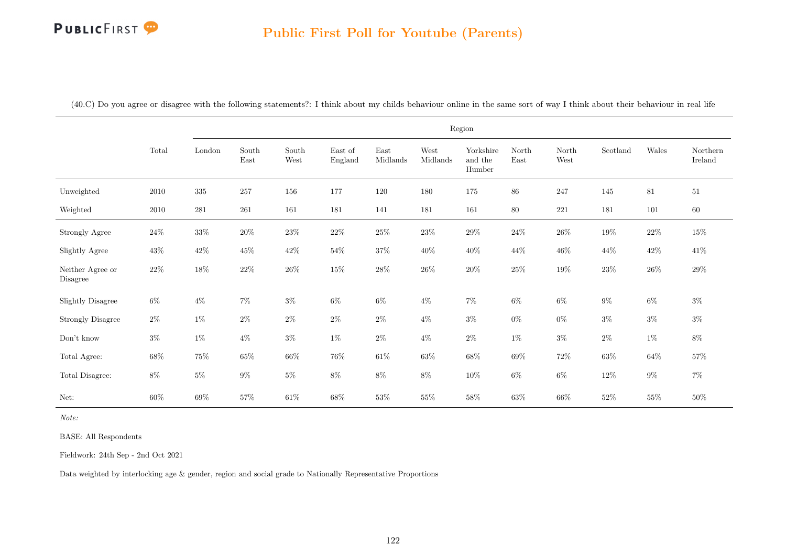|                              |        |         |               |               |                    |                  |                  | Region                         |                                |               |          |        |                     |
|------------------------------|--------|---------|---------------|---------------|--------------------|------------------|------------------|--------------------------------|--------------------------------|---------------|----------|--------|---------------------|
|                              | Total  | London  | South<br>East | South<br>West | East of<br>England | East<br>Midlands | West<br>Midlands | Yorkshire<br>and the<br>Humber | North<br>$\operatorname{East}$ | North<br>West | Scotland | Wales  | Northern<br>Ireland |
| Unweighted                   | 2010   | $335\,$ | $257\,$       | 156           | 177                | 120              | 180              | 175                            | $86\,$                         | 247           | 145      | 81     | $51\,$              |
| Weighted                     | 2010   | 281     | 261           | $161\,$       | $181\,$            | 141              | 181              | 161                            | $80\,$                         | $221\,$       | 181      | 101    | $60\,$              |
| Strongly Agree               | $24\%$ | $33\%$  | $20\%$        | $23\%$        | $22\%$             | $25\%$           | $23\%$           | $29\%$                         | $24\%$                         | $26\%$        | $19\%$   | $22\%$ | $15\%$              |
| Slightly Agree               | $43\%$ | $42\%$  | $45\%$        | $42\%$        | $54\%$             | $37\%$           | $40\%$           | $40\%$                         | $44\%$                         | $46\%$        | $44\%$   | $42\%$ | $41\%$              |
| Neither Agree or<br>Disagree | $22\%$ | $18\%$  | $22\%$        | $26\%$        | $15\%$             | $28\%$           | $26\%$           | $20\%$                         | $25\%$                         | $19\%$        | $23\%$   | $26\%$ | $29\%$              |
| <b>Slightly Disagree</b>     | $6\%$  | $4\%$   | $7\%$         | $3\%$         | $6\%$              | $6\%$            | $4\%$            | $7\%$                          | $6\%$                          | $6\%$         | $9\%$    | $6\%$  | $3\%$               |
| <b>Strongly Disagree</b>     | $2\%$  | $1\%$   | $2\%$         | $2\%$         | $2\%$              | $2\%$            | $4\%$            | $3\%$                          | $0\%$                          | $0\%$         | $3\%$    | $3\%$  | $3\%$               |
| Don't know                   | $3\%$  | $1\%$   | $4\%$         | $3\%$         | $1\%$              | $2\%$            | $4\%$            | $2\%$                          | $1\%$                          | $3\%$         | $2\%$    | $1\%$  | $8\%$               |
| Total Agree:                 | $68\%$ | $75\%$  | $65\%$        | $66\%$        | $76\%$             | $61\%$           | $63\%$           | $68\%$                         | $69\%$                         | $72\%$        | $63\%$   | $64\%$ | $57\%$              |
| Total Disagree:              | $8\%$  | $5\%$   | $9\%$         | $5\%$         | $8\%$              | $8\%$            | $8\%$            | $10\%$                         | $6\%$                          | $6\%$         | $12\%$   | $9\%$  | $7\%$               |
| Net:                         | $60\%$ | $69\%$  | $57\%$        | $61\%$        | $68\%$             | $53\%$           | $55\%$           | $58\%$                         | $63\%$                         | $66\%$        | $52\%$   | $55\%$ | $50\%$              |

(40.C) Do you agree or disagree with the following statements?: I think about my childs behaviour online in the same sort of way I think about their behaviour in real life

Note:

BASE: All Respondents

Fieldwork: 24th Sep - 2nd Oct 2021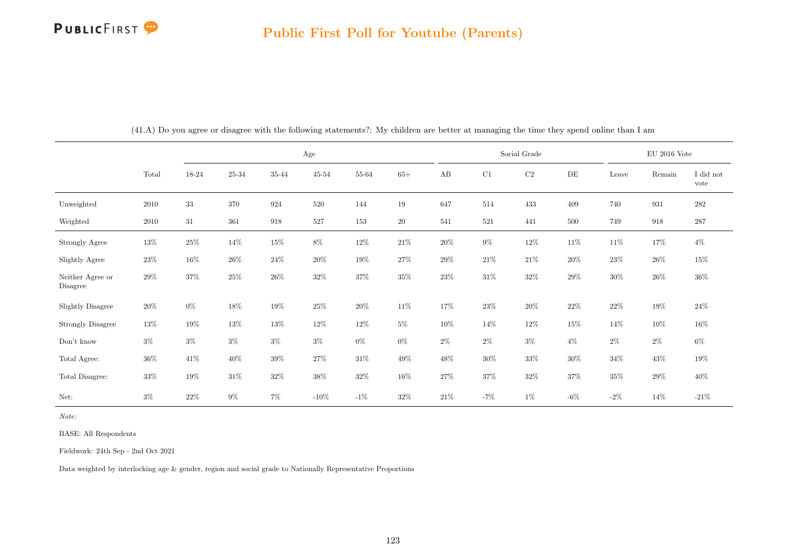|                              |        |        |         | $\rm Age$ |           |        |           |        |         | Social Grade |           |        | $\rm EU$ 2016 Vote |                   |
|------------------------------|--------|--------|---------|-----------|-----------|--------|-----------|--------|---------|--------------|-----------|--------|--------------------|-------------------|
|                              | Total  | 18-24  | 25-34   | 35-44     | $45 - 54$ | 55-64  | $65+$     | AB     | C1      | $\rm C2$     | $\rm{DE}$ | Leave  | Remain             | I did not<br>vote |
| Unweighted                   | 2010   | $33\,$ | $370\,$ | 924       | 520       | 144    | 19        | 647    | 514     | 433          | 409       | 740    | 931                | $\bf 282$         |
| Weighted                     | 2010   | 31     | 361     | 918       | 527       | 153    | <b>20</b> | 541    | $521\,$ | 441          | 500       | 749    | 918                | $287\,$           |
| Strongly Agree               | 13%    | $25\%$ | 14%     | $15\%$    | 8%        | 12\%   | $21\%$    | $20\%$ | $9\%$   | $12\%$       | $11\%$    | 11\%   | 17%                | $4\%$             |
| Slightly Agree               | $23\%$ | 16%    | $26\%$  | $24\%$    | $20\%$    | 19%    | $27\%$    | $29\%$ | $21\%$  | $21\%$       | $20\%$    | $23\%$ | 26%                | $15\%$            |
| Neither Agree or<br>Disagree | $29\%$ | 37%    | $25\%$  | $26\%$    | $32\%$    | 37%    | $35\%$    | $23\%$ | $31\%$  | $32\%$       | $29\%$    | $30\%$ | 26%                | $36\%$            |
| Slightly Disagree            | $20\%$ | $0\%$  | $18\%$  | 19%       | $25\%$    | $20\%$ | $11\%$    | 17%    | $23\%$  | $20\%$       | $22\%$    | $22\%$ | $19\%$             | $24\%$            |
| <b>Strongly Disagree</b>     | 13%    | 19%    | 13%     | $13\%$    | 12%       | 12\%   | $5\%$     | $10\%$ | 14%     | $12\%$       | $15\%$    | 14%    | $10\%$             | $16\%$            |
| Don't know                   | $3\%$  | $3\%$  | $3\%$   | $3\%$     | $3\%$     | $0\%$  | $0\%$     | $2\%$  | $2\%$   | $3\%$        | $4\%$     | $2\%$  | $2\%$              | $6\%$             |
| Total Agree:                 | $36\%$ | 41%    | 40\%    | $39\%$    | 27%       | $31\%$ | 49%       | $48\%$ | $30\%$  | $33\%$       | $30\%$    | $34\%$ | 43\%               | $19\%$            |
| Total Disagree:              | $33\%$ | 19%    | $31\%$  | $32\%$    | 38%       | $32\%$ | $16\%$    | 27%    | $37\%$  | $32\%$       | 37%       | $35\%$ | 29%                | $40\%$            |
| Net:                         | $3\%$  | 22\%   | $9\%$   | 7%        | $-10\%$   | $-1\%$ | $32\%$    | 21\%   | $-7%$   | $1\%$        | $-6\%$    | $-2\%$ | 14%                | $-21\%$           |

(41.A) Do you agree or disagree with the following statements?: My children are better at managing the time they spend online than I am

Note:

BASE: All Respondents

Fieldwork: 24th Sep - 2nd Oct 2021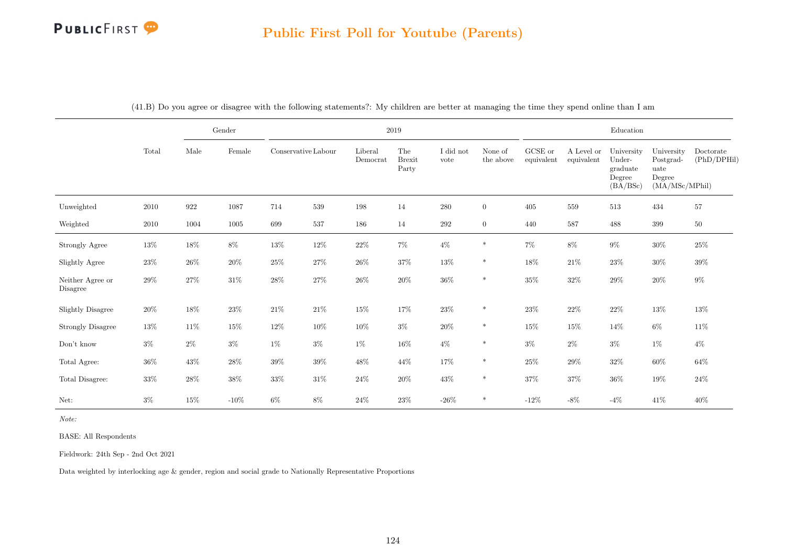|                              |          |        | $\operatorname{Gender}$ |                     |        |                     | $2019\,$                      |                   |                      |                       |                          | $\operatorname{Education}$                             |                                                             |                          |
|------------------------------|----------|--------|-------------------------|---------------------|--------|---------------------|-------------------------------|-------------------|----------------------|-----------------------|--------------------------|--------------------------------------------------------|-------------------------------------------------------------|--------------------------|
|                              | Total    | Male   | Female                  | Conservative Labour |        | Liberal<br>Democrat | The<br><b>Brexit</b><br>Party | I did not<br>vote | None of<br>the above | GCSE or<br>equivalent | A Level or<br>equivalent | University<br>Under-<br>graduate<br>Degree<br>(BA/BSc) | University<br>Postgrad-<br>uate<br>Degree<br>(MA/MSc/MPhil) | Doctorate<br>(PhD/DPHil) |
| Unweighted                   | $2010\,$ | 922    | 1087                    | 714                 | 539    | 198                 | 14                            | $280\,$           | $\overline{0}$       | 405                   | 559                      | 513                                                    | 434                                                         | $57\,$                   |
| Weighted                     | $2010\,$ | 1004   | 1005                    | 699                 | 537    | 186                 | 14                            | 292               | $\overline{0}$       | 440                   | 587                      | 488                                                    | 399                                                         | $50\,$                   |
| <b>Strongly Agree</b>        | $13\%$   | $18\%$ | $8\%$                   | $13\%$              | $12\%$ | $22\%$              | $7\%$                         | $4\%$             | $\ast$               | $7\%$                 | $8\%$                    | $9\%$                                                  | $30\%$                                                      | $25\%$                   |
| Slightly Agree               | $23\%$   | $26\%$ | $20\%$                  | $25\%$              | $27\%$ | $26\%$              | $37\%$                        | $13\%$            | $\ast$               | $18\%$                | $21\%$                   | $23\%$                                                 | $30\%$                                                      | $39\%$                   |
| Neither Agree or<br>Disagree | 29%      | $27\%$ | $31\%$                  | $28\%$              | $27\%$ | $26\%$              | $20\%$                        | $36\%$            | $\ast$               | $35\%$                | $32\%$                   | $29\%$                                                 | $20\%$                                                      | $9\%$                    |
| Slightly Disagree            | $20\%$   | $18\%$ | $23\%$                  | $21\%$              | $21\%$ | $15\%$              | $17\%$                        | $23\%$            | $\ast$               | $23\%$                | $22\%$                   | $22\%$                                                 | $13\%$                                                      | $13\%$                   |
| <b>Strongly Disagree</b>     | 13%      | 11\%   | $15\%$                  | 12\%                | $10\%$ | $10\%$              | $3\%$                         | $20\%$            | $\ast$               | $15\%$                | $15\%$                   | $14\%$                                                 | $6\%$                                                       | $11\%$                   |
| Don't know                   | $3\%$    | $2\%$  | $3\%$                   | $1\%$               | $3\%$  | $1\%$               | $16\%$                        | $4\%$             | $\ast$               | $3\%$                 | $2\%$                    | $3\%$                                                  | $1\%$                                                       | $4\%$                    |
| Total Agree:                 | 36%      | $43\%$ | $28\%$                  | $39\%$              | $39\%$ | $48\%$              | $44\%$                        | $17\%$            | $\ast$               | $25\%$                | $29\%$                   | $32\%$                                                 | $60\%$                                                      | $64\%$                   |
| Total Disagree:              | $33\%$   | $28\%$ | $38\%$                  | $33\%$              | $31\%$ | $24\%$              | $20\%$                        | $43\%$            | $\ast$               | $37\%$                | $37\%$                   | $36\%$                                                 | $19\%$                                                      | $24\%$                   |
| Net:                         | $3\%$    | $15\%$ | $-10\%$                 | $6\%$               | $8\%$  | $24\%$              | $23\%$                        | $-26\%$           | $\ast$               | $-12\%$               | $-8\%$                   | $-4\%$                                                 | $41\%$                                                      | $40\%$                   |

(41.B) Do you agree or disagree with the following statements?: My children are better at managing the time they spend online than I am

Note:

BASE: All Respondents

Fieldwork: 24th Sep - 2nd Oct 2021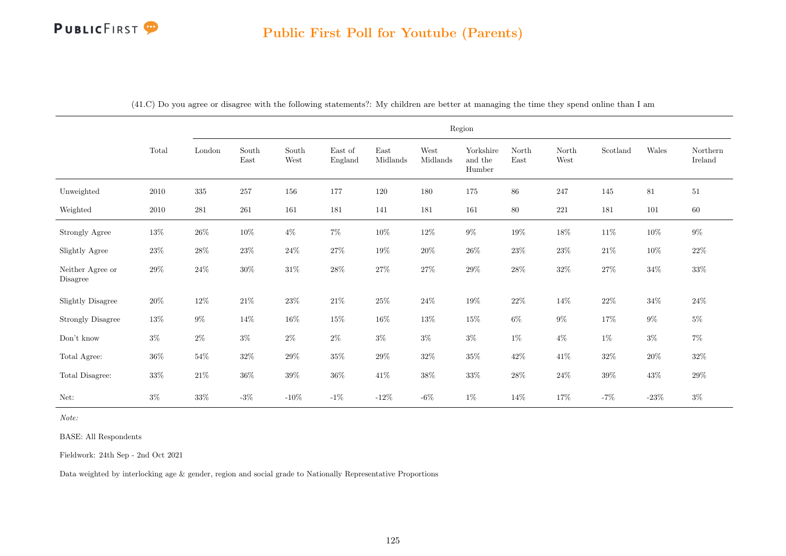|                              |          |           |                                |               |                    |                  |                  | Region                         |               |               |          |         |                     |
|------------------------------|----------|-----------|--------------------------------|---------------|--------------------|------------------|------------------|--------------------------------|---------------|---------------|----------|---------|---------------------|
|                              | Total    | London    | $\operatorname{South}$<br>East | South<br>West | East of<br>England | East<br>Midlands | West<br>Midlands | Yorkshire<br>and the<br>Humber | North<br>East | North<br>West | Scotland | Wales   | Northern<br>Ireland |
| Unweighted                   | $2010\,$ | $335\,$   | 257                            | $156\,$       | 177                | $120\,$          | 180              | $175\,$                        | $86\,$        | 247           | 145      | $81\,$  | $51\,$              |
| Weighted                     | $2010\,$ | $\bf 281$ | $261\,$                        | 161           | 181                | 141              | 181              | $161\,$                        | $80\,$        | 221           | 181      | $101\,$ | $60\,$              |
| Strongly Agree               | $13\%$   | $26\%$    | $10\%$                         | $4\%$         | $7\%$              | $10\%$           | $12\%$           | $9\%$                          | $19\%$        | $18\%$        | $11\%$   | $10\%$  | $9\%$               |
| Slightly Agree               | $23\%$   | $28\%$    | $23\%$                         | $24\%$        | $27\%$             | $19\%$           | $20\%$           | $26\%$                         | $23\%$        | $23\%$        | $21\%$   | $10\%$  | $22\%$              |
| Neither Agree or<br>Disagree | $29\%$   | $24\%$    | $30\%$                         | $31\%$        | $28\%$             | $27\%$           | $27\%$           | $29\%$                         | $28\%$        | $32\%$        | $27\%$   | $34\%$  | $33\%$              |
| Slightly Disagree            | $20\%$   | $12\%$    | $21\%$                         | $23\%$        | $21\%$             | $25\%$           | $24\%$           | $19\%$                         | $22\%$        | $14\%$        | $22\%$   | $34\%$  | $24\%$              |
| <b>Strongly Disagree</b>     | $13\%$   | $9\%$     | $14\%$                         | $16\%$        | $15\%$             | $16\%$           | $13\%$           | $15\%$                         | $6\%$         | $9\%$         | $17\%$   | $9\%$   | $5\%$               |
| Don't know                   | $3\%$    | $2\%$     | $3\%$                          | $2\%$         | $2\%$              | $3\%$            | $3\%$            | $3\%$                          | $1\%$         | $4\%$         | $1\%$    | $3\%$   | $7\%$               |
| Total Agree:                 | $36\%$   | $54\%$    | $32\%$                         | $29\%$        | $35\%$             | $29\%$           | $32\%$           | $35\%$                         | $42\%$        | $41\%$        | $32\%$   | $20\%$  | $32\%$              |
| Total Disagree:              | $33\%$   | $21\%$    | $36\%$                         | $39\%$        | $36\%$             | $41\%$           | $38\%$           | $33\%$                         | $28\%$        | $24\%$        | $39\%$   | $43\%$  | $29\%$              |
| Net:                         | $3\%$    | $33\%$    | $-3\%$                         | $-10\%$       | $-1\%$             | $-12\%$          | $-6\%$           | $1\%$                          | $14\%$        | $17\%$        | $-7%$    | $-23\%$ | $3\%$               |

(41.C) Do you agree or disagree with the following statements?: My children are better at managing the time they spend online than I am

Note:

BASE: All Respondents

Fieldwork: 24th Sep - 2nd Oct 2021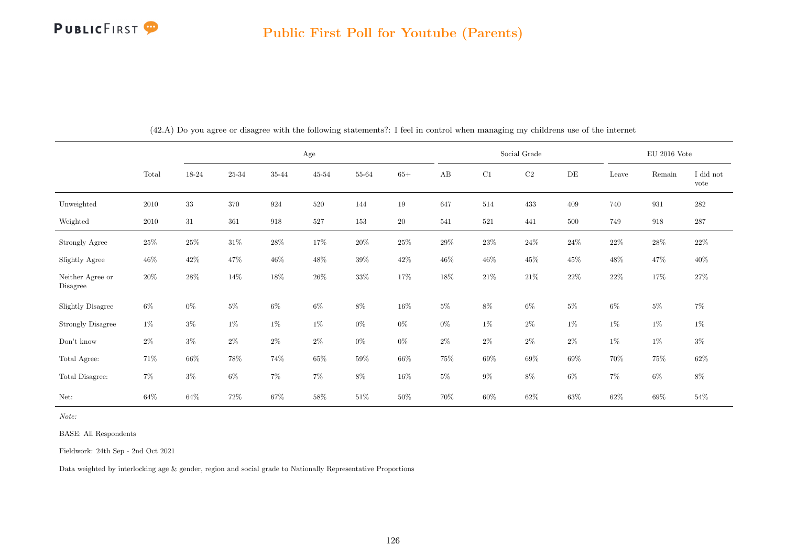

|                              |        |        |           |        | $_{\rm Age}$ |        |        |        |        | Social Grade |           |        | $\rm EU$ 2016 Vote |                   |
|------------------------------|--------|--------|-----------|--------|--------------|--------|--------|--------|--------|--------------|-----------|--------|--------------------|-------------------|
|                              | Total  | 18-24  | $25 - 34$ | 35-44  | $45 - 54$    | 55-64  | $65+$  | AB     | C1     | $\rm{C2}$    | $\rm{DE}$ | Leave  | Remain             | I did not<br>vote |
| Unweighted                   | 2010   | $33\,$ | 370       | 924    | 520          | 144    | 19     | 647    | 514    | 433          | 409       | 740    | 931                | 282               |
| Weighted                     | 2010   | 31     | 361       | 918    | $527\,$      | 153    | 20     | 541    | 521    | 441          | 500       | 749    | 918                | 287               |
| Strongly Agree               | $25\%$ | $25\%$ | $31\%$    | $28\%$ | $17\%$       | $20\%$ | $25\%$ | $29\%$ | $23\%$ | $24\%$       | $24\%$    | $22\%$ | $28\%$             | $22\%$            |
| Slightly Agree               | $46\%$ | $42\%$ | 47%       | 46\%   | 48\%         | $39\%$ | $42\%$ | $46\%$ | $46\%$ | $45\%$       | $45\%$    | 48\%   | 47%                | $40\%$            |
| Neither Agree or<br>Disagree | $20\%$ | $28\%$ | $14\%$    | 18%    | $26\%$       | $33\%$ | 17%    | $18\%$ | $21\%$ | $21\%$       | $22\%$    | $22\%$ | 17%                | $27\%$            |
| <b>Slightly Disagree</b>     | $6\%$  | $0\%$  | $5\%$     | $6\%$  | 6%           | $8\%$  | $16\%$ | 5%     | $8\%$  | $6\%$        | 5%        | $6\%$  | $5\%$              | $7\%$             |
| <b>Strongly Disagree</b>     | $1\%$  | $3\%$  | $1\%$     | $1\%$  | $1\%$        | $0\%$  | $0\%$  | $0\%$  | $1\%$  | $2\%$        | $1\%$     | 1%     | $1\%$              | $1\%$             |
| $\mathrm{Don't}$ know        | $2\%$  | $3\%$  | $2\%$     | $2\%$  | $2\%$        | $0\%$  | $0\%$  | $2\%$  | $2\%$  | $2\%$        | $2\%$     | 1%     | $1\%$              | $3\%$             |
| Total Agree:                 | 71\%   | $66\%$ | $78\%$    | 74%    | 65%          | $59\%$ | $66\%$ | $75\%$ | $69\%$ | $69\%$       | $69\%$    | $70\%$ | 75%                | $62\%$            |
| Total Disagree:              | $7\%$  | $3\%$  | $6\%$     | $7\%$  | $7\%$        | $8\%$  | $16\%$ | $5\%$  | $9\%$  | $8\%$        | $6\%$     | $7\%$  | $6\%$              | $8\%$             |
| Net:                         | $64\%$ | $64\%$ | $72\%$    | $67\%$ | $58\%$       | $51\%$ | $50\%$ | 70%    | $60\%$ | $62\%$       | $63\%$    | $62\%$ | $69\%$             | $54\%$            |

(42.A) Do you agree or disagree with the following statements?: I feel in control when managing my childrens use of the internet

Note:

BASE: All Respondents

Fieldwork: 24th Sep - 2nd Oct 2021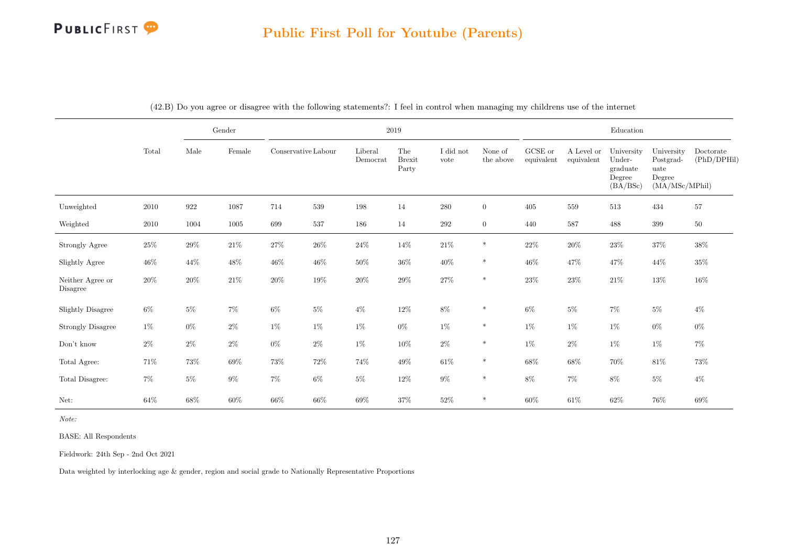|                              |          |        | $\operatorname{Gender}$ |                     |        |                     | $2019\,$                      |                   |                      |                       |                          | ${\bf Education}$                                      |                                                             |                          |
|------------------------------|----------|--------|-------------------------|---------------------|--------|---------------------|-------------------------------|-------------------|----------------------|-----------------------|--------------------------|--------------------------------------------------------|-------------------------------------------------------------|--------------------------|
|                              | Total    | Male   | Female                  | Conservative Labour |        | Liberal<br>Democrat | The<br><b>Brexit</b><br>Party | I did not<br>vote | None of<br>the above | GCSE or<br>equivalent | A Level or<br>equivalent | University<br>Under-<br>graduate<br>Degree<br>(BA/BSc) | University<br>Postgrad-<br>uate<br>Degree<br>(MA/MSc/MPhil) | Doctorate<br>(PhD/DPHil) |
| Unweighted                   | $2010\,$ | 922    | 1087                    | 714                 | 539    | 198                 | 14                            | 280               | $\overline{0}$       | 405                   | 559                      | 513                                                    | 434                                                         | 57                       |
| Weighted                     | 2010     | 1004   | 1005                    | 699                 | 537    | 186                 | 14                            | 292               | $\overline{0}$       | 440                   | 587                      | 488                                                    | 399                                                         | $50\,$                   |
| <b>Strongly Agree</b>        | $25\%$   | $29\%$ | $21\%$                  | $27\%$              | $26\%$ | $24\%$              | $14\%$                        | $21\%$            | $\ast$               | $22\%$                | $20\%$                   | $23\%$                                                 | $37\%$                                                      | $38\%$                   |
| Slightly Agree               | $46\%$   | 44\%   | $48\%$                  | $46\%$              | $46\%$ | $50\%$              | $36\%$                        | $40\%$            | $\ast$               | $46\%$                | 47%                      | $47\%$                                                 | $44\%$                                                      | $35\%$                   |
| Neither Agree or<br>Disagree | $20\%$   | $20\%$ | $21\%$                  | $20\%$              | $19\%$ | $20\%$              | $29\%$                        | $27\%$            | $\ast$               | $23\%$                | 23%                      | $21\%$                                                 | $13\%$                                                      | $16\%$                   |
| Slightly Disagree            | $6\%$    | $5\%$  | $7\%$                   | $6\%$               | $5\%$  | $4\%$               | $12\%$                        | $8\%$             | $\ast$               | $6\%$                 | $5\%$                    | $7\%$                                                  | $5\%$                                                       | $4\%$                    |
| <b>Strongly Disagree</b>     | $1\%$    | $0\%$  | $2\%$                   | $1\%$               | $1\%$  | $1\%$               | $0\%$                         | $1\%$             | $\ast$               | $1\%$                 | $1\%$                    | $1\%$                                                  | $0\%$                                                       | $0\%$                    |
| Don't know                   | $2\%$    | $2\%$  | $2\%$                   | $0\%$               | $2\%$  | 1%                  | $10\%$                        | $2\%$             | $\ast$               | $1\%$                 | $2\%$                    | $1\%$                                                  | $1\%$                                                       | $7\%$                    |
| Total Agree:                 | 71%      | $73\%$ | $69\%$                  | $73\%$              | 72\%   | $74\%$              | $49\%$                        | $61\%$            | $\ast$               | $68\%$                | $68\%$                   | $70\%$                                                 | $81\%$                                                      | $73\%$                   |
| Total Disagree:              | $7\%$    | $5\%$  | $9\%$                   | $7\%$               | $6\%$  | $5\%$               | $12\%$                        | $9\%$             | $\ast$               | $8\%$                 | $7\%$                    | $8\%$                                                  | $5\%$                                                       | $4\%$                    |
| Net:                         | 64%      | $68\%$ | $60\%$                  | $66\%$              | $66\%$ | $69\%$              | $37\%$                        | $52\%$            | $\ast$               | $60\%$                | $61\%$                   | $62\%$                                                 | $76\%$                                                      | $69\%$                   |

(42.B) Do you agree or disagree with the following statements?: I feel in control when managing my childrens use of the internet

Note:

BASE: All Respondents

Fieldwork: 24th Sep - 2nd Oct 2021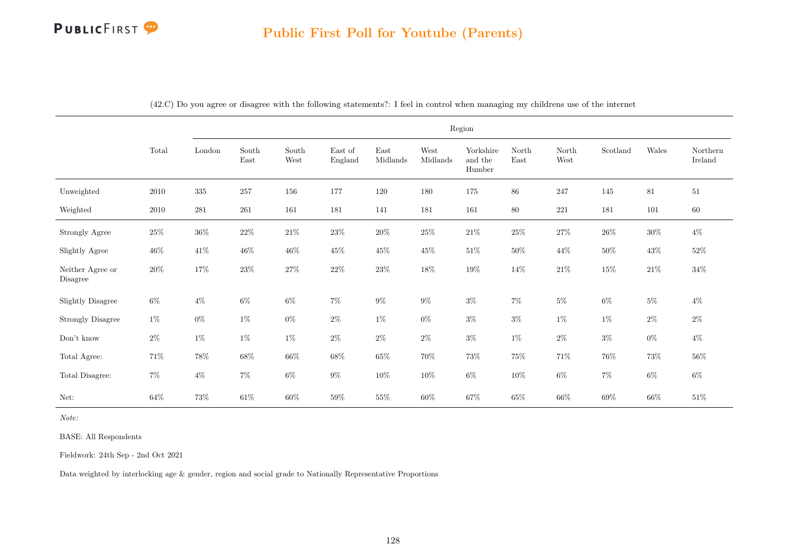|                              |          |         |               |               |                    |                  |                  | Region                         |               |               |          |        |                     |
|------------------------------|----------|---------|---------------|---------------|--------------------|------------------|------------------|--------------------------------|---------------|---------------|----------|--------|---------------------|
|                              | Total    | London  | South<br>East | South<br>West | East of<br>England | East<br>Midlands | West<br>Midlands | Yorkshire<br>and the<br>Humber | North<br>East | North<br>West | Scotland | Wales  | Northern<br>Ireland |
| Unweighted                   | 2010     | $335\,$ | $257\,$       | 156           | 177                | $120\,$          | 180              | 175                            | $86\,$        | $247\,$       | 145      | $81\,$ | $51\,$              |
| Weighted                     | $2010\,$ | $281\,$ | 261           | 161           | 181                | 141              | 181              | 161                            | 80            | $221\,$       | 181      | 101    | $60\,$              |
| <b>Strongly Agree</b>        | $25\%$   | $36\%$  | $22\%$        | $21\%$        | $23\%$             | $20\%$           | $25\%$           | $21\%$                         | $25\%$        | $27\%$        | $26\%$   | $30\%$ | $4\%$               |
| Slightly Agree               | $46\%$   | $41\%$  | $46\%$        | $46\%$        | $45\%$             | $45\%$           | $45\%$           | $51\%$                         | $50\%$        | $44\%$        | $50\%$   | $43\%$ | $52\%$              |
| Neither Agree or<br>Disagree | $20\%$   | $17\%$  | $23\%$        | $27\%$        | $22\%$             | $23\%$           | $18\%$           | $19\%$                         | $14\%$        | $21\%$        | $15\%$   | $21\%$ | $34\%$              |
| <b>Slightly Disagree</b>     | $6\%$    | $4\%$   | $6\%$         | $6\%$         | $7\%$              | $9\%$            | $9\%$            | $3\%$                          | $7\%$         | $5\%$         | $6\%$    | $5\%$  | $4\%$               |
| <b>Strongly Disagree</b>     | $1\%$    | $0\%$   | $1\%$         | $0\%$         | $2\%$              | $1\%$            | $0\%$            | $3\%$                          | $3\%$         | $1\%$         | $1\%$    | $2\%$  | $2\%$               |
| Don't know                   | $2\%$    | $1\%$   | $1\%$         | $1\%$         | $2\%$              | $2\%$            | $2\%$            | $3\%$                          | $1\%$         | $2\%$         | $3\%$    | $0\%$  | $4\%$               |
| Total Agree:                 | $71\%$   | $78\%$  | $68\%$        | $66\%$        | $68\%$             | $65\%$           | $70\%$           | $73\%$                         | $75\%$        | $71\%$        | $76\%$   | $73\%$ | $56\%$              |
| Total Disagree:              | $7\%$    | $4\%$   | $7\%$         | $6\%$         | $9\%$              | $10\%$           | $10\%$           | $6\%$                          | $10\%$        | $6\%$         | $7\%$    | $6\%$  | $6\%$               |
| Net:                         | $64\%$   | $73\%$  | $61\%$        | $60\%$        | $59\%$             | $55\%$           | $60\%$           | $67\%$                         | $65\%$        | $66\%$        | $69\%$   | $66\%$ | $51\%$              |

(42.C) Do you agree or disagree with the following statements?: I feel in control when managing my childrens use of the internet

Note:

BASE: All Respondents

Fieldwork: 24th Sep - 2nd Oct 2021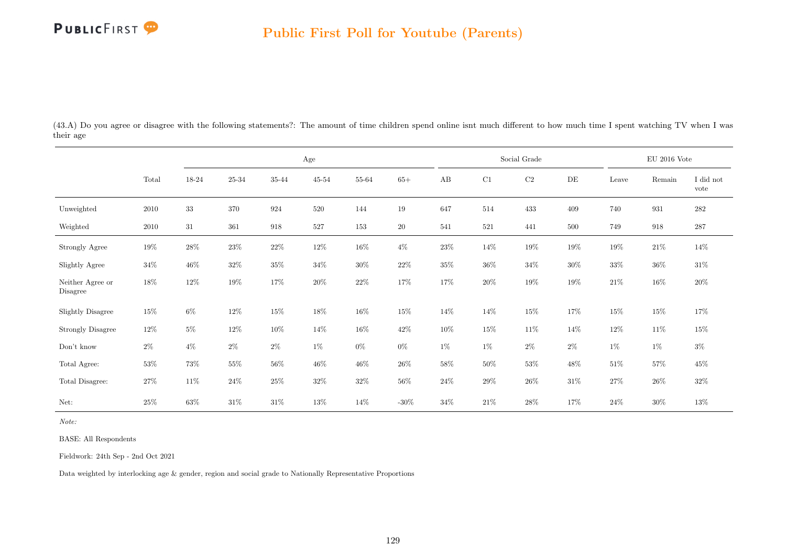

(43.A) Do you agree or disagree with the following statements?: The amount of time children spend online isnt much different to how much time I spent watching TV when I was their age

|                              |          |        |           |        | $\rm Age$ |           |         |        |         | Social Grade |           |        | EU 2016 Vote |                   |
|------------------------------|----------|--------|-----------|--------|-----------|-----------|---------|--------|---------|--------------|-----------|--------|--------------|-------------------|
|                              | Total    | 18-24  | $25 - 34$ | 35-44  | $45 - 54$ | $55 - 64$ | $65+$   | AB     | C1      | $\rm{C2}$    | $\rm{DE}$ | Leave  | Remain       | I did not<br>vote |
| Unweighted                   | 2010     | $33\,$ | $370\,$   | 924    | $520\,$   | 144       | 19      | 647    | 514     | 433          | 409       | 740    | 931          | $282\,$           |
| Weighted                     | $2010\,$ | 31     | 361       | 918    | 527       | 153       | $20\,$  | 541    | $521\,$ | 441          | 500       | 749    | 918          | 287               |
| Strongly Agree               | $19\%$   | $28\%$ | $23\%$    | $22\%$ | $12\%$    | $16\%$    | $4\%$   | $23\%$ | $14\%$  | 19%          | $19\%$    | $19\%$ | $21\%$       | $14\%$            |
| Slightly Agree               | $34\%$   | $46\%$ | $32\%$    | $35\%$ | $34\%$    | $30\%$    | $22\%$  | $35\%$ | $36\%$  | $34\%$       | $30\%$    | $33\%$ | $36\%$       | $31\%$            |
| Neither Agree or<br>Disagree | $18\%$   | $12\%$ | 19%       | 17%    | $20\%$    | $22\%$    | 17%     | 17%    | $20\%$  | 19%          | 19%       | $21\%$ | $16\%$       | $20\%$            |
| <b>Slightly Disagree</b>     | 15%      | $6\%$  | $12\%$    | $15\%$ | 18%       | $16\%$    | $15\%$  | 14%    | $14\%$  | $15\%$       | 17%       | 15%    | 15%          | 17%               |
| <b>Strongly Disagree</b>     | $12\%$   | $5\%$  | $12\%$    | $10\%$ | 14%       | $16\%$    | $42\%$  | $10\%$ | $15\%$  | $11\%$       | 14\%      | 12\%   | 11\%         | $15\%$            |
| $\mathrm{Don't}$ know        | $2\%$    | $4\%$  | $2\%$     | $2\%$  | $1\%$     | $0\%$     | $0\%$   | $1\%$  | $1\%$   | $2\%$        | $2\%$     | $1\%$  | $1\%$        | $3\%$             |
| Total Agree:                 | $53\%$   | 73%    | $55\%$    | $56\%$ | $46\%$    | $46\%$    | $26\%$  | $58\%$ | $50\%$  | $53\%$       | $48\%$    | $51\%$ | $57\%$       | 45%               |
| Total Disagree:              | $27\%$   | 11\%   | $24\%$    | 25%    | $32\%$    | $32\%$    | $56\%$  | $24\%$ | $29\%$  | $26\%$       | $31\%$    | $27\%$ | $26\%$       | $32\%$            |
| Net:                         | $25\%$   | 63%    | $31\%$    | $31\%$ | 13%       | 14%       | -30 $%$ | 34%    | $21\%$  | $28\%$       | 17%       | $24\%$ | $30\%$       | 13%               |

Note:

BASE: All Respondents

Fieldwork: 24th Sep - 2nd Oct 2021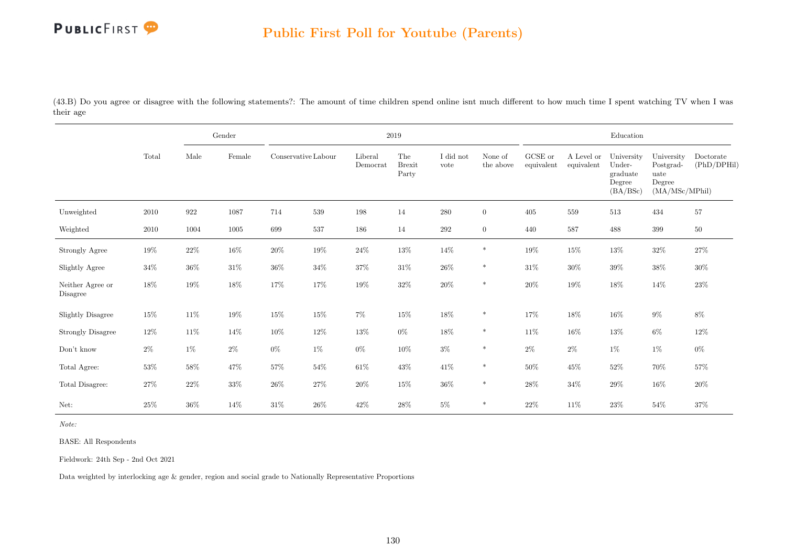

(43.B) Do you agree or disagree with the following statements?: The amount of time children spend online isnt much different to how much time I spent watching TV when I was their age

|                              |        |        | Gender   |                     |         |                     | 2019                          |                   |                      |                       |                          | Education                                              |                                                             |                          |
|------------------------------|--------|--------|----------|---------------------|---------|---------------------|-------------------------------|-------------------|----------------------|-----------------------|--------------------------|--------------------------------------------------------|-------------------------------------------------------------|--------------------------|
|                              | Total  | Male   | Female   | Conservative Labour |         | Liberal<br>Democrat | The<br><b>Brexit</b><br>Party | I did not<br>vote | None of<br>the above | GCSE or<br>equivalent | A Level or<br>equivalent | University<br>Under-<br>graduate<br>Degree<br>(BA/BSc) | University<br>Postgrad-<br>uate<br>Degree<br>(MA/MSc/MPhil) | Doctorate<br>(PhD/DPHil) |
| Unweighted                   | 2010   | 922    | 1087     | 714                 | 539     | 198                 | 14                            | $280\,$           | $\overline{0}$       | 405                   | 559                      | $513\,$                                                | 434                                                         | 57                       |
| Weighted                     | 2010   | 1004   | $1005\,$ | 699                 | $537\,$ | 186                 | 14                            | $\,292$           | $\overline{0}$       | 440                   | 587                      | 488                                                    | 399                                                         | $50\,$                   |
| <b>Strongly Agree</b>        | 19%    | $22\%$ | $16\%$   | $20\%$              | $19\%$  | $24\%$              | $13\%$                        | $14\%$            | $\ast$               | $19\%$                | $15\%$                   | $13\%$                                                 | $32\%$                                                      | $27\%$                   |
| Slightly Agree               | $34\%$ | $36\%$ | $31\%$   | $36\%$              | $34\%$  | $37\%$              | $31\%$                        | $26\%$            | $\ast$               | $31\%$                | $30\%$                   | $39\%$                                                 | $38\%$                                                      | $30\%$                   |
| Neither Agree or<br>Disagree | 18%    | $19\%$ | $18\%$   | $17\%$              | $17\%$  | $19\%$              | $32\%$                        | $20\%$            | $\ast$               | $20\%$                | $19\%$                   | $18\%$                                                 | 14\%                                                        | $23\%$                   |
| Slightly Disagree            | $15\%$ | $11\%$ | $19\%$   | $15\%$              | $15\%$  | $7\%$               | $15\%$                        | $18\%$            | $\ast$               | 17%                   | $18\%$                   | $16\%$                                                 | $9\%$                                                       | $8\%$                    |
| <b>Strongly Disagree</b>     | 12\%   | $11\%$ | 14\%     | $10\%$              | $12\%$  | $13\%$              | $0\%$                         | $18\%$            | $\ast$               | 11\%                  | $16\%$                   | $13\%$                                                 | $6\%$                                                       | $12\%$                   |
| Don't know                   | $2\%$  | $1\%$  | $2\%$    | $0\%$               | $1\%$   | $0\%$               | $10\%$                        | $3\%$             | $\ast$               | $2\%$                 | $2\%$                    | $1\%$                                                  | $1\%$                                                       | $0\%$                    |
| Total Agree:                 | 53%    | $58\%$ | $47\%$   | 57%                 | $54\%$  | $61\%$              | $43\%$                        | $41\%$            | $\ast$               | $50\%$                | $45\%$                   | $52\%$                                                 | $70\%$                                                      | $57\%$                   |
| Total Disagree:              | $27\%$ | $22\%$ | $33\%$   | $26\%$              | $27\%$  | $20\%$              | $15\%$                        | $36\%$            | $\ast$               | 28%                   | $34\%$                   | $29\%$                                                 | $16\%$                                                      | $20\%$                   |
| Net:                         | 25%    | $36\%$ | 14\%     | $31\%$              | $26\%$  | 42\%                | $28\%$                        | $5\%$             | $\ast$               | $22\%$                | $11\%$                   | $23\%$                                                 | 54%                                                         | 37%                      |

Note:

BASE: All Respondents

Fieldwork: 24th Sep - 2nd Oct 2021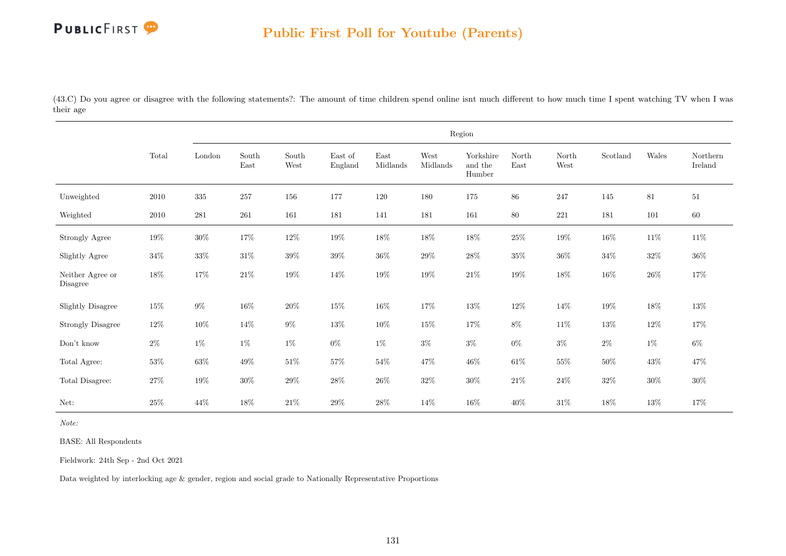

(43.C) Do you agree or disagree with the following statements?: The amount of time children spend online isnt much different to how much time I spent watching TV when I was their age

|                              |          |         |               |               |                    |                  |                  | Region                         |               |               |          |        |                     |
|------------------------------|----------|---------|---------------|---------------|--------------------|------------------|------------------|--------------------------------|---------------|---------------|----------|--------|---------------------|
|                              | Total    | London  | South<br>East | South<br>West | East of<br>England | East<br>Midlands | West<br>Midlands | Yorkshire<br>and the<br>Humber | North<br>East | North<br>West | Scotland | Wales  | Northern<br>Ireland |
| Unweighted                   | 2010     | $335\,$ | $257\,$       | 156           | 177                | 120              | 180              | 175                            | 86            | 247           | 145      | 81     | $51\,$              |
| Weighted                     | $2010\,$ | $281\,$ | 261           | 161           | 181                | 141              | 181              | 161                            | 80            | 221           | 181      | 101    | 60                  |
| Strongly Agree               | $19\%$   | $30\%$  | $17\%$        | $12\%$        | $19\%$             | $18\%$           | $18\%$           | $18\%$                         | $25\%$        | $19\%$        | $16\%$   | $11\%$ | $11\%$              |
| Slightly Agree               | $34\%$   | $33\%$  | $31\%$        | $39\%$        | $39\%$             | $36\%$           | $29\%$           | $28\%$                         | $35\%$        | $36\%$        | $34\%$   | $32\%$ | $36\%$              |
| Neither Agree or<br>Disagree | $18\%$   | $17\%$  | $21\%$        | $19\%$        | $14\%$             | $19\%$           | $19\%$           | $21\%$                         | $19\%$        | $18\%$        | $16\%$   | $26\%$ | $17\%$              |
| <b>Slightly Disagree</b>     | $15\%$   | $9\%$   | $16\%$        | $20\%$        | $15\%$             | $16\%$           | $17\%$           | $13\%$                         | $12\%$        | 14\%          | $19\%$   | $18\%$ | $13\%$              |
| <b>Strongly Disagree</b>     | $12\%$   | $10\%$  | $14\%$        | $9\%$         | $13\%$             | $10\%$           | $15\%$           | $17\%$                         | 8%            | $11\%$        | $13\%$   | $12\%$ | 17%                 |
| Don't know                   | $2\%$    | $1\%$   | $1\%$         | $1\%$         | $0\%$              | $1\%$            | $3\%$            | $3\%$                          | $0\%$         | $3\%$         | $2\%$    | $1\%$  | $6\%$               |
| Total Agree:                 | $53\%$   | $63\%$  | $49\%$        | $51\%$        | $57\%$             | $54\%$           | 47%              | $46\%$                         | $61\%$        | $55\%$        | $50\%$   | $43\%$ | 47%                 |
| Total Disagree:              | $27\%$   | $19\%$  | $30\%$        | $29\%$        | $28\%$             | $26\%$           | $32\%$           | $30\%$                         | $21\%$        | $24\%$        | $32\%$   | $30\%$ | $30\%$              |
| Net:                         | $25\%$   | $44\%$  | $18\%$        | $21\%$        | $29\%$             | $28\%$           | 14%              | $16\%$                         | 40%           | $31\%$        | 18%      | $13\%$ | 17%                 |

Note:

BASE: All Respondents

Fieldwork: 24th Sep - 2nd Oct 2021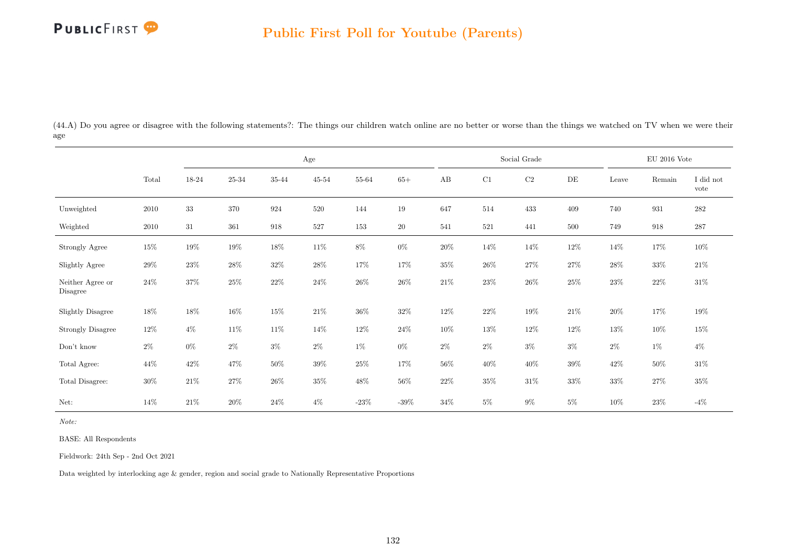

(44.A) Do you agree or disagree with the following statements?: The things our children watch online are no better or worse than the things we watched on TV when we were their age

|                              |          |        |           |        | Age       |         |         |        |         | Social Grade |           |        | $\rm EU$ 2016 Vote |                   |
|------------------------------|----------|--------|-----------|--------|-----------|---------|---------|--------|---------|--------------|-----------|--------|--------------------|-------------------|
|                              | Total    | 18-24  | $25 - 34$ | 35-44  | $45 - 54$ | 55-64   | $65+$   | AB     | C1      | $\rm{C2}$    | $\rm{DE}$ | Leave  | Remain             | I did not<br>vote |
| Unweighted                   | $2010\,$ | $33\,$ | $370\,$   | 924    | 520       | 144     | 19      | 647    | 514     | 433          | 409       | 740    | 931                | $282\,$           |
| Weighted                     | 2010     | $31\,$ | 361       | 918    | 527       | $153\,$ | $20\,$  | 541    | $521\,$ | 441          | 500       | 749    | 918                | $287\,$           |
| Strongly Agree               | $15\%$   | 19%    | $19\%$    | $18\%$ | $11\%$    | $8\%$   | $0\%$   | $20\%$ | $14\%$  | 14\%         | $12\%$    | $14\%$ | 17%                | $10\%$            |
| Slightly Agree               | $29\%$   | $23\%$ | $28\%$    | $32\%$ | $28\%$    | 17%     | 17%     | $35\%$ | $26\%$  | $27\%$       | 27%       | $28\%$ | $33\%$             | $21\%$            |
| Neither Agree or<br>Disagree | 24%      | 37%    | $25\%$    | 22%    | 24\%      | $26\%$  | $26\%$  | $21\%$ | $23\%$  | $26\%$       | 25%       | $23\%$ | $22\%$             | $31\%$            |
| <b>Slightly Disagree</b>     | $18\%$   | 18%    | 16%       | $15\%$ | $21\%$    | $36\%$  | $32\%$  | 12\%   | $22\%$  | 19%          | $21\%$    | $20\%$ | 17%                | 19%               |
| <b>Strongly Disagree</b>     | $12\%$   | $4\%$  | $11\%$    | $11\%$ | 14%       | $12\%$  | $24\%$  | $10\%$ | $13\%$  | 12\%         | $12\%$    | $13\%$ | $10\%$             | $15\%$            |
| Don't know                   | $2\%$    | $0\%$  | $2\%$     | $3\%$  | $2\%$     | $1\%$   | $0\%$   | $2\%$  | $2\%$   | $3\%$        | $3\%$     | $2\%$  | $1\%$              | $4\%$             |
| Total Agree:                 | 44\%     | $42\%$ | 47%       | $50\%$ | $39\%$    | $25\%$  | 17%     | $56\%$ | $40\%$  | $40\%$       | $39\%$    | 42\%   | $50\%$             | $31\%$            |
| Total Disagree:              | $30\%$   | $21\%$ | $27\%$    | $26\%$ | $35\%$    | $48\%$  | $56\%$  | $22\%$ | $35\%$  | $31\%$       | $33\%$    | $33\%$ | $27\%$             | $35\%$            |
| Net:                         | 14%      | 21\%   | $20\%$    | $24\%$ | $4\%$     | $-23\%$ | $-39\%$ | 34%    | $5\%$   | $9\%$        | $5\%$     | $10\%$ | 23%                | $-4\%$            |

Note:

BASE: All Respondents

Fieldwork: 24th Sep - 2nd Oct 2021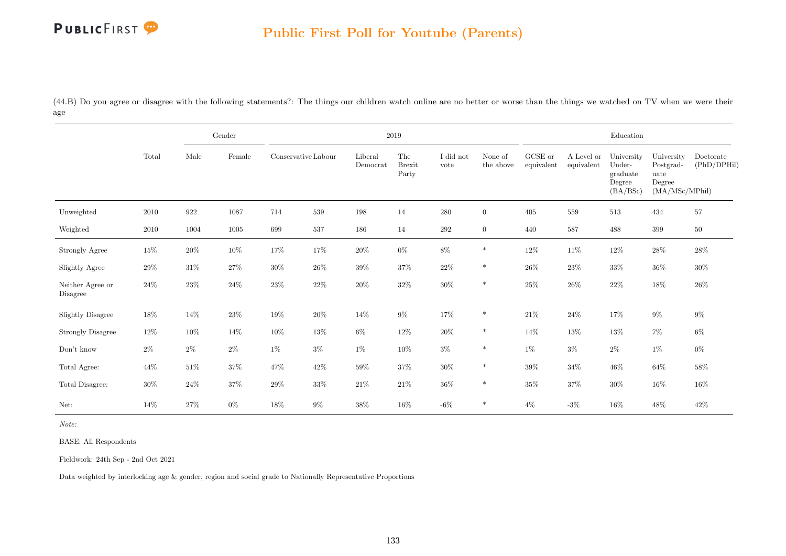

(44.B) Do you agree or disagree with the following statements?: The things our children watch online are no better or worse than the things we watched on TV when we were their age

|                              |          |                    | Gender |                     |        |                     | $2019\,$                      |                   |                      |                                                |                          | Education                                              |                                                             |                          |
|------------------------------|----------|--------------------|--------|---------------------|--------|---------------------|-------------------------------|-------------------|----------------------|------------------------------------------------|--------------------------|--------------------------------------------------------|-------------------------------------------------------------|--------------------------|
|                              | Total    | Male               | Female | Conservative Labour |        | Liberal<br>Democrat | The<br><b>Brexit</b><br>Party | I did not<br>vote | None of<br>the above | ${\rm GCSE}$ or<br>$\operatorname{equivalent}$ | A Level or<br>equivalent | University<br>Under-<br>graduate<br>Degree<br>(BA/BSc) | University<br>Postgrad-<br>uate<br>Degree<br>(MA/MSc/MPhil) | Doctorate<br>(PhD/DPHil) |
| Unweighted                   | $2010\,$ | $\boldsymbol{922}$ | 1087   | 714                 | 539    | $198\,$             | 14                            | $280\,$           | $\overline{0}$       | 405                                            | $559\,$                  | $513\,$                                                | 434                                                         | $57\,$                   |
| Weighted                     | 2010     | 1004               | 1005   | 699                 | 537    | 186                 | 14                            | $\,292$           | $\overline{0}$       | 440                                            | 587                      | 488                                                    | 399                                                         | $50\,$                   |
| Strongly Agree               | $15\%$   | $20\%$             | $10\%$ | $17\%$              | 17%    | $20\%$              | $0\%$                         | $8\%$             | $\ast$               | $12\%$                                         | $11\%$                   | $12\%$                                                 | $28\%$                                                      | $28\%$                   |
| Slightly Agree               | $29\%$   | $31\%$             | $27\%$ | $30\%$              | $26\%$ | $39\%$              | $37\%$                        | $22\%$            | $\ast$               | $26\%$                                         | $23\%$                   | $33\%$                                                 | $36\%$                                                      | $30\%$                   |
| Neither Agree or<br>Disagree | $24\%$   | 23\%               | $24\%$ | 23\%                | $22\%$ | $20\%$              | $32\%$                        | $30\%$            | $\ast$               | $25\%$                                         | $26\%$                   | $22\%$                                                 | 18%                                                         | $26\%$                   |
| <b>Slightly Disagree</b>     | 18%      | $14\%$             | $23\%$ | $19\%$              | $20\%$ | $14\%$              | $9\%$                         | $17\%$            | $\ast$               | $21\%$                                         | $24\%$                   | $17\%$                                                 | $9\%$                                                       | $9\%$                    |
| <b>Strongly Disagree</b>     | $12\%$   | $10\%$             | $14\%$ | $10\%$              | $13\%$ | $6\%$               | $12\%$                        | $20\%$            | $\ast$               | $14\%$                                         | $13\%$                   | $13\%$                                                 | $7\%$                                                       | $6\%$                    |
| Don't know                   | $2\%$    | $2\%$              | $2\%$  | $1\%$               | $3\%$  | $1\%$               | $10\%$                        | $3\%$             | $\ast$               | $1\%$                                          | $3\%$                    | $2\%$                                                  | $1\%$                                                       | $0\%$                    |
| Total Agree:                 | $44\%$   | $51\%$             | $37\%$ | 47\%                | $42\%$ | $59\%$              | $37\%$                        | $30\%$            | $\ast$               | $39\%$                                         | $34\%$                   | $46\%$                                                 | $64\%$                                                      | $58\%$                   |
| Total Disagree:              | $30\%$   | $24\%$             | $37\%$ | $29\%$              | $33\%$ | $21\%$              | $21\%$                        | $36\%$            | $\ast$               | $35\%$                                         | $37\%$                   | $30\%$                                                 | $16\%$                                                      | $16\%$                   |
| Net:                         | 14%      | $27\%$             | $0\%$  | 18%                 | $9\%$  | $38\%$              | $16\%$                        | $-6%$             | $\ast$               | $4\%$                                          | $-3\%$                   | $16\%$                                                 | $48\%$                                                      | $42\%$                   |

Note:

BASE: All Respondents

Fieldwork: 24th Sep - 2nd Oct 2021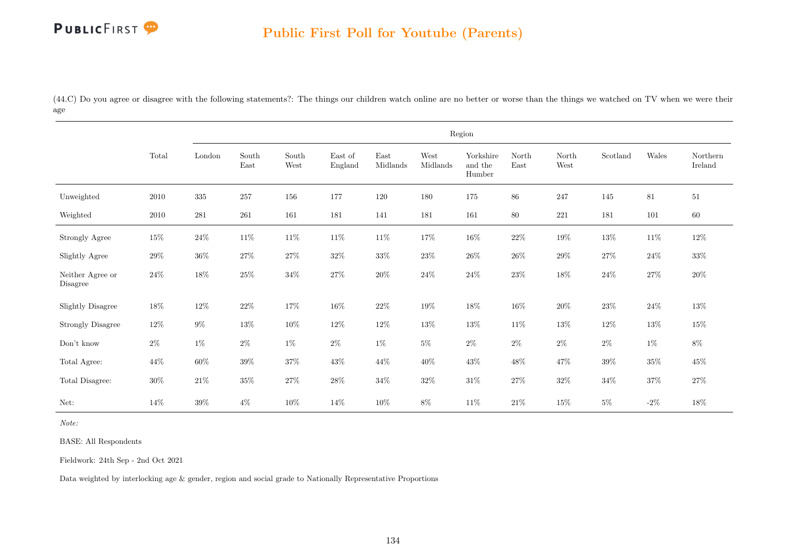

(44.C) Do you agree or disagree with the following statements?: The things our children watch online are no better or worse than the things we watched on TV when we were their age

|                              |        |           |               |               |                                     |                                   |                  | Region                         |               |               |          |        |                     |
|------------------------------|--------|-----------|---------------|---------------|-------------------------------------|-----------------------------------|------------------|--------------------------------|---------------|---------------|----------|--------|---------------------|
|                              | Total  | London    | South<br>East | South<br>West | $\operatorname{East}$ of<br>England | $\operatorname{East}$<br>Midlands | West<br>Midlands | Yorkshire<br>and the<br>Humber | North<br>East | North<br>West | Scotland | Wales  | Northern<br>Ireland |
| Unweighted                   | 2010   | $335\,$   | 257           | 156           | 177                                 | 120                               | 180              | 175                            | 86            | 247           | 145      | 81     | $51\,$              |
| Weighted                     | 2010   | $\bf 281$ | $261\,$       | 161           | 181                                 | 141                               | 181              | 161                            | 80            | 221           | 181      | 101    | $60\,$              |
| Strongly Agree               | $15\%$ | $24\%$    | $11\%$        | $11\%$        | $11\%$                              | $11\%$                            | $17\%$           | $16\%$                         | $22\%$        | $19\%$        | $13\%$   | $11\%$ | $12\%$              |
| Slightly Agree               | $29\%$ | $36\%$    | $27\%$        | $27\%$        | $32\%$                              | $33\%$                            | $23\%$           | $26\%$                         | $26\%$        | $29\%$        | $27\%$   | $24\%$ | $33\%$              |
| Neither Agree or<br>Disagree | $24\%$ | $18\%$    | $25\%$        | $34\%$        | $27\%$                              | $20\%$                            | $24\%$           | $24\%$                         | $23\%$        | $18\%$        | $24\%$   | $27\%$ | $20\%$              |
| <b>Slightly Disagree</b>     | $18\%$ | $12\%$    | $22\%$        | $17\%$        | $16\%$                              | $22\%$                            | $19\%$           | $18\%$                         | $16\%$        | $20\%$        | $23\%$   | $24\%$ | $13\%$              |
| <b>Strongly Disagree</b>     | $12\%$ | $9\%$     | $13\%$        | $10\%$        | 12%                                 | $12\%$                            | $13\%$           | $13\%$                         | $11\%$        | $13\%$        | 12%      | $13\%$ | $15\%$              |
| Don't know                   | $2\%$  | $1\%$     | $2\%$         | $1\%$         | $2\%$                               | $1\%$                             | $5\%$            | $2\%$                          | $2\%$         | $2\%$         | $2\%$    | $1\%$  | $8\%$               |
| Total Agree:                 | 44\%   | $60\%$    | $39\%$        | $37\%$        | $43\%$                              | $44\%$                            | $40\%$           | $43\%$                         | $48\%$        | $47\%$        | $39\%$   | $35\%$ | $45\%$              |
| Total Disagree:              | $30\%$ | $21\%$    | $35\%$        | $27\%$        | $28\%$                              | $34\%$                            | $32\%$           | $31\%$                         | $27\%$        | $32\%$        | $34\%$   | $37\%$ | $27\%$              |
| Net:                         | $14\%$ | $39\%$    | $4\%$         | 10%           | $14\%$                              | 10%                               | $8\%$            | $11\%$                         | $21\%$        | $15\%$        | $5\%$    | $-2\%$ | $18\%$              |

Note:

BASE: All Respondents

Fieldwork: 24th Sep - 2nd Oct 2021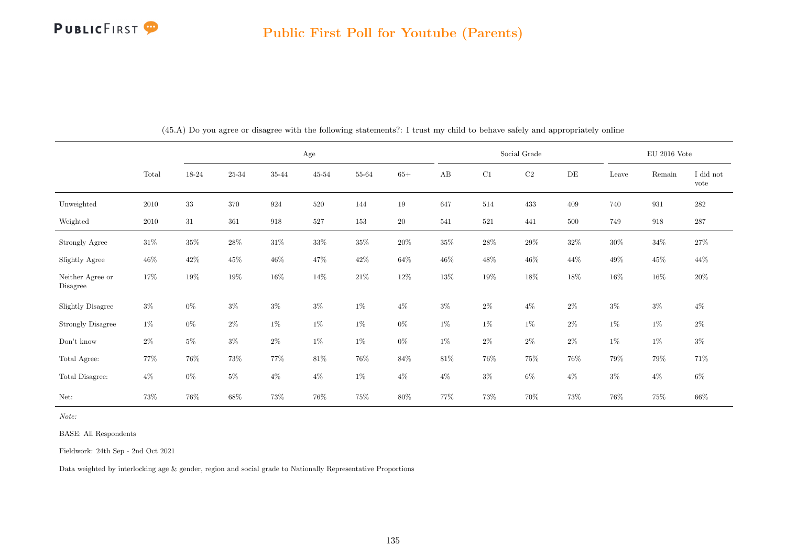

|                              |        |        |           | Age    |           |        |        |        | Social Grade |          |        |        | EU 2016 Vote |                   |
|------------------------------|--------|--------|-----------|--------|-----------|--------|--------|--------|--------------|----------|--------|--------|--------------|-------------------|
|                              | Total  | 18-24  | $25 - 34$ | 35-44  | $45 - 54$ | 55-64  | $65+$  | AB     | C1           | $\rm C2$ | DE     | Leave  | Remain       | I did not<br>vote |
| Unweighted                   | 2010   | $33\,$ | 370       | 924    | 520       | 144    | 19     | 647    | 514          | 433      | 409    | 740    | 931          | 282               |
| Weighted                     | 2010   | 31     | 361       | 918    | 527       | 153    | $20\,$ | 541    | 521          | 441      | 500    | 749    | 918          | 287               |
| Strongly Agree               | $31\%$ | $35\%$ | $28\%$    | $31\%$ | 33%       | $35\%$ | $20\%$ | $35\%$ | $28\%$       | $29\%$   | $32\%$ | $30\%$ | $34\%$       | 27%               |
| Slightly Agree               | $46\%$ | $42\%$ | $45\%$    | $46\%$ | $47\%$    | $42\%$ | $64\%$ | $46\%$ | $48\%$       | $46\%$   | $44\%$ | $49\%$ | $45\%$       | $44\%$            |
| Neither Agree or<br>Disagree | 17%    | $19\%$ | $19\%$    | $16\%$ | $14\%$    | $21\%$ | $12\%$ | $13\%$ | $19\%$       | $18\%$   | 18%    | $16\%$ | $16\%$       | $20\%$            |
| Slightly Disagree            | $3\%$  | $0\%$  | $3\%$     | $3\%$  | $3\%$     | $1\%$  | $4\%$  | $3\%$  | $2\%$        | $4\%$    | $2\%$  | $3\%$  | $3\%$        | $4\%$             |
| <b>Strongly Disagree</b>     | $1\%$  | $0\%$  | $2\%$     | $1\%$  | $1\%$     | $1\%$  | $0\%$  | $1\%$  | $1\%$        | $1\%$    | $2\%$  | $1\%$  | $1\%$        | $2\%$             |
| Don't know                   | $2\%$  | $5\%$  | $3\%$     | $2\%$  | $1\%$     | $1\%$  | $0\%$  | $1\%$  | $2\%$        | $2\%$    | $2\%$  | $1\%$  | $1\%$        | $3\%$             |
| Total Agree:                 | $77\%$ | 76%    | $73\%$    | 77%    | $81\%$    | 76%    | $84\%$ | $81\%$ | 76%          | $75\%$   | $76\%$ | $79\%$ | $79\%$       | 71%               |
| Total Disagree:              | $4\%$  | $0\%$  | $5\%$     | $4\%$  | $4\%$     | $1\%$  | $4\%$  | $4\%$  | $3\%$        | $6\%$    | $4\%$  | $3\%$  | $4\%$        | 6%                |
| Net:                         | 73%    | 76%    | $68\%$    | 73%    | $76\%$    | 75%    | $80\%$ | 77%    | $73\%$       | 70%      | 73%    | 76%    | 75%          | $66\%$            |

(45.A) Do you agree or disagree with the following statements?: I trust my child to behave safely and appropriately online

Note:

BASE: All Respondents

Fieldwork: 24th Sep - 2nd Oct 2021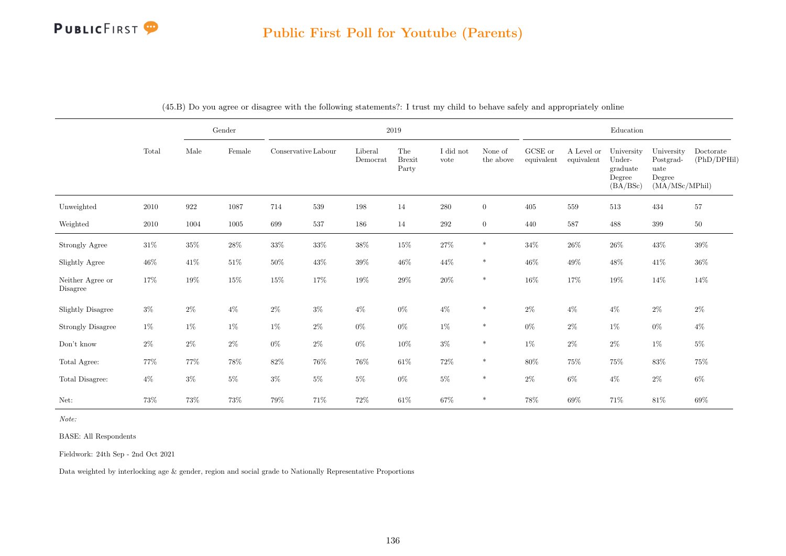|                              |        |        | $\operatorname{Gender}$ |                     |        |                     | $2019\,$                      |                   |                      |                               |                          | Education                                              |                                                             |                          |
|------------------------------|--------|--------|-------------------------|---------------------|--------|---------------------|-------------------------------|-------------------|----------------------|-------------------------------|--------------------------|--------------------------------------------------------|-------------------------------------------------------------|--------------------------|
|                              | Total  | Male   | Female                  | Conservative Labour |        | Liberal<br>Democrat | The<br><b>Brexit</b><br>Party | I did not<br>vote | None of<br>the above | ${\rm GCSE}$ or<br>equivalent | A Level or<br>equivalent | University<br>Under-<br>graduate<br>Degree<br>(BA/BSc) | University<br>Postgrad-<br>uate<br>Degree<br>(MA/MSc/MPhil) | Doctorate<br>(PhD/DPHil) |
| Unweighted                   | 2010   | 922    | 1087                    | 714                 | 539    | 198                 | 14                            | $280\,$           | $\overline{0}$       | 405                           | 559                      | $513\,$                                                | 434                                                         | 57                       |
| Weighted                     | 2010   | 1004   | $1005\,$                | 699                 | 537    | 186                 | 14                            | 292               | $\overline{0}$       | 440                           | 587                      | 488                                                    | 399                                                         | $50\,$                   |
| Strongly Agree               | $31\%$ | $35\%$ | $28\%$                  | $33\%$              | $33\%$ | $38\%$              | $15\%$                        | $27\%$            | $\ast$               | $34\%$                        | $26\%$                   | $26\%$                                                 | $43\%$                                                      | $39\%$                   |
| Slightly Agree               | $46\%$ | 41\%   | $51\%$                  | $50\%$              | $43\%$ | $39\%$              | $46\%$                        | $44\%$            | $\ast$               | $46\%$                        | $49\%$                   | $48\%$                                                 | $41\%$                                                      | $36\%$                   |
| Neither Agree or<br>Disagree | 17%    | $19\%$ | $15\%$                  | $15\%$              | 17%    | $19\%$              | $29\%$                        | $20\%$            | $\ast$               | $16\%$                        | 17%                      | $19\%$                                                 | $14\%$                                                      | $14\%$                   |
| <b>Slightly Disagree</b>     | $3\%$  | $2\%$  | $4\%$                   | $2\%$               | $3\%$  | $4\%$               | $0\%$                         | $4\%$             | $\ast$               | $2\%$                         | $4\%$                    | $4\%$                                                  | $2\%$                                                       | $2\%$                    |
| <b>Strongly Disagree</b>     | $1\%$  | $1\%$  | $1\%$                   | $1\%$               | $2\%$  | $0\%$               | $0\%$                         | $1\%$             | $\ast$               | $0\%$                         | $2\%$                    | $1\%$                                                  | $0\%$                                                       | $4\%$                    |
| $\mathrm{Don't}$ know        | $2\%$  | $2\%$  | $2\%$                   | $0\%$               | $2\%$  | $0\%$               | 10%                           | $3\%$             | $\ast$               | $1\%$                         | $2\%$                    | $2\%$                                                  | $1\%$                                                       | $5\%$                    |
| Total Agree:                 | $77\%$ | 77%    | $78\%$                  | $82\%$              | $76\%$ | $76\%$              | $61\%$                        | $72\%$            | $\ast$               | $80\%$                        | $75\%$                   | 75%                                                    | $83\%$                                                      | 75%                      |
| Total Disagree:              | $4\%$  | $3\%$  | $5\%$                   | $3\%$               | $5\%$  | $5\%$               | $0\%$                         | $5\%$             | $\ast$               | $2\%$                         | $6\%$                    | $4\%$                                                  | $2\%$                                                       | $6\%$                    |
| Net:                         | 73%    | 73%    | $73\%$                  | $79\%$              | 71\%   | 72%                 | $61\%$                        | 67%               | $\ast$               | $78\%$                        | $69\%$                   | $71\%$                                                 | $81\%$                                                      | $69\%$                   |

(45.B) Do you agree or disagree with the following statements?: I trust my child to behave safely and appropriately online

Note:

BASE: All Respondents

Fieldwork: 24th Sep - 2nd Oct 2021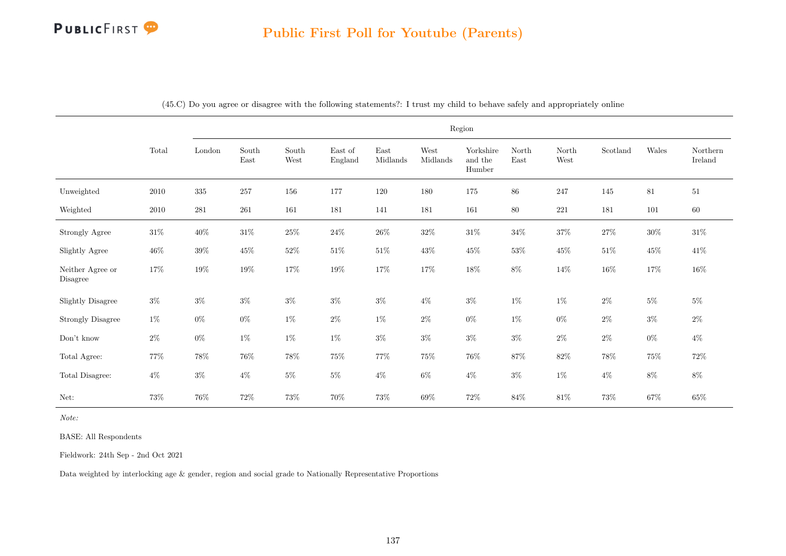|                              |          |           |               |               |                    |                  |                  | Region                         |               |               |          |         |                     |
|------------------------------|----------|-----------|---------------|---------------|--------------------|------------------|------------------|--------------------------------|---------------|---------------|----------|---------|---------------------|
|                              | Total    | London    | South<br>East | South<br>West | East of<br>England | East<br>Midlands | West<br>Midlands | Yorkshire<br>and the<br>Humber | North<br>East | North<br>West | Scotland | Wales   | Northern<br>Ireland |
| Unweighted                   | 2010     | $335\,$   | 257           | 156           | 177                | 120              | 180              | 175                            | 86            | 247           | 145      | 81      | $51\,$              |
| Weighted                     | $2010\,$ | $\bf 281$ | $261\,$       | 161           | 181                | 141              | $181\,$          | $161\,$                        | $80\,$        | $221\,$       | 181      | $101\,$ | $60\,$              |
| Strongly Agree               | $31\%$   | $40\%$    | $31\%$        | $25\%$        | $24\%$             | $26\%$           | $32\%$           | $31\%$                         | $34\%$        | $37\%$        | $27\%$   | $30\%$  | $31\%$              |
| Slightly Agree               | $46\%$   | $39\%$    | $45\%$        | $52\%$        | $51\%$             | $51\%$           | $43\%$           | $45\%$                         | $53\%$        | $45\%$        | $51\%$   | $45\%$  | $41\%$              |
| Neither Agree or<br>Disagree | 17%      | $19\%$    | $19\%$        | $17\%$        | $19\%$             | $17\%$           | $17\%$           | $18\%$                         | $8\%$         | 14%           | $16\%$   | 17%     | $16\%$              |
| <b>Slightly Disagree</b>     | $3\%$    | $3\%$     | $3\%$         | $3\%$         | $3\%$              | $3\%$            | $4\%$            | $3\%$                          | $1\%$         | $1\%$         | $2\%$    | $5\%$   | $5\%$               |
| <b>Strongly Disagree</b>     | $1\%$    | $0\%$     | $0\%$         | $1\%$         | $2\%$              | $1\%$            | $2\%$            | $0\%$                          | $1\%$         | $0\%$         | $2\%$    | $3\%$   | $2\%$               |
| Don't know                   | $2\%$    | $0\%$     | $1\%$         | $1\%$         | $1\%$              | $3\%$            | $3\%$            | $3\%$                          | $3\%$         | $2\%$         | $2\%$    | $0\%$   | $4\%$               |
| Total Agree:                 | 77%      | $78\%$    | $76\%$        | $78\%$        | 75%                | $77\%$           | $75\%$           | $76\%$                         | $87\%$        | $82\%$        | $78\%$   | $75\%$  | $72\%$              |
| Total Disagree:              | $4\%$    | $3\%$     | $4\%$         | $5\%$         | $5\%$              | $4\%$            | $6\%$            | $4\%$                          | $3\%$         | $1\%$         | $4\%$    | $8\%$   | $8\%$               |
| Net:                         | 73%      | $76\%$    | $72\%$        | 73%           | 70%                | $73\%$           | $69\%$           | $72\%$                         | 84%           | $81\%$        | 73%      | $67\%$  | $65\%$              |

(45.C) Do you agree or disagree with the following statements?: I trust my child to behave safely and appropriately online

Note:

BASE: All Respondents

Fieldwork: 24th Sep - 2nd Oct 2021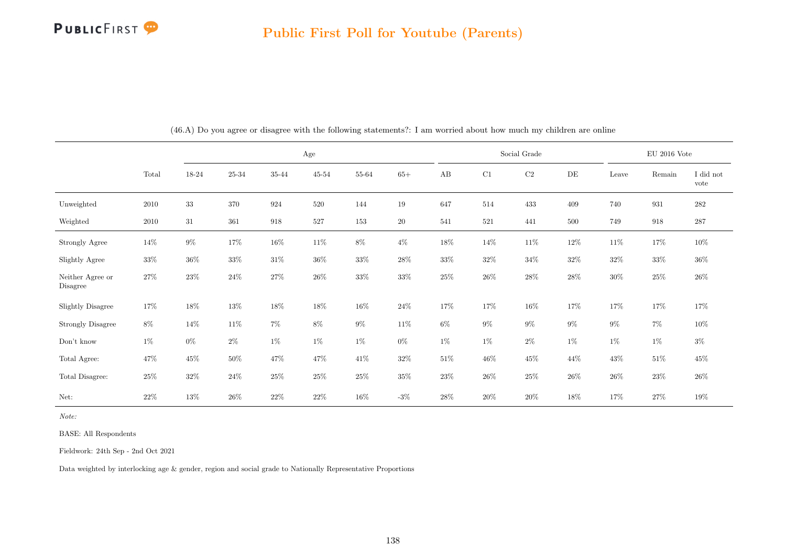

|                              |        |        |                |        | Age       |        |        |        | Social Grade |           |           |        | $\mathrm{EU}$ 2016 Vote |                   |
|------------------------------|--------|--------|----------------|--------|-----------|--------|--------|--------|--------------|-----------|-----------|--------|-------------------------|-------------------|
|                              | Total  | 18-24  | $25\hbox{-}34$ | 35-44  | $45 - 54$ | 55-64  | $65+$  | AB     | C1           | $\rm{C2}$ | $\rm{DE}$ | Leave  | Remain                  | I did not<br>vote |
| Unweighted                   | 2010   | $33\,$ | 370            | 924    | 520       | 144    | $19\,$ | 647    | 514          | 433       | 409       | 740    | 931                     | 282               |
| Weighted                     | 2010   | 31     | 361            | 918    | 527       | 153    | 20     | 541    | 521          | 441       | 500       | 749    | 918                     | 287               |
| Strongly Agree               | $14\%$ | $9\%$  | $17\%$         | $16\%$ | 11\%      | $8\%$  | $4\%$  | $18\%$ | $14\%$       | $11\%$    | 12%       | $11\%$ | $17\%$                  | $10\%$            |
| Slightly Agree               | $33\%$ | $36\%$ | $33\%$         | $31\%$ | $36\%$    | $33\%$ | $28\%$ | $33\%$ | $32\%$       | $34\%$    | $32\%$    | $32\%$ | $33\%$                  | $36\%$            |
| Neither Agree or<br>Disagree | $27\%$ | $23\%$ | $24\%$         | $27\%$ | $26\%$    | $33\%$ | $33\%$ | $25\%$ | $26\%$       | $28\%$    | $28\%$    | $30\%$ | $25\%$                  | $26\%$            |
| Slightly Disagree            | 17%    | 18%    | $13\%$         | 18%    | 18%       | 16%    | $24\%$ | 17%    | 17%          | $16\%$    | 17%       | 17%    | 17%                     | 17%               |
| <b>Strongly Disagree</b>     | $8\%$  | $14\%$ | $11\%$         | $7\%$  | $8\%$     | $9\%$  | 11\%   | $6\%$  | $9\%$        | $9\%$     | $9\%$     | $9\%$  | $7\%$                   | $10\%$            |
| Don't know                   | $1\%$  | $0\%$  | $2\%$          | $1\%$  | $1\%$     | $1\%$  | $0\%$  | 1%     | $1\%$        | $2\%$     | $1\%$     | 1%     | $1\%$                   | $3\%$             |
| Total Agree:                 | $47\%$ | $45\%$ | $50\%$         | 47\%   | 47\%      | $41\%$ | $32\%$ | 51\%   | $46\%$       | $45\%$    | 44\%      | $43\%$ | $51\%$                  | $45\%$            |
| Total Disagree:              | $25\%$ | $32\%$ | $24\%$         | $25\%$ | $25\%$    | $25\%$ | $35\%$ | $23\%$ | $26\%$       | $25\%$    | $26\%$    | $26\%$ | $23\%$                  | $26\%$            |
| Net:                         | $22\%$ | 13%    | $26\%$         | $22\%$ | $22\%$    | $16\%$ | $-3\%$ | $28\%$ | $20\%$       | $20\%$    | 18%       | $17\%$ | $27\%$                  | 19%               |

(46.A) Do you agree or disagree with the following statements?: I am worried about how much my children are online

Note:

BASE: All Respondents

Fieldwork: 24th Sep - 2nd Oct 2021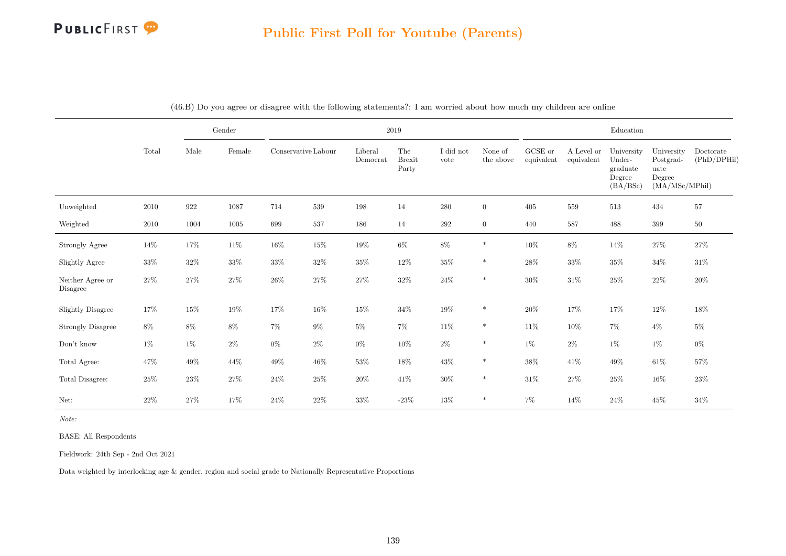#### Public First Poll for Youtube (Parents)

|                              |          |        | $\operatorname{Gender}$ |                     |         |                     | $2019\,$                      |                   |                      |                       |                          | Education                                              |                                                             |                          |
|------------------------------|----------|--------|-------------------------|---------------------|---------|---------------------|-------------------------------|-------------------|----------------------|-----------------------|--------------------------|--------------------------------------------------------|-------------------------------------------------------------|--------------------------|
|                              | Total    | Male   | Female                  | Conservative Labour |         | Liberal<br>Democrat | The<br><b>Brexit</b><br>Party | I did not<br>vote | None of<br>the above | GCSE or<br>equivalent | A Level or<br>equivalent | University<br>Under-<br>graduate<br>Degree<br>(BA/BSc) | University<br>Postgrad-<br>uate<br>Degree<br>(MA/MSc/MPhil) | Doctorate<br>(PhD/DPHil) |
| Unweighted                   | 2010     | 922    | $1087\,$                | 714                 | $539\,$ | 198                 | 14                            | $280\,$           | $\overline{0}$       | 405                   | $559\,$                  | $513\,$                                                | 434                                                         | $57\,$                   |
| Weighted                     | $2010\,$ | 1004   | 1005                    | 699                 | 537     | 186                 | 14                            | 292               | $\overline{0}$       | 440                   | 587                      | 488                                                    | 399                                                         | $50\,$                   |
| <b>Strongly Agree</b>        | 14%      | 17%    | $11\%$                  | $16\%$              | $15\%$  | $19\%$              | $6\%$                         | $8\%$             | $\ast$               | $10\%$                | $8\%$                    | $14\%$                                                 | $27\%$                                                      | $27\%$                   |
| Slightly Agree               | $33\%$   | $32\%$ | $33\%$                  | $33\%$              | $32\%$  | $35\%$              | $12\%$                        | $35\%$            | $\ast$               | $28\%$                | $33\%$                   | $35\%$                                                 | $34\%$                                                      | $31\%$                   |
| Neither Agree or<br>Disagree | 27%      | $27\%$ | $27\%$                  | $26\%$              | $27\%$  | $27\%$              | $32\%$                        | $24\%$            | $\ast$               | $30\%$                | $31\%$                   | $25\%$                                                 | $22\%$                                                      | $20\%$                   |
| <b>Slightly Disagree</b>     | 17%      | $15\%$ | $19\%$                  | 17%                 | 16\%    | $15\%$              | $34\%$                        | 19%               | $\ast$               | $20\%$                | $17\%$                   | 17%                                                    | $12\%$                                                      | $18\%$                   |
| <b>Strongly Disagree</b>     | $8\%$    | $8\%$  | $8\%$                   | $7\%$               | $9\%$   | $5\%$               | $7\%$                         | $11\%$            | $\ast$               | $11\%$                | $10\%$                   | $7\%$                                                  | $4\%$                                                       | $5\%$                    |
| Don't know                   | $1\%$    | $1\%$  | $2\%$                   | $0\%$               | $2\%$   | $0\%$               | 10%                           | $2\%$             | $\ast$               | $1\%$                 | $2\%$                    | $1\%$                                                  | $1\%$                                                       | $0\%$                    |
| Total Agree:                 | 47%      | $49\%$ | 44%                     | $49\%$              | $46\%$  | $53\%$              | 18%                           | $43\%$            | $\ast$               | $38\%$                | 41%                      | $49\%$                                                 | $61\%$                                                      | $57\%$                   |
| Total Disagree:              | $25\%$   | $23\%$ | $27\%$                  | $24\%$              | $25\%$  | $20\%$              | $41\%$                        | $30\%$            | $\ast$               | $31\%$                | 27%                      | $25\%$                                                 | $16\%$                                                      | $23\%$                   |
| Net:                         | $22\%$   | $27\%$ | $17\%$                  | $24\%$              | $22\%$  | $33\%$              | $-23\%$                       | $13\%$            | $\ast$               | $7\%$                 | $14\%$                   | $24\%$                                                 | $45\%$                                                      | $34\%$                   |

(46.B) Do you agree or disagree with the following statements?: I am worried about how much my children are online

Note:

BASE: All Respondents

Fieldwork: 24th Sep - 2nd Oct 2021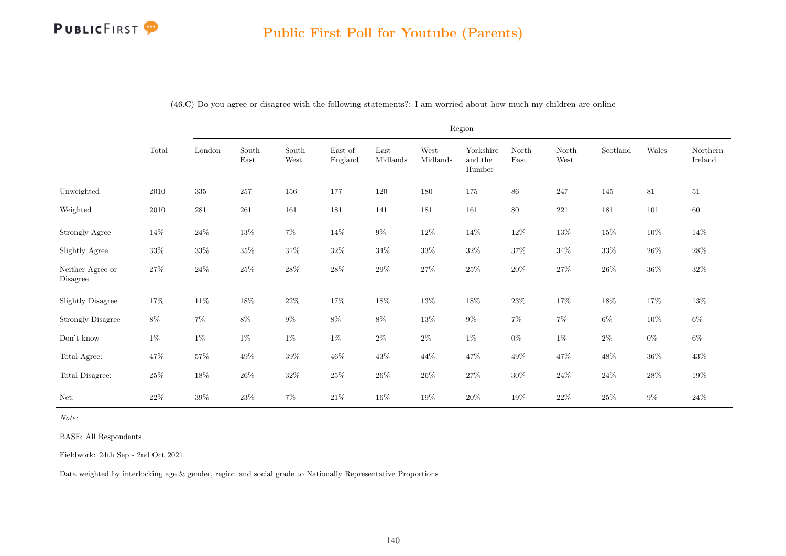|                              |        |           |                                |               |                    |                  |                  | Region                         |               |               |          |        |                     |
|------------------------------|--------|-----------|--------------------------------|---------------|--------------------|------------------|------------------|--------------------------------|---------------|---------------|----------|--------|---------------------|
|                              | Total  | London    | $\operatorname{South}$<br>East | South<br>West | East of<br>England | East<br>Midlands | West<br>Midlands | Yorkshire<br>and the<br>Humber | North<br>East | North<br>West | Scotland | Wales  | Northern<br>Ireland |
| Unweighted                   | 2010   | $335\,$   | 257                            | 156           | 177                | 120              | 180              | 175                            | 86            | 247           | 145      | 81     | $51\,$              |
| Weighted                     | 2010   | $\bf 281$ | 261                            | 161           | 181                | 141              | 181              | 161                            | 80            | $221\,$       | 181      | 101    | $60\,$              |
| Strongly Agree               | $14\%$ | $24\%$    | $13\%$                         | $7\%$         | $14\%$             | $9\%$            | $12\%$           | 14\%                           | $12\%$        | $13\%$        | $15\%$   | $10\%$ | 14%                 |
| Slightly Agree               | $33\%$ | $33\%$    | $35\%$                         | $31\%$        | $32\%$             | $34\%$           | $33\%$           | $32\%$                         | $37\%$        | $34\%$        | $33\%$   | $26\%$ | $28\%$              |
| Neither Agree or<br>Disagree | $27\%$ | $24\%$    | $25\%$                         | $28\%$        | $28\%$             | $29\%$           | $27\%$           | $25\%$                         | $20\%$        | $27\%$        | $26\%$   | $36\%$ | $32\%$              |
| <b>Slightly Disagree</b>     | 17%    | $11\%$    | $18\%$                         | $22\%$        | $17\%$             | $18\%$           | $13\%$           | $18\%$                         | $23\%$        | $17\%$        | $18\%$   | $17\%$ | $13\%$              |
| <b>Strongly Disagree</b>     | $8\%$  | $7\%$     | $8\%$                          | $9\%$         | $8\%$              | $8\%$            | $13\%$           | $9\%$                          | $7\%$         | $7\%$         | $6\%$    | $10\%$ | $6\%$               |
| Don't know                   | $1\%$  | $1\%$     | $1\%$                          | $1\%$         | $1\%$              | $2\%$            | $2\%$            | $1\%$                          | $0\%$         | $1\%$         | $2\%$    | $0\%$  | $6\%$               |
| Total Agree:                 | $47\%$ | $57\%$    | 49\%                           | $39\%$        | $46\%$             | $43\%$           | 44\%             | 47%                            | $49\%$        | 47\%          | $48\%$   | $36\%$ | $43\%$              |
| Total Disagree:              | $25\%$ | $18\%$    | $26\%$                         | $32\%$        | $25\%$             | $26\%$           | $26\%$           | $27\%$                         | $30\%$        | $24\%$        | $24\%$   | $28\%$ | $19\%$              |
| Net:                         | $22\%$ | $39\%$    | $23\%$                         | $7\%$         | $21\%$             | $16\%$           | $19\%$           | $20\%$                         | $19\%$        | $22\%$        | $25\%$   | $9\%$  | $24\%$              |

(46.C) Do you agree or disagree with the following statements?: I am worried about how much my children are online

Note:

BASE: All Respondents

Fieldwork: 24th Sep - 2nd Oct 2021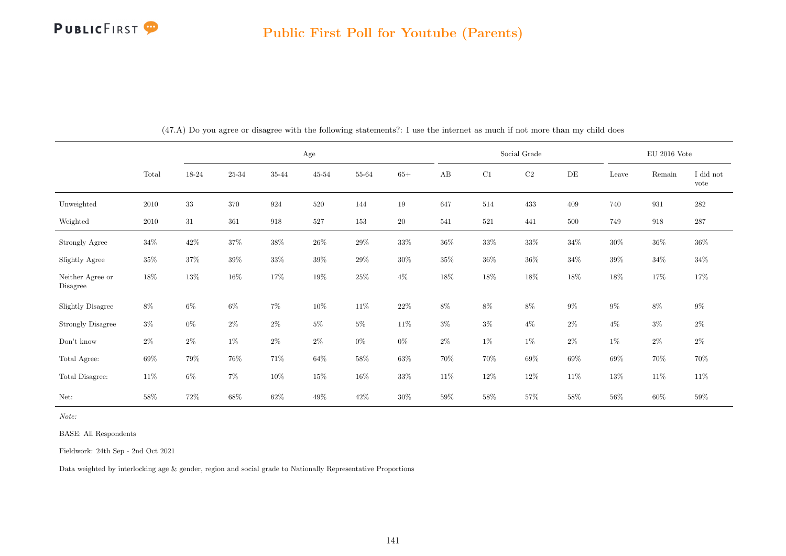

|                              |          |        |           | Age    |           |        |        |        |        | Social Grade |        |        | $EU$ 2016 Vote |                   |
|------------------------------|----------|--------|-----------|--------|-----------|--------|--------|--------|--------|--------------|--------|--------|----------------|-------------------|
|                              | Total    | 18-24  | $25 - 34$ | 35-44  | $45 - 54$ | 55-64  | $65+$  | AB     | C1     | $\rm{C2}$    | DE     | Leave  | Remain         | I did not<br>vote |
| Unweighted                   | $2010\,$ | $33\,$ | 370       | 924    | 520       | 144    | 19     | 647    | 514    | 433          | 409    | 740    | 931            | 282               |
| Weighted                     | 2010     | 31     | 361       | 918    | 527       | 153    | $20\,$ | 541    | 521    | 441          | 500    | 749    | 918            | 287               |
| Strongly Agree               | $34\%$   | 42\%   | $37\%$    | $38\%$ | $26\%$    | $29\%$ | $33\%$ | $36\%$ | $33\%$ | $33\%$       | $34\%$ | $30\%$ | $36\%$         | $36\%$            |
| Slightly Agree               | $35\%$   | $37\%$ | $39\%$    | $33\%$ | $39\%$    | $29\%$ | $30\%$ | $35\%$ | $36\%$ | $36\%$       | $34\%$ | $39\%$ | $34\%$         | $34\%$            |
| Neither Agree or<br>Disagree | $18\%$   | $13\%$ | $16\%$    | 17%    | $19\%$    | $25\%$ | $4\%$  | 18%    | $18\%$ | 18%          | 18%    | $18\%$ | 17%            | 17%               |
| <b>Slightly Disagree</b>     | $8\%$    | $6\%$  | $6\%$     | $7\%$  | $10\%$    | $11\%$ | $22\%$ | $8\%$  | $8\%$  | $8\%$        | $9\%$  | $9\%$  | $8\%$          | $9\%$             |
| <b>Strongly Disagree</b>     | $3\%$    | $0\%$  | $2\%$     | $2\%$  | $5\%$     | $5\%$  | 11\%   | $3\%$  | $3\%$  | $4\%$        | $2\%$  | $4\%$  | $3\%$          | $2\%$             |
| Don't know                   | $2\%$    | $2\%$  | $1\%$     | $2\%$  | $2\%$     | $0\%$  | $0\%$  | $2\%$  | $1\%$  | $1\%$        | $2\%$  | $1\%$  | $2\%$          | $2\%$             |
| Total Agree:                 | $69\%$   | 79%    | $76\%$    | $71\%$ | $64\%$    | $58\%$ | $63\%$ | 70%    | $70\%$ | $69\%$       | 69%    | $69\%$ | $70\%$         | 70%               |
| Total Disagree:              | $11\%$   | $6\%$  | $7\%$     | $10\%$ | $15\%$    | $16\%$ | $33\%$ | $11\%$ | $12\%$ | $12\%$       | $11\%$ | $13\%$ | 11\%           | 11\%              |
| Net:                         | 58%      | 72%    | $68\%$    | $62\%$ | $49\%$    | $42\%$ | $30\%$ | 59%    | $58\%$ | 57%          | 58%    | $56\%$ | $60\%$         | $59\%$            |

(47.A) Do you agree or disagree with the following statements?: I use the internet as much if not more than my child does

Note:

BASE: All Respondents

Fieldwork: 24th Sep - 2nd Oct 2021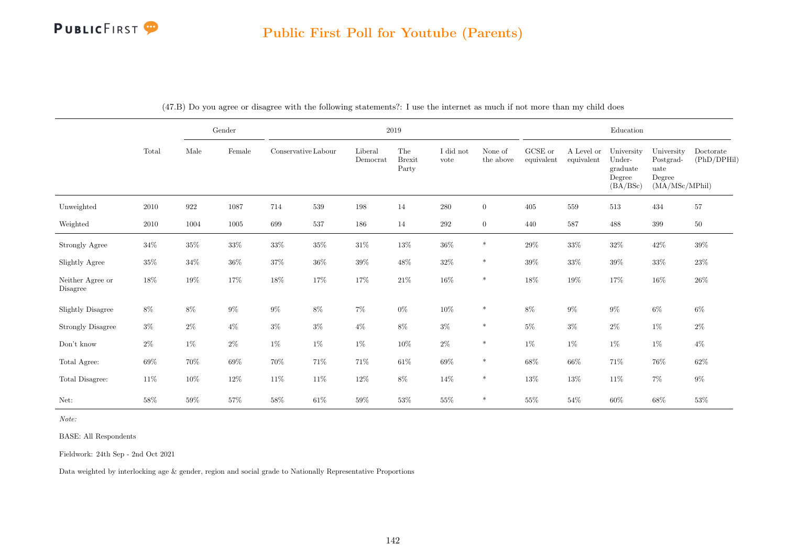|                              |        |         | $\operatorname{Gender}$ | $2019\,$            |        |                     |                               |                   |                      |                       | ${\bf Education}$        |                                                        |                                                             |                          |  |
|------------------------------|--------|---------|-------------------------|---------------------|--------|---------------------|-------------------------------|-------------------|----------------------|-----------------------|--------------------------|--------------------------------------------------------|-------------------------------------------------------------|--------------------------|--|
|                              | Total  | Male    | Female                  | Conservative Labour |        | Liberal<br>Democrat | The<br><b>Brexit</b><br>Party | I did not<br>vote | None of<br>the above | GCSE or<br>equivalent | A Level or<br>equivalent | University<br>Under-<br>graduate<br>Degree<br>(BA/BSc) | University<br>Postgrad-<br>uate<br>Degree<br>(MA/MSc/MPhil) | Doctorate<br>(PhD/DPHil) |  |
| Unweighted                   | 2010   | $922\,$ | 1087                    | 714                 | 539    | 198                 | 14                            | $280\,$           | $\overline{0}$       | 405                   | 559                      | 513                                                    | 434                                                         | $57\,$                   |  |
| Weighted                     | 2010   | 1004    | 1005                    | 699                 | 537    | 186                 | 14                            | 292               | $\overline{0}$       | 440                   | 587                      | 488                                                    | 399                                                         | $50\,$                   |  |
| Strongly Agree               | $34\%$ | $35\%$  | $33\%$                  | $33\%$              | $35\%$ | $31\%$              | $13\%$                        | $36\%$            | $\ast$               | $29\%$                | $33\%$                   | $32\%$                                                 | $42\%$                                                      | $39\%$                   |  |
| Slightly Agree               | $35\%$ | $34\%$  | $36\%$                  | $37\%$              | $36\%$ | $39\%$              | $48\%$                        | $32\%$            | $\ast$               | $39\%$                | $33\%$                   | $39\%$                                                 | $33\%$                                                      | $23\%$                   |  |
| Neither Agree or<br>Disagree | $18\%$ | $19\%$  | $17\%$                  | 18%                 | 17%    | 17%                 | $21\%$                        | $16\%$            | $\ast$               | 18%                   | $19\%$                   | $17\%$                                                 | $16\%$                                                      | $26\%$                   |  |
| <b>Slightly Disagree</b>     | $8\%$  | $8\%$   | $9\%$                   | $9\%$               | $8\%$  | $7\%$               | $0\%$                         | $10\%$            | $\ast$               | $8\%$                 | $9\%$                    | $9\%$                                                  | $6\%$                                                       | $6\%$                    |  |
| <b>Strongly Disagree</b>     | $3\%$  | $2\%$   | $4\%$                   | $3\%$               | $3\%$  | $4\%$               | $8\%$                         | $3\%$             | $\ast$               | $5\%$                 | $3\%$                    | $2\%$                                                  | $1\%$                                                       | $2\%$                    |  |
| $\mathrm{Don't}$ know        | $2\%$  | $1\%$   | $2\%$                   | $1\%$               | $1\%$  | $1\%$               | $10\%$                        | $2\%$             | $\ast$               | $1\%$                 | $1\%$                    | $1\%$                                                  | $1\%$                                                       | $4\%$                    |  |
| Total Agree:                 | 69%    | 70%     | $69\%$                  | 70%                 | $71\%$ | $71\%$              | $61\%$                        | $69\%$            | $\ast$               | $68\%$                | $66\%$                   | $71\%$                                                 | 76%                                                         | $62\%$                   |  |
| Total Disagree:              | $11\%$ | $10\%$  | $12\%$                  | $11\%$              | $11\%$ | $12\%$              | $8\%$                         | $14\%$            | $\ast$               | $13\%$                | $13\%$                   | $11\%$                                                 | $7\%$                                                       | $9\%$                    |  |
| Net:                         | 58%    | $59\%$  | $57\%$                  | $58\%$              | $61\%$ | $59\%$              | $53\%$                        | $55\%$            | $\ast$               | $55\%$                | $54\%$                   | $60\%$                                                 | $68\%$                                                      | $53\%$                   |  |

(47.B) Do you agree or disagree with the following statements?: I use the internet as much if not more than my child does

Note:

BASE: All Respondents

Fieldwork: 24th Sep - 2nd Oct 2021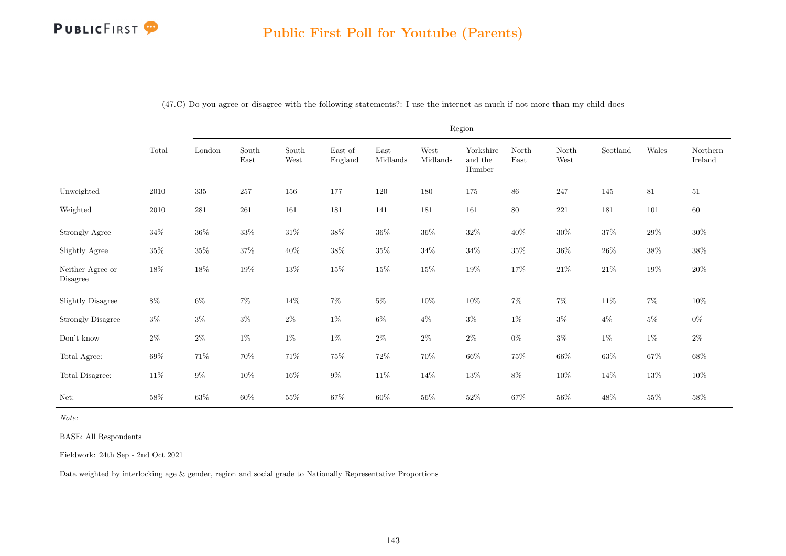|                              |          | Region  |                                |               |                    |                  |                  |                                |               |               |          |        |                     |
|------------------------------|----------|---------|--------------------------------|---------------|--------------------|------------------|------------------|--------------------------------|---------------|---------------|----------|--------|---------------------|
|                              | Total    | London  | South<br>$\operatorname{East}$ | South<br>West | East of<br>England | East<br>Midlands | West<br>Midlands | Yorkshire<br>and the<br>Humber | North<br>East | North<br>West | Scotland | Wales  | Northern<br>Ireland |
| Unweighted                   | 2010     | $335\,$ | $257\,$                        | 156           | 177                | 120              | 180              | 175                            | $86\,$        | $247\,$       | 145      | 81     | $51\,$              |
| Weighted                     | $2010\,$ | $281\,$ | 261                            | 161           | 181                | 141              | 181              | 161                            | 80            | $221\,$       | 181      | 101    | $60\,$              |
| <b>Strongly Agree</b>        | $34\%$   | $36\%$  | $33\%$                         | $31\%$        | $38\%$             | $36\%$           | $36\%$           | $32\%$                         | $40\%$        | $30\%$        | $37\%$   | $29\%$ | $30\%$              |
| Slightly Agree               | $35\%$   | $35\%$  | $37\%$                         | $40\%$        | $38\%$             | $35\%$           | $34\%$           | $34\%$                         | $35\%$        | $36\%$        | $26\%$   | $38\%$ | $38\%$              |
| Neither Agree or<br>Disagree | $18\%$   | $18\%$  | $19\%$                         | $13\%$        | $15\%$             | $15\%$           | $15\%$           | $19\%$                         | $17\%$        | $21\%$        | $21\%$   | $19\%$ | $20\%$              |
| <b>Slightly Disagree</b>     | $8\%$    | $6\%$   | $7\%$                          | $14\%$        | $7\%$              | $5\%$            | $10\%$           | $10\%$                         | $7\%$         | $7\%$         | $11\%$   | $7\%$  | $10\%$              |
| <b>Strongly Disagree</b>     | $3\%$    | $3\%$   | $3\%$                          | $2\%$         | $1\%$              | $6\%$            | $4\%$            | $3\%$                          | $1\%$         | $3\%$         | $4\%$    | $5\%$  | $0\%$               |
| Don't know                   | $2\%$    | $2\%$   | $1\%$                          | $1\%$         | $1\%$              | $2\%$            | $2\%$            | $2\%$                          | $0\%$         | $3\%$         | $1\%$    | $1\%$  | $2\%$               |
| Total Agree:                 | $69\%$   | $71\%$  | 70%                            | $71\%$        | 75%                | $72\%$           | 70%              | $66\%$                         | $75\%$        | $66\%$        | $63\%$   | $67\%$ | $68\%$              |
| Total Disagree:              | $11\%$   | $9\%$   | $10\%$                         | $16\%$        | $9\%$              | $11\%$           | 14%              | $13\%$                         | $8\%$         | $10\%$        | $14\%$   | $13\%$ | $10\%$              |
| Net:                         | $58\%$   | $63\%$  | $60\%$                         | $55\%$        | $67\%$             | $60\%$           | $56\%$           | $52\%$                         | $67\%$        | $56\%$        | $48\%$   | $55\%$ | $58\%$              |

(47.C) Do you agree or disagree with the following statements?: I use the internet as much if not more than my child does

Note:

BASE: All Respondents

Fieldwork: 24th Sep - 2nd Oct 2021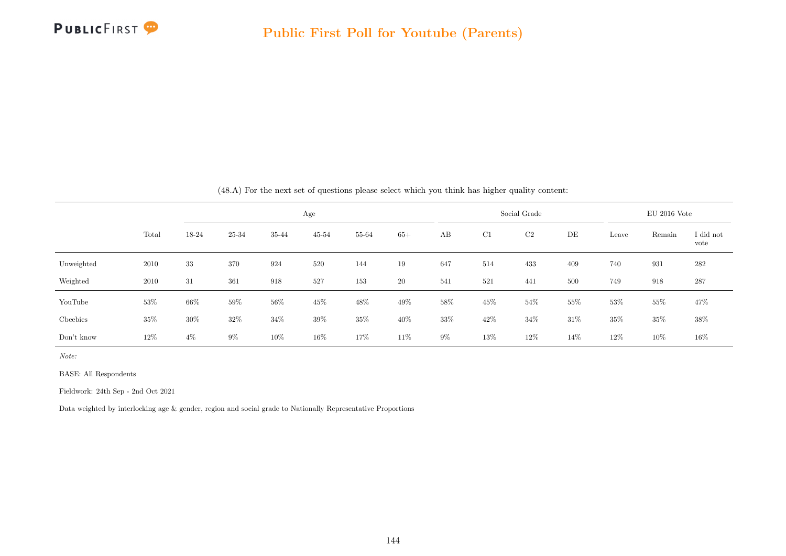

|            |       |       |        |        |           |        |        |       |        | $\left(10.11\right)$ for the heat bet of questions prease series which you think has higher quality contents. |      |        |                |                   |
|------------|-------|-------|--------|--------|-----------|--------|--------|-------|--------|---------------------------------------------------------------------------------------------------------------|------|--------|----------------|-------------------|
|            |       |       |        |        | Age       |        |        |       |        | Social Grade                                                                                                  |      |        | $EU$ 2016 Vote |                   |
|            | Total | 18-24 | 25-34  | 35-44  | $45 - 54$ | 55-64  | $65+$  | AB    | C1     | C2                                                                                                            | DE   | Leave  | Remain         | I did not<br>vote |
| Unweighted | 2010  | 33    | 370    | 924    | 520       | 144    | 19     | 647   | 514    | 433                                                                                                           | 409  | 740    | 931            | 282               |
| Weighted   | 2010  | 31    | 361    | 918    | 527       | 153    | $20\,$ | 541   | 521    | 441                                                                                                           | 500  | 749    | 918            | 287               |
| YouTube    | 53%   | 66%   | 59%    | $56\%$ | 45%       | $48\%$ | 49\%   | 58%   | $45\%$ | $54\%$                                                                                                        | 55%  | $53\%$ | $55\%$         | 47%               |
| Cheebies   | 35%   | 30%   | $32\%$ | $34\%$ | $39\%$    | $35\%$ | 40%    | 33%   | $42\%$ | 34\%                                                                                                          | 31%  | $35\%$ | 35%            | 38%               |
| Don't know | 12%   | $4\%$ | $9\%$  | 10%    | 16\%      | 17%    | 11%    | $9\%$ | 13%    | 12\%                                                                                                          | 14\% | 12%    | 10%            | 16\%              |

(48.A) For the next set of questions please select which you think has higher quality content:

Note:

BASE: All Respondents

Fieldwork: 24th Sep - 2nd Oct 2021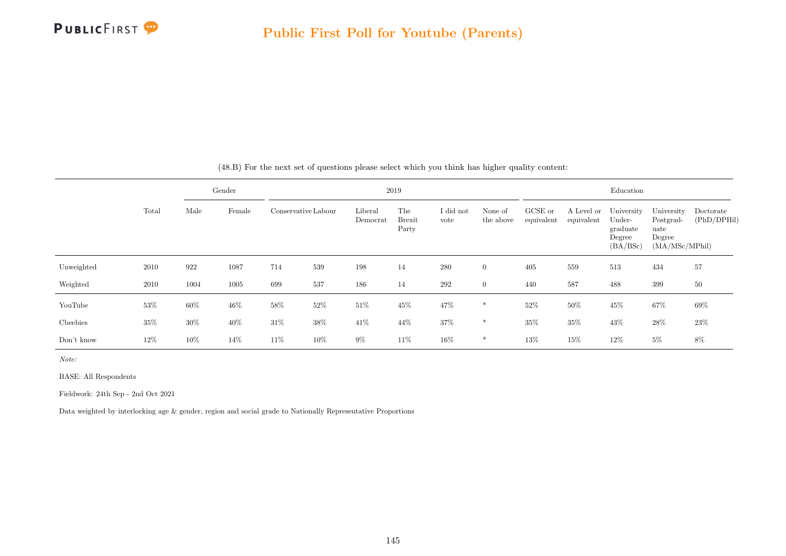

|            |       |        | Gender |        |                            |                     | 2019                          |                   |                      |                       |                          | Education                                              |                                                             |                          |
|------------|-------|--------|--------|--------|----------------------------|---------------------|-------------------------------|-------------------|----------------------|-----------------------|--------------------------|--------------------------------------------------------|-------------------------------------------------------------|--------------------------|
|            | Total | Male   | Female |        | Conservative Labour<br>198 | Liberal<br>Democrat | The<br><b>Brexit</b><br>Party | I did not<br>vote | None of<br>the above | GCSE or<br>equivalent | A Level or<br>equivalent | University<br>Under-<br>graduate<br>Degree<br>(BA/BSc) | University<br>Postgrad-<br>uate<br>Degree<br>(MA/MSc/MPhil) | Doctorate<br>(PhD/DPHil) |
| Unweighted | 2010  | 922    | 1087   | 714    | 539                        |                     | 14                            | 280               | $\overline{0}$       | 405                   | 559                      | 513                                                    | 434                                                         | 57                       |
| Weighted   | 2010  | 1004   | 1005   | 699    | 537                        | 186                 | 14                            | 292               | $\overline{0}$       | 440                   | 587                      | 488                                                    | 399                                                         | 50                       |
| YouTube    | 53%   | 60%    | $46\%$ | 58%    | 52%                        | $51\%$              | 45%                           | 47\%              | $\ast$               | 52%                   | 50%                      | 45\%                                                   | 67%                                                         | 69%                      |
| Cheebies   | 35%   | $30\%$ | 40\%   | $31\%$ | 38%                        | $41\%$              | 44\%                          | $37\%$            | $\ast$               | 35%                   | $35\%$                   | $43\%$                                                 | 28\%                                                        | 23%                      |
| Don't know | 12%   | 10%    | 14%    | 11%    | 10%                        | $9\%$               | 11%                           | 16%               | $*$                  | 13%                   | 15%                      | $12\%$                                                 | $5\%$                                                       | 8%                       |

(48.B) For the next set of questions please select which you think has higher quality content:

Note:

BASE: All Respondents

Fieldwork: 24th Sep - 2nd Oct 2021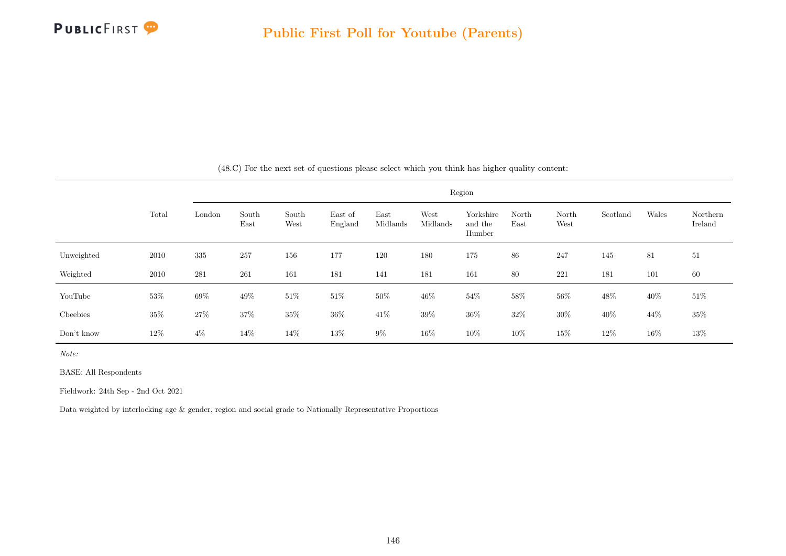

|            |        |         |               |               |                    |                  |                  | Region                         |               |               |          |       |                     |
|------------|--------|---------|---------------|---------------|--------------------|------------------|------------------|--------------------------------|---------------|---------------|----------|-------|---------------------|
|            | Total  | London  | South<br>East | South<br>West | East of<br>England | East<br>Midlands | West<br>Midlands | Yorkshire<br>and the<br>Humber | North<br>East | North<br>West | Scotland | Wales | Northern<br>Ireland |
| Unweighted | 2010   | $335\,$ | 257           | 156           | 177                | 120              | 180              | 175                            | 86            | 247           | 145      | 81    | 51                  |
| Weighted   | 2010   | 281     | 261           | 161           | 181                | 141              | 181              | 161                            | 80            | 221           | 181      | 101   | 60                  |
| YouTube    | $53\%$ | $69\%$  | 49%           | $51\%$        | 51\%               | $50\%$           | 46\%             | $54\%$                         | $58\%$        | $56\%$        | 48%      | 40\%  | $51\%$              |
| Cheebies   | $35\%$ | $27\%$  | 37%           | $35\%$        | $36\%$             | $41\%$           | $39\%$           | $36\%$                         | $32\%$        | $30\%$        | $40\%$   | 44\%  | $35\%$              |
| Don't know | 12\%   | $4\%$   | 14\%          | 14%           | $13\%$             | $9\%$            | 16%              | $10\%$                         | 10%           | 15%           | 12%      | 16%   | 13%                 |

(48.C) For the next set of questions please select which you think has higher quality content:

Note:

BASE: All Respondents

Fieldwork: 24th Sep - 2nd Oct 2021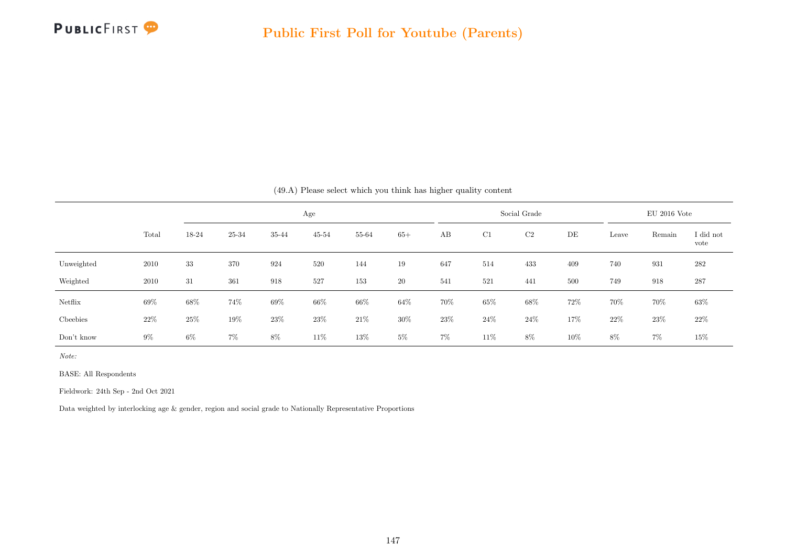

|            |       |       |        |        |           |        |        | (49.A) Please select which you think has higher quality content |        |              |     |       |                |                   |
|------------|-------|-------|--------|--------|-----------|--------|--------|-----------------------------------------------------------------|--------|--------------|-----|-------|----------------|-------------------|
|            |       |       |        |        | Age       |        |        |                                                                 |        | Social Grade |     |       | $EU$ 2016 Vote |                   |
|            | Total | 18-24 | 25-34  | 35-44  | $45 - 54$ | 55-64  | $65+$  | AB                                                              | C1     | C2           | DE  | Leave | Remain         | I did not<br>vote |
| Unweighted | 2010  | 33    | 370    | 924    | 520       | 144    | 19     | 647                                                             | 514    | 433          | 409 | 740   | 931            | 282               |
| Weighted   | 2010  | 31    | 361    | 918    | 527       | 153    | 20     | 541                                                             | 521    | 441          | 500 | 749   | 918            | 287               |
| Netflix    | 69%   | 68%   | 74%    | 69%    | $66\%$    | $66\%$ | $64\%$ | 70%                                                             | $65\%$ | 68%          | 72% | 70%   | 70%            | $63\%$            |
| Cheebies   | 22\%  | 25%   | $19\%$ | $23\%$ | 23\%      | $21\%$ | $30\%$ | 23%                                                             | 24\%   | 24\%         | 17% | 22%   | 23\%           | $22\%$            |
| Don't know | $9\%$ | $6\%$ | $7\%$  | 8%     | 11\%      | 13%    | $5\%$  | $7\%$                                                           | $11\%$ | 8%           | 10% | 8%    | $7\%$          | 15%               |

Note:

BASE: All Respondents

Fieldwork: 24th Sep - 2nd Oct 2021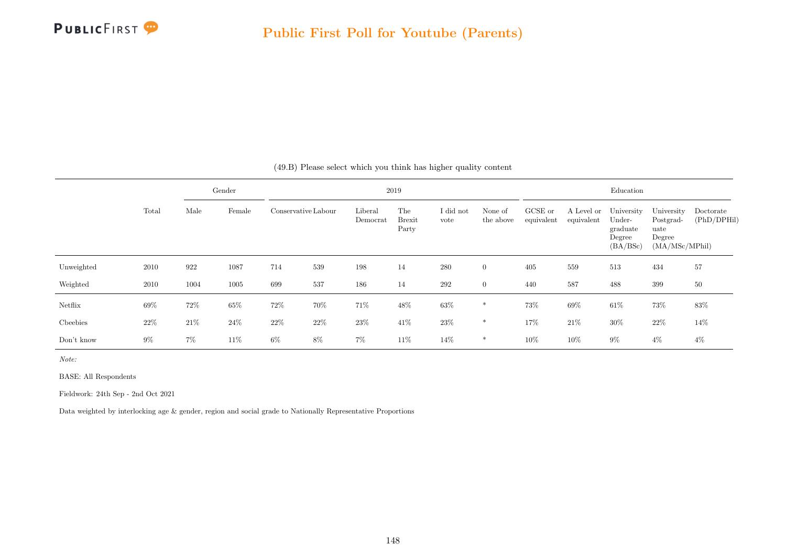

|            |       |       | Gender |                     |      |                     | 2019                          |                   |                      |                       |                          | Education                                              |                                                             |                          |
|------------|-------|-------|--------|---------------------|------|---------------------|-------------------------------|-------------------|----------------------|-----------------------|--------------------------|--------------------------------------------------------|-------------------------------------------------------------|--------------------------|
|            | Total | Male  | Female | Conservative Labour |      | Liberal<br>Democrat | The<br><b>Brexit</b><br>Party | I did not<br>vote | None of<br>the above | GCSE or<br>equivalent | A Level or<br>equivalent | University<br>Under-<br>graduate<br>Degree<br>(BA/BSc) | University<br>Postgrad-<br>uate<br>Degree<br>(MA/MSc/MPhil) | Doctorate<br>(PhD/DPHil) |
| Unweighted | 2010  | 922   | 1087   | 714                 | 539  | 198                 | 14                            | 280               | $\overline{0}$       | 405                   | 559                      | 513                                                    | 434                                                         | 57                       |
| Weighted   | 2010  | 1004  | 1005   | 699                 | 537  | 186                 | 14                            | 292               | $\overline{0}$       | 440                   | 587                      | 488                                                    | 399                                                         | 50                       |
| Netflix    | 69%   | 72%   | $65\%$ | 72%                 | 70%  | 71%                 | 48%                           | $63\%$            | $\ast$               | 73%                   | 69%                      | $61\%$                                                 | 73%                                                         | 83%                      |
| Cheebies   | 22%   | 21\%  | $24\%$ | $22\%$              | 22\% | $23\%$              | 41\%                          | $23\%$            | $\ast$               | 17%                   | 21\%                     | $30\%$                                                 | $22\%$                                                      | 14%                      |
| Don't know | $9\%$ | $7\%$ | 11\%   | $6\%$               | 8%   | $7\%$               | 11%                           | 14%               | *                    | 10%                   | 10%                      | $9\%$                                                  | $4\%$                                                       | 4%                       |

(49.B) Please select which you think has higher quality content

Note:

BASE: All Respondents

Fieldwork: 24th Sep - 2nd Oct 2021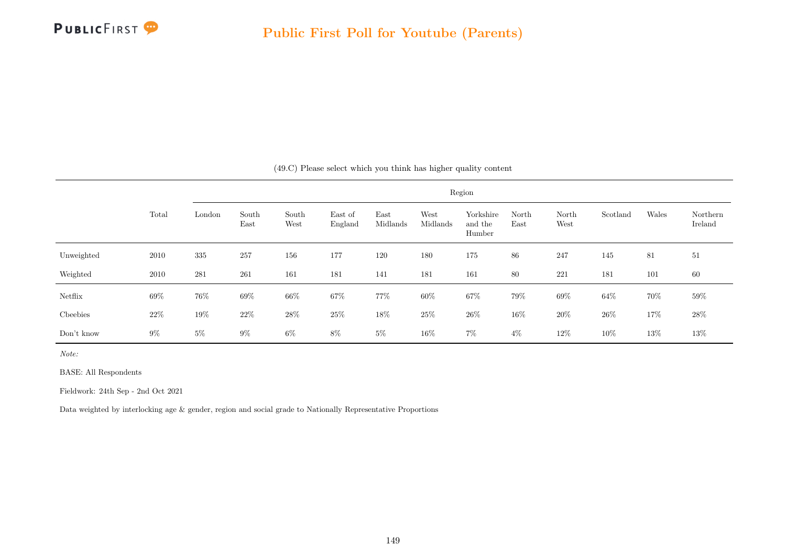

|            |        |        |               |               |                    |                  |                  | Region                         |               |               |          |        |                     |
|------------|--------|--------|---------------|---------------|--------------------|------------------|------------------|--------------------------------|---------------|---------------|----------|--------|---------------------|
|            | Total  | London | South<br>East | South<br>West | East of<br>England | East<br>Midlands | West<br>Midlands | Yorkshire<br>and the<br>Humber | North<br>East | North<br>West | Scotland | Wales  | Northern<br>Ireland |
| Unweighted | 2010   | 335    | 257           | 156           | 177                | 120              | 180              | 175                            | 86            | 247           | 145      | 81     | 51                  |
| Weighted   | 2010   | 281    | 261           | 161           | 181                | 141              | 181              | 161                            | 80            | 221           | 181      | 101    | 60                  |
| Netflix    | 69%    | 76%    | 69%           | $66\%$        | 67%                | 77%              | $60\%$           | 67%                            | 79%           | $69\%$        | $64\%$   | 70%    | 59%                 |
| Cheebies   | $22\%$ | $19\%$ | 22%           | $28\%$        | $25\%$             | $18\%$           | $25\%$           | 26\%                           | 16%           | $20\%$        | $26\%$   | 17%    | 28\%                |
| Don't know | $9\%$  | $5\%$  | $9\%$         | $6\%$         | $8\%$              | $5\%$            | 16\%             | $7\%$                          | $4\%$         | 12%           | 10%      | $13\%$ | 13%                 |

(49.C) Please select which you think has higher quality content

Note:

BASE: All Respondents

Fieldwork: 24th Sep - 2nd Oct 2021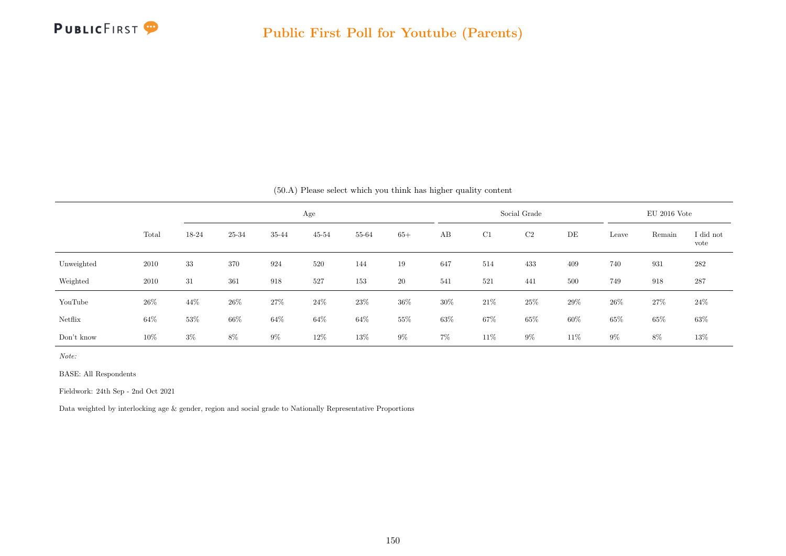

|            |       |       |        |       |           | (50.A) Please select which you think has higher quality content |       |       |        |              |     |        |                |                   |
|------------|-------|-------|--------|-------|-----------|-----------------------------------------------------------------|-------|-------|--------|--------------|-----|--------|----------------|-------------------|
|            |       |       |        |       | Age       |                                                                 |       |       |        | Social Grade |     |        | $EU$ 2016 Vote |                   |
|            | Total | 18-24 | 25-34  | 35-44 | $45 - 54$ | 55-64                                                           | $65+$ | AB    | C1     | C2           | DE  | Leave  | Remain         | I did not<br>vote |
| Unweighted | 2010  | 33    | 370    | 924   | 520       | 144                                                             | 19    | 647   | 514    | 433          | 409 | 740    | 931            | 282               |
| Weighted   | 2010  | 31    | 361    | 918   | 527       | 153                                                             | 20    | 541   | 521    | 441          | 500 | 749    | 918            | 287               |
| YouTube    | 26%   | 44\%  | $26\%$ | 27%   | 24%       | $23\%$                                                          | 36%   | 30%   | 21%    | $25\%$       | 29% | $26\%$ | 27\%           | $24\%$            |
| Netflix    | 64\%  | 53%   | 66%    | 64%   | $64\%$    | $64\%$                                                          | 55%   | 63%   | 67%    | 65%          | 60% | 65%    | 65%            | $63\%$            |
| Don't know | 10%   | $3\%$ | 8%     | $9\%$ | 12%       | 13%                                                             | $9\%$ | $7\%$ | $11\%$ | $9\%$        | 11% | $9\%$  | 8%             | 13%               |

Note:

BASE: All Respondents

Fieldwork: 24th Sep - 2nd Oct 2021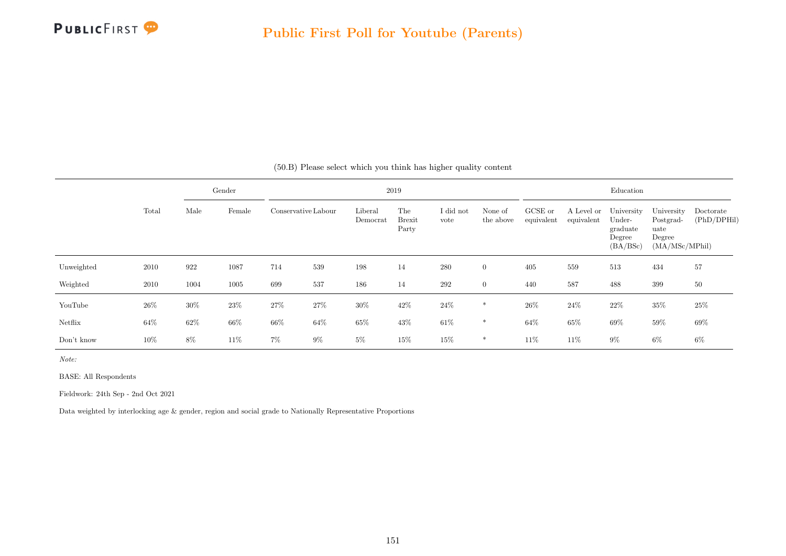

|            |        |      | Gender |        |                     |                     | 2019                          |                   |                      |                       |                          | Education                                              |                                                             |                          |
|------------|--------|------|--------|--------|---------------------|---------------------|-------------------------------|-------------------|----------------------|-----------------------|--------------------------|--------------------------------------------------------|-------------------------------------------------------------|--------------------------|
|            | Total  | Male | Female |        | Conservative Labour | Liberal<br>Democrat | The<br><b>Brexit</b><br>Party | I did not<br>vote | None of<br>the above | GCSE or<br>equivalent | A Level or<br>equivalent | University<br>Under-<br>graduate<br>Degree<br>(BA/BSc) | University<br>Postgrad-<br>uate<br>Degree<br>(MA/MSc/MPhil) | Doctorate<br>(PhD/DPHil) |
| Unweighted | 2010   | 922  | 1087   | 714    | 539                 | 198                 | 14                            | 280               | $\overline{0}$       | 405                   | 559                      | 513                                                    | 434                                                         | 57                       |
| Weighted   | 2010   | 1004 | 1005   | 699    | 537                 | 186                 | 14                            | 292               | $\overline{0}$       | 440                   | 587                      | 488                                                    | 399                                                         | 50                       |
| YouTube    | $26\%$ | 30%  | 23\%   | 27%    | 27%                 | $30\%$              | 42\%                          | 24%               | *                    | 26\%                  | 24\%                     | 22%                                                    | 35%                                                         | 25%                      |
| Netflix    | $64\%$ | 62%  | $66\%$ | $66\%$ | 64%                 | $65\%$              | 43\%                          | 61\%              | $*$                  | 64%                   | 65%                      | 69%                                                    | $59\%$                                                      | 69%                      |
| Don't know | 10%    | 8%   | 11\%   | $7\%$  | $9\%$               | $5\%$               | 15%                           | 15%               | *                    | 11%                   | 11\%                     | $9\%$                                                  | $6\%$                                                       | $6\%$                    |

(50.B) Please select which you think has higher quality content

Note:

BASE: All Respondents

Fieldwork: 24th Sep - 2nd Oct 2021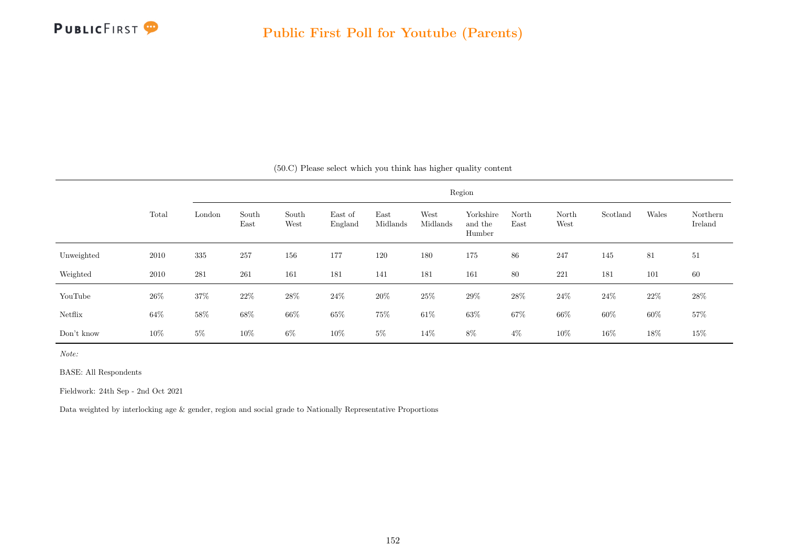

|            |        |        |               |               |                    |                  |                  | Region                         |               |               |          |       |                     |
|------------|--------|--------|---------------|---------------|--------------------|------------------|------------------|--------------------------------|---------------|---------------|----------|-------|---------------------|
|            | Total  | London | South<br>East | South<br>West | East of<br>England | East<br>Midlands | West<br>Midlands | Yorkshire<br>and the<br>Humber | North<br>East | North<br>West | Scotland | Wales | Northern<br>Ireland |
| Unweighted | 2010   | 335    | 257           | 156           | 177                | 120              | 180              | 175                            | 86            | 247           | 145      | 81    | 51                  |
| Weighted   | 2010   | 281    | 261           | 161           | 181                | 141              | 181              | 161                            | 80            | 221           | 181      | 101   | 60                  |
| YouTube    | $26\%$ | $37\%$ | 22%           | $28\%$        | 24%                | $20\%$           | $25\%$           | 29%                            | $28\%$        | $24\%$        | 24\%     | 22\%  | $28\%$              |
| Netflix    | 64\%   | $58\%$ | $68\%$        | $66\%$        | $65\%$             | 75%              | $61\%$           | $63\%$                         | $67\%$        | 66\%          | $60\%$   | 60%   | 57%                 |
| Don't know | $10\%$ | $5\%$  | 10%           | $6\%$         | 10%                | $5\%$            | 14\%             | $8\%$                          | $4\%$         | 10%           | 16%      | 18%   | $15\%$              |

(50.C) Please select which you think has higher quality content

Note:

BASE: All Respondents

Fieldwork: 24th Sep - 2nd Oct 2021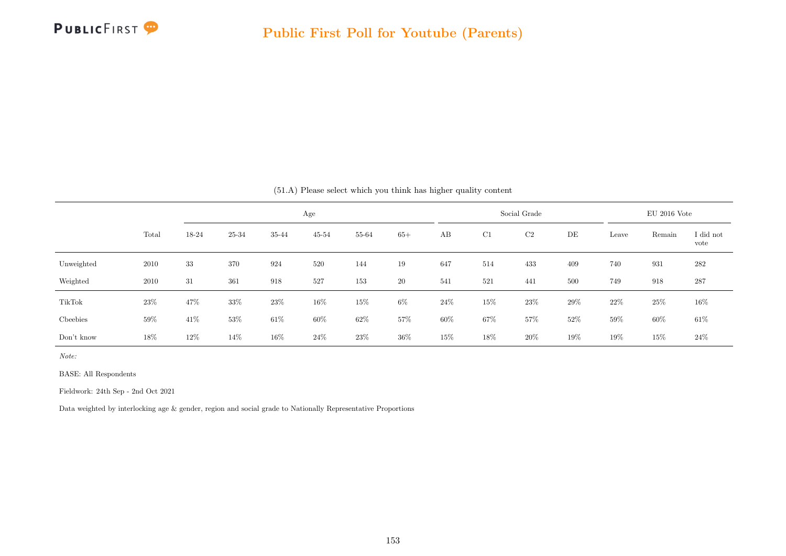

|            |       |       |        |       |           | (51.A) Please select which you think has higher quality content |       |        |        |              |     |       |                |                   |
|------------|-------|-------|--------|-------|-----------|-----------------------------------------------------------------|-------|--------|--------|--------------|-----|-------|----------------|-------------------|
|            |       |       |        |       | Age       |                                                                 |       |        |        | Social Grade |     |       | $EU$ 2016 Vote |                   |
|            | Total | 18-24 | 25-34  | 35-44 | $45 - 54$ | 55-64                                                           | $65+$ | AB     | C1     | C2           | DE  | Leave | Remain         | I did not<br>vote |
| Unweighted | 2010  | 33    | 370    | 924   | 520       | 144                                                             | 19    | 647    | 514    | 433          | 409 | 740   | 931            | 282               |
| Weighted   | 2010  | 31    | 361    | 918   | 527       | 153                                                             | 20    | 541    | 521    | 441          | 500 | 749   | 918            | 287               |
| TikTok     | 23%   | 47%   | 33%    | 23%   | 16%       | 15%                                                             | $6\%$ | 24\%   | $15\%$ | $23\%$       | 29% | 22%   | 25%            | $16\%$            |
| Cheebies   | 59%   | 41\%  | $53\%$ | 61\%  | $60\%$    | $62\%$                                                          | 57%   | 60%    | 67%    | 57%          | 52% | 59%   | 60%            | $61\%$            |
| Don't know | 18%   | 12%   | 14%    | 16%   | 24%       | 23\%                                                            | 36%   | $15\%$ | 18%    | 20%          | 19% | 19%   | 15%            | $24\%$            |

Note:

BASE: All Respondents

Fieldwork: 24th Sep - 2nd Oct 2021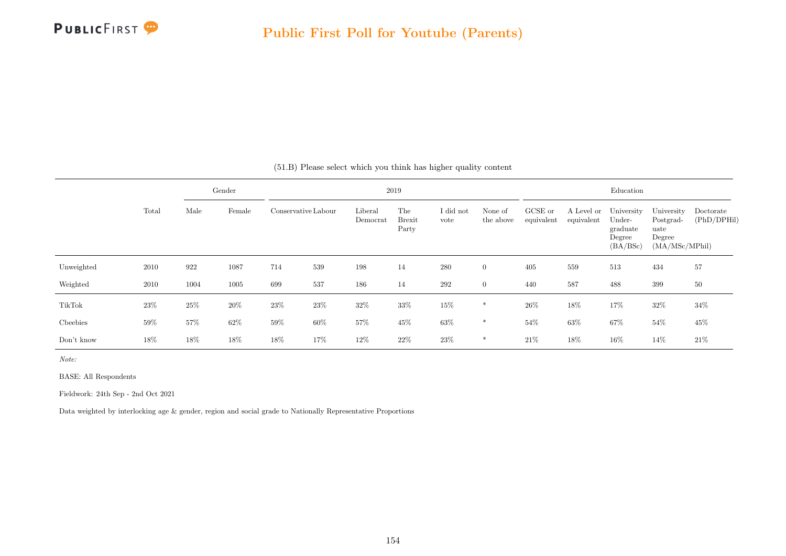

|            |        |      | Gender |        |                     |                     | 2019                          |                   |                      |                       |                          | Education                                              |                                                             |                          |
|------------|--------|------|--------|--------|---------------------|---------------------|-------------------------------|-------------------|----------------------|-----------------------|--------------------------|--------------------------------------------------------|-------------------------------------------------------------|--------------------------|
|            | Total  | Male | Female |        | Conservative Labour | Liberal<br>Democrat | The<br><b>Brexit</b><br>Party | I did not<br>vote | None of<br>the above | GCSE or<br>equivalent | A Level or<br>equivalent | University<br>Under-<br>graduate<br>Degree<br>(BA/BSc) | University<br>Postgrad-<br>uate<br>Degree<br>(MA/MSc/MPhil) | Doctorate<br>(PhD/DPHil) |
| Unweighted | 2010   | 922  | 1087   | 714    | 539                 | 198                 | 14                            | 280               | $\overline{0}$       | 405                   | 559                      | 513                                                    | 434                                                         | 57                       |
| Weighted   | 2010   | 1004 | 1005   | 699    | 537                 | 186                 | 14                            | 292               | $\overline{0}$       | 440                   | 587                      | 488                                                    | 399                                                         | 50                       |
| TikTok     | 23\%   | 25%  | 20%    | 23%    | 23\%                | 32%                 | 33%                           | 15%               | *                    | 26\%                  | 18%                      | 17%                                                    | 32\%                                                        | $34\%$                   |
| Cheebies   | $59\%$ | 57%  | 62\%   | $59\%$ | 60%                 | $57\%$              | 45%                           | 63%               | $*$                  | 54%                   | 63%                      | $67\%$                                                 | $54\%$                                                      | 45%                      |
| Don't know | 18%    | 18%  | 18%    | 18%    | 17%                 | 12%                 | 22%                           | 23\%              | *                    | 21\%                  | 18%                      | 16%                                                    | 14%                                                         | 21\%                     |

(51.B) Please select which you think has higher quality content

Note:

BASE: All Respondents

Fieldwork: 24th Sep - 2nd Oct 2021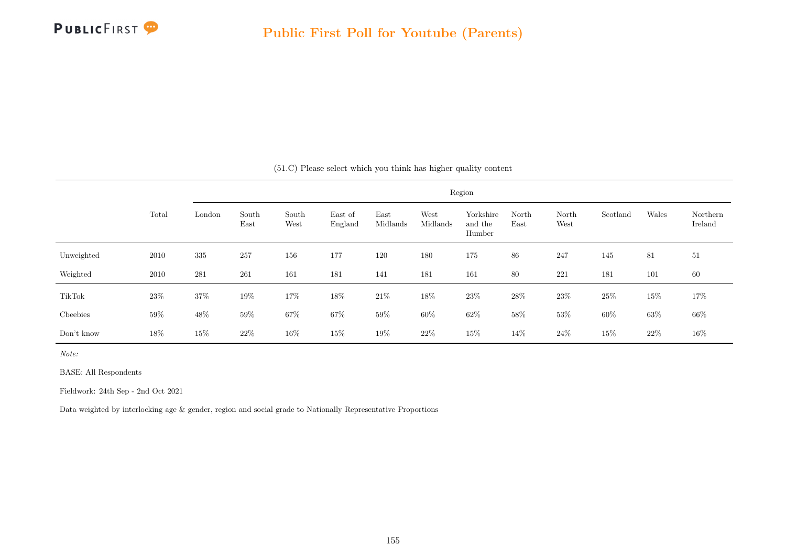

|            |        |        |               |               |                    |                  |                  | Region                         |               |               |          |        |                     |
|------------|--------|--------|---------------|---------------|--------------------|------------------|------------------|--------------------------------|---------------|---------------|----------|--------|---------------------|
|            | Total  | London | South<br>East | South<br>West | East of<br>England | East<br>Midlands | West<br>Midlands | Yorkshire<br>and the<br>Humber | North<br>East | North<br>West | Scotland | Wales  | Northern<br>Ireland |
| Unweighted | 2010   | 335    | 257           | 156           | 177                | 120              | 180              | 175                            | 86            | 247           | 145      | 81     | 51                  |
| Weighted   | 2010   | 281    | 261           | 161           | 181                | 141              | 181              | 161                            | 80            | 221           | 181      | 101    | 60                  |
| TikTok     | $23\%$ | $37\%$ | 19%           | $17\%$        | 18%                | $21\%$           | $18\%$           | 23\%                           | 28%           | $23\%$        | $25\%$   | 15%    | 17%                 |
| Cheebies   | $59\%$ | $48\%$ | $59\%$        | $67\%$        | $67\%$             | $59\%$           | $60\%$           | $62\%$                         | $58\%$        | $53\%$        | $60\%$   | $63\%$ | $66\%$              |
| Don't know | 18%    | 15%    | 22%           | $16\%$        | 15%                | 19%              | $22\%$           | 15%                            | 14%           | $24\%$        | 15%      | 22%    | $16\%$              |

(51.C) Please select which you think has higher quality content

Note:

BASE: All Respondents

Fieldwork: 24th Sep - 2nd Oct 2021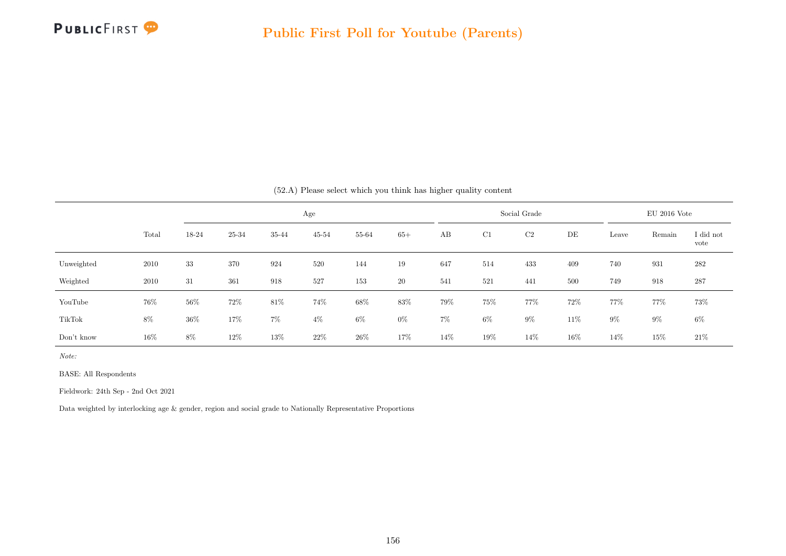

|            |       |       |        |        |           |        |        | (52.A) Please select which you think has higher quality content |        |              |      |       |                |                   |
|------------|-------|-------|--------|--------|-----------|--------|--------|-----------------------------------------------------------------|--------|--------------|------|-------|----------------|-------------------|
|            |       |       |        |        | Age       |        |        |                                                                 |        | Social Grade |      |       | $EU$ 2016 Vote |                   |
|            | Total | 18-24 | 25-34  | 35-44  | $45 - 54$ | 55-64  | $65+$  | AB                                                              | C1     | C2           | DE   | Leave | Remain         | I did not<br>vote |
| Unweighted | 2010  | 33    | 370    | 924    | 520       | 144    | 19     | 647                                                             | 514    | 433          | 409  | 740   | 931            | 282               |
| Weighted   | 2010  | 31    | 361    | 918    | 527       | 153    | 20     | 541                                                             | 521    | 441          | 500  | 749   | 918            | 287               |
| YouTube    | 76%   | 56%   | $72\%$ | $81\%$ | 74%       | $68\%$ | 83%    | 79%                                                             | 75%    | 77%          | 72%  | 77%   | 77%            | 73%               |
| TikTok     | 8%    | 36%   | 17%    | $7\%$  | $4\%$     | $6\%$  | $0\%$  | $7\%$                                                           | $6\%$  | $9\%$        | 11%  | $9\%$ | $9\%$          | $6\%$             |
| Don't know | 16\%  | 8%    | 12%    | 13%    | $22\%$    | $26\%$ | $17\%$ | 14%                                                             | $19\%$ | 14\%         | 16\% | 14%   | 15%            | $21\%$            |

Note:

BASE: All Respondents

Fieldwork: 24th Sep - 2nd Oct 2021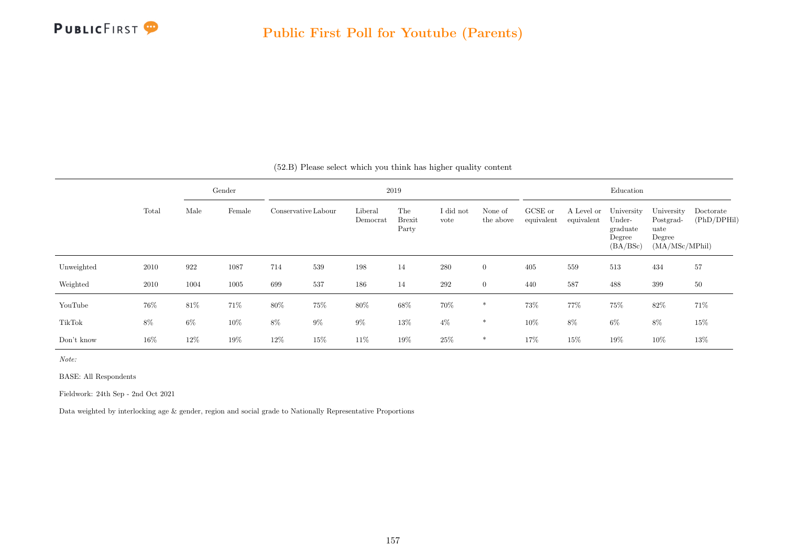

|            |       |       | Gender         |       |                     |                     | 2019                   |                   |                      |                       |                          | Education                                              |                                                             |                          |
|------------|-------|-------|----------------|-------|---------------------|---------------------|------------------------|-------------------|----------------------|-----------------------|--------------------------|--------------------------------------------------------|-------------------------------------------------------------|--------------------------|
|            | Total | Male  | Female<br>1087 |       | Conservative Labour | Liberal<br>Democrat | The<br>Brexit<br>Party | I did not<br>vote | None of<br>the above | GCSE or<br>equivalent | A Level or<br>equivalent | University<br>Under-<br>graduate<br>Degree<br>(BA/BSc) | University<br>Postgrad-<br>uate<br>Degree<br>(MA/MSc/MPhil) | Doctorate<br>(PhD/DPHil) |
| Unweighted | 2010  | 922   |                | 714   | $539\,$             | 198                 | 14                     | 280               | $\overline{0}$       | 405                   | 559                      | 513                                                    | 434                                                         | 57                       |
| Weighted   | 2010  | 1004  | 1005           | 699   | 537                 | 186                 | 14                     | $\,292$           | $\overline{0}$       | 440                   | 587                      | 488                                                    | 399                                                         | 50                       |
| YouTube    | 76%   | 81\%  | 71%            | 80%   | 75%                 | 80%                 | 68%                    | 70%               | *                    | 73%                   | 77%                      | 75%                                                    | 82\%                                                        | 71%                      |
| TikTok     | 8%    | $6\%$ | $10\%$         | $8\%$ | $9\%$               | $9\%$               | 13%                    | $4\%$             | $\ast$               | $10\%$                | $8\%$                    | $6\%$                                                  | 8%                                                          | 15%                      |
| Don't know | 16%   | 12%   | $19\%$         | 12%   | 15%                 | $11\%$              | 19%                    | 25%               | *                    | 17%                   | 15%                      | 19%                                                    | $10\%$                                                      | 13%                      |

(52.B) Please select which you think has higher quality content

Note:

BASE: All Respondents

Fieldwork: 24th Sep - 2nd Oct 2021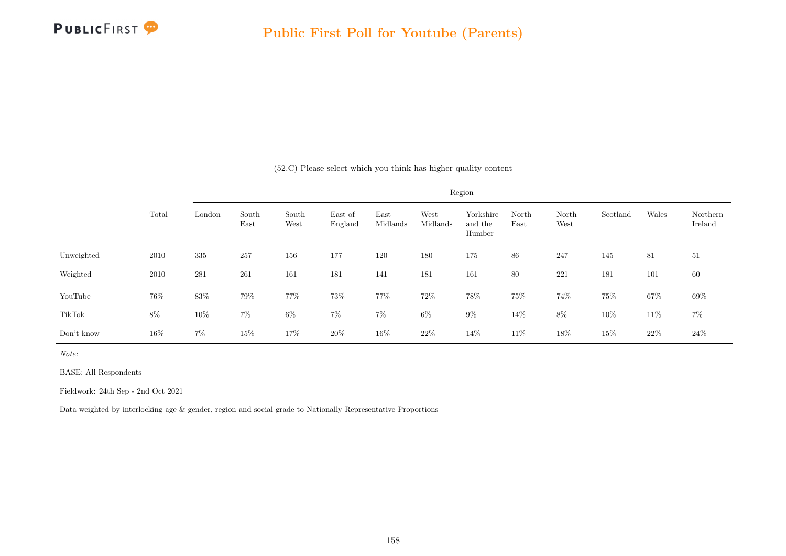

|            |        |        |               |               |                    |                  |                  | Region                         |               |               |          |       |                     |
|------------|--------|--------|---------------|---------------|--------------------|------------------|------------------|--------------------------------|---------------|---------------|----------|-------|---------------------|
|            | Total  | London | South<br>East | South<br>West | East of<br>England | East<br>Midlands | West<br>Midlands | Yorkshire<br>and the<br>Humber | North<br>East | North<br>West | Scotland | Wales | Northern<br>Ireland |
| Unweighted | 2010   | 335    | 257           | 156           | 177                | 120              | 180              | 175                            | 86            | 247           | 145      | 81    | 51                  |
| Weighted   | 2010   | 281    | 261           | 161           | 181                | 141              | 181              | 161                            | 80            | 221           | 181      | 101   | 60                  |
| YouTube    | 76%    | 83%    | 79%           | 77%           | 73%                | 77%              | 72\%             | $78\%$                         | 75%           | 74%           | $75\%$   | 67%   | $69\%$              |
| TikTok     | $8\%$  | $10\%$ | $7\%$         | $6\%$         | 7%                 | $7\%$            | $6\%$            | $9\%$                          | 14%           | $8\%$         | 10%      | 11\%  | $7\%$               |
| Don't know | $16\%$ | $7\%$  | $15\%$        | 17%           | $20\%$             | 16%              | $22\%$           | 14\%                           | 11\%          | 18%           | $15\%$   | 22%   | $24\%$              |

(52.C) Please select which you think has higher quality content

Note:

BASE: All Respondents

Fieldwork: 24th Sep - 2nd Oct 2021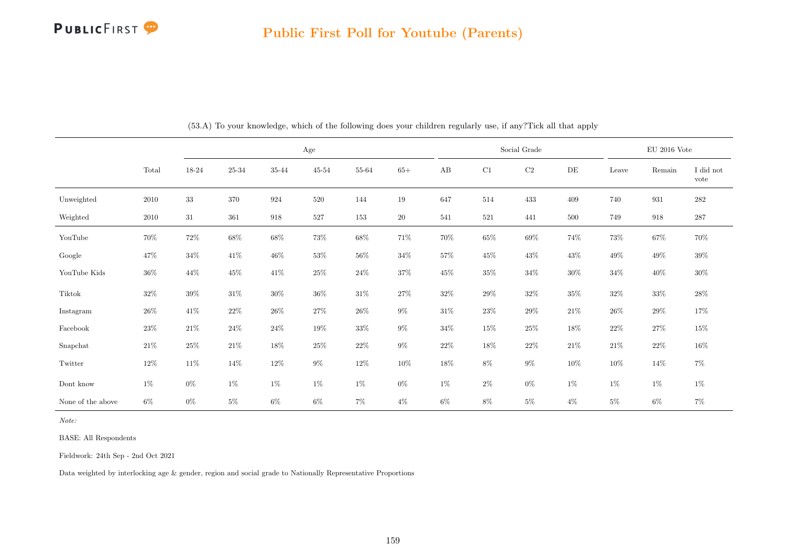

|                   |        |        |                |        | Age       |                |           |        |        | Social Grade |        |        | $\rm EU$ 2016 Vote |                   |
|-------------------|--------|--------|----------------|--------|-----------|----------------|-----------|--------|--------|--------------|--------|--------|--------------------|-------------------|
|                   | Total  | 18-24  | $25\hbox{-}34$ | 35-44  | $45 - 54$ | $55\mbox{-}64$ | $65+$     | AB     | C1     | $\rm C2$     | DE     | Leave  | Remain             | I did not<br>vote |
| Unweighted        | 2010   | $33\,$ | 370            | 924    | 520       | 144            | 19        | 647    | 514    | 433          | 409    | 740    | 931                | $282\,$           |
| Weighted          | 2010   | 31     | 361            | 918    | 527       | 153            | <b>20</b> | 541    | 521    | 441          | 500    | 749    | 918                | 287               |
| YouTube           | 70%    | $72\%$ | $68\%$         | $68\%$ | $73\%$    | $68\%$         | $71\%$    | $70\%$ | $65\%$ | $69\%$       | 74%    | $73\%$ | $67\%$             | $70\%$            |
| Google            | 47\%   | $34\%$ | $41\%$         | $46\%$ | $53\%$    | $56\%$         | $34\%$    | $57\%$ | 45\%   | 43\%         | 43%    | $49\%$ | 49%                | $39\%$            |
| YouTube Kids      | $36\%$ | 44\%   | $45\%$         | $41\%$ | $25\%$    | $24\%$         | $37\%$    | $45\%$ | $35\%$ | $34\%$       | $30\%$ | $34\%$ | $40\%$             | $30\%$            |
| Tiktok            | 32\%   | $39\%$ | $31\%$         | 30%    | $36\%$    | $31\%$         | 27%       | $32\%$ | $29\%$ | $32\%$       | $35\%$ | $32\%$ | $33\%$             | $28\%$            |
| Instagram         | $26\%$ | 41%    | $22\%$         | $26\%$ | $27\%$    | $26\%$         | $9\%$     | $31\%$ | $23\%$ | $29\%$       | $21\%$ | $26\%$ | $29\%$             | 17%               |
| Facebook          | $23\%$ | 21%    | $24\%$         | $24\%$ | 19%       | $33\%$         | $9\%$     | $34\%$ | $15\%$ | $25\%$       | $18\%$ | $22\%$ | $27\%$             | $15\%$            |
| Snapchat          | $21\%$ | $25\%$ | $21\%$         | 18%    | $25\%$    | $22\%$         | $9\%$     | $22\%$ | 18%    | $22\%$       | $21\%$ | $21\%$ | $22\%$             | $16\%$            |
| Twitter           | $12\%$ | 11\%   | $14\%$         | $12\%$ | $9\%$     | $12\%$         | $10\%$    | $18\%$ | $8\%$  | $9\%$        | 10%    | $10\%$ | 14%                | $7\%$             |
| Dont know         | $1\%$  | $0\%$  | $1\%$          | $1\%$  | $1\%$     | 1%             | $0\%$     | $1\%$  | $2\%$  | $0\%$        | 1%     | $1\%$  | $1\%$              | $1\%$             |
| None of the above | $6\%$  | $0\%$  | $5\%$          | $6\%$  | $6\%$     | $7\%$          | $4\%$     | $6\%$  | $8\%$  | $5\%$        | $4\%$  | $5\%$  | $6\%$              | $7\%$             |

(53.A) To your knowledge, which of the following does your children regularly use, if any?Tick all that apply

Note:

BASE: All Respondents

Fieldwork: 24th Sep - 2nd Oct 2021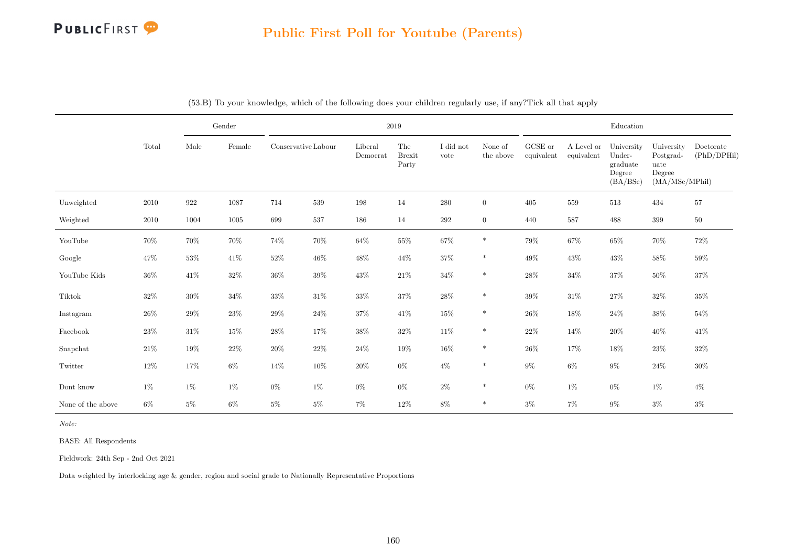

|                   |        |            | Gender |                     |        |                     | 2019                                  |                   |                      |                               |                          | Education                                              |                                                             |                          |
|-------------------|--------|------------|--------|---------------------|--------|---------------------|---------------------------------------|-------------------|----------------------|-------------------------------|--------------------------|--------------------------------------------------------|-------------------------------------------------------------|--------------------------|
|                   | Total  | $\rm Male$ | Female | Conservative Labour |        | Liberal<br>Democrat | ${\rm The}$<br><b>Brexit</b><br>Party | I did not<br>vote | None of<br>the above | ${\rm GCSE}$ or<br>equivalent | A Level or<br>equivalent | University<br>Under-<br>graduate<br>Degree<br>(BA/BSc) | University<br>Postgrad-<br>uate<br>Degree<br>(MA/MSc/MPhil) | Doctorate<br>(PhD/DPHil) |
| Unweighted        | 2010   | $922\,$    | 1087   | 714                 | 539    | $198\,$             | 14                                    | $280\,$           | $\overline{0}$       | 405                           | 559                      | 513                                                    | 434                                                         | 57                       |
| Weighted          | 2010   | 1004       | 1005   | 699                 | 537    | 186                 | 14                                    | 292               | $\overline{0}$       | 440                           | 587                      | 488                                                    | $399\,$                                                     | $50\,$                   |
| YouTube           | 70%    | $70\%$     | $70\%$ | $74\%$              | $70\%$ | $64\%$              | $55\%$                                | $67\%$            | $\ast$               | $79\%$                        | $67\%$                   | $65\%$                                                 | $70\%$                                                      | $72\%$                   |
| Google            | $47\%$ | $53\%$     | $41\%$ | $52\%$              | $46\%$ | $48\%$              | $44\%$                                | $37\%$            | $\ast$               | $49\%$                        | 43%                      | $43\%$                                                 | $58\%$                                                      | 59%                      |
| YouTube Kids      | 36%    | 41\%       | $32\%$ | 36%                 | 39%    | $43\%$              | 21\%                                  | $34\%$            | $\ast$               | $28\%$                        | $34\%$                   | $37\%$                                                 | $50\%$                                                      | $37\%$                   |
| Tiktok            | $32\%$ | $30\%$     | $34\%$ | $33\%$              | $31\%$ | $33\%$              | $37\%$                                | $28\%$            | $\ast$               | $39\%$                        | $31\%$                   | $27\%$                                                 | $32\%$                                                      | $35\%$                   |
| Instagram         | 26%    | 29%        | $23\%$ | 29%                 | $24\%$ | $37\%$              | $41\%$                                | $15\%$            | $\ast$               | $26\%$                        | 18%                      | $24\%$                                                 | $38\%$                                                      | 54%                      |
| Facebook          | 23%    | $31\%$     | $15\%$ | $28\%$              | 17%    | $38\%$              | $32\%$                                | $11\%$            | $\ast$               | $22\%$                        | 14%                      | $20\%$                                                 | 40%                                                         | 41\%                     |
| Snapchat          | $21\%$ | $19\%$     | $22\%$ | $20\%$              | 22\%   | $24\%$              | $19\%$                                | $16\%$            | $\ast$               | $26\%$                        | 17%                      | $18\%$                                                 | $23\%$                                                      | 32%                      |
| Twitter           | 12%    | 17%        | $6\%$  | 14%                 | $10\%$ | $20\%$              | $0\%$                                 | $4\%$             | $\ast$               | $9\%$                         | $6\%$                    | $9\%$                                                  | $24\%$                                                      | $30\%$                   |
| Dont know         | $1\%$  | $1\%$      | $1\%$  | $0\%$               | 1%     | $0\%$               | $0\%$                                 | $2\%$             | $\ast$               | $0\%$                         | $1\%$                    | $0\%$                                                  | $1\%$                                                       | $4\%$                    |
| None of the above | $6\%$  | $5\%$      | $6\%$  | $5\%$               | $5\%$  | $7\%$               | $12\%$                                | $8\%$             | $\ast$               | $3\%$                         | $7\%$                    | $9\%$                                                  | $3\%$                                                       | $3\%$                    |

|  |  | (53.B) To your knowledge, which of the following does your children regularly use, if any?Tick all that apply |  |  |  |  |  |  |  |  |  |  |  |
|--|--|---------------------------------------------------------------------------------------------------------------|--|--|--|--|--|--|--|--|--|--|--|
|--|--|---------------------------------------------------------------------------------------------------------------|--|--|--|--|--|--|--|--|--|--|--|

Note:

BASE: All Respondents

Fieldwork: 24th Sep - 2nd Oct 2021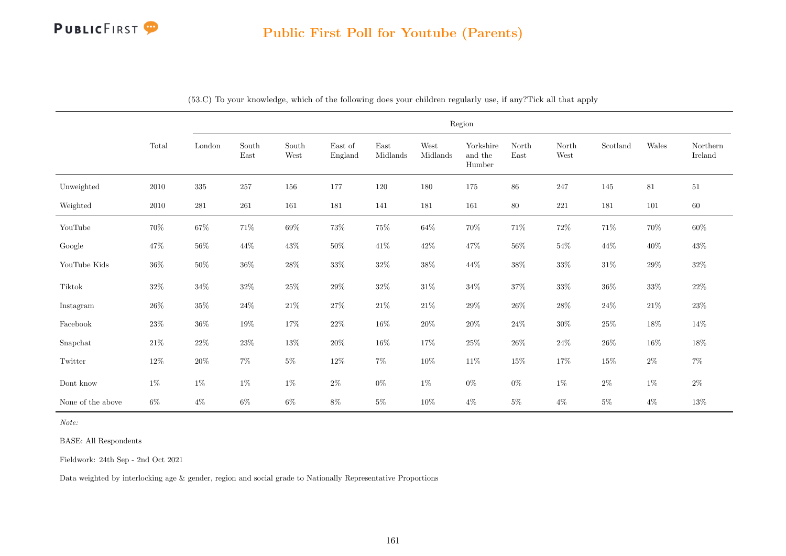

|                           |          |           |               |                                |                    |                  | Region           |                                |               |               |          |         |                     |
|---------------------------|----------|-----------|---------------|--------------------------------|--------------------|------------------|------------------|--------------------------------|---------------|---------------|----------|---------|---------------------|
|                           | Total    | London    | South<br>East | $\operatorname{South}$<br>West | East of<br>England | East<br>Midlands | West<br>Midlands | Yorkshire<br>and the<br>Humber | North<br>East | North<br>West | Scotland | Wales   | Northern<br>Ireland |
| Unweighted                | $2010\,$ | $335\,$   | 257           | 156                            | 177                | $120\,$          | 180              | 175                            | $86\,$        | 247           | 145      | 81      | $51\,$              |
| Weighted                  | $2010\,$ | $\bf 281$ | $261\,$       | 161                            | 181                | 141              | 181              | 161                            | $80\,$        | $221\,$       | 181      | $101\,$ | $60\,$              |
| YouTube                   | $70\%$   | $67\%$    | $71\%$        | $69\%$                         | $73\%$             | $75\%$           | $64\%$           | $70\%$                         | $71\%$        | $72\%$        | $71\%$   | $70\%$  | $60\%$              |
| Google                    | $47\%$   | $56\%$    | 44\%          | $43\%$                         | $50\%$             | $41\%$           | $42\%$           | $47\%$                         | $56\%$        | $54\%$        | $44\%$   | $40\%$  | $43\%$              |
| YouTube Kids              | $36\%$   | $50\%$    | $36\%$        | $28\%$                         | $33\%$             | $32\%$           | $38\%$           | $44\%$                         | $38\%$        | $33\%$        | $31\%$   | $29\%$  | $32\%$              |
| Tiktok                    | $32\%$   | $34\%$    | $32\%$        | $25\%$                         | $29\%$             | $32\%$           | $31\%$           | $34\%$                         | $37\%$        | $33\%$        | $36\%$   | $33\%$  | $22\%$              |
| Instagram                 | $26\%$   | $35\%$    | $24\%$        | $21\%$                         | $27\%$             | $21\%$           | $21\%$           | $29\%$                         | $26\%$        | $28\%$        | $24\%$   | $21\%$  | $23\%$              |
| $\operatorname{Facebook}$ | $23\%$   | $36\%$    | $19\%$        | $17\%$                         | $22\%$             | $16\%$           | $20\%$           | $20\%$                         | $24\%$        | $30\%$        | $25\%$   | $18\%$  | $14\%$              |
| Snapchat                  | $21\%$   | $22\%$    | $23\%$        | $13\%$                         | $20\%$             | $16\%$           | 17%              | $25\%$                         | $26\%$        | $24\%$        | $26\%$   | $16\%$  | $18\%$              |
| Twitter                   | $12\%$   | $20\%$    | $7\%$         | $5\%$                          | $12\%$             | $7\%$            | $10\%$           | $11\%$                         | $15\%$        | $17\%$        | $15\%$   | $2\%$   | $7\%$               |
| $\mbox{Dont}$ know        | $1\%$    | 1%        | $1\%$         | 1%                             | $2\%$              | $0\%$            | $1\%$            | $0\%$                          | $0\%$         | $1\%$         | $2\%$    | $1\%$   | $2\%$               |
| None of the above         | $6\%$    | $4\%$     | $6\%$         | $6\%$                          | $8\%$              | $5\%$            | $10\%$           | $4\%$                          | $5\%$         | $4\%$         | $5\%$    | $4\%$   | $13\%$              |

(53.C) To your knowledge, which of the following does your children regularly use, if any?Tick all that apply

Note:

BASE: All Respondents

Fieldwork: 24th Sep - 2nd Oct 2021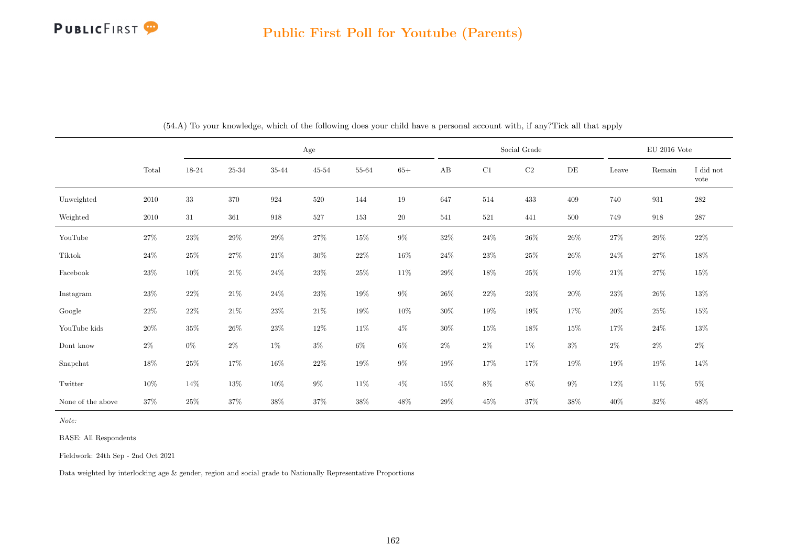## PUBLICFIRST<sup>9</sup>

#### Public First Poll for Youtube (Parents)

|                   |        |        |         |        | Age       |        |        |        |          | Social Grade |           |        | $\mathrm{EU}$ 2016 Vote |                   |
|-------------------|--------|--------|---------|--------|-----------|--------|--------|--------|----------|--------------|-----------|--------|-------------------------|-------------------|
|                   | Total  | 18-24  | 25-34   | 35-44  | $45 - 54$ | 55-64  | $65+$  | AB     | $\rm C1$ | $\rm{C2}$    | $\rm{DE}$ | Leave  | Remain                  | I did not<br>vote |
| Unweighted        | 2010   | $33\,$ | $370\,$ | 924    | 520       | 144    | 19     | 647    | 514      | 433          | 409       | 740    | 931                     | $\bf 282$         |
| Weighted          | 2010   | 31     | 361     | 918    | 527       | 153    | $20\,$ | 541    | 521      | 441          | 500       | 749    | 918                     | $287\,$           |
| YouTube           | $27\%$ | $23\%$ | $29\%$  | $29\%$ | $27\%$    | $15\%$ | $9\%$  | $32\%$ | $24\%$   | $26\%$       | $26\%$    | $27\%$ | $29\%$                  | $22\%$            |
| Tiktok            | 24\%   | 25%    | 27%     | $21\%$ | $30\%$    | $22\%$ | $16\%$ | $24\%$ | $23\%$   | $25\%$       | 26%       | $24\%$ | $27\%$                  | 18%               |
| Facebook          | $23\%$ | $10\%$ | $21\%$  | $24\%$ | $23\%$    | $25\%$ | $11\%$ | $29\%$ | $18\%$   | $25\%$       | $19\%$    | $21\%$ | $27\%$                  | $15\%$            |
| Instagram         | $23\%$ | $22\%$ | $21\%$  | $24\%$ | $23\%$    | $19\%$ | $9\%$  | 26%    | $22\%$   | $23\%$       | 20%       | $23\%$ | 26%                     | $13\%$            |
| Google            | $22\%$ | $22\%$ | $21\%$  | $23\%$ | $21\%$    | $19\%$ | $10\%$ | $30\%$ | $19\%$   | $19\%$       | 17%       | $20\%$ | $25\%$                  | $15\%$            |
| YouTube kids      | $20\%$ | $35\%$ | $26\%$  | $23\%$ | $12\%$    | $11\%$ | $4\%$  | $30\%$ | $15\%$   | $18\%$       | $15\%$    | $17\%$ | $24\%$                  | $13\%$            |
| Dont know         | $2\%$  | $0\%$  | $2\%$   | $1\%$  | $3\%$     | $6\%$  | $6\%$  | $2\%$  | $2\%$    | $1\%$        | $3\%$     | $2\%$  | $2\%$                   | $2\%$             |
| Snapchat          | 18%    | 25%    | $17\%$  | $16\%$ | 22%       | $19\%$ | $9\%$  | $19\%$ | $17\%$   | 17%          | $19\%$    | $19\%$ | 19%                     | $14\%$            |
| Twitter           | 10%    | 14\%   | $13\%$  | 10%    | $9\%$     | $11\%$ | $4\%$  | $15\%$ | $8\%$    | $8\%$        | $9\%$     | 12\%   | 11\%                    | $5\%$             |
| None of the above | $37\%$ | $25\%$ | $37\%$  | $38\%$ | 37%       | $38\%$ | 48\%   | $29\%$ | $45\%$   | $37\%$       | $38\%$    | $40\%$ | 32%                     | $48\%$            |

(54.A) To your knowledge, which of the following does your child have a personal account with, if any?Tick all that apply

Note:

BASE: All Respondents

Fieldwork: 24th Sep - 2nd Oct 2021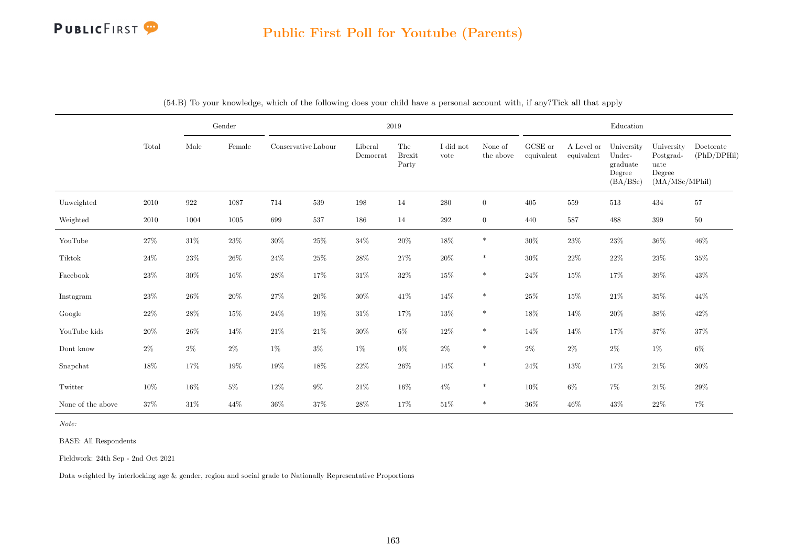

|                   |          |        | Gender |                     |        |                     | 2019                          |                   |                      |                               |                          | Education                                              |                                                             |                          |
|-------------------|----------|--------|--------|---------------------|--------|---------------------|-------------------------------|-------------------|----------------------|-------------------------------|--------------------------|--------------------------------------------------------|-------------------------------------------------------------|--------------------------|
|                   | Total    | Male   | Female | Conservative Labour |        | Liberal<br>Democrat | The<br><b>Brexit</b><br>Party | I did not<br>vote | None of<br>the above | ${\rm GCSE}$ or<br>equivalent | A Level or<br>equivalent | University<br>Under-<br>graduate<br>Degree<br>(BA/BSc) | University<br>Postgrad-<br>uate<br>Degree<br>(MA/MSc/MPhil) | Doctorate<br>(PhD/DPHil) |
| Unweighted        | $2010\,$ | 922    | 1087   | 714                 | 539    | 198                 | 14                            | 280               | $\overline{0}$       | 405                           | 559                      | 513                                                    | 434                                                         | 57                       |
| Weighted          | 2010     | 1004   | 1005   | 699                 | 537    | 186                 | 14                            | 292               | $\overline{0}$       | 440                           | 587                      | 488                                                    | 399                                                         | 50                       |
| YouTube           | 27%      | $31\%$ | $23\%$ | $30\%$              | $25\%$ | $34\%$              | $20\%$                        | $18\%$            | $\ast$               | $30\%$                        | $23\%$                   | $23\%$                                                 | $36\%$                                                      | 46%                      |
| Tiktok            | $24\%$   | $23\%$ | $26\%$ | $24\%$              | $25\%$ | $28\%$              | $27\%$                        | $20\%$            | $\ast$               | $30\%$                        | $22\%$                   | $22\%$                                                 | $23\%$                                                      | 35%                      |
| Facebook          | 23\%     | $30\%$ | $16\%$ | 28%                 | 17%    | $31\%$              | $32\%$                        | $15\%$            | $\ast$               | $24\%$                        | 15%                      | 17%                                                    | $39\%$                                                      | $43\%$                   |
| Instagram         | 23\%     | $26\%$ | $20\%$ | $27\%$              | $20\%$ | $30\%$              | 41\%                          | $14\%$            | $\ast$               | $25\%$                        | $15\%$                   | $21\%$                                                 | $35\%$                                                      | 44\%                     |
| Google            | 22\%     | $28\%$ | $15\%$ | 24%                 | $19\%$ | $31\%$              | $17\%$                        | $13\%$            | $\ast$               | $18\%$                        | 14%                      | $20\%$                                                 | $38\%$                                                      | 42\%                     |
| YouTube kids      | 20%      | $26\%$ | 14%    | 21\%                | 21\%   | $30\%$              | $6\%$                         | $12\%$            | *                    | 14%                           | 14%                      | 17%                                                    | $37\%$                                                      | 37%                      |
| Dont know         | $2\%$    | $2\%$  | $2\%$  | $1\%$               | $3\%$  | $1\%$               | $0\%$                         | $2\%$             | $\ast$               | $2\%$                         | $2\%$                    | $2\%$                                                  | $1\%$                                                       | $6\%$                    |
| Snapchat          | 18%      | 17%    | $19\%$ | $19\%$              | $18\%$ | $22\%$              | $26\%$                        | $14\%$            | $\ast$               | $24\%$                        | $13\%$                   | $17\%$                                                 | $21\%$                                                      | $30\%$                   |
| Twitter           | 10%      | $16\%$ | $5\%$  | 12%                 | $9\%$  | $21\%$              | 16%                           | $4\%$             | $\ast$               | $10\%$                        | $6\%$                    | $7\%$                                                  | $21\%$                                                      | 29%                      |
| None of the above | 37%      | $31\%$ | 44%    | 36%                 | 37%    | $28\%$              | 17%                           | $51\%$            | $\ast$               | 36%                           | 46%                      | 43%                                                    | 22%                                                         | $7\%$                    |

(54.B) To your knowledge, which of the following does your child have a personal account with, if any?Tick all that apply

Note:

BASE: All Respondents

Fieldwork: 24th Sep - 2nd Oct 2021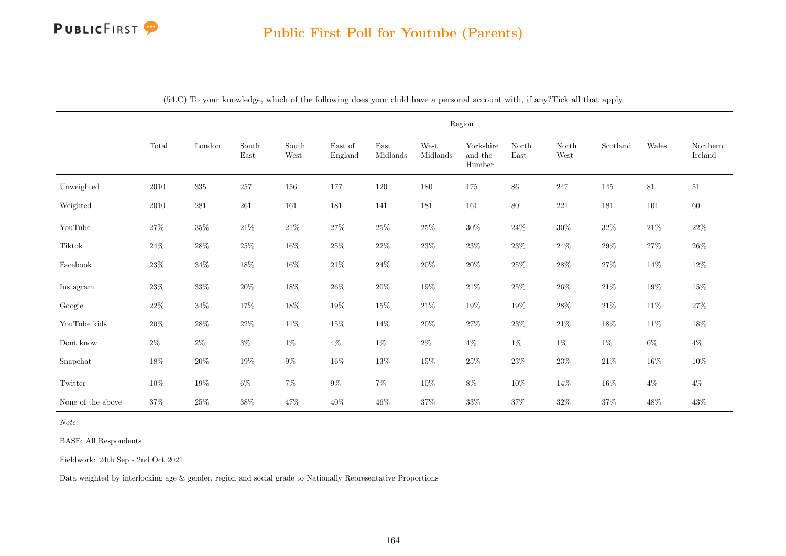

|                          |          |                         |                                |               |                    |                                   |                  | Region                            |               |               |          |        |                     |
|--------------------------|----------|-------------------------|--------------------------------|---------------|--------------------|-----------------------------------|------------------|-----------------------------------|---------------|---------------|----------|--------|---------------------|
|                          | Total    | $\operatorname{London}$ | $\operatorname{South}$<br>East | South<br>West | East of<br>England | $\operatorname{East}$<br>Midlands | West<br>Midlands | Yorkshire<br>and the<br>$H$ umber | North<br>East | North<br>West | Scotland | Wales  | Northern<br>Ireland |
| Unweighted               | $2010\,$ | $335\,$                 | 257                            | $156\,$       | 177                | $120\,$                           | 180              | 175                               | 86            | $247\,$       | 145      | $81\,$ | $51\,$              |
| Weighted                 | 2010     | 281                     | 261                            | 161           | 181                | 141                               | 181              | 161                               | 80            | 221           | 181      | 101    | 60                  |
| $\operatorname{YouTube}$ | $27\%$   | $35\%$                  | $21\%$                         | $21\%$        | $27\%$             | $25\%$                            | $25\%$           | $30\%$                            | $24\%$        | $30\%$        | $32\%$   | $21\%$ | $22\%$              |
| Tiktok                   | $24\%$   | $28\%$                  | $25\%$                         | $16\%$        | $25\%$             | $22\%$                            | $23\%$           | $23\%$                            | $23\%$        | $24\%$        | $29\%$   | $27\%$ | $26\%$              |
| Facebook                 | $23\%$   | $34\%$                  | $18\%$                         | $16\%$        | $21\%$             | $24\%$                            | $20\%$           | $20\%$                            | $25\%$        | $28\%$        | $27\%$   | $14\%$ | $12\%$              |
| Instagram                | $23\%$   | $33\%$                  | $20\%$                         | $18\%$        | $26\%$             | $20\%$                            | $19\%$           | $21\%$                            | $25\%$        | $26\%$        | $21\%$   | $19\%$ | $15\%$              |
| Google                   | $22\%$   | $34\%$                  | $17\%$                         | $18\%$        | $19\%$             | $15\%$                            | $21\%$           | $19\%$                            | $19\%$        | $28\%$        | $21\%$   | $11\%$ | $27\%$              |
| YouTube kids             | $20\%$   | $28\%$                  | $22\%$                         | $11\%$        | $15\%$             | 14\%                              | $20\%$           | $27\%$                            | $23\%$        | $21\%$        | $18\%$   | $11\%$ | $18\%$              |
| Dont know                | $2\%$    | $2\%$                   | $3\%$                          | $1\%$         | $4\%$              | $1\%$                             | $2\%$            | $4\%$                             | $1\%$         | $1\%$         | $1\%$    | $0\%$  | $4\%$               |
| Snapchat                 | $18\%$   | $20\%$                  | $19\%$                         | $9\%$         | $16\%$             | $13\%$                            | $15\%$           | $25\%$                            | $23\%$        | $23\%$        | $21\%$   | $16\%$ | $10\%$              |
| Twitter                  | $10\%$   | $19\%$                  | $6\%$                          | $7\%$         | $9\%$              | $7\%$                             | $10\%$           | $8\%$                             | $10\%$        | $14\%$        | $16\%$   | $4\%$  | $4\%$               |
| None of the above        | 37%      | $25\%$                  | $38\%$                         | 47%           | $40\%$             | $46\%$                            | 37%              | $33\%$                            | $37\%$        | $32\%$        | 37%      | $48\%$ | $43\%$              |

(54.C) To your knowledge, which of the following does your child have a personal account with, if any?Tick all that apply

Note:

BASE: All Respondents

Fieldwork: 24th Sep - 2nd Oct 2021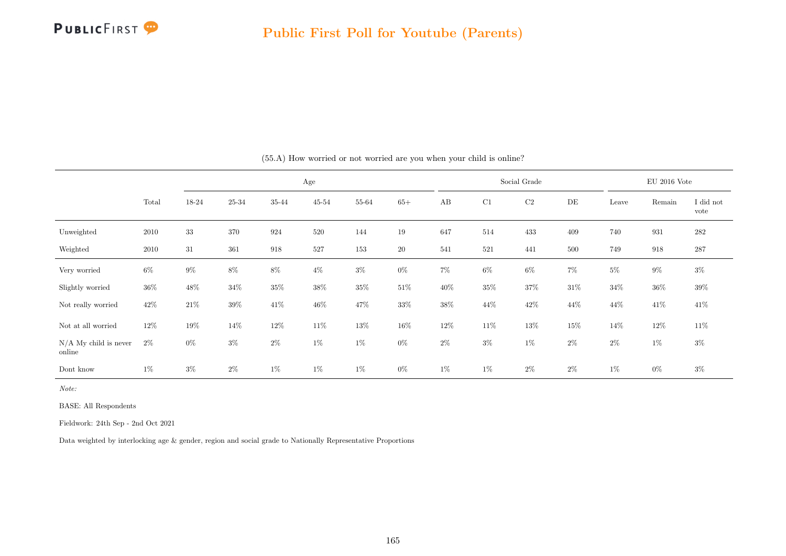

|                                   |        |        |           |        | $\rm Age$ |        |        |        |        | Social Grade |        |        | $\mathrm{EU}$ 2016 Vote |                   |
|-----------------------------------|--------|--------|-----------|--------|-----------|--------|--------|--------|--------|--------------|--------|--------|-------------------------|-------------------|
|                                   | Total  | 18-24  | $25 - 34$ | 35-44  | $45 - 54$ | 55-64  | $65+$  | AB     | C1     | $\rm{C2}$    | DE     | Leave  | Remain                  | I did not<br>vote |
| Unweighted                        | 2010   | $33\,$ | 370       | 924    | 520       | 144    | $19\,$ | 647    | 514    | 433          | 409    | 740    | 931                     | 282               |
| Weighted                          | 2010   | $31\,$ | 361       | 918    | 527       | 153    | 20     | 541    | 521    | 441          | 500    | 749    | 918                     | $287\,$           |
| Very worried                      | $6\%$  | $9\%$  | $8\%$     | $8\%$  | $4\%$     | $3\%$  | $0\%$  | $7\%$  | $6\%$  | $6\%$        | $7\%$  | $5\%$  | $9\%$                   | $3\%$             |
| Slightly worried                  | $36\%$ | 48\%   | $34\%$    | $35\%$ | $38\%$    | $35\%$ | $51\%$ | $40\%$ | $35\%$ | $37\%$       | $31\%$ | $34\%$ | $36\%$                  | $39\%$            |
| Not really worried                | $42\%$ | $21\%$ | $39\%$    | 41\%   | 46\%      | $47\%$ | $33\%$ | $38\%$ | $44\%$ | $42\%$       | 44\%   | 44%    | $41\%$                  | $41\%$            |
| Not at all worried                | $12\%$ | 19%    | 14\%      | 12\%   | 11\%      | 13%    | $16\%$ | 12\%   | $11\%$ | $13\%$       | 15%    | $14\%$ | $12\%$                  | $11\%$            |
| $N/A$ My child is never<br>online | $2\%$  | $0\%$  | $3\%$     | $2\%$  | $1\%$     | $1\%$  | $0\%$  | $2\%$  | $3\%$  | $1\%$        | $2\%$  | $2\%$  | $1\%$                   | $3\%$             |
| Dont know                         | $1\%$  | $3\%$  | $2\%$     | $1\%$  | $1\%$     | $1\%$  | $0\%$  | 1%     | $1\%$  | $2\%$        | $2\%$  | 1%     | $0\%$                   | $3\%$             |

(55.A) How worried or not worried are you when your child is online?

Note:

BASE: All Respondents

Fieldwork: 24th Sep - 2nd Oct 2021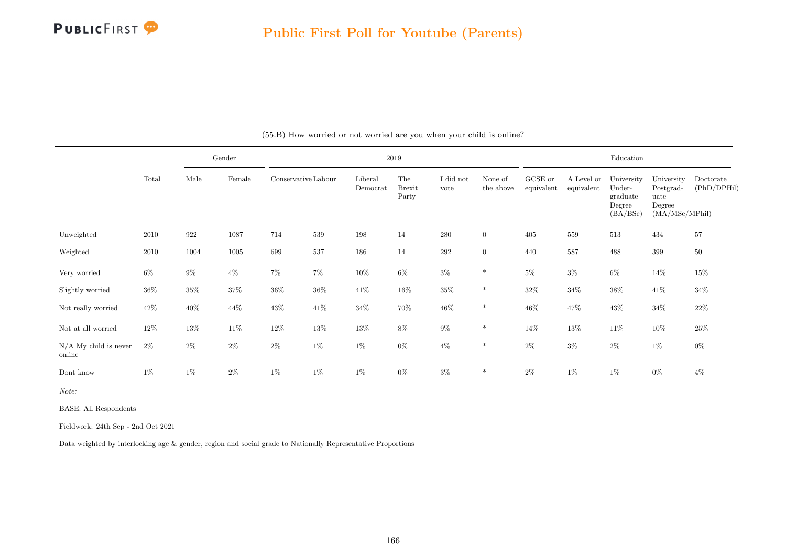

|                                   |        |        | Gender   |                     |        |                     | 2019                          |                   |                      |                       |                          | Education                                              |                                                             |                          |
|-----------------------------------|--------|--------|----------|---------------------|--------|---------------------|-------------------------------|-------------------|----------------------|-----------------------|--------------------------|--------------------------------------------------------|-------------------------------------------------------------|--------------------------|
|                                   | Total  | Male   | Female   | Conservative Labour |        | Liberal<br>Democrat | The<br><b>Brexit</b><br>Party | I did not<br>vote | None of<br>the above | GCSE or<br>equivalent | A Level or<br>equivalent | University<br>Under-<br>graduate<br>Degree<br>(BA/BSc) | University<br>Postgrad-<br>uate<br>Degree<br>(MA/MSc/MPhil) | Doctorate<br>(PhD/DPHil) |
| Unweighted                        | 2010   | 922    | $1087\,$ | 714                 | 539    | $198\,$             | 14                            | 280               | $\overline{0}$       | 405                   | 559                      | 513                                                    | 434                                                         | $57\,$                   |
| Weighted                          | 2010   | 1004   | 1005     | 699                 | 537    | 186                 | 14                            | $\,292$           | $\overline{0}$       | 440                   | 587                      | 488                                                    | 399                                                         | $50\,$                   |
| Very worried                      | $6\%$  | $9\%$  | $4\%$    | $7\%$               | $7\%$  | $10\%$              | $6\%$                         | $3\%$             | $\ast$               | $5\%$                 | $3\%$                    | $6\%$                                                  | $14\%$                                                      | $15\%$                   |
| Slightly worried                  | $36\%$ | $35\%$ | $37\%$   | $36\%$              | $36\%$ | $41\%$              | $16\%$                        | $35\%$            | $\ast$               | 32%                   | $34\%$                   | $38\%$                                                 | 41\%                                                        | $34\%$                   |
| Not really worried                | $42\%$ | $40\%$ | $44\%$   | 43\%                | 41\%   | $34\%$              | $70\%$                        | $46\%$            | $\ast$               | $46\%$                | 47%                      | $43\%$                                                 | $34\%$                                                      | $22\%$                   |
| Not at all worried                | $12\%$ | $13\%$ | $11\%$   | 12\%                | $13\%$ | $13\%$              | $8\%$                         | $9\%$             | $\ast$               | 14\%                  | $13\%$                   | $11\%$                                                 | 10%                                                         | $25\%$                   |
| $N/A$ My child is never<br>online | $2\%$  | $2\%$  | $2\%$    | $2\%$               | $1\%$  | $1\%$               | $0\%$                         | $4\%$             | $\ast$               | $2\%$                 | $3\%$                    | $2\%$                                                  | $1\%$                                                       | $0\%$                    |
| Dont know                         | $1\%$  | $1\%$  | $2\%$    | $1\%$               | $1\%$  | $1\%$               | $0\%$                         | $3\%$             | $\ast$               | $2\%$                 | 1%                       | $1\%$                                                  | $0\%$                                                       | $4\%$                    |

(55.B) How worried or not worried are you when your child is online?

Note:

BASE: All Respondents

Fieldwork: 24th Sep - 2nd Oct 2021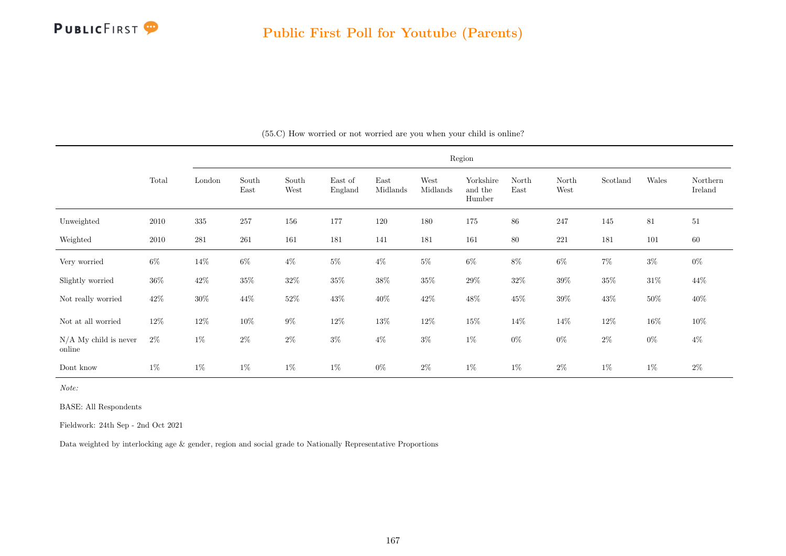

|                                   |        |           |               |               |                    |                  |                  | Region                         |               |               |          |        |                     |
|-----------------------------------|--------|-----------|---------------|---------------|--------------------|------------------|------------------|--------------------------------|---------------|---------------|----------|--------|---------------------|
|                                   | Total  | London    | South<br>East | South<br>West | East of<br>England | East<br>Midlands | West<br>Midlands | Yorkshire<br>and the<br>Humber | North<br>East | North<br>West | Scotland | Wales  | Northern<br>Ireland |
| Unweighted                        | 2010   | 335       | 257           | 156           | 177                | 120              | 180              | 175                            | 86            | 247           | 145      | 81     | 51                  |
| Weighted                          | 2010   | $\bf 281$ | 261           | 161           | 181                | 141              | 181              | 161                            | $80\,$        | 221           | 181      | 101    | 60                  |
| Very worried                      | $6\%$  | $14\%$    | $6\%$         | $4\%$         | $5\%$              | $4\%$            | $5\%$            | $6\%$                          | $8\%$         | $6\%$         | $7\%$    | $3\%$  | $0\%$               |
| Slightly worried                  | $36\%$ | $42\%$    | $35\%$        | $32\%$        | $35\%$             | $38\%$           | $35\%$           | $29\%$                         | $32\%$        | $39\%$        | $35\%$   | $31\%$ | 44\%                |
| Not really worried                | $42\%$ | $30\%$    | 44\%          | $52\%$        | $43\%$             | $40\%$           | $42\%$           | $48\%$                         | $45\%$        | $39\%$        | $43\%$   | $50\%$ | $40\%$              |
| Not at all worried                | $12\%$ | $12\%$    | $10\%$        | $9\%$         | $12\%$             | $13\%$           | $12\%$           | $15\%$                         | 14%           | 14\%          | $12\%$   | $16\%$ | $10\%$              |
| $N/A$ My child is never<br>online | $2\%$  | $1\%$     | $2\%$         | $2\%$         | $3\%$              | $4\%$            | $3\%$            | $1\%$                          | $0\%$         | $0\%$         | $2\%$    | $0\%$  | $4\%$               |
| Dont know                         | $1\%$  | $1\%$     | $1\%$         | $1\%$         | $1\%$              | $0\%$            | $2\%$            | $1\%$                          | $1\%$         | $2\%$         | $1\%$    | $1\%$  | $2\%$               |

(55.C) How worried or not worried are you when your child is online?

Note:

BASE: All Respondents

Fieldwork: 24th Sep - 2nd Oct 2021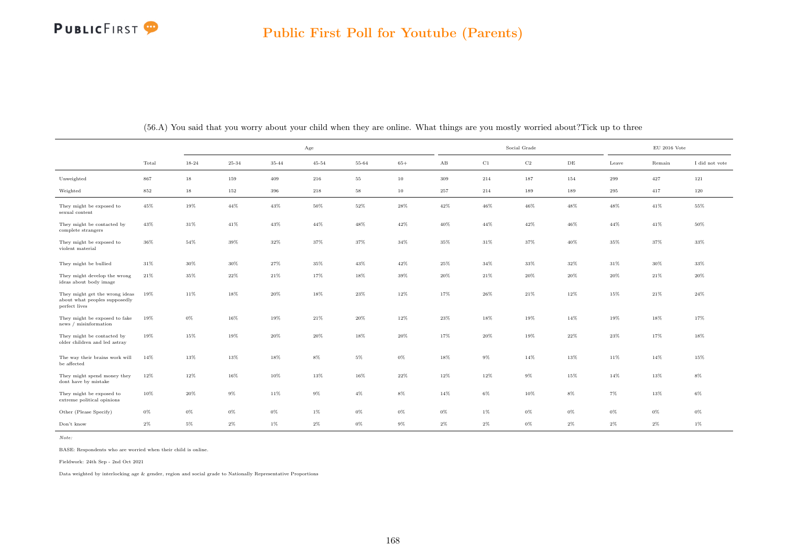## PUBLICFIRST<sup>9</sup>

|                                                                                  |         |        |        |        | $_{\rm Age}$ |        |        |        |             | Social Grade |        |        | $EU$ 2016 Vote |                |
|----------------------------------------------------------------------------------|---------|--------|--------|--------|--------------|--------|--------|--------|-------------|--------------|--------|--------|----------------|----------------|
|                                                                                  | Total   | 18-24  | 25-34  | 35-44  | $45 - 54$    | 55-64  | $65+$  | AB     | $_{\rm C1}$ | $_{\rm C2}$  | DE     | Leave  | Remain         | I did not vote |
| Unweighted                                                                       | 867     | 18     | 159    | 409    | 216          | $55\,$ | $10\,$ | 309    | 214         | 187          | 154    | 299    | 427            | 121            |
| Weighted                                                                         | $852\,$ | 18     | 152    | 396    | $218\,$      | 58     | 10     | 257    | 214         | 189          | 189    | 295    | 417            | 120            |
| They might be exposed to<br>sexual content                                       | 45%     | 19%    | 44%    | $43\%$ | 50%          | 52%    | $28\%$ | 42%    | 46%         | $46\%$       | 48%    | 48%    | $41\%$         | $55\%$         |
| They might be contacted by<br>complete strangers                                 | $43\%$  | $31\%$ | 41%    | $43\%$ | 44%          | 48%    | $42\%$ | 40%    | $44\%$      | 42%          | 46%    | $44\%$ | 41%            | 50%            |
| They might be exposed to<br>violent material                                     | 36%     | $54\%$ | 39%    | $32\%$ | 37%          | 37%    | $34\%$ | $35\%$ | 31%         | $37\%$       | $40\%$ | $35\%$ | 37%            | $33\%$         |
| They might be bullied                                                            | $31\%$  | $30\%$ | $30\%$ | 27%    | $35\%$       | 43%    | $42\%$ | 25%    | $34\%$      | $33\%$       | $32\%$ | $31\%$ | 30%            | $33\%$         |
| They might develop the wrong<br>ideas about body image                           | 21%     | 35%    | 22%    | $21\%$ | 17%          | 18%    | 39%    | 20%    | 21%         | $20\%$       | 20%    | $20\%$ | $21\%$         | $20\%$         |
| They might get the wrong ideas<br>about what peoples supposedly<br>perfect lives | 19%     | $11\%$ | $18\%$ | $20\%$ | 18%          | $23\%$ | $12\%$ | 17%    | $26\%$      | $21\%$       | 12%    | $15\%$ | 21%            | $24\%$         |
| They might be exposed to fake<br>news / misinformation                           | 19%     | $0\%$  | 16%    | 19%    | $21\%$       | 20%    | 12%    | $23\%$ | 18%         | 19%          | 14%    | 19%    | 18%            | 17%            |
| They might be contacted by<br>older children and led astray                      | 19%     | 15%    | 19%    | $20\%$ | 20%          | 18%    | $20\%$ | 17%    | 20%         | 19%          | 22%    | $23\%$ | 17%            | 18%            |
| The way their brains work will<br>be affected                                    | 14%     | 13%    | 13%    | 18%    | $8\%$        | $5\%$  | $0\%$  | 18%    | $9\%$       | 14%          | 13%    | $11\%$ | 14%            | 15%            |
| They might spend money they<br>dont have by mistake                              | 12%     | 12%    | 16%    | $10\%$ | 13%          | 16%    | $22\%$ | 12%    | 12%         | $9\%$        | 15%    | $14\%$ | $13\%$         | $8\%$          |
| They might be exposed to<br>extreme political opinions                           | 10%     | 20%    | $9\%$  | 11%    | $9\%$        | $4\%$  | $8\%$  | 14%    | $6\%$       | 10%          | $8\%$  | 7%     | 13%            | $6\%$          |
| Other (Please Specify)                                                           | $0\%$   | $0\%$  | $0\%$  | $0\%$  | 1%           | $0\%$  | $0\%$  | $0\%$  | $1\%$       | $0\%$        | 0%     | $0\%$  | $0\%$          | 0%             |
| Don't know                                                                       | $2\%$   | $5\%$  | $2\%$  | $1\%$  | $2\%$        | $0\%$  | $9\%$  | $2\%$  | $2\%$       | $0\%$        | $2\%$  | $2\%$  | $2\%$          | $1\%$          |

(56.A) You said that you worry about your child when they are online. What things are you mostly worried about?Tick up to three

Note:

BASE: Respondents who are worried when their child is online.

Fieldwork: 24th Sep - 2nd Oct 2021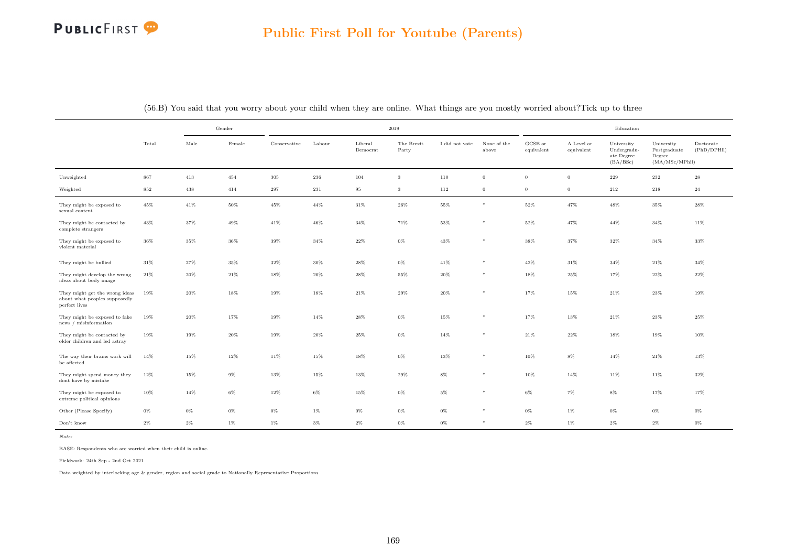## PUBLICFIRST<sup>9</sup>

|                                                                                  |        |        | Gender |              |         |                     | 2019                |                |                      |                               |                          | Education                                           |                                                         |                          |
|----------------------------------------------------------------------------------|--------|--------|--------|--------------|---------|---------------------|---------------------|----------------|----------------------|-------------------------------|--------------------------|-----------------------------------------------------|---------------------------------------------------------|--------------------------|
|                                                                                  | Total  | Male   | Female | Conservative | Labour  | Liberal<br>Democrat | The Brexit<br>Party | I did not vote | None of the<br>above | ${\rm GCSE}$ or<br>equivalent | A Level or<br>equivalent | University<br>Undergradu-<br>ate Degree<br>(BA/BSc) | University<br>Postgraduate<br>Degree<br>(MA/MSc/MPhill) | Doctorate<br>(PhD/DPHil) |
| Unweighted                                                                       | 867    | 413    | 454    | $305\,$      | $\,236$ | 104                 | 3                   | 110            | $\overline{0}$       | $\overline{0}$                | $\mathbf{0}$             | 229                                                 | $232\,$                                                 | 28                       |
| Weighted                                                                         | 852    | 438    | 414    | 297          | 231     | 95                  | 3                   | 112            | $\overline{0}$       | $\overline{0}$                | $\mathbf{0}$             | 212                                                 | 218                                                     | 24                       |
| They might be exposed to<br>sexual content                                       | $45\%$ | 41%    | $50\%$ | $45\%$       | 44%     | $31\%$              | $26\%$              | 55%            | $\ast$               | $52\%$                        | 47%                      | $48\%$                                              | $35\%$                                                  | 28%                      |
| They might be contacted by<br>complete strangers                                 | $43\%$ | 37%    | 49%    | $41\%$       | 46%     | 34%                 | 71%                 | 53%            | $*$                  | 52%                           | 47%                      | $44\%$                                              | 34%                                                     | 11%                      |
| They might be exposed to<br>violent material                                     | $36\%$ | 35%    | 36%    | 39%          | 34%     | 22%                 | $0\%$               | 43%            | $\ast$               | 38%                           | 37%                      | 32%                                                 | 34%                                                     | 33%                      |
| They might be bullied                                                            | $31\%$ | 27%    | $35\%$ | $32\%$       | 30%     | 28%                 | $0\%$               | 41%            | $\ast$               | $42\%$                        | 31%                      | $34\%$                                              | $21\%$                                                  | 34%                      |
| They might develop the wrong<br>ideas about body image                           | $21\%$ | $20\%$ | $21\%$ | $18\%$       | 20%     | 28%                 | $55\%$              | 20%            | $*$                  | 18%                           | 25%                      | 17%                                                 | $22\%$                                                  | 22%                      |
| They might get the wrong ideas<br>about what peoples supposedly<br>perfect lives | 19%    | 20%    | 18%    | 19%          | 18%     | 21%                 | $29\%$              | 20%            | $\ast$               | 17%                           | 15%                      | $21\%$                                              | $23\%$                                                  | 19%                      |
| They might be exposed to fake<br>news / misinformation                           | 19%    | 20%    | 17%    | 19%          | 14%     | 28%                 | $0\%$               | 15%            | $*$                  | 17%                           | 13%                      | 21%                                                 | 23%                                                     | 25%                      |
| They might be contacted by<br>older children and led astray                      | $19\%$ | 19%    | 20%    | 19%          | 20%     | 25%                 | $0\%$               | 14%            | $*$                  | $21\%$                        | 22%                      | 18%                                                 | 19%                                                     | 10%                      |
| The way their brains work will<br>be affected                                    | $14\%$ | 15%    | 12%    | 11%          | $15\%$  | 18%                 | $0\%$               | 13%            | $*$                  | 10%                           | $8\%$                    | 14%                                                 | $21\%$                                                  | 13%                      |
| They might spend money they<br>dont have by mistake                              | $12\%$ | 15%    | $9\%$  | 13%          | 15%     | 13%                 | $29\%$              | $8\%$          | $\ast$               | 10%                           | 14%                      | 11%                                                 | 11%                                                     | 32%                      |
| They might be exposed to<br>extreme political opinions                           | 10%    | 14%    | $6\%$  | $12\%$       | $6\%$   | 15%                 | $0\%$               | $5\%$          | $*$                  | $6\%$                         | $7\%$                    | $8\%$                                               | 17%                                                     | 17%                      |
| Other (Please Specify)                                                           | $0\%$  | $0\%$  | $0\%$  | $0\%$        | $1\%$   | $0\%$               | $0\%$               | $0\%$          | $\ast$               | $0\%$                         | $1\%$                    | $0\%$                                               | $0\%$                                                   | $0\%$                    |
| Don't know                                                                       | $2\%$  | $2\%$  | $1\%$  | $1\%$        | $3\%$   | $2\%$               | $0\%$               | $0\%$          | $*$                  | $2\%$                         | $1\%$                    | $2\%$                                               | $2\%$                                                   | $0\%$                    |

(56.B) You said that you worry about your child when they are online. What things are you mostly worried about?Tick up to three

Note:

BASE: Respondents who are worried when their child is online.

Fieldwork: 24th Sep - 2nd Oct 2021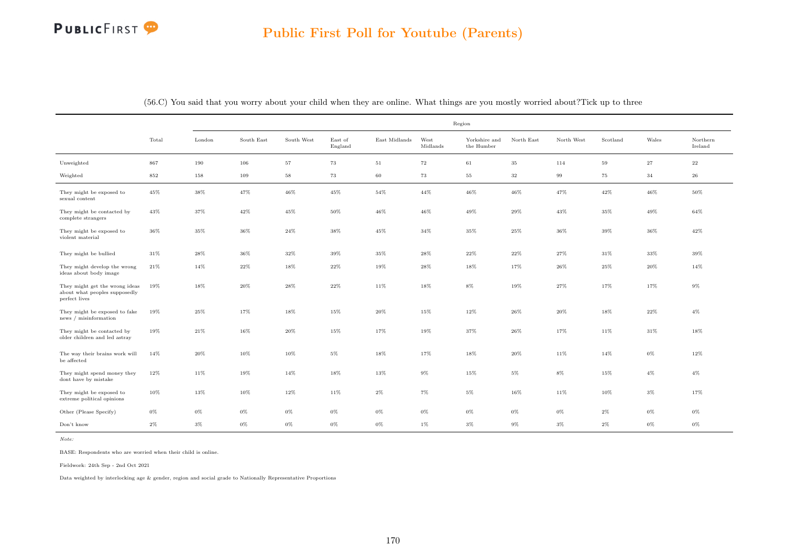

|                                                                                  |        |        |            |             |                    |               |                  | Region                      |            |            |          |        |                     |
|----------------------------------------------------------------------------------|--------|--------|------------|-------------|--------------------|---------------|------------------|-----------------------------|------------|------------|----------|--------|---------------------|
|                                                                                  | Total  | London | South East | South West  | East of<br>England | East Midlands | West<br>Midlands | Yorkshire and<br>the Humber | North East | North West | Scotland | Wales  | Northern<br>Ireland |
| Unweighted                                                                       | 867    | 190    | 106        | $5\,7$      | 73                 | $51\,$        | $\bf 72$         | $61\,$                      | $35\,$     | 114        | $\bf 59$ | $27\,$ | $\bf{^{22}}$        |
| Weighted                                                                         | 852    | 158    | 109        | $^{\rm 58}$ | 73                 | 60            | 73               | 55                          | 32         | 99         | 75       | 34     | $\bf 26$            |
| They might be exposed to<br>sexual content                                       | 45%    | 38%    | 47%        | 46%         | 45%                | 54%           | 44%              | 46%                         | 46%        | 47%        | 42%      | 46%    | 50%                 |
| They might be contacted by<br>complete strangers                                 | 43%    | 37%    | 42%        | 45%         | 50%                | $46\%$        | 46%              | 49%                         | 29%        | 43%        | 35%      | 49%    | 64%                 |
| They might be exposed to<br>violent material                                     | $36\%$ | 35%    | 36%        | $24\%$      | 38%                | $45\%$        | $34\%$           | $35\%$                      | 25%        | $36\%$     | 39%      | $36\%$ | $42\%$              |
| They might be bullied                                                            | $31\%$ | 28%    | 36%        | $32\%$      | 39%                | 35%           | 28%              | $22\%$                      | $22\%$     | 27%        | 31%      | $33\%$ | 39%                 |
| They might develop the wrong<br>ideas about body image                           | 21%    | 14%    | 22%        | 18%         | 22%                | 19%           | 28%              | $18\%$                      | 17%        | $26\%$     | 25%      | $20\%$ | 14%                 |
| They might get the wrong ideas<br>about what peoples supposedly<br>perfect lives | 19%    | $18\%$ | 20%        | 28%         | 22%                | $11\%$        | 18%              | $8\%$                       | 19%        | 27%        | 17%      | 17%    | $9\%$               |
| They might be exposed to fake<br>news / misinformation                           | 19%    | $25\%$ | 17%        | 18%         | 15%                | $20\%$        | 15%              | $12\%$                      | 26%        | 20%        | 18%      | $22\%$ | $4\%$               |
| They might be contacted by<br>older children and led astray                      | 19%    | 21%    | 16%        | 20%         | 15%                | 17%           | 19%              | 37%                         | 26%        | 17%        | 11%      | 31%    | 18%                 |
| The way their brains work will<br>be affected                                    | 14%    | $20\%$ | 10%        | 10%         | 5%                 | 18%           | 17%              | 18%                         | 20%        | 11%        | 14%      | $0\%$  | 12%                 |
| They might spend money they<br>dont have by mistake                              | 12%    | 11%    | 19%        | 14%         | 18%                | 13%           | $9\%$            | 15%                         | 5%         | 8%         | 15%      | $4\%$  | $4\%$               |
| They might be exposed to<br>extreme political opinions                           | 10%    | $13\%$ | 10%        | 12%         | 11%                | $2\%$         | $7\%$            | $5\%$                       | 16%        | 11%        | 10%      | $3\%$  | 17%                 |
| Other (Please Specify)                                                           | 0%     | 0%     | 0%         | $0\%$       | 0%                 | $0\%$         | $0\%$            | 0%                          | 0%         | $0\%$      | 2%       | $0\%$  | $0\%$               |
| Don't know                                                                       | $2\%$  | $3\%$  | 0%         | $0\%$       | 0%                 | 0%            | $1\%$            | $3\%$                       | 9%         | 3%         | $2\%$    | 0%     | $0\%$               |

(56.C) You said that you worry about your child when they are online. What things are you mostly worried about?Tick up to three

Note:

BASE: Respondents who are worried when their child is online.

Fieldwork: 24th Sep - 2nd Oct 2021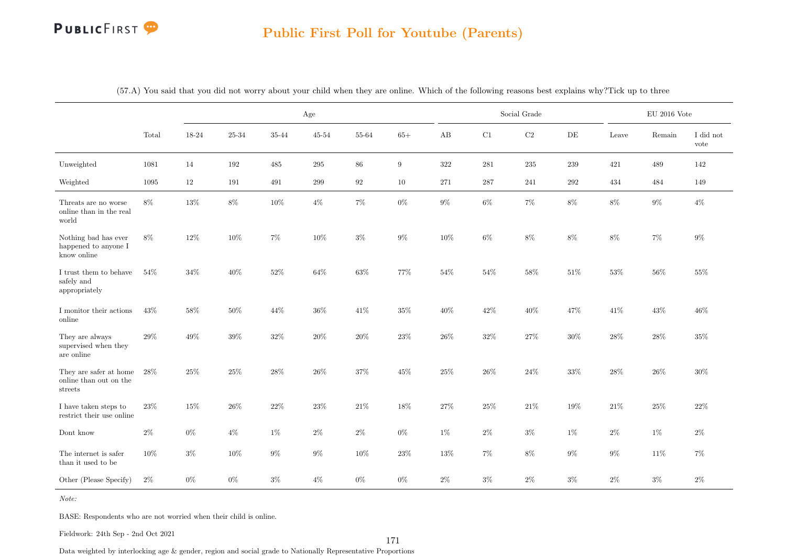# PUBLICFIRST<sup>9</sup>

#### Public First Poll for Youtube (Parents)

|                                                             |        |        |           | Age    |           |        |        |         |              | Social Grade |           |        | $EU$ 2016 Vote |                   |
|-------------------------------------------------------------|--------|--------|-----------|--------|-----------|--------|--------|---------|--------------|--------------|-----------|--------|----------------|-------------------|
|                                                             | Total  | 18-24  | $25 - 34$ | 35-44  | $45 - 54$ | 55-64  | $65+$  | AB      | C1           | $\rm{C2}$    | $\rm{DE}$ | Leave  | Remain         | I did not<br>vote |
| Unweighted                                                  | 1081   | 14     | 192       | 485    | $\,295$   | $86\,$ | 9      | $322\,$ | 281          | $235\,$      | $\,239$   | 421    | 489            | 142               |
| Weighted                                                    | 1095   | 12     | 191       | 491    | 299       | 92     | $10\,$ | 271     | $\sqrt{287}$ | 241          | $\,292$   | 434    | 484            | 149               |
| Threats are no worse<br>online than in the real<br>world    | $8\%$  | $13\%$ | $8\%$     | $10\%$ | $4\%$     | $7\%$  | $0\%$  | $9\%$   | $6\%$        | $7\%$        | $8\%$     | $8\%$  | $9\%$          | $4\%$             |
| Nothing bad has ever<br>happened to anyone I<br>know online | $8\%$  | $12\%$ | $10\%$    | $7\%$  | $10\%$    | $3\%$  | $9\%$  | $10\%$  | $6\%$        | $8\%$        | $8\%$     | $8\%$  | $7\%$          | $9\%$             |
| $\rm I$ trust them to behave<br>safely and<br>appropriately | $54\%$ | $34\%$ | 40%       | $52\%$ | $64\%$    | 63%    | $77\%$ | $54\%$  | $54\%$       | 58%          | $51\%$    | $53\%$ | $56\%$         | $55\%$            |
| I monitor their actions<br>online                           | $43\%$ | 58%    | $50\%$    | $44\%$ | $36\%$    | $41\%$ | $35\%$ | $40\%$  | 42\%         | $40\%$       | $47\%$    | $41\%$ | $43\%$         | 46\%              |
| They are always<br>supervised when they<br>are online       | $29\%$ | $49\%$ | $39\%$    | $32\%$ | $20\%$    | $20\%$ | $23\%$ | $26\%$  | $32\%$       | $27\%$       | $30\%$    | $28\%$ | $28\%$         | $35\%$            |
| They are safer at home<br>online than out on the<br>streets | $28\%$ | $25\%$ | $25\%$    | $28\%$ | $26\%$    | $37\%$ | $45\%$ | $25\%$  | $26\%$       | $24\%$       | $33\%$    | $28\%$ | $26\%$         | $30\%$            |
| I have taken steps to<br>restrict their use online          | $23\%$ | $15\%$ | 26\%      | $22\%$ | 23%       | $21\%$ | 18%    | $27\%$  | 25%          | $21\%$       | 19%       | $21\%$ | $25\%$         | $22\%$            |
| Dont know                                                   | $2\%$  | $0\%$  | $4\%$     | $1\%$  | $2\%$     | $2\%$  | $0\%$  | $1\%$   | $2\%$        | $3\%$        | $1\%$     | $2\%$  | $1\%$          | $2\%$             |
| The internet is safer<br>than it used to be                 | $10\%$ | $3\%$  | $10\%$    | $9\%$  | $9\%$     | $10\%$ | $23\%$ | $13\%$  | $7\%$        | $8\%$        | $9\%$     | $9\%$  | $11\%$         | $7\%$             |
| Other (Please Specify)                                      | $2\%$  | $0\%$  | $0\%$     | $3\%$  | $4\%$     | $0\%$  | $0\%$  | $2\%$   | $3\%$        | $2\%$        | $3\%$     | $2\%$  | $3\%$          | $2\%$             |

(57.A) You said that you did not worry about your child when they are online. Which of the following reasons best explains why?Tick up to three

Note:

BASE: Respondents who are not worried when their child is online.

Fieldwork: 24th Sep - 2nd Oct 2021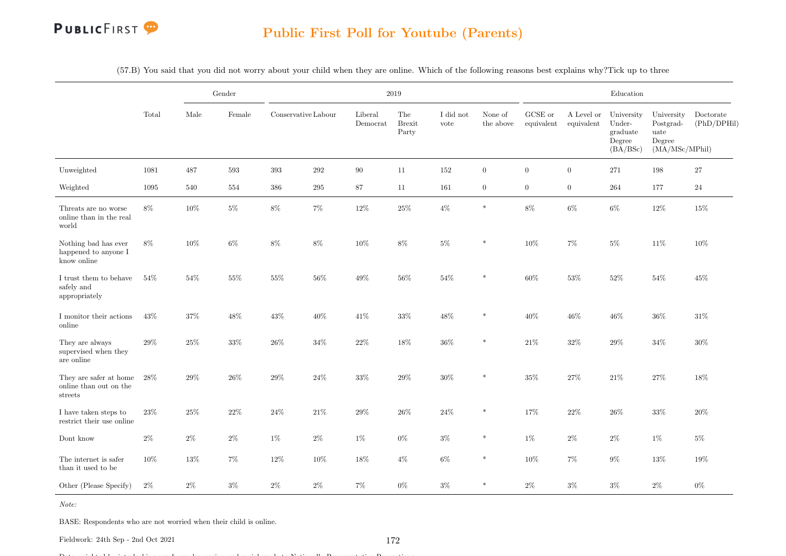

(57.B) You said that you did not worry about your child when they are online. Which of the following reasons best explains why?Tick up to three

|                                                             |        |        | Gender |                     |         |                     | $2019\,$                      |                   |                      |                               |                          | Education                                              |                                                             |                          |
|-------------------------------------------------------------|--------|--------|--------|---------------------|---------|---------------------|-------------------------------|-------------------|----------------------|-------------------------------|--------------------------|--------------------------------------------------------|-------------------------------------------------------------|--------------------------|
|                                                             | Total  | Male   | Female | Conservative Labour |         | Liberal<br>Democrat | The<br><b>Brexit</b><br>Party | I did not<br>vote | None of<br>the above | ${\rm GCSE}$ or<br>equivalent | A Level or<br>equivalent | University<br>Under-<br>graduate<br>Degree<br>(BA/BSc) | University<br>Postgrad-<br>uate<br>Degree<br>(MA/MSc/MPhil) | Doctorate<br>(PhD/DPHil) |
| Unweighted                                                  | 1081   | 487    | 593    | 393                 | 292     | $90\,$              | 11                            | 152               | $\overline{0}$       | $\overline{0}$                | $\boldsymbol{0}$         | 271                                                    | 198                                                         | 27                       |
| Weighted                                                    | 1095   | 540    | 554    | 386                 | $\,295$ | 87                  | 11                            | 161               | $\overline{0}$       | $\overline{0}$                | $\overline{0}$           | 264                                                    | 177                                                         | 24                       |
| Threats are no worse<br>online than in the real<br>world    | 8%     | $10\%$ | $5\%$  | $8\%$               | $7\%$   | $12\%$              | $25\%$                        | $4\%$             | $\ast$               | $8\%$                         | $6\%$                    | $6\%$                                                  | $12\%$                                                      | 15%                      |
| Nothing bad has ever<br>happened to anyone I<br>know online | 8%     | 10%    | $6\%$  | $8\%$               | $8\%$   | $10\%$              | $8\%$                         | $5\%$             | $\ast$               | 10%                           | $7\%$                    | $5\%$                                                  | 11%                                                         | 10%                      |
| I trust them to behave<br>safely and<br>appropriately       | 54%    | 54%    | $55\%$ | 55%                 | 56%     | 49%                 | $56\%$                        | 54%               | $\ast$               | $60\%$                        | $53\%$                   | 52%                                                    | 54%                                                         | 45%                      |
| I monitor their actions<br>online                           | $43\%$ | 37%    | 48%    | $43\%$              | 40%     | $41\%$              | $33\%$                        | 48%               | $\ast$               | $40\%$                        | 46\%                     | $46\%$                                                 | $36\%$                                                      | 31%                      |
| They are always<br>supervised when they<br>are online       | $29\%$ | $25\%$ | $33\%$ | $26\%$              | $34\%$  | $22\%$              | $18\%$                        | $36\%$            | $\ast$               | $21\%$                        | $32\%$                   | $29\%$                                                 | $34\%$                                                      | $30\%$                   |
| They are safer at home<br>online than out on the<br>streets | $28\%$ | $29\%$ | $26\%$ | $29\%$              | 24%     | $33\%$              | $29\%$                        | $30\%$            | $\ast$               | $35\%$                        | $27\%$                   | $21\%$                                                 | $27\%$                                                      | 18%                      |
| I have taken steps to<br>restrict their use online          | $23\%$ | $25\%$ | $22\%$ | $24\%$              | $21\%$  | $29\%$              | $26\%$                        | $24\%$            | $\ast$               | 17%                           | $22\%$                   | $26\%$                                                 | $33\%$                                                      | $20\%$                   |
| Dont know                                                   | $2\%$  | $2\%$  | $2\%$  | $1\%$               | $2\%$   | $1\%$               | $0\%$                         | $3\%$             | $\ast$               | $1\%$                         | $2\%$                    | $2\%$                                                  | $1\%$                                                       | $5\%$                    |
| The internet is safer<br>than it used to be                 | 10%    | 13%    | $7\%$  | $12\%$              | 10%     | 18%                 | $4\%$                         | $6\%$             | $\ast$               | 10%                           | $7\%$                    | $9\%$                                                  | $13\%$                                                      | 19%                      |
| Other (Please Specify)                                      | $2\%$  | $2\%$  | $3\%$  | $2\%$               | $2\%$   | $7\%$               | $0\%$                         | $3\%$             | $\ast$               | $2\%$                         | $3\%$                    | $3\%$                                                  | $2\%$                                                       | $0\%$                    |

Note:

BASE: Respondents who are not worried when their child is online.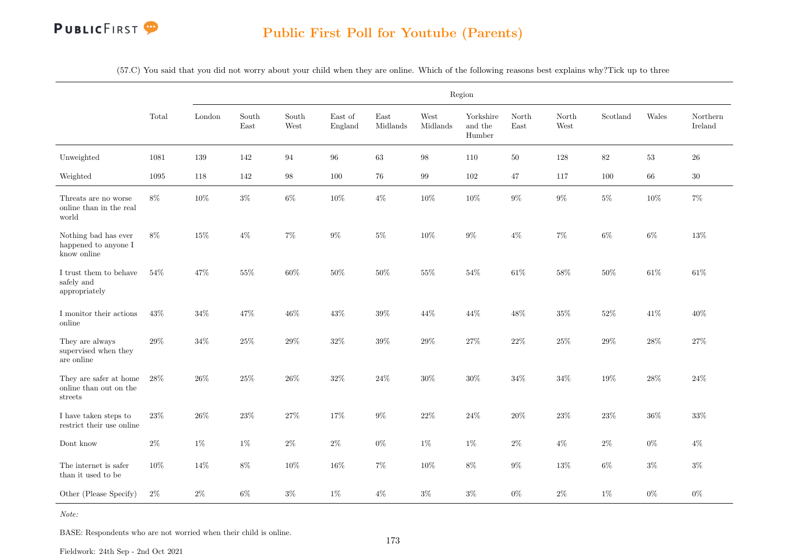

(57.C) You said that you did not worry about your child when they are online. Which of the following reasons best explains why?Tick up to three

|                                                             |        |        |                                |               |                    |                  |                   | Region                         |               |                                |          |        |                     |
|-------------------------------------------------------------|--------|--------|--------------------------------|---------------|--------------------|------------------|-------------------|--------------------------------|---------------|--------------------------------|----------|--------|---------------------|
|                                                             | Total  | London | South<br>$\operatorname{East}$ | South<br>West | East of<br>England | East<br>Midlands | West<br>Midlands  | Yorkshire<br>and the<br>Humber | North<br>East | North<br>$\operatorname{West}$ | Scotland | Wales  | Northern<br>Ireland |
| Unweighted                                                  | 1081   | 139    | 142                            | 94            | $96\,$             | $63\,$           | $98\,$            | 110                            | $50\,$        | 128                            | $82\,$   | $53\,$ | ${\bf 26}$          |
| Weighted                                                    | 1095   | 118    | 142                            | 98            | 100                | 76               | $\boldsymbol{99}$ | $102\,$                        | $47\,$        | 117                            | 100      | $66\,$ | $30\,$              |
| Threats are no worse<br>online than in the real<br>world    | $8\%$  | 10%    | $3\%$                          | $6\%$         | 10%                | $4\%$            | $10\%$            | $10\%$                         | $9\%$         | $9\%$                          | $5\%$    | $10\%$ | $7\%$               |
| Nothing bad has ever<br>happened to anyone I<br>know online | $8\%$  | 15%    | $4\%$                          | $7\%$         | $9\%$              | $5\%$            | $10\%$            | $9\%$                          | $4\%$         | $7\%$                          | $6\%$    | $6\%$  | $13\%$              |
| I trust them to behave<br>safely and<br>appropriately       | 54%    | 47%    | $55\%$                         | $60\%$        | 50%                | $50\%$           | 55%               | $54\%$                         | $61\%$        | $58\%$                         | 50%      | $61\%$ | $61\%$              |
| I monitor their actions<br>online                           | 43%    | $34\%$ | 47%                            | $46\%$        | 43%                | $39\%$           | $44\%$            | $44\%$                         | $48\%$        | $35\%$                         | $52\%$   | $41\%$ | 40%                 |
| They are always<br>supervised when they<br>are online       | $29\%$ | $34\%$ | $25\%$                         | $29\%$        | $32\%$             | $39\%$           | $29\%$            | $27\%$                         | $22\%$        | $25\%$                         | $29\%$   | $28\%$ | $27\%$              |
| They are safer at home<br>online than out on the<br>streets | $28\%$ | $26\%$ | $25\%$                         | $26\%$        | $32\%$             | $24\%$           | $30\%$            | $30\%$                         | $34\%$        | $34\%$                         | $19\%$   | $28\%$ | $24\%$              |
| I have taken steps to<br>restrict their use online          | $23\%$ | $26\%$ | $23\%$                         | $27\%$        | 17%                | $9\%$            | $22\%$            | $24\%$                         | $20\%$        | $23\%$                         | $23\%$   | $36\%$ | 33%                 |
| Dont know                                                   | $2\%$  | $1\%$  | $1\%$                          | $2\%$         | $2\%$              | $0\%$            | $1\%$             | $1\%$                          | $2\%$         | $4\%$                          | $2\%$    | $0\%$  | $4\%$               |
| The internet is safer<br>than it used to be                 | 10%    | 14%    | 8%                             | $10\%$        | 16%                | $7\%$            | $10\%$            | $8\%$                          | $9\%$         | $13\%$                         | $6\%$    | $3\%$  | $3\%$               |
| Other (Please Specify)                                      | $2\%$  | $2\%$  | $6\%$                          | $3\%$         | $1\%$              | $4\%$            | $3\%$             | $3\%$                          | $0\%$         | $2\%$                          | $1\%$    | $0\%$  | $0\%$               |

Note:

BASE: Respondents who are not worried when their child is online.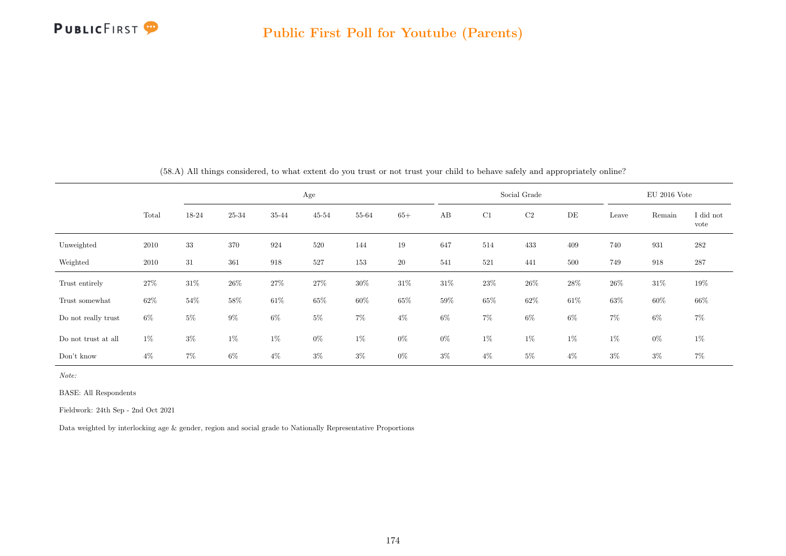

|                     |       |        |        |        | Age       |        |        |        |        | Social Grade |        |        | $EU$ 2016 Vote |                   |
|---------------------|-------|--------|--------|--------|-----------|--------|--------|--------|--------|--------------|--------|--------|----------------|-------------------|
|                     | Total | 18-24  | 25-34  | 35-44  | $45 - 54$ | 55-64  | $65+$  | AB     | C1     | C2           | DE     | Leave  | Remain         | I did not<br>vote |
| Unweighted          | 2010  | $33\,$ | 370    | 924    | 520       | 144    | 19     | 647    | 514    | 433          | 409    | 740    | 931            | $282\,$           |
| Weighted            | 2010  | 31     | 361    | 918    | 527       | 153    | 20     | 541    | 521    | 441          | 500    | 749    | 918            | 287               |
| Trust entirely      | 27\%  | $31\%$ | $26\%$ | $27\%$ | 27%       | $30\%$ | $31\%$ | $31\%$ | $23\%$ | $26\%$       | $28\%$ | $26\%$ | $31\%$         | 19%               |
| Trust somewhat      | 62%   | 54%    | 58%    | $61\%$ | 65%       | $60\%$ | $65\%$ | 59%    | $65\%$ | 62\%         | 61\%   | $63\%$ | $60\%$         | $66\%$            |
| Do not really trust | $6\%$ | $5\%$  | $9\%$  | $6\%$  | $5\%$     | $7\%$  | $4\%$  | 6%     | $7\%$  | $6\%$        | 6%     | $7\%$  | $6\%$          | $7\%$             |
| Do not trust at all | $1\%$ | $3\%$  | $1\%$  | $1\%$  | $0\%$     | $1\%$  | $0\%$  | $0\%$  | $1\%$  | $1\%$        | $1\%$  | $1\%$  | $0\%$          | $1\%$             |
| Don't know          | $4\%$ | $7\%$  | 6%     | $4\%$  | $3\%$     | $3\%$  | $0\%$  | $3\%$  | $4\%$  | $5\%$        | $4\%$  | $3\%$  | $3\%$          | $7\%$             |

(58.A) All things considered, to what extent do you trust or not trust your child to behave safely and appropriately online?

Note:

BASE: All Respondents

Fieldwork: 24th Sep - 2nd Oct 2021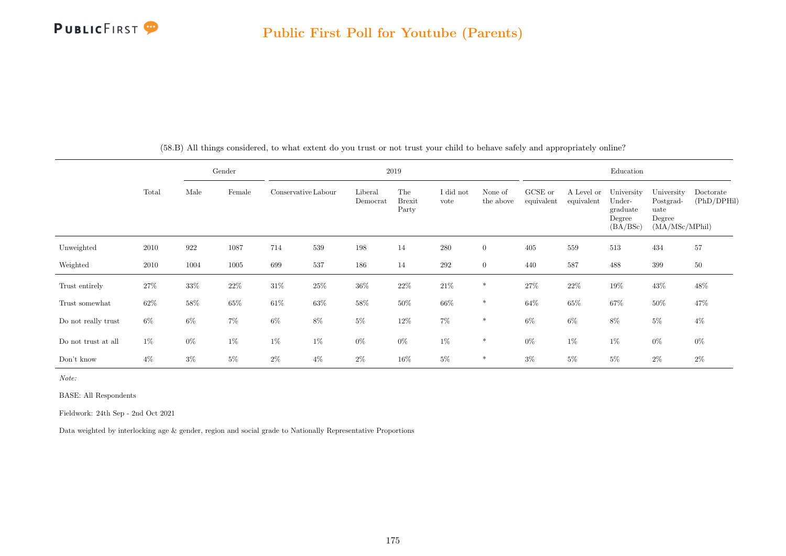

|                     |        |        | Gender |                     |        |                     | 2019                          |                   |                      |                       |                          | Education                                              |                                                             |                          |
|---------------------|--------|--------|--------|---------------------|--------|---------------------|-------------------------------|-------------------|----------------------|-----------------------|--------------------------|--------------------------------------------------------|-------------------------------------------------------------|--------------------------|
|                     | Total  | Male   | Female | Conservative Labour |        | Liberal<br>Democrat | The<br><b>Brexit</b><br>Party | I did not<br>vote | None of<br>the above | GCSE or<br>equivalent | A Level or<br>equivalent | University<br>Under-<br>graduate<br>Degree<br>(BA/BSc) | University<br>Postgrad-<br>uate<br>Degree<br>(MA/MSc/MPhil) | Doctorate<br>(PhD/DPHil) |
| Unweighted          | 2010   | 922    | 1087   | 714                 | 539    | 198                 | 14                            | 280               | $\overline{0}$       | 405                   | 559                      | 513                                                    | 434                                                         | 57                       |
| Weighted            | 2010   | 1004   | 1005   | 699                 | 537    | 186                 | 14                            | 292               | $\overline{0}$       | 440                   | 587                      | 488                                                    | 399                                                         | $50\,$                   |
| Trust entirely      | $27\%$ | $33\%$ | $22\%$ | $31\%$              | $25\%$ | $36\%$              | $22\%$                        | $21\%$            | $\ast$               | $27\%$                | $22\%$                   | $19\%$                                                 | $43\%$                                                      | $48\%$                   |
| Trust somewhat      | $62\%$ | $58\%$ | $65\%$ | $61\%$              | $63\%$ | $58\%$              | $50\%$                        | $66\%$            | $\ast$               | $64\%$                | $65\%$                   | 67%                                                    | $50\%$                                                      | 47%                      |
| Do not really trust | $6\%$  | $6\%$  | $7\%$  | $6\%$               | $8\%$  | $5\%$               | $12\%$                        | $7\%$             | $\ast$               | $6\%$                 | $6\%$                    | $8\%$                                                  | $5\%$                                                       | $4\%$                    |
| Do not trust at all | $1\%$  | $0\%$  | $1\%$  | $1\%$               | $1\%$  | $0\%$               | $0\%$                         | $1\%$             | $*$                  | $0\%$                 | $1\%$                    | $1\%$                                                  | $0\%$                                                       | $0\%$                    |
| Don't know          | $4\%$  | $3\%$  | $5\%$  | $2\%$               | $4\%$  | $2\%$               | 16%                           | $5\%$             | $\ast$               | $3\%$                 | $5\%$                    | $5\%$                                                  | $2\%$                                                       | $2\%$                    |

(58.B) All things considered, to what extent do you trust or not trust your child to behave safely and appropriately online?

Note:

BASE: All Respondents

Fieldwork: 24th Sep - 2nd Oct 2021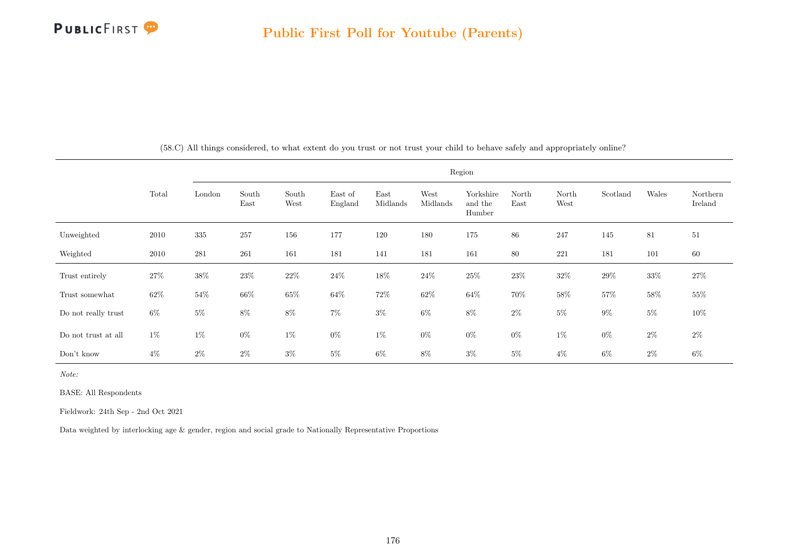

|                     |        |         |               |               |                    |                  |                  | Region                         |               |               |          |        |                     |
|---------------------|--------|---------|---------------|---------------|--------------------|------------------|------------------|--------------------------------|---------------|---------------|----------|--------|---------------------|
|                     | Total  | London  | South<br>East | South<br>West | East of<br>England | East<br>Midlands | West<br>Midlands | Yorkshire<br>and the<br>Humber | North<br>East | North<br>West | Scotland | Wales  | Northern<br>Ireland |
| Unweighted          | 2010   | $335\,$ | 257           | 156           | 177                | 120              | 180              | 175                            | $86\,$        | 247           | 145      | 81     | 51                  |
| Weighted            | 2010   | 281     | 261           | 161           | 181                | 141              | 181              | 161                            | $80\,$        | 221           | 181      | 101    | 60                  |
| Trust entirely      | 27%    | $38\%$  | 23\%          | $22\%$        | 24\%               | 18%              | $24\%$           | $25\%$                         | 23\%          | $32\%$        | 29%      | $33\%$ | $27\%$              |
| Trust somewhat      | $62\%$ | $54\%$  | $66\%$        | $65\%$        | $64\%$             | $72\%$           | $62\%$           | $64\%$                         | $70\%$        | $58\%$        | $57\%$   | $58\%$ | $55\%$              |
| Do not really trust | $6\%$  | $5\%$   | $8\%$         | $8\%$         | $7\%$              | $3\%$            | $6\%$            | $8\%$                          | $2\%$         | $5\%$         | $9\%$    | $5\%$  | $10\%$              |
| Do not trust at all | $1\%$  | $1\%$   | $0\%$         | $1\%$         | $0\%$              | $1\%$            | $0\%$            | $0\%$                          | $0\%$         | $1\%$         | $0\%$    | $2\%$  | $2\%$               |
| Don't know          | $4\%$  | $2\%$   | $2\%$         | $3\%$         | $5\%$              | $6\%$            | 8%               | $3\%$                          | $5\%$         | $4\%$         | $6\%$    | $2\%$  | $6\%$               |

(58.C) All things considered, to what extent do you trust or not trust your child to behave safely and appropriately online?

Note:

BASE: All Respondents

Fieldwork: 24th Sep - 2nd Oct 2021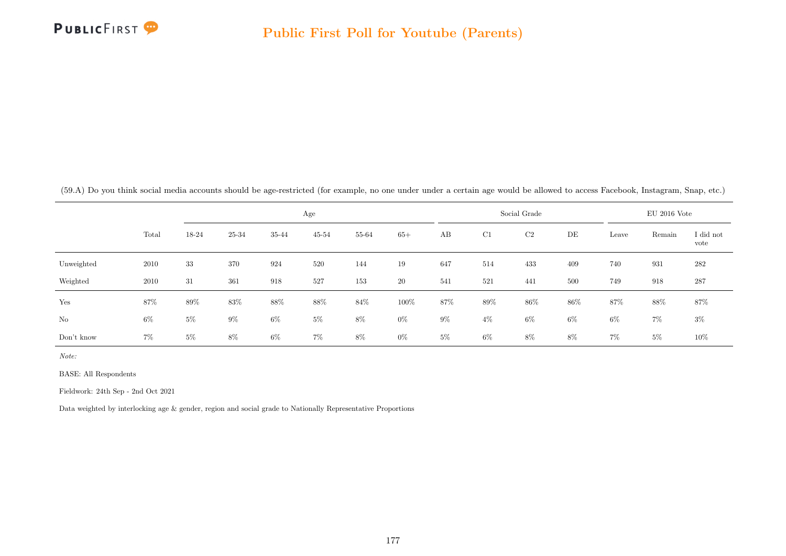

(59.A) Do you think social media accounts should be age-restricted (for example, no one under under a certain age would be allowed to access Facebook, Instagram, Snap, etc.)

|            |       |        |       |        | Age    |       |           |       |        | Social Grade |       |       | $EU$ 2016 Vote |                   |
|------------|-------|--------|-------|--------|--------|-------|-----------|-------|--------|--------------|-------|-------|----------------|-------------------|
|            | Total | 18-24  | 25-34 | 35-44  | 45-54  | 55-64 | $65+$     | AB    | C1     | C2           | DE    | Leave | Remain         | I did not<br>vote |
| Unweighted | 2010  | 33     | 370   | 924    | 520    | 144   | 19        | 647   | 514    | 433          | 409   | 740   | 931            | 282               |
| Weighted   | 2010  | 31     | 361   | 918    | 527    | 153   | <b>20</b> | 541   | 521    | 441          | 500   | 749   | 918            | 287               |
| Yes        | 87%   | $89\%$ | 83%   | $88\%$ | $88\%$ | 84\%  | 100%      | 87%   | $89\%$ | $86\%$       | 86%   | 87%   | 88%            | 87%               |
| $\rm No$   | $6\%$ | $5\%$  | $9\%$ | $6\%$  | $5\%$  | $8\%$ | $0\%$     | $9\%$ | $4\%$  | $6\%$        | $6\%$ | $6\%$ | $7\%$          | $3\%$             |
| Don't know | $7\%$ | $5\%$  | $8\%$ | $6\%$  | $7\%$  | 8%    | $0\%$     | $5\%$ | $6\%$  | 8%           | 8%    | $7\%$ | $5\%$          | $10\%$            |

Note:

BASE: All Respondents

Fieldwork: 24th Sep - 2nd Oct 2021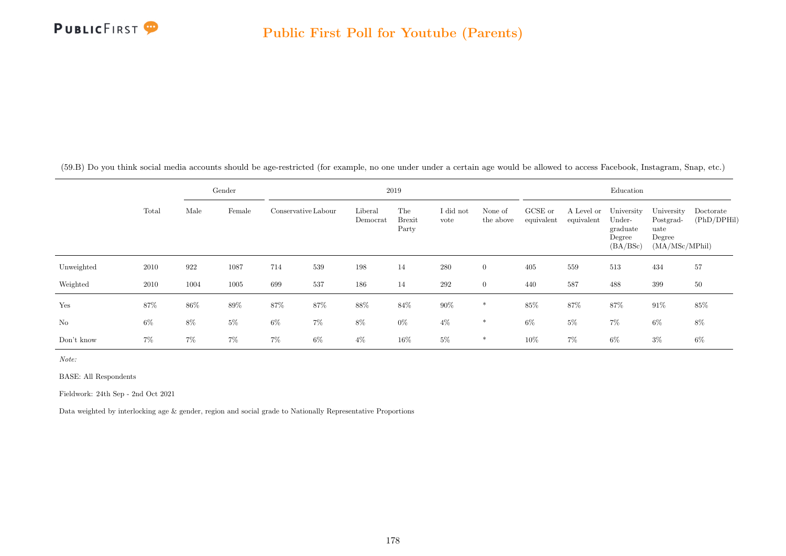

(59.B) Do you think social media accounts should be age-restricted (for example, no one under under a certain age would be allowed to access Facebook, Instagram, Snap, etc.)

|            |       |       | Gender |                     |       |                     | 2019                          |                   |                      |                       |                          | Education                                              |                                                             |                          |
|------------|-------|-------|--------|---------------------|-------|---------------------|-------------------------------|-------------------|----------------------|-----------------------|--------------------------|--------------------------------------------------------|-------------------------------------------------------------|--------------------------|
|            | Total | Male  | Female | Conservative Labour |       | Liberal<br>Democrat | The<br><b>Brexit</b><br>Party | I did not<br>vote | None of<br>the above | GCSE or<br>equivalent | A Level or<br>equivalent | University<br>Under-<br>graduate<br>Degree<br>(BA/BSc) | University<br>Postgrad-<br>uate<br>Degree<br>(MA/MSc/MPhil) | Doctorate<br>(PhD/DPHil) |
| Unweighted | 2010  | 922   | 1087   | 714                 | 539   | 198                 | 14                            | 280               | $\overline{0}$       | 405                   | 559                      | 513                                                    | 434                                                         | 57                       |
| Weighted   | 2010  | 1004  | 1005   | 699                 | 537   | 186                 | 14                            | 292               | $\overline{0}$       | 440                   | 587                      | 488                                                    | 399                                                         | $50\,$                   |
| Yes        | 87%   | 86%   | $89\%$ | 87%                 | 87%   | $88\%$              | $84\%$                        | $90\%$            | $\ast$               | 85%                   | 87%                      | 87%                                                    | $91\%$                                                      | 85%                      |
| No         | $6\%$ | $8\%$ | $5\%$  | $6\%$               | 7%    | 8%                  | $0\%$                         | $4\%$             | $\ast$               | $6\%$                 | $5\%$                    | $7\%$                                                  | 6%                                                          | $8\%$                    |
| Don't know | $7\%$ | $7\%$ | $7\%$  | $7\%$               | $6\%$ | $4\%$               | 16%                           | $5\%$             | ∗                    | 10%                   | $7\%$                    | $6\%$                                                  | $3\%$                                                       | 6%                       |

Note:

BASE: All Respondents

Fieldwork: 24th Sep - 2nd Oct 2021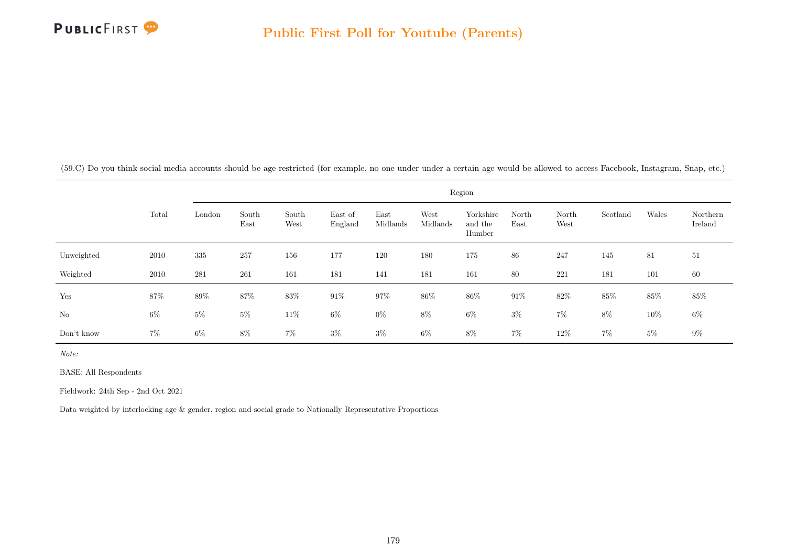

(59.C) Do you think social media accounts should be age-restricted (for example, no one under under a certain age would be allowed to access Facebook, Instagram, Snap, etc.)

|            |       | Region |               |               |                    |                  |                  |                                |               |               |          |       |                     |
|------------|-------|--------|---------------|---------------|--------------------|------------------|------------------|--------------------------------|---------------|---------------|----------|-------|---------------------|
|            | Total | London | South<br>East | South<br>West | East of<br>England | East<br>Midlands | West<br>Midlands | Yorkshire<br>and the<br>Humber | North<br>East | North<br>West | Scotland | Wales | Northern<br>Ireland |
| Unweighted | 2010  | 335    | 257           | 156           | 177                | 120              | 180              | 175                            | 86            | 247           | 145      | 81    | 51                  |
| Weighted   | 2010  | 281    | 261           | 161           | 181                | 141              | 181              | 161                            | 80            | 221           | 181      | 101   | 60                  |
| Yes        | 87%   | $89\%$ | $87\%$        | $83\%$        | $91\%$             | 97%              | 86%              | 86\%                           | $91\%$        | $82\%$        | $85\%$   | 85%   | $85\%$              |
| $\rm No$   | $6\%$ | $5\%$  | $5\%$         | 11\%          | $6\%$              | $0\%$            | $8\%$            | $6\%$                          | $3\%$         | $7\%$         | $8\%$    | 10%   | $6\%$               |
| Don't know | $7\%$ | $6\%$  | $8\%$         | $7\%$         | $3\%$              | $3\%$            | $6\%$            | $8\%$                          | $7\%$         | $12\%$        | $7\%$    | $5\%$ | $9\%$               |

Note:

BASE: All Respondents

Fieldwork: 24th Sep - 2nd Oct 2021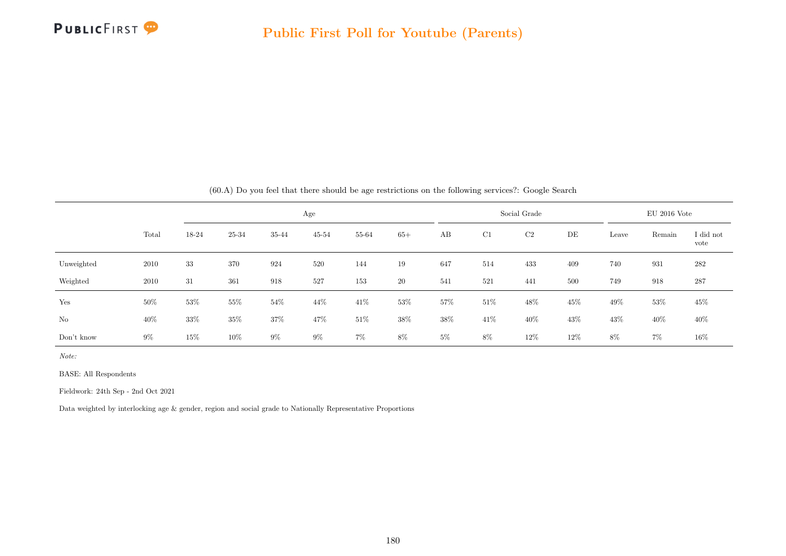

|            |        |       |        |       |           |        |       |       |        | (60.11) Do you feel that there should be age restrictions on the following services Google bearen |     |        |                |                   |
|------------|--------|-------|--------|-------|-----------|--------|-------|-------|--------|---------------------------------------------------------------------------------------------------|-----|--------|----------------|-------------------|
|            |        |       |        |       | Age       |        |       |       |        | Social Grade                                                                                      |     |        | $EU$ 2016 Vote |                   |
|            | Total  | 18-24 | 25-34  | 35-44 | $45 - 54$ | 55-64  | $65+$ | AB    | C1     | C2                                                                                                | DE  | Leave  | Remain         | I did not<br>vote |
| Unweighted | 2010   | 33    | 370    | 924   | 520       | 144    | 19    | 647   | 514    | 433                                                                                               | 409 | 740    | 931            | 282               |
| Weighted   | 2010   | 31    | 361    | 918   | 527       | 153    | 20    | 541   | 521    | 441                                                                                               | 500 | 749    | 918            | 287               |
| Yes        | $50\%$ | 53%   | 55%    | 54%   | 44\%      | 41\%   | 53%   | 57%   | $51\%$ | 48%                                                                                               | 45% | 49%    | 53%            | 45%               |
| No         | 40\%   | 33%   | 35%    | 37%   | 47%       | $51\%$ | 38%   | 38%   | 41\%   | 40\%                                                                                              | 43% | $43\%$ | 40%            | 40%               |
| Don't know | $9\%$  | 15%   | $10\%$ | $9\%$ | $9\%$     | $7\%$  | 8%    | $5\%$ | 8%     | 12%                                                                                               | 12% | 8%     | $7\%$          | 16%               |

(60.A) Do you feel that there should be age restrictions on the following services?: Google Search

Note:

BASE: All Respondents

Fieldwork: 24th Sep - 2nd Oct 2021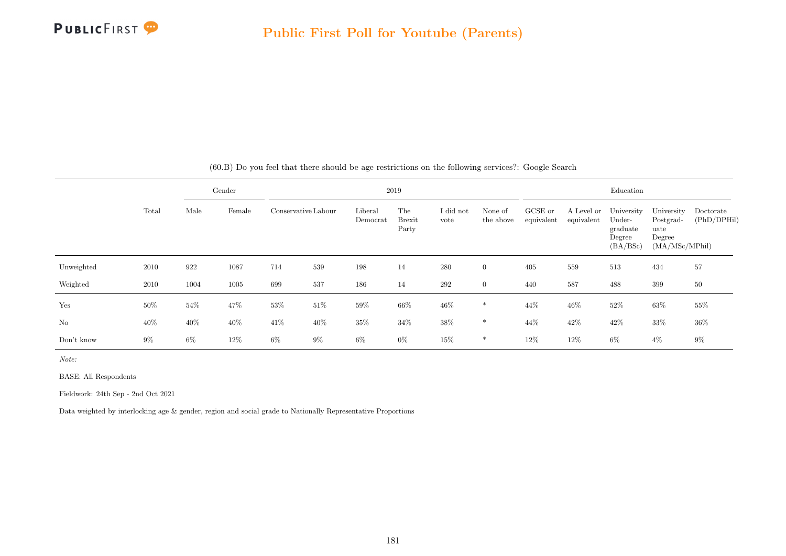

|            |        |       | Gender |                     |        |                     | 2019                          |                   |                      |                       |                          | Education                                              |                                                             |                          |
|------------|--------|-------|--------|---------------------|--------|---------------------|-------------------------------|-------------------|----------------------|-----------------------|--------------------------|--------------------------------------------------------|-------------------------------------------------------------|--------------------------|
|            | Total  | Male  | Female | Conservative Labour |        | Liberal<br>Democrat | The<br><b>Brexit</b><br>Party | I did not<br>vote | None of<br>the above | GCSE or<br>equivalent | A Level or<br>equivalent | University<br>Under-<br>graduate<br>Degree<br>(BA/BSc) | University<br>Postgrad-<br>uate<br>Degree<br>(MA/MSc/MPhil) | Doctorate<br>(PhD/DPHil) |
| Unweighted | 2010   | 922   | 1087   | 714                 | 539    | 198                 | 14                            | 280               | $\overline{0}$       | 405                   | 559                      | 513                                                    | 434                                                         | 57                       |
| Weighted   | 2010   | 1004  | 1005   | 699                 | 537    | 186                 | 14                            | 292               | $\overline{0}$       | 440                   | 587                      | 488                                                    | 399                                                         | 50                       |
| Yes        | $50\%$ | 54%   | 47%    | 53%                 | $51\%$ | $59\%$              | 66%                           | $46\%$            | $\ast$               | 44%                   | 46%                      | $52\%$                                                 | $63\%$                                                      | 55%                      |
| No         | 40%    | 40\%  | $40\%$ | 41\%                | 40\%   | $35\%$              | $34\%$                        | $38\%$            | $\ast$               | 44\%                  | 42\%                     | 42\%                                                   | $33\%$                                                      | 36%                      |
| Don't know | $9\%$  | $6\%$ | 12\%   | $6\%$               | $9\%$  | $6\%$               | $0\%$                         | 15%               | *                    | 12%                   | 12%                      | $6\%$                                                  | $4\%$                                                       | 9%                       |

(60.B) Do you feel that there should be age restrictions on the following services?: Google Search

Note:

BASE: All Respondents

Fieldwork: 24th Sep - 2nd Oct 2021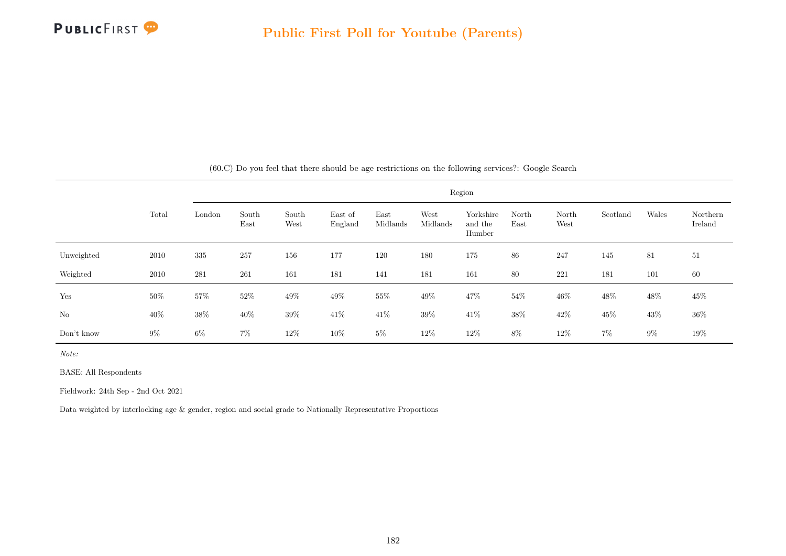

|            |        |        |               |               |                    |                  |                  | Region                         |               |               |          |       |                     |
|------------|--------|--------|---------------|---------------|--------------------|------------------|------------------|--------------------------------|---------------|---------------|----------|-------|---------------------|
|            | Total  | London | South<br>East | South<br>West | East of<br>England | East<br>Midlands | West<br>Midlands | Yorkshire<br>and the<br>Humber | North<br>East | North<br>West | Scotland | Wales | Northern<br>Ireland |
| Unweighted | 2010   | 335    | 257           | 156           | 177                | 120              | 180              | 175                            | 86            | 247           | 145      | 81    | 51                  |
| Weighted   | 2010   | 281    | 261           | 161           | 181                | 141              | 181              | 161                            | 80            | 221           | 181      | 101   | 60                  |
| Yes        | $50\%$ | $57\%$ | 52%           | $49\%$        | 49\%               | $55\%$           | 49%              | 47\%                           | 54\%          | 46\%          | 48\%     | 48%   | $45\%$              |
| No         | 40\%   | $38\%$ | 40\%          | 39%           | 41\%               | $41\%$           | 39%              | 41\%                           | $38\%$        | 42\%          | 45%      | 43%   | $36\%$              |
| Don't know | $9\%$  | $6\%$  | $7\%$         | 12\%          | $10\%$             | $5\%$            | 12%              | 12\%                           | $8\%$         | 12\%          | $7\%$    | $9\%$ | 19%                 |

(60.C) Do you feel that there should be age restrictions on the following services?: Google Search

Note:

BASE: All Respondents

Fieldwork: 24th Sep - 2nd Oct 2021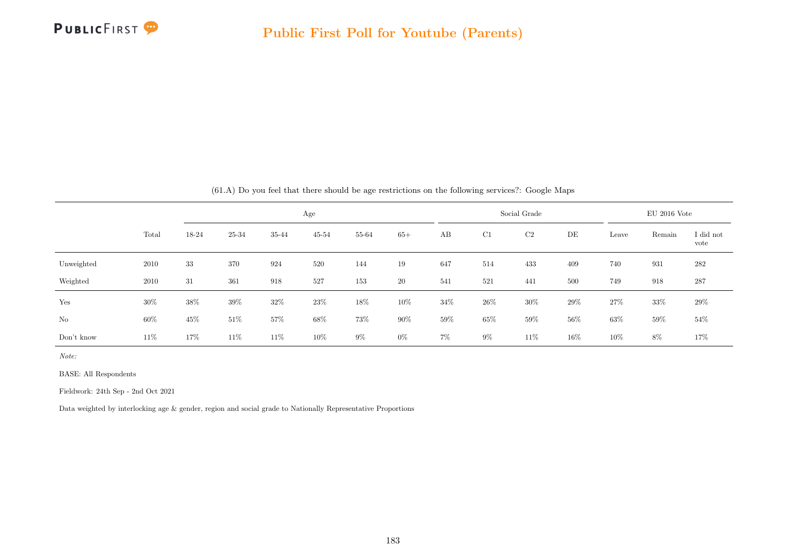

|            |        |        |        |        | Age       |       |        |       |        | Social Grade |        |        | $EU$ 2016 Vote |                   |
|------------|--------|--------|--------|--------|-----------|-------|--------|-------|--------|--------------|--------|--------|----------------|-------------------|
|            | Total  | 18-24  | 25-34  | 35-44  | $45 - 54$ | 55-64 | $65+$  | AB    | C1     | C2           | DE     | Leave  | Remain         | I did not<br>vote |
| Unweighted | 2010   | 33     | 370    | 924    | 520       | 144   | 19     | 647   | 514    | 433          | 409    | 740    | 931            | 282               |
| Weighted   | 2010   | 31     | 361    | 918    | 527       | 153   | 20     | 541   | 521    | 441          | 500    | 749    | 918            | 287               |
| Yes        | $30\%$ | $38\%$ | $39\%$ | $32\%$ | 23%       | 18%   | 10%    | 34%   | $26\%$ | $30\%$       | 29%    | $27\%$ | 33%            | 29%               |
| No         | $60\%$ | $45\%$ | $51\%$ | 57%    | 68%       | 73%   | $90\%$ | 59%   | $65\%$ | $59\%$       | $56\%$ | $63\%$ | 59%            | 54\%              |
| Don't know | 11\%   | 17%    | 11%    | 11\%   | 10%       | $9\%$ | $0\%$  | $7\%$ | $9\%$  | 11\%         | 16%    | 10%    | 8%             | 17%               |

(61.A) Do you feel that there should be age restrictions on the following services?: Google Maps

Note:

BASE: All Respondents

Fieldwork: 24th Sep - 2nd Oct 2021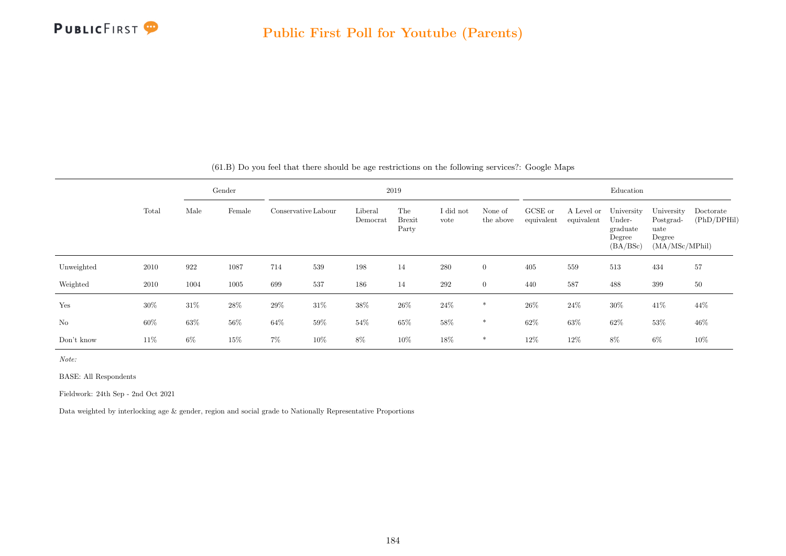

|                |       |       | Gender |        |                     |                     | 2019                          |                   |                      |                       |                          | Education                                              |                                                             |                          |
|----------------|-------|-------|--------|--------|---------------------|---------------------|-------------------------------|-------------------|----------------------|-----------------------|--------------------------|--------------------------------------------------------|-------------------------------------------------------------|--------------------------|
|                | Total | Male  | Female |        | Conservative Labour | Liberal<br>Democrat | The<br><b>Brexit</b><br>Party | I did not<br>vote | None of<br>the above | GCSE or<br>equivalent | A Level or<br>equivalent | University<br>Under-<br>graduate<br>Degree<br>(BA/BSc) | University<br>Postgrad-<br>uate<br>Degree<br>(MA/MSc/MPhil) | Doctorate<br>(PhD/DPHil) |
| Unweighted     | 2010  | 922   | 1087   | 714    | 539                 | 198                 | 14                            | 280               | $\overline{0}$       | 405                   | 559                      | 513                                                    | 434                                                         | 57                       |
| Weighted       | 2010  | 1004  | 1005   | 699    | 537                 | 186                 | 14                            | 292               | $\overline{0}$       | 440                   | 587                      | 488                                                    | 399                                                         | $50\,$                   |
| Yes            | 30%   | 31\%  | $28\%$ | $29\%$ | 31\%                | $38\%$              | $26\%$                        | $24\%$            | $\ast$               | $26\%$                | $24\%$                   | $30\%$                                                 | $41\%$                                                      | 44%                      |
| N <sub>o</sub> | 60%   | 63%   | $56\%$ | 64%    | 59%                 | $54\%$              | 65%                           | 58%               | $\ast$               | 62%                   | 63%                      | 62%                                                    | 53%                                                         | 46%                      |
| Don't know     | 11\%  | $6\%$ | 15%    | $7\%$  | 10%                 | 8%                  | 10%                           | 18%               | $\ast$               | 12%                   | 12%                      | 8%                                                     | $6\%$                                                       | 10%                      |

(61.B) Do you feel that there should be age restrictions on the following services?: Google Maps

Note:

BASE: All Respondents

Fieldwork: 24th Sep - 2nd Oct 2021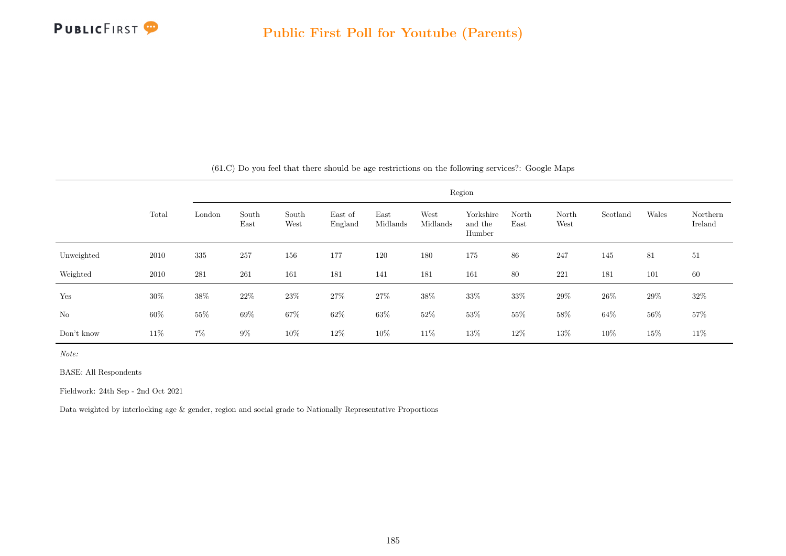

|            |        |        |               |               |                    |                  |                  | Region                         |               |               |          |        |                     |
|------------|--------|--------|---------------|---------------|--------------------|------------------|------------------|--------------------------------|---------------|---------------|----------|--------|---------------------|
|            | Total  | London | South<br>East | South<br>West | East of<br>England | East<br>Midlands | West<br>Midlands | Yorkshire<br>and the<br>Humber | North<br>East | North<br>West | Scotland | Wales  | Northern<br>Ireland |
| Unweighted | 2010   | 335    | 257           | 156           | 177                | 120              | 180              | 175                            | 86            | 247           | 145      | 81     | 51                  |
| Weighted   | 2010   | 281    | 261           | 161           | 181                | 141              | 181              | 161                            | 80            | 221           | 181      | 101    | 60                  |
| Yes        | $30\%$ | 38%    | 22\%          | 23\%          | 27\%               | 27\%             | $38\%$           | $33\%$                         | 33%           | $29\%$        | $26\%$   | 29%    | $32\%$              |
| $\rm No$   | $60\%$ | $55\%$ | $69\%$        | $67\%$        | $62\%$             | $63\%$           | $52\%$           | $53\%$                         | $55\%$        | $58\%$        | $64\%$   | $56\%$ | $57\%$              |
| Don't know | 11\%   | $7\%$  | $9\%$         | 10%           | 12\%               | 10%              | 11\%             | $13\%$                         | 12%           | 13%           | 10%      | 15%    | 11\%                |

(61.C) Do you feel that there should be age restrictions on the following services?: Google Maps

Note:

BASE: All Respondents

Fieldwork: 24th Sep - 2nd Oct 2021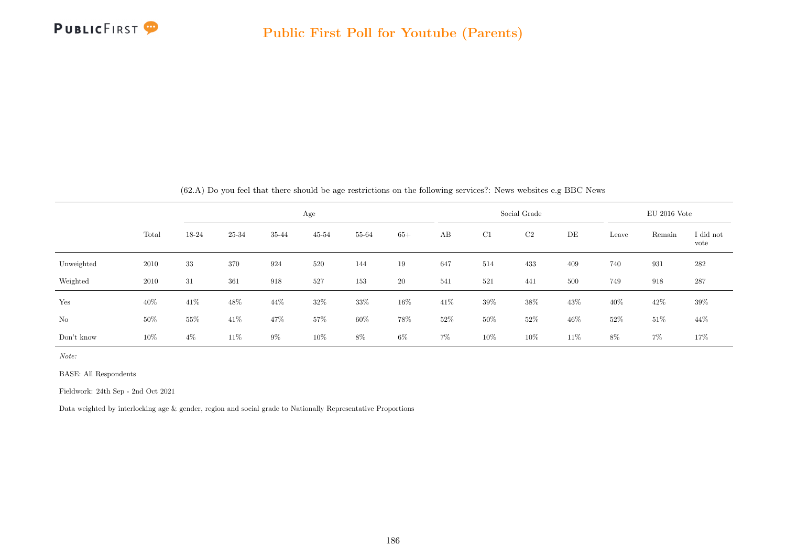

|            |        |        |        |       | Age       |        |       |        |        | Social Grade |     |        | $EU$ 2016 Vote |                   |
|------------|--------|--------|--------|-------|-----------|--------|-------|--------|--------|--------------|-----|--------|----------------|-------------------|
|            | Total  | 18-24  | 25-34  | 35-44 | $45 - 54$ | 55-64  | $65+$ | AB     | C1     | C2           | DE  | Leave  | Remain         | I did not<br>vote |
| Unweighted | 2010   | 33     | 370    | 924   | 520       | 144    | 19    | 647    | 514    | 433          | 409 | 740    | 931            | 282               |
| Weighted   | 2010   | 31     | 361    | 918   | 527       | 153    | 20    | 541    | 521    | 441          | 500 | 749    | 918            | 287               |
| Yes        | 40%    | 41%    | 48%    | 44%   | 32%       | $33\%$ | 16%   | 41\%   | $39\%$ | 38%          | 43% | $40\%$ | 42\%           | $39\%$            |
| No         | $50\%$ | $55\%$ | $41\%$ | 47%   | $57\%$    | $60\%$ | 78%   | $52\%$ | $50\%$ | $52\%$       | 46% | $52\%$ | $51\%$         | 44\%              |
| Don't know | 10%    | $4\%$  | 11\%   | $9\%$ | 10%       | 8%     | $6\%$ | $7\%$  | $10\%$ | 10%          | 11% | 8%     | $7\%$          | 17%               |

(62.A) Do you feel that there should be age restrictions on the following services?: News websites e.g BBC News

Note:

BASE: All Respondents

Fieldwork: 24th Sep - 2nd Oct 2021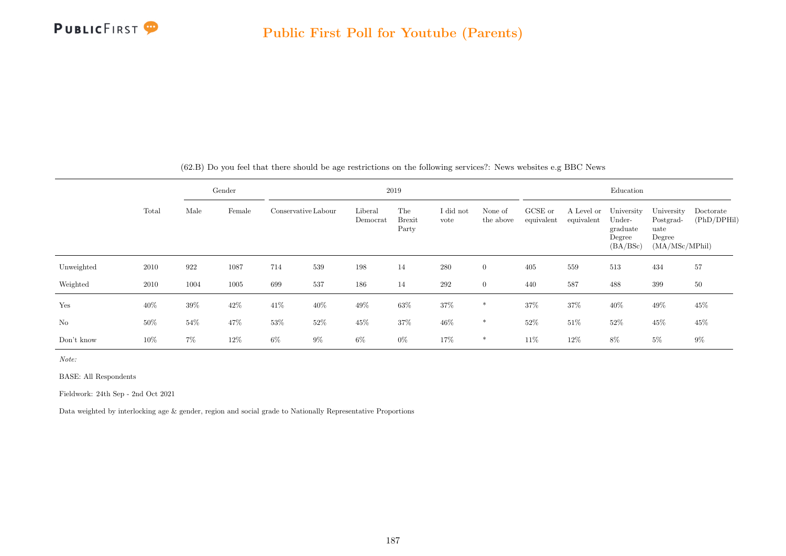

|                |        |       | Gender |       |                     |                     | 2019                          |                   |                      |                       |                          | Education                                              |                                                             |                          |
|----------------|--------|-------|--------|-------|---------------------|---------------------|-------------------------------|-------------------|----------------------|-----------------------|--------------------------|--------------------------------------------------------|-------------------------------------------------------------|--------------------------|
|                | Total  | Male  | Female |       | Conservative Labour | Liberal<br>Democrat | The<br><b>Brexit</b><br>Party | I did not<br>vote | None of<br>the above | GCSE or<br>equivalent | A Level or<br>equivalent | University<br>Under-<br>graduate<br>Degree<br>(BA/BSc) | University<br>Postgrad-<br>uate<br>Degree<br>(MA/MSc/MPhil) | Doctorate<br>(PhD/DPHil) |
| Unweighted     | 2010   | 922   | 1087   | 714   | $539\,$             | 198                 | 14                            | 280               | $\overline{0}$       | 405                   | 559                      | 513                                                    | 434                                                         | 57                       |
| Weighted       | 2010   | 1004  | 1005   | 699   | 537                 | 186                 | 14                            | $\,292$           | $\overline{0}$       | 440                   | 587                      | 488                                                    | 399                                                         | $50\,$                   |
| Yes            | 40%    | 39%   | 42\%   | 41\%  | 40\%                | $49\%$              | 63%                           | 37%               | $\ast$               | 37%                   | 37%                      | $40\%$                                                 | 49%                                                         | 45%                      |
| N <sub>o</sub> | $50\%$ | 54%   | 47%    | 53%   | $52\%$              | 45%                 | 37%                           | $46\%$            | $\ast$               | 52%                   | 51\%                     | $52\%$                                                 | 45%                                                         | 45%                      |
| Don't know     | 10%    | $7\%$ | 12%    | $6\%$ | $9\%$               | $6\%$               | $0\%$                         | 17%               | $\ast$               | 11%                   | 12%                      | 8%                                                     | $5\%$                                                       | $9\%$                    |

(62.B) Do you feel that there should be age restrictions on the following services?: News websites e.g BBC News

Note:

BASE: All Respondents

Fieldwork: 24th Sep - 2nd Oct 2021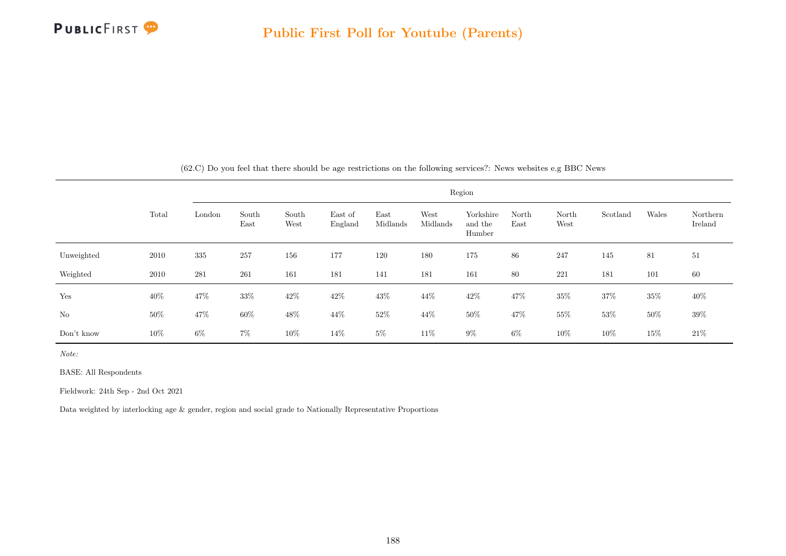

|            |        |        |               |               |                    |                  |                  | Region                         |               |               |          |        |                     |
|------------|--------|--------|---------------|---------------|--------------------|------------------|------------------|--------------------------------|---------------|---------------|----------|--------|---------------------|
|            | Total  | London | South<br>East | South<br>West | East of<br>England | East<br>Midlands | West<br>Midlands | Yorkshire<br>and the<br>Humber | North<br>East | North<br>West | Scotland | Wales  | Northern<br>Ireland |
| Unweighted | 2010   | 335    | 257           | 156           | 177                | 120              | 180              | 175                            | 86            | 247           | 145      | 81     | 51                  |
| Weighted   | 2010   | 281    | 261           | 161           | 181                | 141              | 181              | 161                            | 80            | 221           | 181      | 101    | 60                  |
| Yes        | 40\%   | 47%    | $33\%$        | $42\%$        | 42\%               | 43\%             | 44\%             | 42\%                           | 47%           | 35%           | 37%      | $35\%$ | 40\%                |
| $\rm No$   | $50\%$ | $47\%$ | $60\%$        | 48%           | 44%                | $52\%$           | $44\%$           | 50%                            | $47\%$        | 55\%          | $53\%$   | $50\%$ | $39\%$              |
| Don't know | $10\%$ | $6\%$  | $7\%$         | 10%           | 14\%               | $5\%$            | 11\%             | $9\%$                          | $6\%$         | 10%           | 10%      | 15%    | $21\%$              |

(62.C) Do you feel that there should be age restrictions on the following services?: News websites e.g BBC News

Note:

BASE: All Respondents

Fieldwork: 24th Sep - 2nd Oct 2021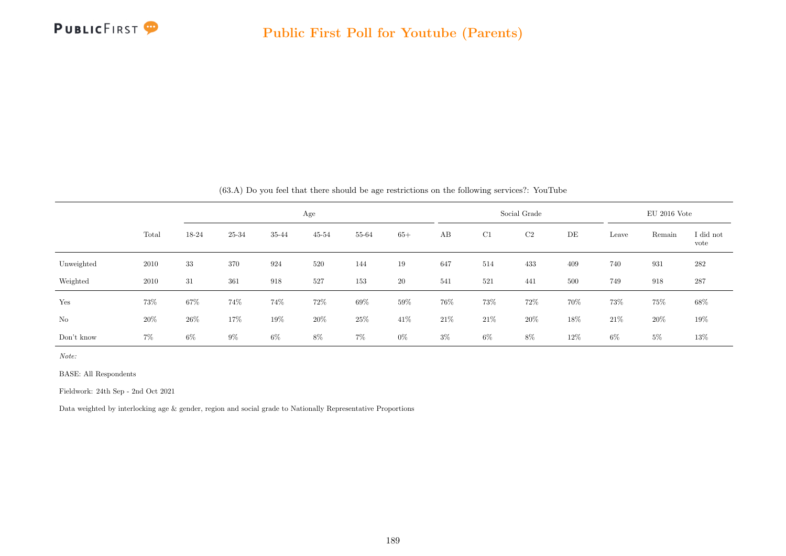

|            |       |       |       |        | Age       |        |       |       |        | Social Grade |     |        | $EU$ 2016 Vote |                   |
|------------|-------|-------|-------|--------|-----------|--------|-------|-------|--------|--------------|-----|--------|----------------|-------------------|
|            | Total | 18-24 | 25-34 | 35-44  | $45 - 54$ | 55-64  | $65+$ | AB    | C1     | C2           | DE  | Leave  | Remain         | I did not<br>vote |
| Unweighted | 2010  | 33    | 370   | 924    | 520       | 144    | 19    | 647   | 514    | 433          | 409 | 740    | 931            | 282               |
| Weighted   | 2010  | 31    | 361   | 918    | 527       | 153    | 20    | 541   | 521    | 441          | 500 | 749    | 918            | 287               |
| Yes        | 73%   | 67%   | 74%   | 74%    | 72%       | $69\%$ | 59%   | 76%   | $73\%$ | 72%          | 70% | $73\%$ | 75%            | 68%               |
| No         | 20%   | 26\%  | 17%   | $19\%$ | 20%       | $25\%$ | 41\%  | 21\%  | $21\%$ | 20%          | 18% | $21\%$ | 20%            | $19\%$            |
| Don't know | $7\%$ | $6\%$ | $9\%$ | $6\%$  | 8%        | $7\%$  | $0\%$ | $3\%$ | $6\%$  | 8%           | 12% | $6\%$  | $5\%$          | $13\%$            |

(63.A) Do you feel that there should be age restrictions on the following services?: YouTube

Note:

BASE: All Respondents

Fieldwork: 24th Sep - 2nd Oct 2021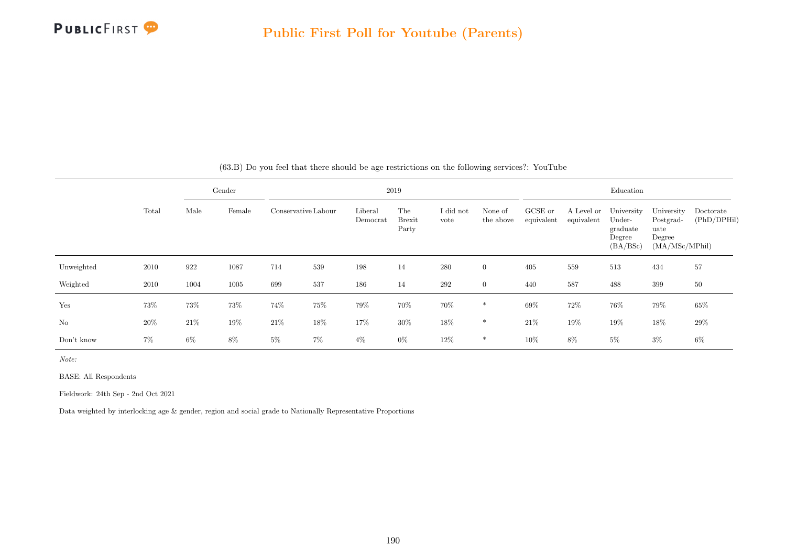

|                |       |       | Gender |                     |     |                     | 2019                          |                   |                      |                       |                          | Education                                              |                                                             |                          |
|----------------|-------|-------|--------|---------------------|-----|---------------------|-------------------------------|-------------------|----------------------|-----------------------|--------------------------|--------------------------------------------------------|-------------------------------------------------------------|--------------------------|
|                | Total | Male  | Female | Conservative Labour |     | Liberal<br>Democrat | The<br><b>Brexit</b><br>Party | I did not<br>vote | None of<br>the above | GCSE or<br>equivalent | A Level or<br>equivalent | University<br>Under-<br>graduate<br>Degree<br>(BA/BSc) | University<br>Postgrad-<br>uate<br>Degree<br>(MA/MSc/MPhil) | Doctorate<br>(PhD/DPHil) |
| Unweighted     | 2010  | 922   | 1087   | 714                 | 539 | 198                 | 14                            | 280               | $\overline{0}$       | 405                   | 559                      | 513                                                    | 434                                                         | 57                       |
| Weighted       | 2010  | 1004  | 1005   | 699                 | 537 | 186                 | 14                            | 292               | $\overline{0}$       | 440                   | 587                      | 488                                                    | 399                                                         | 50                       |
| Yes            | 73%   | 73%   | 73%    | 74%                 | 75% | 79%                 | 70%                           | 70%               | $\ast$               | 69%                   | $72\%$                   | 76%                                                    | 79%                                                         | 65%                      |
| N <sub>o</sub> | 20%   | 21\%  | 19%    | $21\%$              | 18% | 17%                 | $30\%$                        | 18%               | $\ast$               | 21\%                  | 19%                      | 19%                                                    | 18%                                                         | 29%                      |
| Don't know     | $7\%$ | $6\%$ | 8%     | $5\%$               | 7%  | $4\%$               | $0\%$                         | 12%               | $\ast$               | 10%                   | 8%                       | $5\%$                                                  | $3\%$                                                       | 6%                       |

(63.B) Do you feel that there should be age restrictions on the following services?: YouTube

Note:

BASE: All Respondents

Fieldwork: 24th Sep - 2nd Oct 2021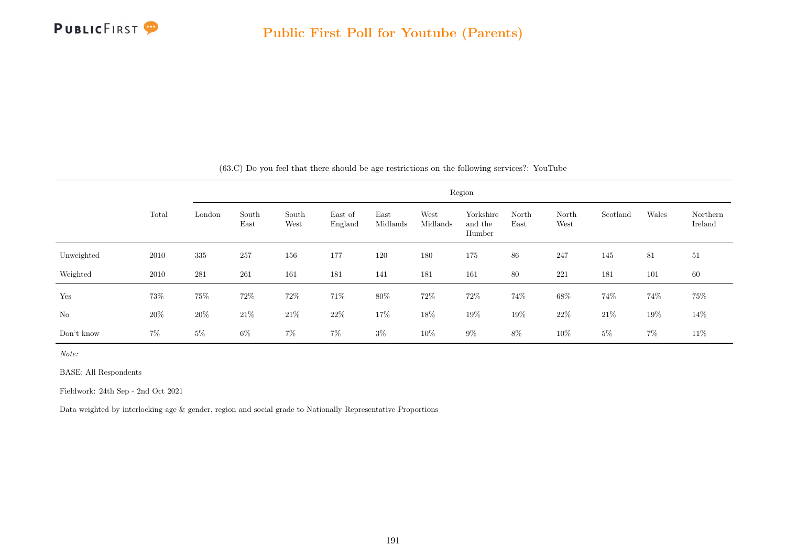

|            |        |        |               |               |                    |                  |                  | Region                         |               |               |          |        |                     |
|------------|--------|--------|---------------|---------------|--------------------|------------------|------------------|--------------------------------|---------------|---------------|----------|--------|---------------------|
|            | Total  | London | South<br>East | South<br>West | East of<br>England | East<br>Midlands | West<br>Midlands | Yorkshire<br>and the<br>Humber | North<br>East | North<br>West | Scotland | Wales  | Northern<br>Ireland |
| Unweighted | 2010   | 335    | 257           | 156           | 177                | 120              | 180              | 175                            | 86            | 247           | 145      | 81     | 51                  |
| Weighted   | 2010   | 281    | 261           | 161           | 181                | 141              | 181              | 161                            | 80            | 221           | 181      | 101    | 60                  |
| Yes        | 73%    | $75\%$ | 72\%          | $72\%$        | 71%                | $80\%$           | $72\%$           | $72\%$                         | 74%           | 68\%          | 74%      | $74\%$ | $75\%$              |
| No         | $20\%$ | 20%    | 21\%          | $21\%$        | $22\%$             | $17\%$           | $18\%$           | $19\%$                         | $19\%$        | $22\%$        | $21\%$   | 19%    | 14\%                |
| Don't know | $7\%$  | $5\%$  | $6\%$         | $7\%$         | $7\%$              | $3\%$            | 10%              | $9\%$                          | $8\%$         | $10\%$        | $5\%$    | $7\%$  | 11\%                |

(63.C) Do you feel that there should be age restrictions on the following services?: YouTube

Note:

BASE: All Respondents

Fieldwork: 24th Sep - 2nd Oct 2021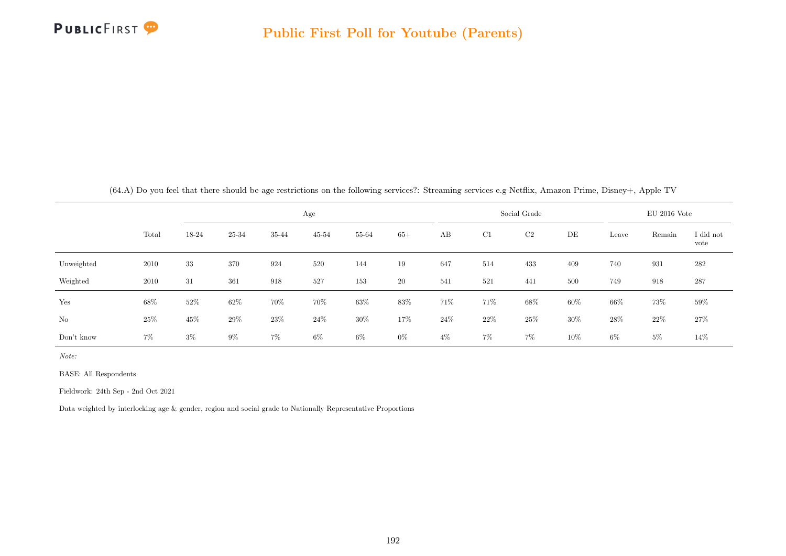

|            |       |        |        |       | Age       |        |           |        |        | Social Grade | $EU$ 2016 Vote |        |        |                   |
|------------|-------|--------|--------|-------|-----------|--------|-----------|--------|--------|--------------|----------------|--------|--------|-------------------|
|            | Total | 18-24  | 25-34  | 35-44 | $45 - 54$ | 55-64  | $65+$     | AB     | C1     | C2           | DE             | Leave  | Remain | I did not<br>vote |
| Unweighted | 2010  | 33     | 370    | 924   | 520       | 144    | 19        | 647    | 514    | 433          | 409            | 740    | 931    | 282               |
| Weighted   | 2010  | 31     | 361    | 918   | 527       | 153    | <b>20</b> | 541    | 521    | 441          | 500            | 749    | 918    | 287               |
| Yes        | 68%   | 52%    | $62\%$ | 70%   | 70%       | 63%    | 83%       | 71%    | 71%    | 68%          | 60%            | $66\%$ | 73%    | $59\%$            |
| No         | 25%   | $45\%$ | 29%    | 23%   | $24\%$    | $30\%$ | 17%       | $24\%$ | $22\%$ | 25%          | 30%            | 28\%   | 22%    | $27\%$            |
| Don't know | 7%    | $3\%$  | $9\%$  | 7%    | $6\%$     | 6%     | $0\%$     | $4\%$  | $7\%$  | $7\%$        | 10%            | 6%     | $5\%$  | 14%               |

BASE: All Respondents

Fieldwork: 24th Sep - 2nd Oct 2021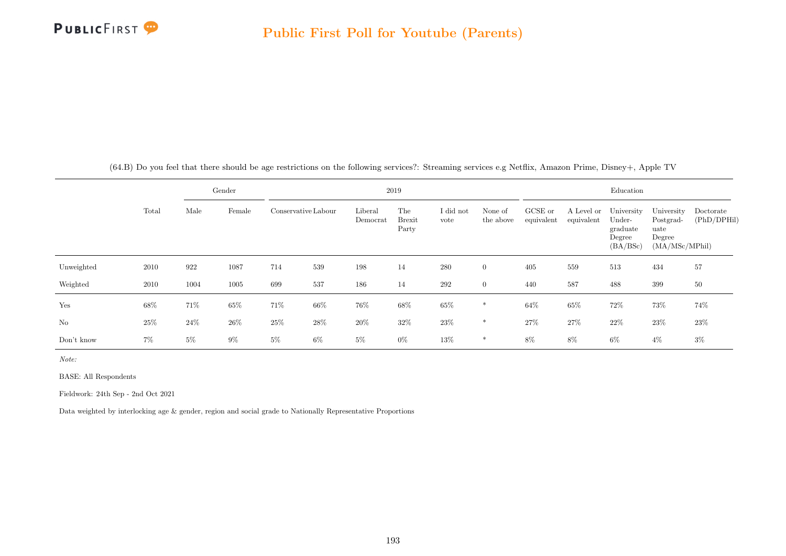

| (64.B) Do you feel that there should be age restrictions on the following services?: Streaming services e.g Netflix, Amazon Prime, Disney+, Apple TV |
|------------------------------------------------------------------------------------------------------------------------------------------------------|
|------------------------------------------------------------------------------------------------------------------------------------------------------|

|            |       |       | Gender | 2019                |        |                     |                        |                   |                      |                       | Education                |                                                        |                                                             |                          |  |  |
|------------|-------|-------|--------|---------------------|--------|---------------------|------------------------|-------------------|----------------------|-----------------------|--------------------------|--------------------------------------------------------|-------------------------------------------------------------|--------------------------|--|--|
|            | Total | Male  | Female | Conservative Labour |        | Liberal<br>Democrat | The<br>Brexit<br>Party | I did not<br>vote | None of<br>the above | GCSE or<br>equivalent | A Level or<br>equivalent | University<br>Under-<br>graduate<br>Degree<br>(BA/BSc) | University<br>Postgrad-<br>uate<br>Degree<br>(MA/MSc/MPhil) | Doctorate<br>(PhD/DPHil) |  |  |
| Unweighted | 2010  | 922   | 1087   | 714                 | 539    | 198                 | 14                     | 280               | $\overline{0}$       | 405                   | 559                      | 513                                                    | 434                                                         | 57                       |  |  |
| Weighted   | 2010  | 1004  | 1005   | 699                 | 537    | 186                 | 14                     | $\,292$           | $\overline{0}$       | 440                   | 587                      | 488                                                    | 399                                                         | 50                       |  |  |
| Yes        | 68%   | 71\%  | $65\%$ | 71%                 | 66%    | $76\%$              | $68\%$                 | $65\%$            | $\ast$               | 64%                   | 65%                      | 72\%                                                   | 73%                                                         | 74%                      |  |  |
| No         | 25%   | 24\%  | $26\%$ | 25%                 | $28\%$ | $20\%$              | 32\%                   | $23\%$            | $\ast$               | 27%                   | $27\%$                   | $22\%$                                                 | $23\%$                                                      | 23%                      |  |  |
| Don't know | $7\%$ | $5\%$ | $9\%$  | $5\%$               | $6\%$  | $5\%$               | $0\%$                  | 13%               | $*$                  | 8%                    | $8\%$                    | $6\%$                                                  | $4\%$                                                       | $3\%$                    |  |  |

BASE: All Respondents

Fieldwork: 24th Sep - 2nd Oct 2021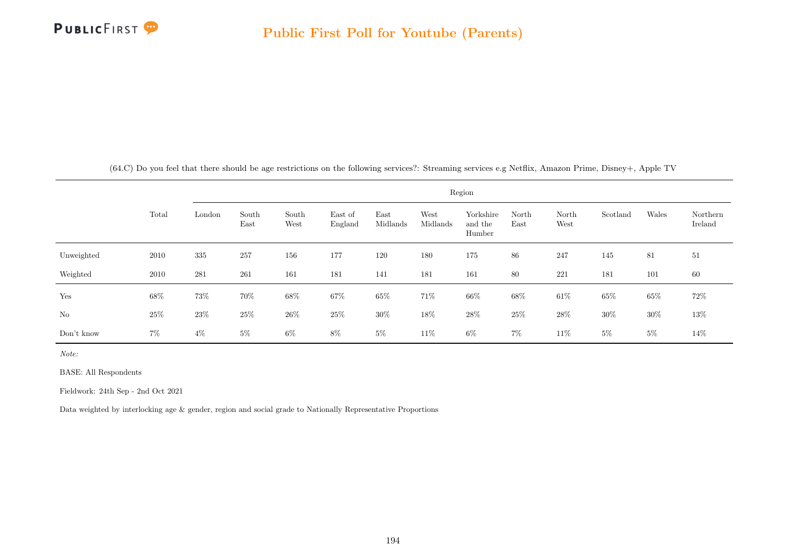

|  |  | (64.C) Do you feel that there should be age restrictions on the following services?: Streaming services e.g Netflix, Amazon Prime, Disney+, Apple TV |  |  |  |
|--|--|------------------------------------------------------------------------------------------------------------------------------------------------------|--|--|--|
|  |  |                                                                                                                                                      |  |  |  |

|            |        |        | Region        |               |                    |                  |                  |                                |               |               |          |        |                     |  |  |
|------------|--------|--------|---------------|---------------|--------------------|------------------|------------------|--------------------------------|---------------|---------------|----------|--------|---------------------|--|--|
|            | Total  | London | South<br>East | South<br>West | East of<br>England | East<br>Midlands | West<br>Midlands | Yorkshire<br>and the<br>Humber | North<br>East | North<br>West | Scotland | Wales  | Northern<br>Ireland |  |  |
| Unweighted | 2010   | 335    | 257           | 156           | 177                | 120              | 180              | 175                            | 86            | 247           | 145      | 81     | 51                  |  |  |
| Weighted   | 2010   | 281    | 261           | 161           | 181                | 141              | 181              | 161                            | 80            | 221           | 181      | 101    | 60                  |  |  |
| Yes        | $68\%$ | 73%    | 70%           | $68\%$        | 67%                | 65%              | 71%              | 66%                            | 68\%          | $61\%$        | 65%      | $65\%$ | 72\%                |  |  |
| $\rm No$   | $25\%$ | 23\%   | 25%           | $26\%$        | 25\%               | $30\%$           | $18\%$           | $28\%$                         | $25\%$        | $28\%$        | $30\%$   | $30\%$ | $13\%$              |  |  |
| Don't know | $7\%$  | $4\%$  | $5\%$         | $6\%$         | $8\%$              | $5\%$            | 11\%             | $6\%$                          | $7\%$         | 11\%          | $5\%$    | $5\%$  | 14%                 |  |  |

BASE: All Respondents

Fieldwork: 24th Sep - 2nd Oct 2021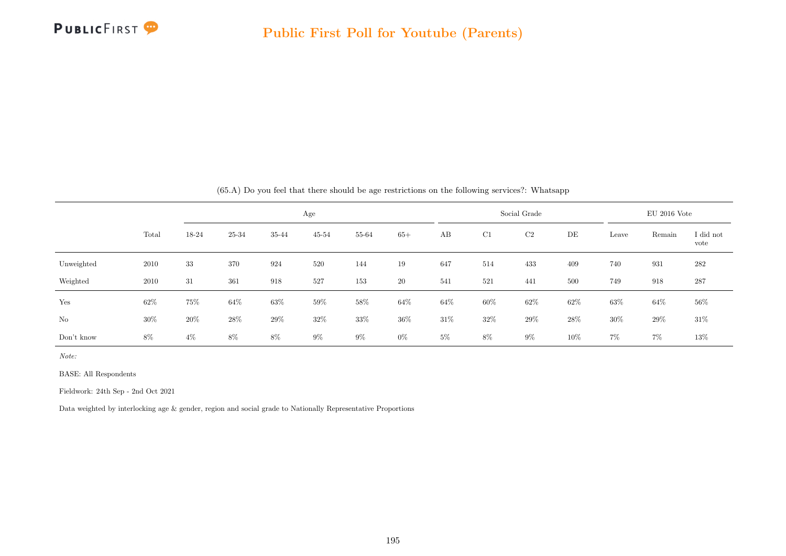

|            |       |       |        |        |           |        |        |       |              | (b).A) Do you leer that there should be age restrictions on the following services: Whatsapp |                |        |        |                   |
|------------|-------|-------|--------|--------|-----------|--------|--------|-------|--------------|----------------------------------------------------------------------------------------------|----------------|--------|--------|-------------------|
|            |       |       |        |        |           |        |        |       | Social Grade |                                                                                              | $EU$ 2016 Vote |        |        |                   |
|            | Total | 18-24 | 25-34  | 35-44  | $45 - 54$ | 55-64  | $65+$  | AB    | C1           | $\rm{C2}$                                                                                    | DE             | Leave  | Remain | I did not<br>vote |
| Unweighted | 2010  | 33    | 370    | 924    | 520       | 144    | 19     | 647   | 514          | 433                                                                                          | 409            | 740    | 931    | 282               |
| Weighted   | 2010  | 31    | 361    | 918    | 527       | 153    | $20\,$ | 541   | 521          | 441                                                                                          | 500            | 749    | 918    | 287               |
| Yes        | 62%   | 75%   | $64\%$ | $63\%$ | $59\%$    | $58\%$ | $64\%$ | 64%   | $60\%$       | $62\%$                                                                                       | 62%            | $63\%$ | 64%    | 56%               |
| No         | 30%   | 20%   | $28\%$ | $29\%$ | 32%       | $33\%$ | $36\%$ | 31%   | $32\%$       | 29%                                                                                          | $28\%$         | $30\%$ | $29\%$ | 31\%              |
| Don't know | 8%    | $4\%$ | 8%     | 8%     | $9\%$     | $9\%$  | $0\%$  | $5\%$ | 8%           | $9\%$                                                                                        | 10%            | $7\%$  | $7\%$  | $13\%$            |

 $(65.4)$  Do you feel that there should be age restrictions on the following services?: Whatsapp

Note:

BASE: All Respondents

Fieldwork: 24th Sep - 2nd Oct 2021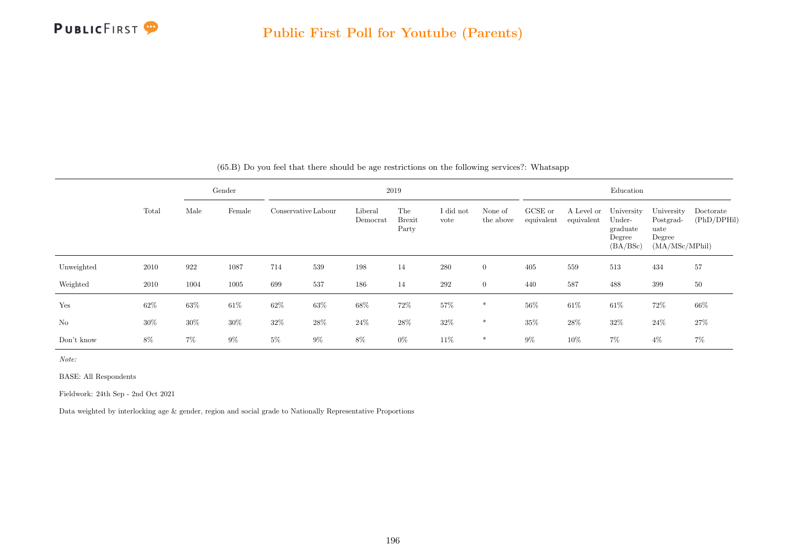

|            |        |        | Gender | 2019                |        |                     |                               |                   |                      |                       | Education                |                                                        |                                                             |                          |  |  |
|------------|--------|--------|--------|---------------------|--------|---------------------|-------------------------------|-------------------|----------------------|-----------------------|--------------------------|--------------------------------------------------------|-------------------------------------------------------------|--------------------------|--|--|
|            | Total  | Male   | Female | Conservative Labour |        | Liberal<br>Democrat | The<br><b>Brexit</b><br>Party | I did not<br>vote | None of<br>the above | GCSE or<br>equivalent | A Level or<br>equivalent | University<br>Under-<br>graduate<br>Degree<br>(BA/BSc) | University<br>Postgrad-<br>uate<br>Degree<br>(MA/MSc/MPhil) | Doctorate<br>(PhD/DPHil) |  |  |
| Unweighted | 2010   | 922    | 1087   | 714                 | 539    | 198                 | 14                            | 280               | $\overline{0}$       | 405                   | 559                      | 513                                                    | 434                                                         | 57                       |  |  |
| Weighted   | 2010   | 1004   | 1005   | 699                 | 537    | 186                 | 14                            | 292               | $\overline{0}$       | 440                   | 587                      | 488                                                    | 399                                                         | 50                       |  |  |
| Yes        | $62\%$ | $63\%$ | $61\%$ | 62%                 | 63%    | $68\%$              | 72%                           | $57\%$            | $\ast$               | $56\%$                | 61\%                     | $61\%$                                                 | 72%                                                         | 66%                      |  |  |
| No         | $30\%$ | $30\%$ | $30\%$ | $32\%$              | $28\%$ | $24\%$              | $28\%$                        | $32\%$            | $\ast$               | 35%                   | 28%                      | $32\%$                                                 | $24\%$                                                      | 27%                      |  |  |
| Don't know | 8%     | $7\%$  | $9\%$  | $5\%$               | $9\%$  | 8%                  | $0\%$                         | 11\%              | *                    | $9\%$                 | 10%                      | $7\%$                                                  | $4\%$                                                       | $7\%$                    |  |  |

(65.B) Do you feel that there should be age restrictions on the following services?: Whatsapp

Note:

BASE: All Respondents

Fieldwork: 24th Sep - 2nd Oct 2021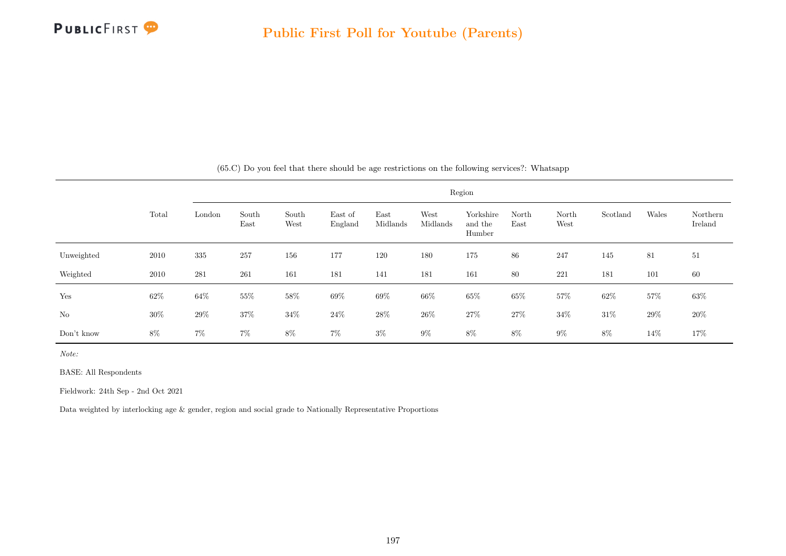

|            |        |        | Region        |               |                    |                  |                  |                                |               |               |          |        |                     |  |
|------------|--------|--------|---------------|---------------|--------------------|------------------|------------------|--------------------------------|---------------|---------------|----------|--------|---------------------|--|
|            | Total  | London | South<br>East | South<br>West | East of<br>England | East<br>Midlands | West<br>Midlands | Yorkshire<br>and the<br>Humber | North<br>East | North<br>West | Scotland | Wales  | Northern<br>Ireland |  |
| Unweighted | 2010   | 335    | 257           | 156           | 177                | 120              | 180              | 175                            | 86            | 247           | 145      | 81     | 51                  |  |
| Weighted   | 2010   | 281    | 261           | 161           | 181                | 141              | 181              | 161                            | 80            | 221           | 181      | 101    | 60                  |  |
| Yes        | $62\%$ | $64\%$ | $55\%$        | $58\%$        | 69%                | $69\%$           | 66\%             | $65\%$                         | 65%           | $57\%$        | $62\%$   | 57%    | $63\%$              |  |
| No         | $30\%$ | $29\%$ | 37%           | $34\%$        | $24\%$             | $28\%$           | $26\%$           | $27\%$                         | $27\%$        | $34\%$        | $31\%$   | $29\%$ | 20%                 |  |
| Don't know | $8\%$  | $7\%$  | $7\%$         | $8\%$         | $7\%$              | $3\%$            | $9\%$            | $8\%$                          | $8\%$         | $9\%$         | 8%       | 14\%   | 17%                 |  |

(65.C) Do you feel that there should be age restrictions on the following services?: Whatsapp

Note:

BASE: All Respondents

Fieldwork: 24th Sep - 2nd Oct 2021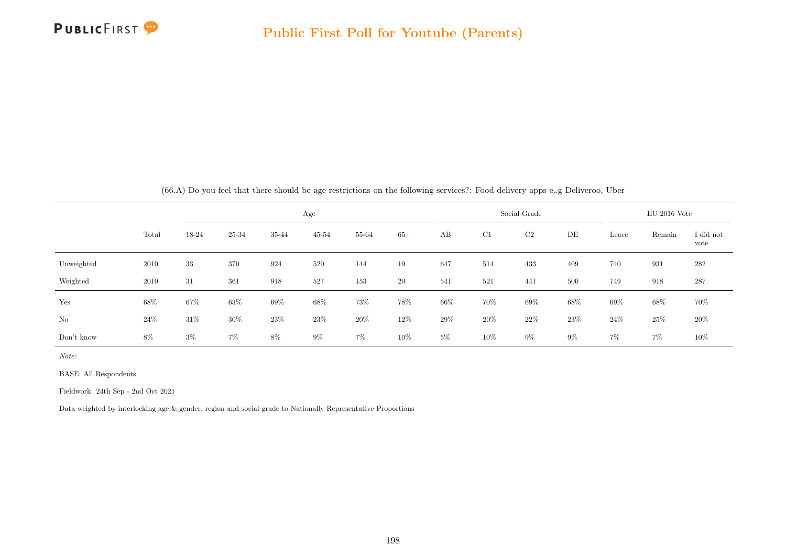

|            | (66.A) Do you feel that there should be age restrictions on the following services?: Food delivery apps e.g Deliveroo, Uber |       |        |       |           |        |           |        |     |                |       |       |                |                   |
|------------|-----------------------------------------------------------------------------------------------------------------------------|-------|--------|-------|-----------|--------|-----------|--------|-----|----------------|-------|-------|----------------|-------------------|
|            |                                                                                                                             |       |        |       | Age       |        |           |        |     | Social Grade   |       |       | $EU$ 2016 Vote |                   |
|            | Total                                                                                                                       | 18-24 | 25-34  | 35-44 | $45 - 54$ | 55-64  | $65+$     | AB     | C1  | C <sub>2</sub> | DE    | Leave | Remain         | I did not<br>vote |
| Unweighted | 2010                                                                                                                        | 33    | 370    | 924   | 520       | 144    | 19        | 647    | 514 | 433            | 409   | 740   | 931            | 282               |
| Weighted   | 2010                                                                                                                        | 31    | 361    | 918   | 527       | 153    | <b>20</b> | 541    | 521 | 441            | 500   | 749   | 918            | 287               |
| Yes        | 68%                                                                                                                         | 67%   | $63\%$ | 69%   | 68%       | 73%    | $78\%$    | $66\%$ | 70% | $69\%$         | 68%   | 69%   | 68%            | 70%               |
| No         | 24\%                                                                                                                        | 31\%  | 30%    | 23\%  | 23\%      | $20\%$ | 12\%      | 29%    | 20% | 22\%           | 23\%  | 24%   | 25%            | $20\%$            |
| Don't know | 8%                                                                                                                          | $3\%$ | $7\%$  | 8%    | $9\%$     | $7\%$  | 10%       | $5\%$  | 10% | $9\%$          | $9\%$ | $7\%$ | $7\%$          | 10%               |

BASE: All Respondents

Fieldwork: 24th Sep - 2nd Oct 2021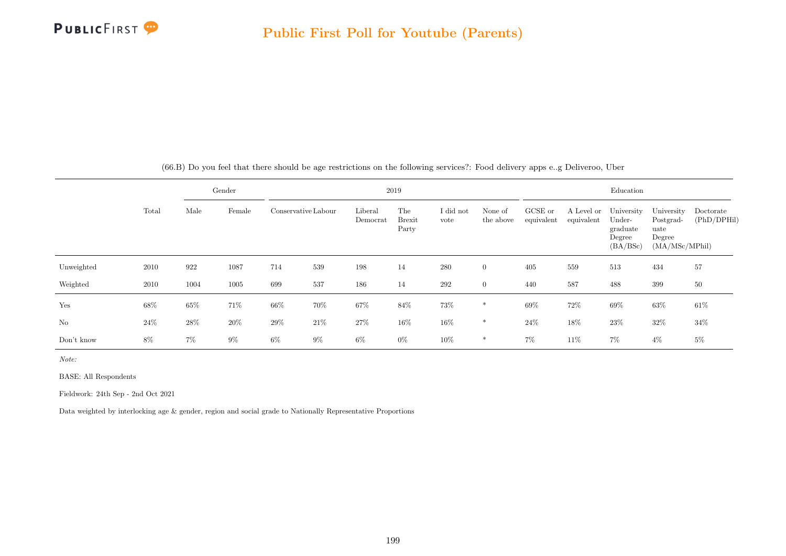

|            |       |        | Gender |                     |       | 2019                |                               |                   |                      | Education             |                          |                                                        |                                                             |                          |
|------------|-------|--------|--------|---------------------|-------|---------------------|-------------------------------|-------------------|----------------------|-----------------------|--------------------------|--------------------------------------------------------|-------------------------------------------------------------|--------------------------|
|            | Total | Male   | Female | Conservative Labour |       | Liberal<br>Democrat | The<br><b>Brexit</b><br>Party | I did not<br>vote | None of<br>the above | GCSE or<br>equivalent | A Level or<br>equivalent | University<br>Under-<br>graduate<br>Degree<br>(BA/BSc) | University<br>Postgrad-<br>uate<br>Degree<br>(MA/MSc/MPhil) | Doctorate<br>(PhD/DPHil) |
| Unweighted | 2010  | 922    | 1087   | 714                 | 539   | 198                 | 14                            | 280               | $\overline{0}$       | 405                   | 559                      | 513                                                    | 434                                                         | 57                       |
| Weighted   | 2010  | 1004   | 1005   | 699                 | 537   | 186                 | 14                            | $\,292$           | $\overline{0}$       | 440                   | 587                      | 488                                                    | 399                                                         | $50\,$                   |
| Yes        | 68%   | $65\%$ | 71%    | 66%                 | 70%   | $67\%$              | $84\%$                        | $73\%$            | $\ast$               | $69\%$                | 72%                      | $69\%$                                                 | $63\%$                                                      | $61\%$                   |
| No         | 24%   | 28\%   | 20%    | 29%                 | 21%   | 27%                 | 16%                           | $16\%$            | $\ast$               | 24\%                  | 18%                      | $23\%$                                                 | 32\%                                                        | 34%                      |
| Don't know | 8%    | $7\%$  | $9\%$  | 6%                  | $9\%$ | $6\%$               | $0\%$                         | 10%               | $\ast$               | $7\%$                 | 11%                      | $7\%$                                                  | $4\%$                                                       | $5\%$                    |

(66.B) Do you feel that there should be age restrictions on the following services?: Food delivery apps e..g Deliveroo, Uber

Note:

BASE: All Respondents

Fieldwork: 24th Sep - 2nd Oct 2021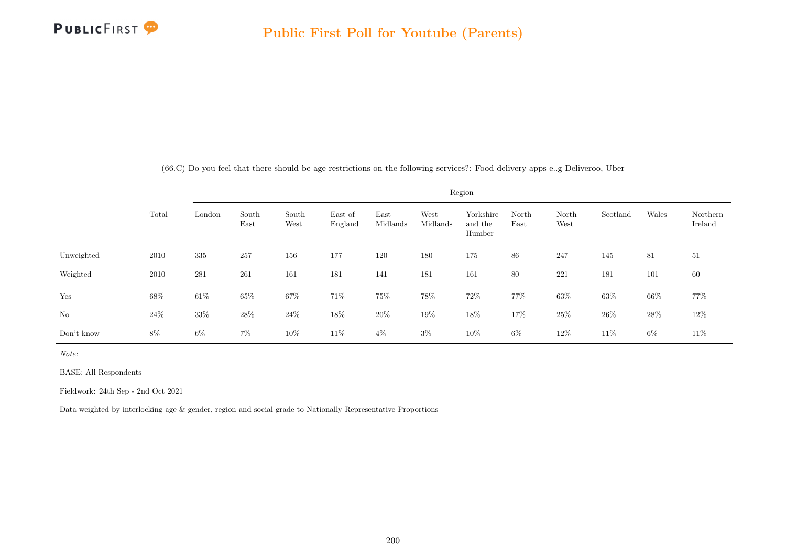

|            |        |        | Region        |               |                    |                  |                  |                                |               |               |          |       |                     |  |  |
|------------|--------|--------|---------------|---------------|--------------------|------------------|------------------|--------------------------------|---------------|---------------|----------|-------|---------------------|--|--|
|            | Total  | London | South<br>East | South<br>West | East of<br>England | East<br>Midlands | West<br>Midlands | Yorkshire<br>and the<br>Humber | North<br>East | North<br>West | Scotland | Wales | Northern<br>Ireland |  |  |
| Unweighted | 2010   | 335    | 257           | 156           | 177                | 120              | 180              | 175                            | 86            | 247           | 145      | 81    | 51                  |  |  |
| Weighted   | 2010   | 281    | 261           | 161           | 181                | 141              | 181              | 161                            | 80            | 221           | 181      | 101   | 60                  |  |  |
| Yes        | 68\%   | $61\%$ | $65\%$        | $67\%$        | 71%                | $75\%$           | $78\%$           | 72\%                           | 77%           | $63\%$        | $63\%$   | 66%   | 77%                 |  |  |
| No         | $24\%$ | $33\%$ | 28\%          | $24\%$        | 18%                | $20\%$           | $19\%$           | $18\%$                         | 17%           | $25\%$        | $26\%$   | 28\%  | $12\%$              |  |  |
| Don't know | $8\%$  | $6\%$  | $7\%$         | $10\%$        | 11\%               | $4\%$            | $3\%$            | 10%                            | $6\%$         | 12%           | 11\%     | $6\%$ | 11\%                |  |  |

(66.C) Do you feel that there should be age restrictions on the following services?: Food delivery apps e..g Deliveroo, Uber

Note:

BASE: All Respondents

Fieldwork: 24th Sep - 2nd Oct 2021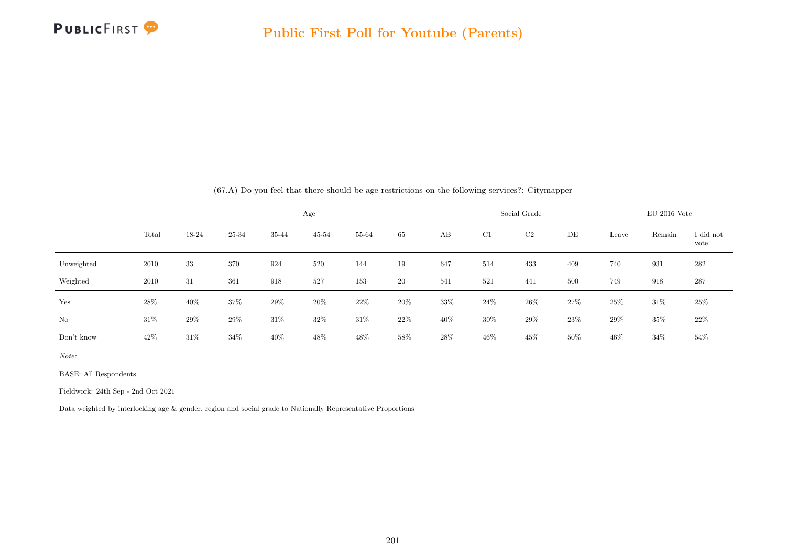

|            |        |        | $\sqrt{2}$ |        |           | $\cdot$ |        |     | $\cdots$ | . .          |     |        |                |                   |
|------------|--------|--------|------------|--------|-----------|---------|--------|-----|----------|--------------|-----|--------|----------------|-------------------|
|            |        |        |            |        | Age       |         |        |     |          | Social Grade |     |        | $EU$ 2016 Vote |                   |
|            | Total  | 18-24  | 25-34      | 35-44  | $45 - 54$ | 55-64   | $65+$  | AB  | C1       | C2           | DE  | Leave  | Remain         | I did not<br>vote |
| Unweighted | 2010   | 33     | 370        | 924    | 520       | 144     | 19     | 647 | 514      | 433          | 409 | 740    | 931            | $282\,$           |
| Weighted   | 2010   | 31     | 361        | 918    | 527       | 153     | $20\,$ | 541 | 521      | 441          | 500 | 749    | 918            | 287               |
| Yes        | 28%    | 40%    | 37%        | $29\%$ | 20%       | $22\%$  | $20\%$ | 33% | 24%      | $26\%$       | 27% | $25\%$ | $31\%$         | 25%               |
| No         | $31\%$ | 29%    | 29%        | $31\%$ | $32\%$    | $31\%$  | 22\%   | 40% | $30\%$   | 29%          | 23% | $29\%$ | 35%            | 22\%              |
| Don't know | 42%    | $31\%$ | 34%        | 40%    | 48%       | 48%     | 58%    | 28% | $46\%$   | 45\%         | 50% | $46\%$ | $34\%$         | 54%               |

(67.A) Do you feel that there should be age restrictions on the following services?: Citymapper

Note:

BASE: All Respondents

Fieldwork: 24th Sep - 2nd Oct 2021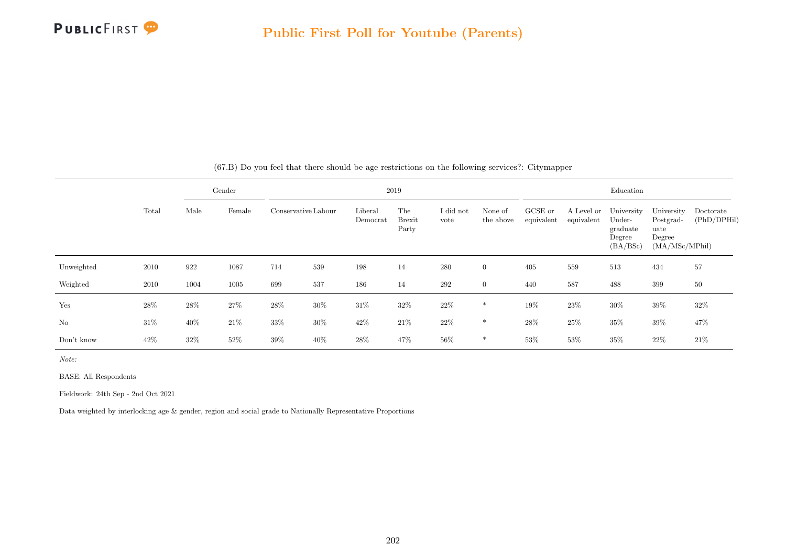

|            |        |      | Gender |                     |        |                     | 2019                          |                   |                      |                       |                          | Education                                              |                                                             |                          |
|------------|--------|------|--------|---------------------|--------|---------------------|-------------------------------|-------------------|----------------------|-----------------------|--------------------------|--------------------------------------------------------|-------------------------------------------------------------|--------------------------|
|            | Total  | Male | Female | Conservative Labour |        | Liberal<br>Democrat | The<br><b>Brexit</b><br>Party | I did not<br>vote | None of<br>the above | GCSE or<br>equivalent | A Level or<br>equivalent | University<br>Under-<br>graduate<br>Degree<br>(BA/BSc) | University<br>Postgrad-<br>uate<br>Degree<br>(MA/MSc/MPhil) | Doctorate<br>(PhD/DPHil) |
| Unweighted | 2010   | 922  | 1087   | 714                 | 539    | 198                 | 14                            | 280               | $\overline{0}$       | 405                   | 559                      | 513                                                    | 434                                                         | 57                       |
| Weighted   | 2010   | 1004 | 1005   | 699                 | 537    | 186                 | 14                            | 292               | $\overline{0}$       | 440                   | 587                      | 488                                                    | 399                                                         | 50                       |
| Yes        | 28%    | 28\% | $27\%$ | $28\%$              | $30\%$ | $31\%$              | 32%                           | $22\%$            | $\ast$               | 19%                   | 23%                      | $30\%$                                                 | 39%                                                         | 32%                      |
| No         | $31\%$ | 40\% | $21\%$ | $33\%$              | $30\%$ | 42%                 | $21\%$                        | $22\%$            | $\ast$               | $28\%$                | 25%                      | $35\%$                                                 | $39\%$                                                      | 47%                      |
| Don't know | 42%    | 32%  | 52%    | 39%                 | 40\%   | 28%                 | 47%                           | $56\%$            | $\ast$               | 53%                   | 53%                      | $35\%$                                                 | 22%                                                         | 21%                      |

(67.B) Do you feel that there should be age restrictions on the following services?: Citymapper

Note:

BASE: All Respondents

Fieldwork: 24th Sep - 2nd Oct 2021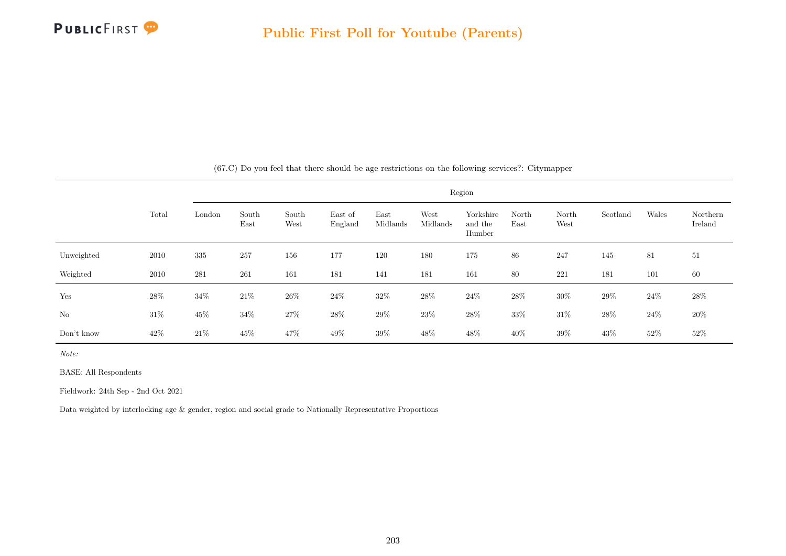

|            |        |        |               |               |                    |                  |                  | Region                         |               |               |          |        |                     |
|------------|--------|--------|---------------|---------------|--------------------|------------------|------------------|--------------------------------|---------------|---------------|----------|--------|---------------------|
|            | Total  | London | South<br>East | South<br>West | East of<br>England | East<br>Midlands | West<br>Midlands | Yorkshire<br>and the<br>Humber | North<br>East | North<br>West | Scotland | Wales  | Northern<br>Ireland |
| Unweighted | 2010   | 335    | 257           | 156           | 177                | 120              | 180              | 175                            | 86            | 247           | 145      | 81     | 51                  |
| Weighted   | 2010   | 281    | 261           | 161           | 181                | 141              | 181              | 161                            | 80            | 221           | 181      | 101    | 60                  |
| Yes        | $28\%$ | $34\%$ | $21\%$        | $26\%$        | $24\%$             | $32\%$           | $28\%$           | $24\%$                         | $28\%$        | $30\%$        | $29\%$   | $24\%$ | 28\%                |
| No         | $31\%$ | $45\%$ | 34%           | $27\%$        | $28\%$             | $29\%$           | $23\%$           | $28\%$                         | $33\%$        | $31\%$        | $28\%$   | $24\%$ | 20%                 |
| Don't know | 42\%   | $21\%$ | $45\%$        | 47%           | 49\%               | 39%              | 48%              | 48\%                           | 40%           | $39\%$        | 43%      | $52\%$ | $52\%$              |

(67.C) Do you feel that there should be age restrictions on the following services?: Citymapper

Note:

BASE: All Respondents

Fieldwork: 24th Sep - 2nd Oct 2021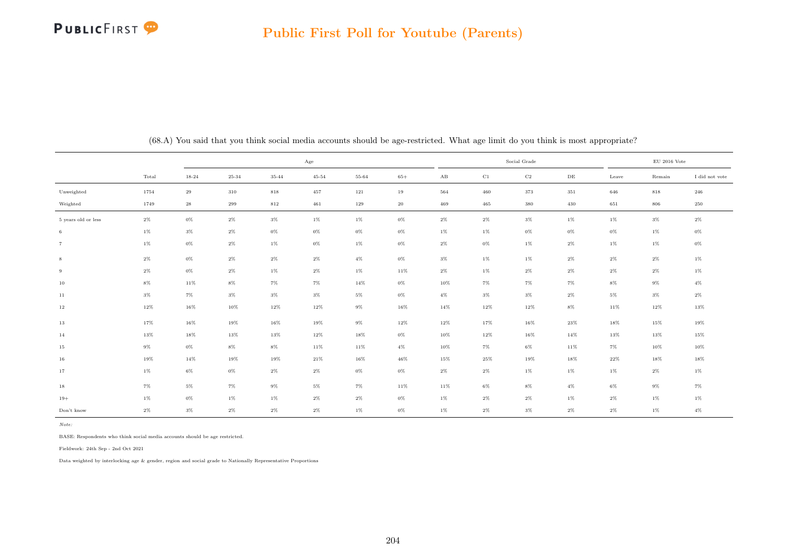

|                     |        |          |           |         | Age       |        |        |        |          | Social Grade |           |        | $\rm EU$ 2016 Vote |                |
|---------------------|--------|----------|-----------|---------|-----------|--------|--------|--------|----------|--------------|-----------|--------|--------------------|----------------|
|                     | Total  | 18-24    | $25 - 34$ | 35-44   | $45 - 54$ | 55-64  | $65+$  | AB     | $\rm C1$ | $_{\rm C2}$  | $\rm{DE}$ | Leave  | Remain             | I did not vote |
| Unweighted          | 1754   | 29       | 310       | $818\,$ | 457       | 121    | 19     | 564    | 460      | 373          | 351       | 646    | $818\,$            | 246            |
| Weighted            | 1749   | $\bf 28$ | 299       | 812     | 461       | 129    | $20\,$ | 469    | 465      | 380          | 430       | 651    | 806                | 250            |
| 5 years old or less | $2\%$  | $0\%$    | $2\%$     | $3\%$   | $1\%$     | $1\%$  | $0\%$  | $2\%$  | $2\%$    | $3\%$        | $1\%$     | $1\%$  | $3\%$              | $2\%$          |
| $\,6\,$             | $1\%$  | $3\%$    | $2\%$     | $0\%$   | $0\%$     | $0\%$  | $0\%$  | $1\%$  | $1\%$    | $0\%$        | $0\%$     | $0\%$  | $1\%$              | $0\%$          |
| $\overline{7}$      | $1\%$  | $0\%$    | $2\%$     | $1\%$   | $0\%$     | $1\%$  | $0\%$  | $2\%$  | $0\%$    | $1\%$        | $2\%$     | $1\%$  | $1\%$              | $0\%$          |
| $\,$ 8 $\,$         | $2\%$  | $0\%$    | $2\%$     | $2\%$   | $2\%$     | $4\%$  | $0\%$  | $3\%$  | $1\%$    | $1\%$        | $2\%$     | $2\%$  | $2\%$              | $1\%$          |
| 9                   | $2\%$  | $0\%$    | $2\%$     | $1\%$   | $2\%$     | $1\%$  | $11\%$ | $2\%$  | $1\%$    | $2\%$        | $2\%$     | $2\%$  | $2\%$              | $1\%$          |
| $10\,$              | $8\%$  | $11\%$   | $8\%$     | $7\%$   | $7\%$     | $14\%$ | $0\%$  | $10\%$ | $7\%$    | $7\%$        | $7\%$     | $8\%$  | $9\%$              | $4\%$          |
| 11                  | $3\%$  | $7\%$    | $3\%$     | $3\%$   | $3\%$     | $5\%$  | $0\%$  | $4\%$  | $3\%$    | $3\%$        | $2\%$     | $5\%$  | $3\%$              | $2\%$          |
| 12                  | 12%    | $16\%$   | 10%       | 12%     | $12\%$    | $9\%$  | $16\%$ | $14\%$ | $12\%$   | $12\%$       | $8\%$     | 11%    | $12\%$             | 13%            |
| 13                  | 17%    | 16%      | 19%       | $16\%$  | 19%       | $9\%$  | $12\%$ | 12%    | 17%      | $16\%$       | 23%       | 18%    | $15\%$             | 19%            |
| 14                  | $13\%$ | 18%      | $13\%$    | $13\%$  | 12%       | $18\%$ | $0\%$  | 10%    | $12\%$   | $16\%$       | 14%       | $13\%$ | $13\%$             | 15%            |
| 15                  | $9\%$  | $0\%$    | $8\%$     | $8\%$   | 11%       | $11\%$ | $4\%$  | 10%    | $7\%$    | $6\%$        | 11%       | $7\%$  | $10\%$             | 10%            |
| 16                  | 19%    | $14\%$   | 19%       | $19\%$  | $21\%$    | 16%    | $46\%$ | 15%    | $25\%$   | $19\%$       | 18%       | $22\%$ | $18\%$             | 18%            |
| 17                  | $1\%$  | $6\%$    | $0\%$     | $2\%$   | $2\%$     | $0\%$  | $0\%$  | $2\%$  | $2\%$    | $1\%$        | $1\%$     | $1\%$  | $2\%$              | $1\%$          |
| 18                  | $7\%$  | $5\%$    | $7\%$     | $9\%$   | $5\%$     | $7\%$  | $11\%$ | $11\%$ | $6\%$    | $8\%$        | $4\%$     | $6\%$  | $9\%$              | $7\%$          |
| $19+$               | $1\%$  | $0\%$    | $1\%$     | $1\%$   | $2\%$     | $2\%$  | $0\%$  | $1\%$  | $2\%$    | $2\%$        | $1\%$     | $2\%$  | $1\%$              | $1\%$          |
| Don't know          | $2\%$  | $3\%$    | $2\%$     | $2\%$   | $2\%$     | $1\%$  | $0\%$  | $1\%$  | $2\%$    | $3\%$        | $2\%$     | $2\%$  | $1\%$              | $4\%$          |

(68.A) You said that you think social media accounts should be age-restricted. What age limit do you think is most appropriate?

BASE: Respondents who think social media accounts should be age restricted.

Fieldwork: 24th Sep - 2nd Oct 2021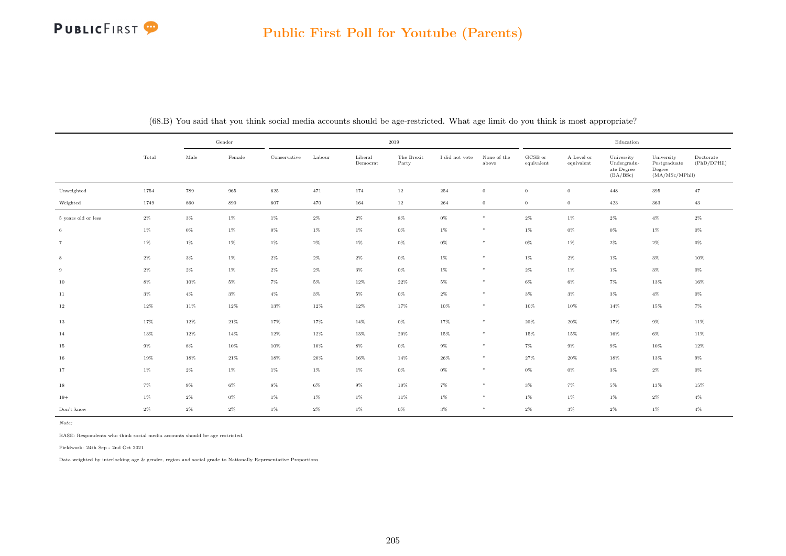## **PUBLICFIRST**

|                     |        |               | Gender |              |        |                     | 2019                |                |                      |                               |                          | Education                                           |                                                         |                          |
|---------------------|--------|---------------|--------|--------------|--------|---------------------|---------------------|----------------|----------------------|-------------------------------|--------------------------|-----------------------------------------------------|---------------------------------------------------------|--------------------------|
|                     | Total  | $_{\rm Male}$ | Female | Conservative | Labour | Liberal<br>Democrat | The Brexit<br>Party | I did not vote | None of the<br>above | ${\rm GCSE}$ or<br>equivalent | A Level or<br>equivalent | University<br>Undergradu-<br>ate Degree<br>(BA/BSc) | University<br>Postgraduate<br>Degree<br>(MA/MSc/MPhill) | Doctorate<br>(PhD/DPHil) |
| Unweighted          | 1754   | 789           | 965    | 625          | 471    | 174                 | $12\,$              | 254            | $\overline{0}$       | $\mathbf{0}$                  | $\overline{0}$           | 448                                                 | 395                                                     | 47                       |
| Weighted            | 1749   | 860           | 890    | 607          | 470    | 164                 | $12\,$              | 264            | $\overline{0}$       | $\mathbf{0}$                  | $\overline{0}$           | 423                                                 | 363                                                     | 43                       |
| 5 years old or less | $2\%$  | $3\%$         | 1%     | $1\%$        | $2\%$  | $2\%$               | $8\%$               | $0\%$          | $\ast$               | $2\%$                         | $1\%$                    | $2\%$                                               | $4\%$                                                   | $2\%$                    |
| 6                   | $1\%$  | $0\%$         | $1\%$  | $0\%$        | $1\%$  | $1\%$               | $0\%$               | $1\%$          | $*$                  | $1\%$                         | $0\%$                    | $0\%$                                               | $1\%$                                                   | $0\%$                    |
| $\overline{7}$      | $1\%$  | $1\%$         | $1\%$  | $1\%$        | $2\%$  | $1\%$               | $0\%$               | $0\%$          | $*$                  | $0\%$                         | $1\%$                    | $2\%$                                               | $2\%$                                                   | $0\%$                    |
| 8                   | $2\%$  | $3\%$         | $1\%$  | $2\%$        | $2\%$  | $2\%$               | $0\%$               | $1\%$          | $\ast$               | $1\%$                         | $2\%$                    | 1%                                                  | $3\%$                                                   | 10%                      |
| 9                   | $2\%$  | $2\%$         | $1\%$  | $2\%$        | $2\%$  | $3\%$               | $0\%$               | $1\%$          | $\ast$               | $2\%$                         | $1\%$                    | $1\%$                                               | $3\%$                                                   | 0%                       |
| 10                  | $8\%$  | 10%           | $5\%$  | $7\%$        | $5\%$  | 12%                 | $22\%$              | $5\%$          | $\ast$               | $6\%$                         | $6\%$                    | $7\%$                                               | 13%                                                     | 16%                      |
| 11                  | $3\%$  | $4\%$         | $3\%$  | $4\%$        | $3\%$  | $5\%$               | $0\%$               | $2\%$          | $*$                  | $3\%$                         | $3\%$                    | $3\%$                                               | $4\%$                                                   | 0%                       |
| $12\,$              | $12\%$ | 11%           | $12\%$ | $13\%$       | $12\%$ | $12\%$              | 17%                 | 10%            | $\ast$               | 10%                           | 10%                      | 14%                                                 | 15%                                                     | $7\%$                    |
| $13\,$              | 17%    | $12\%$        | $21\%$ | 17%          | 17%    | $14\%$              | $0\%$               | 17%            | $\ast$               | 20%                           | 20%                      | 17%                                                 | $9\%$                                                   | 11%                      |
| 14                  | 13%    | 12%           | 14%    | $12\%$       | 12%    | 13%                 | $20\%$              | 15%            | $*$                  | 15%                           | 15%                      | 16%                                                 | $6\%$                                                   | 11%                      |
| 15                  | $9\%$  | $8\%$         | $10\%$ | 10%          | 10%    | $8\%$               | $0\%$               | 9%             | $\ast$               | $7\%$                         | 9%                       | $9\%$                                               | 10%                                                     | 12%                      |
| 16                  | 19%    | 18%           | $21\%$ | $18\%$       | 20%    | 16%                 | $14\%$              | 26%            | $*$                  | $27\%$                        | 20%                      | $18\%$                                              | 13%                                                     | $9\%$                    |
| 17                  | $1\%$  | $2\%$         | $1\%$  | $1\%$        | $1\%$  | $1\%$               | $0\%$               | $0\%$          | $*$                  | $0\%$                         | $0\%$                    | $3\%$                                               | $2\%$                                                   | 0%                       |
| 18                  | $7\%$  | $9\%$         | $6\%$  | $8\%$        | $6\%$  | $9\%$               | $10\%$              | $7\%$          | $\ast$               | $3\%$                         | 7%                       | $5\%$                                               | 13%                                                     | 15%                      |
| $19+$               | $1\%$  | $2\%$         | $0\%$  | $1\%$        | $1\%$  | $1\%$               | 11%                 | $1\%$          | $\ast$               | $1\%$                         | $1\%$                    | $1\%$                                               | $2\%$                                                   | $4\%$                    |
| Don't know          | $2\%$  | $2\%$         | $2\%$  | $1\%$        | $2\%$  | $1\%$               | 0%                  | $3\%$          | $*$                  | $2\%$                         | $3\%$                    | $2\%$                                               | $1\%$                                                   | $4\%$                    |

(68.B) You said that you think social media accounts should be age-restricted. What age limit do you think is most appropriate?

Note:

BASE: Respondents who think social media accounts should be age restricted.

Fieldwork: 24th Sep - 2nd Oct 2021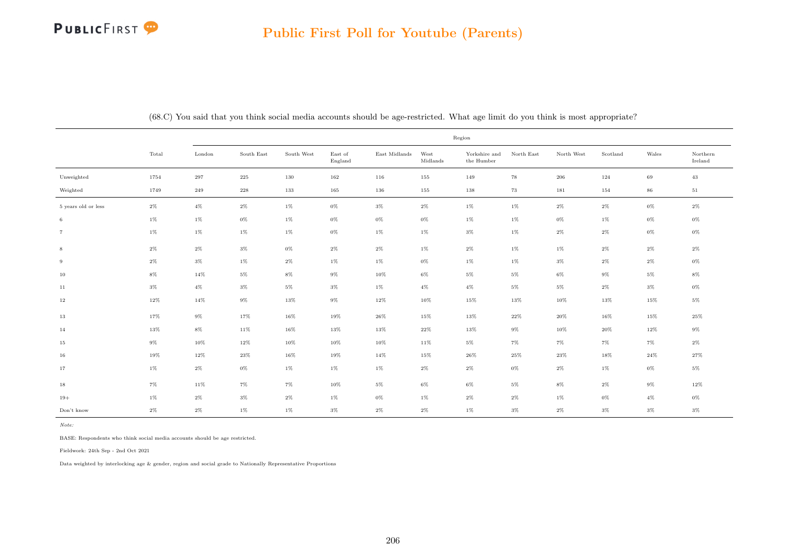## **PUBLICFIRST**

|                     |       |        |            |            |                    |                                |                  | Region                      |            |            |          |        |                     |
|---------------------|-------|--------|------------|------------|--------------------|--------------------------------|------------------|-----------------------------|------------|------------|----------|--------|---------------------|
|                     | Total | London | South East | South West | East of<br>England | $\operatorname{East}$ Midlands | West<br>Midlands | Yorkshire and<br>the Humber | North East | North West | Scotland | Wales  | Northern<br>Ireland |
| Unweighted          | 1754  | 297    | 225        | 130        | 162                | 116                            | 155              | 149                         | 78         | 206        | 124      | 69     | 43                  |
| Weighted            | 1749  | 249    | $228\,$    | 133        | 165                | 136                            | 155              | 138                         | 73         | 181        | 154      | 86     | 51                  |
| 5 years old or less | $2\%$ | $4\%$  | $2\%$      | $1\%$      | $0\%$              | $3\%$                          | $2\%$            | $1\%$                       | $1\%$      | $2\%$      | $2\%$    | $0\%$  | $2\%$               |
| 6                   | $1\%$ | $1\%$  | $0\%$      | $1\%$      | $0\%$              | $0\%$                          | $0\%$            | $1\%$                       | $1\%$      | $0\%$      | $1\%$    | $0\%$  | $0\%$               |
| $\overline{7}$      | $1\%$ | $1\%$  | $1\%$      | 1%         | $0\%$              | $1\%$                          | $1\%$            | $3\%$                       | $1\%$      | $2\%$      | $2\%$    | $0\%$  | $0\%$               |
| 8                   | $2\%$ | $2\%$  | $3\%$      | 0%         | 2%                 | $2\%$                          | 1%               | $2\%$                       | $1\%$      | $1\%$      | $2\%$    | $2\%$  | $2\%$               |
| 9                   | $2\%$ | $3\%$  | $1\%$      | $2\%$      | $1\%$              | $1\%$                          | $0\%$            | $1\%$                       | $1\%$      | $3\%$      | $2\%$    | $2\%$  | $0\%$               |
| 10                  | $8\%$ | 14%    | $5\%$      | $8\%$      | 9%                 | 10%                            | $6\%$            | $5\%$                       | $5\%$      | 6%         | $9\%$    | 5%     | $8\%$               |
| 11                  | $3\%$ | $4\%$  | $3\%$      | $5\%$      | 3%                 | $1\%$                          | $4\%$            | $4\%$                       | $5\%$      | 5%         | $2\%$    | $3\%$  | $0\%$               |
| 12                  | 12%   | 14%    | 9%         | 13%        | $9\%$              | 12%                            | 10%              | 15%                         | 13%        | 10%        | 13%      | 15%    | $5\%$               |
| 13                  | 17%   | $9\%$  | 17%        | 16%        | 19%                | 26%                            | 15%              | 13%                         | 22%        | 20%        | 16%      | 15%    | 25%                 |
| 14                  | 13%   | $8\%$  | 11%        | 16%        | 13%                | 13%                            | 22%              | 13%                         | $9\%$      | $10\%$     | 20%      | 12%    | $9\%$               |
| 15                  | $9\%$ | 10%    | $12\%$     | $10\%$     | $10\%$             | 10%                            | $11\%$           | $5\%$                       | $7\%$      | $7\%$      | $7\%$    | 7%     | $2\%$               |
| 16                  | 19%   | 12%    | 23%        | 16%        | 19%                | 14%                            | 15%              | 26%                         | 25%        | 23%        | 18%      | $24\%$ | 27%                 |
| 17                  | $1\%$ | $2\%$  | $0\%$      | $1\%$      | $1\%$              | $1\%$                          | $2\%$            | $2\%$                       | $0\%$      | $2\%$      | $1\%$    | $0\%$  | $5\%$               |
| 18                  | $7\%$ | 11%    | $7\%$      | 7%         | 10%                | $5\%$                          | 6%               | $6\%$                       | $5\%$      | $8\%$      | $2\%$    | $9\%$  | 12%                 |
| $19+$               | $1\%$ | $2\%$  | $3\%$      | $2\%$      | $1\%$              | $0\%$                          | 1%               | $2\%$                       | $2\%$      | 1%         | $0\%$    | $4\%$  | $0\%$               |
| Don't know          | $2\%$ | $2\%$  | $1\%$      | $1\%$      | $3\%$              | $2\%$                          | $2\%$            | $1\%$                       | $3\%$      | $2\%$      | $3\%$    | $3\%$  | $3\%$               |

(68.C) You said that you think social media accounts should be age-restricted. What age limit do you think is most appropriate?

Note:

BASE: Respondents who think social media accounts should be age restricted.

Fieldwork: 24th Sep - 2nd Oct 2021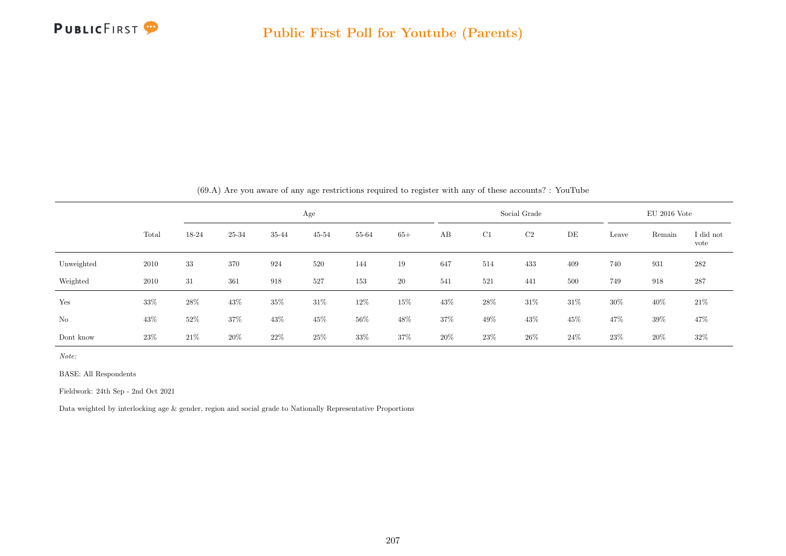

|            |       |        |        |        | Age       |        |        |        |        | Social Grade |      |        | $EU$ 2016 Vote |                   |
|------------|-------|--------|--------|--------|-----------|--------|--------|--------|--------|--------------|------|--------|----------------|-------------------|
|            | Total | 18-24  | 25-34  | 35-44  | $45 - 54$ | 55-64  | $65+$  | AB     | C1     | C2           | DE   | Leave  | Remain         | I did not<br>vote |
| Unweighted | 2010  | 33     | 370    | 924    | 520       | 144    | 19     | 647    | 514    | 433          | 409  | 740    | 931            | 282               |
| Weighted   | 2010  | 31     | 361    | 918    | 527       | 153    | 20     | 541    | 521    | 441          | 500  | 749    | 918            | 287               |
| Yes        | 33%   | 28%    | 43%    | 35%    | $31\%$    | $12\%$ | $15\%$ | 43%    | $28\%$ | $31\%$       | 31\% | $30\%$ | 40%            | 21\%              |
| No         | 43\%  | $52\%$ | $37\%$ | $43\%$ | $45\%$    | $56\%$ | 48\%   | $37\%$ | $49\%$ | $43\%$       | 45%  | 47%    | 39%            | 47\%              |
| Dont know  | 23%   | 21\%   | 20%    | 22\%   | 25%       | 33%    | 37%    | 20%    | $23\%$ | 26\%         | 24\% | 23\%   | $20\%$         | 32%               |

(69.A) Are you aware of any age restrictions required to register with any of these accounts? : YouTube

Note:

BASE: All Respondents

Fieldwork: 24th Sep - 2nd Oct 2021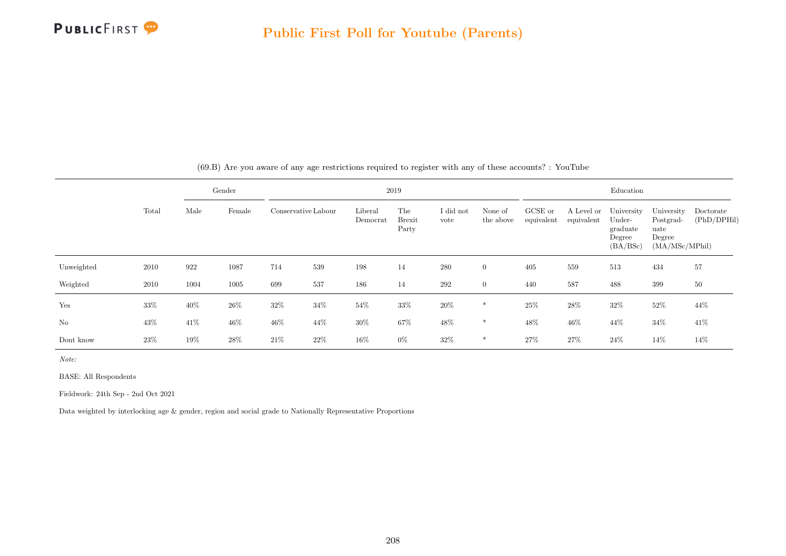

|                |       |      | Gender |        |                     |                     | 2019                          |                   |                      |                       |                          | Education                                              |                                                             |                          |
|----------------|-------|------|--------|--------|---------------------|---------------------|-------------------------------|-------------------|----------------------|-----------------------|--------------------------|--------------------------------------------------------|-------------------------------------------------------------|--------------------------|
|                | Total | Male | Female |        | Conservative Labour | Liberal<br>Democrat | The<br><b>Brexit</b><br>Party | I did not<br>vote | None of<br>the above | GCSE or<br>equivalent | A Level or<br>equivalent | University<br>Under-<br>graduate<br>Degree<br>(BA/BSc) | University<br>Postgrad-<br>uate<br>Degree<br>(MA/MSc/MPhil) | Doctorate<br>(PhD/DPHil) |
| Unweighted     | 2010  | 922  | 1087   | 714    | 539                 | 198                 | 14                            | 280               | $\overline{0}$       | 405                   | 559                      | 513                                                    | 434                                                         | 57                       |
| Weighted       | 2010  | 1004 | 1005   | 699    | 537                 | 186                 | 14                            | 292               | $\overline{0}$       | 440                   | 587                      | 488                                                    | 399                                                         | 50                       |
| Yes            | 33%   | 40%  | $26\%$ | 32%    | 34\%                | $54\%$              | 33%                           | $20\%$            | *                    | 25%                   | $28\%$                   | $32\%$                                                 | 52%                                                         | 44%                      |
| N <sub>o</sub> | 43\%  | 41\% | 46%    | $46\%$ | 44\%                | $30\%$              | 67%                           | $48\%$            | $\ast$               | 48%                   | 46%                      | 44%                                                    | 34%                                                         | 41\%                     |
| Dont know      | 23\%  | 19%  | 28\%   | 21\%   | 22\%                | 16%                 | $0\%$                         | 32%               | *                    | 27%                   | 27%                      | 24\%                                                   | 14%                                                         | 14%                      |

(69.B) Are you aware of any age restrictions required to register with any of these accounts? : YouTube

Note:

BASE: All Respondents

Fieldwork: 24th Sep - 2nd Oct 2021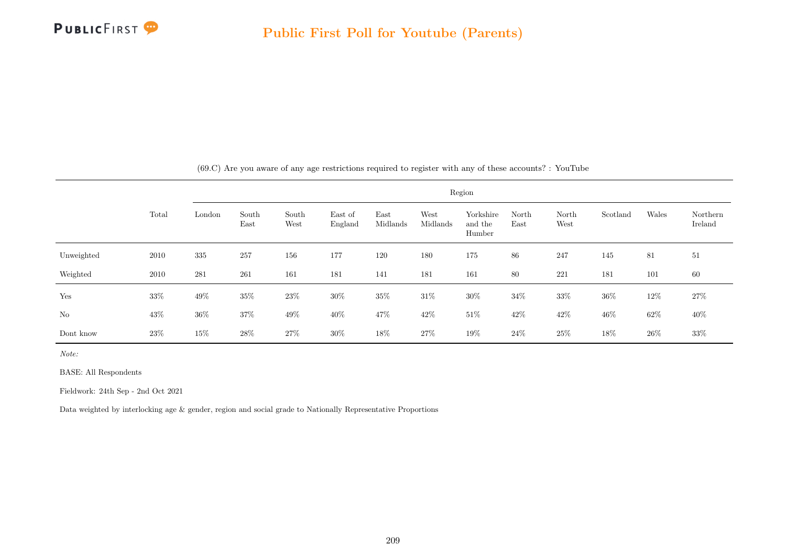

|            |        |        |               |               |                    |                  |                  | Region                         |               |               |          |        |                     |
|------------|--------|--------|---------------|---------------|--------------------|------------------|------------------|--------------------------------|---------------|---------------|----------|--------|---------------------|
|            | Total  | London | South<br>East | South<br>West | East of<br>England | East<br>Midlands | West<br>Midlands | Yorkshire<br>and the<br>Humber | North<br>East | North<br>West | Scotland | Wales  | Northern<br>Ireland |
| Unweighted | 2010   | 335    | 257           | 156           | 177                | 120              | 180              | 175                            | 86            | 247           | 145      | 81     | 51                  |
| Weighted   | 2010   | 281    | 261           | 161           | 181                | 141              | 181              | 161                            | 80            | 221           | 181      | 101    | 60                  |
| Yes        | $33\%$ | 49%    | $35\%$        | 23\%          | 30%                | $35\%$           | $31\%$           | $30\%$                         | $34\%$        | $33\%$        | $36\%$   | $12\%$ | $27\%$              |
| No         | 43\%   | $36\%$ | 37%           | 49\%          | 40\%               | 47%              | 42%              | $51\%$                         | 42%           | 42\%          | 46\%     | $62\%$ | $40\%$              |
| Dont know  | 23\%   | 15%    | $28\%$        | 27\%          | $30\%$             | 18%              | 27%              | 19%                            | $24\%$        | $25\%$        | 18%      | 26%    | $33\%$              |

(69.C) Are you aware of any age restrictions required to register with any of these accounts? : YouTube

Note:

BASE: All Respondents

Fieldwork: 24th Sep - 2nd Oct 2021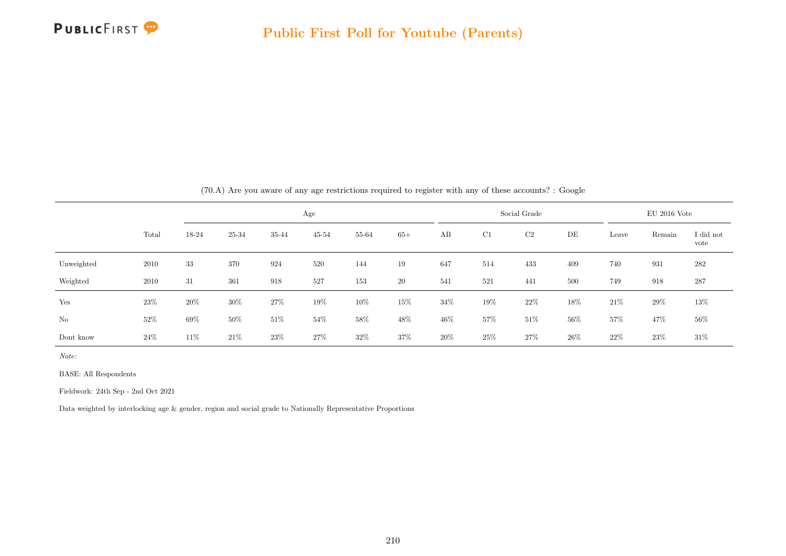

|            |       |       |        |        | Age       |        |        |     |        | Social Grade |      |        | $EU$ 2016 Vote |                   |
|------------|-------|-------|--------|--------|-----------|--------|--------|-----|--------|--------------|------|--------|----------------|-------------------|
|            | Total | 18-24 | 25-34  | 35-44  | $45 - 54$ | 55-64  | $65+$  | AB  | C1     | C2           | DE   | Leave  | Remain         | I did not<br>vote |
| Unweighted | 2010  | 33    | 370    | 924    | 520       | 144    | 19     | 647 | 514    | 433          | 409  | 740    | 931            | 282               |
| Weighted   | 2010  | 31    | 361    | 918    | 527       | 153    | 20     | 541 | 521    | 441          | 500  | 749    | 918            | 287               |
| Yes        | 23%   | 20%   | 30%    | $27\%$ | 19%       | 10%    | $15\%$ | 34% | $19\%$ | $22\%$       | 18%  | $21\%$ | 29%            | 13%               |
| No         | 52%   | 69%   | $50\%$ | $51\%$ | $54\%$    | $58\%$ | $48\%$ | 46% | 57%    | $51\%$       | 56%  | $57\%$ | 47%            | $56\%$            |
| Dont know  | 24%   | 11\%  | 21\%   | $23\%$ | 27%       | 32\%   | 37%    | 20% | 25%    | 27%          | 26\% | 22\%   | $23\%$         | $31\%$            |

(70.A) Are you aware of any age restrictions required to register with any of these accounts? : Google

Note:

BASE: All Respondents

Fieldwork: 24th Sep - 2nd Oct 2021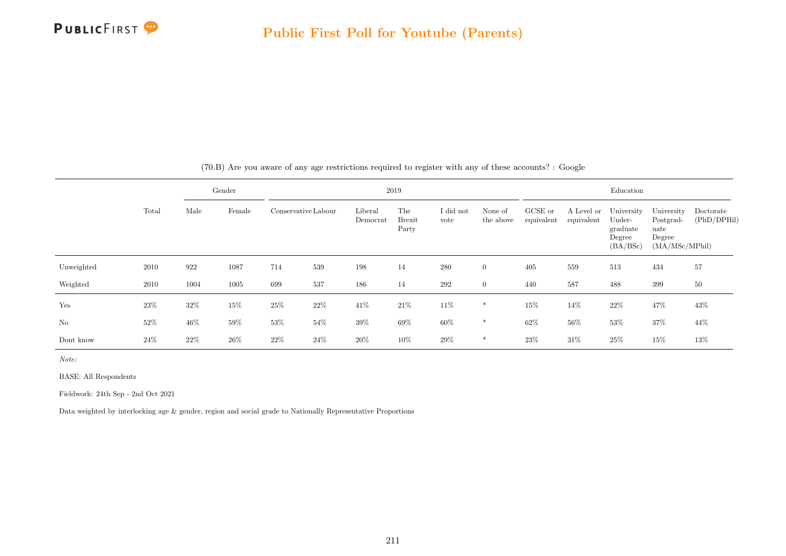

|                |        |        | Gender |      |                     |                     | 2019                          |                   |                      |                       |                          | Education                                              |                                                             |                          |
|----------------|--------|--------|--------|------|---------------------|---------------------|-------------------------------|-------------------|----------------------|-----------------------|--------------------------|--------------------------------------------------------|-------------------------------------------------------------|--------------------------|
|                | Total  | Male   | Female |      | Conservative Labour | Liberal<br>Democrat | The<br><b>Brexit</b><br>Party | I did not<br>vote | None of<br>the above | GCSE or<br>equivalent | A Level or<br>equivalent | University<br>Under-<br>graduate<br>Degree<br>(BA/BSc) | University<br>Postgrad-<br>uate<br>Degree<br>(MA/MSc/MPhil) | Doctorate<br>(PhD/DPHil) |
| Unweighted     | 2010   | 922    | 1087   | 714  | 539                 | 198                 | 14                            | 280               | $\overline{0}$       | 405                   | 559                      | 513                                                    | 434                                                         | 57                       |
| Weighted       | 2010   | 1004   | 1005   | 699  | 537                 | 186                 | 14                            | 292               | $\overline{0}$       | 440                   | 587                      | 488                                                    | 399                                                         | 50                       |
| Yes            | 23\%   | 32%    | $15\%$ | 25%  | 22%                 | 41\%                | $21\%$                        | 11\%              | $\ast$               | 15%                   | 14%                      | $22\%$                                                 | 47%                                                         | 43%                      |
| N <sub>o</sub> | 52%    | $46\%$ | 59%    | 53%  | 54%                 | 39%                 | 69%                           | 60%               | $\ast$               | 62%                   | 56%                      | 53%                                                    | 37%                                                         | 44%                      |
| Dont know      | $24\%$ | 22\%   | $26\%$ | 22\% | 24\%                | 20%                 | 10%                           | 29%               | $\ast$               | 23\%                  | 31\%                     | 25%                                                    | 15%                                                         | 13%                      |

(70.B) Are you aware of any age restrictions required to register with any of these accounts? : Google

Note:

BASE: All Respondents

Fieldwork: 24th Sep - 2nd Oct 2021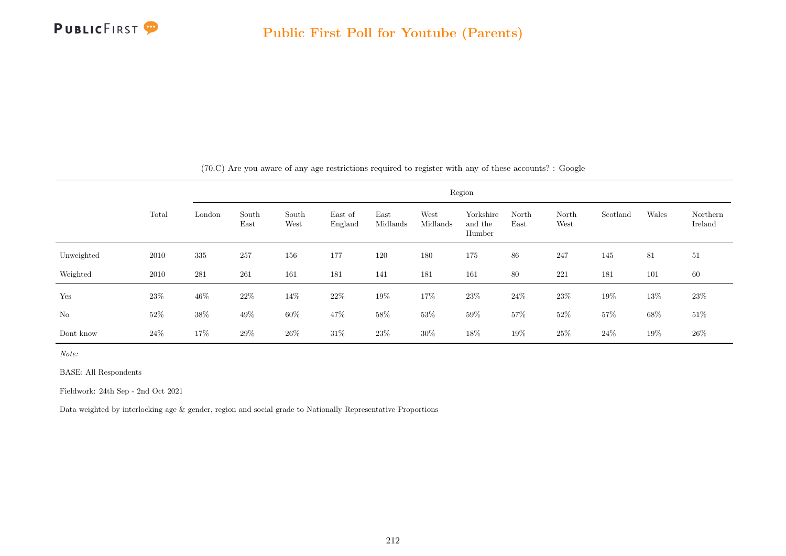

|            |        |        |               |               |                    |                  |                  | Region                         |               |               |          |        |                     |
|------------|--------|--------|---------------|---------------|--------------------|------------------|------------------|--------------------------------|---------------|---------------|----------|--------|---------------------|
|            | Total  | London | South<br>East | South<br>West | East of<br>England | East<br>Midlands | West<br>Midlands | Yorkshire<br>and the<br>Humber | North<br>East | North<br>West | Scotland | Wales  | Northern<br>Ireland |
| Unweighted | 2010   | 335    | 257           | 156           | 177                | 120              | 180              | 175                            | 86            | 247           | 145      | 81     | 51                  |
| Weighted   | 2010   | 281    | 261           | 161           | 181                | 141              | 181              | 161                            | 80            | 221           | 181      | 101    | 60                  |
| Yes        | $23\%$ | $46\%$ | $22\%$        | 14\%          | $22\%$             | $19\%$           | $17\%$           | $23\%$                         | 24\%          | $23\%$        | 19%      | 13%    | 23\%                |
| No         | $52\%$ | $38\%$ | 49\%          | $60\%$        | $47\%$             | $58\%$           | $53\%$           | $59\%$                         | 57%           | $52\%$        | 57%      | $68\%$ | $51\%$              |
| Dont know  | 24\%   | 17%    | 29%           | $26\%$        | $31\%$             | 23\%             | $30\%$           | 18\%                           | 19%           | $25\%$        | 24%      | $19\%$ | $26\%$              |

(70.C) Are you aware of any age restrictions required to register with any of these accounts? : Google

Note:

BASE: All Respondents

Fieldwork: 24th Sep - 2nd Oct 2021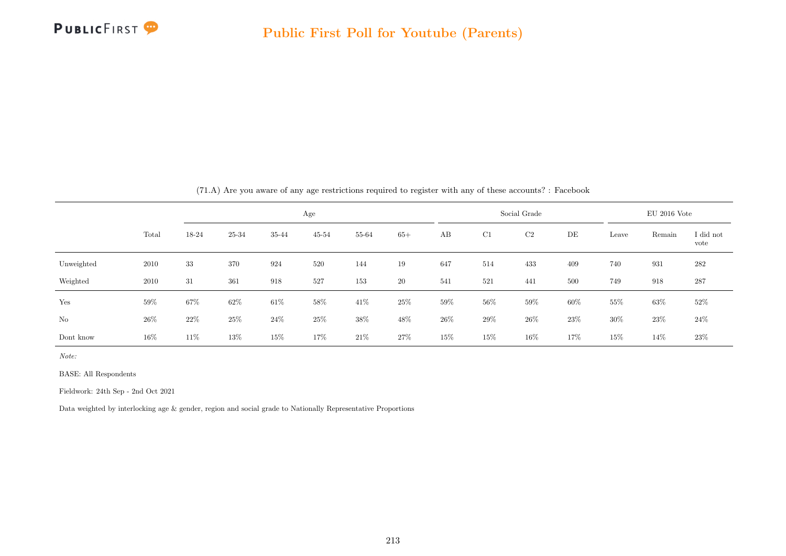

|            |        |        | $\sim$ |        | $\cdot$<br>$\sim$ |        |        |     |        |              |                |        |        |                   |
|------------|--------|--------|--------|--------|-------------------|--------|--------|-----|--------|--------------|----------------|--------|--------|-------------------|
|            |        |        | Age    |        |                   |        |        |     |        | Social Grade | $EU$ 2016 Vote |        |        |                   |
|            | Total  | 18-24  | 25-34  | 35-44  | $45 - 54$         | 55-64  | $65+$  | AB  | C1     | C2           | DE             | Leave  | Remain | I did not<br>vote |
| Unweighted | 2010   | 33     | 370    | 924    | 520               | 144    | 19     | 647 | 514    | 433          | 409            | 740    | 931    | $282\,$           |
| Weighted   | 2010   | 31     | 361    | 918    | 527               | 153    | 20     | 541 | 521    | 441          | 500            | 749    | 918    | 287               |
| Yes        | $59\%$ | $67\%$ | $62\%$ | $61\%$ | $58\%$            | 41\%   | $25\%$ | 59% | $56\%$ | $59\%$       | 60%            | $55\%$ | $63\%$ | 52%               |
| No         | 26%    | 22%    | 25%    | $24\%$ | 25%               | $38\%$ | 48\%   | 26% | $29\%$ | $26\%$       | 23%            | $30\%$ | 23%    | 24\%              |
| Dont know  | $16\%$ | 11\%   | 13%    | 15%    | 17%               | 21\%   | 27%    | 15% | 15%    | $16\%$       | 17%            | $15\%$ | 14%    | 23\%              |

(71.A) Are you aware of any age restrictions required to register with any of these accounts? : Facebook

Note:

BASE: All Respondents

Fieldwork: 24th Sep - 2nd Oct 2021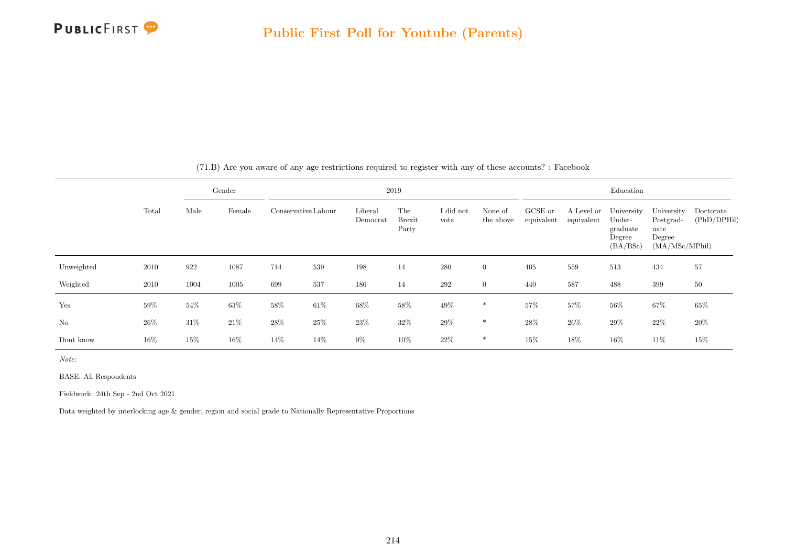

|            | Total |        | Gender | 2019   |                     |                     |                               |                   |                      |                       | Education                |                                                        |                                                             |                          |  |
|------------|-------|--------|--------|--------|---------------------|---------------------|-------------------------------|-------------------|----------------------|-----------------------|--------------------------|--------------------------------------------------------|-------------------------------------------------------------|--------------------------|--|
|            |       | Male   | Female |        | Conservative Labour | Liberal<br>Democrat | The<br><b>Brexit</b><br>Party | I did not<br>vote | None of<br>the above | GCSE or<br>equivalent | A Level or<br>equivalent | University<br>Under-<br>graduate<br>Degree<br>(BA/BSc) | University<br>Postgrad-<br>uate<br>Degree<br>(MA/MSc/MPhil) | Doctorate<br>(PhD/DPHil) |  |
| Unweighted | 2010  | 922    | 1087   | 714    | 539                 | 198                 | 14                            | 280               | $\overline{0}$       | 405                   | 559                      | 513                                                    | 434                                                         | 57                       |  |
| Weighted   | 2010  | 1004   | 1005   | 699    | 537                 | 186                 | 14                            | 292               | $\overline{0}$       | 440                   | 587                      | 488                                                    | 399                                                         | 50                       |  |
| Yes        | 59%   | $54\%$ | $63\%$ | $58\%$ | $61\%$              | $68\%$              | $58\%$                        | $49\%$            | $\ast$               | 57%                   | $57\%$                   | $56\%$                                                 | $67\%$                                                      | 65%                      |  |
| No         | 26%   | $31\%$ | $21\%$ | 28%    | 25%                 | 23%                 | 32\%                          | $29\%$            | $\ast$               | 28\%                  | $26\%$                   | $29\%$                                                 | 22%                                                         | $20\%$                   |  |
| Dont know  | 16%   | 15%    | 16%    | 14%    | 14%                 | $9\%$               | 10%                           | 22\%              | $\ast$               | 15%                   | 18%                      | $16\%$                                                 | 11\%                                                        | 15%                      |  |

(71.B) Are you aware of any age restrictions required to register with any of these accounts? : Facebook

Note:

BASE: All Respondents

Fieldwork: 24th Sep - 2nd Oct 2021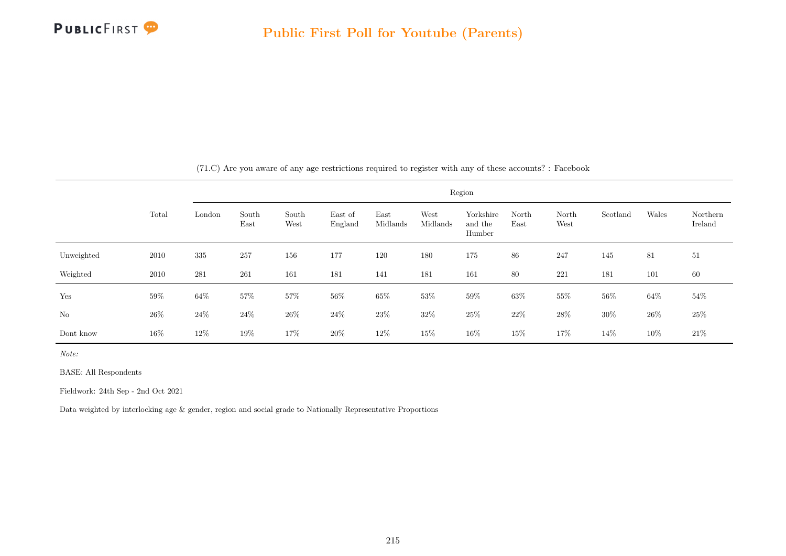

|            | Region |        |               |               |                    |                  |                  |                                |               |               |          |        |                     |
|------------|--------|--------|---------------|---------------|--------------------|------------------|------------------|--------------------------------|---------------|---------------|----------|--------|---------------------|
|            | Total  | London | South<br>East | South<br>West | East of<br>England | East<br>Midlands | West<br>Midlands | Yorkshire<br>and the<br>Humber | North<br>East | North<br>West | Scotland | Wales  | Northern<br>Ireland |
| Unweighted | 2010   | 335    | 257           | 156           | 177                | 120              | 180              | 175                            | 86            | 247           | 145      | 81     | 51                  |
| Weighted   | 2010   | 281    | 261           | 161           | 181                | 141              | 181              | 161                            | 80            | 221           | 181      | 101    | 60                  |
| Yes        | $59\%$ | $64\%$ | 57%           | $57\%$        | 56\%               | $65\%$           | $53\%$           | $59\%$                         | $63\%$        | $55\%$        | 56%      | 64\%   | 54\%                |
| $\rm No$   | $26\%$ | $24\%$ | $24\%$        | $26\%$        | $24\%$             | $23\%$           | $32\%$           | $25\%$                         | $22\%$        | $28\%$        | $30\%$   | $26\%$ | $25\%$              |
| Dont know  | 16\%   | $12\%$ | 19%           | 17%           | 20%                | 12\%             | 15%              | $16\%$                         | 15%           | 17%           | 14%      | 10%    | $21\%$              |

(71.C) Are you aware of any age restrictions required to register with any of these accounts? : Facebook

Note:

BASE: All Respondents

Fieldwork: 24th Sep - 2nd Oct 2021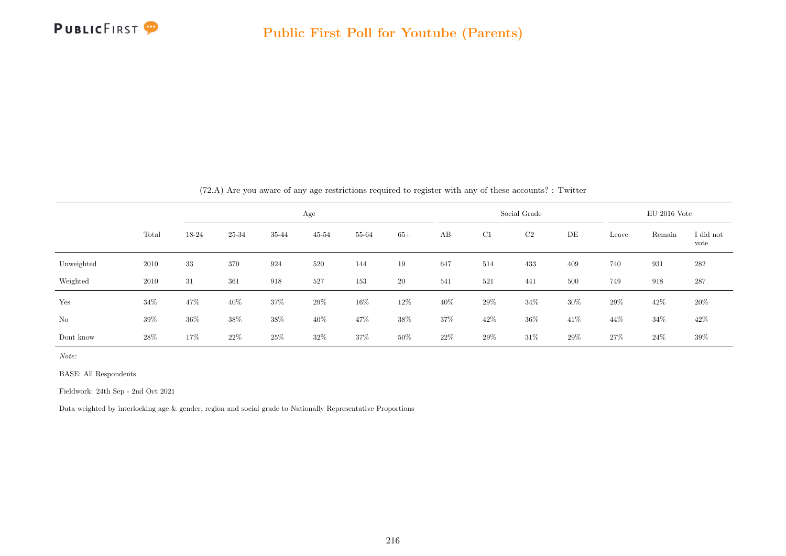

|                |       |       |       |       | Age       |        |       |      |        | Social Grade |      |        | $EU$ 2016 Vote |                   |
|----------------|-------|-------|-------|-------|-----------|--------|-------|------|--------|--------------|------|--------|----------------|-------------------|
|                | Total | 18-24 | 25-34 | 35-44 | $45 - 54$ | 55-64  | $65+$ | AB   | C1     | C2           | DE   | Leave  | Remain         | I did not<br>vote |
| Unweighted     | 2010  | 33    | 370   | 924   | 520       | 144    | 19    | 647  | 514    | 433          | 409  | 740    | 931            | 282               |
| Weighted       | 2010  | 31    | 361   | 918   | 527       | 153    | 20    | 541  | 521    | 441          | 500  | 749    | 918            | 287               |
| Yes            | 34%   | 47%   | 40%   | 37%   | 29%       | $16\%$ | 12%   | 40%  | $29\%$ | 34%          | 30%  | $29\%$ | 42\%           | $20\%$            |
| N <sub>o</sub> | 39%   | 36%   | 38%   | 38%   | 40%       | 47%    | 38\%  | 37%  | 42\%   | $36\%$       | 41\% | 44\%   | $34\%$         | 42\%              |
| Dont know      | 28\%  | 17%   | 22%   | 25\%  | $32\%$    | 37%    | 50%   | 22\% | 29%    | $31\%$       | 29%  | 27\%   | 24\%           | $39\%$            |

 $(72 \text{ A})$  Are you aware of any age restrictions required to register with any of these accounts?  $\cdot$  Twitter

Note:

BASE: All Respondents

Fieldwork: 24th Sep - 2nd Oct 2021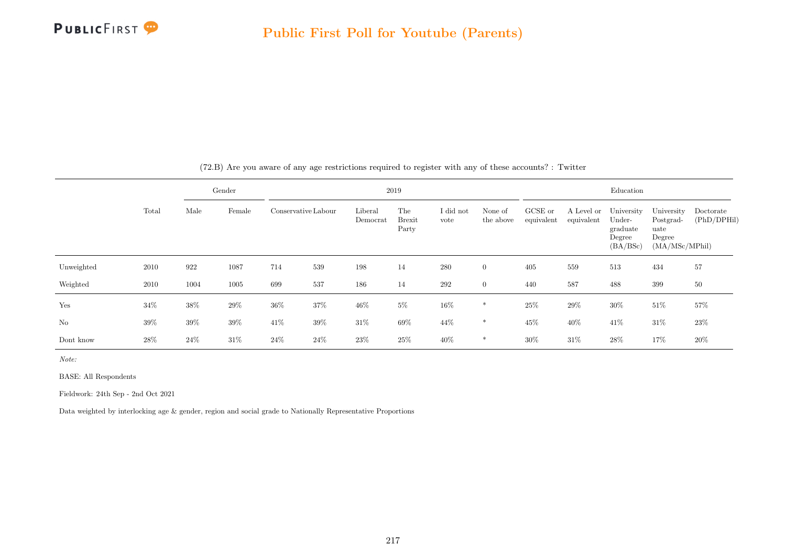

|            |        |        | Gender |                     |      |                     | 2019                          |                   |                      |                       |                          | Education                                              |                                                             |                          |
|------------|--------|--------|--------|---------------------|------|---------------------|-------------------------------|-------------------|----------------------|-----------------------|--------------------------|--------------------------------------------------------|-------------------------------------------------------------|--------------------------|
|            | Total  | Male   | Female | Conservative Labour |      | Liberal<br>Democrat | The<br><b>Brexit</b><br>Party | I did not<br>vote | None of<br>the above | GCSE or<br>equivalent | A Level or<br>equivalent | University<br>Under-<br>graduate<br>Degree<br>(BA/BSc) | University<br>Postgrad-<br>uate<br>Degree<br>(MA/MSc/MPhil) | Doctorate<br>(PhD/DPHil) |
| Unweighted | 2010   | 922    | 1087   | 714                 | 539  | 198                 | 14                            | 280               | $\overline{0}$       | 405                   | 559                      | 513                                                    | 434                                                         | 57                       |
| Weighted   | 2010   | 1004   | 1005   | 699                 | 537  | 186                 | 14                            | $\,292$           | $\overline{0}$       | 440                   | 587                      | 488                                                    | 399                                                         | 50                       |
| Yes        | $34\%$ | 38%    | 29%    | $36\%$              | 37%  | $46\%$              | $5\%$                         | 16%               | $\ast$               | 25\%                  | 29%                      | $30\%$                                                 | $51\%$                                                      | 57%                      |
| No         | 39%    | $39\%$ | $39\%$ | 41\%                | 39%  | $31\%$              | $69\%$                        | 44\%              | $\ast$               | $45\%$                | $40\%$                   | 41\%                                                   | $31\%$                                                      | 23%                      |
| Dont know  | 28%    | 24%    | 31\%   | 24%                 | 24\% | 23\%                | 25%                           | 40%               | $\ast$               | $30\%$                | 31%                      | 28\%                                                   | 17%                                                         | 20%                      |

(72.B) Are you aware of any age restrictions required to register with any of these accounts? : Twitter

Note:

BASE: All Respondents

Fieldwork: 24th Sep - 2nd Oct 2021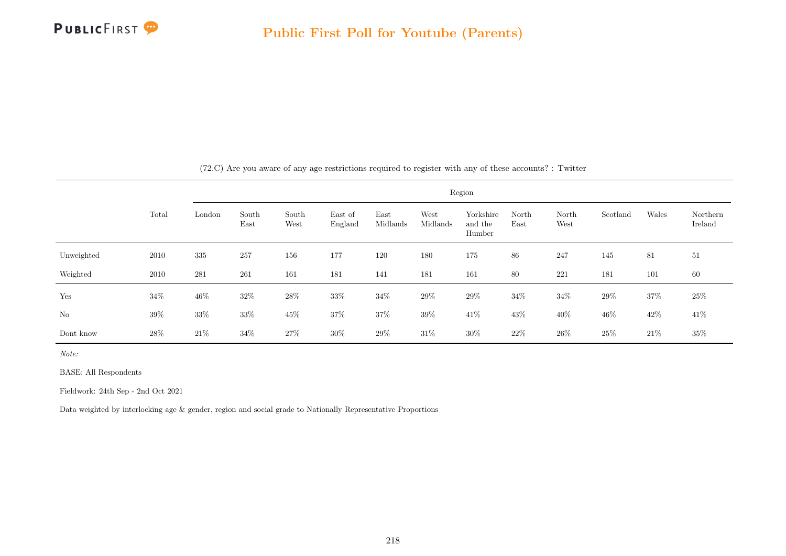

|            |        |        |               |               |                    |                  |                  | Region                         |               |               |          |        |                     |
|------------|--------|--------|---------------|---------------|--------------------|------------------|------------------|--------------------------------|---------------|---------------|----------|--------|---------------------|
|            | Total  | London | South<br>East | South<br>West | East of<br>England | East<br>Midlands | West<br>Midlands | Yorkshire<br>and the<br>Humber | North<br>East | North<br>West | Scotland | Wales  | Northern<br>Ireland |
| Unweighted | 2010   | 335    | 257           | 156           | 177                | 120              | 180              | 175                            | 86            | 247           | 145      | 81     | 51                  |
| Weighted   | 2010   | 281    | 261           | 161           | 181                | 141              | 181              | 161                            | 80            | 221           | 181      | 101    | 60                  |
| Yes        | $34\%$ | $46\%$ | $32\%$        | $28\%$        | 33%                | $34\%$           | $29\%$           | $29\%$                         | $34\%$        | $34\%$        | $29\%$   | $37\%$ | 25\%                |
| $\rm No$   | $39\%$ | $33\%$ | $33\%$        | $45\%$        | $37\%$             | $37\%$           | $39\%$           | $41\%$                         | $43\%$        | $40\%$        | 46%      | $42\%$ | $41\%$              |
| Dont know  | $28\%$ | $21\%$ | 34%           | 27\%          | $30\%$             | $29\%$           | $31\%$           | $30\%$                         | $22\%$        | $26\%$        | $25\%$   | $21\%$ | 35%                 |

(72.C) Are you aware of any age restrictions required to register with any of these accounts? : Twitter

Note:

BASE: All Respondents

Fieldwork: 24th Sep - 2nd Oct 2021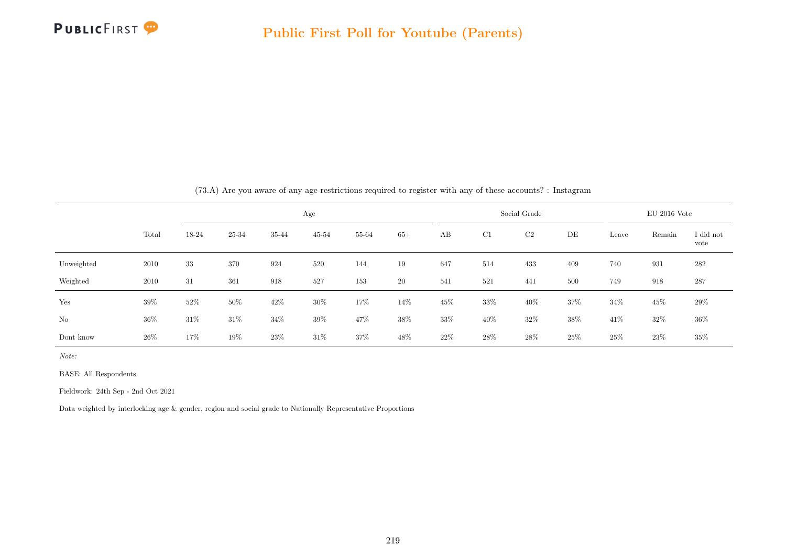

|            |       |        |        |       |           |        |       |      |        | (15.A) Are you aware of any age restrictions required to register with any of these accounts: : instagram |     |        |                |                   |
|------------|-------|--------|--------|-------|-----------|--------|-------|------|--------|-----------------------------------------------------------------------------------------------------------|-----|--------|----------------|-------------------|
|            |       |        |        |       | Age       |        |       |      |        | Social Grade                                                                                              |     |        | $EU$ 2016 Vote |                   |
|            | Total | 18-24  | 25-34  | 35-44 | $45 - 54$ | 55-64  | $65+$ | AB   | C1     | C2                                                                                                        | DE  | Leave  | Remain         | I did not<br>vote |
| Unweighted | 2010  | 33     | 370    | 924   | 520       | 144    | 19    | 647  | 514    | 433                                                                                                       | 409 | 740    | 931            | 282               |
| Weighted   | 2010  | 31     | 361    | 918   | 527       | 153    | 20    | 541  | 521    | 441                                                                                                       | 500 | 749    | 918            | 287               |
| Yes        | 39%   | 52%    | $50\%$ | 42\%  | $30\%$    | $17\%$ | 14%   | 45%  | $33\%$ | 40%                                                                                                       | 37% | $34\%$ | 45%            | 29%               |
| $\rm No$   | 36%   | $31\%$ | $31\%$ | 34%   | 39%       | 47%    | 38%   | 33%  | $40\%$ | 32\%                                                                                                      | 38% | 41%    | 32%            | $36\%$            |
| Dont know  | 26\%  | 17%    | $19\%$ | 23%   | $31\%$    | 37%    | 48%   | 22\% | 28%    | 28\%                                                                                                      | 25% | 25\%   | 23\%           | $35\%$            |

 $(73.4)$  Are you aware of any age restrictions required to register with any of these accounts? : Instagram

Note:

BASE: All Respondents

Fieldwork: 24th Sep - 2nd Oct 2021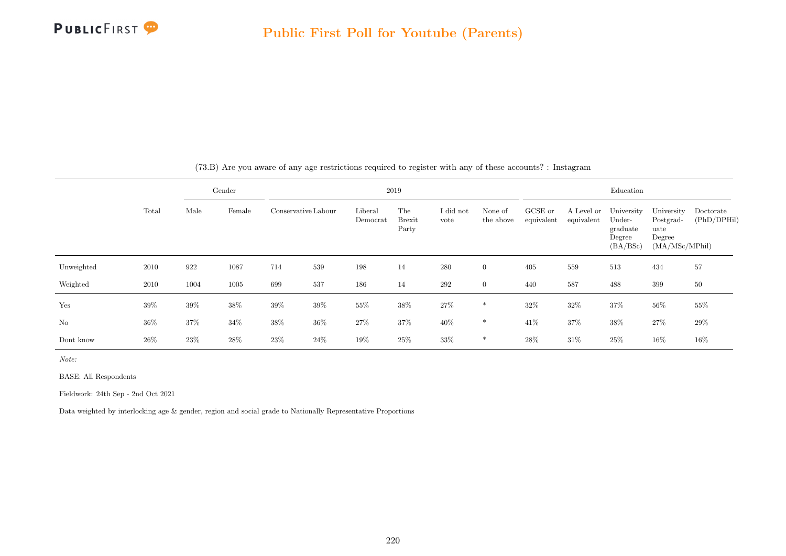

|            |        |        | Gender |                     |        |                     | 2019                          |                   |                      |                       |                          | Education                                              |                                                             |                          |
|------------|--------|--------|--------|---------------------|--------|---------------------|-------------------------------|-------------------|----------------------|-----------------------|--------------------------|--------------------------------------------------------|-------------------------------------------------------------|--------------------------|
|            | Total  | Male   | Female | Conservative Labour |        | Liberal<br>Democrat | The<br><b>Brexit</b><br>Party | I did not<br>vote | None of<br>the above | GCSE or<br>equivalent | A Level or<br>equivalent | University<br>Under-<br>graduate<br>Degree<br>(BA/BSc) | University<br>Postgrad-<br>uate<br>Degree<br>(MA/MSc/MPhil) | Doctorate<br>(PhD/DPHil) |
| Unweighted | 2010   | 922    | 1087   | 714                 | 539    | 198                 | 14                            | 280               | $\overline{0}$       | 405                   | 559                      | 513                                                    | 434                                                         | 57                       |
| Weighted   | 2010   | 1004   | 1005   | 699                 | 537    | 186                 | 14                            | 292               | $\overline{0}$       | 440                   | 587                      | 488                                                    | 399                                                         | 50                       |
| Yes        | 39%    | 39%    | 38%    | 39%                 | 39%    | 55%                 | 38%                           | $27\%$            | $\ast$               | 32\%                  | $32\%$                   | 37%                                                    | $56\%$                                                      | 55%                      |
| No         | $36\%$ | $37\%$ | $34\%$ | $38\%$              | $36\%$ | $27\%$              | $37\%$                        | $40\%$            | $\ast$               | 41\%                  | $37\%$                   | $38\%$                                                 | $27\%$                                                      | 29%                      |
| Dont know  | 26%    | 23%    | 28%    | 23%                 | 24%    | $19\%$              | 25%                           | 33%               | $\ast$               | $28\%$                | 31%                      | 25%                                                    | $16\%$                                                      | 16%                      |

(73.B) Are you aware of any age restrictions required to register with any of these accounts? : Instagram

Note:

BASE: All Respondents

Fieldwork: 24th Sep - 2nd Oct 2021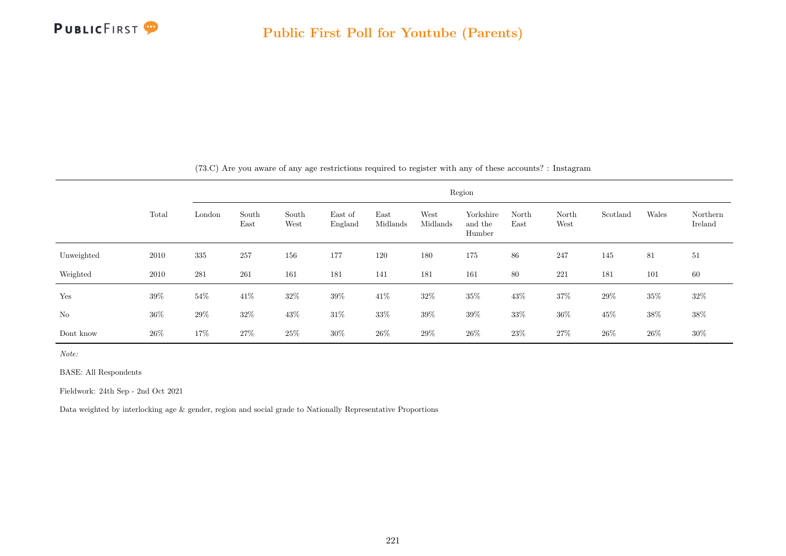

|            |        |        |               |               |                    |                  |                  | Region                         |               |               |          |        |                     |
|------------|--------|--------|---------------|---------------|--------------------|------------------|------------------|--------------------------------|---------------|---------------|----------|--------|---------------------|
|            | Total  | London | South<br>East | South<br>West | East of<br>England | East<br>Midlands | West<br>Midlands | Yorkshire<br>and the<br>Humber | North<br>East | North<br>West | Scotland | Wales  | Northern<br>Ireland |
| Unweighted | 2010   | 335    | 257           | 156           | 177                | 120              | 180              | 175                            | 86            | 247           | 145      | 81     | 51                  |
| Weighted   | 2010   | 281    | 261           | 161           | 181                | 141              | 181              | 161                            | 80            | 221           | 181      | 101    | 60                  |
| Yes        | $39\%$ | $54\%$ | $41\%$        | $32\%$        | 39%                | $41\%$           | $32\%$           | $35\%$                         | 43\%          | $37\%$        | $29\%$   | $35\%$ | $32\%$              |
| $\rm No$   | $36\%$ | $29\%$ | $32\%$        | $43\%$        | $31\%$             | $33\%$           | $39\%$           | $39\%$                         | $33\%$        | $36\%$        | 45%      | $38\%$ | $38\%$              |
| Dont know  | $26\%$ | 17%    | 27%           | 25%           | 30%                | $26\%$           | $29\%$           | 26\%                           | $23\%$        | $27\%$        | $26\%$   | $26\%$ | 30%                 |

(73.C) Are you aware of any age restrictions required to register with any of these accounts? : Instagram

Note:

BASE: All Respondents

Fieldwork: 24th Sep - 2nd Oct 2021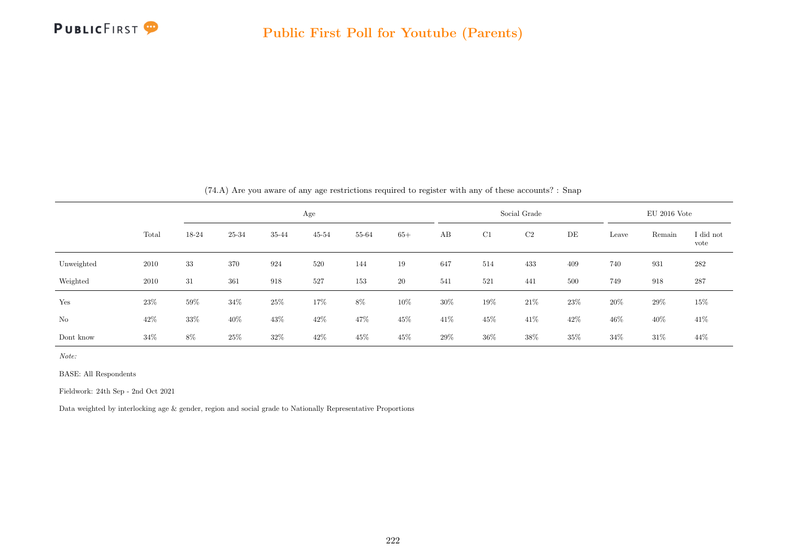

|            |        |       |        |        | Age       |       |        |        |        | Social Grade |      |        | $EU$ 2016 Vote |                   |
|------------|--------|-------|--------|--------|-----------|-------|--------|--------|--------|--------------|------|--------|----------------|-------------------|
|            | Total  | 18-24 | 25-34  | 35-44  | $45 - 54$ | 55-64 | $65+$  | AB     | C1     | C2           | DE   | Leave  | Remain         | I did not<br>vote |
| Unweighted | 2010   | 33    | 370    | 924    | 520       | 144   | 19     | 647    | 514    | 433          | 409  | 740    | 931            | 282               |
| Weighted   | 2010   | 31    | 361    | 918    | 527       | 153   | 20     | 541    | 521    | 441          | 500  | 749    | 918            | 287               |
| Yes        | 23%    | 59%   | $34\%$ | $25\%$ | 17%       | $8\%$ | $10\%$ | 30%    | $19\%$ | $21\%$       | 23\% | $20\%$ | 29%            | $15\%$            |
| No         | 42\%   | 33%   | $40\%$ | 43\%   | 42%       | 47%   | $45\%$ | $41\%$ | $45\%$ | $41\%$       | 42%  | $46\%$ | 40%            | 41\%              |
| Dont know  | $34\%$ | 8%    | 25%    | 32\%   | 42%       | 45%   | 45%    | 29%    | $36\%$ | 38%          | 35%  | $34\%$ | $31\%$         | 44%               |

(74.A) Are you aware of any age restrictions required to register with any of these accounts? : Snap

Note:

BASE: All Respondents

Fieldwork: 24th Sep - 2nd Oct 2021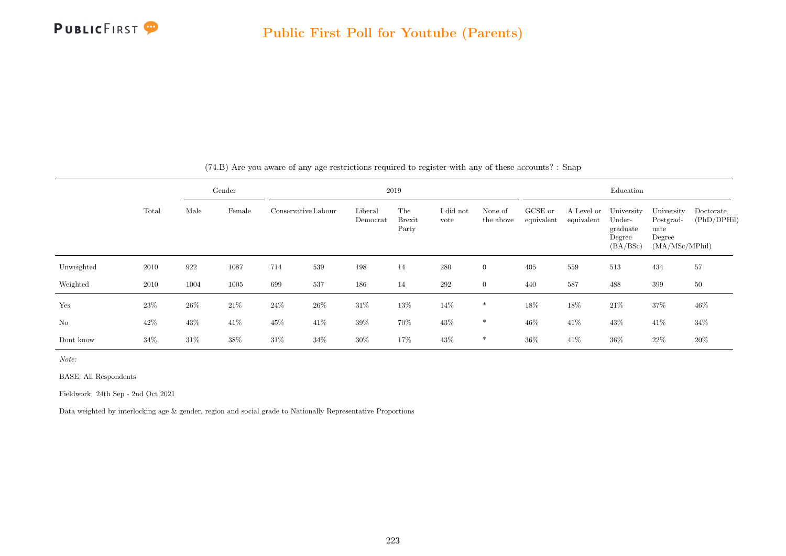

|            |        |        | Gender |        |                     |                     | 2019                          |                   |                      |                       |                          | Education                                              |                                                             |                          |
|------------|--------|--------|--------|--------|---------------------|---------------------|-------------------------------|-------------------|----------------------|-----------------------|--------------------------|--------------------------------------------------------|-------------------------------------------------------------|--------------------------|
|            | Total  | Male   | Female |        | Conservative Labour | Liberal<br>Democrat | The<br><b>Brexit</b><br>Party | I did not<br>vote | None of<br>the above | GCSE or<br>equivalent | A Level or<br>equivalent | University<br>Under-<br>graduate<br>Degree<br>(BA/BSc) | University<br>Postgrad-<br>uate<br>Degree<br>(MA/MSc/MPhil) | Doctorate<br>(PhD/DPHil) |
| Unweighted | 2010   | 922    | 1087   | 714    | 539                 | 198                 | 14                            | 280               | $\overline{0}$       | 405                   | 559                      | 513                                                    | 434                                                         | 57                       |
| Weighted   | 2010   | 1004   | 1005   | 699    | 537                 | 186                 | 14                            | 292               | $\overline{0}$       | 440                   | 587                      | 488                                                    | 399                                                         | 50                       |
| Yes        | 23%    | $26\%$ | $21\%$ | $24\%$ | $26\%$              | $31\%$              | $13\%$                        | 14\%              | $\ast$               | 18%                   | 18%                      | $21\%$                                                 | $37\%$                                                      | 46%                      |
| No         | 42\%   | 43\%   | $41\%$ | 45%    | 41%                 | 39%                 | 70%                           | $43\%$            | $\ast$               | $46\%$                | 41\%                     | $43\%$                                                 | 41\%                                                        | $34\%$                   |
| Dont know  | $34\%$ | $31\%$ | 38%    | $31\%$ | 34%                 | 30%                 | 17%                           | 43\%              | $\ast$               | 36%                   | 41\%                     | $36\%$                                                 | 22\%                                                        | 20%                      |

(74.B) Are you aware of any age restrictions required to register with any of these accounts? : Snap

Note:

BASE: All Respondents

Fieldwork: 24th Sep - 2nd Oct 2021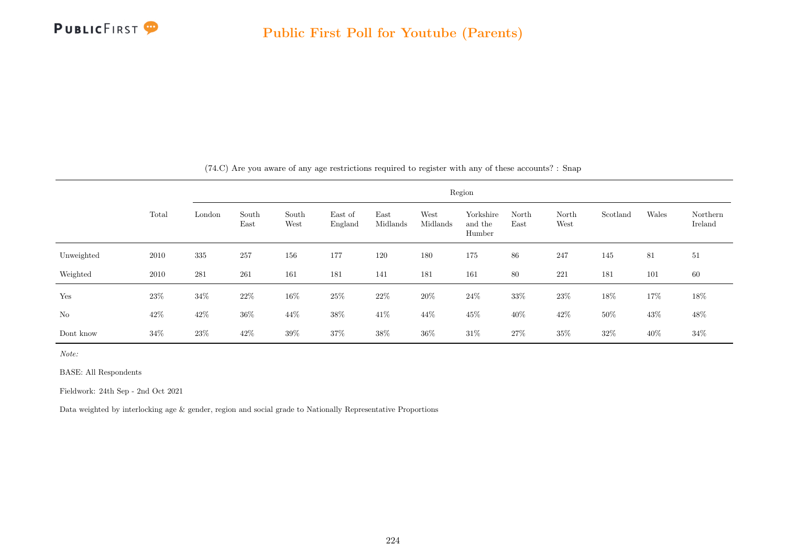

|            |        |        |               |               |                    |                  |                  | Region                         |               |               |          |       |                     |
|------------|--------|--------|---------------|---------------|--------------------|------------------|------------------|--------------------------------|---------------|---------------|----------|-------|---------------------|
|            | Total  | London | South<br>East | South<br>West | East of<br>England | East<br>Midlands | West<br>Midlands | Yorkshire<br>and the<br>Humber | North<br>East | North<br>West | Scotland | Wales | Northern<br>Ireland |
| Unweighted | 2010   | 335    | 257           | 156           | 177                | 120              | 180              | 175                            | 86            | 247           | 145      | 81    | 51                  |
| Weighted   | 2010   | 281    | 261           | 161           | 181                | 141              | 181              | 161                            | 80            | 221           | 181      | 101   | 60                  |
| Yes        | $23\%$ | 34%    | 22\%          | 16%           | 25\%               | 22%              | 20%              | $24\%$                         | 33%           | $23\%$        | 18%      | 17%   | 18%                 |
| $\rm No$   | $42\%$ | $42\%$ | $36\%$        | $44\%$        | $38\%$             | $41\%$           | $44\%$           | $45\%$                         | 40%           | $42\%$        | 50%      | 43%   | $48\%$              |
| Dont know  | 34%    | $23\%$ | 42\%          | 39%           | 37%                | 38%              | $36\%$           | $31\%$                         | $27\%$        | $35\%$        | $32\%$   | 40\%  | $34\%$              |

(74.C) Are you aware of any age restrictions required to register with any of these accounts? : Snap

Note:

BASE: All Respondents

Fieldwork: 24th Sep - 2nd Oct 2021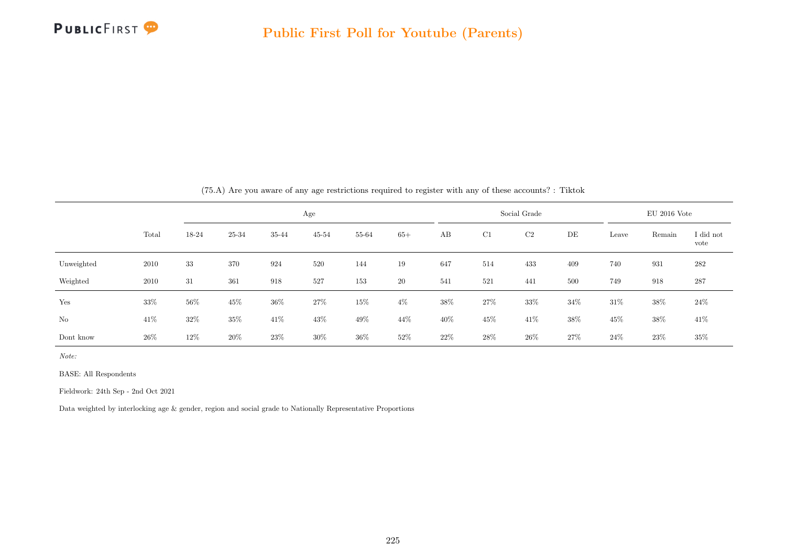

|            |       |       |       |        | Age       |        |       |      |        | Social Grade |        |        | $EU$ 2016 Vote |                   |
|------------|-------|-------|-------|--------|-----------|--------|-------|------|--------|--------------|--------|--------|----------------|-------------------|
|            | Total | 18-24 | 25-34 | 35-44  | $45 - 54$ | 55-64  | $65+$ | AB   | C1     | C2           | DE     | Leave  | Remain         | I did not<br>vote |
| Unweighted | 2010  | 33    | 370   | 924    | 520       | 144    | 19    | 647  | 514    | 433          | 409    | 740    | 931            | 282               |
| Weighted   | 2010  | 31    | 361   | 918    | 527       | 153    | 20    | 541  | 521    | 441          | 500    | 749    | 918            | 287               |
| Yes        | 33%   | 56%   | 45%   | $36\%$ | 27\%      | 15%    | $4\%$ | 38%  | $27\%$ | $33\%$       | 34%    | $31\%$ | 38%            | 24\%              |
| No         | 41\%  | 32\%  | 35%   | $41\%$ | 43%       | $49\%$ | 44\%  | 40%  | $45\%$ | $41\%$       | $38\%$ | 45%    | 38%            | 41\%              |
| Dont know  | 26\%  | 12%   | 20%   | 23\%   | 30%       | $36\%$ | 52%   | 22\% | 28%    | 26\%         | 27\%   | $24\%$ | 23\%           | $35\%$            |

(75.A) Are you aware of any age restrictions required to register with any of these accounts? : Tiktok

Note:

BASE: All Respondents

Fieldwork: 24th Sep - 2nd Oct 2021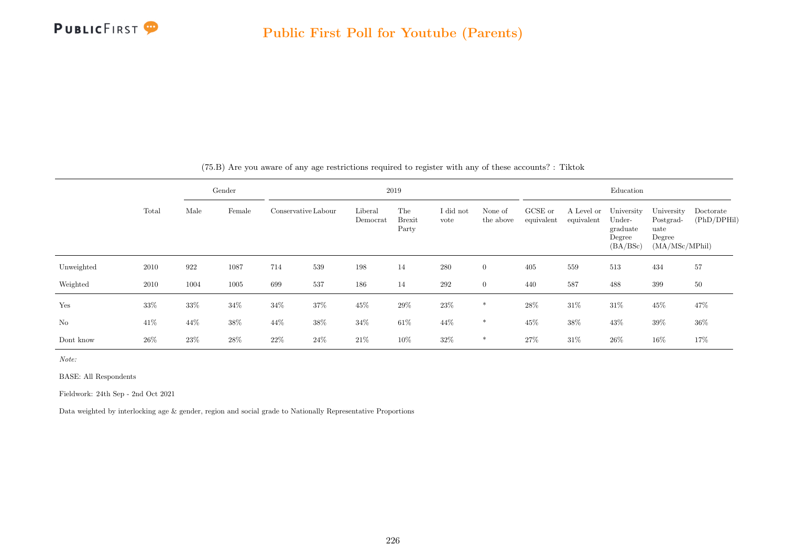

|                |       |      | Gender |     |                     |                     | 2019                   |                   |                      |                       |                          | Education                                              |                                                             |                          |
|----------------|-------|------|--------|-----|---------------------|---------------------|------------------------|-------------------|----------------------|-----------------------|--------------------------|--------------------------------------------------------|-------------------------------------------------------------|--------------------------|
|                | Total | Male | Female |     | Conservative Labour | Liberal<br>Democrat | The<br>Brexit<br>Party | I did not<br>vote | None of<br>the above | GCSE or<br>equivalent | A Level or<br>equivalent | University<br>Under-<br>graduate<br>Degree<br>(BA/BSc) | University<br>Postgrad-<br>uate<br>Degree<br>(MA/MSc/MPhil) | Doctorate<br>(PhD/DPHil) |
| Unweighted     | 2010  | 922  | 1087   | 714 | $539\,$             | 198                 | 14                     | 280               | $\overline{0}$       | 405                   | 559                      | 513                                                    | 434                                                         | 57                       |
| Weighted       | 2010  | 1004 | 1005   | 699 | 537                 | 186                 | 14                     | $\,292$           | $\overline{0}$       | 440                   | 587                      | 488                                                    | 399                                                         | 50                       |
| Yes            | 33%   | 33%  | $34\%$ | 34% | 37%                 | 45%                 | 29%                    | $23\%$            | $\ast$               | 28\%                  | $31\%$                   | $31\%$                                                 | 45%                                                         | 47%                      |
| N <sub>o</sub> | 41\%  | 44\% | 38%    | 44% | 38%                 | $34\%$              | $61\%$                 | 44\%              | $\ast$               | 45\%                  | 38%                      | 43\%                                                   | 39%                                                         | 36%                      |
| Dont know      | 26%   | 23\% | 28%    | 22% | 24\%                | 21\%                | 10%                    | $32\%$            | $\ast$               | 27\%                  | 31\%                     | 26\%                                                   | $16\%$                                                      | 17%                      |

(75.B) Are you aware of any age restrictions required to register with any of these accounts? : Tiktok

Note:

BASE: All Respondents

Fieldwork: 24th Sep - 2nd Oct 2021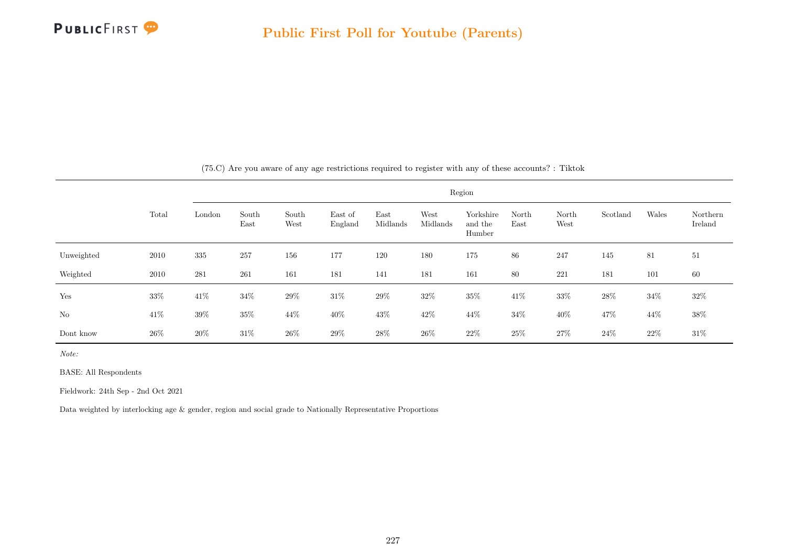

|            |        |        |               |               |                    |                  |                  | Region                         |               |               |          |        |                     |
|------------|--------|--------|---------------|---------------|--------------------|------------------|------------------|--------------------------------|---------------|---------------|----------|--------|---------------------|
|            | Total  | London | South<br>East | South<br>West | East of<br>England | East<br>Midlands | West<br>Midlands | Yorkshire<br>and the<br>Humber | North<br>East | North<br>West | Scotland | Wales  | Northern<br>Ireland |
| Unweighted | 2010   | 335    | 257           | 156           | 177                | 120              | 180              | 175                            | 86            | 247           | 145      | 81     | 51                  |
| Weighted   | 2010   | 281    | 261           | 161           | 181                | 141              | 181              | 161                            | 80            | 221           | 181      | 101    | 60                  |
| Yes        | $33\%$ | $41\%$ | 34%           | $29\%$        | $31\%$             | $29\%$           | 32\%             | $35\%$                         | $41\%$        | $33\%$        | $28\%$   | $34\%$ | $32\%$              |
| No         | 41\%   | $39\%$ | $35\%$        | $44\%$        | $40\%$             | $43\%$           | $42\%$           | $44\%$                         | $34\%$        | 40\%          | 47%      | $44\%$ | 38%                 |
| Dont know  | 26\%   | 20%    | $31\%$        | 26\%          | $29\%$             | $28\%$           | 26\%             | $22\%$                         | $25\%$        | $27\%$        | 24%      | 22%    | $31\%$              |

(75.C) Are you aware of any age restrictions required to register with any of these accounts? : Tiktok

Note:

BASE: All Respondents

Fieldwork: 24th Sep - 2nd Oct 2021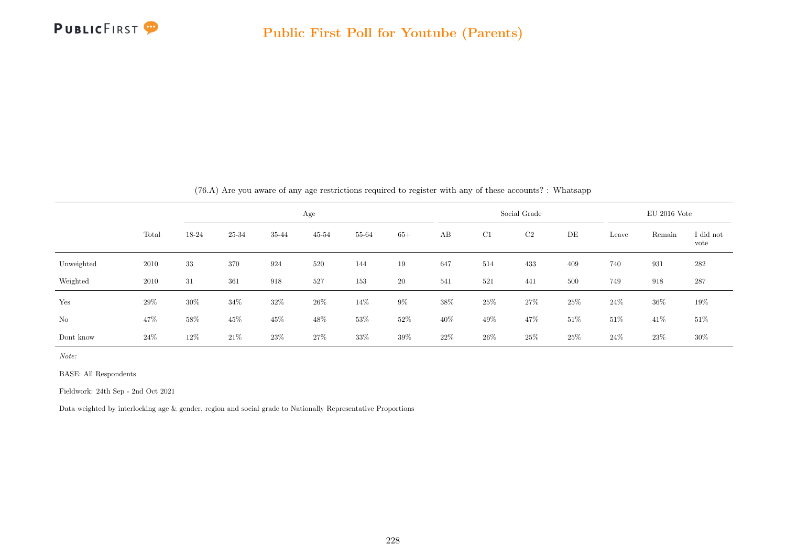

|                |       |        |        |        |           |        |       |        |        | (0.A) Are you aware or any age restrictions required to register with any or these accounts: : whatsapp ( |     |        |                |                   |
|----------------|-------|--------|--------|--------|-----------|--------|-------|--------|--------|-----------------------------------------------------------------------------------------------------------|-----|--------|----------------|-------------------|
|                |       |        |        |        | Age       |        |       |        |        | Social Grade                                                                                              |     |        | $EU$ 2016 Vote |                   |
|                | Total | 18-24  | 25-34  | 35-44  | $45 - 54$ | 55-64  | $65+$ | AB     | C1     | C2                                                                                                        | DE  | Leave  | Remain         | I did not<br>vote |
| Unweighted     | 2010  | 33     | 370    | 924    | 520       | 144    | 19    | 647    | 514    | 433                                                                                                       | 409 | 740    | 931            | 282               |
| Weighted       | 2010  | 31     | 361    | 918    | 527       | 153    | 20    | 541    | 521    | 441                                                                                                       | 500 | 749    | 918            | 287               |
| Yes            | 29%   | $30\%$ | $34\%$ | $32\%$ | $26\%$    | 14%    | $9\%$ | $38\%$ | $25\%$ | 27%                                                                                                       | 25% | $24\%$ | $36\%$         | $19\%$            |
| N <sub>o</sub> | 47%   | 58%    | 45\%   | 45\%   | 48%       | $53\%$ | 52%   | 40%    | $49\%$ | 47%                                                                                                       | 51% | $51\%$ | 41\%           | $51\%$            |
| Dont know      | 24\%  | 12%    | $21\%$ | 23%    | 27\%      | 33%    | 39%   | 22\%   | $26\%$ | 25\%                                                                                                      | 25% | 24\%   | 23\%           | $30\%$            |

(76.A) Are you aware of any age restrictions required to register with any of these accounts? : Whatsapp

Note:

BASE: All Respondents

Fieldwork: 24th Sep - 2nd Oct 2021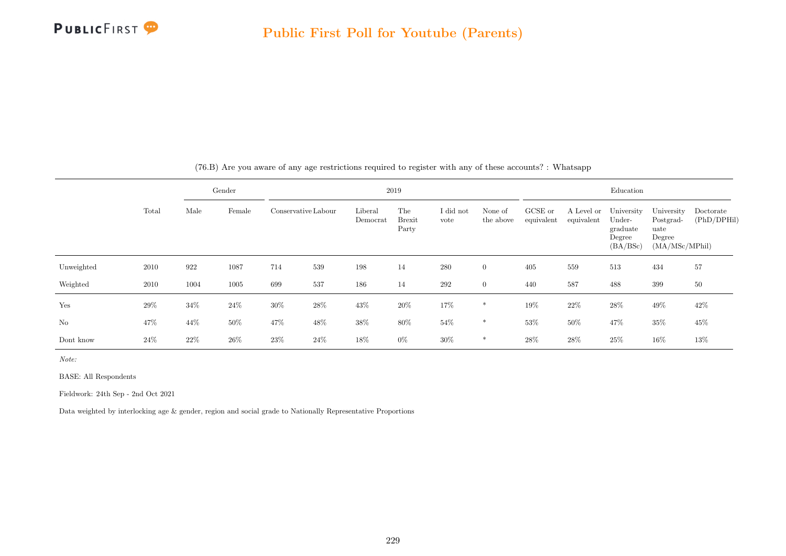

|                |        |      | Gender |                     |      |                     | 2019                          |                   |                      |                       |                          | Education                                              |                                                             |                          |
|----------------|--------|------|--------|---------------------|------|---------------------|-------------------------------|-------------------|----------------------|-----------------------|--------------------------|--------------------------------------------------------|-------------------------------------------------------------|--------------------------|
|                | Total  | Male | Female | Conservative Labour |      | Liberal<br>Democrat | The<br><b>Brexit</b><br>Party | I did not<br>vote | None of<br>the above | GCSE or<br>equivalent | A Level or<br>equivalent | University<br>Under-<br>graduate<br>Degree<br>(BA/BSc) | University<br>Postgrad-<br>uate<br>Degree<br>(MA/MSc/MPhil) | Doctorate<br>(PhD/DPHil) |
| Unweighted     | 2010   | 922  | 1087   | 714                 | 539  | 198                 | 14                            | 280               | $\overline{0}$       | 405                   | 559                      | 513                                                    | 434                                                         | 57                       |
| Weighted       | 2010   | 1004 | 1005   | 699                 | 537  | 186                 | 14                            | 292               | $\overline{0}$       | 440                   | 587                      | 488                                                    | 399                                                         | 50                       |
| Yes            | 29%    | 34%  | $24\%$ | 30%                 | 28%  | $43\%$              | 20%                           | 17%               | $\ast$               | 19%                   | $22\%$                   | $28\%$                                                 | 49%                                                         | 42\%                     |
| N <sub>o</sub> | 47%    | 44%  | $50\%$ | 47%                 | 48%  | $38\%$              | $80\%$                        | $54\%$            | $\ast$               | $53\%$                | $50\%$                   | 47\%                                                   | $35\%$                                                      | 45%                      |
| Dont know      | $24\%$ | 22%  | 26\%   | 23%                 | 24\% | 18%                 | $0\%$                         | $30\%$            | $\ast$               | 28%                   | 28%                      | 25%                                                    | 16%                                                         | 13%                      |

(76.B) Are you aware of any age restrictions required to register with any of these accounts? : Whatsapp

Note:

BASE: All Respondents

Fieldwork: 24th Sep - 2nd Oct 2021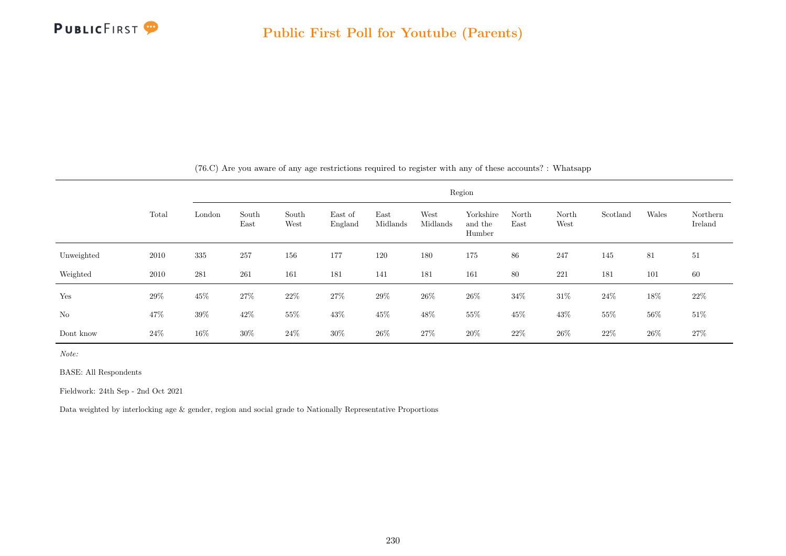

|            |        |        |               |               |                    |                  |                  | Region                         |               |               |          |        |                     |
|------------|--------|--------|---------------|---------------|--------------------|------------------|------------------|--------------------------------|---------------|---------------|----------|--------|---------------------|
|            | Total  | London | South<br>East | South<br>West | East of<br>England | East<br>Midlands | West<br>Midlands | Yorkshire<br>and the<br>Humber | North<br>East | North<br>West | Scotland | Wales  | Northern<br>Ireland |
| Unweighted | 2010   | 335    | 257           | 156           | 177                | 120              | 180              | 175                            | 86            | 247           | 145      | 81     | 51                  |
| Weighted   | 2010   | 281    | 261           | 161           | 181                | 141              | 181              | 161                            | 80            | 221           | 181      | 101    | 60                  |
| Yes        | $29\%$ | $45\%$ | 27\%          | $22\%$        | $27\%$             | $29\%$           | $26\%$           | $26\%$                         | $34\%$        | $31\%$        | $24\%$   | 18%    | $22\%$              |
| $\rm No$   | $47\%$ | $39\%$ | $42\%$        | 55%           | $43\%$             | $45\%$           | $48\%$           | $55\%$                         | $45\%$        | $43\%$        | $55\%$   | $56\%$ | $51\%$              |
| Dont know  | $24\%$ | $16\%$ | $30\%$        | $24\%$        | $30\%$             | $26\%$           | $27\%$           | $20\%$                         | $22\%$        | $26\%$        | $22\%$   | $26\%$ | 27\%                |

(76.C) Are you aware of any age restrictions required to register with any of these accounts? : Whatsapp

Note:

BASE: All Respondents

Fieldwork: 24th Sep - 2nd Oct 2021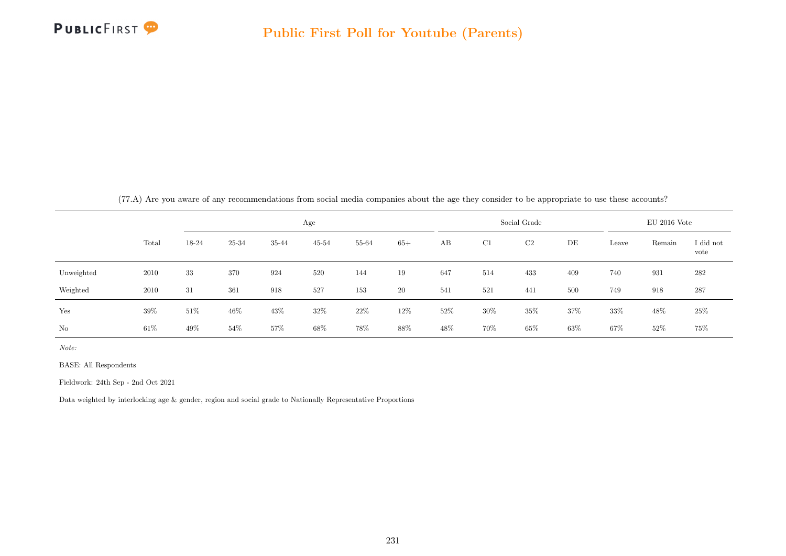

|            | ( <i>(i.</i> A) Are you aware of any recommendations from social media companies about the age they consider to be appropriate to use these accounts <i>!</i> |        |        |       |           |       |       |      |     |              |     |       |                |                   |
|------------|---------------------------------------------------------------------------------------------------------------------------------------------------------------|--------|--------|-------|-----------|-------|-------|------|-----|--------------|-----|-------|----------------|-------------------|
|            |                                                                                                                                                               |        |        |       | Age       |       |       |      |     | Social Grade |     |       | $EU$ 2016 Vote |                   |
|            | Total                                                                                                                                                         | 18-24  | 25-34  | 35-44 | $45 - 54$ | 55-64 | $65+$ | AB   | C1  | C2           | DE  | Leave | Remain         | I did not<br>vote |
| Unweighted | 2010                                                                                                                                                          | 33     | 370    | 924   | 520       | 144   | 19    | 647  | 514 | 433          | 409 | 740   | 931            | 282               |
| Weighted   | 2010                                                                                                                                                          | 31     | 361    | 918   | 527       | 153   | 20    | 541  | 521 | 441          | 500 | 749   | 918            | 287               |
| Yes        | 39%                                                                                                                                                           | $51\%$ | $46\%$ | 43%   | 32%       | 22\%  | 12%   | 52%  | 30% | 35%          | 37% | 33%   | 48%            | 25\%              |
| No         | $61\%$                                                                                                                                                        | 49\%   | 54%    | 57\%  | 68\%      | 78%   | 88\%  | 48\% | 70% | $65\%$       | 63% | 67%   | 52\%           | $75\%$            |

 $(77.4)$  Are you aware of any recommendations from social media companies about the age they consider to be appropriate to use these accounts?

Note:

BASE: All Respondents

Fieldwork: 24th Sep - 2nd Oct 2021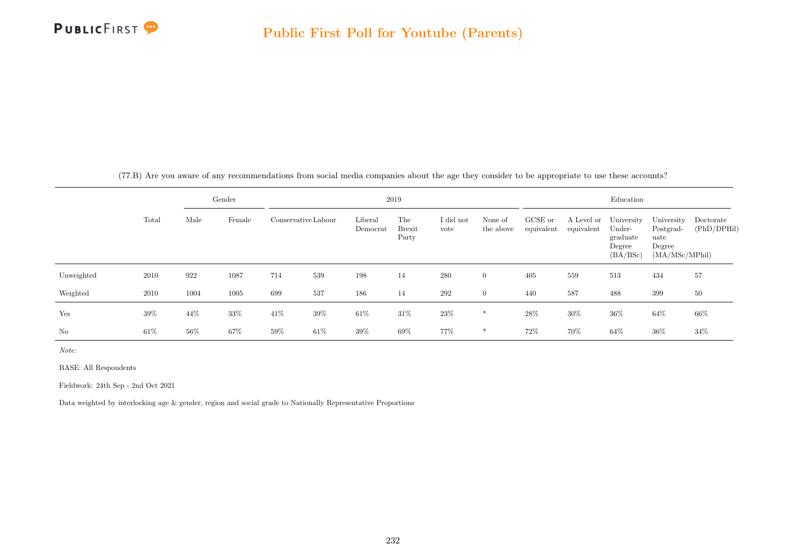

(77.B) Are you aware of any recommendations from social media companies about the age they consider to be appropriate to use these accounts?

|            |        |      | Gender |                     |        |                     | 2019                   |                   |                      |                       |                          | Education                                              |                                                             |                          |
|------------|--------|------|--------|---------------------|--------|---------------------|------------------------|-------------------|----------------------|-----------------------|--------------------------|--------------------------------------------------------|-------------------------------------------------------------|--------------------------|
|            | Total  | Male | Female | Conservative Labour |        | Liberal<br>Democrat | The<br>Brexit<br>Party | I did not<br>vote | None of<br>the above | GCSE or<br>equivalent | A Level or<br>equivalent | University<br>Under-<br>graduate<br>Degree<br>(BA/BSc) | University<br>Postgrad-<br>uate<br>Degree<br>(MA/MSc/MPhil) | Doctorate<br>(PhD/DPHil) |
| Unweighted | 2010   | 922  | 1087   | 714                 | 539    | 198                 | 14                     | 280               | $\overline{0}$       | 405                   | 559                      | 513                                                    | 434                                                         | 57                       |
| Weighted   | 2010   | 1004 | 1005   | 699                 | 537    | 186                 | 14                     | 292               | $\overline{0}$       | 440                   | 587                      | 488                                                    | 399                                                         | 50                       |
| Yes        | 39%    | 44\% | 33%    | 41\%                | 39%    | $61\%$              | 31\%                   | 23\%              | $\ast$               | 28%                   | 30%                      | $36\%$                                                 | 64%                                                         | 66%                      |
| No         | $61\%$ | 56%  | $67\%$ | 59%                 | $61\%$ | 39%                 | 69%                    | 77%               | $\ast$               | 72%                   | 70%                      | $64\%$                                                 | 36%                                                         | 34%                      |

Note:

BASE: All Respondents

Fieldwork: 24th Sep - 2nd Oct 2021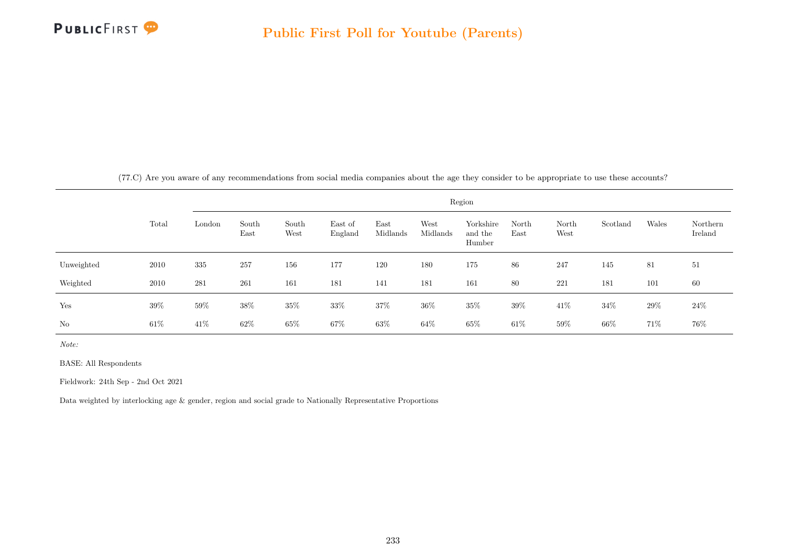

(77.C) Are you aware of any recommendations from social media companies about the age they consider to be appropriate to use these accounts?

|            |        |        |               |               |                    |                  |                  | Region                         |               |               |          |       |                     |
|------------|--------|--------|---------------|---------------|--------------------|------------------|------------------|--------------------------------|---------------|---------------|----------|-------|---------------------|
|            | Total  | London | South<br>East | South<br>West | East of<br>England | East<br>Midlands | West<br>Midlands | Yorkshire<br>and the<br>Humber | North<br>East | North<br>West | Scotland | Wales | Northern<br>Ireland |
| Unweighted | 2010   | 335    | 257           | 156           | 177                | 120              | 180              | 175                            | 86            | 247           | 145      | 81    | 51                  |
| Weighted   | 2010   | 281    | 261           | 161           | 181                | 141              | 181              | 161                            | 80            | 221           | 181      | 101   | 60                  |
| Yes        | $39\%$ | $59\%$ | $38\%$        | $35\%$        | 33%                | $37\%$           | $36\%$           | 35%                            | 39%           | 41\%          | 34%      | 29%   | $24\%$              |
| No         | $61\%$ | 41\%   | $62\%$        | $65\%$        | 67%                | $63\%$           | $64\%$           | 65%                            | $61\%$        | $59\%$        | 66\%     | 71%   | 76%                 |

Note:

BASE: All Respondents

Fieldwork: 24th Sep - 2nd Oct 2021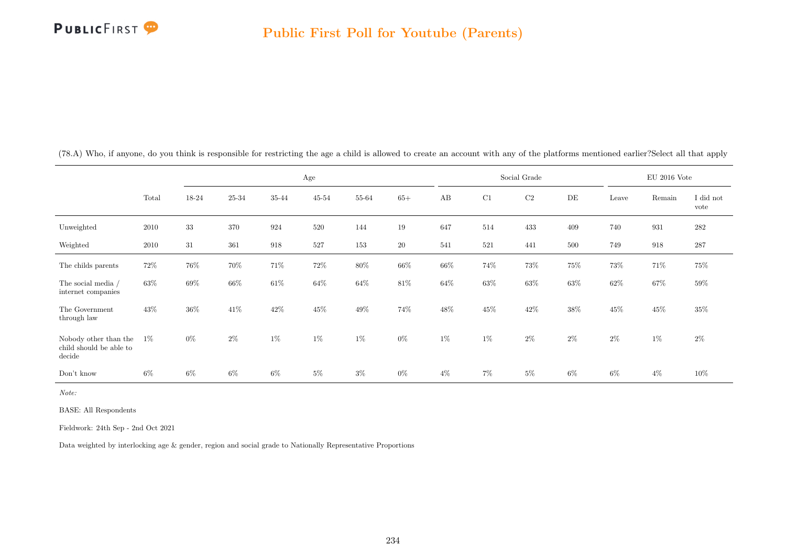

|                                                            |        |       |       |                    | Age       |        |        |        |        | Social Grade |           |        | $EU$ 2016 Vote |                   |
|------------------------------------------------------------|--------|-------|-------|--------------------|-----------|--------|--------|--------|--------|--------------|-----------|--------|----------------|-------------------|
|                                                            | Total  | 18-24 | 25-34 | 35-44              | $45 - 54$ | 55-64  | $65+$  | AB     | C1     | $\rm C2$     | $\rm{DE}$ | Leave  | Remain         | I did not<br>vote |
| Unweighted                                                 | 2010   | 33    | 370   | 924                | 520       | 144    | 19     | 647    | 514    | 433          | 409       | 740    | 931            | 282               |
| Weighted                                                   | 2010   | 31    | 361   | $\boldsymbol{918}$ | 527       | 153    | $20\,$ | 541    | 521    | 441          | 500       | 749    | 918            | $287\,$           |
| The childs parents                                         | $72\%$ | 76%   | 70%   | $71\%$             | $72\%$    | $80\%$ | $66\%$ | $66\%$ | 74%    | $73\%$       | 75%       | 73%    | 71\%           | $75\%$            |
| The social media /<br>internet companies                   | 63%    | 69%   | 66%   | $61\%$             | 64%       | 64%    | 81\%   | 64%    | 63%    | 63%          | $63\%$    | $62\%$ | 67%            | 59%               |
| The Government<br>through law                              | 43%    | 36%   | 41\%  | $42\%$             | $45\%$    | $49\%$ | 74%    | 48\%   | $45\%$ | 42\%         | 38%       | $45\%$ | 45\%           | $35\%$            |
| Nobody other than the<br>child should be able to<br>decide | $1\%$  | $0\%$ | $2\%$ | $1\%$              | $1\%$     | $1\%$  | $0\%$  | $1\%$  | $1\%$  | $2\%$        | $2\%$     | $2\%$  | $1\%$          | $2\%$             |
| Don't know                                                 | $6\%$  | $6\%$ | $6\%$ | $6\%$              | $5\%$     | $3\%$  | $0\%$  | $4\%$  | $7\%$  | $5\%$        | $6\%$     | $6\%$  | $4\%$          | 10%               |

(78.A) Who, if anyone, do you think is responsible for restricting the age a child is allowed to create an account with any of the platforms mentioned earlier?Select all that apply

Note:

BASE: All Respondents

Fieldwork: 24th Sep - 2nd Oct 2021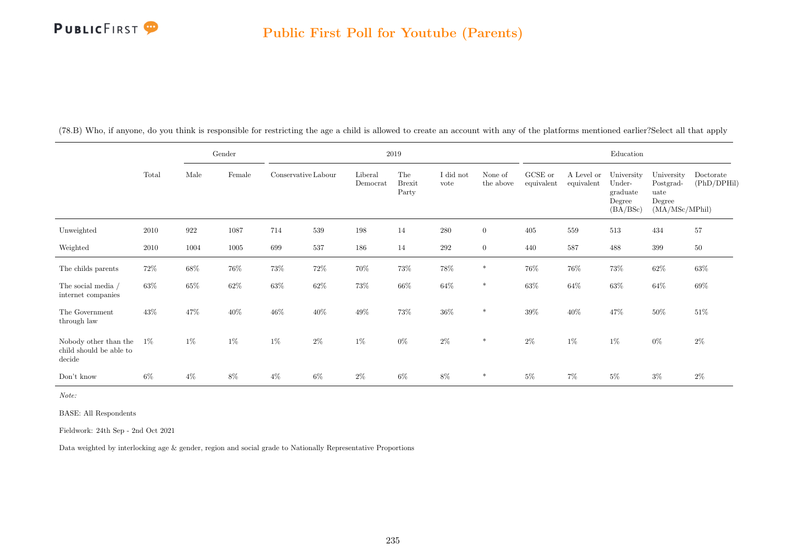## PUBLICFIRST<sup>9</sup>

|                                                            |       |        | Gender |                     |        |                     | 2019                          |                   |                      |                       |                          | Education                                              |                                                             |                          |
|------------------------------------------------------------|-------|--------|--------|---------------------|--------|---------------------|-------------------------------|-------------------|----------------------|-----------------------|--------------------------|--------------------------------------------------------|-------------------------------------------------------------|--------------------------|
|                                                            | Total | Male   | Female | Conservative Labour |        | Liberal<br>Democrat | The<br><b>Brexit</b><br>Party | I did not<br>vote | None of<br>the above | GCSE or<br>equivalent | A Level or<br>equivalent | University<br>Under-<br>graduate<br>Degree<br>(BA/BSc) | University<br>Postgrad-<br>uate<br>Degree<br>(MA/MSc/MPhil) | Doctorate<br>(PhD/DPHil) |
| Unweighted                                                 | 2010  | 922    | 1087   | 714                 | 539    | 198                 | 14                            | 280               | $\overline{0}$       | 405                   | 559                      | 513                                                    | 434                                                         | 57                       |
| Weighted                                                   | 2010  | 1004   | 1005   | 699                 | 537    | 186                 | 14                            | $\,292$           | $\overline{0}$       | 440                   | 587                      | 488                                                    | 399                                                         | 50                       |
| The childs parents                                         | 72%   | $68\%$ | $76\%$ | $73\%$              | 72\%   | 70%                 | 73%                           | 78%               | $\ast$               | $76\%$                | $76\%$                   | 73%                                                    | $62\%$                                                      | 63%                      |
| The social media /<br>internet companies                   | 63%   | 65%    | $62\%$ | 63%                 | $62\%$ | 73%                 | $66\%$                        | $64\%$            | $\ast$               | $63\%$                | 64%                      | $63\%$                                                 | $64\%$                                                      | $69\%$                   |
| The Government<br>through law                              | 43%   | 47%    | $40\%$ | 46%                 | $40\%$ | $49\%$              | $73\%$                        | $36\%$            | $\ast$               | 39%                   | 40%                      | 47%                                                    | $50\%$                                                      | $51\%$                   |
| Nobody other than the<br>child should be able to<br>decide | $1\%$ | $1\%$  | 1%     | $1\%$               | $2\%$  | $1\%$               | $0\%$                         | $2\%$             | $\ast$               | $2\%$                 | $1\%$                    | $1\%$                                                  | $0\%$                                                       | $2\%$                    |
| Don't know                                                 | $6\%$ | $4\%$  | 8%     | $4\%$               | $6\%$  | $2\%$               | $6\%$                         | $8\%$             | $\ast$               | $5\%$                 | $7\%$                    | $5\%$                                                  | $3\%$                                                       | $2\%$                    |

(78.B) Who, if anyone, do you think is responsible for restricting the age a child is allowed to create an account with any of the platforms mentioned earlier?Select all that apply

Note:

BASE: All Respondents

Fieldwork: 24th Sep - 2nd Oct 2021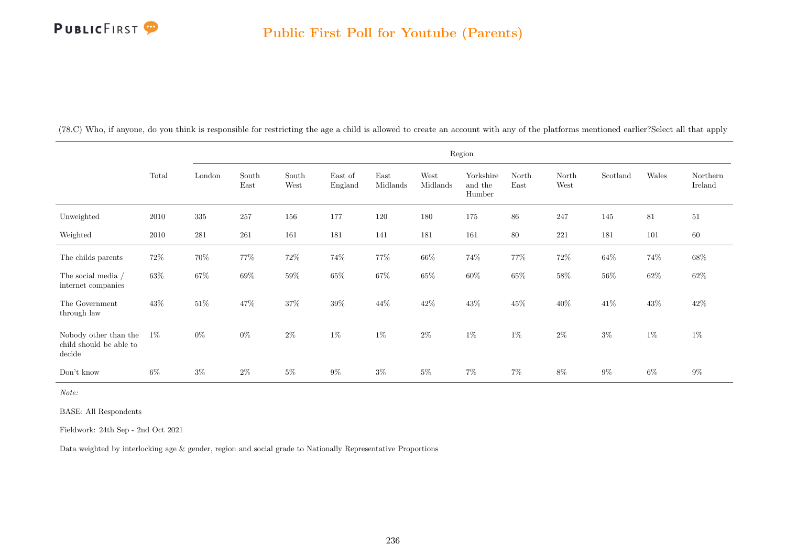## PUBLICFIRST<sup>9</sup>

|                                                            |        |        |               |               |                    |                  | Region           |                                |               |               |          |        |                     |
|------------------------------------------------------------|--------|--------|---------------|---------------|--------------------|------------------|------------------|--------------------------------|---------------|---------------|----------|--------|---------------------|
|                                                            | Total  | London | South<br>East | South<br>West | East of<br>England | East<br>Midlands | West<br>Midlands | Yorkshire<br>and the<br>Humber | North<br>East | North<br>West | Scotland | Wales  | Northern<br>Ireland |
| Unweighted                                                 | 2010   | 335    | 257           | 156           | 177                | 120              | 180              | 175                            | 86            | 247           | 145      | 81     | 51                  |
| Weighted                                                   | 2010   | 281    | 261           | 161           | 181                | 141              | 181              | 161                            | $80\,$        | 221           | 181      | 101    | 60                  |
| The childs parents                                         | $72\%$ | $70\%$ | 77%           | $72\%$        | 74%                | 77%              | $66\%$           | 74%                            | 77%           | $72\%$        | $64\%$   | 74%    | $68\%$              |
| The social media /<br>internet companies                   | $63\%$ | $67\%$ | 69%           | $59\%$        | $65\%$             | $67\%$           | 65%              | $60\%$                         | 65%           | $58\%$        | 56%      | $62\%$ | $62\%$              |
| The Government<br>through law                              | 43%    | $51\%$ | 47%           | 37%           | 39%                | 44%              | 42\%             | 43\%                           | 45%           | 40%           | 41\%     | 43%    | 42\%                |
| Nobody other than the<br>child should be able to<br>decide | $1\%$  | $0\%$  | $0\%$         | $2\%$         | $1\%$              | $1\%$            | $2\%$            | $1\%$                          | $1\%$         | $2\%$         | $3\%$    | $1\%$  | $1\%$               |
| Don't know                                                 | $6\%$  | $3\%$  | $2\%$         | $5\%$         | $9\%$              | $3\%$            | $5\%$            | $7\%$                          | $7\%$         | 8%            | $9\%$    | $6\%$  | $9\%$               |

(78.C) Who, if anyone, do you think is responsible for restricting the age a child is allowed to create an account with any of the platforms mentioned earlier?Select all that apply

Note:

BASE: All Respondents

Fieldwork: 24th Sep - 2nd Oct 2021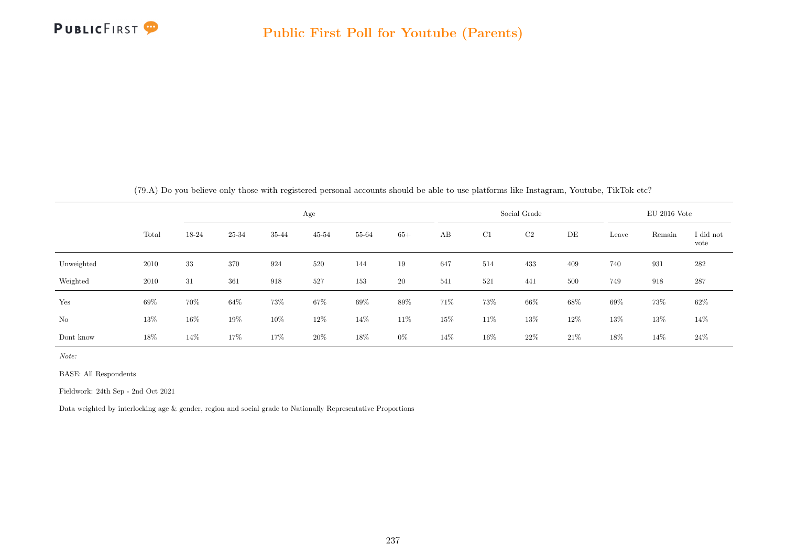

|  |  |  |  | (79.A) Do you believe only those with registered personal accounts should be able to use platforms like Instagram, Youtube, TikTok etc? |
|--|--|--|--|-----------------------------------------------------------------------------------------------------------------------------------------|
|  |  |  |  |                                                                                                                                         |

|            |       |        |        |       | Age       |       |       |     |     | Social Grade |      |        | $EU$ 2016 Vote |                   |
|------------|-------|--------|--------|-------|-----------|-------|-------|-----|-----|--------------|------|--------|----------------|-------------------|
|            | Total | 18-24  | 25-34  | 35-44 | $45 - 54$ | 55-64 | $65+$ | AB  | C1  | C2           | DE   | Leave  | Remain         | I did not<br>vote |
| Unweighted | 2010  | 33     | 370    | 924   | 520       | 144   | 19    | 647 | 514 | 433          | 409  | 740    | 931            | 282               |
| Weighted   | 2010  | 31     | 361    | 918   | 527       | 153   | 20    | 541 | 521 | 441          | 500  | 749    | 918            | 287               |
| Yes        | 69%   | 70%    | 64%    | 73%   | 67%       | 69%   | 89%   | 71% | 73% | 66%          | 68%  | 69%    | 73%            | 62%               |
| No         | 13%   | $16\%$ | $19\%$ | 10%   | 12%       | 14%   | 11\%  | 15% | 11% | 13%          | 12%  | $13\%$ | 13%            | 14%               |
| Dont know  | 18%   | 14%    | 17%    | 17%   | 20%       | 18%   | $0\%$ | 14% | 16% | 22\%         | 21\% | 18%    | 14%            | 24%               |

Note:

BASE: All Respondents

Fieldwork: 24th Sep - 2nd Oct 2021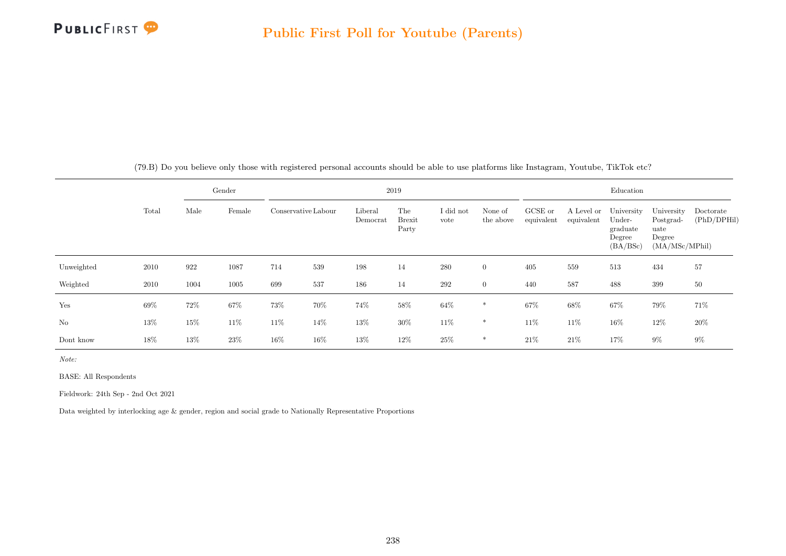

|            |       |      | Gender |        |                     |                     | 2019                          |                   |                      |                       |                          | Education                                              |                                                             |                          |
|------------|-------|------|--------|--------|---------------------|---------------------|-------------------------------|-------------------|----------------------|-----------------------|--------------------------|--------------------------------------------------------|-------------------------------------------------------------|--------------------------|
|            | Total | Male | Female |        | Conservative Labour | Liberal<br>Democrat | The<br><b>Brexit</b><br>Party | I did not<br>vote | None of<br>the above | GCSE or<br>equivalent | A Level or<br>equivalent | University<br>Under-<br>graduate<br>Degree<br>(BA/BSc) | University<br>Postgrad-<br>uate<br>Degree<br>(MA/MSc/MPhil) | Doctorate<br>(PhD/DPHil) |
| Unweighted | 2010  | 922  | 1087   | 714    | 539                 | 198                 | 14                            | 280               | $\overline{0}$       | 405                   | 559                      | 513                                                    | 434                                                         | 57                       |
| Weighted   | 2010  | 1004 | 1005   | 699    | 537                 | 186                 | 14                            | 292               | $\overline{0}$       | 440                   | 587                      | 488                                                    | 399                                                         | $50\,$                   |
| Yes        | 69%   | 72%  | 67%    | 73%    | 70%                 | 74%                 | $58\%$                        | $64\%$            | $\ast$               | 67%                   | $68\%$                   | 67%                                                    | 79%                                                         | 71\%                     |
| $\rm No$   | 13%   | 15%  | 11%    | 11%    | 14%                 | 13%                 | 30%                           | 11\%              | $*$                  | 11%                   | 11%                      | 16%                                                    | 12%                                                         | 20%                      |
| Dont know  | 18%   | 13%  | 23\%   | $16\%$ | 16%                 | 13%                 | 12%                           | 25\%              | *                    | 21\%                  | 21%                      | 17%                                                    | $9\%$                                                       | $9\%$                    |

(79.B) Do you believe only those with registered personal accounts should be able to use platforms like Instagram, Youtube, TikTok etc?

Note:

BASE: All Respondents

Fieldwork: 24th Sep - 2nd Oct 2021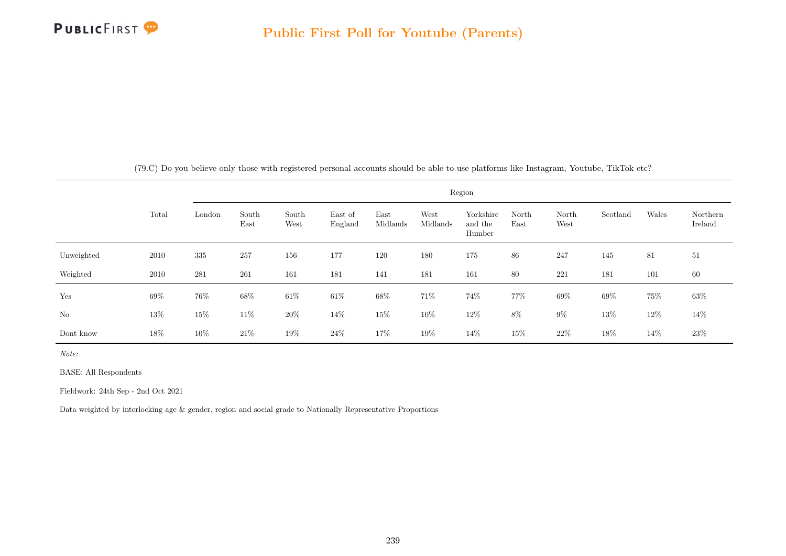

|            |       |        |               |               |                    |                  |                  | Region                         |               |               |          |        |                     |
|------------|-------|--------|---------------|---------------|--------------------|------------------|------------------|--------------------------------|---------------|---------------|----------|--------|---------------------|
|            | Total | London | South<br>East | South<br>West | East of<br>England | East<br>Midlands | West<br>Midlands | Yorkshire<br>and the<br>Humber | North<br>East | North<br>West | Scotland | Wales  | Northern<br>Ireland |
| Unweighted | 2010  | 335    | 257           | 156           | 177                | 120              | 180              | 175                            | 86            | 247           | 145      | 81     | 51                  |
| Weighted   | 2010  | 281    | 261           | 161           | 181                | 141              | 181              | 161                            | 80            | 221           | 181      | 101    | 60                  |
| Yes        | 69%   | 76%    | 68%           | $61\%$        | $61\%$             | $68\%$           | 71%              | 74%                            | 77%           | 69%           | 69%      | $75\%$ | $63\%$              |
| No         | 13%   | $15\%$ | 11\%          | $20\%$        | 14%                | $15\%$           | 10%              | $12\%$                         | $8\%$         | $9\%$         | $13\%$   | $12\%$ | 14\%                |
| Dont know  | 18%   | $10\%$ | $21\%$        | $19\%$        | $24\%$             | 17%              | 19%              | 14\%                           | 15%           | $22\%$        | 18%      | 14%    | $23\%$              |

(79.C) Do you believe only those with registered personal accounts should be able to use platforms like Instagram, Youtube, TikTok etc?

Note:

BASE: All Respondents

Fieldwork: 24th Sep - 2nd Oct 2021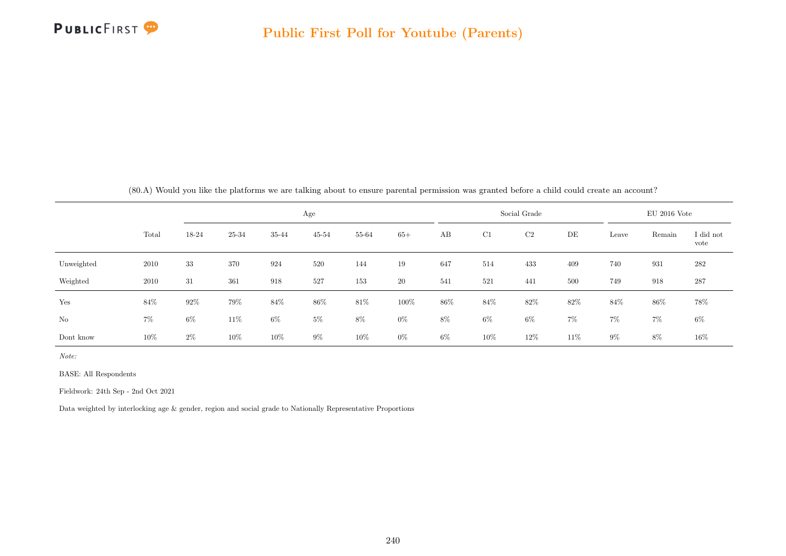

|  |  |  |  | (80.A) Would you like the platforms we are talking about to ensure parental permission was granted before a child could create an account? |
|--|--|--|--|--------------------------------------------------------------------------------------------------------------------------------------------|
|  |  |  |  |                                                                                                                                            |

|            |       |       |        |       | Age       |        |       |     |       | Social Grade |       |       | $EU$ 2016 Vote |                   |
|------------|-------|-------|--------|-------|-----------|--------|-------|-----|-------|--------------|-------|-------|----------------|-------------------|
|            | Total | 18-24 | 25-34  | 35-44 | $45 - 54$ | 55-64  | $65+$ | AB  | C1    | C2           | DE    | Leave | Remain         | I did not<br>vote |
| Unweighted | 2010  | 33    | 370    | 924   | 520       | 144    | 19    | 647 | 514   | 433          | 409   | 740   | 931            | 282               |
| Weighted   | 2010  | 31    | 361    | 918   | 527       | 153    | 20    | 541 | 521   | 441          | 500   | 749   | 918            | 287               |
| Yes        | 84%   | 92%   | 79%    | 84%   | 86%       | $81\%$ | 100%  | 86% | 84%   | 82%          | 82%   | 84%   | 86%            | 78%               |
| No         | $7\%$ | $6\%$ | $11\%$ | $6\%$ | $5\%$     | $8\%$  | $0\%$ | 8%  | $6\%$ | $6\%$        | $7\%$ | $7\%$ | $7\%$          | $6\%$             |
| Dont know  | 10%   | $2\%$ | $10\%$ | 10%   | $9\%$     | $10\%$ | $0\%$ | 6%  | 10%   | 12%          | 11%   | $9\%$ | 8%             | $16\%$            |

Note:

BASE: All Respondents

Fieldwork: 24th Sep - 2nd Oct 2021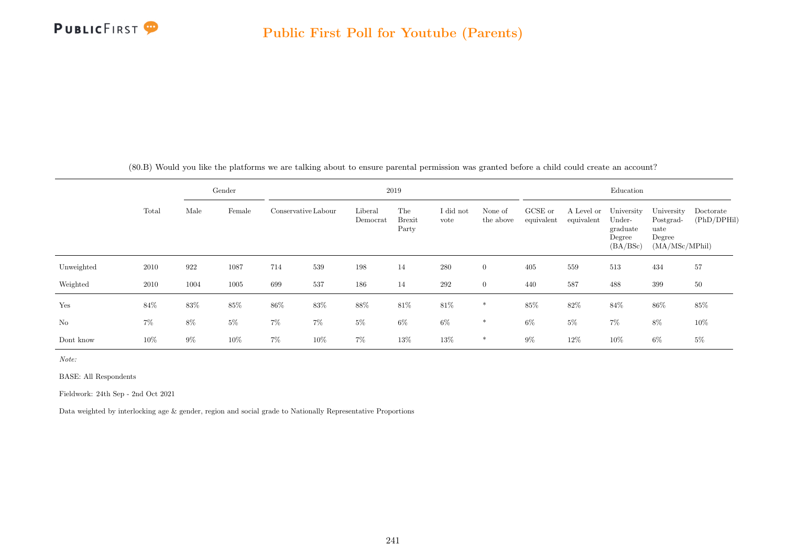

|            |       |       | Gender |        |                     |                     | 2019                          |                   |                      |                       |                          | Education                                              |                                                             |                          |
|------------|-------|-------|--------|--------|---------------------|---------------------|-------------------------------|-------------------|----------------------|-----------------------|--------------------------|--------------------------------------------------------|-------------------------------------------------------------|--------------------------|
|            | Total | Male  | Female |        | Conservative Labour | Liberal<br>Democrat | The<br><b>Brexit</b><br>Party | I did not<br>vote | None of<br>the above | GCSE or<br>equivalent | A Level or<br>equivalent | University<br>Under-<br>graduate<br>Degree<br>(BA/BSc) | University<br>Postgrad-<br>uate<br>Degree<br>(MA/MSc/MPhil) | Doctorate<br>(PhD/DPHil) |
| Unweighted | 2010  | 922   | 1087   | 714    | 539                 | 198                 | 14                            | 280               | $\overline{0}$       | 405                   | 559                      | 513                                                    | 434                                                         | 57                       |
| Weighted   | 2010  | 1004  | 1005   | 699    | 537                 | 186                 | 14                            | 292               | $\overline{0}$       | 440                   | 587                      | 488                                                    | 399                                                         | 50                       |
| Yes        | 84%   | 83%   | 85%    | $86\%$ | 83%                 | $88\%$              | $81\%$                        | $81\%$            | $\ast$               | $85\%$                | $82\%$                   | $84\%$                                                 | $86\%$                                                      | 85\%                     |
| No         | $7\%$ | 8%    | $5\%$  | $7\%$  | $7\%$               | $5\%$               | $6\%$                         | $6\%$             | $\ast$               | 6%                    | $5\%$                    | $7\%$                                                  | $8\%$                                                       | $10\%$                   |
| Dont know  | 10%   | $9\%$ | $10\%$ | $7\%$  | 10%                 | $7\%$               | 13%                           | 13%               | $\ast$               | 9%                    | 12%                      | 10%                                                    | $6\%$                                                       | $5\%$                    |

(80.B) Would you like the platforms we are talking about to ensure parental permission was granted before a child could create an account?

Note:

BASE: All Respondents

Fieldwork: 24th Sep - 2nd Oct 2021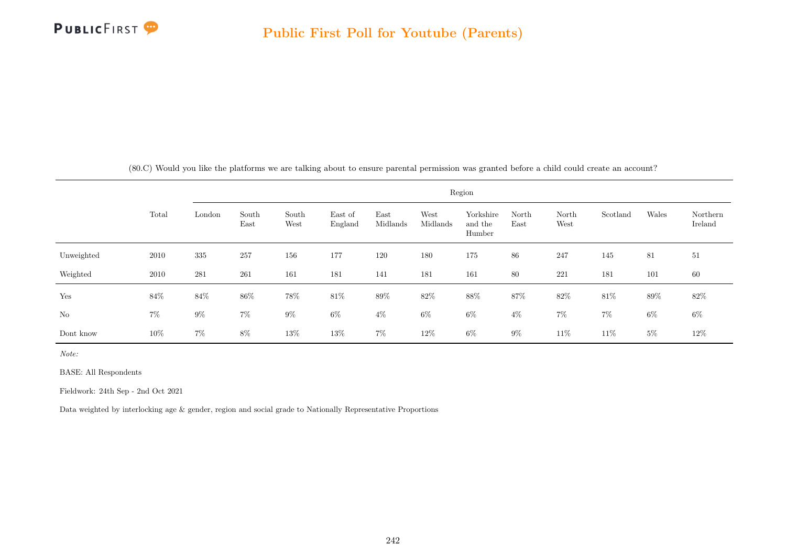

|            |       |        |               |               |                    |                  |                  | Region                         |               |               |          |        |                     |
|------------|-------|--------|---------------|---------------|--------------------|------------------|------------------|--------------------------------|---------------|---------------|----------|--------|---------------------|
|            | Total | London | South<br>East | South<br>West | East of<br>England | East<br>Midlands | West<br>Midlands | Yorkshire<br>and the<br>Humber | North<br>East | North<br>West | Scotland | Wales  | Northern<br>Ireland |
| Unweighted | 2010  | 335    | 257           | 156           | 177                | 120              | $180\,$          | $175\,$                        | 86            | 247           | 145      | 81     | $51\,$              |
| Weighted   | 2010  | 281    | 261           | 161           | 181                | 141              | 181              | 161                            | 80            | 221           | 181      | 101    | 60                  |
| Yes        | 84%   | $84\%$ | $86\%$        | $78\%$        | $81\%$             | $89\%$           | $82\%$           | $88\%$                         | $87\%$        | $82\%$        | $81\%$   | $89\%$ | 82\%                |
| No         | $7\%$ | $9\%$  | $7\%$         | $9\%$         | $6\%$              | $4\%$            | $6\%$            | $6\%$                          | $4\%$         | 7%            | $7\%$    | $6\%$  | $6\%$               |
| Dont know  | 10%   | $7\%$  | 8%            | $13\%$        | $13\%$             | $7\%$            | 12\%             | $6\%$                          | $9\%$         | 11\%          | 11\%     | $5\%$  | $12\%$              |

(80.C) Would you like the platforms we are talking about to ensure parental permission was granted before a child could create an account?

Note:

BASE: All Respondents

Fieldwork: 24th Sep - 2nd Oct 2021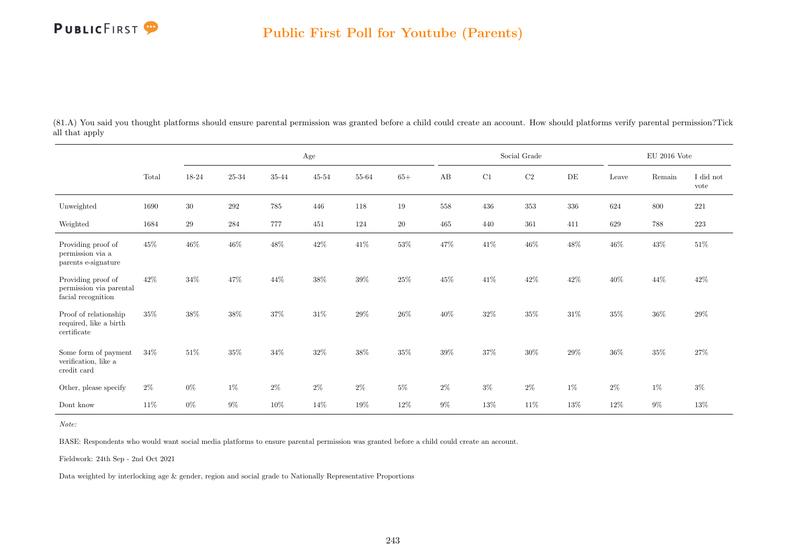

(81.A) You said you thought platforms should ensure parental permission was granted before a child could create an account. How should platforms verify parental permission?Tick all that apply

|                                                                     |        |        |           |         | $\rm Age$ |           |        |        |        | Social Grade |        |        | $\rm EU$ 2016 Vote |                   |
|---------------------------------------------------------------------|--------|--------|-----------|---------|-----------|-----------|--------|--------|--------|--------------|--------|--------|--------------------|-------------------|
|                                                                     | Total  | 18-24  | $25 - 34$ | 35-44   | $45 - 54$ | $55 - 64$ | $65+$  | AB     | C1     | $\rm{C2}$    | DE     | Leave  | Remain             | I did not<br>vote |
| Unweighted                                                          | 1690   | $30\,$ | $\,292$   | $785\,$ | 446       | 118       | $19\,$ | 558    | 436    | $353\,$      | 336    | 624    | 800                | $221\,$           |
| Weighted                                                            | 1684   | $\,29$ | 284       | 777     | 451       | 124       | $20\,$ | 465    | 440    | 361          | 411    | 629    | 788                | $223\,$           |
| Providing proof of<br>permission via a<br>parents e-signature       | 45%    | 46%    | $46\%$    | $48\%$  | $42\%$    | $41\%$    | $53\%$ | $47\%$ | $41\%$ | $46\%$       | $48\%$ | $46\%$ | $43\%$             | $51\%$            |
| Providing proof of<br>permission via parental<br>facial recognition | $42\%$ | 34%    | 47%       | $44\%$  | 38%       | $39\%$    | $25\%$ | 45%    | $41\%$ | $42\%$       | $42\%$ | $40\%$ | $44\%$             | $42\%$            |
| Proof of relationship<br>required, like a birth<br>certificate      | $35\%$ | 38%    | $38\%$    | $37\%$  | 31%       | $29\%$    | $26\%$ | $40\%$ | $32\%$ | $35\%$       | $31\%$ | $35\%$ | $36\%$             | $29\%$            |
| Some form of payment<br>verification, like a<br>credit card         | $34\%$ | 51\%   | $35\%$    | $34\%$  | $32\%$    | $38\%$    | $35\%$ | $39\%$ | $37\%$ | $30\%$       | $29\%$ | $36\%$ | $35\%$             | $27\%$            |
| Other, please specify                                               | $2\%$  | $0\%$  | 1%        | $2\%$   | $2\%$     | $2\%$     | $5\%$  | $2\%$  | $3\%$  | $2\%$        | $1\%$  | $2\%$  | $1\%$              | $3\%$             |
| Dont know                                                           | $11\%$ | $0\%$  | $9\%$     | $10\%$  | 14%       | 19%       | 12%    | $9\%$  | 13%    | 11%          | 13%    | 12%    | 9%                 | 13%               |

Note:

BASE: Respondents who would want social media platforms to ensure parental permission was granted before a child could create an account.

Fieldwork: 24th Sep - 2nd Oct 2021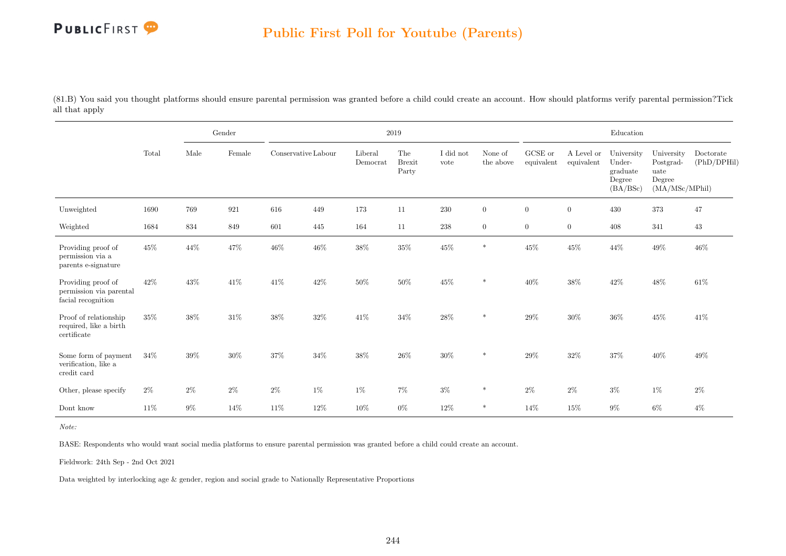

(81.B) You said you thought platforms should ensure parental permission was granted before a child could create an account. How should platforms verify parental permission?Tick all that apply

|                                                                     |        |       | Gender |                     |        |                     | 2019                          |                   |                      |                       |                          | Education                                              |                                                             |                          |
|---------------------------------------------------------------------|--------|-------|--------|---------------------|--------|---------------------|-------------------------------|-------------------|----------------------|-----------------------|--------------------------|--------------------------------------------------------|-------------------------------------------------------------|--------------------------|
|                                                                     | Total  | Male  | Female | Conservative Labour |        | Liberal<br>Democrat | The<br><b>Brexit</b><br>Party | I did not<br>vote | None of<br>the above | GCSE or<br>equivalent | A Level or<br>equivalent | University<br>Under-<br>graduate<br>Degree<br>(BA/BSc) | University<br>Postgrad-<br>uate<br>Degree<br>(MA/MSc/MPhil) | Doctorate<br>(PhD/DPHil) |
| Unweighted                                                          | 1690   | 769   | 921    | 616                 | 449    | 173                 | 11                            | 230               | $\overline{0}$       | $\overline{0}$        | $\boldsymbol{0}$         | 430                                                    | 373                                                         | 47                       |
| Weighted                                                            | 1684   | 834   | 849    | 601                 | 445    | 164                 | 11                            | $\,238$           | $\overline{0}$       | $\overline{0}$        | $\boldsymbol{0}$         | 408                                                    | 341                                                         | 43                       |
| Providing proof of<br>permission via a<br>parents e-signature       | 45%    | 44\%  | $47\%$ | $46\%$              | $46\%$ | $38\%$              | $35\%$                        | $45\%$            | $\ast$               | $45\%$                | $45\%$                   | $44\%$                                                 | $49\%$                                                      | $46\%$                   |
| Providing proof of<br>permission via parental<br>facial recognition | $42\%$ | 43%   | $41\%$ | $41\%$              | 42%    | $50\%$              | $50\%$                        | $45\%$            | $\ast$               | $40\%$                | $38\%$                   | $42\%$                                                 | $48\%$                                                      | $61\%$                   |
| Proof of relationship<br>required, like a birth<br>certificate      | 35%    | 38%   | $31\%$ | $38\%$              | 32%    | $41\%$              | $34\%$                        | $28\%$            | $\ast$               | $29\%$                | $30\%$                   | $36\%$                                                 | $45\%$                                                      | 41\%                     |
| Some form of payment<br>verification, like a<br>credit card         | $34\%$ | 39%   | $30\%$ | $37\%$              | 34%    | $38\%$              | $26\%$                        | $30\%$            | $\ast$               | $29\%$                | $32\%$                   | $37\%$                                                 | $40\%$                                                      | $49\%$                   |
| Other, please specify                                               | $2\%$  | $2\%$ | $2\%$  | $2\%$               | $1\%$  | $1\%$               | $7\%$                         | $3\%$             | $\ast$               | $2\%$                 | $2\%$                    | $3\%$                                                  | $1\%$                                                       | $2\%$                    |
| Dont know                                                           | 11\%   | $9\%$ | 14\%   | 11%                 | 12%    | $10\%$              | $0\%$                         | 12%               | $\ast$               | 14\%                  | 15%                      | $9\%$                                                  | 6%                                                          | $4\%$                    |

Note:

BASE: Respondents who would want social media platforms to ensure parental permission was granted before a child could create an account.

Fieldwork: 24th Sep - 2nd Oct 2021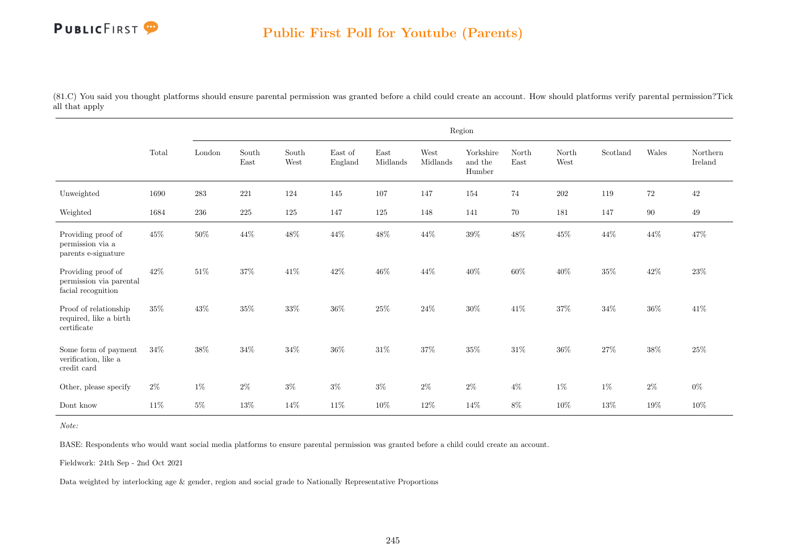## PUBLICFIRST<sup>9</sup>

(81.C) You said you thought platforms should ensure parental permission was granted before a child could create an account. How should platforms verify parental permission?Tick all that apply

|                                                                     |        |           |               |               |                    |                  |                  | Region                         |               |               |          |        |                     |
|---------------------------------------------------------------------|--------|-----------|---------------|---------------|--------------------|------------------|------------------|--------------------------------|---------------|---------------|----------|--------|---------------------|
|                                                                     | Total  | London    | South<br>East | South<br>West | East of<br>England | East<br>Midlands | West<br>Midlands | Yorkshire<br>and the<br>Humber | North<br>East | North<br>West | Scotland | Wales  | Northern<br>Ireland |
| Unweighted                                                          | 1690   | $\bf 283$ | 221           | $124\,$       | 145                | 107              | 147              | 154                            | 74            | $202\,$       | 119      | $72\,$ | $42\,$              |
| Weighted                                                            | 1684   | 236       | $225\,$       | 125           | 147                | 125              | 148              | 141                            | 70            | 181           | 147      | 90     | 49                  |
| Providing proof of<br>permission via a<br>parents e-signature       | $45\%$ | $50\%$    | $44\%$        | $48\%$        | $44\%$             | $48\%$           | $44\%$           | $39\%$                         | $48\%$        | $45\%$        | $44\%$   | $44\%$ | 47\%                |
| Providing proof of<br>permission via parental<br>facial recognition | 42\%   | $51\%$    | 37%           | $41\%$        | 42\%               | $46\%$           | 44\%             | $40\%$                         | $60\%$        | $40\%$        | $35\%$   | $42\%$ | 23\%                |
| Proof of relationship<br>required, like a birth<br>certificate      | 35%    | $43\%$    | $35\%$        | $33\%$        | $36\%$             | $25\%$           | $24\%$           | $30\%$                         | $41\%$        | $37\%$        | $34\%$   | $36\%$ | $41\%$              |
| Some form of payment<br>verification, like a<br>credit card         | 34%    | $38\%$    | $34\%$        | $34\%$        | $36\%$             | $31\%$           | 37%              | $35\%$                         | $31\%$        | $36\%$        | 27%      | $38\%$ | 25%                 |
| Other, please specify                                               | $2\%$  | $1\%$     | $2\%$         | $3\%$         | $3\%$              | $3\%$            | $2\%$            | $2\%$                          | $4\%$         | $1\%$         | $1\%$    | $2\%$  | $0\%$               |
| Dont know                                                           | $11\%$ | $5\%$     | $13\%$        | $14\%$        | $11\%$             | $10\%$           | $12\%$           | $14\%$                         | 8%            | $10\%$        | $13\%$   | $19\%$ | 10%                 |

Note:

BASE: Respondents who would want social media platforms to ensure parental permission was granted before a child could create an account.

Fieldwork: 24th Sep - 2nd Oct 2021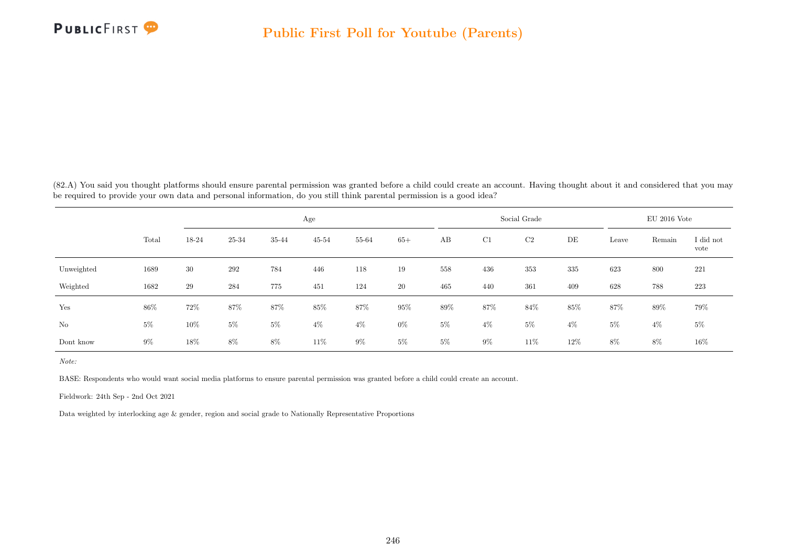

(82.A) You said you thought platforms should ensure parental permission was granted before a child could create an account. Having thought about it and considered that you may be required to provide your own data and personal information, do you still think parental permission is a good idea?

|            |       |       |       |       | Age       |       |       |        |       | Social Grade |        |       | $EU$ 2016 Vote |                   |
|------------|-------|-------|-------|-------|-----------|-------|-------|--------|-------|--------------|--------|-------|----------------|-------------------|
|            | Total | 18-24 | 25-34 | 35-44 | $45 - 54$ | 55-64 | $65+$ | AB     | C1    | C2           | DE     | Leave | Remain         | I did not<br>vote |
| Unweighted | 1689  | 30    | 292   | 784   | 446       | 118   | 19    | 558    | 436   | 353          | 335    | 623   | 800            | 221               |
| Weighted   | 1682  | 29    | 284   | 775   | 451       | 124   | 20    | 465    | 440   | 361          | 409    | 628   | 788            | 223               |
| Yes        | 86%   | 72%   | 87%   | 87%   | $85\%$    | 87%   | 95%   | $89\%$ | 87%   | 84\%         | $85\%$ | 87%   | 89%            | 79%               |
| No         | $5\%$ | 10%   | $5\%$ | $5\%$ | $4\%$     | $4\%$ | $0\%$ | $5\%$  | $4\%$ | $5\%$        | $4\%$  | $5\%$ | $4\%$          | $5\%$             |
| Dont know  | $9\%$ | 18%   | $8\%$ | 8%    | 11%       | $9\%$ | $5\%$ | $5\%$  | $9\%$ | 11%          | 12%    | 8%    | 8%             | $16\%$            |

Note:

BASE: Respondents who would want social media platforms to ensure parental permission was granted before a child could create an account.

Fieldwork: 24th Sep - 2nd Oct 2021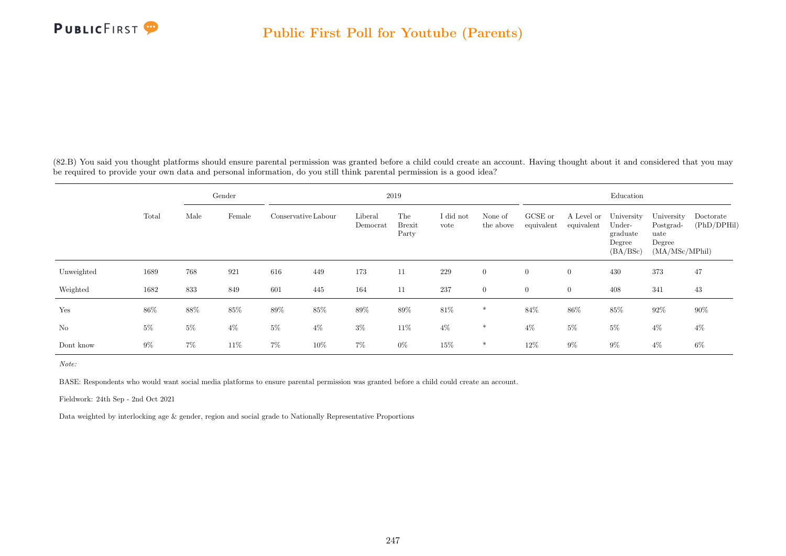

(82.B) You said you thought platforms should ensure parental permission was granted before a child could create an account. Having thought about it and considered that you may be required to provide your own data and personal information, do you still think parental permission is a good idea?

|            |       |       | Gender |                     |       |                     | 2019                          |                   |                      |                       |                          | Education                                              |                                                             |                          |
|------------|-------|-------|--------|---------------------|-------|---------------------|-------------------------------|-------------------|----------------------|-----------------------|--------------------------|--------------------------------------------------------|-------------------------------------------------------------|--------------------------|
|            | Total | Male  | Female | Conservative Labour |       | Liberal<br>Democrat | The<br><b>Brexit</b><br>Party | I did not<br>vote | None of<br>the above | GCSE or<br>equivalent | A Level or<br>equivalent | University<br>Under-<br>graduate<br>Degree<br>(BA/BSc) | University<br>Postgrad-<br>uate<br>Degree<br>(MA/MSc/MPhil) | Doctorate<br>(PhD/DPHil) |
| Unweighted | 1689  | 768   | 921    | 616                 | 449   | 173                 | 11                            | 229               | $\overline{0}$       | $\overline{0}$        | $\overline{0}$           | 430                                                    | 373                                                         | 47                       |
| Weighted   | 1682  | 833   | 849    | 601                 | 445   | 164                 | 11                            | 237               | $\overline{0}$       | $\overline{0}$        | $\overline{0}$           | 408                                                    | 341                                                         | 43                       |
| Yes        | 86%   | 88%   | $85\%$ | $89\%$              | 85%   | $89\%$              | 89%                           | $81\%$            | $\ast$               | 84%                   | 86%                      | $85\%$                                                 | $92\%$                                                      | $90\%$                   |
| No         | $5\%$ | $5\%$ | $4\%$  | $5\%$               | $4\%$ | $3\%$               | 11\%                          | $4\%$             | $\ast$               | $4\%$                 | $5\%$                    | $5\%$                                                  | $4\%$                                                       | $4\%$                    |
| Dont know  | $9\%$ | $7\%$ | 11\%   | $7\%$               | 10%   | $7\%$               | $0\%$                         | 15%               | $\ast$               | 12%                   | $9\%$                    | $9\%$                                                  | $4\%$                                                       | 6%                       |

Note:

BASE: Respondents who would want social media platforms to ensure parental permission was granted before a child could create an account.

Fieldwork: 24th Sep - 2nd Oct 2021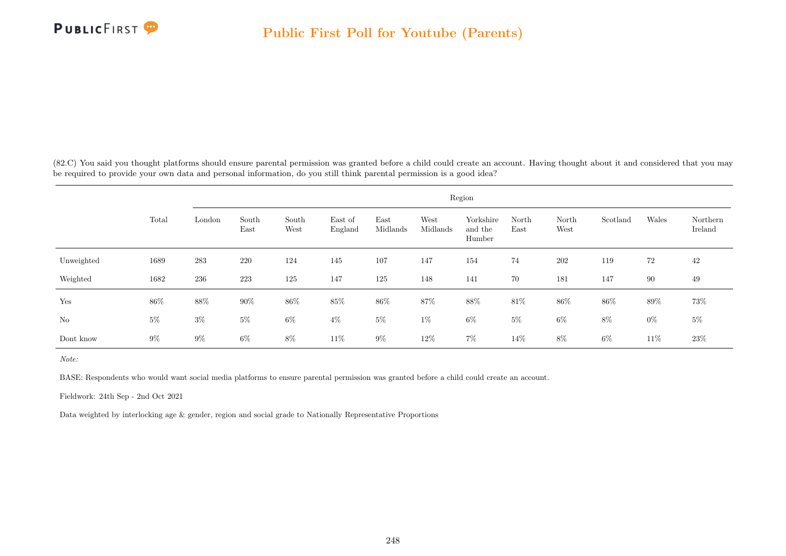

(82.C) You said you thought platforms should ensure parental permission was granted before a child could create an account. Having thought about it and considered that you may be required to provide your own data and personal information, do you still think parental permission is a good idea?

|            |       |        |               |               |                    |                  |                  | Region                         |               |               |          |       |                     |
|------------|-------|--------|---------------|---------------|--------------------|------------------|------------------|--------------------------------|---------------|---------------|----------|-------|---------------------|
|            | Total | London | South<br>East | South<br>West | East of<br>England | East<br>Midlands | West<br>Midlands | Yorkshire<br>and the<br>Humber | North<br>East | North<br>West | Scotland | Wales | Northern<br>Ireland |
| Unweighted | 1689  | 283    | $220\,$       | 124           | 145                | 107              | 147              | 154                            | $74\,$        | 202           | 119      | 72    | 42                  |
| Weighted   | 1682  | 236    | 223           | 125           | 147                | 125              | 148              | 141                            | 70            | 181           | 147      | 90    | 49                  |
| Yes        | 86\%  | 88%    | $90\%$        | $86\%$        | 85%                | $86\%$           | 87%              | 88%                            | 81\%          | 86%           | 86%      | 89%   | 73%                 |
| No         | $5\%$ | $3\%$  | $5\%$         | $6\%$         | $4\%$              | $5\%$            | $1\%$            | $6\%$                          | $5\%$         | $6\%$         | 8%       | $0\%$ | $5\%$               |
| Dont know  | $9\%$ | $9\%$  | $6\%$         | $8\%$         | 11\%               | $9\%$            | 12%              | $7\%$                          | 14\%          | 8%            | 6%       | 11\%  | $23\%$              |

Note:

BASE: Respondents who would want social media platforms to ensure parental permission was granted before a child could create an account.

Fieldwork: 24th Sep - 2nd Oct 2021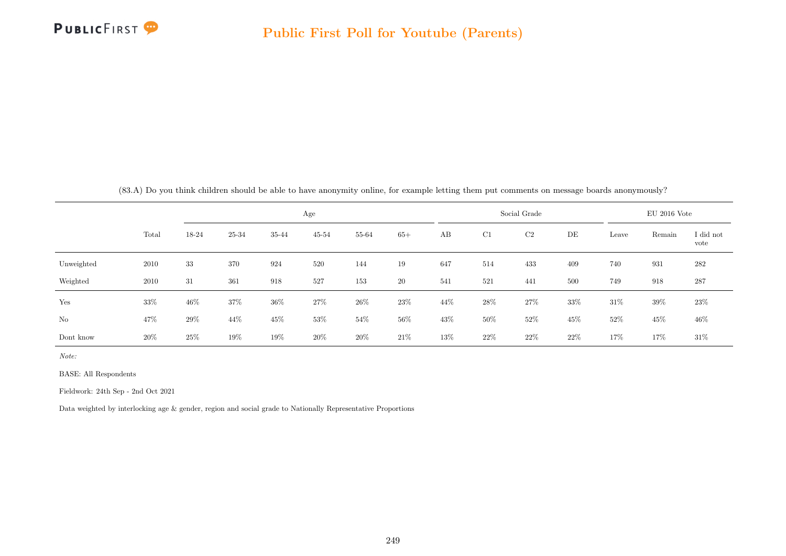

|  |  |  |  |  | $(83.A)$ Do vou think children should be able to have anonymity online, for example letting them put comments on message boards anonymously? |  |
|--|--|--|--|--|----------------------------------------------------------------------------------------------------------------------------------------------|--|
|  |  |  |  |  |                                                                                                                                              |  |

|            |       |        | Age   |        |           |        |        |     |        | Social Grade |        |        |        | $EU$ 2016 Vote    |  |  |  |
|------------|-------|--------|-------|--------|-----------|--------|--------|-----|--------|--------------|--------|--------|--------|-------------------|--|--|--|
|            | Total | 18-24  | 25-34 | 35-44  | $45 - 54$ | 55-64  | $65+$  | AB  | C1     | C2           | DE     | Leave  | Remain | I did not<br>vote |  |  |  |
| Unweighted | 2010  | 33     | 370   | 924    | 520       | 144    | 19     | 647 | 514    | 433          | 409    | 740    | 931    | 282               |  |  |  |
| Weighted   | 2010  | 31     | 361   | 918    | 527       | 153    | 20     | 541 | 521    | 441          | 500    | 749    | 918    | 287               |  |  |  |
| Yes        | 33%   | 46%    | 37%   | 36%    | 27%       | 26%    | 23%    | 44% | 28\%   | 27%          | 33%    | $31\%$ | 39%    | 23\%              |  |  |  |
| No         | 47%   | $29\%$ | 44%   | $45\%$ | 53%       | $54\%$ | $56\%$ | 43% | 50%    | 52%          | 45\%   | $52\%$ | $45\%$ | $46\%$            |  |  |  |
| Dont know  | 20%   | 25%    | 19%   | 19%    | 20%       | $20\%$ | 21\%   | 13% | $22\%$ | 22%          | $22\%$ | 17%    | 17%    | $31\%$            |  |  |  |

Note:

BASE: All Respondents

Fieldwork: 24th Sep - 2nd Oct 2021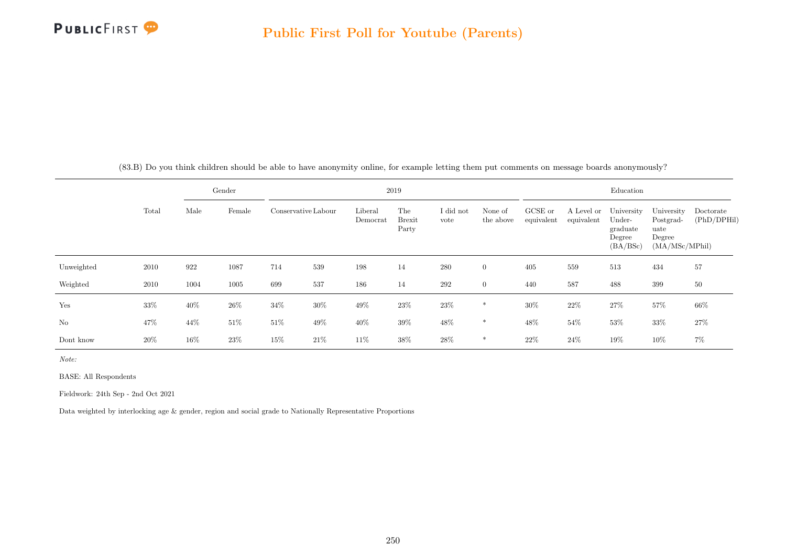

|       |      | Gender       |                     |                     | 2019                 |                   |                      |                                                                             | Education |           |    |
|-------|------|--------------|---------------------|---------------------|----------------------|-------------------|----------------------|-----------------------------------------------------------------------------|-----------|-----------|----|
| Total | Male | $\rm Female$ | Conservative Labour | Liberal<br>Democrat | The<br><b>Brexit</b> | I did not<br>vote | None of<br>the above | GCSE or A Level or University University De<br>equivalent equivalent Under- |           | Postgrad- | (F |

(83.B) Do you think children should be able to have anonymity online, for example letting them put comments on message boards anonymously?

|            | Total | Male | Female |        | Conservative Labour | Liberal<br>Democrat | The<br><b>Brexit</b><br>Party | I did not<br>vote | None of<br>the above | GCSE or<br>equivalent | A Level or<br>equivalent | University<br>Under-<br>graduate<br>Degree<br>(BA/BSc) | University<br>Postgrad-<br>uate<br>Degree<br>(MA/MSc/MPhill) | Doctorate<br>(PhD/DPHil) |
|------------|-------|------|--------|--------|---------------------|---------------------|-------------------------------|-------------------|----------------------|-----------------------|--------------------------|--------------------------------------------------------|--------------------------------------------------------------|--------------------------|
| Unweighted | 2010  | 922  | 1087   | 714    | 539                 | 198                 | 14                            | 280               | $\overline{0}$       | 405                   | 559                      | 513                                                    | 434                                                          | 57                       |
| Weighted   | 2010  | 1004 | 1005   | 699    | 537                 | 186                 | 14                            | 292               | $\overline{0}$       | 440                   | 587                      | 488                                                    | 399                                                          | 50                       |
| Yes        | 33%   | 40%  | 26\%   | 34%    | 30%                 | 49%                 | 23\%                          | 23%               | $\ast$               | 30%                   | $22\%$                   | 27%                                                    | 57%                                                          | $66\%$                   |
| No         | 47%   | 44%  | $51\%$ | $51\%$ | 49%                 | 40%                 | 39%                           | 48%               | $*$                  | 48%                   | 54%                      | 53%                                                    | $33\%$                                                       | 27%                      |
| Dont know  | 20%   | 16%  | 23\%   | 15%    | 21%                 | 11%                 | 38%                           | 28%               | $\ast$               | $22\%$                | 24%                      | 19%                                                    | 10%                                                          | 7%                       |

Note:

BASE: All Respondents

Fieldwork: 24th Sep - 2nd Oct 2021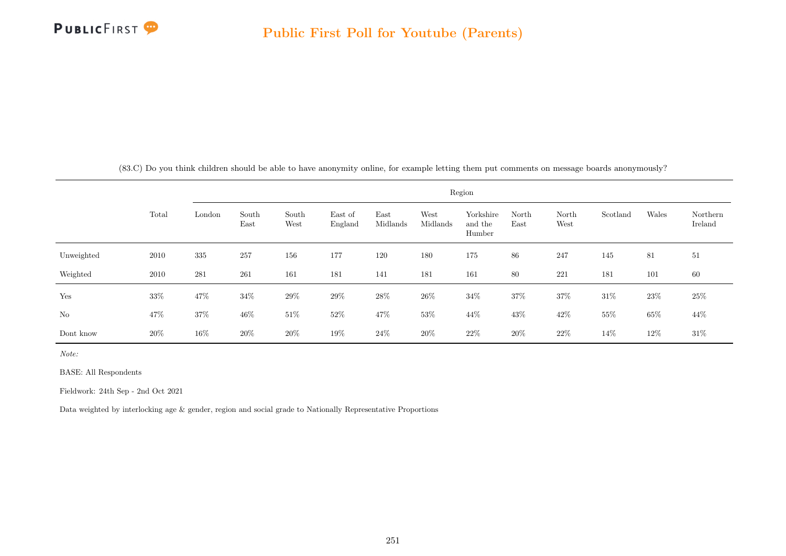

|  |  |  |  |  |  |  |  |  |  |  |  |  | $(83.C)$ Do you think children should be able to have anonymity online, for example letting them put comments on message boards anonymously? |  |  |  |
|--|--|--|--|--|--|--|--|--|--|--|--|--|----------------------------------------------------------------------------------------------------------------------------------------------|--|--|--|
|--|--|--|--|--|--|--|--|--|--|--|--|--|----------------------------------------------------------------------------------------------------------------------------------------------|--|--|--|

|            |        | Region  |               |               |                    |                  |                  |                                |               |               |          |       |                     |
|------------|--------|---------|---------------|---------------|--------------------|------------------|------------------|--------------------------------|---------------|---------------|----------|-------|---------------------|
|            | Total  | London  | South<br>East | South<br>West | East of<br>England | East<br>Midlands | West<br>Midlands | Yorkshire<br>and the<br>Humber | North<br>East | North<br>West | Scotland | Wales | Northern<br>Ireland |
| Unweighted | 2010   | $335\,$ | 257           | 156           | 177                | 120              | 180              | 175                            | 86            | 247           | 145      | 81    | 51                  |
| Weighted   | 2010   | 281     | 261           | 161           | 181                | 141              | 181              | 161                            | 80            | 221           | 181      | 101   | 60                  |
| Yes        | $33\%$ | $47\%$  | 34%           | $29\%$        | $29\%$             | $28\%$           | $26\%$           | $34\%$                         | 37%           | $37\%$        | 31\%     | 23\%  | 25\%                |
| No         | 47%    | $37\%$  | 46\%          | $51\%$        | $52\%$             | 47%              | $53\%$           | 44\%                           | $43\%$        | $42\%$        | $55\%$   | 65%   | 44\%                |
| Dont know  | $20\%$ | 16%     | $20\%$        | 20%           | 19%                | $24\%$           | $20\%$           | $22\%$                         | $20\%$        | $22\%$        | 14%      | 12%   | $31\%$              |

Note:

BASE: All Respondents

Fieldwork: 24th Sep - 2nd Oct 2021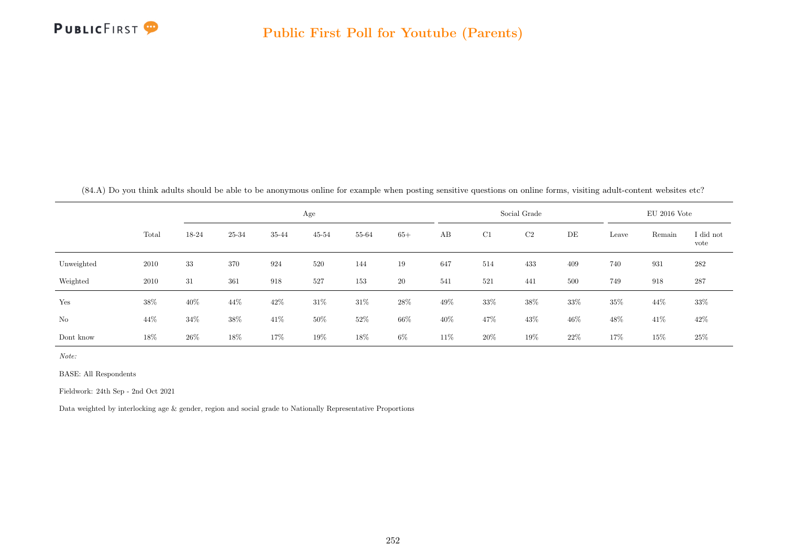

(84.A) Do you think adults should be able to be anonymous online for example when posting sensitive questions on online forms, visiting adult-content websites etc?

|            |       |        |       |       | Age       |        |       |      |        | Social Grade   |        |       | $EU$ 2016 Vote |                   |
|------------|-------|--------|-------|-------|-----------|--------|-------|------|--------|----------------|--------|-------|----------------|-------------------|
|            | Total | 18-24  | 25-34 | 35-44 | $45 - 54$ | 55-64  | $65+$ | AB   | C1     | C <sub>2</sub> | DE     | Leave | Remain         | I did not<br>vote |
| Unweighted | 2010  | $33\,$ | 370   | 924   | 520       | 144    | 19    | 647  | 514    | 433            | 409    | 740   | 931            | 282               |
| Weighted   | 2010  | 31     | 361   | 918   | 527       | 153    | 20    | 541  | 521    | 441            | 500    | 749   | 918            | 287               |
| Yes        | 38%   | 40%    | 44\%  | 42\%  | 31%       | $31\%$ | 28%   | 49%  | $33\%$ | $38\%$         | $33\%$ | 35%   | 44%            | $33\%$            |
| No         | 44\%  | 34%    | 38%   | 41\%  | 50%       | 52%    | 66%   | 40%  | 47%    | 43%            | 46\%   | 48%   | 41\%           | $42\%$            |
| Dont know  | 18%   | 26%    | 18%   | 17%   | 19%       | 18%    | $6\%$ | 11\% | $20\%$ | 19%            | 22%    | 17%   | 15%            | $25\%$            |

Note:

BASE: All Respondents

Fieldwork: 24th Sep - 2nd Oct 2021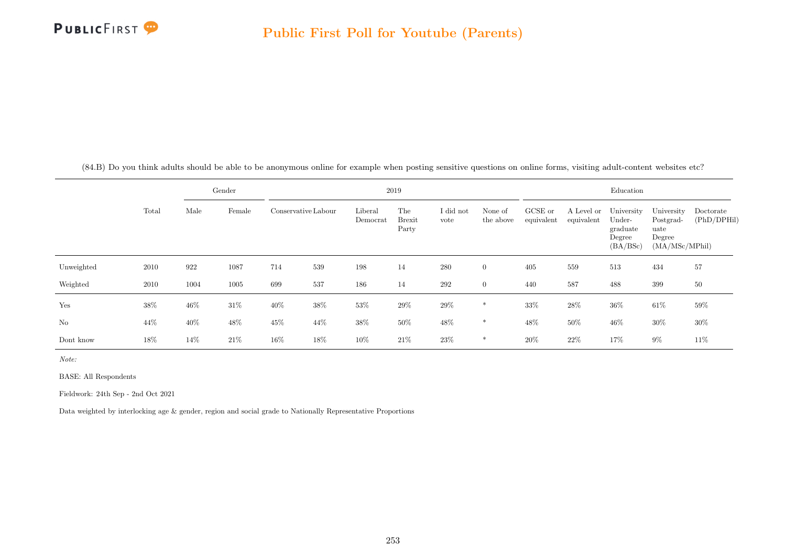

(84.B) Do you think adults should be able to be anonymous online for example when posting sensitive questions on online forms, visiting adult-content websites etc?

|            |       |        | Gender |                     |      |                     | 2019                          |                   |                      |                       |                          | Education                                              |                                                             |                          |
|------------|-------|--------|--------|---------------------|------|---------------------|-------------------------------|-------------------|----------------------|-----------------------|--------------------------|--------------------------------------------------------|-------------------------------------------------------------|--------------------------|
|            | Total | Male   | Female | Conservative Labour |      | Liberal<br>Democrat | The<br><b>Brexit</b><br>Party | I did not<br>vote | None of<br>the above | GCSE or<br>equivalent | A Level or<br>equivalent | University<br>Under-<br>graduate<br>Degree<br>(BA/BSc) | University<br>Postgrad-<br>uate<br>Degree<br>(MA/MSc/MPhil) | Doctorate<br>(PhD/DPHil) |
| Unweighted | 2010  | 922    | 1087   | 714                 | 539  | 198                 | 14                            | 280               | $\overline{0}$       | 405                   | 559                      | 513                                                    | 434                                                         | 57                       |
| Weighted   | 2010  | 1004   | 1005   | 699                 | 537  | 186                 | 14                            | 292               | $\overline{0}$       | 440                   | 587                      | 488                                                    | 399                                                         | 50                       |
| Yes        | 38%   | $46\%$ | 31\%   | 40%                 | 38%  | 53%                 | 29%                           | 29%               | $\ast$               | 33%                   | $28\%$                   | 36%                                                    | $61\%$                                                      | 59%                      |
| No         | 44\%  | 40%    | $48\%$ | 45%                 | 44\% | $38\%$              | $50\%$                        | 48\%              | $\ast$               | 48%                   | $50\%$                   | $46\%$                                                 | 30%                                                         | 30%                      |
| Dont know  | 18%   | 14%    | 21\%   | 16%                 | 18%  | 10%                 | 21%                           | $23\%$            | $\ast$               | $20\%$                | $22\%$                   | 17%                                                    | $9\%$                                                       | 11%                      |

Note:

BASE: All Respondents

Fieldwork: 24th Sep - 2nd Oct 2021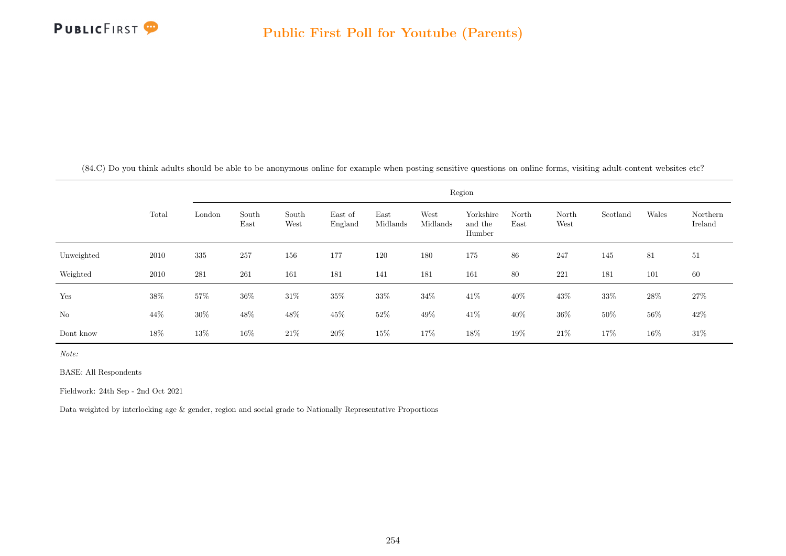

(84.C) Do you think adults should be able to be anonymous online for example when posting sensitive questions on online forms, visiting adult-content websites etc?

|                |       |        |               |               |                    |                  |                  | Region                         |               |               |          |        |                     |
|----------------|-------|--------|---------------|---------------|--------------------|------------------|------------------|--------------------------------|---------------|---------------|----------|--------|---------------------|
|                | Total | London | South<br>East | South<br>West | East of<br>England | East<br>Midlands | West<br>Midlands | Yorkshire<br>and the<br>Humber | North<br>East | North<br>West | Scotland | Wales  | Northern<br>Ireland |
| Unweighted     | 2010  | 335    | 257           | 156           | 177                | 120              | 180              | 175                            | 86            | 247           | 145      | 81     | 51                  |
| Weighted       | 2010  | 281    | 261           | 161           | 181                | 141              | 181              | 161                            | 80            | 221           | 181      | 101    | 60                  |
| Yes            | 38%   | 57%    | $36\%$        | $31\%$        | $35\%$             | 33%              | $34\%$           | $41\%$                         | 40%           | 43%           | $33\%$   | $28\%$ | $27\%$              |
| N <sub>o</sub> | 44%   | $30\%$ | 48\%          | 48%           | 45%                | 52\%             | 49%              | 41%                            | 40%           | $36\%$        | $50\%$   | $56\%$ | 42\%                |
| Dont know      | 18%   | 13%    | 16\%          | 21%           | $20\%$             | 15%              | 17%              | 18%                            | 19%           | $21\%$        | 17%      | 16%    | $31\%$              |

Note:

BASE: All Respondents

Fieldwork: 24th Sep - 2nd Oct 2021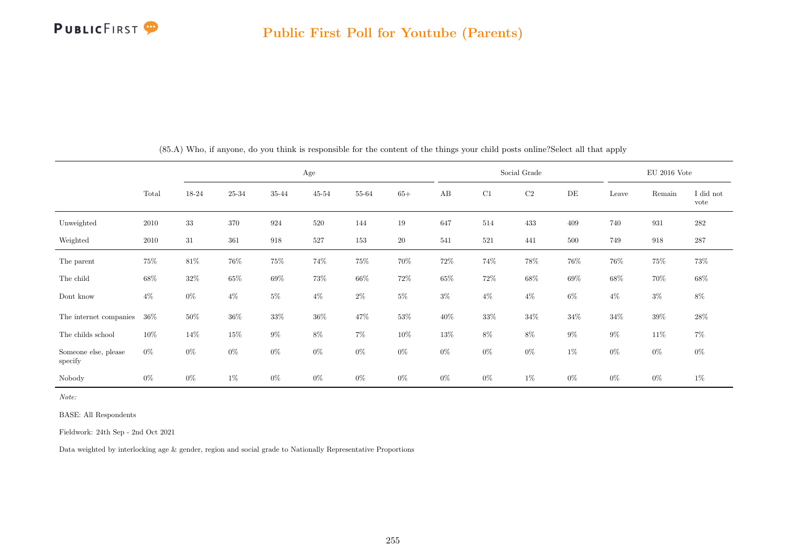

|                                 |        |        |        |        | Age       |        |        |        |        | Social Grade |           |        | $EU$ 2016 Vote |                   |
|---------------------------------|--------|--------|--------|--------|-----------|--------|--------|--------|--------|--------------|-----------|--------|----------------|-------------------|
|                                 | Total  | 18-24  | 25-34  | 35-44  | $45 - 54$ | 55-64  | $65+$  | AB     | C1     | $\rm C2$     | $\rm{DE}$ | Leave  | Remain         | I did not<br>vote |
| Unweighted                      | 2010   | $33\,$ | 370    | 924    | 520       | 144    | $19\,$ | 647    | 514    | 433          | 409       | 740    | 931            | 282               |
| Weighted                        | 2010   | 31     | 361    | 918    | 527       | 153    | $20\,$ | 541    | 521    | 441          | 500       | 749    | 918            | 287               |
| The parent                      | $75\%$ | $81\%$ | $76\%$ | $75\%$ | 74%       | 75%    | 70%    | 72\%   | 74%    | 78%          | 76%       | 76%    | 75%            | 73%               |
| The child                       | $68\%$ | $32\%$ | $65\%$ | $69\%$ | 73%       | $66\%$ | 72\%   | $65\%$ | $72\%$ | $68\%$       | $69\%$    | $68\%$ | 70%            | $68\%$            |
| Dont know                       | $4\%$  | $0\%$  | $4\%$  | $5\%$  | $4\%$     | $2\%$  | $5\%$  | $3\%$  | $4\%$  | $4\%$        | $6\%$     | $4\%$  | $3\%$          | $8\%$             |
| The internet companies          | $36\%$ | 50%    | $36\%$ | $33\%$ | $36\%$    | 47%    | $53\%$ | 40%    | $33\%$ | $34\%$       | $34\%$    | $34\%$ | $39\%$         | $28\%$            |
| The childs school               | $10\%$ | $14\%$ | $15\%$ | $9\%$  | $8\%$     | $7\%$  | $10\%$ | $13\%$ | $8\%$  | $8\%$        | $9\%$     | $9\%$  | $11\%$         | $7\%$             |
| Someone else, please<br>specify | $0\%$  | $0\%$  | $0\%$  | $0\%$  | $0\%$     | $0\%$  | $0\%$  | $0\%$  | $0\%$  | $0\%$        | $1\%$     | $0\%$  | $0\%$          | $0\%$             |
| Nobody                          | $0\%$  | $0\%$  | $1\%$  | $0\%$  | $0\%$     | $0\%$  | $0\%$  | $0\%$  | $0\%$  | $1\%$        | $0\%$     | $0\%$  | $0\%$          | $1\%$             |

(85.A) Who, if anyone, do you think is responsible for the content of the things your child posts online?Select all that apply

Note:

BASE: All Respondents

Fieldwork: 24th Sep - 2nd Oct 2021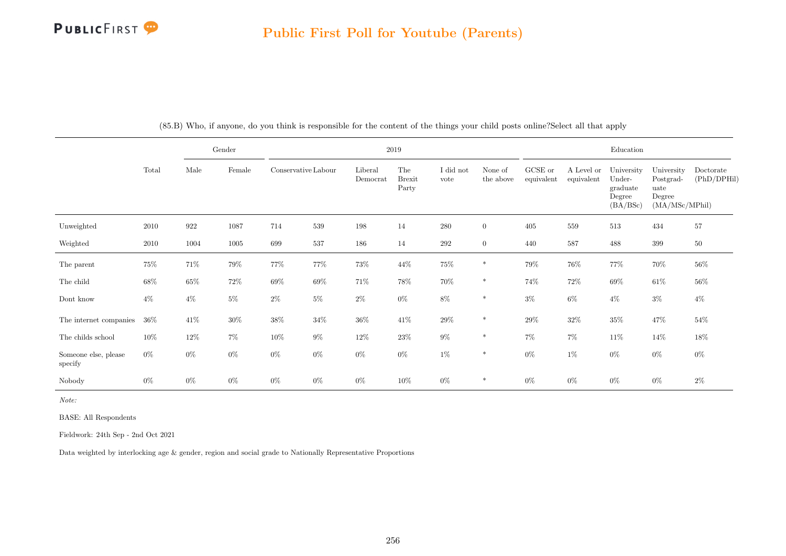

|                                 |        |        | $\operatorname{Gender}$ |                     |        |                     | 2019                          |                   |                      |                       |                          | Education                                              |                                                             |                          |
|---------------------------------|--------|--------|-------------------------|---------------------|--------|---------------------|-------------------------------|-------------------|----------------------|-----------------------|--------------------------|--------------------------------------------------------|-------------------------------------------------------------|--------------------------|
|                                 | Total  | Male   | Female                  | Conservative Labour |        | Liberal<br>Democrat | The<br><b>Brexit</b><br>Party | I did not<br>vote | None of<br>the above | GCSE or<br>equivalent | A Level or<br>equivalent | University<br>Under-<br>graduate<br>Degree<br>(BA/BSc) | University<br>Postgrad-<br>uate<br>Degree<br>(MA/MSc/MPhil) | Doctorate<br>(PhD/DPHil) |
| Unweighted                      | 2010   | 922    | 1087                    | 714                 | 539    | 198                 | 14                            | 280               | $\overline{0}$       | 405                   | 559                      | 513                                                    | 434                                                         | $57\,$                   |
| Weighted                        | 2010   | 1004   | 1005                    | 699                 | 537    | 186                 | 14                            | 292               | $\overline{0}$       | 440                   | 587                      | 488                                                    | 399                                                         | 50                       |
| The parent                      | $75\%$ | $71\%$ | $79\%$                  | $77\%$              | 77%    | $73\%$              | $44\%$                        | $75\%$            | $\ast$               | $79\%$                | $76\%$                   | 77%                                                    | $70\%$                                                      | $56\%$                   |
| The child                       | 68%    | $65\%$ | 72%                     | $69\%$              | $69\%$ | 71%                 | 78%                           | 70%               | $\ast$               | 74%                   | $72\%$                   | $69\%$                                                 | $61\%$                                                      | 56%                      |
| Dont know                       | $4\%$  | $4\%$  | $5\%$                   | $2\%$               | $5\%$  | $2\%$               | $0\%$                         | $8\%$             | $\ast$               | $3\%$                 | $6\%$                    | $4\%$                                                  | $3\%$                                                       | $4\%$                    |
| The internet companies          | $36\%$ | 41\%   | $30\%$                  | $38\%$              | $34\%$ | $36\%$              | $41\%$                        | $29\%$            | $\ast$               | $29\%$                | $32\%$                   | $35\%$                                                 | $47\%$                                                      | $54\%$                   |
| The childs school               | $10\%$ | $12\%$ | $7\%$                   | 10%                 | $9\%$  | $12\%$              | $23\%$                        | $9\%$             | $\ast$               | $7\%$                 | $7\%$                    | 11\%                                                   | $14\%$                                                      | $18\%$                   |
| Someone else, please<br>specify | $0\%$  | $0\%$  | $0\%$                   | $0\%$               | $0\%$  | $0\%$               | $0\%$                         | $1\%$             | $\ast$               | $0\%$                 | $1\%$                    | $0\%$                                                  | $0\%$                                                       | $0\%$                    |
| Nobody                          | $0\%$  | $0\%$  | $0\%$                   | $0\%$               | $0\%$  | $0\%$               | 10%                           | $0\%$             | $\ast$               | $0\%$                 | $0\%$                    | $0\%$                                                  | $0\%$                                                       | $2\%$                    |

(85.B) Who, if anyone, do you think is responsible for the content of the things your child posts online?Select all that apply

Note:

BASE: All Respondents

Fieldwork: 24th Sep - 2nd Oct 2021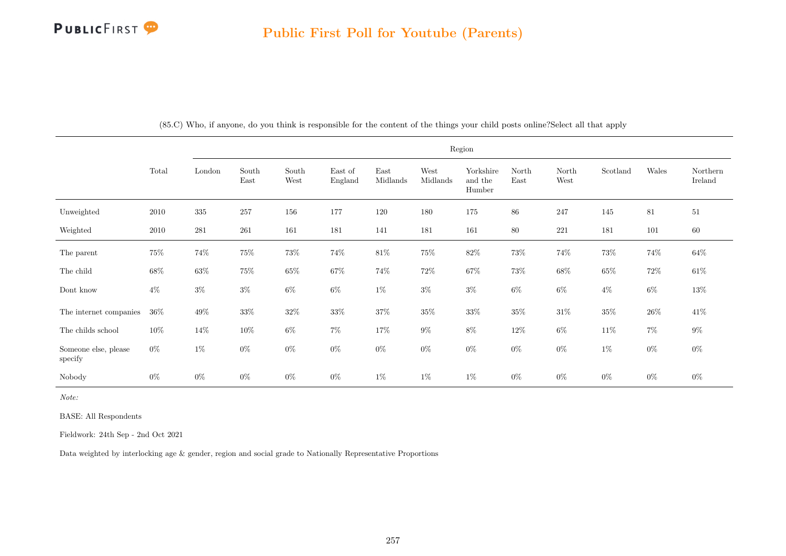

|                                 |        |         |               |               |                    |                  |                  | Region                         |               |               |                           |        |                     |
|---------------------------------|--------|---------|---------------|---------------|--------------------|------------------|------------------|--------------------------------|---------------|---------------|---------------------------|--------|---------------------|
|                                 | Total  | London  | South<br>East | South<br>West | East of<br>England | East<br>Midlands | West<br>Midlands | Yorkshire<br>and the<br>Humber | North<br>East | North<br>West | $\operatorname{Scotland}$ | Wales  | Northern<br>Ireland |
| Unweighted                      | 2010   | $335\,$ | 257           | 156           | 177                | 120              | 180              | 175                            | 86            | 247           | 145                       | 81     | 51                  |
| Weighted                        | 2010   | 281     | $261\,$       | 161           | 181                | 141              | 181              | 161                            | $80\,$        | $221\,$       | 181                       | 101    | 60                  |
| The parent                      | 75%    | 74%     | $75\%$        | $73\%$        | 74%                | $81\%$           | $75\%$           | $82\%$                         | $73\%$        | $74\%$        | $73\%$                    | $74\%$ | $64\%$              |
| The child                       | $68\%$ | $63\%$  | $75\%$        | $65\%$        | $67\%$             | 74%              | $72\%$           | $67\%$                         | $73\%$        | $68\%$        | $65\%$                    | $72\%$ | $61\%$              |
| Dont know                       | $4\%$  | $3\%$   | $3\%$         | $6\%$         | $6\%$              | $1\%$            | $3\%$            | $3\%$                          | $6\%$         | $6\%$         | $4\%$                     | $6\%$  | $13\%$              |
| The internet companies          | $36\%$ | $49\%$  | $33\%$        | $32\%$        | $33\%$             | $37\%$           | $35\%$           | $33\%$                         | $35\%$        | $31\%$        | $35\%$                    | $26\%$ | $41\%$              |
| The childs school               | $10\%$ | $14\%$  | $10\%$        | $6\%$         | $7\%$              | 17%              | $9\%$            | $8\%$                          | $12\%$        | $6\%$         | $11\%$                    | $7\%$  | $9\%$               |
| Someone else, please<br>specify | $0\%$  | $1\%$   | $0\%$         | $0\%$         | $0\%$              | $0\%$            | $0\%$            | $0\%$                          | $0\%$         | $0\%$         | $1\%$                     | $0\%$  | $0\%$               |
| Nobody                          | $0\%$  | $0\%$   | $0\%$         | $0\%$         | $0\%$              | $1\%$            | $1\%$            | $1\%$                          | $0\%$         | $0\%$         | $0\%$                     | $0\%$  | $0\%$               |

(85.C) Who, if anyone, do you think is responsible for the content of the things your child posts online?Select all that apply

Note:

BASE: All Respondents

Fieldwork: 24th Sep - 2nd Oct 2021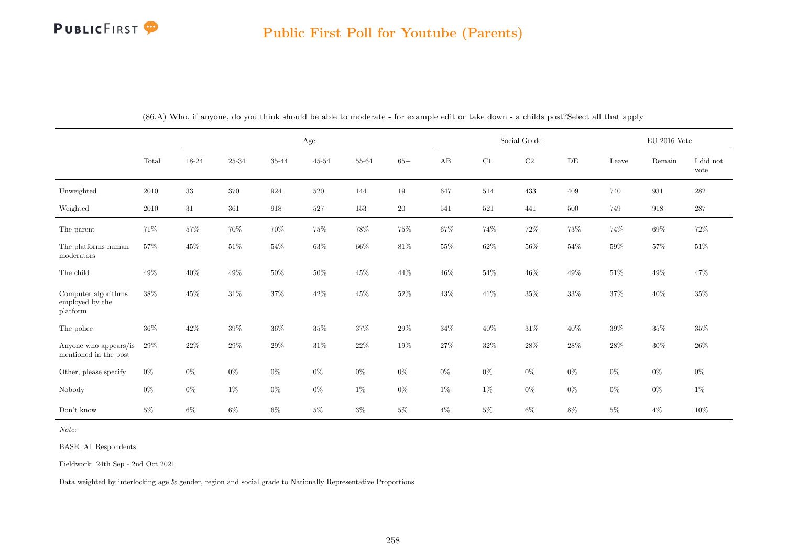|                                                         |          |        |         |                    | Age    |        |        |        |        | Social Grade |        |        | $\rm EU$ 2016 Vote |                   |
|---------------------------------------------------------|----------|--------|---------|--------------------|--------|--------|--------|--------|--------|--------------|--------|--------|--------------------|-------------------|
|                                                         | Total    | 18-24  | 25-34   | 35-44              | 45-54  | 55-64  | $65+$  | AB     | C1     | $\rm C2$     | DE     | Leave  | Remain             | I did not<br>vote |
| Unweighted                                              | $2010\,$ | $33\,$ | $370\,$ | $\boldsymbol{924}$ | 520    | 144    | $19\,$ | 647    | 514    | 433          | 409    | 740    | 931                | $282\,$           |
| Weighted                                                | $2010\,$ | 31     | 361     | 918                | 527    | 153    | $20\,$ | 541    | 521    | 441          | 500    | 749    | 918                | 287               |
| The parent                                              | $71\%$   | $57\%$ | $70\%$  | $70\%$             | $75\%$ | $78\%$ | $75\%$ | $67\%$ | $74\%$ | $72\%$       | $73\%$ | $74\%$ | $69\%$             | $72\%$            |
| The platforms human<br>moderators                       | $57\%$   | $45\%$ | $51\%$  | $54\%$             | $63\%$ | $66\%$ | $81\%$ | $55\%$ | $62\%$ | $56\%$       | $54\%$ | $59\%$ | $57\%$             | $51\%$            |
| The child                                               | $49\%$   | $40\%$ | $49\%$  | $50\%$             | $50\%$ | $45\%$ | $44\%$ | $46\%$ | $54\%$ | $46\%$       | $49\%$ | $51\%$ | $49\%$             | 47%               |
| Computer algorithms<br>employed by the $\,$<br>platform | 38%      | $45\%$ | $31\%$  | $37\%$             | $42\%$ | $45\%$ | $52\%$ | $43\%$ | $41\%$ | $35\%$       | $33\%$ | $37\%$ | $40\%$             | $35\%$            |
| The police                                              | $36\%$   | $42\%$ | $39\%$  | $36\%$             | $35\%$ | $37\%$ | $29\%$ | $34\%$ | $40\%$ | 31\%         | 40%    | $39\%$ | $35\%$             | $35\%$            |
| Anyone who appears/is<br>mentioned in the post          | 29%      | $22\%$ | $29\%$  | $29\%$             | $31\%$ | $22\%$ | $19\%$ | $27\%$ | $32\%$ | $28\%$       | $28\%$ | $28\%$ | $30\%$             | $26\%$            |
| Other, please specify                                   | $0\%$    | $0\%$  | $0\%$   | $0\%$              | $0\%$  | $0\%$  | $0\%$  | $0\%$  | $0\%$  | $0\%$        | $0\%$  | $0\%$  | $0\%$              | $0\%$             |
| Nobody                                                  | $0\%$    | $0\%$  | $1\%$   | $0\%$              | $0\%$  | $1\%$  | $0\%$  | $1\%$  | $1\%$  | $0\%$        | $0\%$  | $0\%$  | $0\%$              | $1\%$             |
| Don't know                                              | $5\%$    | $6\%$  | $6\%$   | $6\%$              | $5\%$  | $3\%$  | $5\%$  | $4\%$  | $5\%$  | $6\%$        | $8\%$  | $5\%$  | $4\%$              | $10\%$            |

(86.A) Who, if anyone, do you think should be able to moderate - for example edit or take down - a childs post?Select all that apply

Note:

BASE: All Respondents

Fieldwork: 24th Sep - 2nd Oct 2021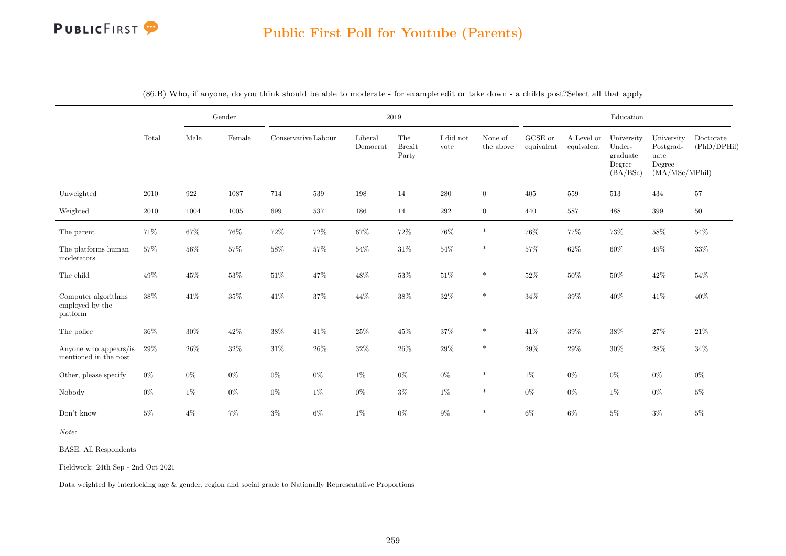

|                                                    |        |        | Gender |                     |        |                              | 2019                          |                   |                      |                       |                          | Education                                              |                                                             |                          |
|----------------------------------------------------|--------|--------|--------|---------------------|--------|------------------------------|-------------------------------|-------------------|----------------------|-----------------------|--------------------------|--------------------------------------------------------|-------------------------------------------------------------|--------------------------|
|                                                    | Total  | Male   | Female | Conservative Labour |        | Liberal<br>$\mbox{Democrat}$ | The<br><b>Brexit</b><br>Party | I did not<br>vote | None of<br>the above | GCSE or<br>equivalent | A Level or<br>equivalent | University<br>Under-<br>graduate<br>Degree<br>(BA/BSc) | University<br>Postgrad-<br>uate<br>Degree<br>(MA/MSc/MPhil) | Doctorate<br>(PhD/DPHil) |
| Unweighted                                         | 2010   | 922    | 1087   | 714                 | 539    | 198                          | 14                            | 280               | $\overline{0}$       | 405                   | 559                      | 513                                                    | 434                                                         | 57                       |
| Weighted                                           | 2010   | 1004   | 1005   | 699                 | 537    | 186                          | 14                            | $\,292$           | $\overline{0}$       | 440                   | 587                      | 488                                                    | 399                                                         | $50\,$                   |
| The parent                                         | 71%    | 67%    | $76\%$ | $72\%$              | $72\%$ | 67%                          | $72\%$                        | 76%               | $\ast$               | 76%                   | 77%                      | $73\%$                                                 | $58\%$                                                      | 54%                      |
| The platforms human<br>moderators                  | 57%    | 56%    | 57%    | 58%                 | 57%    | 54%                          | 31\%                          | 54%               | $\ast$               | 57%                   | 62%                      | 60%                                                    | $49\%$                                                      | 33%                      |
| The child                                          | 49%    | 45%    | 53%    | 51\%                | 47%    | $48\%$                       | 53%                           | 51\%              | $\ast$               | $52\%$                | 50%                      | 50%                                                    | $42\%$                                                      | 54%                      |
| Computer algorithms<br>employed by the<br>platform | 38%    | 41\%   | $35\%$ | 41\%                | $37\%$ | 44%                          | $38\%$                        | 32%               | $\ast$               | $34\%$                | $39\%$                   | $40\%$                                                 | 41\%                                                        | 40%                      |
| The police                                         | $36\%$ | $30\%$ | $42\%$ | $38\%$              | 41\%   | $25\%$                       | $45\%$                        | 37%               | $\ast$               | 41\%                  | 39%                      | $38\%$                                                 | $27\%$                                                      | $21\%$                   |
| Anyone who appears/is<br>mentioned in the post     | 29%    | 26%    | 32%    | $31\%$              | 26\%   | $32\%$                       | 26\%                          | 29%               | $\ast$               | 29%                   | 29%                      | $30\%$                                                 | 28%                                                         | 34%                      |
| Other, please specify                              | $0\%$  | $0\%$  | $0\%$  | $0\%$               | $0\%$  | $1\%$                        | $0\%$                         | $0\%$             | $\ast$               | $1\%$                 | $0\%$                    | $0\%$                                                  | $0\%$                                                       | $0\%$                    |
| Nobody                                             | $0\%$  | $1\%$  | $0\%$  | $0\%$               | $1\%$  | $0\%$                        | $3\%$                         | $1\%$             | $\ast$               | $0\%$                 | $0\%$                    | $1\%$                                                  | $0\%$                                                       | $5\%$                    |
| Don't know                                         | $5\%$  | $4\%$  | $7\%$  | $3\%$               | $6\%$  | $1\%$                        | $0\%$                         | $9\%$             | $\ast$               | $6\%$                 | $6\%$                    | $5\%$                                                  | $3\%$                                                       | $5\%$                    |

(86.B) Who, if anyone, do you think should be able to moderate - for example edit or take down - a childs post?Select all that apply

Note:

BASE: All Respondents

Fieldwork: 24th Sep - 2nd Oct 2021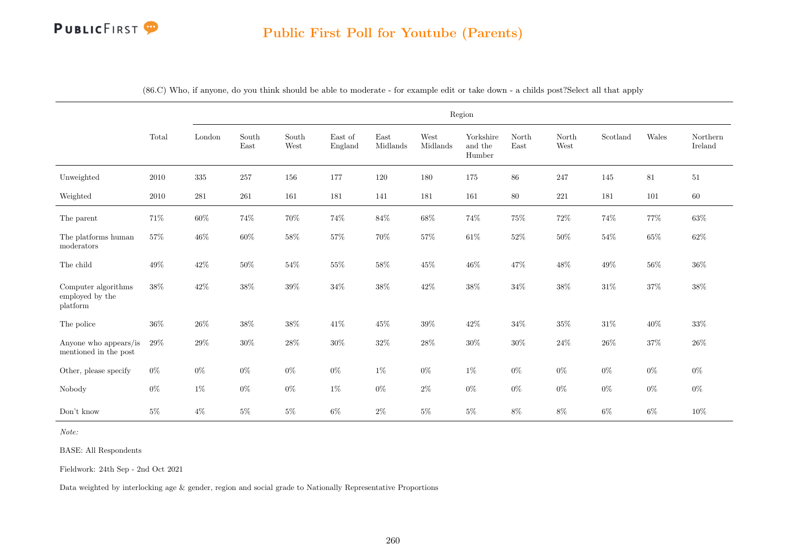### Public First Poll for Youtube (Parents)

|                                                    |          |           |                                |               |                    |                  |                  | Region                         |               |               |          |        |                     |
|----------------------------------------------------|----------|-----------|--------------------------------|---------------|--------------------|------------------|------------------|--------------------------------|---------------|---------------|----------|--------|---------------------|
|                                                    | Total    | London    | South<br>$\operatorname{East}$ | South<br>West | East of<br>England | East<br>Midlands | West<br>Midlands | Yorkshire<br>and the<br>Humber | North<br>East | North<br>West | Scotland | Wales  | Northern<br>Ireland |
| Unweighted                                         | $2010\,$ | $335\,$   | $257\,$                        | 156           | 177                | 120              | 180              | 175                            | $86\,$        | 247           | 145      | $81\,$ | 51                  |
| Weighted                                           | $2010\,$ | $\bf 281$ | 261                            | 161           | 181                | 141              | 181              | 161                            | $80\,$        | 221           | 181      | 101    | 60                  |
| The parent                                         | 71%      | $60\%$    | 74%                            | $70\%$        | 74%                | $84\%$           | 68%              | $74\%$                         | $75\%$        | $72\%$        | 74%      | 77%    | 63%                 |
| The platforms human<br>moderators                  | $57\%$   | $46\%$    | $60\%$                         | $58\%$        | 57%                | 70%              | $57\%$           | $61\%$                         | $52\%$        | $50\%$        | $54\%$   | $65\%$ | $62\%$              |
| The child                                          | 49%      | 42%       | $50\%$                         | $54\%$        | 55%                | $58\%$           | 45%              | $46\%$                         | 47%           | $48\%$        | 49%      | $56\%$ | $36\%$              |
| Computer algorithms<br>employed by the<br>platform | $38\%$   | $42\%$    | $38\%$                         | $39\%$        | $34\%$             | $38\%$           | $42\%$           | $38\%$                         | $34\%$        | $38\%$        | $31\%$   | $37\%$ | $38\%$              |
| The police                                         | $36\%$   | $26\%$    | 38%                            | $38\%$        | 41%                | 45%              | 39%              | $42\%$                         | 34%           | $35\%$        | $31\%$   | $40\%$ | 33%                 |
| Anyone who appears/is<br>mentioned in the post     | 29%      | 29%       | $30\%$                         | $28\%$        | $30\%$             | $32\%$           | $28\%$           | $30\%$                         | $30\%$        | $24\%$        | $26\%$   | $37\%$ | $26\%$              |
| Other, please specify                              | $0\%$    | $0\%$     | $0\%$                          | $0\%$         | $0\%$              | $1\%$            | $0\%$            | $1\%$                          | $0\%$         | $0\%$         | $0\%$    | $0\%$  | $0\%$               |
| Nobody                                             | $0\%$    | $1\%$     | $0\%$                          | $0\%$         | $1\%$              | $0\%$            | $2\%$            | $0\%$                          | $0\%$         | $0\%$         | $0\%$    | $0\%$  | $0\%$               |
| Don't know                                         | $5\%$    | $4\%$     | $5\%$                          | $5\%$         | $6\%$              | $2\%$            | $5\%$            | $5\%$                          | 8%            | $8\%$         | $6\%$    | $6\%$  | 10%                 |

(86.C) Who, if anyone, do you think should be able to moderate - for example edit or take down - a childs post?Select all that apply

Note:

BASE: All Respondents

Fieldwork: 24th Sep - 2nd Oct 2021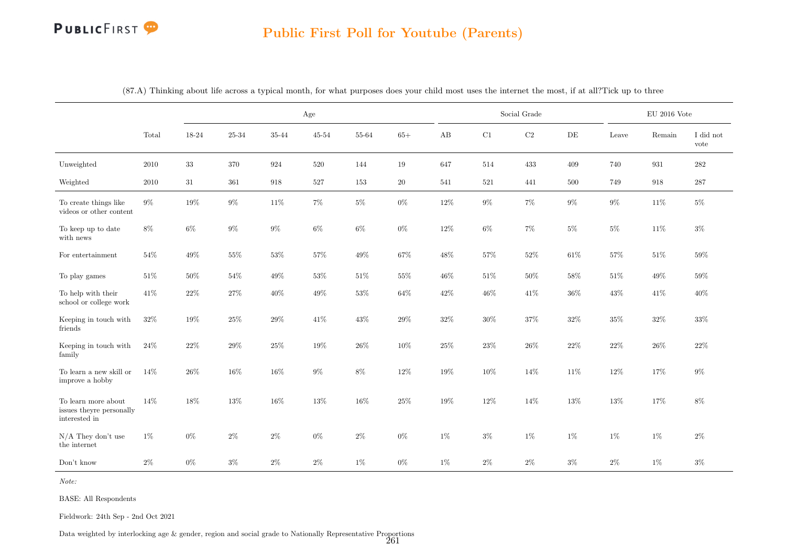# PUBLICFIRST<sup>9</sup>

### Public First Poll for Youtube (Parents)

|                                                                  |        |        |        | Age    |           |        |        |        |        | Social Grade |           |        | $\rm EU$ 2016 Vote |                   |
|------------------------------------------------------------------|--------|--------|--------|--------|-----------|--------|--------|--------|--------|--------------|-----------|--------|--------------------|-------------------|
|                                                                  | Total  | 18-24  | 25-34  | 35-44  | $45 - 54$ | 55-64  | $65+$  | AB     | C1     | $\rm C2$     | $\rm{DE}$ | Leave  | Remain             | I did not<br>vote |
| Unweighted                                                       | 2010   | $33\,$ | 370    | 924    | 520       | 144    | 19     | 647    | 514    | 433          | 409       | 740    | 931                | 282               |
| Weighted                                                         | 2010   | 31     | 361    | 918    | 527       | 153    | 20     | 541    | 521    | 441          | 500       | 749    | 918                | 287               |
| To create things like<br>videos or other content                 | $9\%$  | $19\%$ | $9\%$  | 11%    | $7\%$     | $5\%$  | $0\%$  | $12\%$ | $9\%$  | $7\%$        | $9\%$     | $9\%$  | $11\%$             | $5\%$             |
| To keep up to date<br>with news                                  | $8\%$  | $6\%$  | $9\%$  | $9\%$  | $6\%$     | $6\%$  | $0\%$  | $12\%$ | $6\%$  | $7\%$        | $5\%$     | $5\%$  | $11\%$             | $3\%$             |
| For entertainment                                                | $54\%$ | $49\%$ | $55\%$ | $53\%$ | $57\%$    | 49%    | $67\%$ | $48\%$ | $57\%$ | $52\%$       | $61\%$    | $57\%$ | $51\%$             | $59\%$            |
| To play games                                                    | 51\%   | 50%    | $54\%$ | 49%    | 53%       | 51%    | 55%    | 46%    | $51\%$ | 50%          | 58%       | $51\%$ | 49%                | 59%               |
| To help with their<br>school or college work                     | 41\%   | $22\%$ | $27\%$ | 40%    | 49%       | $53\%$ | $64\%$ | 42\%   | $46\%$ | 41\%         | $36\%$    | $43\%$ | $41\%$             | $40\%$            |
| Keeping in touch with<br>friends                                 | $32\%$ | $19\%$ | $25\%$ | $29\%$ | $41\%$    | $43\%$ | $29\%$ | $32\%$ | $30\%$ | $37\%$       | $32\%$    | $35\%$ | $32\%$             | $33\%$            |
| Keeping in touch with<br>family                                  | $24\%$ | $22\%$ | $29\%$ | $25\%$ | $19\%$    | $26\%$ | $10\%$ | $25\%$ | $23\%$ | $26\%$       | $22\%$    | $22\%$ | $26\%$             | $22\%$            |
| To learn a new skill or<br>improve a hobby                       | 14%    | $26\%$ | $16\%$ | $16\%$ | $9\%$     | $8\%$  | $12\%$ | $19\%$ | $10\%$ | $14\%$       | 11%       | $12\%$ | $17\%$             | $9\%$             |
| To learn more about<br>issues theyre personally<br>interested in | 14%    | 18%    | $13\%$ | $16\%$ | 13%       | $16\%$ | $25\%$ | $19\%$ | $12\%$ | $14\%$       | 13%       | $13\%$ | $17\%$             | $8\%$             |
| $N/A$ They don't use<br>the internet                             | $1\%$  | $0\%$  | $2\%$  | $2\%$  | $0\%$     | $2\%$  | $0\%$  | $1\%$  | $3\%$  | $1\%$        | $1\%$     | 1%     | $1\%$              | $2\%$             |
| Don't know                                                       | $2\%$  | $0\%$  | $3\%$  | $2\%$  | $2\%$     | $1\%$  | $0\%$  | $1\%$  | $2\%$  | $2\%$        | $3\%$     | $2\%$  | $1\%$              | $3\%$             |

(87.A) Thinking about life across a typical month, for what purposes does your child most uses the internet the most, if at all?Tick up to three

Note:

BASE: All Respondents

Fieldwork: 24th Sep - 2nd Oct 2021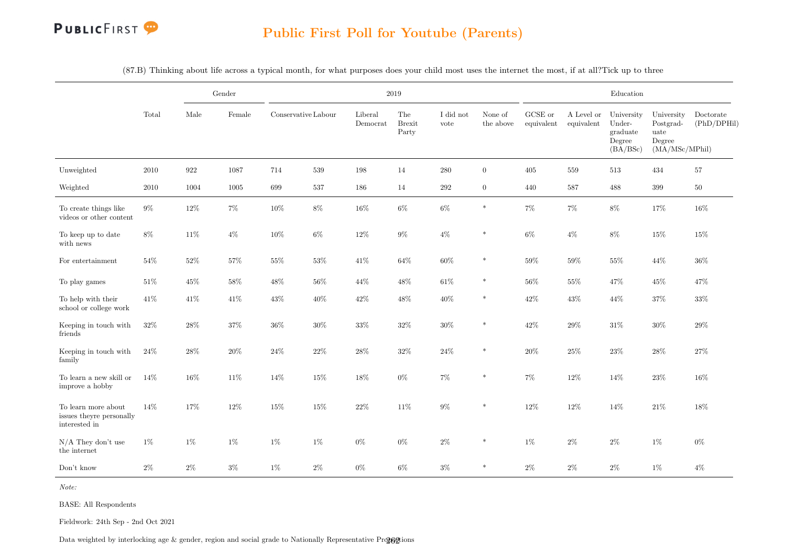

(87.B) Thinking about life across a typical month, for what purposes does your child most uses the internet the most, if at all?Tick up to three

|                                                                  |          |                    | Gender |                     |         |                                               | 2019                          |                   |                      |                       |                          | Education                                              |                                                             |                          |
|------------------------------------------------------------------|----------|--------------------|--------|---------------------|---------|-----------------------------------------------|-------------------------------|-------------------|----------------------|-----------------------|--------------------------|--------------------------------------------------------|-------------------------------------------------------------|--------------------------|
|                                                                  | Total    | Male               | Female | Conservative Labour |         | Liberal<br>$\label{eq:emocr} {\rm Demonorat}$ | The<br><b>Brexit</b><br>Party | I did not<br>vote | None of<br>the above | GCSE or<br>equivalent | A Level or<br>equivalent | University<br>Under-<br>graduate<br>Degree<br>(BA/BSc) | University<br>Postgrad-<br>uate<br>Degree<br>(MA/MSc/MPhil) | Doctorate<br>(PhD/DPHil) |
| Unweighted                                                       | $2010\,$ | $\boldsymbol{922}$ | 1087   | 714                 | $539\,$ | $198\,$                                       | 14                            | $280\,$           | $\overline{0}$       | 405                   | 559                      | 513                                                    | 434                                                         | $57\,$                   |
| Weighted                                                         | $2010\,$ | 1004               | 1005   | 699                 | 537     | 186                                           | 14                            | $\,292$           | $\overline{0}$       | 440                   | 587                      | 488                                                    | 399                                                         | $50\,$                   |
| To create things like<br>videos or other content                 | $9\%$    | $12\%$             | $7\%$  | $10\%$              | $8\%$   | $16\%$                                        | $6\%$                         | $6\%$             | $\ast$               | $7\%$                 | $7\%$                    | $8\%$                                                  | $17\%$                                                      | 16%                      |
| To keep up to date<br>with news                                  | $8\%$    | $11\%$             | $4\%$  | $10\%$              | $6\%$   | $12\%$                                        | $9\%$                         | $4\%$             | $\ast$               | $6\%$                 | $4\%$                    | $8\%$                                                  | $15\%$                                                      | 15%                      |
| For entertainment                                                | 54%      | $52\%$             | $57\%$ | $55\%$              | $53\%$  | $41\%$                                        | $64\%$                        | $60\%$            | $\ast$               | $59\%$                | $59\%$                   | $55\%$                                                 | 44\%                                                        | $36\%$                   |
| To play games                                                    | $51\%$   | $45\%$             | 58%    | $48\%$              | $56\%$  | 44\%                                          | 48%                           | $61\%$            | $\ast$               | $56\%$                | 55%                      | 47%                                                    | $45\%$                                                      | 47%                      |
| To help with their<br>school or college work                     | $41\%$   | 41\%               | 41\%   | $43\%$              | 40%     | $42\%$                                        | 48\%                          | 40%               | $\ast$               | $42\%$                | 43%                      | 44%                                                    | $37\%$                                                      | $33\%$                   |
| Keeping in touch with<br>friends                                 | $32\%$   | 28%                | $37\%$ | $36\%$              | $30\%$  | $33\%$                                        | $32\%$                        | $30\%$            | $\ast$               | $42\%$                | $29\%$                   | $31\%$                                                 | $30\%$                                                      | $29\%$                   |
| Keeping in touch with<br>family                                  | $24\%$   | $28\%$             | $20\%$ | $24\%$              | $22\%$  | $28\%$                                        | $32\%$                        | $24\%$            | $\ast$               | $20\%$                | $25\%$                   | $23\%$                                                 | $28\%$                                                      | $27\%$                   |
| To learn a new skill or<br>improve a hobby                       | 14%      | 16%                | $11\%$ | $14\%$              | $15\%$  | $18\%$                                        | $0\%$                         | $7\%$             | $\ast$               | $7\%$                 | 12%                      | $14\%$                                                 | $23\%$                                                      | 16%                      |
| To learn more about<br>issues theyre personally<br>interested in | 14%      | 17%                | $12\%$ | $15\%$              | $15\%$  | $22\%$                                        | $11\%$                        | $9\%$             | $\ast$               | 12%                   | $12\%$                   | 14%                                                    | $21\%$                                                      | $18\%$                   |
| $N/A$ They don't use<br>the internet                             | $1\%$    | $1\%$              | $1\%$  | $1\%$               | $1\%$   | $0\%$                                         | $0\%$                         | $2\%$             | $\ast$               | $1\%$                 | $2\%$                    | $2\%$                                                  | $1\%$                                                       | $0\%$                    |
| Don't know                                                       | $2\%$    | $2\%$              | $3\%$  | 1%                  | $2\%$   | $0\%$                                         | $6\%$                         | $3\%$             | $\ast$               | $2\%$                 | $2\%$                    | $2\%$                                                  | $1\%$                                                       | $4\%$                    |

Note:

BASE: All Respondents

Fieldwork: 24th Sep - 2nd Oct 2021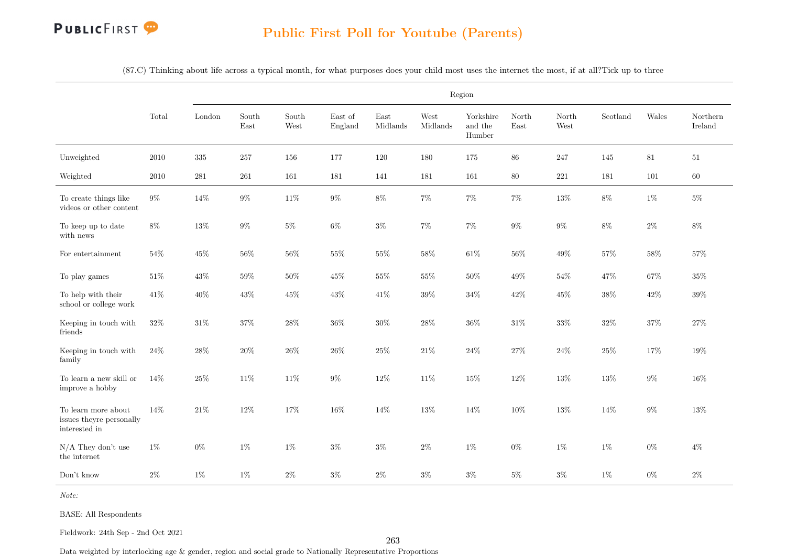

(87.C) Thinking about life across a typical month, for what purposes does your child most uses the internet the most, if at all?Tick up to three

|                                                                  |          |           |               |               |                    |                  |                  | Region                         |               |               |                           |         |                     |
|------------------------------------------------------------------|----------|-----------|---------------|---------------|--------------------|------------------|------------------|--------------------------------|---------------|---------------|---------------------------|---------|---------------------|
|                                                                  | Total    | London    | South<br>East | South<br>West | East of<br>England | East<br>Midlands | West<br>Midlands | Yorkshire<br>and the<br>Humber | North<br>East | North<br>West | $\operatorname{Scotland}$ | Wales   | Northern<br>Ireland |
| Unweighted                                                       | $2010\,$ | 335       | 257           | $156\,$       | 177                | 120              | 180              | 175                            | $86\,$        | 247           | 145                       | $81\,$  | $51\,$              |
| Weighted                                                         | $2010\,$ | $\bf 281$ | $261\,$       | 161           | 181                | 141              | 181              | 161                            | $80\,$        | $221\,$       | 181                       | $101\,$ | 60                  |
| To create things like<br>videos or other content                 | $9\%$    | $14\%$    | $9\%$         | $11\%$        | $9\%$              | $8\%$            | $7\%$            | $7\%$                          | $7\%$         | $13\%$        | $8\%$                     | $1\%$   | $5\%$               |
| To keep up to date<br>with news                                  | $8\%$    | $13\%$    | $9\%$         | $5\%$         | $6\%$              | $3\%$            | $7\%$            | $7\%$                          | $9\%$         | $9\%$         | $8\%$                     | $2\%$   | $8\%$               |
| For entertainment                                                | 54%      | $45\%$    | $56\%$        | $56\%$        | $55\%$             | $55\%$           | $58\%$           | $61\%$                         | 56%           | 49%           | $57\%$                    | $58\%$  | $57\%$              |
| To play games                                                    | $51\%$   | $43\%$    | $59\%$        | $50\%$        | $45\%$             | $55\%$           | $55\%$           | $50\%$                         | 49%           | $54\%$        | 47%                       | 67%     | $35\%$              |
| To help with their<br>school or college work                     | $41\%$   | $40\%$    | $43\%$        | $45\%$        | $43\%$             | $41\%$           | $39\%$           | $34\%$                         | $42\%$        | $45\%$        | $38\%$                    | $42\%$  | $39\%$              |
| Keeping in touch with<br>friends                                 | $32\%$   | $31\%$    | $37\%$        | $28\%$        | $36\%$             | $30\%$           | $28\%$           | $36\%$                         | $31\%$        | $33\%$        | $32\%$                    | $37\%$  | $27\%$              |
| Keeping in touch with<br>family                                  | $24\%$   | $28\%$    | $20\%$        | $26\%$        | $26\%$             | $25\%$           | $21\%$           | $24\%$                         | $27\%$        | $24\%$        | $25\%$                    | 17%     | $19\%$              |
| To learn a new skill or<br>improve a hobby                       | 14%      | $25\%$    | $11\%$        | $11\%$        | $9\%$              | $12\%$           | 11%              | $15\%$                         | $12\%$        | $13\%$        | $13\%$                    | $9\%$   | $16\%$              |
| To learn more about<br>issues theyre personally<br>interested in | 14%      | $21\%$    | 12%           | $17\%$        | $16\%$             | 14%              | $13\%$           | 14%                            | $10\%$        | $13\%$        | 14%                       | $9\%$   | 13%                 |
| $N/A$ They don't use<br>the internet                             | $1\%$    | $0\%$     | $1\%$         | $1\%$         | $3\%$              | $3\%$            | $2\%$            | $1\%$                          | $0\%$         | $1\%$         | $1\%$                     | $0\%$   | $4\%$               |
| Don't know                                                       | $2\%$    | $1\%$     | $1\%$         | $2\%$         | $3\%$              | $2\%$            | $3\%$            | $3\%$                          | $5\%$         | $3\%$         | $1\%$                     | $0\%$   | $2\%$               |

Note:

BASE: All Respondents

Fieldwork: 24th Sep - 2nd Oct 2021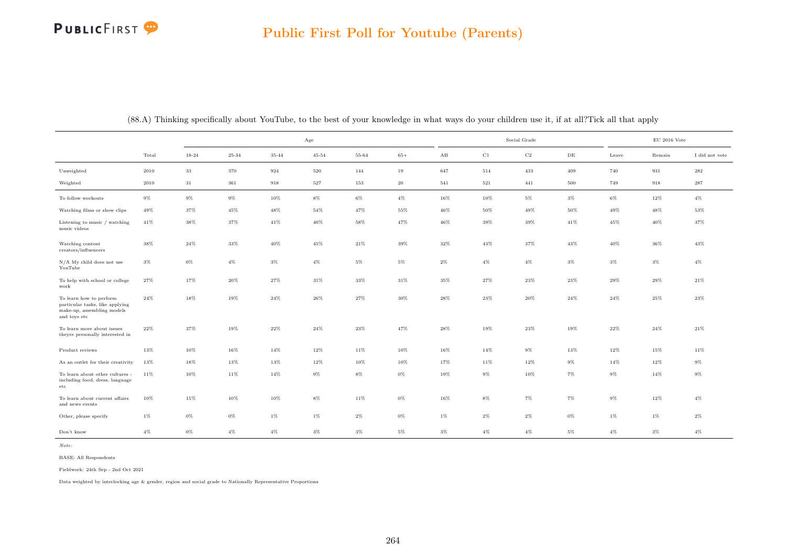|                                                                                                          |        |        |        |        | Age       |        |        |                        |        | Social Grade |       |        | $\rm EU$ 2016 Vote |                |
|----------------------------------------------------------------------------------------------------------|--------|--------|--------|--------|-----------|--------|--------|------------------------|--------|--------------|-------|--------|--------------------|----------------|
|                                                                                                          | Total  | 18-24  | 25-34  | 35-44  | $45 - 54$ | 55-64  | $65+$  | $\mathbf{A}\mathbf{B}$ | C1     | $_{\rm C2}$  | DE    | Leave  | Remain             | I did not vote |
| Unweighted                                                                                               | 2010   | $33\,$ | 370    | 924    | 520       | 144    | 19     | 647                    | 514    | 433          | 409   | 740    | 931                | 282            |
| Weighted                                                                                                 | 2010   | 31     | 361    | 918    | 527       | 153    | 20     | 541                    | 521    | 441          | 500   | 749    | 918                | 287            |
| To follow workouts                                                                                       | $9\%$  | $9\%$  | $9\%$  | 10%    | $8\%$     | 6%     | $4\%$  | 16%                    | 10%    | $5\%$        | $3\%$ | $6\%$  | $12\%$             | $4\%$          |
| Watching films or show clips                                                                             | 49%    | 37%    | $45\%$ | 48%    | 54%       | 47%    | $55\%$ | 46%                    | 50%    | 49%          | 50%   | 49%    | 48%                | 53%            |
| Listening to music / watching<br>music videos                                                            | 41%    | 38%    | 37%    | 41%    | 40%       | 58%    | 47%    | 46%                    | 39%    | 39%          | 41%   | 45%    | 40%                | 37%            |
| Watching content<br>creators/influencers                                                                 | 38%    | $24\%$ | $33\%$ | 40%    | 45%       | $21\%$ | $39\%$ | $32\%$                 | $43\%$ | 37%          | 43%   | $40\%$ | 36%                | 43%            |
| $N/A$ My child does not use<br>YouTube                                                                   | $3\%$  | $0\%$  | $4\%$  | $3\%$  | $4\%$     | $5\%$  | $5\%$  | $2\%$                  | $4\%$  | $4\%$        | $3\%$ | $3\%$  | $3\%$              | $4\%$          |
| To help with school or college<br>work                                                                   | 27%    | 17%    | 20%    | 27%    | 31%       | 33%    | $31\%$ | 35%                    | 27%    | $23\%$       | 23%   | 29%    | 29%                | 21%            |
| To learn how to perform<br>particular tasks, like applying<br>make-up, assembling models<br>and toys etc | $24\%$ | 18%    | 19%    | 24%    | 26%       | 27%    | 30%    | $28\%$                 | 23%    | 20%          | 24%   | 24%    | 25%                | 23%            |
| To learn more about issues<br>theyre personally interested in                                            | $22\%$ | 37%    | 19%    | $22\%$ | 24%       | 23%    | 47%    | $28\%$                 | 19%    | 23%          | 19%   | $22\%$ | 24%                | $21\%$         |
| Product reviews                                                                                          | 13%    | 10%    | 16%    | 14%    | 12%       | 11%    | 10%    | 16%                    | 14%    | $9\%$        | 13%   | 12%    | 15%                | 11%            |
| As an outlet for their creativity                                                                        | 13%    | 18%    | 13%    | 13%    | 12%       | 10%    | 10%    | 17%                    | 11%    | 12%          | $9\%$ | 14%    | 12%                | 9%             |
| To learn about other cultures -<br>including food, dress, language<br>etc.                               | 11%    | 10%    | 11%    | 14%    | $9\%$     | $8\%$  | $0\%$  | 19%                    | $9\%$  | 10%          | $7\%$ | $9\%$  | $14\%$             | $9\%$          |
| To learn about current affairs<br>and news events                                                        | 10%    | 15%    | 10%    | $10\%$ | $8\%$     | 11%    | $0\%$  | 16%                    | $8\%$  | $7\%$        | $7\%$ | $9\%$  | $12\%$             | $4\%$          |
| Other, please specify                                                                                    | $1\%$  | $0\%$  | $0\%$  | $1\%$  | $1\%$     | $2\%$  | $0\%$  | $1\%$                  | $2\%$  | $2\%$        | $0\%$ | $1\%$  | $1\%$              | $2\%$          |
| Don't know                                                                                               | $4\%$  | $0\%$  | $4\%$  | $4\%$  | $3\%$     | $3\%$  | $5\%$  | $3\%$                  | $4\%$  | $4\%$        | $5\%$ | $4\%$  | $3\%$              | $4\%$          |

(88.A) Thinking specifically about YouTube, to the best of your knowledge in what ways do your children use it, if at all?Tick all that apply

Note:

BASE: All Respondents

Fieldwork: 24th Sep - 2nd Oct 2021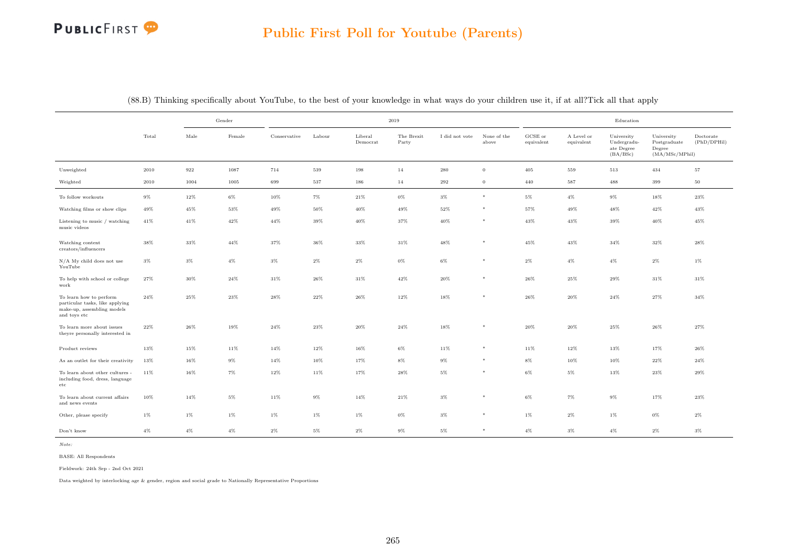

|                                                                                                          |        |        | Gender |              |        |                     | $2019\,$            |                |                      |                                |                          | $\operatorname{Education}$                          |                                                        |                          |
|----------------------------------------------------------------------------------------------------------|--------|--------|--------|--------------|--------|---------------------|---------------------|----------------|----------------------|--------------------------------|--------------------------|-----------------------------------------------------|--------------------------------------------------------|--------------------------|
|                                                                                                          | Total  | Male   | Female | Conservative | Labour | Liberal<br>Democrat | The Brexit<br>Party | I did not vote | None of the<br>above | $_{\rm GCSE~or}$<br>equivalent | A Level or<br>equivalent | University<br>Undergradu-<br>ate Degree<br>(BA/BSc) | University<br>Postgraduate<br>Degree<br>(MA/MSc/MPhil) | Doctorate<br>(PhD/DPHil) |
| Unweighted                                                                                               | 2010   | 922    | 1087   | 714          | 539    | 198                 | 14                  | 280            | $\mathbf{0}$         | 405                            | 559                      | 513                                                 | 434                                                    | $57\,$                   |
| Weighted                                                                                                 | 2010   | 1004   | 1005   | 699          | 537    | 186                 | 14                  | 292            | $\mathbf{0}$         | 440                            | 587                      | 488                                                 | 399                                                    | $50\,$                   |
| To follow workouts                                                                                       | $9\%$  | 12%    | $6\%$  | 10%          | $7\%$  | 21%                 | $0\%$               | $3\%$          | $\ast$               | $5\%$                          | $4\%$                    | $9\%$                                               | 18%                                                    | 23%                      |
| Watching films or show clips                                                                             | 49%    | 45%    | 53%    | 49%          | 50%    | 40%                 | 49%                 | 52%            | *                    | 57%                            | 49%                      | 48%                                                 | 42%                                                    | 43%                      |
| Listening to music / watching<br>music videos                                                            | 41%    | 41%    | 42%    | 44%          | 39%    | 40%                 | 37%                 | 40%            | $*$                  | 43%                            | 43%                      | 39%                                                 | 40%                                                    | 45%                      |
| Watching content<br>creators/influencers                                                                 | 38%    | 33%    | 44%    | $37\%$       | 36%    | 33%                 | $31\%$              | 48%            | $*$                  | 45%                            | 43%                      | 34%                                                 | 32%                                                    | 28%                      |
| N/A My child does not use<br>YouTube                                                                     | $3\%$  | $3\%$  | $4\%$  | $3\%$        | $2\%$  | $2\%$               | $0\%$               | 6%             | $*$                  | $2\%$                          | $4\%$                    | $4\%$                                               | $2\%$                                                  | $1\%$                    |
| To help with school or college<br>work                                                                   | $27\%$ | 30%    | $24\%$ | $31\%$       | $26\%$ | $31\%$              | $42\%$              | 20%            | $*$                  | $26\%$                         | $25\%$                   | 29%                                                 | $31\%$                                                 | $31\%$                   |
| To learn how to perform<br>particular tasks, like applying<br>make-up, assembling models<br>and toys etc | $24\%$ | 25%    | 23%    | $28\%$       | 22%    | 26%                 | $12\%$              | 18%            | $*$                  | 26%                            | 20%                      | 24%                                                 | 27%                                                    | 34%                      |
| To learn more about issues<br>theyre personally interested in                                            | 22%    | 26%    | 19%    | $24\%$       | 23%    | 20%                 | 24%                 | 18%            |                      | $20\%$                         | 20%                      | 25%                                                 | 26%                                                    | 27%                      |
| Product reviews                                                                                          | 13%    | 15%    | 11%    | $14\%$       | 12%    | 16%                 | $6\%$               | 11%            | $*$                  | 11%                            | 12%                      | 13%                                                 | 17%                                                    | 26%                      |
| As an outlet for their creativity                                                                        | 13%    | $16\%$ | $9\%$  | 14%          | 10%    | 17%                 | $8\%$               | $9\%$          | $*$                  | $8\%$                          | 10%                      | $10\%$                                              | $22\%$                                                 | $24\%$                   |
| To learn about other cultures -<br>including food, dress, language<br>$_{\rm etc}$                       | 11%    | $16\%$ | $7\%$  | 12%          | 11%    | 17%                 | 28%                 | $5\%$          |                      | $6\%$                          | $5\%$                    | 13%                                                 | $23\%$                                                 | 29%                      |
| To learn about current affairs<br>and news events                                                        | 10%    | 14%    | $5\%$  | 11%          | 9%     | 14%                 | $21\%$              | $3\%$          | $*$                  | $6\%$                          | $7\%$                    | $9\%$                                               | 17%                                                    | 23%                      |
| Other, please specify                                                                                    | $1\%$  | $1\%$  | $1\%$  | $1\%$        | $1\%$  | $1\%$               | $0\%$               | $3\%$          | $*$                  | $1\%$                          | $2\%$                    | $1\%$                                               | $0\%$                                                  | $2\%$                    |
| Don't know                                                                                               | $4\%$  | $4\%$  | $4\%$  | $2\%$        | $5\%$  | $2\%$               | $9\%$               | $5\%$          | $*$                  | $4\%$                          | $3\%$                    | $4\%$                                               | $2\%$                                                  | $3\%$                    |

(88.B) Thinking specifically about YouTube, to the best of your knowledge in what ways do your children use it, if at all?Tick all that apply

Note:

BASE: All Respondents

Fieldwork: 24th Sep - 2nd Oct 2021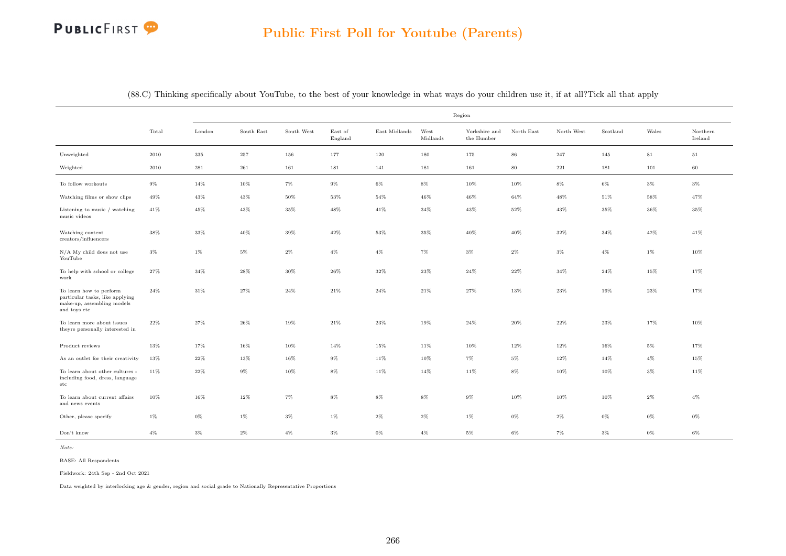|                                                                                                          |        |           |            |            |                    |               |                  | Region                      |            |              |          |             |                     |
|----------------------------------------------------------------------------------------------------------|--------|-----------|------------|------------|--------------------|---------------|------------------|-----------------------------|------------|--------------|----------|-------------|---------------------|
|                                                                                                          | Total  | London    | South East | South West | East of<br>England | East Midlands | West<br>Midlands | Yorkshire and<br>the Humber | North East | North West   | Scotland | Wales       | Northern<br>Ireland |
| Unweighted                                                                                               | 2010   | $335\,$   | 257        | 156        | 177                | 120           | 180              | 175                         | $86\,$     | 247          | 145      | $8\sqrt{1}$ | $51\,$              |
| Weighted                                                                                                 | 2010   | $\bf 281$ | $261\,$    | 161        | 181                | 141           | 181              | 161                         | $80\,$     | $2\sqrt{21}$ | 181      | 101         | 60                  |
| To follow workouts                                                                                       | $9\%$  | 14%       | 10%        | $7\%$      | $9\%$              | $6\%$         | $8\%$            | 10%                         | 10%        | $8\%$        | 6%       | $3\%$       | $3\%$               |
| Watching films or show clips                                                                             | 49%    | 43%       | 43%        | $50\%$     | $53\%$             | $54\%$        | $46\%$           | $46\%$                      | $64\%$     | 48%          | $51\%$   | 58%         | 47%                 |
| Listening to music / watching<br>music videos                                                            | $41\%$ | 45%       | 43%        | $35\%$     | 48%                | 41%           | $34\%$           | $43\%$                      | $52\%$     | $43\%$       | $35\%$   | $36\%$      | 35%                 |
| Watching content<br>creators/influencers                                                                 | 38%    | 33%       | 40%        | 39%        | 42%                | 53%           | 35%              | $40\%$                      | 40%        | 32%          | 34%      | $42\%$      | 41%                 |
| N/A My child does not use<br>YouTube                                                                     | $3\%$  | $1\%$     | $5\%$      | $2\%$      | $4\%$              | $4\%$         | $7\%$            | $3\%$                       | $2\%$      | $3\%$        | $4\%$    | $1\%$       | 10%                 |
| To help with school or college<br>work                                                                   | 27%    | 34%       | 28%        | 30%        | 26%                | 32%           | 23%              | 24%                         | 22%        | 34%          | 24%      | 15%         | 17%                 |
| To learn how to perform<br>particular tasks, like applying<br>make-up, assembling models<br>and toys etc | 24%    | $31\%$    | 27%        | $24\%$     | 21%                | 24%           | 21%              | $27\%$                      | 13%        | $23\%$       | 19%      | $23\%$      | 17%                 |
| To learn more about issues<br>theyre personally interested in                                            | $22\%$ | 27%       | 26%        | 19%        | $21\%$             | $23\%$        | 19%              | $24\%$                      | $20\%$     | $22\%$       | 23%      | 17%         | 10%                 |
| Product reviews                                                                                          | 13%    | 17%       | 16%        | 10%        | 14%                | 15%           | 11%              | 10%                         | 12%        | 12%          | $16\%$   | $5\%$       | 17%                 |
| As an outlet for their creativity                                                                        | 13%    | $22\%$    | 13%        | 16%        | $9\%$              | 11%           | 10%              | $7\%$                       | $5\%$      | 12%          | 14%      | $4\%$       | 15%                 |
| To learn about other cultures -<br>including food, dress, language<br>etc                                | $11\%$ | 22%       | $9\%$      | 10%        | $8\%$              | 11%           | 14%              | 11%                         | 8%         | 10%          | 10%      | $3\%$       | 11%                 |
| To learn about current affairs<br>and news events                                                        | 10%    | 16%       | 12%        | $7\%$      | $8\%$              | $8\%$         | $8\%$            | $9\%$                       | 10%        | 10%          | 10%      | $2\%$       | $4\%$               |
| Other, please specify                                                                                    | $1\%$  | $0\%$     | $1\%$      | $3\%$      | 1%                 | $2\%$         | $2\%$            | $1\%$                       | 0%         | $2\%$        | $0\%$    | $0\%$       | $0\%$               |
| Don't know                                                                                               | $4\%$  | $3\%$     | $2\%$      | $4\%$      | $3\%$              | $0\%$         | $4\%$            | $5\%$                       | $6\%$      | 7%           | 3%       | 0%          | 6%                  |

(88.C) Thinking specifically about YouTube, to the best of your knowledge in what ways do your children use it, if at all?Tick all that apply

Note:

BASE: All Respondents

Fieldwork: 24th Sep - 2nd Oct 2021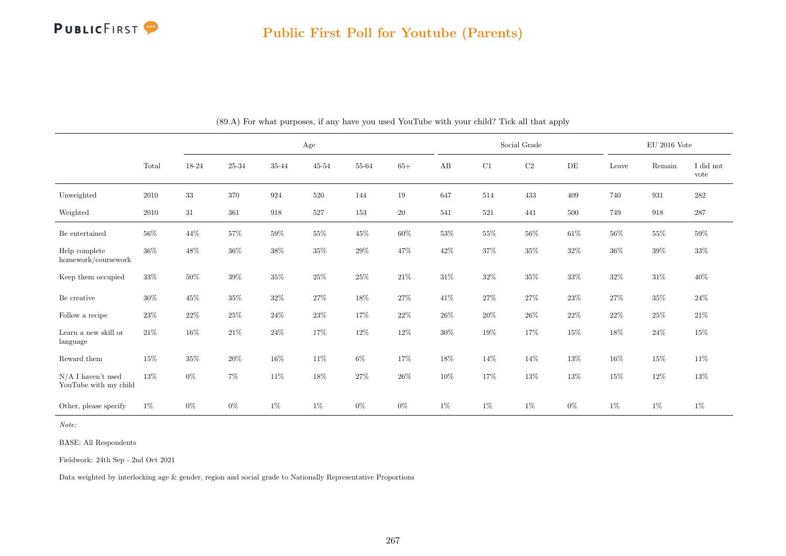

|                                               |        |        |        |        | Age       |        |        |        |         | Social Grade |        |        | $\rm EU$ 2016 Vote |                   |
|-----------------------------------------------|--------|--------|--------|--------|-----------|--------|--------|--------|---------|--------------|--------|--------|--------------------|-------------------|
|                                               | Total  | 18-24  | 25-34  | 35-44  | $45 - 54$ | 55-64  | $65+$  | AB     | C1      | $\rm C2$     | DE     | Leave  | Remain             | I did not<br>vote |
| Unweighted                                    | 2010   | $33\,$ | 370    | 924    | 520       | 144    | $19\,$ | 647    | $514\,$ | 433          | 409    | 740    | 931                | $\bf 282$         |
| Weighted                                      | 2010   | 31     | 361    | 918    | 527       | 153    | $20\,$ | 541    | 521     | 441          | 500    | 749    | 918                | $287\,$           |
| Be entertained                                | $56\%$ | $44\%$ | $57\%$ | $59\%$ | $55\%$    | $45\%$ | $60\%$ | $53\%$ | $55\%$  | $56\%$       | $61\%$ | $56\%$ | $55\%$             | $59\%$            |
| Help complete<br>homework/coursework          | $36\%$ | $48\%$ | $36\%$ | $38\%$ | $35\%$    | $29\%$ | $47\%$ | $42\%$ | $37\%$  | $35\%$       | $32\%$ | $36\%$ | $39\%$             | $33\%$            |
| Keep them occupied                            | $33\%$ | $50\%$ | $39\%$ | $35\%$ | $25\%$    | $25\%$ | $21\%$ | $31\%$ | $32\%$  | $35\%$       | $33\%$ | $32\%$ | $31\%$             | $40\%$            |
| Be creative                                   | $30\%$ | $45\%$ | $35\%$ | $32\%$ | 27%       | 18%    | $27\%$ | 41\%   | $27\%$  | $27\%$       | $23\%$ | $27\%$ | $35\%$             | $24\%$            |
| Follow a recipe                               | 23\%   | $22\%$ | $25\%$ | $24\%$ | 23\%      | 17%    | $22\%$ | 26\%   | $20\%$  | $26\%$       | 22%    | $22\%$ | 25%                | $21\%$            |
| Learn a new skill or<br>language              | $21\%$ | $16\%$ | $21\%$ | $24\%$ | 17%       | $12\%$ | $12\%$ | $30\%$ | 19%     | 17%          | 15%    | $18\%$ | $24\%$             | 15%               |
| Reward them                                   | $15\%$ | $35\%$ | $20\%$ | $16\%$ | $11\%$    | $6\%$  | 17%    | $18\%$ | $14\%$  | 14%          | $13\%$ | $16\%$ | $15\%$             | 11\%              |
| $N/A$ I haven't used<br>YouTube with my child | 13%    | $0\%$  | $7\%$  | $11\%$ | $18\%$    | $27\%$ | $26\%$ | 10%    | $17\%$  | $13\%$       | 13%    | $15\%$ | 12\%               | 13%               |
| Other, please specify                         | $1\%$  | $0\%$  | $0\%$  | $1\%$  | $1\%$     | $0\%$  | $0\%$  | $1\%$  | $1\%$   | $1\%$        | $0\%$  | $1\%$  | $1\%$              | $1\%$             |

(89.A) For what purposes, if any have you used YouTube with your child? Tick all that apply

Note:

BASE: All Respondents

Fieldwork: 24th Sep - 2nd Oct 2021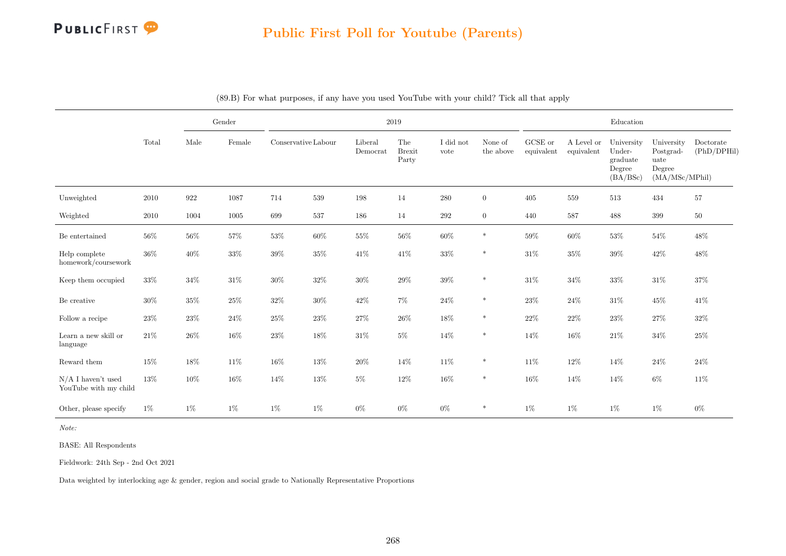

|                                               |        | Gender |        |                     |        | 2019                |                               |                   |                      |                       |                          | Education                                              |                                                             |                          |
|-----------------------------------------------|--------|--------|--------|---------------------|--------|---------------------|-------------------------------|-------------------|----------------------|-----------------------|--------------------------|--------------------------------------------------------|-------------------------------------------------------------|--------------------------|
|                                               | Total  | Male   | Female | Conservative Labour |        | Liberal<br>Democrat | The<br><b>Brexit</b><br>Party | I did not<br>vote | None of<br>the above | GCSE or<br>equivalent | A Level or<br>equivalent | University<br>Under-<br>graduate<br>Degree<br>(BA/BSc) | University<br>Postgrad-<br>uate<br>Degree<br>(MA/MSc/MPhil) | Doctorate<br>(PhD/DPHil) |
| Unweighted                                    | 2010   | 922    | 1087   | 714                 | 539    | 198                 | 14                            | $280\,$           | $\overline{0}$       | 405                   | 559                      | 513                                                    | 434                                                         | 57                       |
| Weighted                                      | 2010   | 1004   | 1005   | 699                 | 537    | 186                 | 14                            | 292               | $\overline{0}$       | 440                   | 587                      | 488                                                    | $399\,$                                                     | $50\,$                   |
| Be entertained                                | $56\%$ | 56%    | 57%    | 53%                 | 60%    | 55%                 | $56\%$                        | 60%               | $\ast$               | $59\%$                | 60%                      | 53%                                                    | $54\%$                                                      | 48%                      |
| Help complete<br>homework/coursework          | $36\%$ | 40%    | $33\%$ | 39%                 | $35\%$ | $41\%$              | 41\%                          | $33\%$            | $\ast$               | $31\%$                | $35\%$                   | $39\%$                                                 | $42\%$                                                      | 48%                      |
| Keep them occupied                            | 33%    | $34\%$ | $31\%$ | $30\%$              | $32\%$ | $30\%$              | $29\%$                        | $39\%$            | $\ast$               | $31\%$                | $34\%$                   | $33\%$                                                 | $31\%$                                                      | $37\%$                   |
| Be creative                                   | 30%    | $35\%$ | 25%    | 32%                 | $30\%$ | $42\%$              | $7\%$                         | 24\%              | $\ast$               | 23%                   | 24\%                     | 31\%                                                   | $45\%$                                                      | 41%                      |
| Follow a recipe                               | 23\%   | 23%    | $24\%$ | 25%                 | 23%    | $27\%$              | $26\%$                        | $18\%$            | $\ast$               | $22\%$                | 22%                      | 23%                                                    | $27\%$                                                      | 32%                      |
| Learn a new skill or<br>language              | $21\%$ | $26\%$ | $16\%$ | 23%                 | 18%    | $31\%$              | $5\%$                         | $14\%$            | $\ast$               | 14%                   | 16%                      | $21\%$                                                 | $34\%$                                                      | $25\%$                   |
| Reward them                                   | $15\%$ | $18\%$ | 11\%   | 16%                 | $13\%$ | $20\%$              | 14%                           | 11\%              | $\ast$               | 11%                   | $12\%$                   | 14%                                                    | $24\%$                                                      | 24%                      |
| $N/A$ I haven't used<br>YouTube with my child | 13%    | 10%    | 16%    | 14%                 | 13%    | $5\%$               | 12%                           | $16\%$            | $\ast$               | 16%                   | 14%                      | 14%                                                    | $6\%$                                                       | 11%                      |
| Other, please specify                         | 1%     | $1\%$  | $1\%$  | $1\%$               | $1\%$  | $0\%$               | $0\%$                         | $0\%$             | $\ast$               | $1\%$                 | $1\%$                    | $1\%$                                                  | $1\%$                                                       | $0\%$                    |

(89.B) For what purposes, if any have you used YouTube with your child? Tick all that apply

Note:

BASE: All Respondents

Fieldwork: 24th Sep - 2nd Oct 2021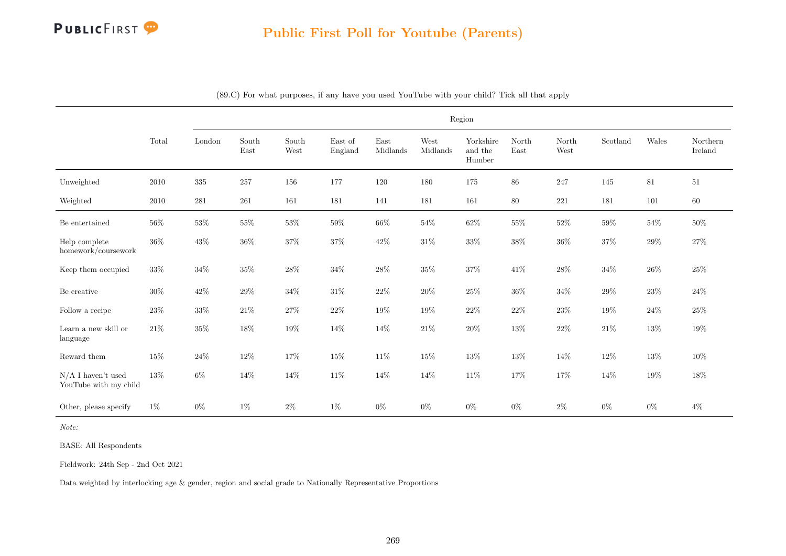

### Public First Poll for Youtube (Parents)

|                                               |        |        |               |               |                    |                  |                  | Region                         |               |               |          |        |                     |
|-----------------------------------------------|--------|--------|---------------|---------------|--------------------|------------------|------------------|--------------------------------|---------------|---------------|----------|--------|---------------------|
|                                               | Total  | London | South<br>East | South<br>West | East of<br>England | East<br>Midlands | West<br>Midlands | Yorkshire<br>and the<br>Humber | North<br>East | North<br>West | Scotland | Wales  | Northern<br>Ireland |
| Unweighted                                    | 2010   | 335    | 257           | 156           | 177                | 120              | 180              | 175                            | 86            | 247           | 145      | 81     | $51\,$              |
| Weighted                                      | 2010   | 281    | 261           | 161           | 181                | 141              | 181              | 161                            | 80            | 221           | 181      | 101    | 60                  |
| Be entertained                                | 56%    | $53\%$ | $55\%$        | $53\%$        | $59\%$             | $66\%$           | $54\%$           | $62\%$                         | $55\%$        | $52\%$        | $59\%$   | $54\%$ | $50\%$              |
| Help complete<br>homework/coursework          | 36%    | $43\%$ | $36\%$        | $37\%$        | $37\%$             | $42\%$           | $31\%$           | $33\%$                         | $38\%$        | $36\%$        | $37\%$   | $29\%$ | $27\%$              |
| Keep them occupied                            | 33%    | $34\%$ | 35%           | $28\%$        | $34\%$             | $28\%$           | $35\%$           | $37\%$                         | $41\%$        | $28\%$        | 34%      | $26\%$ | 25%                 |
| Be creative                                   | 30%    | $42\%$ | 29%           | $34\%$        | $31\%$             | $22\%$           | 20%              | $25\%$                         | 36%           | $34\%$        | 29%      | 23%    | $24\%$              |
| Follow a recipe                               | $23\%$ | $33\%$ | $21\%$        | $27\%$        | $22\%$             | $19\%$           | 19%              | $22\%$                         | $22\%$        | $23\%$        | 19%      | $24\%$ | $25\%$              |
| Learn a new skill or<br>language              | $21\%$ | $35\%$ | $18\%$        | $19\%$        | 14%                | 14%              | $21\%$           | $20\%$                         | $13\%$        | $22\%$        | $21\%$   | $13\%$ | $19\%$              |
| Reward them                                   | 15%    | $24\%$ | $12\%$        | 17%           | $15\%$             | $11\%$           | $15\%$           | $13\%$                         | 13%           | $14\%$        | 12%      | $13\%$ | 10%                 |
| $N/A$ I haven't used<br>YouTube with my child | $13\%$ | $6\%$  | $14\%$        | $14\%$        | $11\%$             | 14%              | $14\%$           | $11\%$                         | $17\%$        | $17\%$        | 14%      | $19\%$ | $18\%$              |
| Other, please specify                         | $1\%$  | $0\%$  | $1\%$         | $2\%$         | $1\%$              | $0\%$            | $0\%$            | $0\%$                          | $0\%$         | $2\%$         | $0\%$    | $0\%$  | $4\%$               |

(89.C) For what purposes, if any have you used YouTube with your child? Tick all that apply

Note:

BASE: All Respondents

Fieldwork: 24th Sep - 2nd Oct 2021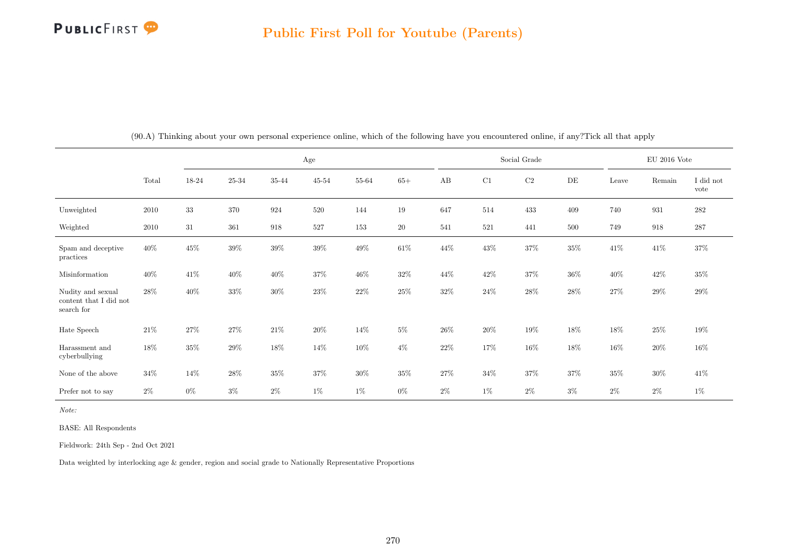

|                                                           |        |        |           |        | Age       |           |        |        |         | Social Grade |        |        | $\rm EU$ 2016 Vote |                   |
|-----------------------------------------------------------|--------|--------|-----------|--------|-----------|-----------|--------|--------|---------|--------------|--------|--------|--------------------|-------------------|
|                                                           | Total  | 18-24  | $25 - 34$ | 35-44  | $45 - 54$ | $55 - 64$ | $65+$  | AB     | C1      | $\rm{C2}$    | DE     | Leave  | Remain             | I did not<br>vote |
| Unweighted                                                | 2010   | $33\,$ | 370       | 924    | 520       | 144       | $19\,$ | 647    | 514     | 433          | 409    | 740    | 931                | $282\,$           |
| Weighted                                                  | 2010   | 31     | 361       | 918    | 527       | 153       | $20\,$ | 541    | $521\,$ | 441          | 500    | 749    | 918                | $287\,$           |
| Spam and deceptive<br>practices                           | $40\%$ | $45\%$ | $39\%$    | $39\%$ | $39\%$    | $49\%$    | $61\%$ | $44\%$ | $43\%$  | $37\%$       | $35\%$ | $41\%$ | 41\%               | 37%               |
| Misinformation                                            | 40\%   | 41\%   | $40\%$    | $40\%$ | $37\%$    | $46\%$    | $32\%$ | 44\%   | $42\%$  | $37\%$       | $36\%$ | $40\%$ | $42\%$             | $35\%$            |
| Nudity and sexual<br>content that I did not<br>search for | 28\%   | 40%    | 33%       | $30\%$ | 23%       | $22\%$    | $25\%$ | $32\%$ | $24\%$  | $28\%$       | $28\%$ | $27\%$ | $29\%$             | $29\%$            |
| Hate Speech                                               | $21\%$ | 27%    | $27\%$    | $21\%$ | 20%       | 14%       | $5\%$  | $26\%$ | $20\%$  | $19\%$       | $18\%$ | 18%    | $25\%$             | $19\%$            |
| Harassment and<br>cyberbullying                           | 18%    | 35%    | $29\%$    | 18%    | 14%       | 10%       | $4\%$  | $22\%$ | $17\%$  | 16%          | $18\%$ | $16\%$ | $20\%$             | $16\%$            |
| None of the above                                         | $34\%$ | 14\%   | $28\%$    | $35\%$ | $37\%$    | $30\%$    | $35\%$ | 27%    | $34\%$  | $37\%$       | 37%    | $35\%$ | $30\%$             | 41%               |
| Prefer not to say                                         | $2\%$  | $0\%$  | $3\%$     | $2\%$  | $1\%$     | $1\%$     | $0\%$  | $2\%$  | $1\%$   | $2\%$        | $3\%$  | $2\%$  | $2\%$              | $1\%$             |

(90.A) Thinking about your own personal experience online, which of the following have you encountered online, if any?Tick all that apply

Note:

BASE: All Respondents

Fieldwork: 24th Sep - 2nd Oct 2021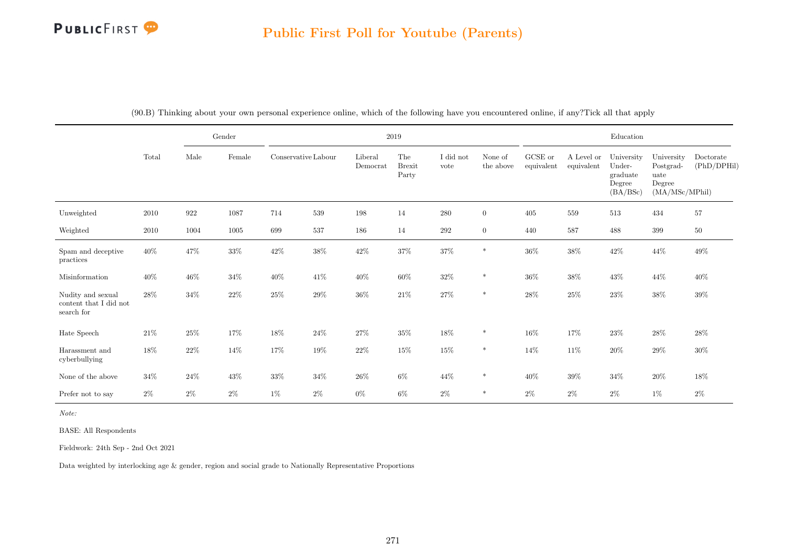### Public First Poll for Youtube (Parents)

|                                                           |        |        | Gender   |                     |        |                     | 2019                          |                   |                      |                       |                          | Education                                              |                                                             |                          |
|-----------------------------------------------------------|--------|--------|----------|---------------------|--------|---------------------|-------------------------------|-------------------|----------------------|-----------------------|--------------------------|--------------------------------------------------------|-------------------------------------------------------------|--------------------------|
|                                                           | Total  | Male   | Female   | Conservative Labour |        | Liberal<br>Democrat | The<br><b>Brexit</b><br>Party | I did not<br>vote | None of<br>the above | GCSE or<br>equivalent | A Level or<br>equivalent | University<br>Under-<br>graduate<br>Degree<br>(BA/BSc) | University<br>Postgrad-<br>uate<br>Degree<br>(MA/MSc/MPhil) | Doctorate<br>(PhD/DPHil) |
| Unweighted                                                | 2010   | 922    | $1087\,$ | 714                 | 539    | 198                 | 14                            | $280\,$           | $\overline{0}$       | 405                   | 559                      | 513                                                    | 434                                                         | 57                       |
| Weighted                                                  | 2010   | 1004   | 1005     | 699                 | 537    | 186                 | 14                            | $\,292$           | $\overline{0}$       | 440                   | 587                      | 488                                                    | 399                                                         | $50\,$                   |
| Spam and deceptive<br>practices                           | $40\%$ | $47\%$ | $33\%$   | $42\%$              | $38\%$ | $42\%$              | $37\%$                        | $37\%$            | $\ast$               | $36\%$                | $38\%$                   | $42\%$                                                 | $44\%$                                                      | $49\%$                   |
| Misinformation                                            | $40\%$ | $46\%$ | $34\%$   | $40\%$              | 41\%   | $40\%$              | $60\%$                        | $32\%$            | $\ast$               | $36\%$                | $38\%$                   | 43\%                                                   | $44\%$                                                      | $40\%$                   |
| Nudity and sexual<br>content that I did not<br>search for | $28\%$ | $34\%$ | $22\%$   | $25\%$              | $29\%$ | $36\%$              | $21\%$                        | $27\%$            | $\ast$               | $28\%$                | $25\%$                   | $23\%$                                                 | $38\%$                                                      | $39\%$                   |
| Hate Speech                                               | $21\%$ | $25\%$ | 17%      | $18\%$              | $24\%$ | 27%                 | $35\%$                        | $18\%$            | $\ast$               | $16\%$                | 17%                      | $23\%$                                                 | $28\%$                                                      | $28\%$                   |
| Harassment and<br>cyberbullying                           | $18\%$ | $22\%$ | $14\%$   | 17%                 | 19%    | $22\%$              | $15\%$                        | 15%               | $\ast$               | 14%                   | $11\%$                   | $20\%$                                                 | $29\%$                                                      | $30\%$                   |
| None of the above                                         | $34\%$ | 24\%   | 43\%     | $33\%$              | $34\%$ | $26\%$              | $6\%$                         | $44\%$            | $\ast$               | 40\%                  | $39\%$                   | $34\%$                                                 | $20\%$                                                      | $18\%$                   |
| Prefer not to say                                         | $2\%$  | $2\%$  | $2\%$    | $1\%$               | $2\%$  | $0\%$               | $6\%$                         | $2\%$             | $\ast$               | $2\%$                 | $2\%$                    | $2\%$                                                  | $1\%$                                                       | $2\%$                    |

(90.B) Thinking about your own personal experience online, which of the following have you encountered online, if any?Tick all that apply

Note:

BASE: All Respondents

Fieldwork: 24th Sep - 2nd Oct 2021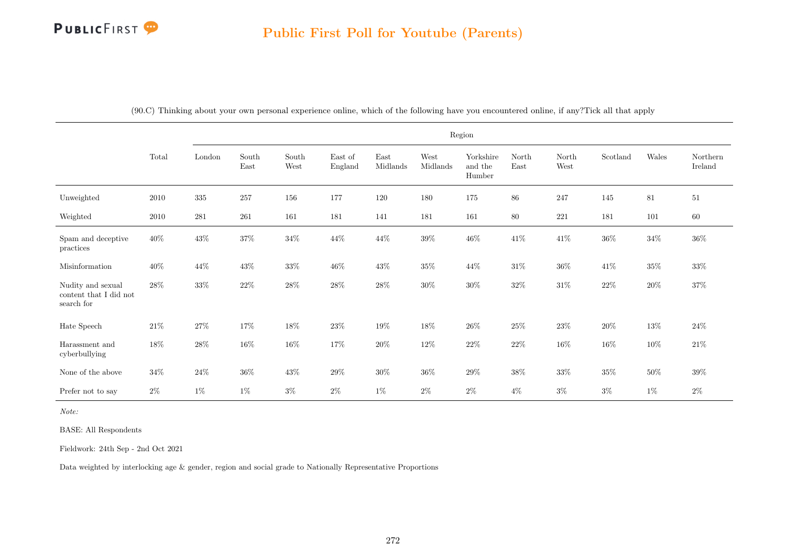|                                                           |        |         |                                |                                |                    |                  |                  | Region                         |               |               |          |        |                     |
|-----------------------------------------------------------|--------|---------|--------------------------------|--------------------------------|--------------------|------------------|------------------|--------------------------------|---------------|---------------|----------|--------|---------------------|
|                                                           | Total  | London  | South<br>$\operatorname{East}$ | South<br>$\operatorname{West}$ | East of<br>England | East<br>Midlands | West<br>Midlands | Yorkshire<br>and the<br>Humber | North<br>East | North<br>West | Scotland | Wales  | Northern<br>Ireland |
| Unweighted                                                | 2010   | $335\,$ | $257\,$                        | 156                            | 177                | 120              | 180              | 175                            | $86\,$        | 247           | 145      | $81\,$ | 51                  |
| Weighted                                                  | 2010   | 281     | 261                            | 161                            | 181                | 141              | 181              | 161                            | $80\,$        | $221\,$       | 181      | 101    | 60                  |
| Spam and deceptive<br>practices                           | $40\%$ | $43\%$  | 37%                            | $34\%$                         | 44\%               | 44\%             | $39\%$           | $46\%$                         | $41\%$        | $41\%$        | $36\%$   | $34\%$ | $36\%$              |
| Misinformation                                            | $40\%$ | 44\%    | $43\%$                         | $33\%$                         | $46\%$             | $43\%$           | $35\%$           | $44\%$                         | $31\%$        | $36\%$        | $41\%$   | $35\%$ | $33\%$              |
| Nudity and sexual<br>content that I did not<br>search for | 28\%   | $33\%$  | $22\%$                         | $28\%$                         | $28\%$             | $28\%$           | $30\%$           | $30\%$                         | $32\%$        | $31\%$        | $22\%$   | $20\%$ | $37\%$              |
| Hate Speech                                               | $21\%$ | $27\%$  | 17%                            | $18\%$                         | $23\%$             | $19\%$           | 18%              | $26\%$                         | $25\%$        | $23\%$        | $20\%$   | $13\%$ | 24%                 |
| Harassment and<br>cyberbullying                           | $18\%$ | $28\%$  | $16\%$                         | $16\%$                         | 17%                | $20\%$           | $12\%$           | $22\%$                         | $22\%$        | $16\%$        | $16\%$   | $10\%$ | $21\%$              |
| None of the above                                         | $34\%$ | $24\%$  | $36\%$                         | $43\%$                         | $29\%$             | $30\%$           | $36\%$           | $29\%$                         | $38\%$        | $33\%$        | $35\%$   | $50\%$ | 39%                 |
| Prefer not to say                                         | $2\%$  | $1\%$   | $1\%$                          | $3\%$                          | $2\%$              | $1\%$            | $2\%$            | $2\%$                          | $4\%$         | $3\%$         | $3\%$    | $1\%$  | $2\%$               |

(90.C) Thinking about your own personal experience online, which of the following have you encountered online, if any?Tick all that apply

Note:

BASE: All Respondents

Fieldwork: 24th Sep - 2nd Oct 2021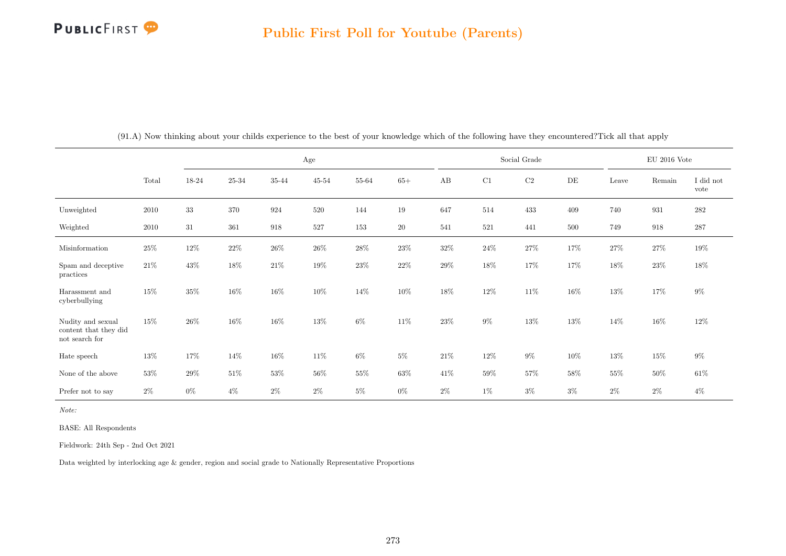|                                                              |        |        |        |        | Age       |        |        |        |        | Social Grade |           |        | EU 2016 Vote |                   |
|--------------------------------------------------------------|--------|--------|--------|--------|-----------|--------|--------|--------|--------|--------------|-----------|--------|--------------|-------------------|
|                                                              | Total  | 18-24  | 25-34  | 35-44  | $45 - 54$ | 55-64  | $65+$  | AB     | C1     | $\rm{C2}$    | $\rm{DE}$ | Leave  | Remain       | I did not<br>vote |
| Unweighted                                                   | 2010   | $33\,$ | 370    | 924    | 520       | 144    | 19     | 647    | 514    | 433          | 409       | 740    | 931          | $282\,$           |
| Weighted                                                     | 2010   | 31     | 361    | 918    | 527       | 153    | 20     | 541    | 521    | 441          | 500       | 749    | 918          | 287               |
| Misinformation                                               | $25\%$ | 12%    | $22\%$ | $26\%$ | $26\%$    | $28\%$ | $23\%$ | $32\%$ | $24\%$ | $27\%$       | 17%       | $27\%$ | $27\%$       | 19%               |
| Spam and deceptive<br>practices                              | $21\%$ | 43\%   | $18\%$ | $21\%$ | 19%       | $23\%$ | $22\%$ | 29%    | 18%    | 17%          | 17%       | 18%    | $23\%$       | 18%               |
| Harassment and<br>cyberbullying                              | $15\%$ | 35%    | 16%    | $16\%$ | 10%       | $14\%$ | $10\%$ | $18\%$ | $12\%$ | 11\%         | $16\%$    | $13\%$ | $17\%$       | $9\%$             |
| Nudity and sexual<br>content that they did<br>not search for | $15\%$ | 26%    | 16%    | $16\%$ | 13%       | $6\%$  | $11\%$ | $23\%$ | $9\%$  | $13\%$       | $13\%$    | 14\%   | 16\%         | $12\%$            |
| Hate speech                                                  | 13%    | 17%    | $14\%$ | $16\%$ | $11\%$    | $6\%$  | $5\%$  | $21\%$ | 12\%   | $9\%$        | 10%       | $13\%$ | 15%          | $9\%$             |
| None of the above                                            | $53\%$ | 29%    | $51\%$ | 53%    | 56%       | $55\%$ | $63\%$ | 41\%   | $59\%$ | 57%          | 58%       | $55\%$ | $50\%$       | $61\%$            |
| Prefer not to say                                            | $2\%$  | $0\%$  | $4\%$  | $2\%$  | $2\%$     | $5\%$  | $0\%$  | $2\%$  | $1\%$  | $3\%$        | $3\%$     | $2\%$  | $2\%$        | $4\%$             |

(91.A) Now thinking about your childs experience to the best of your knowledge which of the following have they encountered?Tick all that apply

Note:

BASE: All Respondents

Fieldwork: 24th Sep - 2nd Oct 2021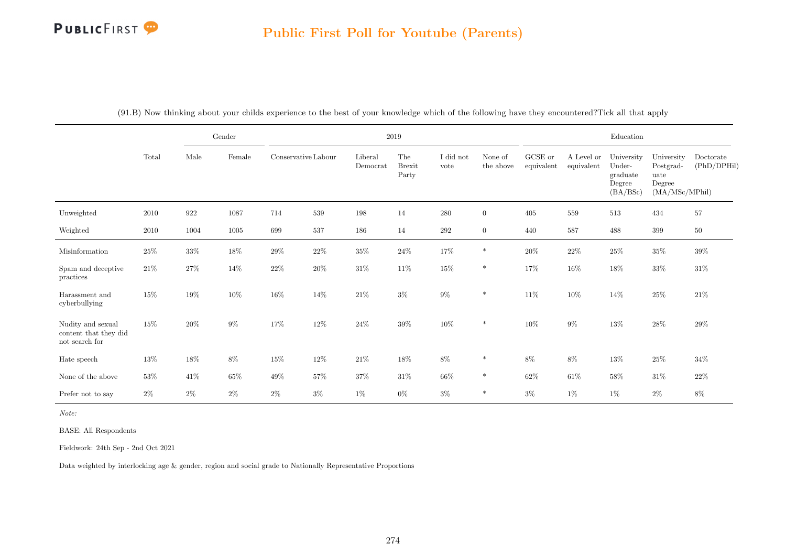### Public First Poll for Youtube (Parents)

|                                                                               |        |                    | Gender          |                     |        |                     | 2019                          |                   |                      |                       |                          | Education                                              |                                                             |                          |
|-------------------------------------------------------------------------------|--------|--------------------|-----------------|---------------------|--------|---------------------|-------------------------------|-------------------|----------------------|-----------------------|--------------------------|--------------------------------------------------------|-------------------------------------------------------------|--------------------------|
|                                                                               | Total  | Male               | $\mbox{Female}$ | Conservative Labour |        | Liberal<br>Democrat | The<br><b>Brexit</b><br>Party | I did not<br>vote | None of<br>the above | GCSE or<br>equivalent | A Level or<br>equivalent | University<br>Under-<br>graduate<br>Degree<br>(BA/BSc) | University<br>Postgrad-<br>uate<br>Degree<br>(MA/MSc/MPhil) | Doctorate<br>(PhD/DPHil) |
| Unweighted                                                                    | 2010   | $\boldsymbol{922}$ | $1087\,$        | 714                 | 539    | 198                 | 14                            | 280               | $\overline{0}$       | 405                   | 559                      | 513                                                    | 434                                                         | 57                       |
| Weighted                                                                      | 2010   | 1004               | 1005            | 699                 | 537    | 186                 | 14                            | $\,292$           | $\overline{0}$       | 440                   | 587                      | 488                                                    | $399\,$                                                     | $50\,$                   |
| Misinformation                                                                | $25\%$ | $33\%$             | $18\%$          | $29\%$              | $22\%$ | $35\%$              | $24\%$                        | 17%               | $\ast$               | $20\%$                | $22\%$                   | $25\%$                                                 | $35\%$                                                      | $39\%$                   |
| Spam and deceptive<br>practices                                               | $21\%$ | $27\%$             | $14\%$          | $22\%$              | $20\%$ | $31\%$              | $11\%$                        | $15\%$            | $\ast$               | 17%                   | 16%                      | 18%                                                    | 33%                                                         | $31\%$                   |
| Harassment and<br>cyberbullying                                               | $15\%$ | $19\%$             | $10\%$          | $16\%$              | $14\%$ | $21\%$              | $3\%$                         | $9\%$             | $\ast$               | $11\%$                | 10%                      | $14\%$                                                 | $25\%$                                                      | $21\%$                   |
| Nudity and sexual<br>content that they did<br>$\operatorname{not}$ search for | $15\%$ | $20\%$             | $9\%$           | 17%                 | 12\%   | $24\%$              | $39\%$                        | $10\%$            | $\ast$               | $10\%$                | $9\%$                    | $13\%$                                                 | $28\%$                                                      | $29\%$                   |
| Hate speech                                                                   | $13\%$ | $18\%$             | 8%              | $15\%$              | $12\%$ | $21\%$              | $18\%$                        | $8\%$             | $\ast$               | $8\%$                 | $8\%$                    | $13\%$                                                 | $25\%$                                                      | $34\%$                   |
| None of the above                                                             | $53\%$ | 41\%               | $65\%$          | $49\%$              | $57\%$ | 37%                 | $31\%$                        | $66\%$            | $\ast$               | $62\%$                | $61\%$                   | $58\%$                                                 | $31\%$                                                      | $22\%$                   |
| Prefer not to say                                                             | $2\%$  | $2\%$              | $2\%$           | $2\%$               | $3\%$  | $1\%$               | $0\%$                         | $3\%$             | $\ast$               | $3\%$                 | $1\%$                    | $1\%$                                                  | $2\%$                                                       | $8\%$                    |

(91.B) Now thinking about your childs experience to the best of your knowledge which of the following have they encountered?Tick all that apply

Note:

BASE: All Respondents

Fieldwork: 24th Sep - 2nd Oct 2021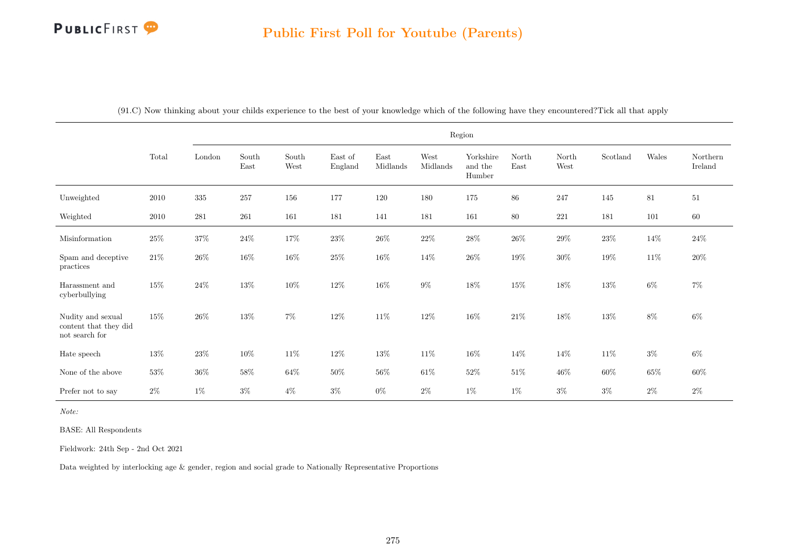|                                                              |        |        |               |                                |                    |                  |                  | Region                         |               |               |          |        |                     |
|--------------------------------------------------------------|--------|--------|---------------|--------------------------------|--------------------|------------------|------------------|--------------------------------|---------------|---------------|----------|--------|---------------------|
|                                                              | Total  | London | South<br>East | South<br>$\operatorname{West}$ | East of<br>England | East<br>Midlands | West<br>Midlands | Yorkshire<br>and the<br>Humber | North<br>East | North<br>West | Scotland | Wales  | Northern<br>Ireland |
| Unweighted                                                   | 2010   | 335    | 257           | 156                            | 177                | 120              | 180              | 175                            | 86            | 247           | 145      | 81     | $51\,$              |
| Weighted                                                     | 2010   | 281    | 261           | 161                            | 181                | 141              | 181              | 161                            | 80            | 221           | 181      | 101    | $60\,$              |
| Misinformation                                               | $25\%$ | $37\%$ | $24\%$        | $17\%$                         | $23\%$             | $26\%$           | $22\%$           | $28\%$                         | $26\%$        | $29\%$        | $23\%$   | $14\%$ | $24\%$              |
| Spam and deceptive<br>practices                              | $21\%$ | $26\%$ | $16\%$        | $16\%$                         | $25\%$             | $16\%$           | $14\%$           | $26\%$                         | $19\%$        | $30\%$        | $19\%$   | $11\%$ | $20\%$              |
| Harassment and<br>cyberbullying                              | $15\%$ | $24\%$ | 13%           | $10\%$                         | 12%                | $16\%$           | $9\%$            | $18\%$                         | 15%           | $18\%$        | 13%      | $6\%$  | $7\%$               |
| Nudity and sexual<br>content that they did<br>not search for | 15%    | $26\%$ | $13\%$        | $7\%$                          | $12\%$             | $11\%$           | $12\%$           | $16\%$                         | $21\%$        | $18\%$        | $13\%$   | $8\%$  | $6\%$               |
| Hate speech                                                  | $13\%$ | $23\%$ | $10\%$        | $11\%$                         | $12\%$             | $13\%$           | $11\%$           | $16\%$                         | $14\%$        | $14\%$        | $11\%$   | $3\%$  | $6\%$               |
| None of the above                                            | $53\%$ | $36\%$ | $58\%$        | $64\%$                         | $50\%$             | $56\%$           | $61\%$           | $52\%$                         | $51\%$        | $46\%$        | $60\%$   | $65\%$ | $60\%$              |
| Prefer not to say                                            | $2\%$  | $1\%$  | $3\%$         | $4\%$                          | $3\%$              | $0\%$            | $2\%$            | $1\%$                          | $1\%$         | $3\%$         | $3\%$    | $2\%$  | $2\%$               |

(91.C) Now thinking about your childs experience to the best of your knowledge which of the following have they encountered?Tick all that apply

Note:

BASE: All Respondents

Fieldwork: 24th Sep - 2nd Oct 2021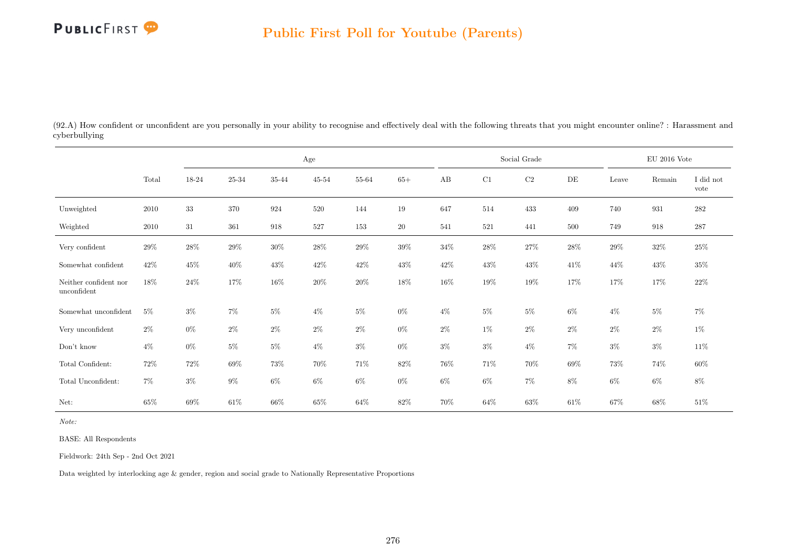

(92.A) How confident or unconfident are you personally in your ability to recognise and effectively deal with the following threats that you might encounter online? : Harassment and cyberbullying

|                                      |        |        | $\rm Age$ |        |           |        |        |        |        | Social Grade |        |        | $\rm EU$ 2016 Vote |                   |
|--------------------------------------|--------|--------|-----------|--------|-----------|--------|--------|--------|--------|--------------|--------|--------|--------------------|-------------------|
|                                      | Total  | 18-24  | 25-34     | 35-44  | $45 - 54$ | 55-64  | $65+$  | AB     | C1     | C2           | DE     | Leave  | Remain             | I did not<br>vote |
| Unweighted                           | 2010   | 33     | 370       | 924    | 520       | 144    | 19     | 647    | 514    | 433          | 409    | 740    | 931                | $282\,$           |
| Weighted                             | 2010   | 31     | 361       | 918    | 527       | 153    | $20\,$ | 541    | 521    | 441          | 500    | 749    | 918                | 287               |
| Very confident                       | 29%    | $28\%$ | 29%       | $30\%$ | $28\%$    | $29\%$ | $39\%$ | $34\%$ | $28\%$ | 27%          | $28\%$ | $29\%$ | $32\%$             | $25\%$            |
| Somewhat confident                   | $42\%$ | $45\%$ | $40\%$    | $43\%$ | $42\%$    | $42\%$ | $43\%$ | $42\%$ | $43\%$ | $43\%$       | 41\%   | $44\%$ | 43\%               | $35\%$            |
| Neither confident nor<br>unconfident | $18\%$ | $24\%$ | 17%       | $16\%$ | 20%       | $20\%$ | 18%    | 16%    | $19\%$ | $19\%$       | 17%    | 17%    | 17%                | $22\%$            |
| Somewhat unconfident                 | $5\%$  | $3\%$  | $7\%$     | $5\%$  | $4\%$     | $5\%$  | $0\%$  | $4\%$  | $5\%$  | $5\%$        | $6\%$  | $4\%$  | $5\%$              | $7\%$             |
| Very unconfident                     | $2\%$  | $0\%$  | $2\%$     | $2\%$  | $2\%$     | $2\%$  | $0\%$  | $2\%$  | 1%     | $2\%$        | $2\%$  | $2\%$  | $2\%$              | $1\%$             |
| Don't know                           | $4\%$  | $0\%$  | $5\%$     | $5\%$  | $4\%$     | $3\%$  | $0\%$  | $3\%$  | $3\%$  | $4\%$        | $7\%$  | $3\%$  | $3\%$              | $11\%$            |
| Total Confident:                     | 72%    | $72\%$ | 69%       | 73%    | 70%       | 71%    | $82\%$ | 76%    | 71%    | 70%          | 69%    | 73%    | 74%                | $60\%$            |
| Total Unconfident:                   | $7\%$  | $3\%$  | $9\%$     | $6\%$  | $6\%$     | $6\%$  | $0\%$  | $6\%$  | $6\%$  | $7\%$        | $8\%$  | $6\%$  | $6\%$              | $8\%$             |
| Net:                                 | 65%    | 69%    | 61\%      | 66%    | 65%       | 64%    | 82\%   | 70%    | $64\%$ | 63%          | 61\%   | $67\%$ | 68%                | 51\%              |

Note:

BASE: All Respondents

Fieldwork: 24th Sep - 2nd Oct 2021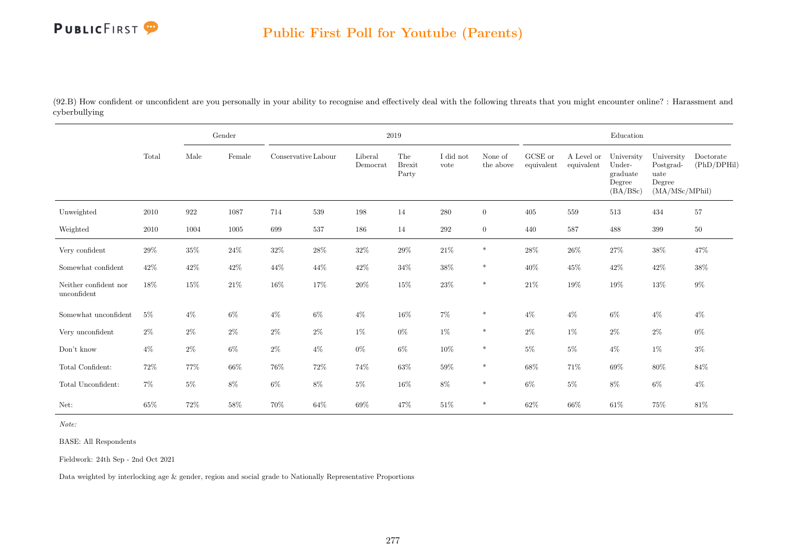

(92.B) How confident or unconfident are you personally in your ability to recognise and effectively deal with the following threats that you might encounter online? : Harassment and cyberbullying

|                                      |        |        | Gender |                     |        |                     | 2019                          |                   |                      |                               |                          | Education                                              |                                                             |                          |
|--------------------------------------|--------|--------|--------|---------------------|--------|---------------------|-------------------------------|-------------------|----------------------|-------------------------------|--------------------------|--------------------------------------------------------|-------------------------------------------------------------|--------------------------|
|                                      | Total  | Male   | Female | Conservative Labour |        | Liberal<br>Democrat | The<br><b>Brexit</b><br>Party | I did not<br>vote | None of<br>the above | ${\rm GCSE}$ or<br>equivalent | A Level or<br>equivalent | University<br>Under-<br>graduate<br>Degree<br>(BA/BSc) | University<br>Postgrad-<br>uate<br>Degree<br>(MA/MSc/MPhil) | Doctorate<br>(PhD/DPHil) |
| Unweighted                           | 2010   | 922    | 1087   | 714                 | 539    | 198                 | 14                            | 280               | $\overline{0}$       | 405                           | 559                      | 513                                                    | 434                                                         | $57\,$                   |
| Weighted                             | 2010   | 1004   | 1005   | 699                 | 537    | 186                 | 14                            | $\,292$           | $\overline{0}$       | 440                           | 587                      | 488                                                    | 399                                                         | $50\,$                   |
| Very confident                       | 29%    | 35%    | $24\%$ | $32\%$              | $28\%$ | $32\%$              | $29\%$                        | $21\%$            | $\ast$               | $28\%$                        | $26\%$                   | $27\%$                                                 | 38%                                                         | 47%                      |
| Somewhat confident                   | $42\%$ | $42\%$ | 42\%   | 44\%                | 44\%   | $42\%$              | $34\%$                        | $38\%$            | $\ast$               | $40\%$                        | 45%                      | 42\%                                                   | $42\%$                                                      | $38\%$                   |
| Neither confident nor<br>unconfident | 18%    | $15\%$ | $21\%$ | $16\%$              | $17\%$ | $20\%$              | $15\%$                        | $23\%$            | $\ast$               | $21\%$                        | $19\%$                   | $19\%$                                                 | $13\%$                                                      | $9\%$                    |
| Somewhat unconfident                 | $5\%$  | $4\%$  | $6\%$  | $4\%$               | $6\%$  | $4\%$               | $16\%$                        | $7\%$             | $\ast$               | $4\%$                         | $4\%$                    | $6\%$                                                  | $4\%$                                                       | $4\%$                    |
| Very unconfident                     | $2\%$  | $2\%$  | $2\%$  | $2\%$               | $2\%$  | 1%                  | $0\%$                         | $1\%$             | $\ast$               | $2\%$                         | $1\%$                    | $2\%$                                                  | $2\%$                                                       | $0\%$                    |
| Don't know                           | $4\%$  | $2\%$  | $6\%$  | $2\%$               | $4\%$  | $0\%$               | $6\%$                         | $10\%$            | $\ast$               | $5\%$                         | $5\%$                    | $4\%$                                                  | $1\%$                                                       | $3\%$                    |
| Total Confident:                     | 72\%   | 77%    | $66\%$ | 76%                 | $72\%$ | 74%                 | $63\%$                        | $59\%$            | $\ast$               | $68\%$                        | 71\%                     | $69\%$                                                 | $80\%$                                                      | 84%                      |
| Total Unconfident:                   | $7\%$  | $5\%$  | 8%     | $6\%$               | $8\%$  | $5\%$               | $16\%$                        | $8\%$             | $\ast$               | 6%                            | $5\%$                    | 8%                                                     | $6\%$                                                       | $4\%$                    |
| Net:                                 | 65%    | $72\%$ | $58\%$ | 70%                 | $64\%$ | $69\%$              | 47%                           | $51\%$            | $\ast$               | $62\%$                        | $66\%$                   | $61\%$                                                 | 75%                                                         | 81%                      |

Note:

BASE: All Respondents

Fieldwork: 24th Sep - 2nd Oct 2021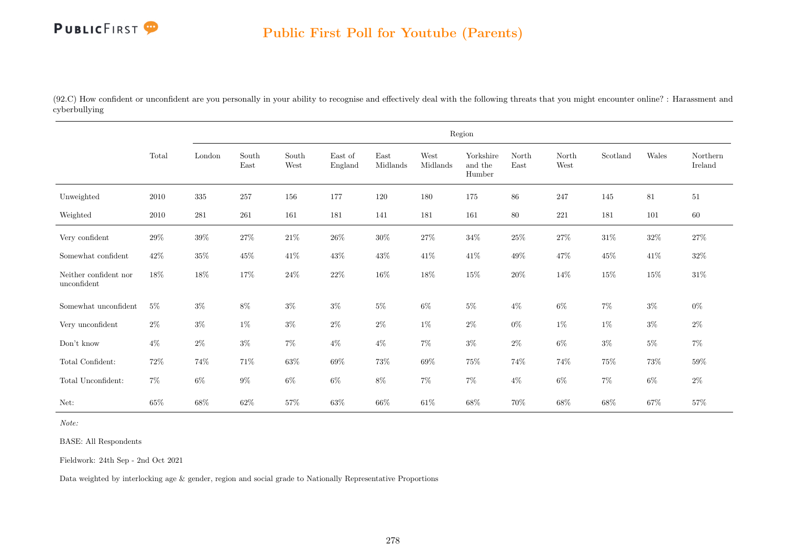

(92.C) How confident or unconfident are you personally in your ability to recognise and effectively deal with the following threats that you might encounter online? : Harassment and cyberbullying

|                                      |          |         |                                |               |                    |                  |                  | Region                         |               |               |          |        |                     |
|--------------------------------------|----------|---------|--------------------------------|---------------|--------------------|------------------|------------------|--------------------------------|---------------|---------------|----------|--------|---------------------|
|                                      | Total    | London  | $\operatorname{South}$<br>East | South<br>West | East of<br>England | East<br>Midlands | West<br>Midlands | Yorkshire<br>and the<br>Humber | North<br>East | North<br>West | Scotland | Wales  | Northern<br>Ireland |
| Unweighted                           | 2010     | $335\,$ | 257                            | 156           | 177                | 120              | 180              | 175                            | 86            | 247           | 145      | $81\,$ | 51                  |
| Weighted                             | $2010\,$ | 281     | 261                            | 161           | 181                | 141              | 181              | 161                            | $80\,$        | 221           | 181      | 101    | 60                  |
| Very confident                       | $29\%$   | $39\%$  | $27\%$                         | $21\%$        | $26\%$             | $30\%$           | $27\%$           | $34\%$                         | $25\%$        | $27\%$        | $31\%$   | $32\%$ | $27\%$              |
| Somewhat confident                   | 42\%     | $35\%$  | $45\%$                         | $41\%$        | 43\%               | 43%              | $41\%$           | 41\%                           | 49%           | 47\%          | 45\%     | $41\%$ | $32\%$              |
| Neither confident nor<br>unconfident | 18%      | 18%     | $17\%$                         | $24\%$        | $22\%$             | $16\%$           | $18\%$           | $15\%$                         | $20\%$        | 14%           | $15\%$   | $15\%$ | $31\%$              |
| Somewhat unconfident                 | $5\%$    | $3\%$   | $8\%$                          | $3\%$         | $3\%$              | $5\%$            | $6\%$            | $5\%$                          | $4\%$         | $6\%$         | $7\%$    | $3\%$  | $0\%$               |
| Very unconfident                     | $2\%$    | $3\%$   | $1\%$                          | $3\%$         | $2\%$              | $2\%$            | $1\%$            | $2\%$                          | $0\%$         | $1\%$         | $1\%$    | $3\%$  | $2\%$               |
| $\mathrm{Don't}$ know                | $4\%$    | $2\%$   | $3\%$                          | $7\%$         | $4\%$              | $4\%$            | $7\%$            | $3\%$                          | $2\%$         | $6\%$         | $3\%$    | $5\%$  | $7\%$               |
| Total Confident:                     | $72\%$   | $74\%$  | $71\%$                         | $63\%$        | $69\%$             | $73\%$           | $69\%$           | 75%                            | 74%           | 74%           | $75\%$   | $73\%$ | $59\%$              |
| Total Unconfident:                   | $7\%$    | $6\%$   | $9\%$                          | $6\%$         | $6\%$              | $8\%$            | $7\%$            | $7\%$                          | $4\%$         | $6\%$         | $7\%$    | $6\%$  | $2\%$               |
| Net:                                 | $65\%$   | $68\%$  | $62\%$                         | $57\%$        | 63%                | $66\%$           | $61\%$           | $68\%$                         | 70%           | $68\%$        | $68\%$   | $67\%$ | 57%                 |

Note:

BASE: All Respondents

Fieldwork: 24th Sep - 2nd Oct 2021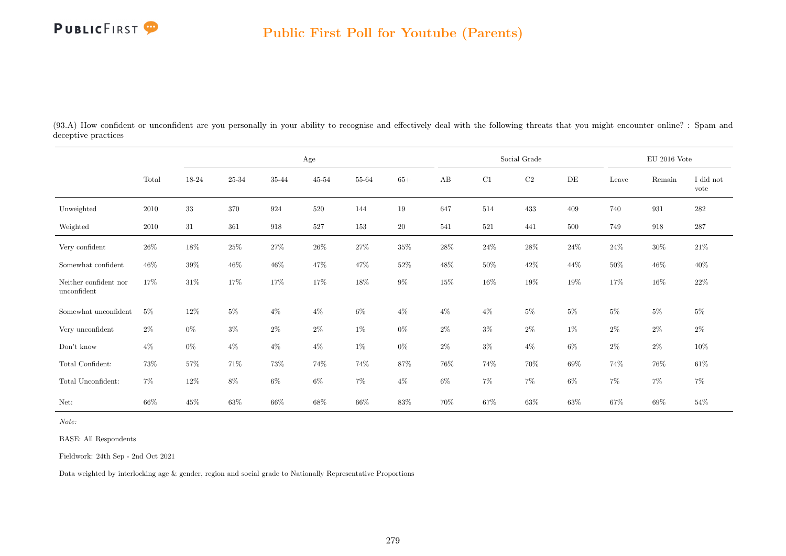

(93.A) How confident or unconfident are you personally in your ability to recognise and effectively deal with the following threats that you might encounter online? : Spam and deceptive practices

|                                      |        |        |        |        | $\rm Age$ |        |           |        |        | Social Grade |        |         | EU 2016 Vote |                   |
|--------------------------------------|--------|--------|--------|--------|-----------|--------|-----------|--------|--------|--------------|--------|---------|--------------|-------------------|
|                                      | Total  | 18-24  | 25-34  | 35-44  | $45 - 54$ | 55-64  | $65+$     | AB     | C1     | $\rm{C2}$    | DE     | Leave   | Remain       | I did not<br>vote |
| Unweighted                           | 2010   | 33     | 370    | 924    | 520       | 144    | 19        | 647    | 514    | 433          | 409    | $740\,$ | 931          | $282\,$           |
| Weighted                             | 2010   | 31     | 361    | 918    | 527       | 153    | <b>20</b> | 541    | 521    | 441          | 500    | 749     | 918          | $287\,$           |
| Very confident                       | $26\%$ | $18\%$ | $25\%$ | $27\%$ | $26\%$    | $27\%$ | $35\%$    | $28\%$ | $24\%$ | $28\%$       | $24\%$ | $24\%$  | $30\%$       | $21\%$            |
| Somewhat confident                   | $46\%$ | $39\%$ | $46\%$ | $46\%$ | 47\%      | $47\%$ | $52\%$    | 48%    | $50\%$ | $42\%$       | 44%    | $50\%$  | $46\%$       | 40%               |
| Neither confident nor<br>unconfident | 17%    | 31\%   | 17%    | 17%    | 17%       | 18%    | $9\%$     | 15%    | $16\%$ | 19%          | 19%    | 17%     | 16\%         | $22\%$            |
| Somewhat unconfident                 | $5\%$  | 12\%   | $5\%$  | $4\%$  | $4\%$     | $6\%$  | $4\%$     | $4\%$  | $4\%$  | $5\%$        | $5\%$  | $5\%$   | $5\%$        | $5\%$             |
| Very unconfident                     | $2\%$  | $0\%$  | $3\%$  | $2\%$  | $2\%$     | $1\%$  | $0\%$     | $2\%$  | $3\%$  | $2\%$        | $1\%$  | $2\%$   | $2\%$        | $2\%$             |
| Don't know                           | $4\%$  | $0\%$  | $4\%$  | $4\%$  | $4\%$     | $1\%$  | $0\%$     | $2\%$  | $3\%$  | $4\%$        | $6\%$  | $2\%$   | $2\%$        | $10\%$            |
| Total Confident:                     | $73\%$ | $57\%$ | 71%    | $73\%$ | 74%       | 74%    | 87%       | 76%    | 74%    | 70%          | 69%    | 74%     | 76%          | $61\%$            |
| Total Unconfident:                   | $7\%$  | 12\%   | $8\%$  | $6\%$  | $6\%$     | $7\%$  | $4\%$     | $6\%$  | $7\%$  | $7\%$        | $6\%$  | $7\%$   | $7\%$        | $7\%$             |
| Net:                                 | $66\%$ | 45%    | $63\%$ | 66%    | $68\%$    | $66\%$ | 83\%      | 70%    | $67\%$ | $63\%$       | 63%    | $67\%$  | 69%          | 54%               |

Note:

BASE: All Respondents

Fieldwork: 24th Sep - 2nd Oct 2021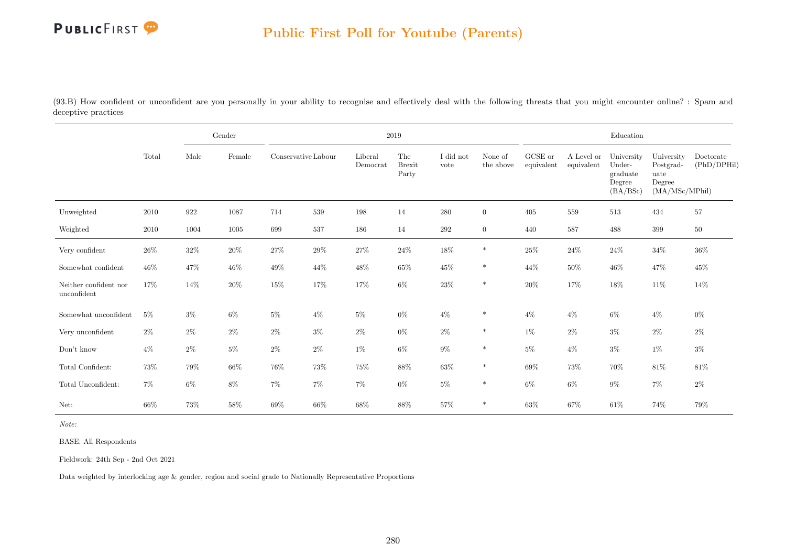

(93.B) How confident or unconfident are you personally in your ability to recognise and effectively deal with the following threats that you might encounter online? : Spam and deceptive practices

|                                           |       |        | Gender   |                     |        |                     | 2019                          |                   |                      |                       |                          | Education                                              |                                                             |                          |
|-------------------------------------------|-------|--------|----------|---------------------|--------|---------------------|-------------------------------|-------------------|----------------------|-----------------------|--------------------------|--------------------------------------------------------|-------------------------------------------------------------|--------------------------|
|                                           | Total | Male   | Female   | Conservative Labour |        | Liberal<br>Democrat | The<br><b>Brexit</b><br>Party | I did not<br>vote | None of<br>the above | GCSE or<br>equivalent | A Level or<br>equivalent | University<br>Under-<br>graduate<br>Degree<br>(BA/BSc) | University<br>Postgrad-<br>uate<br>Degree<br>(MA/MSc/MPhil) | Doctorate<br>(PhD/DPHil) |
| Unweighted                                | 2010  | 922    | $1087\,$ | 714                 | 539    | 198                 | 14                            | 280               | $\overline{0}$       | 405                   | 559                      | 513                                                    | 434                                                         | 57                       |
| Weighted                                  | 2010  | 1004   | 1005     | 699                 | 537    | 186                 | 14                            | $\,292$           | $\overline{0}$       | 440                   | 587                      | 488                                                    | 399                                                         | $50\,$                   |
| Very confident                            | 26\%  | $32\%$ | $20\%$   | $27\%$              | $29\%$ | 27%                 | $24\%$                        | 18%               | $\ast$               | $25\%$                | $24\%$                   | $24\%$                                                 | $34\%$                                                      | 36%                      |
| Somewhat confident                        | 46%   | 47\%   | $46\%$   | $49\%$              | 44\%   | 48%                 | 65%                           | $45\%$            | $\ast$               | 44\%                  | $50\%$                   | $46\%$                                                 | $47\%$                                                      | $45\%$                   |
| Neither confident nor<br>$\;$ unconfident | 17%   | 14%    | $20\%$   | $15\%$              | 17%    | $17\%$              | $6\%$                         | $23\%$            | $\ast$               | $20\%$                | 17%                      | $18\%$                                                 | $11\%$                                                      | 14%                      |
| Somewhat unconfident                      | $5\%$ | $3\%$  | $6\%$    | $5\%$               | $4\%$  | $5\%$               | $0\%$                         | $4\%$             | $\ast$               | $4\%$                 | $4\%$                    | $6\%$                                                  | $4\%$                                                       | $0\%$                    |
| Very unconfident                          | $2\%$ | $2\%$  | $2\%$    | $2\%$               | $3\%$  | $2\%$               | $0\%$                         | $2\%$             | $\ast$               | $1\%$                 | $2\%$                    | $3\%$                                                  | $2\%$                                                       | $2\%$                    |
| Don't know                                | $4\%$ | $2\%$  | $5\%$    | $2\%$               | $2\%$  | $1\%$               | $6\%$                         | $9\%$             | $\ast$               | $5\%$                 | $4\%$                    | $3\%$                                                  | $1\%$                                                       | $3\%$                    |
| Total Confident:                          | 73%   | $79\%$ | $66\%$   | 76%                 | 73%    | $75\%$              | 88%                           | $63\%$            | $\ast$               | $69\%$                | $73\%$                   | 70%                                                    | $81\%$                                                      | 81%                      |
| Total Unconfident:                        | $7\%$ | $6\%$  | $8\%$    | $7\%$               | $7\%$  | $7\%$               | $0\%$                         | $5\%$             | $\ast$               | $6\%$                 | $6\%$                    | $9\%$                                                  | $7\%$                                                       | $2\%$                    |
| Net:                                      | 66%   | 73%    | $58\%$   | 69%                 | $66\%$ | $68\%$              | 88%                           | 57%               | $\ast$               | 63%                   | 67%                      | $61\%$                                                 | 74%                                                         | $79\%$                   |

Note:

BASE: All Respondents

Fieldwork: 24th Sep - 2nd Oct 2021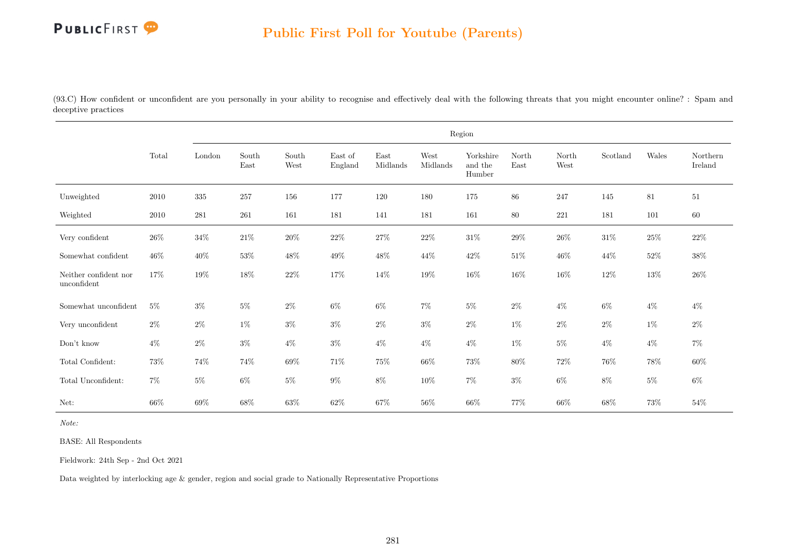(93.C) How confident or unconfident are you personally in your ability to recognise and effectively deal with the following threats that you might encounter online? : Spam and deceptive practices

|                                      |        |         |               |               |                    |                  |                  | Region                         |               |               |          |        |                     |
|--------------------------------------|--------|---------|---------------|---------------|--------------------|------------------|------------------|--------------------------------|---------------|---------------|----------|--------|---------------------|
|                                      | Total  | London  | South<br>East | South<br>West | East of<br>England | East<br>Midlands | West<br>Midlands | Yorkshire<br>and the<br>Humber | North<br>East | North<br>West | Scotland | Wales  | Northern<br>Ireland |
| Unweighted                           | 2010   | $335\,$ | 257           | 156           | 177                | 120              | 180              | 175                            | 86            | 247           | 145      | $81\,$ | $51\,$              |
| Weighted                             | 2010   | 281     | 261           | 161           | 181                | 141              | 181              | 161                            | $80\,$        | 221           | 181      | 101    | 60                  |
| Very confident                       | $26\%$ | $34\%$  | $21\%$        | $20\%$        | $22\%$             | $27\%$           | $22\%$           | $31\%$                         | $29\%$        | $26\%$        | $31\%$   | $25\%$ | $22\%$              |
| Somewhat confident                   | 46\%   | $40\%$  | $53\%$        | $48\%$        | $49\%$             | $48\%$           | 44\%             | $42\%$                         | $51\%$        | $46\%$        | 44\%     | $52\%$ | $38\%$              |
| Neither confident nor<br>unconfident | 17%    | $19\%$  | $18\%$        | $22\%$        | $17\%$             | 14%              | $19\%$           | $16\%$                         | $16\%$        | $16\%$        | $12\%$   | $13\%$ | $26\%$              |
| Somewhat unconfident                 | $5\%$  | $3\%$   | $5\%$         | $2\%$         | $6\%$              | $6\%$            | $7\%$            | $5\%$                          | $2\%$         | $4\%$         | $6\%$    | $4\%$  | $4\%$               |
| Very unconfident                     | $2\%$  | $2\%$   | $1\%$         | $3\%$         | $3\%$              | $2\%$            | $3\%$            | $2\%$                          | $1\%$         | $2\%$         | $2\%$    | $1\%$  | $2\%$               |
| Don't know                           | $4\%$  | $2\%$   | $3\%$         | $4\%$         | $3\%$              | $4\%$            | $4\%$            | $4\%$                          | $1\%$         | $5\%$         | $4\%$    | $4\%$  | $7\%$               |
| Total Confident:                     | 73%    | $74\%$  | $74\%$        | $69\%$        | 71%                | $75\%$           | $66\%$           | 73%                            | 80%           | 72%           | 76%      | 78%    | $60\%$              |
| Total Unconfident:                   | $7\%$  | $5\%$   | $6\%$         | $5\%$         | $9\%$              | $8\%$            | $10\%$           | $7\%$                          | $3\%$         | $6\%$         | $8\%$    | $5\%$  | $6\%$               |
| Net:                                 | $66\%$ | $69\%$  | 68%           | $63\%$        | $62\%$             | 67%              | 56%              | $66\%$                         | 77%           | $66\%$        | $68\%$   | 73%    | 54%                 |

Note:

BASE: All Respondents

Fieldwork: 24th Sep - 2nd Oct 2021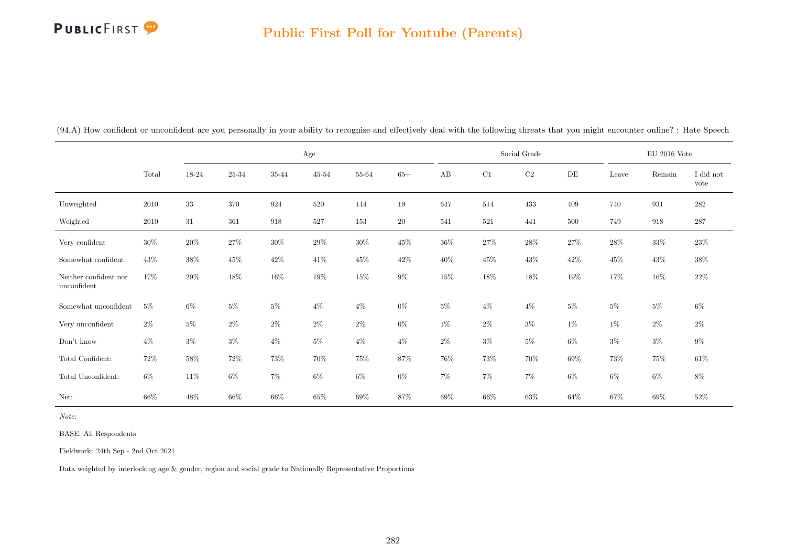#### Public First Poll for Youtube (Parents)

|                                      |          |        | Age<br>$25 - 34$<br>35-44<br>$45 - 54$<br>55-64<br>$65+$ |        |        |        |           |        |        | Social Grade |           |        | $\mathrm{EU}$ 2016 Vote |                   |
|--------------------------------------|----------|--------|----------------------------------------------------------|--------|--------|--------|-----------|--------|--------|--------------|-----------|--------|-------------------------|-------------------|
|                                      | Total    | 18-24  |                                                          |        |        |        |           | AB     | C1     | $\rm C2$     | $\rm{DE}$ | Leave  | Remain                  | I did not<br>vote |
| Unweighted                           | $2010\,$ | $33\,$ | 370                                                      | 924    | 520    | 144    | $19\,$    | 647    | 514    | 433          | 409       | 740    | 931                     | $\bf 282$         |
| Weighted                             | 2010     | 31     | 361                                                      | 918    | 527    | 153    | <b>20</b> | 541    | 521    | 441          | 500       | 749    | 918                     | $287\,$           |
| Very confident                       | $30\%$   | $20\%$ | 27%                                                      | $30\%$ | $29\%$ | $30\%$ | $45\%$    | $36\%$ | $27\%$ | $28\%$       | $27\%$    | 28\%   | $33\%$                  | $23\%$            |
| Somewhat confident                   | 43\%     | $38\%$ | $45\%$                                                   | $42\%$ | 41\%   | $45\%$ | $42\%$    | 40\%   | $45\%$ | $43\%$       | 42\%      | $45\%$ | $43\%$                  | $38\%$            |
| Neither confident nor<br>unconfident | 17%      | $29\%$ | $18\%$                                                   | $16\%$ | $19\%$ | 15%    | $9\%$     | $15\%$ | $18\%$ | 18%          | 19%       | 17%    | $16\%$                  | $22\%$            |
| Somewhat unconfident                 | $5\%$    | $6\%$  | $5\%$                                                    | $5\%$  | $4\%$  | $4\%$  | $0\%$     | $5\%$  | $4\%$  | $4\%$        | $5\%$     | $5\%$  | $5\%$                   | $6\%$             |
| Very unconfident                     | $2\%$    | $5\%$  | $2\%$                                                    | $2\%$  | $2\%$  | $2\%$  | $0\%$     | 1%     | $2\%$  | $3\%$        | $1\%$     | $1\%$  | $2\%$                   | $2\%$             |
| Don't know                           | $4\%$    | $3\%$  | $3\%$                                                    | $4\%$  | $5\%$  | $4\%$  | $4\%$     | $2\%$  | $3\%$  | $5\%$        | $6\%$     | $3\%$  | $3\%$                   | $9\%$             |
| Total Confident:                     | $72\%$   | $58\%$ | $72\%$                                                   | $73\%$ | 70%    | $75\%$ | 87%       | 76%    | $73\%$ | $70\%$       | 69%       | $73\%$ | 75%                     | $61\%$            |
| Total Unconfident:                   | $6\%$    | 11\%   | $6\%$                                                    | $7\%$  | $6\%$  | $6\%$  | $0\%$     | $7\%$  | $7\%$  | $7\%$        | $6\%$     | $6\%$  | $6\%$                   | $8\%$             |
| Net:                                 | 66%      | $48\%$ | $66\%$                                                   | $66\%$ | 65%    | 69%    | 87%       | 69%    | $66\%$ | 63%          | $64\%$    | 67%    | 69%                     | 52%               |

(94.A) How confident or unconfident are you personally in your ability to recognise and effectively deal with the following threats that you might encounter online? : Hate Speech

Note:

BASE: All Respondents

Fieldwork: 24th Sep - 2nd Oct 2021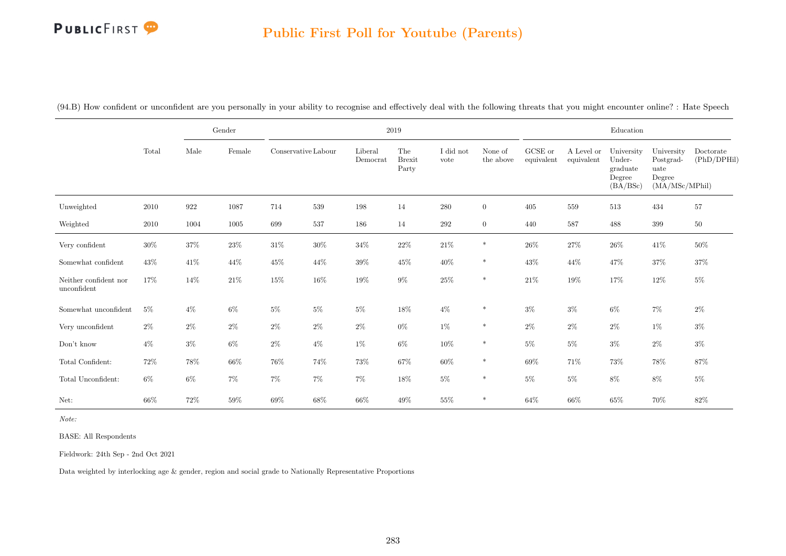### Public First Poll for Youtube (Parents)

|                                      |        |        | $\operatorname{Gender}$ |                     |        |                     | $2019\,$                      |                   |                      |                       |                          | Education                                              |                                                             |                          |
|--------------------------------------|--------|--------|-------------------------|---------------------|--------|---------------------|-------------------------------|-------------------|----------------------|-----------------------|--------------------------|--------------------------------------------------------|-------------------------------------------------------------|--------------------------|
|                                      | Total  | Male   | Female                  | Conservative Labour |        | Liberal<br>Democrat | The<br><b>Brexit</b><br>Party | I did not<br>vote | None of<br>the above | GCSE or<br>equivalent | A Level or<br>equivalent | University<br>Under-<br>graduate<br>Degree<br>(BA/BSc) | University<br>Postgrad-<br>uate<br>Degree<br>(MA/MSc/MPhil) | Doctorate<br>(PhD/DPHil) |
| Unweighted                           | 2010   | 922    | 1087                    | 714                 | 539    | 198                 | 14                            | 280               | $\overline{0}$       | 405                   | 559                      | 513                                                    | 434                                                         | 57                       |
| Weighted                             | 2010   | 1004   | 1005                    | 699                 | 537    | 186                 | 14                            | 292               | $\overline{0}$       | 440                   | 587                      | 488                                                    | $399\,$                                                     | $50\,$                   |
| Very confident                       | $30\%$ | $37\%$ | $23\%$                  | $31\%$              | $30\%$ | $34\%$              | $22\%$                        | $21\%$            | $\ast$               | $26\%$                | 27%                      | $26\%$                                                 | $41\%$                                                      | 50%                      |
| Somewhat confident                   | $43\%$ | $41\%$ | 44%                     | 45%                 | 44\%   | $39\%$              | $45\%$                        | $40\%$            | $\ast$               | $43\%$                | 44%                      | 47\%                                                   | $37\%$                                                      | 37%                      |
| Neither confident nor<br>unconfident | 17%    | 14\%   | $21\%$                  | $15\%$              | $16\%$ | $19\%$              | $9\%$                         | $25\%$            | $\ast$               | $21\%$                | $19\%$                   | 17%                                                    | $12\%$                                                      | $5\%$                    |
| Somewhat unconfident                 | $5\%$  | $4\%$  | $6\%$                   | $5\%$               | $5\%$  | $5\%$               | $18\%$                        | $4\%$             | $\ast$               | $3\%$                 | $3\%$                    | $6\%$                                                  | $7\%$                                                       | $2\%$                    |
| Very unconfident                     | $2\%$  | $2\%$  | $2\%$                   | $2\%$               | $2\%$  | $2\%$               | $0\%$                         | 1%                | $\ast$               | $2\%$                 | $2\%$                    | $2\%$                                                  | $1\%$                                                       | $3\%$                    |
| Don't know                           | $4\%$  | $3\%$  | $6\%$                   | $2\%$               | $4\%$  | 1%                  | $6\%$                         | $10\%$            | $\ast$               | 5%                    | $5\%$                    | $3\%$                                                  | $2\%$                                                       | $3\%$                    |
| Total Confident:                     | 72\%   | $78\%$ | $66\%$                  | 76%                 | 74%    | 73%                 | $67\%$                        | $60\%$            | $\ast$               | $69\%$                | 71%                      | 73%                                                    | $78\%$                                                      | 87%                      |
| Total Unconfident:                   | $6\%$  | $6\%$  | $7\%$                   | $7\%$               | $7\%$  | $7\%$               | $18\%$                        | $5\%$             | $\ast$               | $5\%$                 | $5\%$                    | $8\%$                                                  | $8\%$                                                       | $5\%$                    |
| Net:                                 | 66%    | $72\%$ | $59\%$                  | 69%                 | 68%    | $66\%$              | 49%                           | $55\%$            | $\ast$               | $64\%$                | 66\%                     | $65\%$                                                 | 70%                                                         | $82\%$                   |

(94.B) How confident or unconfident are you personally in your ability to recognise and effectively deal with the following threats that you might encounter online? : Hate Speech

Note:

BASE: All Respondents

Fieldwork: 24th Sep - 2nd Oct 2021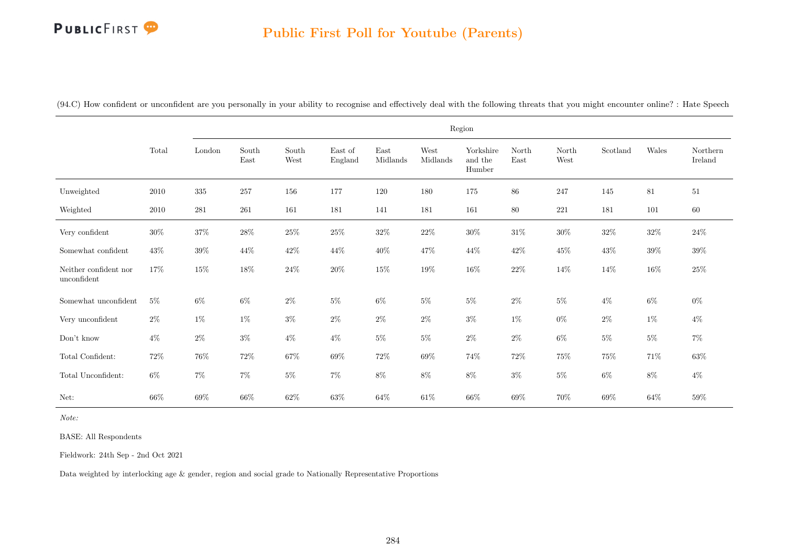#### Public First Poll for Youtube (Parents)

|                                      |        |         |               |               |                    |                        |                  | Region                         |               |               |          |        |                     |
|--------------------------------------|--------|---------|---------------|---------------|--------------------|------------------------|------------------|--------------------------------|---------------|---------------|----------|--------|---------------------|
|                                      | Total  | London  | South<br>East | South<br>West | East of<br>England | East<br>$\rm Midlands$ | West<br>Midlands | Yorkshire<br>and the<br>Humber | North<br>East | North<br>West | Scotland | Wales  | Northern<br>Ireland |
| Unweighted                           | 2010   | $335\,$ | 257           | 156           | 177                | 120                    | 180              | 175                            | 86            | 247           | 145      | 81     | 51                  |
| Weighted                             | 2010   | 281     | 261           | 161           | 181                | 141                    | 181              | 161                            | 80            | 221           | 181      | 101    | 60                  |
| Very confident                       | $30\%$ | $37\%$  | $28\%$        | $25\%$        | $25\%$             | $32\%$                 | $22\%$           | $30\%$                         | $31\%$        | $30\%$        | $32\%$   | $32\%$ | $24\%$              |
| Somewhat confident                   | 43%    | $39\%$  | 44\%          | $42\%$        | 44%                | $40\%$                 | 47%              | 44\%                           | $42\%$        | $45\%$        | $43\%$   | $39\%$ | $39\%$              |
| Neither confident nor<br>unconfident | 17%    | $15\%$  | 18%           | $24\%$        | 20%                | $15\%$                 | $19\%$           | $16\%$                         | $22\%$        | $14\%$        | $14\%$   | 16\%   | $25\%$              |
| Somewhat unconfident                 | $5\%$  | $6\%$   | $6\%$         | $2\%$         | $5\%$              | $6\%$                  | $5\%$            | $5\%$                          | $2\%$         | $5\%$         | $4\%$    | $6\%$  | $0\%$               |
| Very unconfident                     | $2\%$  | $1\%$   | $1\%$         | $3\%$         | $2\%$              | $2\%$                  | $2\%$            | $3\%$                          | $1\%$         | $0\%$         | $2\%$    | $1\%$  | $4\%$               |
| Don't know                           | $4\%$  | $2\%$   | $3\%$         | $4\%$         | $4\%$              | $5\%$                  | $5\%$            | $2\%$                          | $2\%$         | $6\%$         | $5\%$    | $5\%$  | $7\%$               |
| Total Confident:                     | 72\%   | 76%     | $72\%$        | $67\%$        | $69\%$             | $72\%$                 | 69%              | 74%                            | $72\%$        | $75\%$        | 75%      | $71\%$ | $63\%$              |
| Total Unconfident:                   | $6\%$  | $7\%$   | $7\%$         | $5\%$         | $7\%$              | $8\%$                  | $8\%$            | $8\%$                          | $3\%$         | $5\%$         | $6\%$    | $8\%$  | $4\%$               |
| Net:                                 | 66%    | $69\%$  | 66\%          | 62%           | $63\%$             | 64\%                   | $61\%$           | 66%                            | 69%           | 70%           | $69\%$   | 64%    | 59%                 |

(94.C) How confident or unconfident are you personally in your ability to recognise and effectively deal with the following threats that you might encounter online? : Hate Speech

Note:

BASE: All Respondents

Fieldwork: 24th Sep - 2nd Oct 2021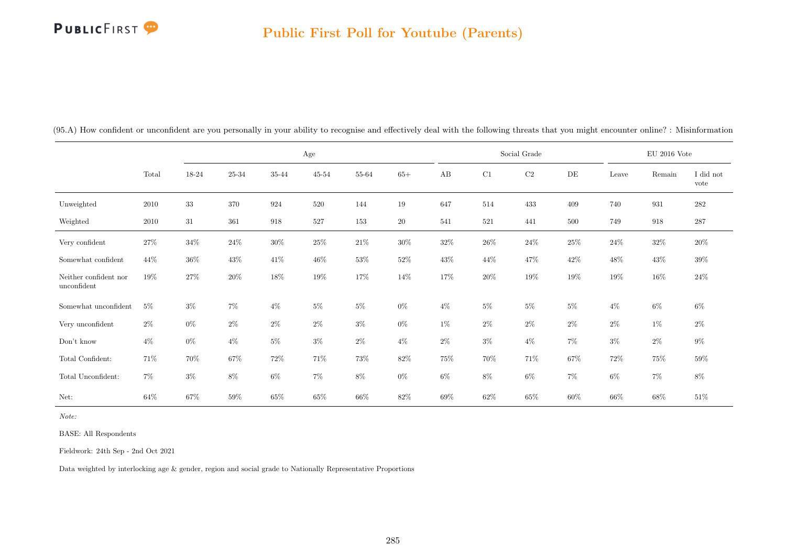### Public First Poll for Youtube (Parents)

|                                      |          |        |           |           | Age       |           |        |        |        | Social Grade |           |        | $\mathrm{EU}$ 2016 Vote |                   |
|--------------------------------------|----------|--------|-----------|-----------|-----------|-----------|--------|--------|--------|--------------|-----------|--------|-------------------------|-------------------|
|                                      | Total    | 18-24  | $25 - 34$ | $35 - 44$ | $45 - 54$ | $55 - 64$ | $65+$  | AB     | C1     | $\rm C2$     | $\rm{DE}$ | Leave  | Remain                  | I did not<br>vote |
| Unweighted                           | $2010\,$ | 33     | 370       | 924       | 520       | 144       | $19\,$ | 647    | 514    | 433          | 409       | 740    | 931                     | 282               |
| Weighted                             | 2010     | $31\,$ | 361       | 918       | 527       | 153       | 20     | 541    | 521    | 441          | 500       | 749    | 918                     | $287\,$           |
| Very confident                       | $27\%$   | $34\%$ | $24\%$    | $30\%$    | $25\%$    | $21\%$    | $30\%$ | $32\%$ | $26\%$ | $24\%$       | $25\%$    | 24\%   | $32\%$                  | $20\%$            |
| Somewhat confident                   | $44\%$   | $36\%$ | $43\%$    | $41\%$    | $46\%$    | $53\%$    | $52\%$ | $43\%$ | 44\%   | 47%          | 42\%      | 48%    | 43%                     | $39\%$            |
| Neither confident nor<br>unconfident | $19\%$   | $27\%$ | $20\%$    | 18%       | $19\%$    | $17\%$    | 14\%   | 17%    | $20\%$ | 19%          | 19%       | 19%    | 16%                     | $24\%$            |
| Somewhat unconfident                 | $5\%$    | $3\%$  | $7\%$     | $4\%$     | $5\%$     | $5\%$     | $0\%$  | $4\%$  | $5\%$  | $5\%$        | $5\%$     | $4\%$  | $6\%$                   | $6\%$             |
| Very unconfident                     | $2\%$    | $0\%$  | $2\%$     | $2\%$     | $2\%$     | $3\%$     | $0\%$  | 1%     | $2\%$  | $2\%$        | $2\%$     | $2\%$  | $1\%$                   | $2\%$             |
| Don't know                           | $4\%$    | $0\%$  | $4\%$     | $5\%$     | $3\%$     | $2\%$     | $4\%$  | $2\%$  | $3\%$  | $4\%$        | 7%        | $3\%$  | $2\%$                   | $9\%$             |
| Total Confident:                     | 71%      | 70%    | $67\%$    | $72\%$    | 71%       | 73%       | $82\%$ | 75%    | $70\%$ | 71\%         | 67%       | $72\%$ | 75%                     | $59\%$            |
| Total Unconfident:                   | $7\%$    | $3\%$  | $8\%$     | $6\%$     | 7%        | $8\%$     | $0\%$  | $6\%$  | $8\%$  | $6\%$        | $7\%$     | $6\%$  | $7\%$                   | $8\%$             |
| Net:                                 | $64\%$   | $67\%$ | $59\%$    | $65\%$    | 65%       | $66\%$    | $82\%$ | $69\%$ | $62\%$ | 65%          | $60\%$    | $66\%$ | 68%                     | $51\%$            |

(95.A) How confident or unconfident are you personally in your ability to recognise and effectively deal with the following threats that you might encounter online? : Misinformation

Note:

BASE: All Respondents

Fieldwork: 24th Sep - 2nd Oct 2021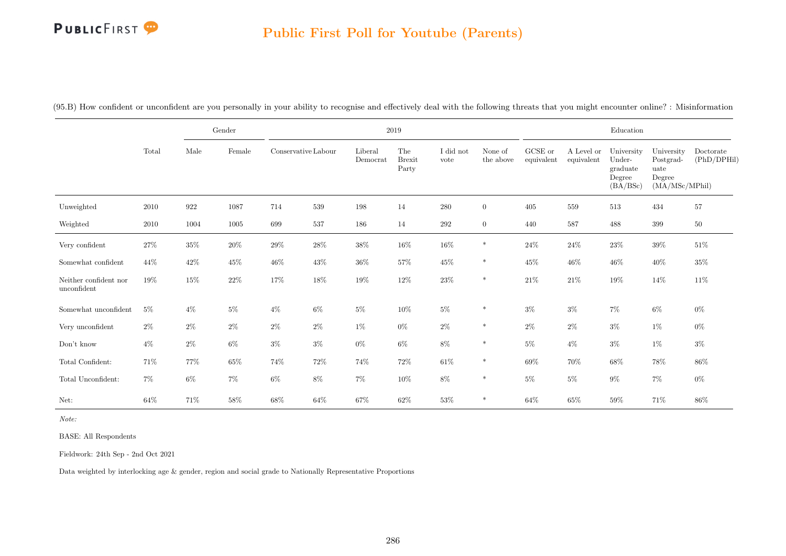### Public First Poll for Youtube (Parents)

|                                      |        |        | Gender |                     |        |                     | $2019\,$                      |                   |                      |                       |                          | Education                                              |                                                             |                          |
|--------------------------------------|--------|--------|--------|---------------------|--------|---------------------|-------------------------------|-------------------|----------------------|-----------------------|--------------------------|--------------------------------------------------------|-------------------------------------------------------------|--------------------------|
|                                      | Total  | Male   | Female | Conservative Labour |        | Liberal<br>Democrat | The<br><b>Brexit</b><br>Party | I did not<br>vote | None of<br>the above | GCSE or<br>equivalent | A Level or<br>equivalent | University<br>Under-<br>graduate<br>Degree<br>(BA/BSc) | University<br>Postgrad-<br>uate<br>Degree<br>(MA/MSc/MPhil) | Doctorate<br>(PhD/DPHil) |
| Unweighted                           | 2010   | 922    | 1087   | 714                 | 539    | 198                 | 14                            | 280               | $\overline{0}$       | 405                   | 559                      | 513                                                    | 434                                                         | 57                       |
| Weighted                             | 2010   | 1004   | 1005   | 699                 | 537    | 186                 | 14                            | $\,292$           | $\overline{0}$       | 440                   | 587                      | 488                                                    | $399\,$                                                     | $50\,$                   |
| Very confident                       | $27\%$ | $35\%$ | $20\%$ | $29\%$              | $28\%$ | $38\%$              | $16\%$                        | $16\%$            | $\ast$               | $24\%$                | $24\%$                   | $23\%$                                                 | $39\%$                                                      | 51%                      |
| Somewhat confident                   | 44\%   | 42\%   | $45\%$ | $46\%$              | $43\%$ | $36\%$              | $57\%$                        | $45\%$            | $\ast$               | $45\%$                | 46\%                     | $46\%$                                                 | $40\%$                                                      | 35%                      |
| Neither confident nor<br>unconfident | 19%    | $15\%$ | $22\%$ | 17%                 | $18\%$ | $19\%$              | 12%                           | $23\%$            | $\ast$               | $21\%$                | $21\%$                   | $19\%$                                                 | 14\%                                                        | $11\%$                   |
| Somewhat unconfident                 | $5\%$  | $4\%$  | $5\%$  | $4\%$               | $6\%$  | $5\%$               | $10\%$                        | $5\%$             | $\ast$               | $3\%$                 | $3\%$                    | $7\%$                                                  | $6\%$                                                       | $0\%$                    |
| Very unconfident                     | $2\%$  | $2\%$  | $2\%$  | $2\%$               | $2\%$  | $1\%$               | $0\%$                         | $2\%$             | $\ast$               | $2\%$                 | $2\%$                    | $3\%$                                                  | $1\%$                                                       | $0\%$                    |
| Don't know                           | $4\%$  | $2\%$  | $6\%$  | $3\%$               | $3\%$  | $0\%$               | $6\%$                         | $8\%$             | $\ast$               | $5\%$                 | $4\%$                    | $3\%$                                                  | $1\%$                                                       | $3\%$                    |
| Total Confident:                     | 71\%   | 77%    | $65\%$ | 74%                 | $72\%$ | 74%                 | $72\%$                        | $61\%$            | $\ast$               | $69\%$                | 70%                      | $68\%$                                                 | $78\%$                                                      | 86%                      |
| Total Unconfident:                   | $7\%$  | $6\%$  | $7\%$  | $6\%$               | $8\%$  | $7\%$               | $10\%$                        | $8\%$             | $\ast$               | $5\%$                 | $5\%$                    | $9\%$                                                  | $7\%$                                                       | $0\%$                    |
| Net:                                 | 64%    | 71%    | $58\%$ | 68\%                | 64%    | $67\%$              | $62\%$                        | $53\%$            | $\ast$               | $64\%$                | $65\%$                   | $59\%$                                                 | 71%                                                         | $86\%$                   |

(95.B) How confident or unconfident are you personally in your ability to recognise and effectively deal with the following threats that you might encounter online? : Misinformation

Note:

BASE: All Respondents

Fieldwork: 24th Sep - 2nd Oct 2021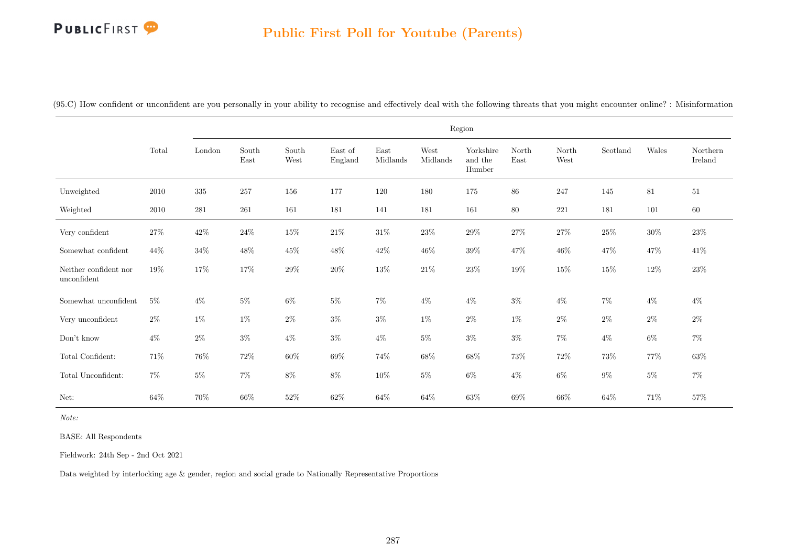#### Public First Poll for Youtube (Parents)

|                                      |        |           |                                |               |                    |                                   |                  | Region                         |               |               |          |        |                     |
|--------------------------------------|--------|-----------|--------------------------------|---------------|--------------------|-----------------------------------|------------------|--------------------------------|---------------|---------------|----------|--------|---------------------|
|                                      | Total  | London    | $\operatorname{South}$<br>East | South<br>West | East of<br>England | $\operatorname{East}$<br>Midlands | West<br>Midlands | Yorkshire<br>and the<br>Humber | North<br>East | North<br>West | Scotland | Wales  | Northern<br>Ireland |
| Unweighted                           | 2010   | $335\,$   | 257                            | 156           | 177                | $120\,$                           | 180              | $175\,$                        | 86            | 247           | 145      | 81     | 51                  |
| Weighted                             | 2010   | $\bf 281$ | 261                            | 161           | 181                | 141                               | 181              | 161                            | $80\,$        | $221\,$       | 181      | 101    | 60                  |
| Very confident                       | $27\%$ | $42\%$    | $24\%$                         | $15\%$        | $21\%$             | $31\%$                            | $23\%$           | $29\%$                         | $27\%$        | $27\%$        | $25\%$   | $30\%$ | $23\%$              |
| Somewhat confident                   | $44\%$ | $34\%$    | 48%                            | $45\%$        | 48%                | $42\%$                            | 46%              | $39\%$                         | $47\%$        | $46\%$        | $47\%$   | 47%    | 41\%                |
| Neither confident nor<br>unconfident | 19%    | $17\%$    | $17\%$                         | $29\%$        | $20\%$             | $13\%$                            | $21\%$           | $23\%$                         | $19\%$        | $15\%$        | $15\%$   | $12\%$ | $23\%$              |
| Somewhat unconfident                 | $5\%$  | $4\%$     | $5\%$                          | $6\%$         | $5\%$              | $7\%$                             | $4\%$            | $4\%$                          | $3\%$         | $4\%$         | $7\%$    | $4\%$  | $4\%$               |
| Very unconfident                     | $2\%$  | $1\%$     | $1\%$                          | $2\%$         | $3\%$              | $3\%$                             | $1\%$            | $2\%$                          | $1\%$         | $2\%$         | $2\%$    | $2\%$  | $2\%$               |
| Don't know                           | $4\%$  | $2\%$     | $3\%$                          | $4\%$         | $3\%$              | $4\%$                             | $5\%$            | $3\%$                          | $3\%$         | $7\%$         | $4\%$    | $6\%$  | $7\%$               |
| Total Confident:                     | 71%    | 76%       | 72\%                           | 60%           | 69%                | 74%                               | 68%              | 68%                            | 73%           | 72%           | 73%      | 77%    | 63%                 |
| Total Unconfident:                   | $7\%$  | $5\%$     | $7\%$                          | $8\%$         | $8\%$              | $10\%$                            | $5\%$            | $6\%$                          | $4\%$         | $6\%$         | $9\%$    | $5\%$  | $7\%$               |
| Net:                                 | $64\%$ | $70\%$    | $66\%$                         | $52\%$        | $62\%$             | $64\%$                            | $64\%$           | $63\%$                         | $69\%$        | $66\%$        | $64\%$   | $71\%$ | $57\%$              |

(95.C) How confident or unconfident are you personally in your ability to recognise and effectively deal with the following threats that you might encounter online? : Misinformation

Note:

BASE: All Respondents

Fieldwork: 24th Sep - 2nd Oct 2021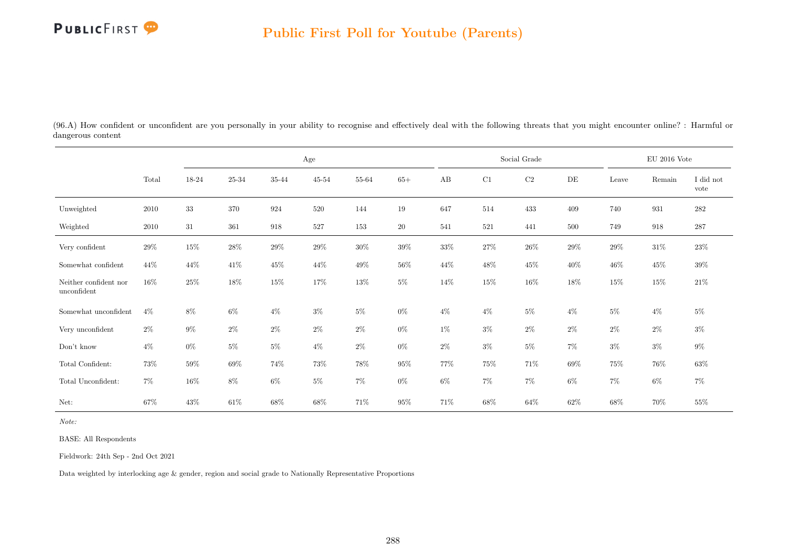

(96.A) How confident or unconfident are you personally in your ability to recognise and effectively deal with the following threats that you might encounter online? : Harmful or dangerous content

|                                      |        |        |        |        | $\rm Age$ |        |        |        |        | Social Grade |       |        | EU 2016 Vote |                   |
|--------------------------------------|--------|--------|--------|--------|-----------|--------|--------|--------|--------|--------------|-------|--------|--------------|-------------------|
|                                      | Total  | 18-24  | 25-34  | 35-44  | $45 - 54$ | 55-64  | $65+$  | AB     | C1     | $\rm{C2}$    | DE    | Leave  | Remain       | I did not<br>vote |
| Unweighted                           | 2010   | $33\,$ | 370    | 924    | 520       | 144    | 19     | 647    | 514    | 433          | 409   | 740    | 931          | $282\,$           |
| Weighted                             | 2010   | 31     | 361    | 918    | 527       | 153    | $20\,$ | 541    | 521    | 441          | 500   | 749    | 918          | $287\,$           |
| Very confident                       | 29%    | $15\%$ | 28\%   | $29\%$ | 29%       | $30\%$ | $39\%$ | $33\%$ | $27\%$ | $26\%$       | 29\%  | $29\%$ | $31\%$       | 23\%              |
| Somewhat confident                   | 44\%   | 44\%   | $41\%$ | $45\%$ | 44\%      | $49\%$ | $56\%$ | 44\%   | $48\%$ | 45\%         | 40%   | $46\%$ | $45\%$       | $39\%$            |
| Neither confident nor<br>unconfident | $16\%$ | 25%    | $18\%$ | $15\%$ | 17%       | $13\%$ | $5\%$  | 14%    | $15\%$ | $16\%$       | 18%   | $15\%$ | 15%          | $21\%$            |
| Somewhat unconfident                 | $4\%$  | 8%     | $6\%$  | $4\%$  | $3\%$     | $5\%$  | $0\%$  | $4\%$  | $4\%$  | $5\%$        | $4\%$ | $5\%$  | $4\%$        | $5\%$             |
| Very unconfident                     | $2\%$  | $9\%$  | $2\%$  | $2\%$  | $2\%$     | $2\%$  | $0\%$  | $1\%$  | $3\%$  | $2\%$        | $2\%$ | $2\%$  | $2\%$        | $3\%$             |
| Don't know                           | $4\%$  | $0\%$  | $5\%$  | $5\%$  | $4\%$     | $2\%$  | $0\%$  | $2\%$  | $3\%$  | $5\%$        | $7\%$ | $3\%$  | $3\%$        | $9\%$             |
| Total Confident:                     | $73\%$ | $59\%$ | 69%    | $74\%$ | 73%       | $78\%$ | $95\%$ | 77%    | $75\%$ | 71\%         | 69%   | $75\%$ | $76\%$       | $63\%$            |
| Total Unconfident:                   | $7\%$  | $16\%$ | $8\%$  | $6\%$  | $5\%$     | $7\%$  | $0\%$  | $6\%$  | $7\%$  | $7\%$        | $6\%$ | $7\%$  | $6\%$        | $7\%$             |
| Net:                                 | 67%    | 43%    | 61\%   | 68%    | 68%       | 71%    | $95\%$ | 71%    | 68%    | $64\%$       | 62%   | $68\%$ | 70%          | 55%               |

Note:

BASE: All Respondents

Fieldwork: 24th Sep - 2nd Oct 2021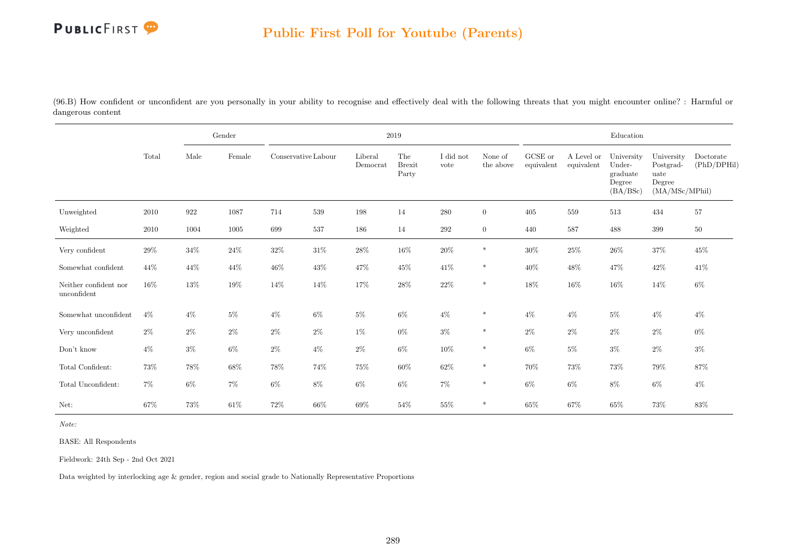

(96.B) How confident or unconfident are you personally in your ability to recognise and effectively deal with the following threats that you might encounter online? : Harmful or dangerous content

|                                           |       | Gender |        |                     |        | $2019\,$            |                               |                   |                      |                       |                          | Education                                              |                                                             |                          |
|-------------------------------------------|-------|--------|--------|---------------------|--------|---------------------|-------------------------------|-------------------|----------------------|-----------------------|--------------------------|--------------------------------------------------------|-------------------------------------------------------------|--------------------------|
|                                           | Total | Male   | Female | Conservative Labour |        | Liberal<br>Democrat | The<br><b>Brexit</b><br>Party | I did not<br>vote | None of<br>the above | GCSE or<br>equivalent | A Level or<br>equivalent | University<br>Under-<br>graduate<br>Degree<br>(BA/BSc) | University<br>Postgrad-<br>uate<br>Degree<br>(MA/MSc/MPhil) | Doctorate<br>(PhD/DPHil) |
| Unweighted                                | 2010  | 922    | 1087   | 714                 | 539    | 198                 | 14                            | 280               | $\overline{0}$       | 405                   | 559                      | 513                                                    | 434                                                         | 57                       |
| Weighted                                  | 2010  | 1004   | 1005   | 699                 | 537    | 186                 | 14                            | $\,292$           | $\overline{0}$       | 440                   | 587                      | 488                                                    | 399                                                         | $50\,$                   |
| Very confident                            | 29%   | 34%    | $24\%$ | $32\%$              | $31\%$ | $28\%$              | $16\%$                        | $20\%$            | $\ast$               | $30\%$                | $25\%$                   | $26\%$                                                 | $37\%$                                                      | $45\%$                   |
| Somewhat confident                        | 44%   | 44\%   | 44%    | 46%                 | $43\%$ | 47\%                | 45\%                          | $41\%$            | *                    | $40\%$                | 48\%                     | 47\%                                                   | $42\%$                                                      | $41\%$                   |
| Neither confident nor<br>$\;$ unconfident | 16%   | 13%    | $19\%$ | $14\%$              | 14%    | $17\%$              | $28\%$                        | $22\%$            | $\ast$               | $18\%$                | $16\%$                   | $16\%$                                                 | 14%                                                         | $6\%$                    |
| Somewhat unconfident                      | $4\%$ | $4\%$  | $5\%$  | $4\%$               | $6\%$  | $5\%$               | $6\%$                         | $4\%$             | $\ast$               | $4\%$                 | $4\%$                    | $5\%$                                                  | $4\%$                                                       | $4\%$                    |
| Very unconfident                          | $2\%$ | $2\%$  | $2\%$  | $2\%$               | $2\%$  | 1%                  | $0\%$                         | $3\%$             | $\ast$               | $2\%$                 | $2\%$                    | $2\%$                                                  | $2\%$                                                       | $0\%$                    |
| Don't know                                | $4\%$ | $3\%$  | 6%     | $2\%$               | $4\%$  | $2\%$               | $6\%$                         | $10\%$            | $\ast$               | $6\%$                 | $5\%$                    | $3\%$                                                  | $2\%$                                                       | $3\%$                    |
| Total Confident:                          | 73%   | $78\%$ | $68\%$ | 78%                 | $74\%$ | $75\%$              | $60\%$                        | $62\%$            | $\ast$               | 70%                   | $73\%$                   | 73%                                                    | $79\%$                                                      | 87%                      |
| Total Unconfident:                        | $7\%$ | $6\%$  | $7\%$  | $6\%$               | $8\%$  | 6%                  | $6\%$                         | $7\%$             | $\ast$               | $6\%$                 | $6\%$                    | 8%                                                     | $6\%$                                                       | $4\%$                    |
| Net:                                      | 67%   | $73\%$ | $61\%$ | $72\%$              | $66\%$ | 69%                 | 54%                           | $55\%$            | $\ast$               | $65\%$                | $67\%$                   | $65\%$                                                 | 73%                                                         | $83\%$                   |

Note:

BASE: All Respondents

Fieldwork: 24th Sep - 2nd Oct 2021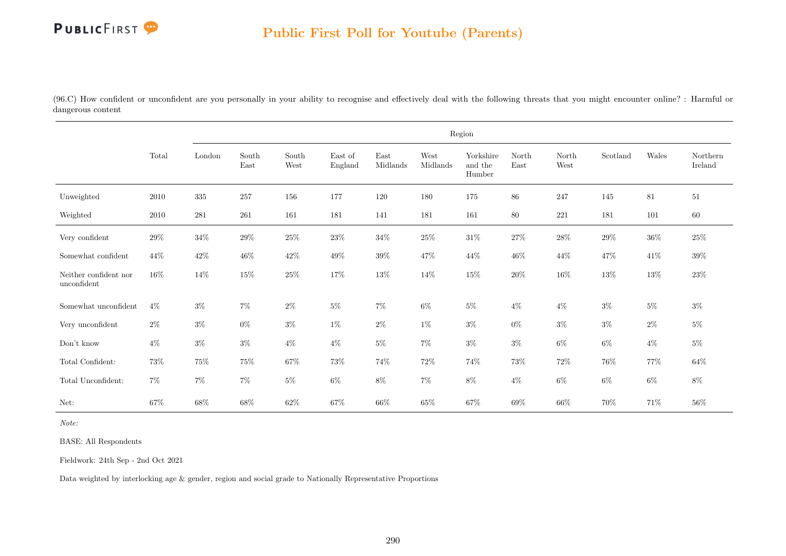(96.C) How confident or unconfident are you personally in your ability to recognise and effectively deal with the following threats that you might encounter online? : Harmful or dangerous content

|                                      |        |           |               |               |                    |                                   |                  | Region                         |               |               |          |        |                     |
|--------------------------------------|--------|-----------|---------------|---------------|--------------------|-----------------------------------|------------------|--------------------------------|---------------|---------------|----------|--------|---------------------|
|                                      | Total  | London    | South<br>East | South<br>West | East of<br>England | $\operatorname{East}$<br>Midlands | West<br>Midlands | Yorkshire<br>and the<br>Humber | North<br>East | North<br>West | Scotland | Wales  | Northern<br>Ireland |
| Unweighted                           | 2010   | $335\,$   | 257           | 156           | 177                | 120                               | 180              | 175                            | $86\,$        | 247           | 145      | $81\,$ | $51\,$              |
| Weighted                             | 2010   | $\bf 281$ | $261\,$       | 161           | 181                | 141                               | 181              | 161                            | 80            | $221\,$       | 181      | 101    | $60\,$              |
| Very confident                       | $29\%$ | $34\%$    | $29\%$        | $25\%$        | $23\%$             | $34\%$                            | $25\%$           | $31\%$                         | $27\%$        | $28\%$        | 29%      | $36\%$ | $25\%$              |
| Somewhat confident                   | 44\%   | $42\%$    | 46\%          | $42\%$        | $49\%$             | $39\%$                            | 47%              | 44\%                           | $46\%$        | $44\%$        | 47%      | $41\%$ | $39\%$              |
| Neither confident nor<br>unconfident | $16\%$ | $14\%$    | $15\%$        | $25\%$        | $17\%$             | $13\%$                            | 14%              | $15\%$                         | $20\%$        | $16\%$        | $13\%$   | $13\%$ | $23\%$              |
| Somewhat unconfident                 | $4\%$  | $3\%$     | $7\%$         | $2\%$         | $5\%$              | $7\%$                             | $6\%$            | $5\%$                          | $4\%$         | $4\%$         | $3\%$    | $5\%$  | $3\%$               |
| Very unconfident                     | $2\%$  | $3\%$     | $0\%$         | $3\%$         | $1\%$              | $2\%$                             | $1\%$            | $3\%$                          | $0\%$         | $3\%$         | $3\%$    | $2\%$  | $5\%$               |
| Don't know                           | $4\%$  | $3\%$     | $3\%$         | $4\%$         | $4\%$              | $5\%$                             | $7\%$            | $3\%$                          | $3\%$         | $6\%$         | $6\%$    | $4\%$  | $5\%$               |
| Total Confident:                     | 73%    | $75\%$    | $75\%$        | $67\%$        | $73\%$             | $74\%$                            | $72\%$           | 74%                            | $73\%$        | $72\%$        | $76\%$   | 77%    | 64%                 |
| Total Unconfident:                   | $7\%$  | $7\%$     | $7\%$         | $5\%$         | $6\%$              | $8\%$                             | $7\%$            | $8\%$                          | $4\%$         | $6\%$         | $6\%$    | $6\%$  | $8\%$               |
| Net:                                 | $67\%$ | $68\%$    | $68\%$        | $62\%$        | 67%                | $66\%$                            | 65%              | $67\%$                         | 69%           | $66\%$        | 70%      | 71%    | $56\%$              |

Note:

BASE: All Respondents

Fieldwork: 24th Sep - 2nd Oct 2021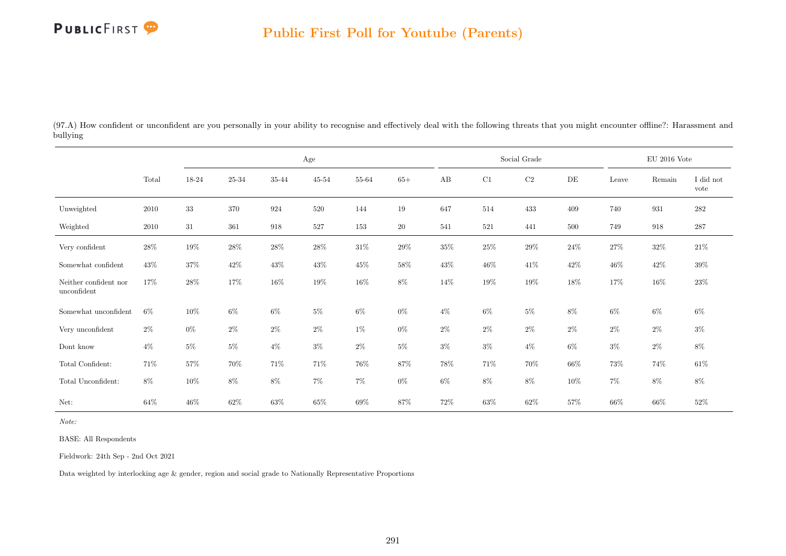

(97.A) How confident or unconfident are you personally in your ability to recognise and effectively deal with the following threats that you might encounter offline?: Harassment and bullying

|                                      |        |        |        |        | Age       |        |        |        |         | Social Grade |        |        | $\rm EU$ 2016 Vote |                   |
|--------------------------------------|--------|--------|--------|--------|-----------|--------|--------|--------|---------|--------------|--------|--------|--------------------|-------------------|
|                                      | Total  | 18-24  | 25-34  | 35-44  | $45 - 54$ | 55-64  | $65+$  | AB     | C1      | $\rm{C2}$    | DE     | Leave  | Remain             | I did not<br>vote |
| Unweighted                           | 2010   | 33     | 370    | 924    | 520       | 144    | 19     | 647    | 514     | 433          | 409    | 740    | 931                | $282\,$           |
| Weighted                             | 2010   | $31\,$ | 361    | 918    | 527       | 153    | $20\,$ | 541    | $521\,$ | 441          | 500    | 749    | 918                | $287\,$           |
| Very confident                       | $28\%$ | 19%    | $28\%$ | $28\%$ | $28\%$    | $31\%$ | $29\%$ | $35\%$ | $25\%$  | $29\%$       | $24\%$ | $27\%$ | $32\%$             | $21\%$            |
| Somewhat confident                   | 43\%   | $37\%$ | $42\%$ | $43\%$ | $43\%$    | $45\%$ | $58\%$ | $43\%$ | $46\%$  | $41\%$       | $42\%$ | $46\%$ | 42\%               | $39\%$            |
| Neither confident nor<br>unconfident | 17%    | 28\%   | 17%    | $16\%$ | 19%       | $16\%$ | 8%     | 14%    | 19%     | 19%          | $18\%$ | 17%    | $16\%$             | 23\%              |
| Somewhat unconfident                 | $6\%$  | $10\%$ | $6\%$  | $6\%$  | $5\%$     | $6\%$  | $0\%$  | $4\%$  | $6\%$   | $5\%$        | $8\%$  | $6\%$  | $6\%$              | $6\%$             |
| Very unconfident                     | $2\%$  | $0\%$  | $2\%$  | $2\%$  | $2\%$     | 1%     | $0\%$  | $2\%$  | $2\%$   | $2\%$        | $2\%$  | $2\%$  | $2\%$              | $3\%$             |
| Dont know                            | $4\%$  | $5\%$  | $5\%$  | $4\%$  | $3\%$     | $2\%$  | $5\%$  | $3\%$  | $3\%$   | $4\%$        | $6\%$  | $3\%$  | $2\%$              | $8\%$             |
| Total Confident:                     | 71%    | $57\%$ | 70%    | 71%    | 71%       | 76%    | 87%    | $78\%$ | 71%     | 70%          | 66\%   | $73\%$ | 74%                | $61\%$            |
| Total Unconfident:                   | $8\%$  | $10\%$ | $8\%$  | $8\%$  | $7\%$     | $7\%$  | $0\%$  | $6\%$  | $8\%$   | $8\%$        | $10\%$ | $7\%$  | $8\%$              | $8\%$             |
| Net:                                 | $64\%$ | $46\%$ | $62\%$ | $63\%$ | $65\%$    | 69%    | 87%    | 72%    | $63\%$  | $62\%$       | 57%    | $66\%$ | $66\%$             | $52\%$            |

Note:

BASE: All Respondents

Fieldwork: 24th Sep - 2nd Oct 2021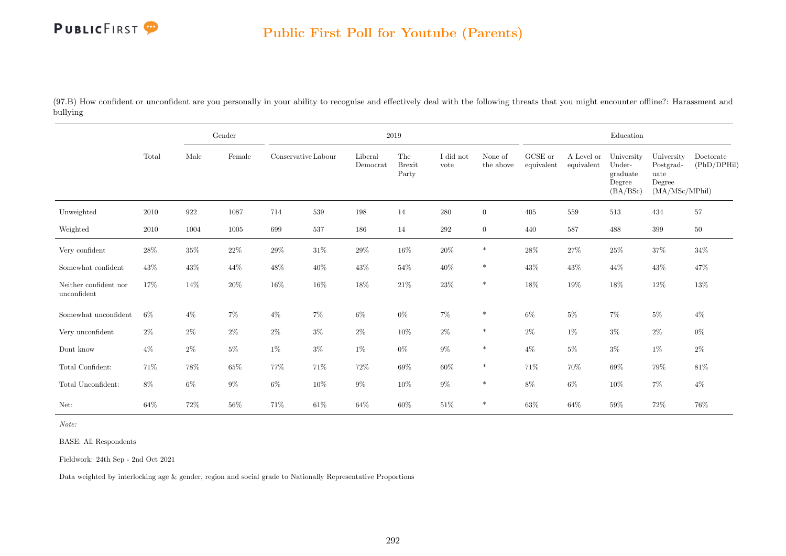

(97.B) How confident or unconfident are you personally in your ability to recognise and effectively deal with the following threats that you might encounter offline?: Harassment and bullying

|                                      |        |        | Gender |                     |        |                     | 2019                          |                   |                      |                               |                          | Education                                              |                                                             |                          |
|--------------------------------------|--------|--------|--------|---------------------|--------|---------------------|-------------------------------|-------------------|----------------------|-------------------------------|--------------------------|--------------------------------------------------------|-------------------------------------------------------------|--------------------------|
|                                      | Total  | Male   | Female | Conservative Labour |        | Liberal<br>Democrat | The<br><b>Brexit</b><br>Party | I did not<br>vote | None of<br>the above | ${\rm GCSE}$ or<br>equivalent | A Level or<br>equivalent | University<br>Under-<br>graduate<br>Degree<br>(BA/BSc) | University<br>Postgrad-<br>uate<br>Degree<br>(MA/MSc/MPhil) | Doctorate<br>(PhD/DPHil) |
| Unweighted                           | 2010   | 922    | 1087   | 714                 | 539    | 198                 | 14                            | 280               | $\overline{0}$       | 405                           | 559                      | 513                                                    | 434                                                         | $57\,$                   |
| Weighted                             | 2010   | 1004   | 1005   | 699                 | 537    | 186                 | 14                            | $\,292$           | $\overline{0}$       | 440                           | 587                      | 488                                                    | 399                                                         | $50\,$                   |
| Very confident                       | 28%    | 35%    | $22\%$ | $29\%$              | $31\%$ | $29\%$              | $16\%$                        | $20\%$            | $\ast$               | $28\%$                        | 27%                      | $25\%$                                                 | $37\%$                                                      | 34%                      |
| Somewhat confident                   | $43\%$ | $43\%$ | 44\%   | $48\%$              | $40\%$ | $43\%$              | $54\%$                        | $40\%$            | $\ast$               | $43\%$                        | 43%                      | 44\%                                                   | $43\%$                                                      | 47%                      |
| Neither confident nor<br>unconfident | 17%    | 14\%   | $20\%$ | $16\%$              | $16\%$ | $18\%$              | $21\%$                        | $23\%$            | $\ast$               | 18%                           | $19\%$                   | $18\%$                                                 | $12\%$                                                      | $13\%$                   |
| Somewhat unconfident                 | $6\%$  | $4\%$  | $7\%$  | $4\%$               | $7\%$  | 6%                  | $0\%$                         | $7\%$             | $\ast$               | $6\%$                         | $5\%$                    | $7\%$                                                  | $5\%$                                                       | $4\%$                    |
| Very unconfident                     | $2\%$  | $2\%$  | $2\%$  | $2\%$               | $3\%$  | $2\%$               | $10\%$                        | $2\%$             | $\ast$               | $2\%$                         | $1\%$                    | $3\%$                                                  | $2\%$                                                       | $0\%$                    |
| Dont know                            | $4\%$  | $2\%$  | $5\%$  | $1\%$               | $3\%$  | $1\%$               | $0\%$                         | $9\%$             | $\ast$               | $4\%$                         | $5\%$                    | $3\%$                                                  | $1\%$                                                       | $2\%$                    |
| Total Confident:                     | 71\%   | 78%    | $65\%$ | $77\%$              | 71%    | $72\%$              | $69\%$                        | $60\%$            | $\ast$               | 71%                           | 70%                      | 69%                                                    | $79\%$                                                      | 81%                      |
| Total Unconfident:                   | $8\%$  | $6\%$  | $9\%$  | $6\%$               | $10\%$ | $9\%$               | $10\%$                        | $9\%$             | $\ast$               | 8%                            | $6\%$                    | $10\%$                                                 | $7\%$                                                       | $4\%$                    |
| Net:                                 | 64%    | $72\%$ | $56\%$ | 71%                 | $61\%$ | $64\%$              | $60\%$                        | $51\%$            | $\ast$               | $63\%$                        | $64\%$                   | $59\%$                                                 | 72%                                                         | 76%                      |

Note:

BASE: All Respondents

Fieldwork: 24th Sep - 2nd Oct 2021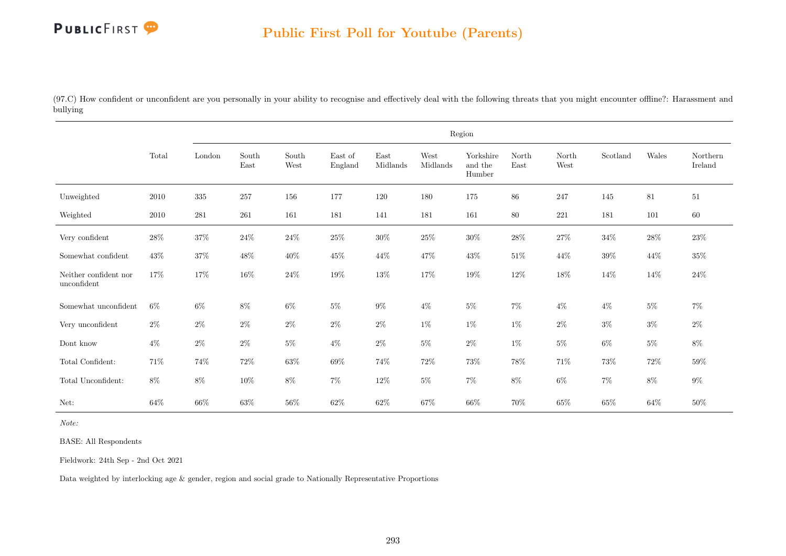

(97.C) How confident or unconfident are you personally in your ability to recognise and effectively deal with the following threats that you might encounter offline?: Harassment and bullying

|                                      |          |           |               |               |                    |                                   |                  | Region                         |               |                                |          |        |                     |
|--------------------------------------|----------|-----------|---------------|---------------|--------------------|-----------------------------------|------------------|--------------------------------|---------------|--------------------------------|----------|--------|---------------------|
|                                      | Total    | London    | South<br>East | South<br>West | East of<br>England | $\operatorname{East}$<br>Midlands | West<br>Midlands | Yorkshire<br>and the<br>Humber | North<br>East | North<br>$\operatorname{West}$ | Scotland | Wales  | Northern<br>Ireland |
| Unweighted                           | $2010\,$ | $335\,$   | 257           | $156\,$       | 177                | 120                               | 180              | $175\,$                        | $86\,$        | 247                            | 145      | 81     | 51                  |
| Weighted                             | 2010     | $\bf 281$ | 261           | 161           | 181                | 141                               | 181              | 161                            | 80            | 221                            | 181      | 101    | $60\,$              |
| Very confident                       | $28\%$   | $37\%$    | $24\%$        | $24\%$        | $25\%$             | $30\%$                            | $25\%$           | $30\%$                         | $28\%$        | $27\%$                         | $34\%$   | $28\%$ | $23\%$              |
| Somewhat confident                   | 43\%     | $37\%$    | $48\%$        | $40\%$        | $45\%$             | $44\%$                            | 47%              | $43\%$                         | $51\%$        | 44\%                           | $39\%$   | 44\%   | $35\%$              |
| Neither confident nor<br>unconfident | $17\%$   | $17\%$    | $16\%$        | $24\%$        | $19\%$             | $13\%$                            | $17\%$           | $19\%$                         | $12\%$        | $18\%$                         | 14%      | 14%    | $24\%$              |
| Somewhat unconfident                 | $6\%$    | $6\%$     | $8\%$         | $6\%$         | $5\%$              | $9\%$                             | $4\%$            | $5\%$                          | $7\%$         | $4\%$                          | $4\%$    | $5\%$  | $7\%$               |
| Very unconfident                     | $2\%$    | $2\%$     | $2\%$         | $2\%$         | $2\%$              | $2\%$                             | $1\%$            | $1\%$                          | $1\%$         | $2\%$                          | $3\%$    | $3\%$  | $2\%$               |
| Dont know                            | $4\%$    | $2\%$     | $2\%$         | $5\%$         | $4\%$              | $2\%$                             | $5\%$            | $2\%$                          | $1\%$         | $5\%$                          | $6\%$    | $5\%$  | $8\%$               |
| Total Confident:                     | 71%      | $74\%$    | $72\%$        | $63\%$        | $69\%$             | 74%                               | $72\%$           | $73\%$                         | 78%           | $71\%$                         | 73%      | $72\%$ | $59\%$              |
| Total Unconfident:                   | $8\%$    | $8\%$     | $10\%$        | $8\%$         | $7\%$              | $12\%$                            | $5\%$            | $7\%$                          | $8\%$         | $6\%$                          | $7\%$    | $8\%$  | $9\%$               |
| Net:                                 | 64%      | $66\%$    | 63%           | $56\%$        | $62\%$             | $62\%$                            | 67%              | $66\%$                         | 70%           | $65\%$                         | 65%      | $64\%$ | 50%                 |

Note:

BASE: All Respondents

Fieldwork: 24th Sep - 2nd Oct 2021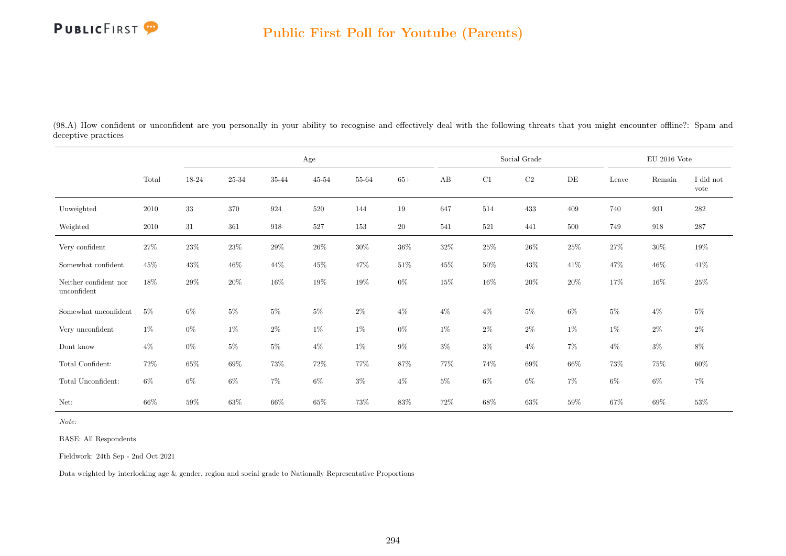

(98.A) How confident or unconfident are you personally in your ability to recognise and effectively deal with the following threats that you might encounter offline?: Spam and deceptive practices

|                                      |        |        |        |        | Age       |        |        |        |        | Social Grade |        |        | EU 2016 Vote |                   |
|--------------------------------------|--------|--------|--------|--------|-----------|--------|--------|--------|--------|--------------|--------|--------|--------------|-------------------|
|                                      | Total  | 18-24  | 25-34  | 35-44  | $45 - 54$ | 55-64  | $65+$  | AB     | C1     | $\rm{C2}$    | DE     | Leave  | Remain       | I did not<br>vote |
| Unweighted                           | 2010   | $33\,$ | 370    | 924    | 520       | 144    | 19     | 647    | 514    | 433          | 409    | 740    | 931          | 282               |
| Weighted                             | 2010   | 31     | 361    | 918    | 527       | 153    | 20     | 541    | 521    | 441          | 500    | 749    | 918          | 287               |
| Very confident                       | $27\%$ | $23\%$ | 23\%   | 29%    | $26\%$    | $30\%$ | $36\%$ | $32\%$ | $25\%$ | $26\%$       | $25\%$ | $27\%$ | $30\%$       | 19%               |
| Somewhat confident                   | $45\%$ | $43\%$ | $46\%$ | $44\%$ | 45\%      | $47\%$ | $51\%$ | 45%    | $50\%$ | $43\%$       | 41\%   | $47\%$ | $46\%$       | $41\%$            |
| Neither confident nor<br>unconfident | $18\%$ | $29\%$ | $20\%$ | $16\%$ | 19%       | 19%    | $0\%$  | $15\%$ | $16\%$ | $20\%$       | $20\%$ | 17%    | 16\%         | $25\%$            |
| Somewhat unconfident                 | $5\%$  | $6\%$  | $5\%$  | $5\%$  | $5\%$     | $2\%$  | $4\%$  | $4\%$  | $4\%$  | $5\%$        | 6%     | $5\%$  | $4\%$        | $5\%$             |
| Very unconfident                     | $1\%$  | $0\%$  | $1\%$  | $2\%$  | $1\%$     | $1\%$  | $0\%$  | $1\%$  | $2\%$  | $2\%$        | $1\%$  | $1\%$  | $2\%$        | $2\%$             |
| Dont know                            | $4\%$  | $0\%$  | $5\%$  | $5\%$  | $4\%$     | 1%     | $9\%$  | $3\%$  | $3\%$  | $4\%$        | 7%     | $4\%$  | $3\%$        | 8%                |
| Total Confident:                     | 72%    | $65\%$ | 69%    | 73%    | 72\%      | 77%    | 87%    | 77%    | 74%    | $69\%$       | $66\%$ | 73%    | 75%          | $60\%$            |
| Total Unconfident:                   | $6\%$  | 6%     | $6\%$  | $7\%$  | $6\%$     | $3\%$  | $4\%$  | $5\%$  | $6\%$  | $6\%$        | $7\%$  | $6\%$  | 6%           | 7%                |
| Net:                                 | 66%    | 59%    | $63\%$ | $66\%$ | 65%       | 73%    | 83\%   | 72%    | $68\%$ | $63\%$       | 59%    | $67\%$ | $69\%$       | $53\%$            |

Note:

BASE: All Respondents

Fieldwork: 24th Sep - 2nd Oct 2021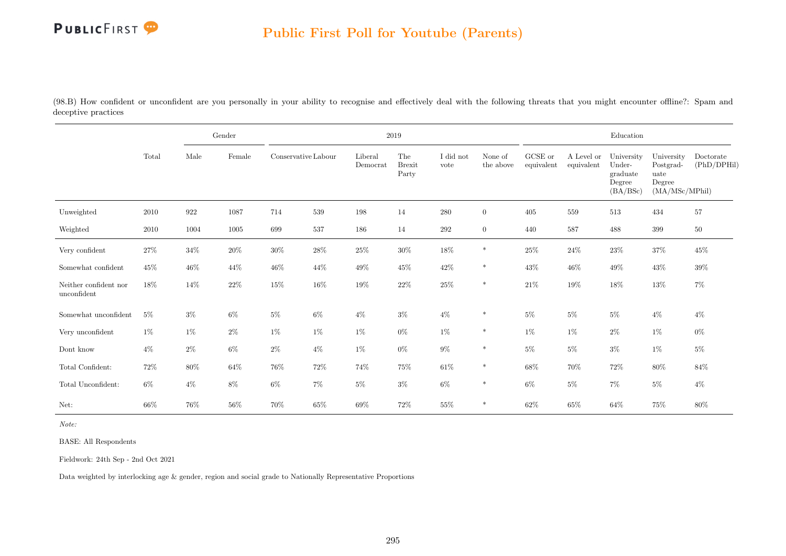

(98.B) How confident or unconfident are you personally in your ability to recognise and effectively deal with the following threats that you might encounter offline?: Spam and deceptive practices

|                                      |       |        | Gender |                     |        | 2019                |                               |                   |                      |                               |                          | Education                                              |                                                             |                          |
|--------------------------------------|-------|--------|--------|---------------------|--------|---------------------|-------------------------------|-------------------|----------------------|-------------------------------|--------------------------|--------------------------------------------------------|-------------------------------------------------------------|--------------------------|
|                                      | Total | Male   | Female | Conservative Labour |        | Liberal<br>Democrat | The<br><b>Brexit</b><br>Party | I did not<br>vote | None of<br>the above | ${\rm GCSE}$ or<br>equivalent | A Level or<br>equivalent | University<br>Under-<br>graduate<br>Degree<br>(BA/BSc) | University<br>Postgrad-<br>uate<br>Degree<br>(MA/MSc/MPhil) | Doctorate<br>(PhD/DPHil) |
| Unweighted                           | 2010  | 922    | 1087   | 714                 | 539    | 198                 | 14                            | 280               | $\overline{0}$       | 405                           | 559                      | 513                                                    | 434                                                         | 57                       |
| Weighted                             | 2010  | 1004   | 1005   | 699                 | 537    | 186                 | 14                            | 292               | $\overline{0}$       | 440                           | 587                      | 488                                                    | 399                                                         | $50\,$                   |
| Very confident                       | 27%   | $34\%$ | $20\%$ | $30\%$              | $28\%$ | $25\%$              | $30\%$                        | 18%               | $\ast$               | $25\%$                        | $24\%$                   | $23\%$                                                 | 37%                                                         | 45%                      |
| Somewhat confident                   | 45%   | $46\%$ | $44\%$ | 46%                 | 44\%   | $49\%$              | 45\%                          | $42\%$            | $\ast$               | $43\%$                        | $46\%$                   | 49\%                                                   | $43\%$                                                      | 39%                      |
| Neither confident nor<br>unconfident | 18%   | 14\%   | $22\%$ | $15\%$              | $16\%$ | $19\%$              | $22\%$                        | $25\%$            | $\ast$               | $21\%$                        | $19\%$                   | $18\%$                                                 | 13%                                                         | $7\%$                    |
| Somewhat unconfident                 | $5\%$ | $3\%$  | $6\%$  | $5\%$               | $6\%$  | $4\%$               | $3\%$                         | $4\%$             | $\ast$               | 5%                            | $5\%$                    | $5\%$                                                  | $4\%$                                                       | $4\%$                    |
| Very unconfident                     | $1\%$ | $1\%$  | $2\%$  | $1\%$               | $1\%$  | 1%                  | $0\%$                         | $1\%$             | $\ast$               | $1\%$                         | $1\%$                    | $2\%$                                                  | $1\%$                                                       | $0\%$                    |
| Dont know                            | $4\%$ | $2\%$  | $6\%$  | $2\%$               | $4\%$  | 1%                  | $0\%$                         | $9\%$             | $\ast$               | $5\%$                         | $5\%$                    | $3\%$                                                  | $1\%$                                                       | $5\%$                    |
| Total Confident:                     | 72\%  | $80\%$ | $64\%$ | 76%                 | $72\%$ | $74\%$              | 75%                           | $61\%$            | $\ast$               | 68%                           | 70%                      | 72\%                                                   | $80\%$                                                      | 84%                      |
| Total Unconfident:                   | $6\%$ | $4\%$  | 8%     | $6\%$               | $7\%$  | $5\%$               | $3\%$                         | $6\%$             | $\ast$               | $6\%$                         | $5\%$                    | $7\%$                                                  | $5\%$                                                       | $4\%$                    |
| Net:                                 | 66%   | $76\%$ | $56\%$ | 70%                 | $65\%$ | $69\%$              | 72\%                          | $55\%$            | $\ast$               | $62\%$                        | $65\%$                   | $64\%$                                                 | 75%                                                         | $80\%$                   |

Note:

BASE: All Respondents

Fieldwork: 24th Sep - 2nd Oct 2021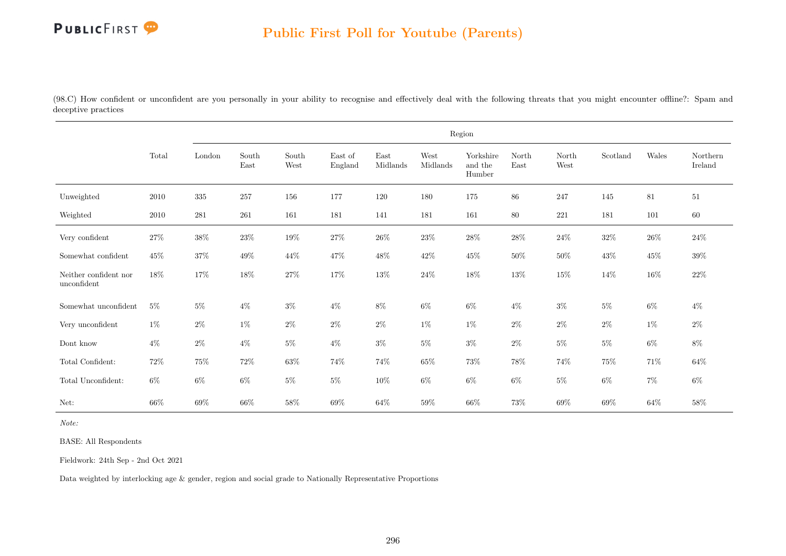(98.C) How confident or unconfident are you personally in your ability to recognise and effectively deal with the following threats that you might encounter offline?: Spam and deceptive practices

|                                      |        |           |               |               |                    |                  |                  | Region                         |               |               |          |        |                     |
|--------------------------------------|--------|-----------|---------------|---------------|--------------------|------------------|------------------|--------------------------------|---------------|---------------|----------|--------|---------------------|
|                                      | Total  | London    | South<br>East | South<br>West | East of<br>England | East<br>Midlands | West<br>Midlands | Yorkshire<br>and the<br>Humber | North<br>East | North<br>West | Scotland | Wales  | Northern<br>Ireland |
| Unweighted                           | 2010   | $335\,$   | 257           | 156           | 177                | 120              | 180              | 175                            | 86            | 247           | 145      | $81\,$ | 51                  |
| Weighted                             | 2010   | $\bf 281$ | $261\,$       | 161           | 181                | 141              | 181              | 161                            | 80            | 221           | 181      | 101    | 60                  |
| Very confident                       | $27\%$ | $38\%$    | $23\%$        | $19\%$        | $27\%$             | $26\%$           | $23\%$           | $28\%$                         | $28\%$        | $24\%$        | $32\%$   | $26\%$ | $24\%$              |
| Somewhat confident                   | 45%    | $37\%$    | 49\%          | 44\%          | 47%                | 48%              | $42\%$           | 45%                            | $50\%$        | $50\%$        | 43\%     | $45\%$ | 39%                 |
| Neither confident nor<br>unconfident | $18\%$ | $17\%$    | 18%           | $27\%$        | $17\%$             | $13\%$           | $24\%$           | $18\%$                         | 13%           | $15\%$        | $14\%$   | $16\%$ | $22\%$              |
| Somewhat unconfident                 | $5\%$  | $5\%$     | $4\%$         | $3\%$         | $4\%$              | $8\%$            | $6\%$            | $6\%$                          | $4\%$         | $3\%$         | $5\%$    | $6\%$  | $4\%$               |
| Very unconfident                     | $1\%$  | $2\%$     | $1\%$         | $2\%$         | $2\%$              | $2\%$            | $1\%$            | $1\%$                          | $2\%$         | $2\%$         | $2\%$    | $1\%$  | $2\%$               |
| Dont know                            | $4\%$  | $2\%$     | $4\%$         | $5\%$         | $4\%$              | $3\%$            | $5\%$            | $3\%$                          | $2\%$         | $5\%$         | $5\%$    | $6\%$  | $8\%$               |
| Total Confident:                     | $72\%$ | $75\%$    | $72\%$        | $63\%$        | 74%                | 74%              | $65\%$           | $73\%$                         | 78%           | 74%           | $75\%$   | 71%    | $64\%$              |
| Total Unconfident:                   | $6\%$  | $6\%$     | $6\%$         | $5\%$         | $5\%$              | $10\%$           | $6\%$            | $6\%$                          | $6\%$         | $5\%$         | $6\%$    | $7\%$  | $6\%$               |
| Net:                                 | 66%    | $69\%$    | $66\%$        | $58\%$        | 69%                | $64\%$           | 59%              | $66\%$                         | 73%           | $69\%$        | $69\%$   | $64\%$ | 58%                 |

Note:

BASE: All Respondents

Fieldwork: 24th Sep - 2nd Oct 2021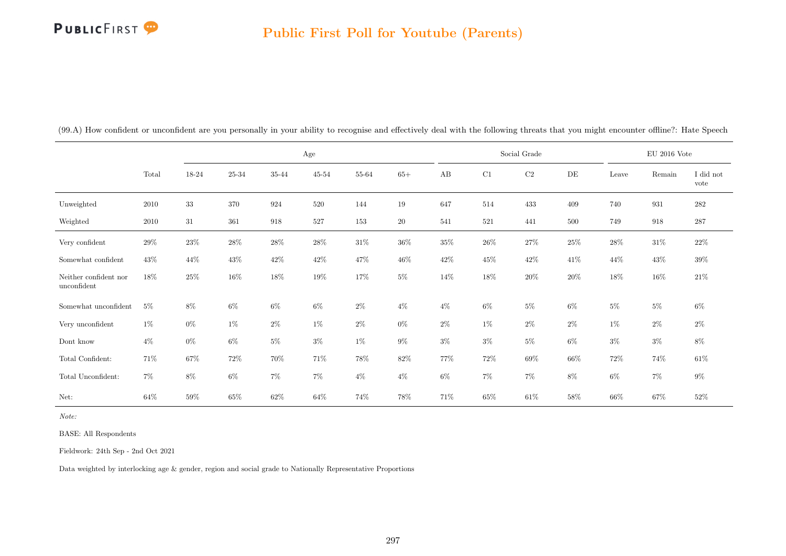### Public First Poll for Youtube (Parents)

|                                      |        |        |           |        | Age       |        |        |        |        | Social Grade |        |        | $\mathrm{EU}$ 2016 Vote |                   |
|--------------------------------------|--------|--------|-----------|--------|-----------|--------|--------|--------|--------|--------------|--------|--------|-------------------------|-------------------|
|                                      | Total  | 18-24  | $25 - 34$ | 35-44  | $45 - 54$ | 55-64  | $65+$  | AB     | C1     | $\rm{C2}$    | DE     | Leave  | Remain                  | I did not<br>vote |
| Unweighted                           | 2010   | $33\,$ | 370       | 924    | 520       | 144    | 19     | 647    | 514    | 433          | 409    | 740    | 931                     | $\bf 282$         |
| Weighted                             | 2010   | 31     | 361       | 918    | 527       | 153    | $20\,$ | 541    | 521    | 441          | 500    | 749    | 918                     | 287               |
| Very confident                       | $29\%$ | $23\%$ | 28\%      | 28\%   | $28\%$    | $31\%$ | $36\%$ | $35\%$ | $26\%$ | $27\%$       | $25\%$ | 28%    | $31\%$                  | $22\%$            |
| Somewhat confident                   | $43\%$ | 44\%   | $43\%$    | $42\%$ | $42\%$    | 47%    | $46\%$ | $42\%$ | $45\%$ | $42\%$       | 41%    | 44%    | $43\%$                  | $39\%$            |
| Neither confident nor<br>unconfident | $18\%$ | $25\%$ | $16\%$    | 18%    | $19\%$    | $17\%$ | $5\%$  | 14\%   | $18\%$ | $20\%$       | $20\%$ | $18\%$ | $16\%$                  | $21\%$            |
| Somewhat unconfident                 | $5\%$  | 8%     | $6\%$     | $6\%$  | $6\%$     | $2\%$  | $4\%$  | $4\%$  | $6\%$  | $5\%$        | $6\%$  | $5\%$  | $5\%$                   | $6\%$             |
| Very unconfident                     | $1\%$  | $0\%$  | $1\%$     | $2\%$  | $1\%$     | $2\%$  | $0\%$  | $2\%$  | $1\%$  | $2\%$        | $2\%$  | $1\%$  | $2\%$                   | $2\%$             |
| Dont know                            | $4\%$  | $0\%$  | $6\%$     | $5\%$  | $3\%$     | $1\%$  | $9\%$  | $3\%$  | $3\%$  | $5\%$        | $6\%$  | $3\%$  | $3\%$                   | $8\%$             |
| Total Confident:                     | 71%    | $67\%$ | $72\%$    | 70%    | 71%       | $78\%$ | 82\%   | 77%    | $72\%$ | $69\%$       | $66\%$ | $72\%$ | $74\%$                  | $61\%$            |
| Total Unconfident:                   | $7\%$  | 8%     | $6\%$     | $7\%$  | 7%        | $4\%$  | $4\%$  | $6\%$  | $7\%$  | $7\%$        | 8%     | $6\%$  | $7\%$                   | $9\%$             |
| Net:                                 | $64\%$ | $59\%$ | $65\%$    | $62\%$ | 64%       | 74%    | 78%    | 71%    | $65\%$ | $61\%$       | 58%    | $66\%$ | $67\%$                  | 52%               |

(99.A) How confident or unconfident are you personally in your ability to recognise and effectively deal with the following threats that you might encounter offline?: Hate Speech

Note:

BASE: All Respondents

Fieldwork: 24th Sep - 2nd Oct 2021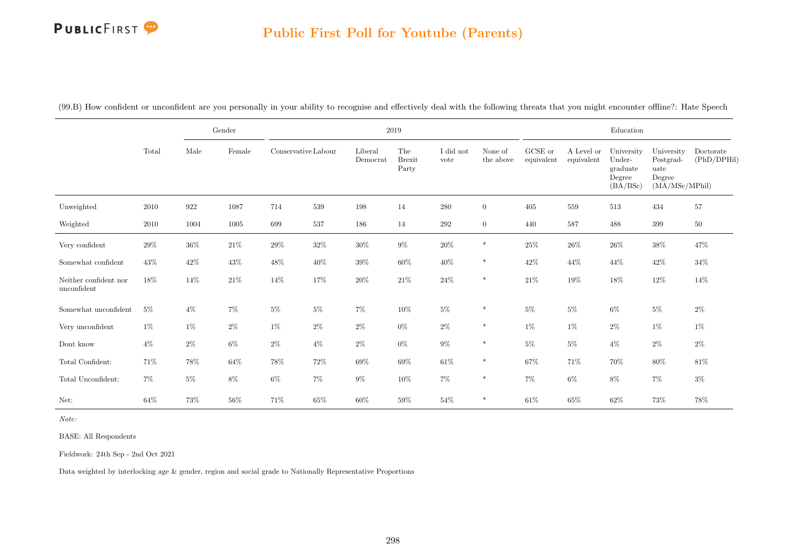### Public First Poll for Youtube (Parents)

|                                      |        |        | $\operatorname{Gender}$ |                     |        |                     | $2019\,$                      |                   |                      |                       |                          | Education                                              |                                                             |                          |
|--------------------------------------|--------|--------|-------------------------|---------------------|--------|---------------------|-------------------------------|-------------------|----------------------|-----------------------|--------------------------|--------------------------------------------------------|-------------------------------------------------------------|--------------------------|
|                                      | Total  | Male   | Female                  | Conservative Labour |        | Liberal<br>Democrat | The<br><b>Brexit</b><br>Party | I did not<br>vote | None of<br>the above | GCSE or<br>equivalent | A Level or<br>equivalent | University<br>Under-<br>graduate<br>Degree<br>(BA/BSc) | University<br>Postgrad-<br>uate<br>Degree<br>(MA/MSc/MPhil) | Doctorate<br>(PhD/DPHil) |
| Unweighted                           | 2010   | 922    | 1087                    | 714                 | 539    | 198                 | 14                            | 280               | $\overline{0}$       | 405                   | 559                      | 513                                                    | 434                                                         | 57                       |
| Weighted                             | 2010   | 1004   | 1005                    | 699                 | 537    | 186                 | 14                            | 292               | $\overline{0}$       | 440                   | 587                      | 488                                                    | $399\,$                                                     | $50\,$                   |
| Very confident                       | $29\%$ | $36\%$ | $21\%$                  | $29\%$              | $32\%$ | $30\%$              | $9\%$                         | $20\%$            | $\ast$               | $25\%$                | $26\%$                   | $26\%$                                                 | $38\%$                                                      | 47%                      |
| Somewhat confident                   | $43\%$ | $42\%$ | $43\%$                  | 48%                 | $40\%$ | $39\%$              | $60\%$                        | $40\%$            | $\ast$               | $42\%$                | 44%                      | 44%                                                    | $42\%$                                                      | $34\%$                   |
| Neither confident nor<br>unconfident | 18%    | 14\%   | $21\%$                  | $14\%$              | 17%    | $20\%$              | $21\%$                        | $24\%$            | $\ast$               | $21\%$                | $19\%$                   | $18\%$                                                 | $12\%$                                                      | 14%                      |
| Somewhat unconfident                 | $5\%$  | $4\%$  | $7\%$                   | $5\%$               | $5\%$  | $7\%$               | $10\%$                        | $5\%$             | $\ast$               | $5\%$                 | $5\%$                    | $6\%$                                                  | $5\%$                                                       | $2\%$                    |
| Very unconfident                     | $1\%$  | $1\%$  | $2\%$                   | $1\%$               | $2\%$  | $2\%$               | $0\%$                         | $2\%$             | $\ast$               | $1\%$                 | $1\%$                    | $2\%$                                                  | $1\%$                                                       | $1\%$                    |
| Dont know                            | $4\%$  | $2\%$  | $6\%$                   | $2\%$               | $4\%$  | $2\%$               | $0\%$                         | $9\%$             | $\ast$               | 5%                    | $5\%$                    | $4\%$                                                  | $2\%$                                                       | $2\%$                    |
| Total Confident:                     | 71\%   | $78\%$ | $64\%$                  | 78%                 | $72\%$ | 69%                 | $69\%$                        | $61\%$            | $\ast$               | 67%                   | 71%                      | 70%                                                    | $80\%$                                                      | $81\%$                   |
| Total Unconfident:                   | $7\%$  | $5\%$  | 8%                      | $6\%$               | $7\%$  | $9\%$               | 10%                           | $7\%$             | $\ast$               | $7\%$                 | $6\%$                    | $8\%$                                                  | $7\%$                                                       | $3\%$                    |
| Net:                                 | 64%    | $73\%$ | $56\%$                  | 71%                 | $65\%$ | $60\%$              | 59%                           | $54\%$            | $\ast$               | $61\%$                | $65\%$                   | $62\%$                                                 | 73%                                                         | $78\%$                   |

(99.B) How confident or unconfident are you personally in your ability to recognise and effectively deal with the following threats that you might encounter offline?: Hate Speech

Note:

BASE: All Respondents

Fieldwork: 24th Sep - 2nd Oct 2021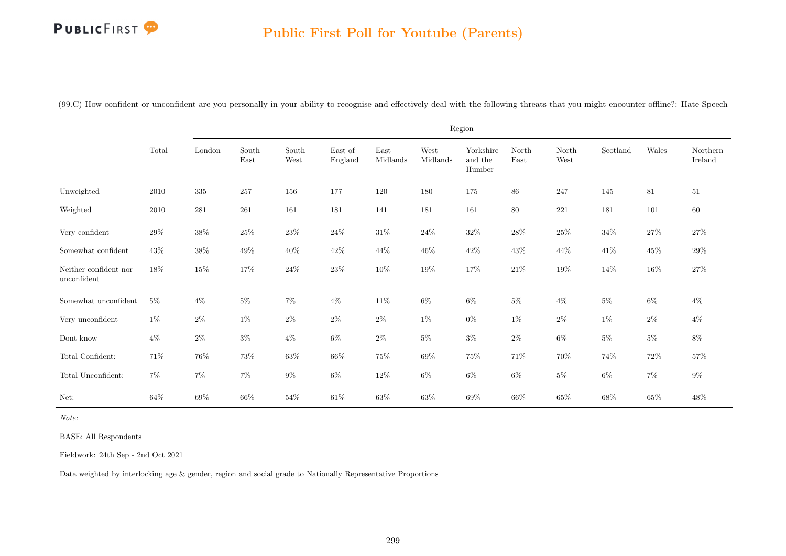# Public First Poll for Youtube (Parents)

|  |  |  |  |  | (99.C) How confident or unconfident are you personally in your ability to recognise and effectively deal with the following threats that you might encounter offline?: Hate Speech |  |
|--|--|--|--|--|------------------------------------------------------------------------------------------------------------------------------------------------------------------------------------|--|
|  |  |  |  |  |                                                                                                                                                                                    |  |

|                                      |        |         |               |               |                    |                  |                  | Region                         |               |               |          |        |                     |
|--------------------------------------|--------|---------|---------------|---------------|--------------------|------------------|------------------|--------------------------------|---------------|---------------|----------|--------|---------------------|
|                                      | Total  | London  | South<br>East | South<br>West | East of<br>England | East<br>Midlands | West<br>Midlands | Yorkshire<br>and the<br>Humber | North<br>East | North<br>West | Scotland | Wales  | Northern<br>Ireland |
| Unweighted                           | 2010   | $335\,$ | 257           | 156           | 177                | 120              | 180              | 175                            | 86            | 247           | 145      | $81\,$ | $51\,$              |
| Weighted                             | 2010   | $281\,$ | $261\,$       | 161           | 181                | 141              | 181              | 161                            | 80            | $221\,$       | 181      | 101    | 60                  |
| Very confident                       | $29\%$ | $38\%$  | $25\%$        | $23\%$        | $24\%$             | $31\%$           | $24\%$           | $32\%$                         | $28\%$        | $25\%$        | $34\%$   | $27\%$ | $27\%$              |
| Somewhat confident                   | $43\%$ | $38\%$  | $49\%$        | $40\%$        | $42\%$             | $44\%$           | $46\%$           | $42\%$                         | $43\%$        | 44\%          | $41\%$   | $45\%$ | $29\%$              |
| Neither confident nor<br>unconfident | $18\%$ | $15\%$  | $17\%$        | $24\%$        | $23\%$             | $10\%$           | $19\%$           | $17\%$                         | $21\%$        | $19\%$        | 14%      | $16\%$ | $27\%$              |
| Somewhat unconfident                 | $5\%$  | $4\%$   | $5\%$         | $7\%$         | $4\%$              | $11\%$           | $6\%$            | $6\%$                          | $5\%$         | $4\%$         | $5\%$    | $6\%$  | $4\%$               |
| Very unconfident                     | $1\%$  | $2\%$   | $1\%$         | $2\%$         | $2\%$              | $2\%$            | $1\%$            | $0\%$                          | $1\%$         | $2\%$         | $1\%$    | $2\%$  | $4\%$               |
| Dont know                            | $4\%$  | $2\%$   | $3\%$         | $4\%$         | $6\%$              | $2\%$            | $5\%$            | $3\%$                          | $2\%$         | $6\%$         | $5\%$    | $5\%$  | $8\%$               |
| Total Confident:                     | 71%    | $76\%$  | 73%           | $63\%$        | $66\%$             | $75\%$           | 69%              | $75\%$                         | 71%           | $70\%$        | 74%      | $72\%$ | 57%                 |
| Total Unconfident:                   | $7\%$  | $7\%$   | $7\%$         | $9\%$         | $6\%$              | $12\%$           | $6\%$            | $6\%$                          | $6\%$         | $5\%$         | $6\%$    | $7\%$  | $9\%$               |
| Net:                                 | 64\%   | 69%     | 66%           | 54%           | $61\%$             | $63\%$           | 63%              | $69\%$                         | 66%           | $65\%$        | 68%      | $65\%$ | $48\%$              |

Note:

BASE: All Respondents

Fieldwork: 24th Sep - 2nd Oct 2021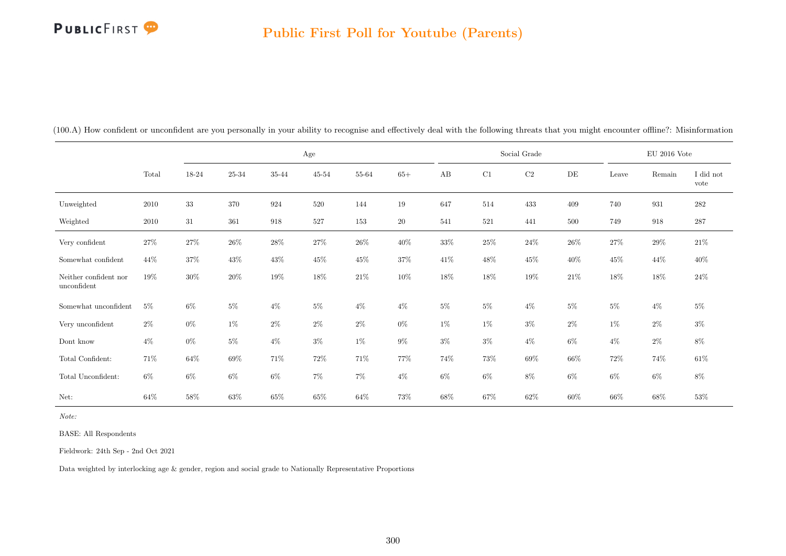|                                      |        |        |        |        | Age       |        |        |        |        | Social Grade |        |        | $\rm EU$ 2016 Vote |                   |
|--------------------------------------|--------|--------|--------|--------|-----------|--------|--------|--------|--------|--------------|--------|--------|--------------------|-------------------|
|                                      | Total  | 18-24  | 25-34  | 35-44  | $45 - 54$ | 55-64  | $65+$  | AB     | C1     | $\rm{C2}$    | DE     | Leave  | Remain             | I did not<br>vote |
| Unweighted                           | 2010   | 33     | 370    | 924    | 520       | 144    | 19     | 647    | 514    | 433          | 409    | 740    | 931                | $282\,$           |
| Weighted                             | 2010   | 31     | 361    | 918    | 527       | 153    | $20\,$ | 541    | 521    | 441          | 500    | 749    | 918                | $287\,$           |
| Very confident                       | $27\%$ | $27\%$ | $26\%$ | $28\%$ | $27\%$    | $26\%$ | $40\%$ | $33\%$ | $25\%$ | $24\%$       | $26\%$ | $27\%$ | $29\%$             | $21\%$            |
| Somewhat confident                   | 44\%   | 37%    | $43\%$ | 43%    | $45\%$    | $45\%$ | 37%    | $41\%$ | $48\%$ | 45%          | 40%    | $45\%$ | 44%                | 40%               |
| Neither confident nor<br>unconfident | 19%    | $30\%$ | $20\%$ | $19\%$ | $18\%$    | $21\%$ | $10\%$ | $18\%$ | $18\%$ | $19\%$       | $21\%$ | 18%    | $18\%$             | $24\%$            |
| Somewhat unconfident                 | $5\%$  | 6%     | $5\%$  | $4\%$  | $5\%$     | $4\%$  | $4\%$  | $5\%$  | $5\%$  | $4\%$        | $5\%$  | $5\%$  | $4\%$              | $5\%$             |
| Very unconfident                     | $2\%$  | $0\%$  | $1\%$  | $2\%$  | $2\%$     | $2\%$  | $0\%$  | $1\%$  | $1\%$  | $3\%$        | $2\%$  | $1\%$  | $2\%$              | $3\%$             |
| Dont know                            | $4\%$  | $0\%$  | $5\%$  | $4\%$  | $3\%$     | $1\%$  | $9\%$  | $3\%$  | $3\%$  | $4\%$        | 6%     | $4\%$  | $2\%$              | $8\%$             |
| Total Confident:                     | 71%    | 64%    | $69\%$ | 71%    | $72\%$    | $71\%$ | 77%    | 74%    | $73\%$ | $69\%$       | $66\%$ | $72\%$ | 74%                | $61\%$            |
| Total Unconfident:                   | $6\%$  | $6\%$  | $6\%$  | $6\%$  | 7%        | $7\%$  | $4\%$  | 6%     | $6\%$  | 8%           | 6%     | 6%     | $6\%$              | $8\%$             |
| Net:                                 | 64%    | $58\%$ | $63\%$ | $65\%$ | 65%       | $64\%$ | 73%    | 68%    | $67\%$ | $62\%$       | $60\%$ | $66\%$ | 68%                | $53\%$            |

(100.A) How confident or unconfident are you personally in your ability to recognise and effectively deal with the following threats that you might encounter offline?: Misinformation

Note:

BASE: All Respondents

Fieldwork: 24th Sep - 2nd Oct 2021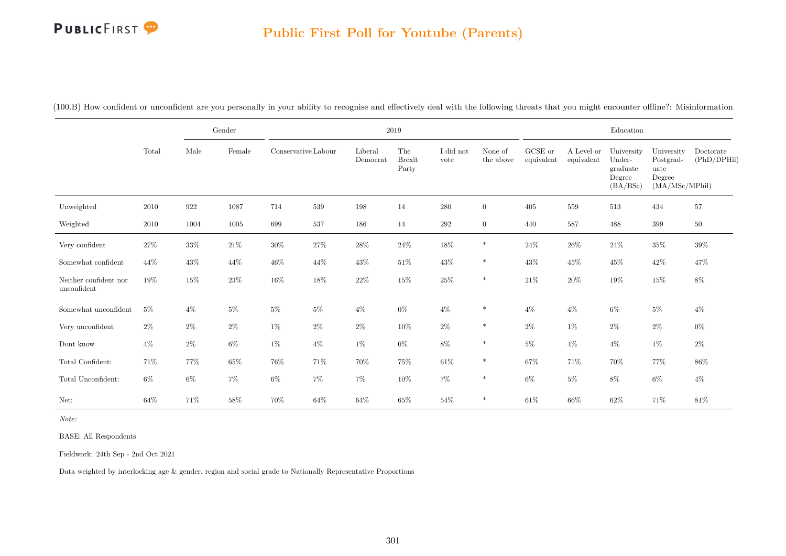### Public First Poll for Youtube (Parents)

|                                      |          |        | Gender |                     |        |                     | 2019                          |                   |                      |                               |                          | Education                                              |                                                             |                          |
|--------------------------------------|----------|--------|--------|---------------------|--------|---------------------|-------------------------------|-------------------|----------------------|-------------------------------|--------------------------|--------------------------------------------------------|-------------------------------------------------------------|--------------------------|
|                                      | Total    | Male   | Female | Conservative Labour |        | Liberal<br>Democrat | The<br><b>Brexit</b><br>Party | I did not<br>vote | None of<br>the above | ${\rm GCSE}$ or<br>equivalent | A Level or<br>equivalent | University<br>Under-<br>graduate<br>Degree<br>(BA/BSc) | University<br>Postgrad-<br>uate<br>Degree<br>(MA/MSc/MPhil) | Doctorate<br>(PhD/DPHil) |
| Unweighted                           | 2010     | 922    | 1087   | 714                 | 539    | 198                 | 14                            | 280               | $\overline{0}$       | 405                           | 559                      | 513                                                    | 434                                                         | 57                       |
| Weighted                             | $2010\,$ | 1004   | 1005   | 699                 | 537    | 186                 | 14                            | $\,292$           | $\overline{0}$       | 440                           | 587                      | 488                                                    | 399                                                         | $50\,$                   |
| Very confident                       | $27\%$   | $33\%$ | $21\%$ | $30\%$              | $27\%$ | $28\%$              | $24\%$                        | $18\%$            | $\ast$               | $24\%$                        | $26\%$                   | $24\%$                                                 | $35\%$                                                      | $39\%$                   |
| Somewhat confident                   | 44%      | 43\%   | $44\%$ | $46\%$              | $44\%$ | $43\%$              | $51\%$                        | $43\%$            | $\ast$               | $43\%$                        | $45\%$                   | $45\%$                                                 | $42\%$                                                      | 47%                      |
| Neither confident nor<br>unconfident | 19%      | $15\%$ | $23\%$ | $16\%$              | $18\%$ | $22\%$              | $15\%$                        | $25\%$            | $\ast$               | $21\%$                        | $20\%$                   | $19\%$                                                 | $15\%$                                                      | $8\%$                    |
| Somewhat unconfident                 | $5\%$    | $4\%$  | $5\%$  | $5\%$               | $5\%$  | $4\%$               | $0\%$                         | $4\%$             | $\ast$               | $4\%$                         | $4\%$                    | $6\%$                                                  | $5\%$                                                       | $4\%$                    |
| Very unconfident                     | $2\%$    | $2\%$  | $2\%$  | $1\%$               | $2\%$  | $2\%$               | $10\%$                        | $2\%$             | $\ast$               | $2\%$                         | $1\%$                    | $2\%$                                                  | $2\%$                                                       | $0\%$                    |
| Dont know                            | $4\%$    | $2\%$  | $6\%$  | $1\%$               | $4\%$  | $1\%$               | $0\%$                         | $8\%$             | $\ast$               | $5\%$                         | $4\%$                    | $4\%$                                                  | $1\%$                                                       | $2\%$                    |
| Total Confident:                     | 71\%     | 77%    | $65\%$ | $76\%$              | 71\%   | $70\%$              | $75\%$                        | $61\%$            | $\ast$               | $67\%$                        | 71%                      | 70%                                                    | 77%                                                         | 86%                      |
| Total Unconfident:                   | $6\%$    | $6\%$  | $7\%$  | $6\%$               | $7\%$  | $7\%$               | $10\%$                        | $7\%$             | $\ast$               | $6\%$                         | $5\%$                    | $8\%$                                                  | $6\%$                                                       | $4\%$                    |
| Net:                                 | 64%      | 71%    | $58\%$ | $70\%$              | $64\%$ | $64\%$              | $65\%$                        | $54\%$            | $\ast$               | $61\%$                        | $66\%$                   | $62\%$                                                 | 71%                                                         | $81\%$                   |

(100.B) How confident or unconfident are you personally in your ability to recognise and effectively deal with the following threats that you might encounter offline?: Misinformation

Note:

BASE: All Respondents

Fieldwork: 24th Sep - 2nd Oct 2021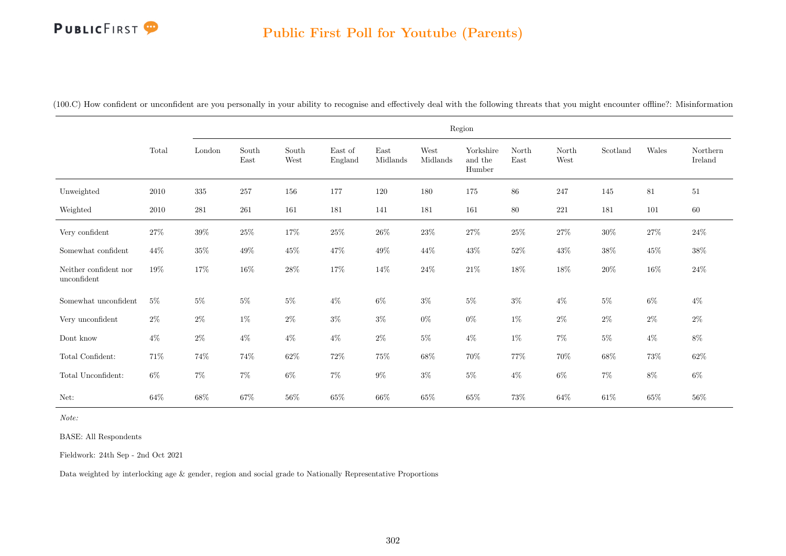#### Public First Poll for Youtube (Parents)

|                                      |        |        |                                |               |                    |                  |                  | Region                         |               |               |          |        |                     |
|--------------------------------------|--------|--------|--------------------------------|---------------|--------------------|------------------|------------------|--------------------------------|---------------|---------------|----------|--------|---------------------|
|                                      | Total  | London | $\operatorname{South}$<br>East | South<br>West | East of<br>England | East<br>Midlands | West<br>Midlands | Yorkshire<br>and the<br>Humber | North<br>East | North<br>West | Scotland | Wales  | Northern<br>Ireland |
| Unweighted                           | 2010   | 335    | 257                            | 156           | 177                | 120              | 180              | $175\,$                        | 86            | $247\,$       | 145      | 81     | 51                  |
| Weighted                             | 2010   | 281    | 261                            | 161           | 181                | 141              | 181              | 161                            | 80            | 221           | 181      | 101    | 60                  |
| Very confident                       | 27\%   | $39\%$ | $25\%$                         | $17\%$        | $25\%$             | $26\%$           | $23\%$           | $27\%$                         | $25\%$        | $27\%$        | $30\%$   | $27\%$ | $24\%$              |
| Somewhat confident                   | 44\%   | $35\%$ | 49%                            | 45%           | $47\%$             | 49%              | 44%              | $43\%$                         | $52\%$        | $43\%$        | $38\%$   | $45\%$ | $38\%$              |
| Neither confident nor<br>unconfident | 19%    | $17\%$ | $16\%$                         | $28\%$        | $17\%$             | $14\%$           | $24\%$           | $21\%$                         | $18\%$        | $18\%$        | $20\%$   | $16\%$ | $24\%$              |
| Somewhat unconfident                 | $5\%$  | $5\%$  | $5\%$                          | $5\%$         | $4\%$              | $6\%$            | $3\%$            | $5\%$                          | $3\%$         | $4\%$         | $5\%$    | $6\%$  | $4\%$               |
| Very unconfident                     | $2\%$  | $2\%$  | $1\%$                          | $2\%$         | $3\%$              | $3\%$            | $0\%$            | $0\%$                          | $1\%$         | $2\%$         | $2\%$    | $2\%$  | $2\%$               |
| Dont know                            | $4\%$  | $2\%$  | $4\%$                          | $4\%$         | $4\%$              | $2\%$            | $5\%$            | $4\%$                          | $1\%$         | $7\%$         | $5\%$    | $4\%$  | $8\%$               |
| Total Confident:                     | 71\%   | $74\%$ | 74%                            | $62\%$        | 72\%               | 75%              | 68%              | 70%                            | 77%           | 70%           | 68%      | 73%    | $62\%$              |
| Total Unconfident:                   | $6\%$  | $7\%$  | $7\%$                          | $6\%$         | $7\%$              | $9\%$            | $3\%$            | $5\%$                          | $4\%$         | $6\%$         | $7\%$    | $8\%$  | $6\%$               |
| Net:                                 | $64\%$ | $68\%$ | $67\%$                         | 56%           | $65\%$             | $66\%$           | $65\%$           | $65\%$                         | $73\%$        | $64\%$        | $61\%$   | $65\%$ | $56\%$              |

(100.C) How confident or unconfident are you personally in your ability to recognise and effectively deal with the following threats that you might encounter offline?: Misinformation

Note:

BASE: All Respondents

Fieldwork: 24th Sep - 2nd Oct 2021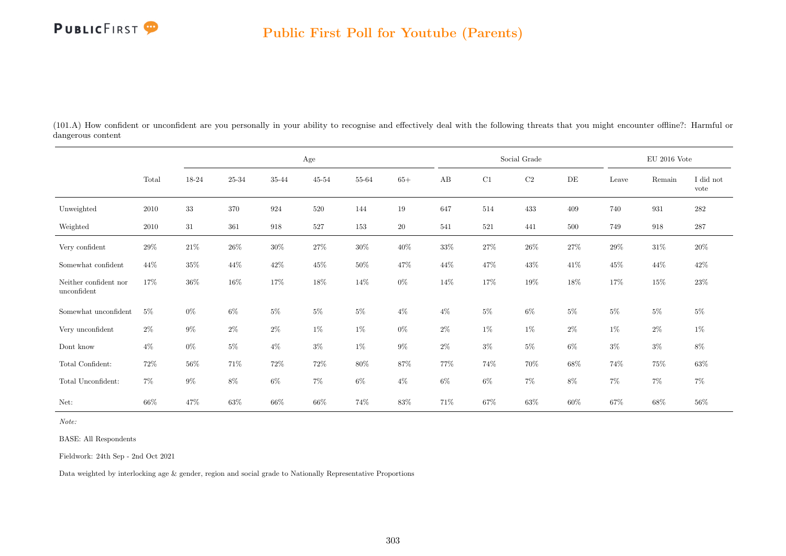

(101.A) How confident or unconfident are you personally in your ability to recognise and effectively deal with the following threats that you might encounter offline?: Harmful or dangerous content

|                                      |        |        |        |        | $\rm Age$ |        |        |       |        | Social Grade |           |        | EU 2016 Vote |                   |
|--------------------------------------|--------|--------|--------|--------|-----------|--------|--------|-------|--------|--------------|-----------|--------|--------------|-------------------|
|                                      | Total  | 18-24  | 25-34  | 35-44  | $45 - 54$ | 55-64  | $65+$  | AB    | C1     | $\rm{C2}$    | $\rm{DE}$ | Leave  | Remain       | I did not<br>vote |
| Unweighted                           | 2010   | $33\,$ | 370    | 924    | 520       | 144    | 19     | 647   | 514    | 433          | 409       | 740    | 931          | $282\,$           |
| Weighted                             | 2010   | 31     | 361    | 918    | 527       | 153    | $20\,$ | 541   | 521    | 441          | 500       | 749    | 918          | 287               |
| Very confident                       | 29%    | $21\%$ | $26\%$ | $30\%$ | $27\%$    | $30\%$ | $40\%$ | 33%   | $27\%$ | $26\%$       | $27\%$    | $29\%$ | $31\%$       | $20\%$            |
| Somewhat confident                   | 44\%   | $35\%$ | 44%    | $42\%$ | $45\%$    | $50\%$ | 47%    | 44\%  | 47%    | 43\%         | 41\%      | $45\%$ | 44\%         | $42\%$            |
| Neither confident nor<br>unconfident | 17%    | 36%    | 16%    | 17%    | 18%       | 14%    | $0\%$  | 14%   | 17%    | $19\%$       | 18%       | 17%    | 15%          | 23\%              |
| Somewhat unconfident                 | $5\%$  | $0\%$  | $6\%$  | $5\%$  | $5\%$     | $5\%$  | $4\%$  | $4\%$ | $5\%$  | $6\%$        | $5\%$     | $5\%$  | $5\%$        | $5\%$             |
| Very unconfident                     | $2\%$  | $9\%$  | $2\%$  | $2\%$  | $1\%$     | $1\%$  | $0\%$  | $2\%$ | 1%     | $1\%$        | $2\%$     | $1\%$  | $2\%$        | $1\%$             |
| Dont know                            | $4\%$  | $0\%$  | $5\%$  | $4\%$  | $3\%$     | 1%     | $9\%$  | $2\%$ | $3\%$  | $5\%$        | $6\%$     | $3\%$  | $3\%$        | $8\%$             |
| Total Confident:                     | $72\%$ | $56\%$ | 71%    | $72\%$ | 72\%      | $80\%$ | $87\%$ | 77%   | $74\%$ | 70%          | $68\%$    | $74\%$ | 75%          | $63\%$            |
| Total Unconfident:                   | $7\%$  | $9\%$  | $8\%$  | $6\%$  | $7\%$     | $6\%$  | $4\%$  | $6\%$ | $6\%$  | $7\%$        | $8\%$     | $7\%$  | $7\%$        | $7\%$             |
| Net:                                 | 66%    | 47%    | 63%    | 66%    | 66%       | 74%    | 83\%   | 71%   | 67%    | 63%          | 60%       | $67\%$ | 68%          | 56%               |

Note:

BASE: All Respondents

Fieldwork: 24th Sep - 2nd Oct 2021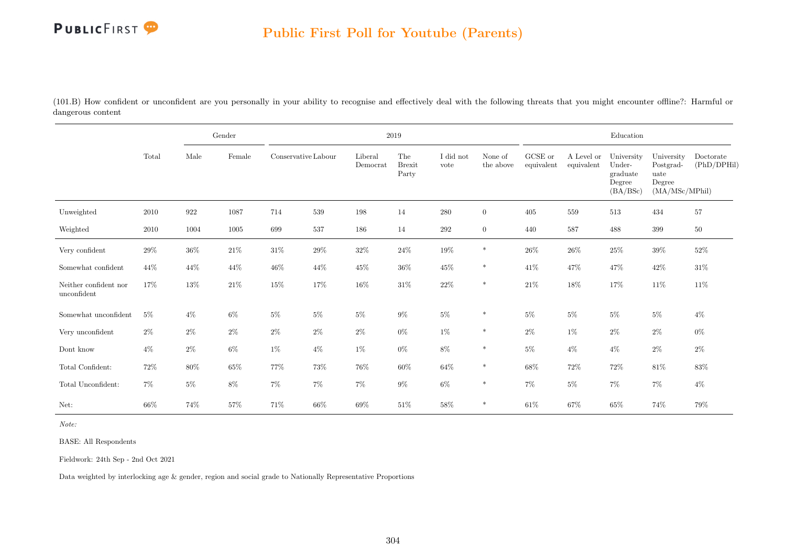

(101.B) How confident or unconfident are you personally in your ability to recognise and effectively deal with the following threats that you might encounter offline?: Harmful or dangerous content

|                                      |        |        | Gender |                     |        |                     | 2019                          |                   |                      |                       |                          | Education                                              |                                                             |                          |
|--------------------------------------|--------|--------|--------|---------------------|--------|---------------------|-------------------------------|-------------------|----------------------|-----------------------|--------------------------|--------------------------------------------------------|-------------------------------------------------------------|--------------------------|
|                                      | Total  | Male   | Female | Conservative Labour |        | Liberal<br>Democrat | The<br><b>Brexit</b><br>Party | I did not<br>vote | None of<br>the above | GCSE or<br>equivalent | A Level or<br>equivalent | University<br>Under-<br>graduate<br>Degree<br>(BA/BSc) | University<br>Postgrad-<br>uate<br>Degree<br>(MA/MSc/MPhil) | Doctorate<br>(PhD/DPHil) |
| Unweighted                           | 2010   | 922    | 1087   | 714                 | 539    | 198                 | 14                            | $280\,$           | $\overline{0}$       | 405                   | 559                      | 513                                                    | 434                                                         | 57                       |
| Weighted                             | 2010   | 1004   | 1005   | 699                 | 537    | 186                 | 14                            | $\,292$           | $\overline{0}$       | 440                   | 587                      | 488                                                    | 399                                                         | $50\,$                   |
| Very confident                       | $29\%$ | $36\%$ | $21\%$ | $31\%$              | $29\%$ | $32\%$              | $24\%$                        | $19\%$            | $\ast$               | $26\%$                | $26\%$                   | $25\%$                                                 | $39\%$                                                      | $52\%$                   |
| Somewhat confident                   | 44\%   | 44\%   | 44\%   | 46\%                | 44\%   | $45\%$              | $36\%$                        | $45\%$            | $\ast$               | $41\%$                | 47%                      | 47\%                                                   | $42\%$                                                      | $31\%$                   |
| Neither confident nor<br>unconfident | 17%    | 13%    | $21\%$ | $15\%$              | 17%    | $16\%$              | $31\%$                        | $22\%$            | $\ast$               | $21\%$                | 18%                      | 17%                                                    | $11\%$                                                      | $11\%$                   |
| Somewhat unconfident                 | $5\%$  | $4\%$  | $6\%$  | $5\%$               | $5\%$  | $5\%$               | $9\%$                         | $5\%$             | $\ast$               | 5%                    | $5\%$                    | $5\%$                                                  | $5\%$                                                       | $4\%$                    |
| $\,$ Very unconfident                | $2\%$  | $2\%$  | $2\%$  | $2\%$               | $2\%$  | $2\%$               | $0\%$                         | 1%                | $\ast$               | $2\%$                 | $1\%$                    | $2\%$                                                  | $2\%$                                                       | $0\%$                    |
| Dont know                            | $4\%$  | $2\%$  | $6\%$  | $1\%$               | $4\%$  | 1%                  | $0\%$                         | $8\%$             | $\ast$               | $5\%$                 | $4\%$                    | $4\%$                                                  | $2\%$                                                       | $2\%$                    |
| Total Confident:                     | $72\%$ | $80\%$ | $65\%$ | 77%                 | 73%    | 76%                 | 60%                           | $64\%$            | $\ast$               | $68\%$                | $72\%$                   | 72\%                                                   | $81\%$                                                      | 83%                      |
| Total Unconfident:                   | $7\%$  | $5\%$  | $8\%$  | $7\%$               | $7\%$  | $7\%$               | $9\%$                         | $6\%$             | $\ast$               | $7\%$                 | $5\%$                    | $7\%$                                                  | $7\%$                                                       | $4\%$                    |
| Net:                                 | $66\%$ | 74%    | $57\%$ | 71%                 | 66%    | $69\%$              | 51%                           | $58\%$            | *                    | $61\%$                | 67%                      | $65\%$                                                 | 74%                                                         | 79%                      |

Note:

BASE: All Respondents

Fieldwork: 24th Sep - 2nd Oct 2021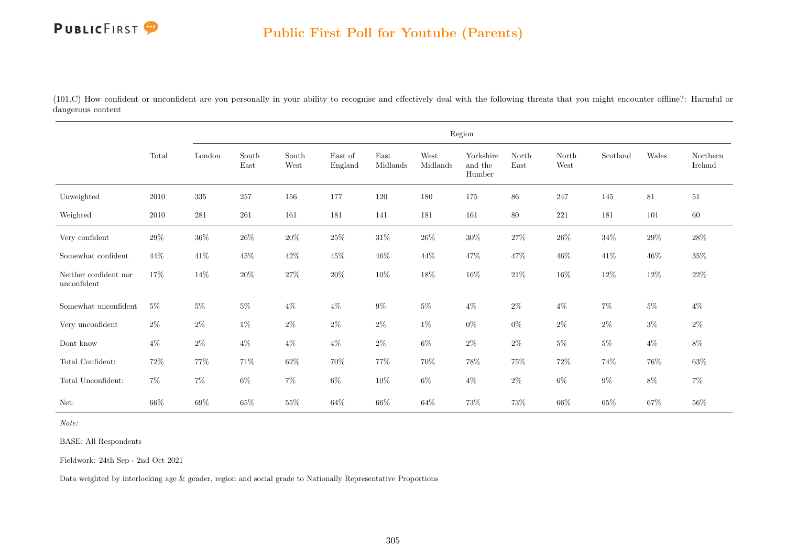(101.C) How confident or unconfident are you personally in your ability to recognise and effectively deal with the following threats that you might encounter offline?: Harmful or dangerous content

|                                      |        |         |               |               |                    |                  |                  | Region                         |               |               |          |        |                     |
|--------------------------------------|--------|---------|---------------|---------------|--------------------|------------------|------------------|--------------------------------|---------------|---------------|----------|--------|---------------------|
|                                      | Total  | London  | South<br>East | South<br>West | East of<br>England | East<br>Midlands | West<br>Midlands | Yorkshire<br>and the<br>Humber | North<br>East | North<br>West | Scotland | Wales  | Northern<br>Ireland |
| Unweighted                           | 2010   | $335\,$ | 257           | 156           | 177                | 120              | 180              | 175                            | 86            | 247           | 145      | 81     | $51\,$              |
| Weighted                             | 2010   | $281\,$ | 261           | 161           | 181                | 141              | 181              | 161                            | 80            | 221           | 181      | 101    | 60                  |
| Very confident                       | $29\%$ | $36\%$  | $26\%$        | $20\%$        | $25\%$             | $31\%$           | $26\%$           | $30\%$                         | $27\%$        | $26\%$        | $34\%$   | $29\%$ | $28\%$              |
| Somewhat confident                   | 44%    | $41\%$  | $45\%$        | $42\%$        | $45\%$             | $46\%$           | 44%              | 47\%                           | 47%           | $46\%$        | $41\%$   | $46\%$ | $35\%$              |
| Neither confident nor<br>unconfident | 17%    | $14\%$  | $20\%$        | $27\%$        | $20\%$             | $10\%$           | $18\%$           | $16\%$                         | $21\%$        | $16\%$        | $12\%$   | $12\%$ | $22\%$              |
| Somewhat unconfident                 | $5\%$  | $5\%$   | $5\%$         | $4\%$         | $4\%$              | $9\%$            | $5\%$            | $4\%$                          | $2\%$         | $4\%$         | $7\%$    | $5\%$  | $4\%$               |
| Very unconfident                     | $2\%$  | $2\%$   | $1\%$         | $2\%$         | $2\%$              | $2\%$            | $1\%$            | $0\%$                          | $0\%$         | $2\%$         | $2\%$    | $3\%$  | $2\%$               |
| Dont know                            | $4\%$  | $2\%$   | $4\%$         | $4\%$         | $4\%$              | $2\%$            | $6\%$            | $2\%$                          | $2\%$         | $5\%$         | $5\%$    | $4\%$  | $8\%$               |
| Total Confident:                     | 72%    | $77\%$  | $71\%$        | $62\%$        | 70%                | 77%              | $70\%$           | 78%                            | $75\%$        | 72\%          | 74%      | 76%    | $63\%$              |
| Total Unconfident:                   | $7\%$  | $7\%$   | $6\%$         | $7\%$         | $6\%$              | $10\%$           | $6\%$            | $4\%$                          | $2\%$         | $6\%$         | $9\%$    | $8\%$  | $7\%$               |
| Net:                                 | $66\%$ | 69%     | $65\%$        | 55%           | $64\%$             | 66%              | 64%              | 73%                            | $73\%$        | 66%           | $65\%$   | 67%    | $56\%$              |

Note:

BASE: All Respondents

Fieldwork: 24th Sep - 2nd Oct 2021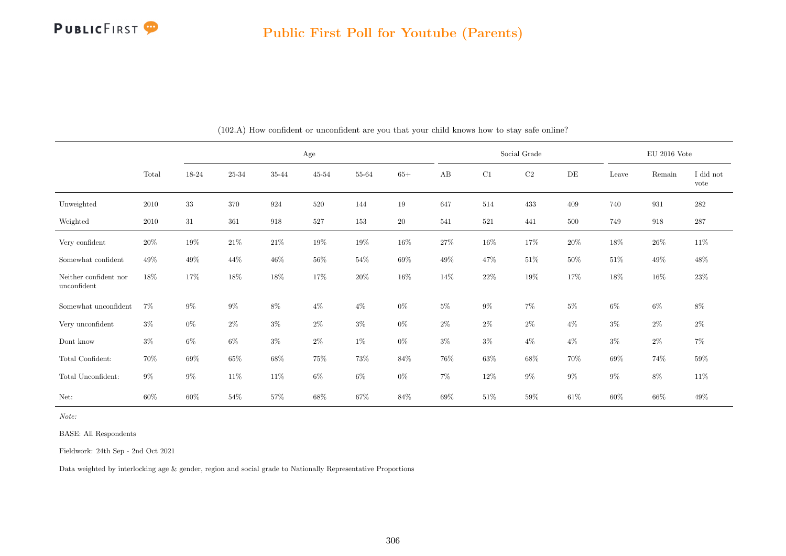

|                                      |        |        |        |                    | Age       |        |        |        |        | Social Grade |        |        | EU 2016 Vote |                   |
|--------------------------------------|--------|--------|--------|--------------------|-----------|--------|--------|--------|--------|--------------|--------|--------|--------------|-------------------|
|                                      | Total  | 18-24  | 25-34  | 35-44              | $45 - 54$ | 55-64  | $65+$  | AB     | C1     | $\rm C2$     | DE     | Leave  | Remain       | I did not<br>vote |
| Unweighted                           | 2010   | $33\,$ | 370    | 924                | 520       | 144    | 19     | 647    | 514    | 433          | 409    | 740    | 931          | 282               |
| Weighted                             | 2010   | 31     | 361    | $\boldsymbol{918}$ | 527       | 153    | $20\,$ | 541    | 521    | 441          | 500    | 749    | 918          | 287               |
| Very confident                       | $20\%$ | $19\%$ | $21\%$ | $21\%$             | $19\%$    | $19\%$ | 16\%   | 27\%   | $16\%$ | 17%          | $20\%$ | $18\%$ | $26\%$       | $11\%$            |
| Somewhat confident                   | 49%    | 49%    | 44\%   | $46\%$             | $56\%$    | $54\%$ | 69%    | 49%    | $47\%$ | 51\%         | $50\%$ | $51\%$ | 49%          | 48%               |
| Neither confident nor<br>unconfident | $18\%$ | 17%    | 18%    | 18%                | 17%       | $20\%$ | $16\%$ | $14\%$ | $22\%$ | $19\%$       | 17%    | 18%    | $16\%$       | 23\%              |
| Somewhat unconfident                 | 7%     | $9\%$  | $9\%$  | $8\%$              | $4\%$     | $4\%$  | $0\%$  | $5\%$  | $9\%$  | $7\%$        | $5\%$  | $6\%$  | $6\%$        | 8%                |
| Very unconfident                     | $3\%$  | $0\%$  | $2\%$  | $3\%$              | $2\%$     | $3\%$  | $0\%$  | $2\%$  | $2\%$  | $2\%$        | $4\%$  | $3\%$  | $2\%$        | $2\%$             |
| Dont know                            | $3\%$  | $6\%$  | $6\%$  | $3\%$              | $2\%$     | $1\%$  | $0\%$  | $3\%$  | $3\%$  | $4\%$        | $4\%$  | $3\%$  | $2\%$        | $7\%$             |
| Total Confident:                     | 70%    | $69\%$ | $65\%$ | 68\%               | 75%       | 73%    | 84\%   | $76\%$ | 63%    | $68\%$       | 70%    | 69%    | 74%          | $59\%$            |
| Total Unconfident:                   | $9\%$  | $9\%$  | $11\%$ | 11\%               | $6\%$     | $6\%$  | $0\%$  | $7\%$  | $12\%$ | $9\%$        | $9\%$  | $9\%$  | $8\%$        | $11\%$            |
| Net:                                 | $60\%$ | $60\%$ | $54\%$ | 57%                | 68%       | $67\%$ | 84\%   | $69\%$ | $51\%$ | $59\%$       | $61\%$ | $60\%$ | 66%          | $49\%$            |

(102.A) How confident or unconfident are you that your child knows how to stay safe online?

BASE: All Respondents

Fieldwork: 24th Sep - 2nd Oct 2021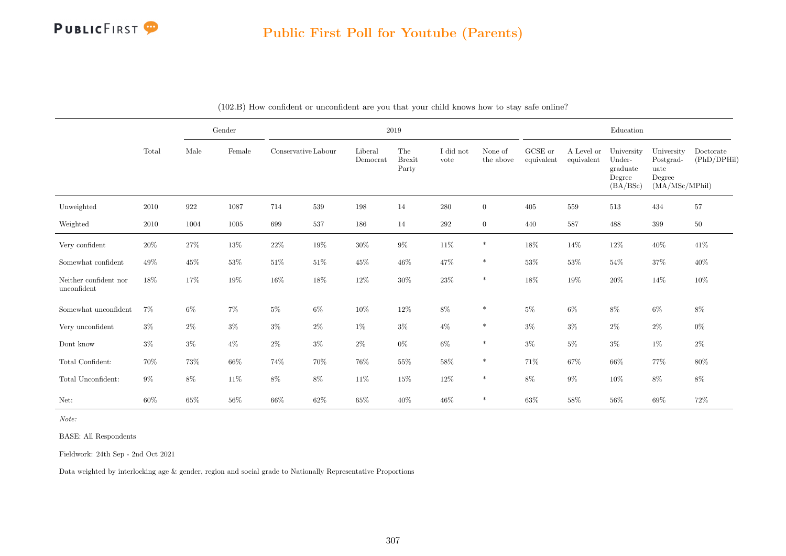

|                                      |        |        | Gender |                     |        | 2019                |                               |                   |                      |                       |                          | Education                                              |                                                             |                          |
|--------------------------------------|--------|--------|--------|---------------------|--------|---------------------|-------------------------------|-------------------|----------------------|-----------------------|--------------------------|--------------------------------------------------------|-------------------------------------------------------------|--------------------------|
|                                      | Total  | Male   | Female | Conservative Labour |        | Liberal<br>Democrat | The<br><b>Brexit</b><br>Party | I did not<br>vote | None of<br>the above | GCSE or<br>equivalent | A Level or<br>equivalent | University<br>Under-<br>graduate<br>Degree<br>(BA/BSc) | University<br>Postgrad-<br>uate<br>Degree<br>(MA/MSc/MPhil) | Doctorate<br>(PhD/DPHil) |
| Unweighted                           | 2010   | 922    | 1087   | 714                 | 539    | 198                 | 14                            | 280               | $\overline{0}$       | 405                   | 559                      | 513                                                    | 434                                                         | 57                       |
| Weighted                             | 2010   | 1004   | 1005   | 699                 | 537    | 186                 | 14                            | 292               | $\overline{0}$       | 440                   | 587                      | 488                                                    | 399                                                         | $50\,$                   |
| Very confident                       | $20\%$ | $27\%$ | $13\%$ | $22\%$              | 19%    | $30\%$              | $9\%$                         | $11\%$            | $\ast$               | 18%                   | 14%                      | 12%                                                    | $40\%$                                                      | 41\%                     |
| Somewhat confident                   | 49%    | $45\%$ | $53\%$ | $51\%$              | $51\%$ | $45\%$              | $46\%$                        | 47%               | $\ast$               | $53\%$                | $53\%$                   | 54%                                                    | $37\%$                                                      | 40%                      |
| Neither confident nor<br>unconfident | 18%    | 17%    | 19%    | $16\%$              | 18%    | 12%                 | $30\%$                        | $23\%$            | $\ast$               | 18%                   | 19%                      | $20\%$                                                 | $14\%$                                                      | 10%                      |
| Somewhat unconfident                 | 7%     | $6\%$  | $7\%$  | $5\%$               | $6\%$  | $10\%$              | 12%                           | $8\%$             | $\ast$               | $5\%$                 | $6\%$                    | 8%                                                     | $6\%$                                                       | $8\%$                    |
| Very unconfident                     | $3\%$  | $2\%$  | $3\%$  | $3\%$               | $2\%$  | $1\%$               | $3\%$                         | $4\%$             | $\ast$               | $3\%$                 | $3\%$                    | $2\%$                                                  | $2\%$                                                       | $0\%$                    |
| Dont know                            | $3\%$  | $3\%$  | $4\%$  | $2\%$               | $3\%$  | $2\%$               | $0\%$                         | $6\%$             | $\ast$               | $3\%$                 | $5\%$                    | $3\%$                                                  | $1\%$                                                       | $2\%$                    |
| Total Confident:                     | 70%    | $73\%$ | $66\%$ | 74%                 | $70\%$ | $76\%$              | $55\%$                        | $58\%$            | $\ast$               | 71\%                  | 67%                      | 66%                                                    | 77%                                                         | $80\%$                   |
| Total Unconfident:                   | $9\%$  | $8\%$  | $11\%$ | $8\%$               | $8\%$  | $11\%$              | 15%                           | $12\%$            | $\ast$               | $8\%$                 | $9\%$                    | $10\%$                                                 | $8\%$                                                       | $8\%$                    |
| Net:                                 | 60%    | $65\%$ | $56\%$ | $66\%$              | $62\%$ | $65\%$              | $40\%$                        | $46\%$            | $\ast$               | 63%                   | 58%                      | 56%                                                    | 69%                                                         | $72\%$                   |

(102.B) How confident or unconfident are you that your child knows how to stay safe online?

Note:

BASE: All Respondents

Fieldwork: 24th Sep - 2nd Oct 2021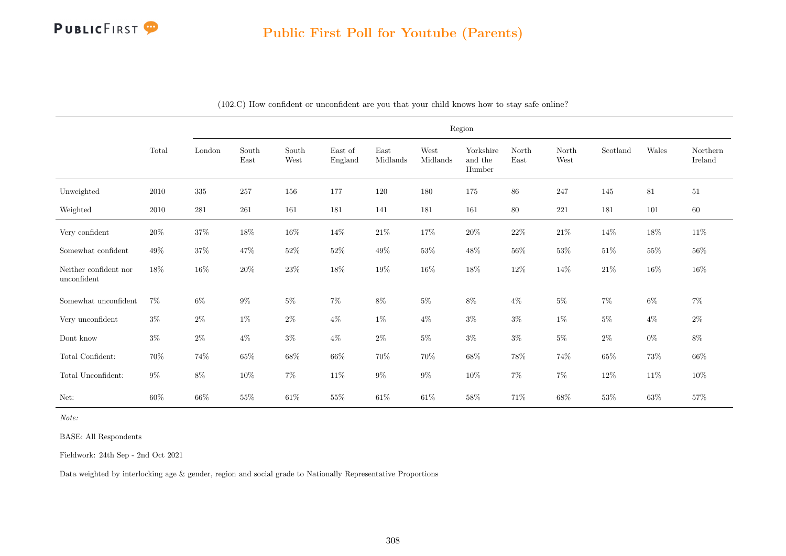

|                                      |          |           |               |               |                    |                  |                  | Region                         |               |               |          |        |                     |
|--------------------------------------|----------|-----------|---------------|---------------|--------------------|------------------|------------------|--------------------------------|---------------|---------------|----------|--------|---------------------|
|                                      | Total    | London    | South<br>East | South<br>West | East of<br>England | East<br>Midlands | West<br>Midlands | Yorkshire<br>and the<br>Humber | North<br>East | North<br>West | Scotland | Wales  | Northern<br>Ireland |
| Unweighted                           | 2010     | $335\,$   | $257\,$       | 156           | 177                | 120              | 180              | 175                            | $86\,$        | $247\,$       | 145      | 81     | 51                  |
| Weighted                             | $2010\,$ | $\bf 281$ | 261           | 161           | 181                | 141              | 181              | 161                            | $80\,$        | $221\,$       | 181      | 101    | 60                  |
| Very confident                       | $20\%$   | $37\%$    | $18\%$        | $16\%$        | $14\%$             | $21\%$           | $17\%$           | $20\%$                         | $22\%$        | $21\%$        | $14\%$   | $18\%$ | $11\%$              |
| Somewhat confident                   | $49\%$   | $37\%$    | $47\%$        | $52\%$        | $52\%$             | $49\%$           | $53\%$           | $48\%$                         | $56\%$        | $53\%$        | $51\%$   | $55\%$ | $56\%$              |
| Neither confident nor<br>unconfident | $18\%$   | $16\%$    | $20\%$        | $23\%$        | $18\%$             | $19\%$           | $16\%$           | $18\%$                         | $12\%$        | 14\%          | $21\%$   | $16\%$ | $16\%$              |
| Somewhat unconfident                 | $7\%$    | $6\%$     | $9\%$         | $5\%$         | $7\%$              | $8\%$            | $5\%$            | $8\%$                          | $4\%$         | $5\%$         | $7\%$    | $6\%$  | $7\%$               |
| Very unconfident                     | $3\%$    | $2\%$     | $1\%$         | $2\%$         | $4\%$              | $1\%$            | $4\%$            | $3\%$                          | $3\%$         | $1\%$         | $5\%$    | $4\%$  | $2\%$               |
| Dont know                            | $3\%$    | $2\%$     | $4\%$         | $3\%$         | $4\%$              | $2\%$            | $5\%$            | $3\%$                          | $3\%$         | $5\%$         | $2\%$    | $0\%$  | $8\%$               |
| Total Confident:                     | 70%      | $74\%$    | $65\%$        | $68\%$        | $66\%$             | 70%              | $70\%$           | $68\%$                         | 78%           | 74%           | $65\%$   | 73%    | $66\%$              |
| Total Unconfident:                   | $9\%$    | $8\%$     | $10\%$        | $7\%$         | $11\%$             | $9\%$            | $9\%$            | $10\%$                         | $7\%$         | $7\%$         | $12\%$   | $11\%$ | $10\%$              |
| Net:                                 | $60\%$   | $66\%$    | $55\%$        | $61\%$        | $55\%$             | $61\%$           | $61\%$           | $58\%$                         | 71%           | $68\%$        | $53\%$   | $63\%$ | $57\%$              |

(102.C) How confident or unconfident are you that your child knows how to stay safe online?

Note:

BASE: All Respondents

Fieldwork: 24th Sep - 2nd Oct 2021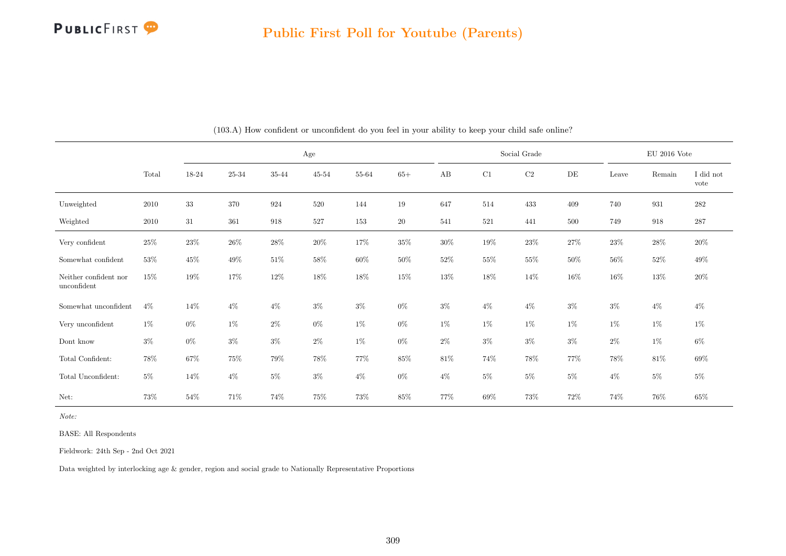

|                                      |        |        |        |                    | Age       |        |        |        |        | Social Grade |        |        | EU 2016 Vote |                   |
|--------------------------------------|--------|--------|--------|--------------------|-----------|--------|--------|--------|--------|--------------|--------|--------|--------------|-------------------|
|                                      | Total  | 18-24  | 25-34  | 35-44              | $45 - 54$ | 55-64  | $65+$  | AB     | C1     | $\rm C2$     | DE     | Leave  | Remain       | I did not<br>vote |
| Unweighted                           | 2010   | $33\,$ | 370    | 924                | 520       | 144    | 19     | 647    | 514    | 433          | 409    | 740    | 931          | 282               |
| Weighted                             | 2010   | 31     | 361    | $\boldsymbol{918}$ | 527       | 153    | $20\,$ | 541    | 521    | 441          | 500    | 749    | 918          | 287               |
| Very confident                       | $25\%$ | $23\%$ | $26\%$ | $28\%$             | $20\%$    | $17\%$ | $35\%$ | $30\%$ | $19\%$ | $23\%$       | 27%    | $23\%$ | $28\%$       | $20\%$            |
| Somewhat confident                   | $53\%$ | 45%    | $49\%$ | $51\%$             | 58%       | $60\%$ | $50\%$ | $52\%$ | $55\%$ | 55%          | $50\%$ | $56\%$ | 52%          | 49%               |
| Neither confident nor<br>unconfident | $15\%$ | $19\%$ | 17%    | 12\%               | 18%       | 18%    | $15\%$ | 13%    | $18\%$ | 14\%         | $16\%$ | 16%    | 13%          | $20\%$            |
| Somewhat unconfident                 | $4\%$  | 14%    | $4\%$  | $4\%$              | $3\%$     | $3\%$  | $0\%$  | $3\%$  | $4\%$  | $4\%$        | $3\%$  | $3\%$  | $4\%$        | $4\%$             |
| Very unconfident                     | $1\%$  | $0\%$  | $1\%$  | $2\%$              | $0\%$     | $1\%$  | $0\%$  | 1%     | $1\%$  | $1\%$        | $1\%$  | $1\%$  | $1\%$        | 1%                |
| Dont know                            | $3\%$  | $0\%$  | $3\%$  | $3\%$              | $2\%$     | $1\%$  | $0\%$  | $2\%$  | $3\%$  | $3\%$        | $3\%$  | $2\%$  | $1\%$        | $6\%$             |
| Total Confident:                     | 78%    | $67\%$ | $75\%$ | 79%                | 78%       | 77%    | 85%    | $81\%$ | $74\%$ | 78%          | 77%    | 78%    | 81\%         | 69%               |
| Total Unconfident:                   | $5\%$  | 14%    | $4\%$  | $5\%$              | $3\%$     | $4\%$  | $0\%$  | $4\%$  | $5\%$  | $5\%$        | $5\%$  | $4\%$  | $5\%$        | $5\%$             |
| Net:                                 | 73%    | $54\%$ | 71\%   | 74%                | $75\%$    | 73%    | $85\%$ | 77%    | $69\%$ | $73\%$       | $72\%$ | 74%    | 76%          | $65\%$            |

(103.A) How confident or unconfident do you feel in your ability to keep your child safe online?

BASE: All Respondents

Fieldwork: 24th Sep - 2nd Oct 2021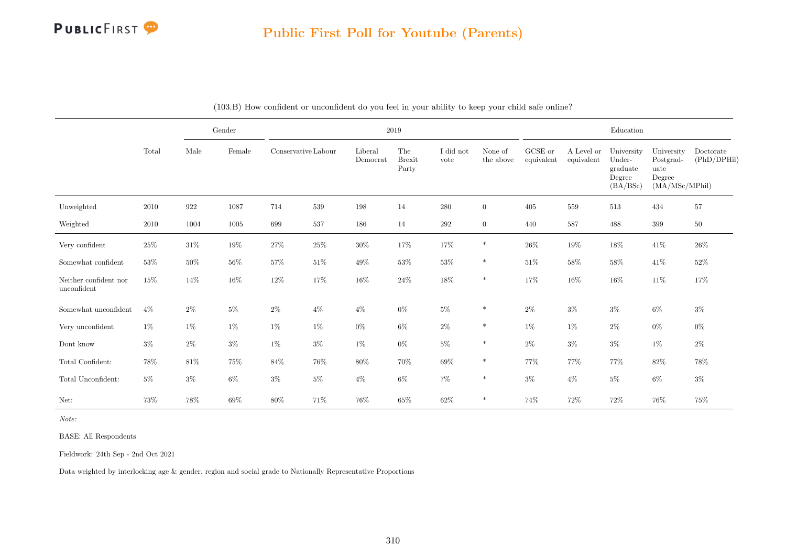

|                                      |        |                    | Gender |                     |        |                     | 2019                          |                   |                      |                       |                          | Education                                              |                                                             |                          |
|--------------------------------------|--------|--------------------|--------|---------------------|--------|---------------------|-------------------------------|-------------------|----------------------|-----------------------|--------------------------|--------------------------------------------------------|-------------------------------------------------------------|--------------------------|
|                                      | Total  | Male               | Female | Conservative Labour |        | Liberal<br>Democrat | The<br><b>Brexit</b><br>Party | I did not<br>vote | None of<br>the above | GCSE or<br>equivalent | A Level or<br>equivalent | University<br>Under-<br>graduate<br>Degree<br>(BA/BSc) | University<br>Postgrad-<br>uate<br>Degree<br>(MA/MSc/MPhil) | Doctorate<br>(PhD/DPHil) |
| Unweighted                           | 2010   | $\boldsymbol{922}$ | 1087   | 714                 | 539    | 198                 | 14                            | $280\,$           | $\overline{0}$       | 405                   | 559                      | 513                                                    | 434                                                         | $57\,$                   |
| Weighted                             | 2010   | 1004               | 1005   | 699                 | 537    | 186                 | 14                            | 292               | $\overline{0}$       | 440                   | 587                      | 488                                                    | 399                                                         | $50\,$                   |
| Very confident                       | $25\%$ | $31\%$             | $19\%$ | 27%                 | $25\%$ | $30\%$              | $17\%$                        | 17%               | $\ast$               | $26\%$                | 19%                      | $18\%$                                                 | $41\%$                                                      | 26%                      |
| Somewhat confident                   | 53%    | $50\%$             | $56\%$ | $57\%$              | $51\%$ | $49\%$              | 53%                           | $53\%$            | $\ast$               | $51\%$                | 58%                      | 58%                                                    | $41\%$                                                      | $52\%$                   |
| Neither confident nor<br>unconfident | $15\%$ | 14\%               | $16\%$ | $12\%$              | 17%    | $16\%$              | $24\%$                        | $18\%$            | $\ast$               | $17\%$                | 16%                      | $16\%$                                                 | $11\%$                                                      | 17%                      |
| Somewhat unconfident                 | $4\%$  | $2\%$              | $5\%$  | $2\%$               | $4\%$  | $4\%$               | $0\%$                         | $5\%$             | $\ast$               | $2\%$                 | $3\%$                    | $3\%$                                                  | $6\%$                                                       | $3\%$                    |
| Very unconfident                     | $1\%$  | $1\%$              | $1\%$  | $1\%$               | $1\%$  | $0\%$               | $6\%$                         | $2\%$             | $\ast$               | $1\%$                 | $1\%$                    | $2\%$                                                  | $0\%$                                                       | $0\%$                    |
| Dont know                            | $3\%$  | $2\%$              | $3\%$  | $1\%$               | $3\%$  | $1\%$               | $0\%$                         | $5\%$             | $\ast$               | $2\%$                 | $3\%$                    | $3\%$                                                  | $1\%$                                                       | $2\%$                    |
| Total Confident:                     | 78%    | $81\%$             | 75%    | $84\%$              | $76\%$ | $80\%$              | 70%                           | 69%               | $\ast$               | 77%                   | 77%                      | 77%                                                    | $82\%$                                                      | 78%                      |
| Total Unconfident:                   | $5\%$  | $3\%$              | $6\%$  | $3\%$               | $5\%$  | $4\%$               | $6\%$                         | $7\%$             | $\ast$               | $3\%$                 | $4\%$                    | $5\%$                                                  | $6\%$                                                       | $3\%$                    |
| Net:                                 | 73%    | 78%                | $69\%$ | $80\%$              | 71%    | 76%                 | $65\%$                        | 62%               | $\ast$               | 74%                   | 72%                      | 72\%                                                   | 76%                                                         | 75%                      |

| (103.B) How confident or unconfident do you feel in your ability to keep your child safe online? |
|--------------------------------------------------------------------------------------------------|
|--------------------------------------------------------------------------------------------------|

BASE: All Respondents

Fieldwork: 24th Sep - 2nd Oct 2021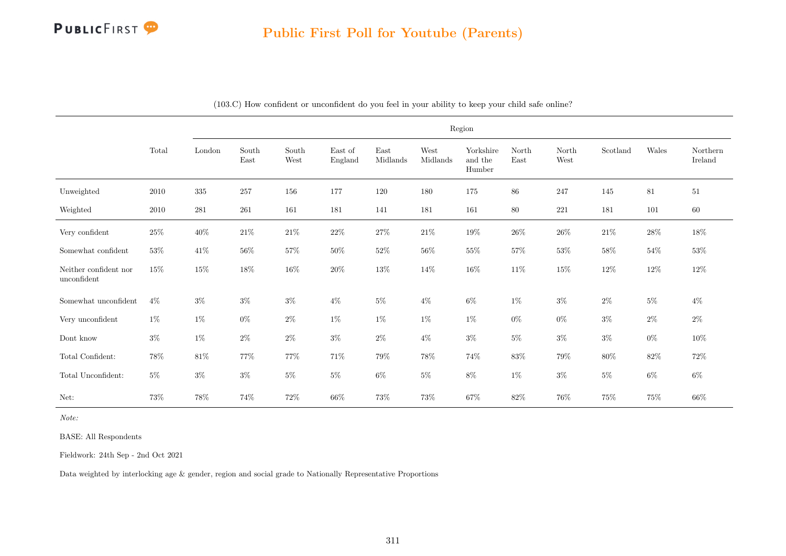

|                                      |          |         |               |               |                    |                  |                  | Region                         |               |               |          |        |                     |
|--------------------------------------|----------|---------|---------------|---------------|--------------------|------------------|------------------|--------------------------------|---------------|---------------|----------|--------|---------------------|
|                                      | Total    | London  | South<br>East | South<br>West | East of<br>England | East<br>Midlands | West<br>Midlands | Yorkshire<br>and the<br>Humber | North<br>East | North<br>West | Scotland | Wales  | Northern<br>Ireland |
| Unweighted                           | $2010\,$ | $335\,$ | 257           | 156           | 177                | 120              | 180              | 175                            | $86\,$        | $247\,$       | 145      | 81     | 51                  |
| Weighted                             | 2010     | $281\,$ | 261           | 161           | 181                | 141              | 181              | 161                            | $80\,$        | 221           | 181      | 101    | $60\,$              |
| Very confident                       | $25\%$   | $40\%$  | $21\%$        | $21\%$        | $22\%$             | $27\%$           | $21\%$           | $19\%$                         | $26\%$        | $26\%$        | $21\%$   | $28\%$ | $18\%$              |
| Somewhat confident                   | $53\%$   | $41\%$  | $56\%$        | $57\%$        | $50\%$             | $52\%$           | $56\%$           | $55\%$                         | $57\%$        | $53\%$        | $58\%$   | $54\%$ | $53\%$              |
| Neither confident nor<br>unconfident | $15\%$   | $15\%$  | $18\%$        | $16\%$        | $20\%$             | $13\%$           | 14%              | $16\%$                         | $11\%$        | $15\%$        | $12\%$   | $12\%$ | $12\%$              |
| Somewhat unconfident                 | $4\%$    | $3\%$   | $3\%$         | $3\%$         | $4\%$              | $5\%$            | $4\%$            | $6\%$                          | $1\%$         | $3\%$         | $2\%$    | $5\%$  | $4\%$               |
| Very unconfident                     | $1\%$    | $1\%$   | $0\%$         | $2\%$         | $1\%$              | $1\%$            | $1\%$            | $1\%$                          | $0\%$         | $0\%$         | $3\%$    | $2\%$  | $2\%$               |
| Dont know                            | $3\%$    | $1\%$   | $2\%$         | $2\%$         | $3\%$              | $2\%$            | $4\%$            | $3\%$                          | $5\%$         | $3\%$         | $3\%$    | $0\%$  | $10\%$              |
| Total Confident:                     | 78%      | $81\%$  | 77%           | $77\%$        | 71%                | $79\%$           | $78\%$           | 74%                            | $83\%$        | 79%           | $80\%$   | $82\%$ | $72\%$              |
| Total Unconfident:                   | $5\%$    | $3\%$   | $3\%$         | $5\%$         | $5\%$              | $6\%$            | $5\%$            | $8\%$                          | $1\%$         | $3\%$         | $5\%$    | $6\%$  | $6\%$               |
| Net:                                 | $73\%$   | 78%     | 74%           | $72\%$        | $66\%$             | $73\%$           | $73\%$           | $67\%$                         | $82\%$        | $76\%$        | 75%      | 75%    | $66\%$              |

(103.C) How confident or unconfident do you feel in your ability to keep your child safe online?

BASE: All Respondents

Fieldwork: 24th Sep - 2nd Oct 2021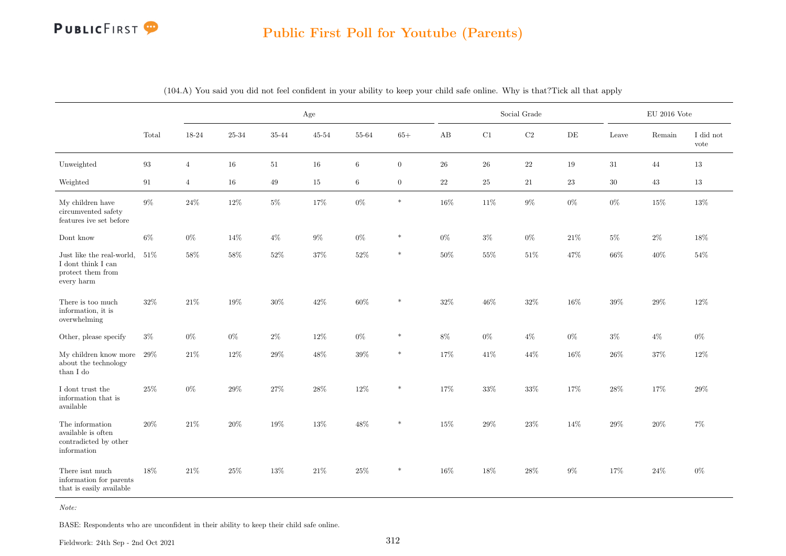

### Public First Poll for Youtube (Parents)

|                                                                                    |                   |                |        | Age             |        |         |                |        | Social Grade |          |           |        | $\rm EU$ 2016 Vote |                         |
|------------------------------------------------------------------------------------|-------------------|----------------|--------|-----------------|--------|---------|----------------|--------|--------------|----------|-----------|--------|--------------------|-------------------------|
|                                                                                    | Total             | 18-24          | 25-34  | $35\mbox{-} 44$ | 45-54  | 55-64   | $65+$          | AB     | $\rm C1$     | $\rm C2$ | $\rm{DE}$ | Leave  | Remain             | I did not<br>$\rm vote$ |
| Unweighted                                                                         | $\boldsymbol{93}$ | $\overline{4}$ | $16\,$ | $51\,$          | 16     | $\,6\,$ | $\overline{0}$ | 26     | $\sqrt{26}$  | 22       | 19        | 31     | 44                 | 13                      |
| Weighted                                                                           | 91                | $\overline{4}$ | 16     | 49              | 15     | $\,6\,$ | $\overline{0}$ | 22     | 25           | $21\,$   | 23        | $30\,$ | 43                 | 13                      |
| My children have<br>circumvented safety<br>features ive set before                 | $9\%$             | $24\%$         | 12%    | $5\%$           | 17%    | $0\%$   | $\ast$         | 16%    | 11%          | $9\%$    | $0\%$     | $0\%$  | $15\%$             | $13\%$                  |
| Dont know                                                                          | $6\%$             | $0\%$          | 14%    | $4\%$           | $9\%$  | $0\%$   | $\ast$         | $0\%$  | $3\%$        | $0\%$    | 21\%      | $5\%$  | $2\%$              | 18%                     |
| Just like the real-world,<br>I dont think I can<br>protect them from<br>every harm | 51%               | 58%            | $58\%$ | $52\%$          | $37\%$ | $52\%$  | $\ast$         | 50%    | $55\%$       | $51\%$   | 47%       | $66\%$ | $40\%$             | $54\%$                  |
| There is too much<br>information, it is<br>overwhelming                            | $32\%$            | $21\%$         | 19%    | $30\%$          | $42\%$ | $60\%$  | $\ast$         | $32\%$ | $46\%$       | $32\%$   | 16%       | $39\%$ | 29%                | 12%                     |
| Other, please specify                                                              | $3\%$             | $0\%$          | $0\%$  | $2\%$           | 12%    | $0\%$   | $\ast$         | 8%     | $0\%$        | $4\%$    | $0\%$     | $3\%$  | $4\%$              | $0\%$                   |
| My children know more<br>about the technology<br>than I do                         | 29%               | $21\%$         | $12\%$ | $29\%$          | 48%    | $39\%$  | $\ast$         | 17%    | 41\%         | 44%      | 16%       | $26\%$ | $37\%$             | 12%                     |
| I dont trust the<br>information that is<br>available                               | $25\%$            | $0\%$          | $29\%$ | $27\%$          | $28\%$ | $12\%$  | $\ast$         | 17%    | $33\%$       | $33\%$   | 17%       | $28\%$ | 17%                | $29\%$                  |
| The information<br>available is often<br>contradicted by other<br>information      | 20%               | 21\%           | 20%    | 19%             | 13%    | 48%     | $\ast$         | 15%    | 29%          | 23%      | 14%       | 29%    | 20%                | 7%                      |
| There isnt much<br>information for parents<br>that is easily available             | 18%               | $21\%$         | $25\%$ | $13\%$          | $21\%$ | $25\%$  | $\ast$         | 16%    | 18%          | $28\%$   | $9\%$     | 17%    | $24\%$             | $0\%$                   |

(104.A) You said you did not feel confident in your ability to keep your child safe online. Why is that?Tick all that apply

Note:

BASE: Respondents who are unconfident in their ability to keep their child safe online.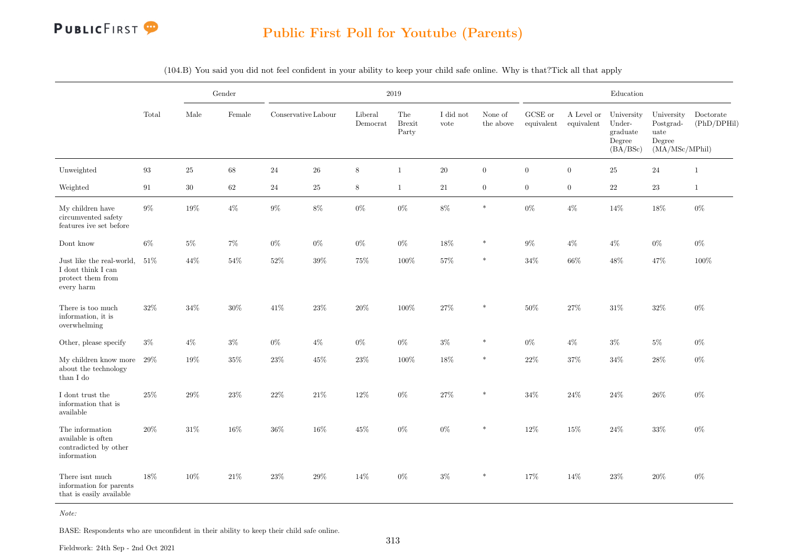

### Public First Poll for Youtube (Parents)

|                                                                                    |                   |        | Gender |                     |        |                             | $2019\,$                      |                   |                      |                               |                          | Education                                              |                                                             |                          |
|------------------------------------------------------------------------------------|-------------------|--------|--------|---------------------|--------|-----------------------------|-------------------------------|-------------------|----------------------|-------------------------------|--------------------------|--------------------------------------------------------|-------------------------------------------------------------|--------------------------|
|                                                                                    | Total             | Male   | Female | Conservative Labour |        | Liberal<br>${\it Democrat}$ | The<br><b>Brexit</b><br>Party | I did not<br>vote | None of<br>the above | ${\rm GCSE}$ or<br>equivalent | A Level or<br>equivalent | University<br>Under-<br>graduate<br>Degree<br>(BA/BSc) | University<br>Postgrad-<br>uate<br>Degree<br>(MA/MSc/MPhil) | Doctorate<br>(PhD/DPHil) |
| Unweighted                                                                         | $\boldsymbol{93}$ | $25\,$ | $68\,$ | $\sqrt{24}$         | $26\,$ | 8                           | $\mathbf{1}$                  | $20\,$            | $\overline{0}$       | $\overline{0}$                | $\boldsymbol{0}$         | $25\,$                                                 | $\sqrt{24}$                                                 | $\mathbf{1}$             |
| Weighted                                                                           | 91                | $30\,$ | 62     | 24                  | $25\,$ | 8                           | $\mathbf{1}$                  | $21\,$            | $\overline{0}$       | $\overline{0}$                | $\overline{0}$           | $22\,$                                                 | $23\,$                                                      | $\mathbf{1}$             |
| My children have<br>circumvented safety<br>features ive set before                 | $9\%$             | 19%    | $4\%$  | $9\%$               | $8\%$  | $0\%$                       | $0\%$                         | 8%                | $\ast$               | $0\%$                         | $4\%$                    | $14\%$                                                 | $18\%$                                                      | $0\%$                    |
| Dont know                                                                          | $6\%$             | $5\%$  | $7\%$  | $0\%$               | $0\%$  | $0\%$                       | $0\%$                         | 18%               | $\ast$               | $9\%$                         | $4\%$                    | $4\%$                                                  | $0\%$                                                       | $0\%$                    |
| Just like the real-world,<br>I dont think I can<br>protect them from<br>every harm | $51\%$            | 44\%   | 54%    | $52\%$              | $39\%$ | $75\%$                      | $100\%$                       | $57\%$            | $\ast$               | $34\%$                        | 66%                      | 48%                                                    | 47%                                                         | 100%                     |
| There is too much<br>information, it is<br>overwhelming                            | $32\%$            | $34\%$ | $30\%$ | $41\%$              | $23\%$ | $20\%$                      | $100\%$                       | $27\%$            |                      | $50\%$                        | 27%                      | $31\%$                                                 | $32\%$                                                      | $0\%$                    |
| Other, please specify                                                              | $3\%$             | $4\%$  | $3\%$  | $0\%$               | $4\%$  | $0\%$                       | $0\%$                         | $3\%$             | *                    | $0\%$                         | $4\%$                    | $3\%$                                                  | $5\%$                                                       | $0\%$                    |
| My children know more<br>about the technology<br>than I do                         | $29\%$            | $19\%$ | $35\%$ | 23\%                | $45\%$ | $23\%$                      | $100\%$                       | 18%               | $\ast$               | $22\%$                        | $37\%$                   | $34\%$                                                 | $28\%$                                                      | $0\%$                    |
| ${\rm I}$ dont trust the<br>information that is<br>available                       | $25\%$            | 29\%   | $23\%$ | $22\%$              | $21\%$ | $12\%$                      | $0\%$                         | $27\%$            | $\ast$               | $34\%$                        | 24\%                     | $24\%$                                                 | $26\%$                                                      | $0\%$                    |
| The information<br>available is often<br>contradicted by other<br>information      | $20\%$            | 31\%   | 16%    | $36\%$              | 16%    | $45\%$                      | $0\%$                         | $0\%$             |                      | 12%                           | 15%                      | $24\%$                                                 | $33\%$                                                      | $0\%$                    |
| There isnt much<br>information for parents<br>that is easily available             | $18\%$            | $10\%$ | $21\%$ | $23\%$              | 29%    | $14\%$                      | $0\%$                         | $3\%$             | $\ast$               | $17\%$                        | 14%                      | $23\%$                                                 | $20\%$                                                      | $0\%$                    |

(104.B) You said you did not feel confident in your ability to keep your child safe online. Why is that?Tick all that apply

Note:

BASE: Respondents who are unconfident in their ability to keep their child safe online.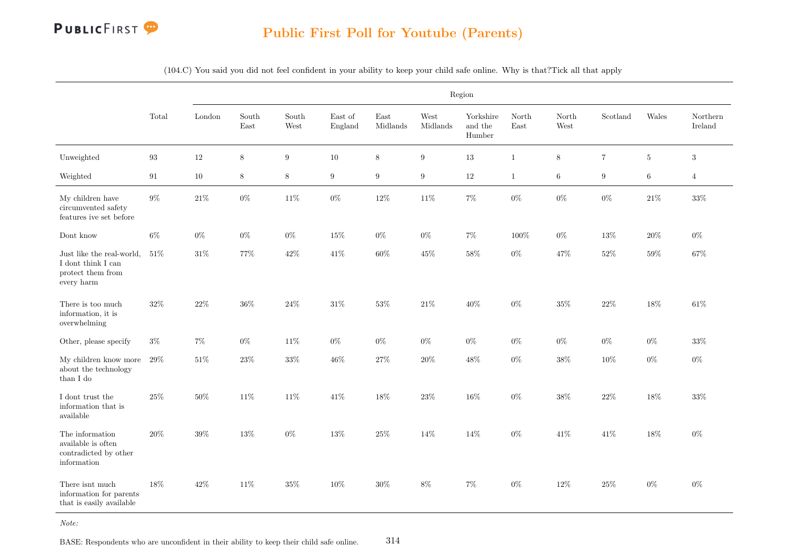

### Public First Poll for Youtube (Parents)

(104.C) You said you did not feel confident in your ability to keep your child safe online. Why is that?Tick all that apply

|                                                                                    |        |        |               |               |                    |                  |                  | Region                         |                                |               |          |             |                              |
|------------------------------------------------------------------------------------|--------|--------|---------------|---------------|--------------------|------------------|------------------|--------------------------------|--------------------------------|---------------|----------|-------------|------------------------------|
|                                                                                    | Total  | London | South<br>East | South<br>West | East of<br>England | East<br>Midlands | West<br>Midlands | Yorkshire<br>and the<br>Humber | North<br>$\operatorname{East}$ | North<br>West | Scotland | Wales       | $\mbox{Northern}$<br>Ireland |
| Unweighted                                                                         | 93     | $12\,$ | $8\,$         | $9\,$         | $10\,$             | $\,8\,$          | $\boldsymbol{9}$ | $13\,$                         | $\mathbf{1}$                   | $8\,$         | $\,7$    | $\,$ 5 $\,$ | $\sqrt{3}$                   |
| Weighted                                                                           | 91     | $10\,$ | $8\,$         | $8\,$         | $\boldsymbol{9}$   | $\boldsymbol{9}$ | $\boldsymbol{9}$ | $12\,$                         | $\,1$                          | $\,6\,$       | $\,9$    | $\,6\,$     | $\overline{4}$               |
| My children have<br>circumvented safety<br>features ive set before                 | $9\%$  | $21\%$ | $0\%$         | $11\%$        | $0\%$              | $12\%$           | $11\%$           | $7\%$                          | $0\%$                          | $0\%$         | $0\%$    | $21\%$      | $33\%$                       |
| Dont know                                                                          | $6\%$  | $0\%$  | $0\%$         | $0\%$         | $15\%$             | $0\%$            | $0\%$            | $7\%$                          | 100%                           | $0\%$         | $13\%$   | $20\%$      | $0\%$                        |
| Just like the real-world,<br>I dont think I can<br>protect them from<br>every harm | 51%    | $31\%$ | $77\%$        | $42\%$        | 41\%               | $60\%$           | $45\%$           | $58\%$                         | $0\%$                          | $47\%$        | $52\%$   | $59\%$      | 67%                          |
| There is too much<br>information, it is<br>$over {\bf w} {\bf h} {\bf elming}$     | $32\%$ | $22\%$ | $36\%$        | $24\%$        | $31\%$             | $53\%$           | $21\%$           | $40\%$                         | $0\%$                          | $35\%$        | $22\%$   | $18\%$      | $61\%$                       |
| Other, please specify                                                              | $3\%$  | $7\%$  | $0\%$         | $11\%$        | $0\%$              | $0\%$            | $0\%$            | $0\%$                          | $0\%$                          | $0\%$         | $0\%$    | $0\%$       | 33%                          |
| My children know more<br>about the technology<br>than I do                         | $29\%$ | $51\%$ | 23%           | 33%           | $46\%$             | $27\%$           | $20\%$           | 48%                            | $0\%$                          | $38\%$        | 10%      | $0\%$       | $0\%$                        |
| ${\rm I}$ dont trust the<br>information that is<br>available                       | $25\%$ | $50\%$ | $11\%$        | $11\%$        | 41\%               | $18\%$           | $23\%$           | $16\%$                         | $0\%$                          | $38\%$        | $22\%$   | $18\%$      | 33%                          |
| The information<br>available is often<br>contradicted by other<br>information      | 20%    | $39\%$ | 13%           | $0\%$         | 13%                | $25\%$           | 14%              | 14%                            | $0\%$                          | $41\%$        | $41\%$   | 18%         | $0\%$                        |
| There isnt much<br>information for parents<br>that is easily available             | 18%    | $42\%$ | $11\%$        | $35\%$        | $10\%$             | $30\%$           | $8\%$            | $7\%$                          | $0\%$                          | $12\%$        | $25\%$   | $0\%$       | $0\%$                        |

BASE: Respondents who are unconfident in their ability to keep their child safe online.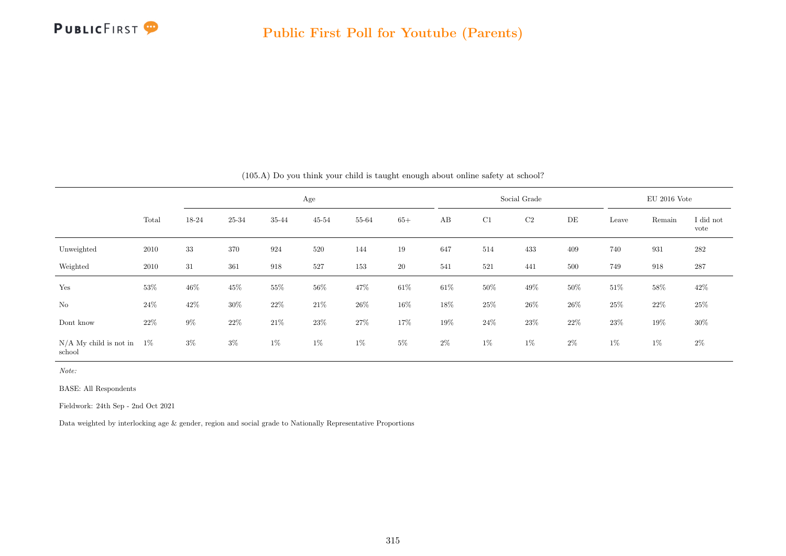

|                                    |        |        |        |        | Age       |        |        |        |        | Social Grade |        |        | $EU$ 2016 Vote |                   |
|------------------------------------|--------|--------|--------|--------|-----------|--------|--------|--------|--------|--------------|--------|--------|----------------|-------------------|
|                                    | Total  | 18-24  | 25-34  | 35-44  | $45 - 54$ | 55-64  | $65+$  | AB     | C1     | C2           | DE     | Leave  | Remain         | I did not<br>vote |
| Unweighted                         | 2010   | 33     | 370    | 924    | 520       | 144    | 19     | 647    | 514    | 433          | 409    | 740    | 931            | 282               |
| Weighted                           | 2010   | 31     | 361    | 918    | 527       | 153    | 20     | 541    | 521    | 441          | 500    | 749    | 918            | 287               |
| Yes                                | 53%    | $46\%$ | $45\%$ | $55\%$ | $56\%$    | 47%    | $61\%$ | $61\%$ | $50\%$ | 49\%         | $50\%$ | $51\%$ | $58\%$         | $42\%$            |
| $\rm No$                           | 24\%   | 42\%   | $30\%$ | 22%    | $21\%$    | $26\%$ | 16%    | 18%    | 25%    | $26\%$       | 26\%   | $25\%$ | 22%            | $25\%$            |
| Dont know                          | $22\%$ | $9\%$  | $22\%$ | $21\%$ | $23\%$    | $27\%$ | 17%    | 19%    | $24\%$ | $23\%$       | $22\%$ | $23\%$ | 19%            | $30\%$            |
| $N/A$ My child is not in<br>school | $1\%$  | $3\%$  | $3\%$  | $1\%$  | $1\%$     | $1\%$  | $5\%$  | $2\%$  | $1\%$  | $1\%$        | $2\%$  | $1\%$  | $1\%$          | $2\%$             |

(105.A) Do you think your child is taught enough about online safety at school?

Note:

BASE: All Respondents

Fieldwork: 24th Sep - 2nd Oct 2021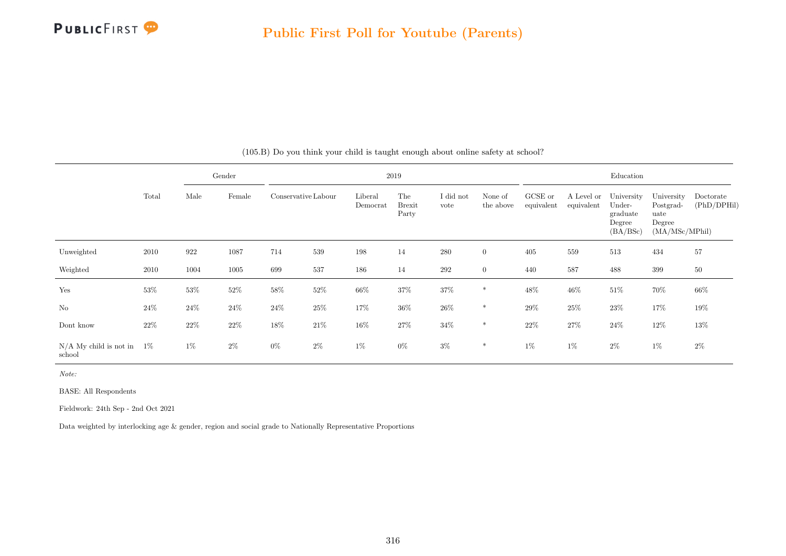

|                                    |        |        | Gender |                     |        |                     | 2019                          |                   |                      |                       |                          | Education                                              |                                                             |                          |
|------------------------------------|--------|--------|--------|---------------------|--------|---------------------|-------------------------------|-------------------|----------------------|-----------------------|--------------------------|--------------------------------------------------------|-------------------------------------------------------------|--------------------------|
|                                    | Total  | Male   | Female | Conservative Labour |        | Liberal<br>Democrat | The<br><b>Brexit</b><br>Party | I did not<br>vote | None of<br>the above | GCSE or<br>equivalent | A Level or<br>equivalent | University<br>Under-<br>graduate<br>Degree<br>(BA/BSc) | University<br>Postgrad-<br>uate<br>Degree<br>(MA/MSc/MPhil) | Doctorate<br>(PhD/DPHil) |
| Unweighted                         | 2010   | 922    | 1087   | 714                 | 539    | 198                 | 14                            | 280               | $\overline{0}$       | 405                   | 559                      | 513                                                    | 434                                                         | $57\,$                   |
| Weighted                           | 2010   | 1004   | 1005   | 699                 | 537    | 186                 | 14                            | $\,292$           | $\overline{0}$       | 440                   | 587                      | 488                                                    | 399                                                         | 50                       |
| Yes                                | $53\%$ | 53%    | $52\%$ | $58\%$              | $52\%$ | $66\%$              | 37%                           | 37%               | $\ast$               | $48\%$                | $46\%$                   | $51\%$                                                 | 70%                                                         | 66%                      |
| $\rm No$                           | $24\%$ | $24\%$ | $24\%$ | $24\%$              | $25\%$ | 17%                 | $36\%$                        | $26\%$            | $\ast$               | $29\%$                | $25\%$                   | $23\%$                                                 | 17%                                                         | $19\%$                   |
| Dont know                          | $22\%$ | $22\%$ | $22\%$ | $18\%$              | $21\%$ | $16\%$              | $27\%$                        | $34\%$            | $*$                  | $22\%$                | $27\%$                   | $24\%$                                                 | $12\%$                                                      | $13\%$                   |
| $N/A$ My child is not in<br>school | $1\%$  | $1\%$  | $2\%$  | $0\%$               | $2\%$  | 1%                  | $0\%$                         | $3\%$             | $\ast$               | $1\%$                 | $1\%$                    | $2\%$                                                  | $1\%$                                                       | $2\%$                    |

(105.B) Do you think your child is taught enough about online safety at school?

Note:

BASE: All Respondents

Fieldwork: 24th Sep - 2nd Oct 2021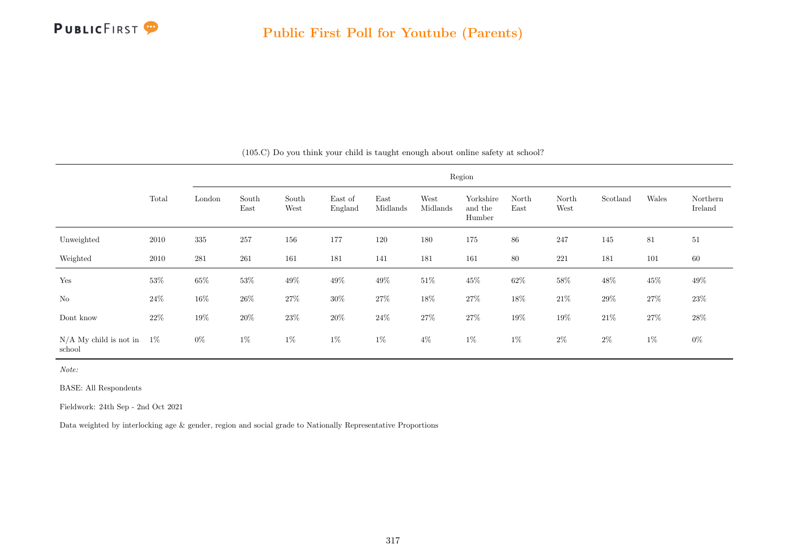

|                                    |        |        |               |               |                    |                  |                  | Region                         |               |               |          |        |                     |
|------------------------------------|--------|--------|---------------|---------------|--------------------|------------------|------------------|--------------------------------|---------------|---------------|----------|--------|---------------------|
|                                    | Total  | London | South<br>East | South<br>West | East of<br>England | East<br>Midlands | West<br>Midlands | Yorkshire<br>and the<br>Humber | North<br>East | North<br>West | Scotland | Wales  | Northern<br>Ireland |
| Unweighted                         | 2010   | 335    | 257           | 156           | 177                | 120              | 180              | 175                            | 86            | 247           | 145      | 81     | 51                  |
| Weighted                           | 2010   | 281    | 261           | 161           | 181                | 141              | 181              | 161                            | 80            | 221           | 181      | 101    | 60                  |
| Yes                                | $53\%$ | $65\%$ | $53\%$        | $49\%$        | $49\%$             | 49\%             | $51\%$           | $45\%$                         | $62\%$        | $58\%$        | $48\%$   | $45\%$ | $49\%$              |
| $\rm No$                           | $24\%$ | $16\%$ | $26\%$        | 27\%          | $30\%$             | $27\%$           | $18\%$           | $27\%$                         | $18\%$        | $21\%$        | $29\%$   | $27\%$ | $23\%$              |
| Dont know                          | $22\%$ | $19\%$ | $20\%$        | $23\%$        | $20\%$             | $24\%$           | $27\%$           | $27\%$                         | $19\%$        | $19\%$        | $21\%$   | $27\%$ | $28\%$              |
| $N/A$ My child is not in<br>school | $1\%$  | $0\%$  | $1\%$         | $1\%$         | $1\%$              | $1\%$            | $4\%$            | $1\%$                          | $1\%$         | $2\%$         | $2\%$    | $1\%$  | $0\%$               |

(105.C) Do you think your child is taught enough about online safety at school?

Note:

BASE: All Respondents

Fieldwork: 24th Sep - 2nd Oct 2021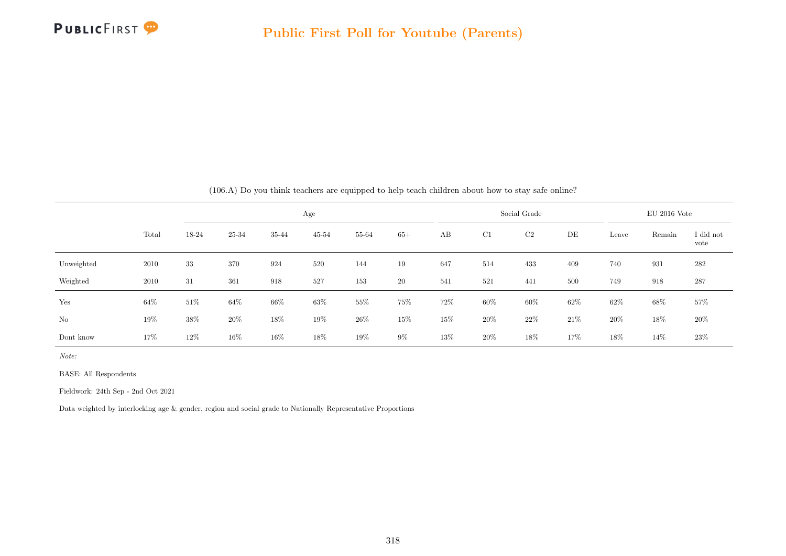

|                |       |        |        |       |           |       |       |     |        | $(100.11)$ Do you think teachers are equipped to neip teach emitten about now to stay said omine. |      |        |                |                   |
|----------------|-------|--------|--------|-------|-----------|-------|-------|-----|--------|---------------------------------------------------------------------------------------------------|------|--------|----------------|-------------------|
|                |       |        |        |       | Age       |       |       |     |        | Social Grade                                                                                      |      |        | $EU$ 2016 Vote |                   |
|                | Total | 18-24  | 25-34  | 35-44 | $45 - 54$ | 55-64 | $65+$ | AB  | C1     | C2                                                                                                | DE   | Leave  | Remain         | I did not<br>vote |
| Unweighted     | 2010  | 33     | 370    | 924   | 520       | 144   | 19    | 647 | 514    | 433                                                                                               | 409  | 740    | 931            | 282               |
| Weighted       | 2010  | 31     | 361    | 918   | 527       | 153   | 20    | 541 | 521    | 441                                                                                               | 500  | 749    | 918            | 287               |
| Yes            | 64%   | $51\%$ | 64%    | 66%   | 63%       | 55%   | 75%   | 72% | $60\%$ | $60\%$                                                                                            | 62%  | 62%    | 68%            | 57%               |
| N <sub>o</sub> | 19%   | 38%    | 20%    | 18%   | 19%       | 26%   | 15%   | 15% | 20%    | 22%                                                                                               | 21\% | $20\%$ | 18%            | 20%               |
| Dont know      | 17%   | 12%    | $16\%$ | 16\%  | 18%       | 19%   | $9\%$ | 13% | 20%    | 18%                                                                                               | 17%  | 18%    | 14\%           | 23\%              |

(106.A) Do you think teachers are equipped to help teach children about how to stay safe online?

Note:

BASE: All Respondents

Fieldwork: 24th Sep - 2nd Oct 2021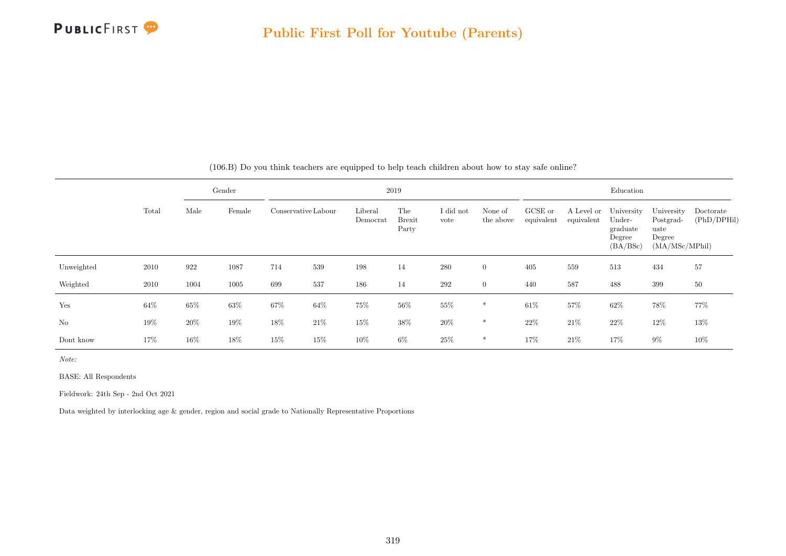

|            |        |        | Gender |                     |      |                     | 2019                          |                   |                      |                       |                          | Education                                              |                                                             |                          |
|------------|--------|--------|--------|---------------------|------|---------------------|-------------------------------|-------------------|----------------------|-----------------------|--------------------------|--------------------------------------------------------|-------------------------------------------------------------|--------------------------|
|            | Total  | Male   | Female | Conservative Labour |      | Liberal<br>Democrat | The<br><b>Brexit</b><br>Party | I did not<br>vote | None of<br>the above | GCSE or<br>equivalent | A Level or<br>equivalent | University<br>Under-<br>graduate<br>Degree<br>(BA/BSc) | University<br>Postgrad-<br>uate<br>Degree<br>(MA/MSc/MPhil) | Doctorate<br>(PhD/DPHil) |
| Unweighted | 2010   | 922    | 1087   | 714                 | 539  | 198                 | 14                            | 280               | $\overline{0}$       | 405                   | 559                      | 513                                                    | 434                                                         | 57                       |
| Weighted   | 2010   | 1004   | 1005   | 699                 | 537  | 186                 | 14                            | 292               | $\overline{0}$       | 440                   | 587                      | 488                                                    | 399                                                         | 50                       |
| Yes        | $64\%$ | 65%    | $63\%$ | $67\%$              | 64%  | 75%                 | $56\%$                        | $55\%$            | $\ast$               | 61\%                  | 57%                      | $62\%$                                                 | 78%                                                         | 77%                      |
| No         | 19%    | 20%    | 19%    | 18%                 | 21\% | 15%                 | 38%                           | $20\%$            | $\ast$               | 22%                   | 21\%                     | $22\%$                                                 | 12%                                                         | 13%                      |
| Dont know  | 17%    | $16\%$ | 18%    | 15%                 | 15%  | 10%                 | $6\%$                         | 25%               | $\ast$               | 17%                   | 21%                      | 17%                                                    | $9\%$                                                       | 10%                      |

(106.B) Do you think teachers are equipped to help teach children about how to stay safe online?

Note:

BASE: All Respondents

Fieldwork: 24th Sep - 2nd Oct 2021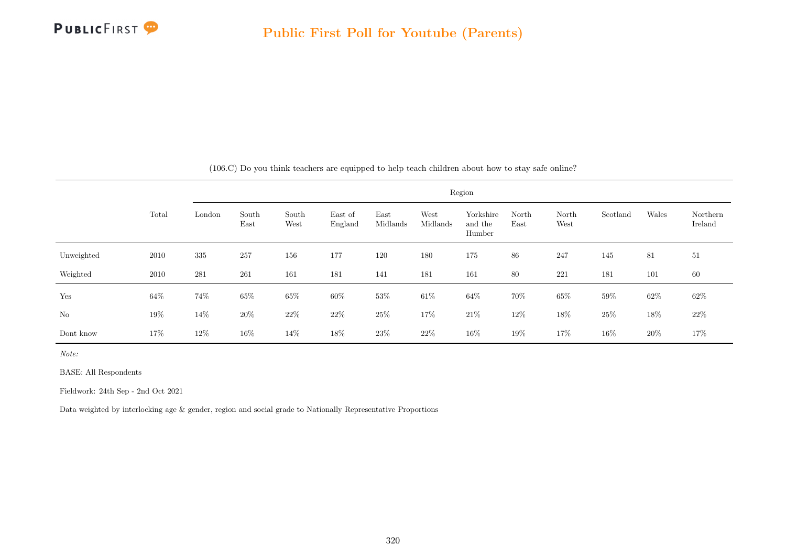

|            |       |        |               |               |                    |                  |                  | Region                         |               |               |          |        |                     |
|------------|-------|--------|---------------|---------------|--------------------|------------------|------------------|--------------------------------|---------------|---------------|----------|--------|---------------------|
|            | Total | London | South<br>East | South<br>West | East of<br>England | East<br>Midlands | West<br>Midlands | Yorkshire<br>and the<br>Humber | North<br>East | North<br>West | Scotland | Wales  | Northern<br>Ireland |
| Unweighted | 2010  | 335    | 257           | 156           | 177                | 120              | 180              | 175                            | 86            | 247           | 145      | 81     | 51                  |
| Weighted   | 2010  | 281    | 261           | 161           | 181                | 141              | 181              | 161                            | 80            | 221           | 181      | 101    | 60                  |
| Yes        | 64\%  | $74\%$ | $65\%$        | $65\%$        | 60%                | 53%              | $61\%$           | 64%                            | 70%           | $65\%$        | $59\%$   | $62\%$ | $62\%$              |
| $\rm No$   | 19%   | $14\%$ | $20\%$        | $22\%$        | $22\%$             | $25\%$           | $17\%$           | $21\%$                         | $12\%$        | $18\%$        | $25\%$   | 18%    | $22\%$              |
| Dont know  | 17%   | $12\%$ | $16\%$        | 14%           | 18%                | 23\%             | $22\%$           | $16\%$                         | 19%           | 17%           | 16%      | $20\%$ | 17%                 |

(106.C) Do you think teachers are equipped to help teach children about how to stay safe online?

Note:

BASE: All Respondents

Fieldwork: 24th Sep - 2nd Oct 2021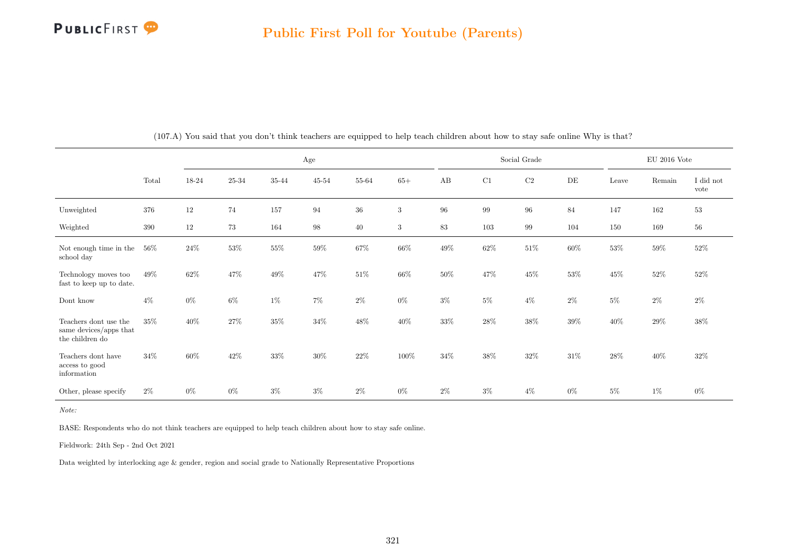

|                                                                    |        |       |           |        | Age       |        |              |        |        | Social Grade |        |        | $EU$ 2016 Vote |                   |
|--------------------------------------------------------------------|--------|-------|-----------|--------|-----------|--------|--------------|--------|--------|--------------|--------|--------|----------------|-------------------|
|                                                                    | Total  | 18-24 | $25 - 34$ | 35-44  | $45 - 54$ | 55-64  | $65+$        | AB     | C1     | $\rm C2$     | DE     | Leave  | Remain         | I did not<br>vote |
| Unweighted                                                         | 376    | 12    | 74        | 157    | 94        | $36\,$ | $\mathbf{3}$ | 96     | 99     | $96\,$       | 84     | 147    | 162            | $53\,$            |
| Weighted                                                           | 390    | 12    | 73        | 164    | 98        | 40     | 3            | 83     | 103    | 99           | 104    | 150    | 169            | 56                |
| Not enough time in the<br>school day                               | $56\%$ | 24\%  | $53\%$    | $55\%$ | $59\%$    | $67\%$ | $66\%$       | $49\%$ | $62\%$ | $51\%$       | $60\%$ | $53\%$ | $59\%$         | $52\%$            |
| Technology moves too<br>fast to keep up to date.                   | 49%    | 62%   | 47%       | 49\%   | 47%       | $51\%$ | $66\%$       | 50%    | $47\%$ | $45\%$       | 53%    | $45\%$ | $52\%$         | $52\%$            |
| Dont know                                                          | $4\%$  | $0\%$ | $6\%$     | $1\%$  | $7\%$     | $2\%$  | $0\%$        | $3\%$  | $5\%$  | $4\%$        | $2\%$  | $5\%$  | $2\%$          | $2\%$             |
| Teachers dont use the<br>same devices/apps that<br>the children do | 35%    | 40%   | 27%       | $35\%$ | 34%       | $48\%$ | 40\%         | $33\%$ | $28\%$ | $38\%$       | $39\%$ | $40\%$ | $29\%$         | 38\%              |
| Teachers dont have<br>access to good<br>information                | 34\%   | 60%   | 42\%      | 33%    | $30\%$    | $22\%$ | 100%         | 34%    | $38\%$ | $32\%$       | $31\%$ | 28\%   | 40%            | $32\%$            |
| Other, please specify                                              | $2\%$  | $0\%$ | $0\%$     | $3\%$  | $3\%$     | $2\%$  | $0\%$        | $2\%$  | $3\%$  | $4\%$        | $0\%$  | $5\%$  | $1\%$          | $0\%$             |

(107.A) You said that you don't think teachers are equipped to help teach children about how to stay safe online Why is that?

Note:

BASE: Respondents who do not think teachers are equipped to help teach children about how to stay safe online.

Fieldwork: 24th Sep - 2nd Oct 2021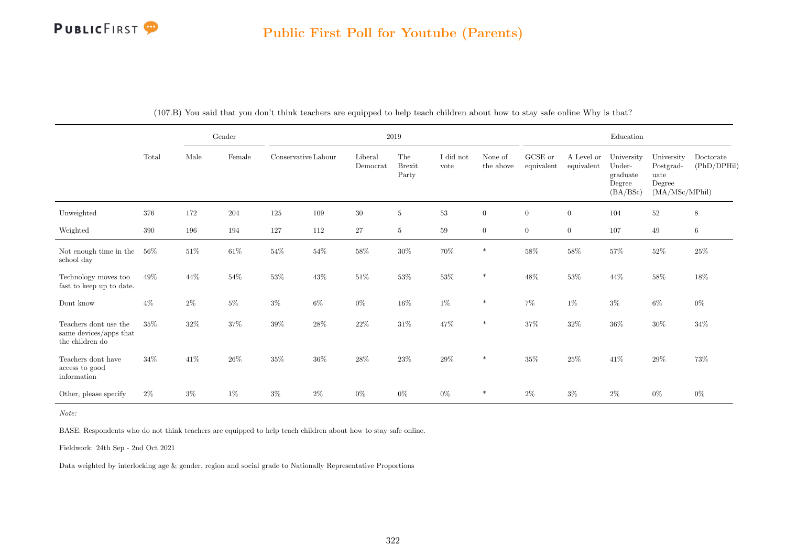### Public First Poll for Youtube (Parents)

|                                                                    |        | Gender |        | $2019\,$            |        |                     |                               |                   |                      |                       | Education                |                                                        |                                                             |                          |  |
|--------------------------------------------------------------------|--------|--------|--------|---------------------|--------|---------------------|-------------------------------|-------------------|----------------------|-----------------------|--------------------------|--------------------------------------------------------|-------------------------------------------------------------|--------------------------|--|
|                                                                    | Total  | Male   | Female | Conservative Labour |        | Liberal<br>Democrat | The<br><b>Brexit</b><br>Party | I did not<br>vote | None of<br>the above | GCSE or<br>equivalent | A Level or<br>equivalent | University<br>Under-<br>graduate<br>Degree<br>(BA/BSc) | University<br>Postgrad-<br>uate<br>Degree<br>(MA/MSc/MPhil) | Doctorate<br>(PhD/DPHil) |  |
| Unweighted                                                         | 376    | 172    | 204    | 125                 | 109    | $30\,$              | $\bf 5$                       | $53\,$            | $\overline{0}$       | $\boldsymbol{0}$      | $\boldsymbol{0}$         | 104                                                    | $52\,$                                                      | $\,8\,$                  |  |
| Weighted                                                           | 390    | 196    | 194    | 127                 | 112    | 27                  | 5                             | 59                | $\overline{0}$       | $\overline{0}$        | $\overline{0}$           | 107                                                    | 49                                                          | $\,6\,$                  |  |
| Not enough time in the<br>school day                               | $56\%$ | $51\%$ | $61\%$ | $54\%$              | $54\%$ | $58\%$              | $30\%$                        | $70\%$            | $\ast$               | $58\%$                | $58\%$                   | $57\%$                                                 | $52\%$                                                      | $25\%$                   |  |
| Technology moves too<br>fast to keep up to date.                   | 49%    | 44\%   | $54\%$ | $53\%$              | $43\%$ | $51\%$              | $53\%$                        | $53\%$            | $\ast$               | $48\%$                | $53\%$                   | $44\%$                                                 | $58\%$                                                      | $18\%$                   |  |
| Dont know                                                          | $4\%$  | $2\%$  | $5\%$  | $3\%$               | $6\%$  | $0\%$               | $16\%$                        | 1%                | $\ast$               | $7\%$                 | $1\%$                    | $3\%$                                                  | $6\%$                                                       | $0\%$                    |  |
| Teachers dont use the<br>same devices/apps that<br>the children do | $35\%$ | $32\%$ | $37\%$ | $39\%$              | $28\%$ | $22\%$              | $31\%$                        | $47\%$            | $\ast$               | $37\%$                | $32\%$                   | $36\%$                                                 | $30\%$                                                      | $34\%$                   |  |
| Teachers dont have<br>access to good<br>information                | 34%    | 41\%   | $26\%$ | $35\%$              | $36\%$ | $28\%$              | $23\%$                        | $29\%$            | $\ast$               | $35\%$                | $25\%$                   | 41\%                                                   | $29\%$                                                      | $73\%$                   |  |
| Other, please specify                                              | $2\%$  | $3\%$  | $1\%$  | $3\%$               | $2\%$  | $0\%$               | $0\%$                         | 0%                | $\ast$               | $2\%$                 | $3\%$                    | $2\%$                                                  | $0\%$                                                       | $0\%$                    |  |

(107.B) You said that you don't think teachers are equipped to help teach children about how to stay safe online Why is that?

Note:

BASE: Respondents who do not think teachers are equipped to help teach children about how to stay safe online.

Fieldwork: 24th Sep - 2nd Oct 2021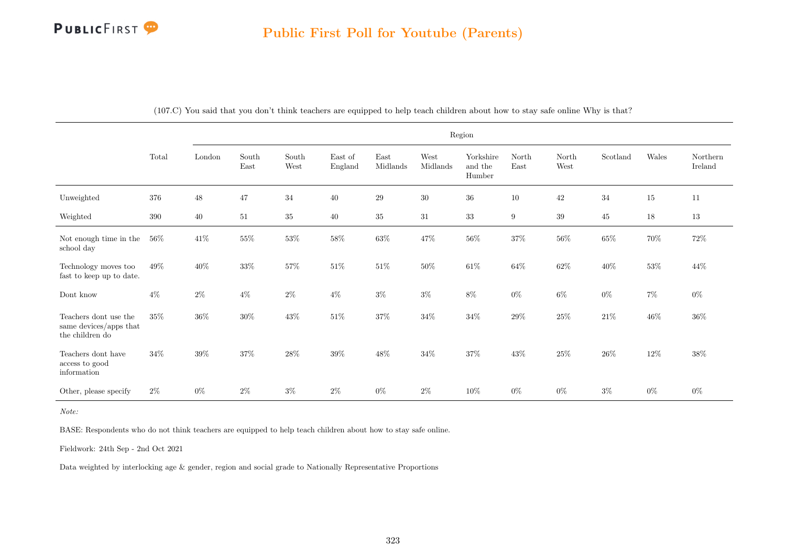

|                                                                    | Region  |        |                                |               |                    |                                   |                  |                                |                  |               |          |        |                     |
|--------------------------------------------------------------------|---------|--------|--------------------------------|---------------|--------------------|-----------------------------------|------------------|--------------------------------|------------------|---------------|----------|--------|---------------------|
|                                                                    | Total   | London | $\operatorname{South}$<br>East | South<br>West | East of<br>England | $\operatorname{East}$<br>Midlands | West<br>Midlands | Yorkshire<br>and the<br>Humber | North<br>East    | North<br>West | Scotland | Wales  | Northern<br>Ireland |
| Unweighted                                                         | 376     | 48     | 47                             | 34            | 40                 | 29                                | 30               | 36                             | 10               | 42            | 34       | 15     | 11                  |
| Weighted                                                           | $390\,$ | 40     | 51                             | 35            | 40                 | 35                                | $31\,$           | 33                             | $\boldsymbol{9}$ | $39\,$        | 45       | 18     | 13                  |
| Not enough time in the<br>school day                               | $56\%$  | $41\%$ | $55\%$                         | $53\%$        | $58\%$             | $63\%$                            | $47\%$           | $56\%$                         | $37\%$           | $56\%$        | $65\%$   | $70\%$ | $72\%$              |
| Technology moves too<br>fast to keep up to date.                   | 49%     | $40\%$ | $33\%$                         | $57\%$        | 51%                | $51\%$                            | 50%              | $61\%$                         | $64\%$           | $62\%$        | 40%      | $53\%$ | 44\%                |
| Dont know                                                          | $4\%$   | $2\%$  | $4\%$                          | $2\%$         | $4\%$              | $3\%$                             | $3\%$            | $8\%$                          | $0\%$            | 6%            | $0\%$    | $7\%$  | $0\%$               |
| Teachers dont use the<br>same devices/apps that<br>the children do | $35\%$  | $36\%$ | $30\%$                         | $43\%$        | $51\%$             | $37\%$                            | $34\%$           | $34\%$                         | $29\%$           | $25\%$        | $21\%$   | $46\%$ | $36\%$              |
| Teachers dont have<br>access to good<br>information                | 34%     | $39\%$ | 37%                            | $28\%$        | 39%                | $48\%$                            | 34%              | $37\%$                         | 43%              | $25\%$        | 26\%     | $12\%$ | 38%                 |
| Other, please specify                                              | $2\%$   | $0\%$  | $2\%$                          | $3\%$         | $2\%$              | $0\%$                             | $2\%$            | $10\%$                         | $0\%$            | $0\%$         | $3\%$    | $0\%$  | $0\%$               |

(107.C) You said that you don't think teachers are equipped to help teach children about how to stay safe online Why is that?

Note:

BASE: Respondents who do not think teachers are equipped to help teach children about how to stay safe online.

Fieldwork: 24th Sep - 2nd Oct 2021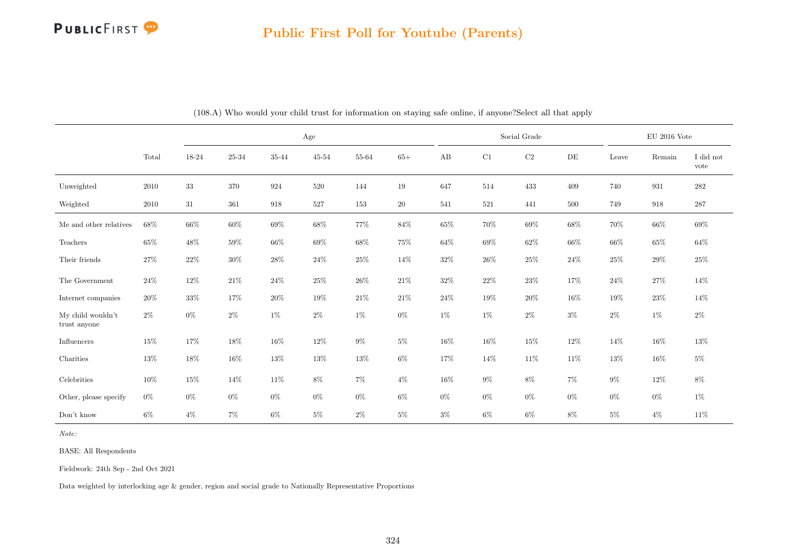## PUBLICFIRST<sup>9</sup>

## Public First Poll for Youtube (Parents)

|                                   |          |        |        |        | Age       |        |        |        |        | Social Grade |        |        | $EU$ 2016 Vote |                   |
|-----------------------------------|----------|--------|--------|--------|-----------|--------|--------|--------|--------|--------------|--------|--------|----------------|-------------------|
|                                   | Total    | 18-24  | 25-34  | 35-44  | $45 - 54$ | 55-64  | $65+$  | AB     | C1     | $\rm{C2}$    | DE     | Leave  | Remain         | I did not<br>vote |
| Unweighted                        | $2010\,$ | 33     | 370    | 924    | 520       | 144    | 19     | 647    | 514    | 433          | 409    | 740    | 931            | $\bf 282$         |
| Weighted                          | 2010     | $31\,$ | 361    | 918    | 527       | 153    | 20     | 541    | 521    | 441          | 500    | 749    | 918            | $287\,$           |
| Me and other relatives            | $68\%$   | $66\%$ | $60\%$ | $69\%$ | $68\%$    | $77\%$ | $84\%$ | $65\%$ | $70\%$ | 69%          | $68\%$ | $70\%$ | $66\%$         | $69\%$            |
| Teachers                          | $65\%$   | $48\%$ | 59%    | $66\%$ | 69%       | $68\%$ | $75\%$ | 64%    | $69\%$ | $62\%$       | 66%    | $66\%$ | $65\%$         | $64\%$            |
| Their friends                     | 27%      | $22\%$ | $30\%$ | 28%    | 24\%      | $25\%$ | 14%    | $32\%$ | $26\%$ | 25%          | $24\%$ | $25\%$ | 29\%           | $25\%$            |
| The Government                    | 24\%     | 12%    | $21\%$ | $24\%$ | 25\%      | $26\%$ | $21\%$ | 32%    | $22\%$ | $23\%$       | 17%    | $24\%$ | 27%            | $14\%$            |
| Internet companies                | $20\%$   | 33%    | 17%    | $20\%$ | 19%       | $21\%$ | $21\%$ | 24%    | 19%    | $20\%$       | 16%    | $19\%$ | $23\%$         | $14\%$            |
| My child wouldn't<br>trust anyone | $2\%$    | $0\%$  | $2\%$  | $1\%$  | $2\%$     | 1%     | $0\%$  | $1\%$  | $1\%$  | $2\%$        | $3\%$  | $2\%$  | $1\%$          | $2\%$             |
| Influencers                       | 15%      | $17\%$ | $18\%$ | $16\%$ | $12\%$    | $9\%$  | $5\%$  | $16\%$ | $16\%$ | $15\%$       | $12\%$ | $14\%$ | 16%            | 13%               |
| Charities                         | $13\%$   | $18\%$ | $16\%$ | $13\%$ | $13\%$    | $13\%$ | $6\%$  | 17%    | 14%    | 11\%         | $11\%$ | $13\%$ | $16\%$         | $5\%$             |
| Celebrities                       | 10%      | 15%    | $14\%$ | $11\%$ | 8%        | $7\%$  | $4\%$  | 16%    | $9\%$  | $8\%$        | $7\%$  | $9\%$  | $12\%$         | $8\%$             |
| Other, please specify             | $0\%$    | $0\%$  | $0\%$  | $0\%$  | $0\%$     | $0\%$  | $6\%$  | $0\%$  | $0\%$  | $0\%$        | $0\%$  | $0\%$  | $0\%$          | $1\%$             |
| Don't know                        | $6\%$    | $4\%$  | $7\%$  | $6\%$  | $5\%$     | $2\%$  | $5\%$  | $3\%$  | $6\%$  | $6\%$        | 8%     | $5\%$  | $4\%$          | $11\%$            |

(108.A) Who would your child trust for information on staying safe online, if anyone?Select all that apply

Note:

BASE: All Respondents

Fieldwork: 24th Sep - 2nd Oct 2021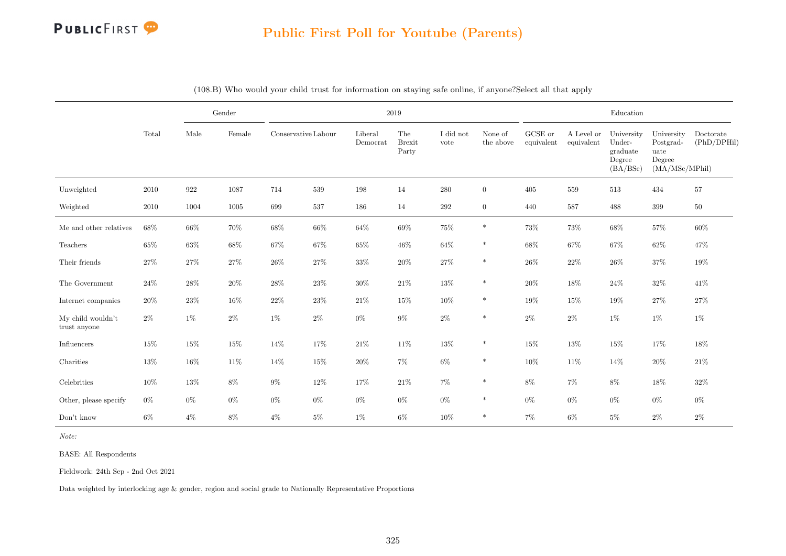

|                                   |        |        | Gender |        |                     |                     | 2019                          |                   |                      |                               |                          | $\operatorname{Education}$                             |                                                             |                          |
|-----------------------------------|--------|--------|--------|--------|---------------------|---------------------|-------------------------------|-------------------|----------------------|-------------------------------|--------------------------|--------------------------------------------------------|-------------------------------------------------------------|--------------------------|
|                                   | Total  | Male   | Female |        | Conservative Labour | Liberal<br>Democrat | The<br><b>Brexit</b><br>Party | I did not<br>vote | None of<br>the above | ${\rm GCSE}$ or<br>equivalent | A Level or<br>equivalent | University<br>Under-<br>graduate<br>Degree<br>(BA/BSc) | University<br>Postgrad-<br>uate<br>Degree<br>(MA/MSc/MPhil) | Doctorate<br>(PhD/DPHil) |
| Unweighted                        | 2010   | 922    | 1087   | 714    | 539                 | 198                 | 14                            | $280\,$           | $\overline{0}$       | $405\,$                       | 559                      | $513\,$                                                | 434                                                         | $57\,$                   |
| Weighted                          | 2010   | 1004   | 1005   | 699    | 537                 | 186                 | 14                            | 292               | $\overline{0}$       | 440                           | 587                      | 488                                                    | 399                                                         | $50\,$                   |
| Me and other relatives            | 68%    | 66%    | 70%    | 68\%   | 66%                 | 64\%                | $69\%$                        | 75%               | $\ast$               | 73%                           | $73\%$                   | 68\%                                                   | $57\%$                                                      | 60%                      |
| Teachers                          | $65\%$ | $63\%$ | $68\%$ | 67%    | 67%                 | 65%                 | $46\%$                        | 64%               | $\ast$               | 68\%                          | 67%                      | 67%                                                    | $62\%$                                                      | 47%                      |
| Their friends                     | $27\%$ | $27\%$ | 27%    | $26\%$ | $27\%$              | $33\%$              | 20%                           | $27\%$            | $\ast$               | $26\%$                        | $22\%$                   | $26\%$                                                 | $37\%$                                                      | 19%                      |
| The Government                    | $24\%$ | $28\%$ | $20\%$ | $28\%$ | $23\%$              | $30\%$              | $21\%$                        | $13\%$            | $\ast$               | $20\%$                        | 18%                      | $24\%$                                                 | $32\%$                                                      | 41\%                     |
| Internet companies                | 20%    | 23%    | 16%    | $22\%$ | 23%                 | 21%                 | 15%                           | 10%               | $\ast$               | 19%                           | 15%                      | 19%                                                    | 27%                                                         | 27%                      |
| My child wouldn't<br>trust anyone | $2\%$  | $1\%$  | $2\%$  | $1\%$  | $2\%$               | $0\%$               | $9\%$                         | $2\%$             | $\ast$               | $2\%$                         | $2\%$                    | $1\%$                                                  | $1\%$                                                       | $1\%$                    |
| Influencers                       | 15%    | 15%    | 15%    | 14%    | 17%                 | $21\%$              | 11%                           | 13%               | *                    | 15%                           | 13%                      | 15%                                                    | 17%                                                         | 18%                      |
| Charities                         | 13%    | 16%    | 11\%   | 14%    | 15%                 | $20\%$              | $7\%$                         | $6\%$             | $\ast$               | 10%                           | 11%                      | 14%                                                    | 20%                                                         | 21%                      |
| Celebrities                       | 10%    | 13%    | $8\%$  | $9\%$  | 12%                 | 17%                 | 21\%                          | 7%                | $\ast$               | 8%                            | $7\%$                    | 8%                                                     | $18\%$                                                      | 32%                      |
| Other, please specify             | $0\%$  | $0\%$  | $0\%$  | $0\%$  | $0\%$               | $0\%$               | $0\%$                         | $0\%$             | $\ast$               | $0\%$                         | $0\%$                    | $0\%$                                                  | $0\%$                                                       | $0\%$                    |
| Don't know                        | $6\%$  | $4\%$  | $8\%$  | $4\%$  | $5\%$               | $1\%$               | $6\%$                         | 10%               | *                    | $7\%$                         | $6\%$                    | $5\%$                                                  | $2\%$                                                       | $2\%$                    |

(108.B) Who would your child trust for information on staying safe online, if anyone?Select all that apply

Note:

BASE: All Respondents

Fieldwork: 24th Sep - 2nd Oct 2021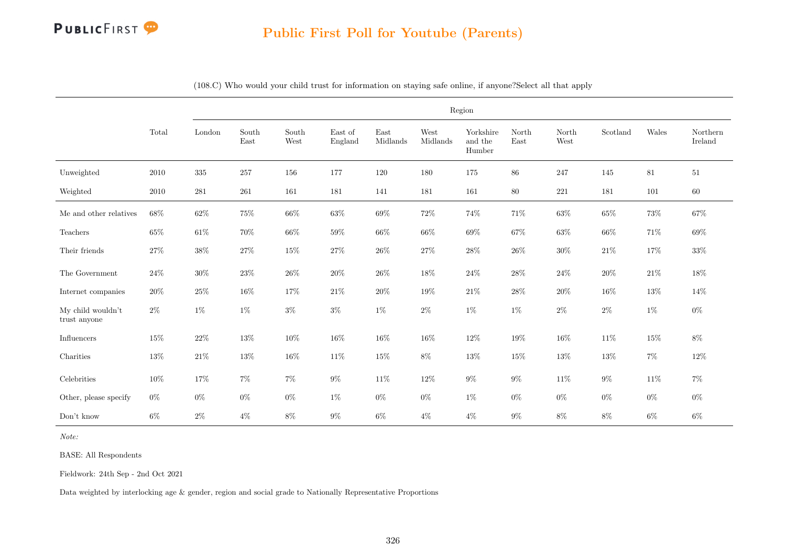

|                                   |          |         |               |               |                    |                  | Region           |                                |               |               |          |        |                     |
|-----------------------------------|----------|---------|---------------|---------------|--------------------|------------------|------------------|--------------------------------|---------------|---------------|----------|--------|---------------------|
|                                   | Total    | London  | South<br>East | South<br>West | East of<br>England | East<br>Midlands | West<br>Midlands | Yorkshire<br>and the<br>Humber | North<br>East | North<br>West | Scotland | Wales  | Northern<br>Ireland |
| Unweighted                        | 2010     | $335\,$ | 257           | 156           | 177                | $120\,$          | 180              | 175                            | 86            | 247           | 145      | 81     | 51                  |
| Weighted                          | $2010\,$ | 281     | 261           | 161           | 181                | 141              | 181              | 161                            | 80            | $221\,$       | 181      | 101    | $60\,$              |
| Me and other relatives            | $68\%$   | $62\%$  | $75\%$        | 66\%          | $63\%$             | $69\%$           | $72\%$           | 74%                            | $71\%$        | $63\%$        | 65%      | $73\%$ | $67\%$              |
| Teachers                          | $65\%$   | $61\%$  | 70%           | 66%           | 59%                | $66\%$           | 66%              | 69%                            | 67%           | 63%           | 66%      | $71\%$ | $69\%$              |
| Their friends                     | 27%      | $38\%$  | $27\%$        | 15%           | $27\%$             | $26\%$           | $27\%$           | $28\%$                         | $26\%$        | $30\%$        | $21\%$   | 17%    | $33\%$              |
| The Government                    | $24\%$   | $30\%$  | $23\%$        | $26\%$        | $20\%$             | $26\%$           | 18%              | $24\%$                         | $28\%$        | $24\%$        | $20\%$   | $21\%$ | $18\%$              |
| Internet companies                | 20%      | 25%     | $16\%$        | 17%           | $21\%$             | $20\%$           | 19%              | $21\%$                         | $28\%$        | 20%           | 16%      | 13%    | 14%                 |
| My child wouldn't<br>trust anyone | $2\%$    | $1\%$   | $1\%$         | $3\%$         | $3\%$              | $1\%$            | $2\%$            | $1\%$                          | $1\%$         | $2\%$         | $2\%$    | $1\%$  | $0\%$               |
| $\operatorname{Influences}$       | 15%      | $22\%$  | 13%           | 10%           | $16\%$             | 16%              | 16%              | $12\%$                         | 19%           | $16\%$        | 11%      | $15\%$ | $8\%$               |
| Charities                         | $13\%$   | $21\%$  | 13%           | 16%           | 11%                | $15\%$           | $8\%$            | $13\%$                         | 15%           | $13\%$        | 13%      | $7\%$  | $12\%$              |
| Celebrities                       | $10\%$   | 17%     | $7\%$         | $7\%$         | $9\%$              | $11\%$           | $12\%$           | $9\%$                          | $9\%$         | $11\%$        | $9\%$    | $11\%$ | $7\%$               |
| Other, please specify             | $0\%$    | $0\%$   | $0\%$         | $0\%$         | $1\%$              | $0\%$            | $0\%$            | $1\%$                          | $0\%$         | $0\%$         | $0\%$    | $0\%$  | $0\%$               |
| Don't know                        | $6\%$    | $2\%$   | $4\%$         | $8\%$         | $9\%$              | $6\%$            | $4\%$            | $4\%$                          | $9\%$         | $8\%$         | 8%       | $6\%$  | $6\%$               |

(108.C) Who would your child trust for information on staying safe online, if anyone?Select all that apply

Note:

BASE: All Respondents

Fieldwork: 24th Sep - 2nd Oct 2021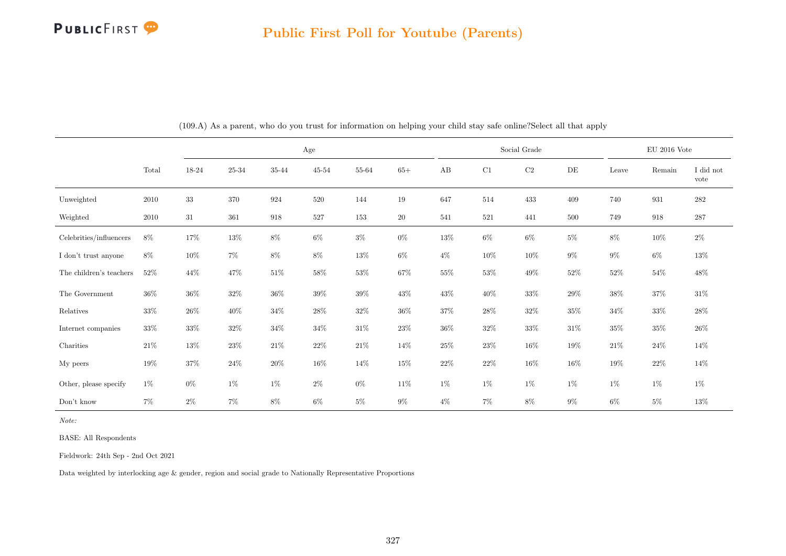

|                                                 |        |        |                |        | Age       |           |        |        |        | Social Grade |        |        | $\rm EU$ 2016 Vote |                   |
|-------------------------------------------------|--------|--------|----------------|--------|-----------|-----------|--------|--------|--------|--------------|--------|--------|--------------------|-------------------|
|                                                 | Total  | 18-24  | $25\hbox{-}34$ | 35-44  | $45 - 54$ | $55 - 64$ | $65+$  | AB     | C1     | $\rm C2$     | DE     | Leave  | Remain             | I did not<br>vote |
| Unweighted                                      | 2010   | 33     | 370            | 924    | 520       | 144       | 19     | 647    | 514    | 433          | 409    | 740    | 931                | 282               |
| Weighted                                        | 2010   | 31     | 361            | 918    | 527       | 153       | $20\,$ | 541    | 521    | 441          | 500    | 749    | 918                | 287               |
| Celebrities/influencers                         | $8\%$  | 17%    | $13\%$         | $8\%$  | $6\%$     | $3\%$     | $0\%$  | $13\%$ | $6\%$  | $6\%$        | $5\%$  | $8\%$  | $10\%$             | $2\%$             |
| I don't trust anyone                            | $8\%$  | $10\%$ | $7\%$          | $8\%$  | 8%        | $13\%$    | $6\%$  | $4\%$  | $10\%$ | 10%          | $9\%$  | $9\%$  | $6\%$              | $13\%$            |
| The children's teachers                         | $52\%$ | 44%    | $47\%$         | $51\%$ | 58%       | $53\%$    | $67\%$ | 55%    | $53\%$ | $49\%$       | $52\%$ | $52\%$ | $54\%$             | $48\%$            |
| The Government $% \left\vert \cdot \right\vert$ | $36\%$ | $36\%$ | $32\%$         | $36\%$ | $39\%$    | $39\%$    | $43\%$ | $43\%$ | $40\%$ | $33\%$       | 29%    | $38\%$ | $37\%$             | $31\%$            |
| Relatives                                       | 33%    | $26\%$ | $40\%$         | 34%    | $28\%$    | $32\%$    | $36\%$ | $37\%$ | $28\%$ | $32\%$       | $35\%$ | $34\%$ | $33\%$             | 28%               |
| Internet companies                              | $33\%$ | $33\%$ | $32\%$         | $34\%$ | $34\%$    | $31\%$    | $23\%$ | $36\%$ | $32\%$ | $33\%$       | $31\%$ | $35\%$ | $35\%$             | $26\%$            |
| Charities                                       | 21\%   | $13\%$ | 23\%           | $21\%$ | $22\%$    | $21\%$    | $14\%$ | $25\%$ | $23\%$ | $16\%$       | $19\%$ | $21\%$ | $24\%$             | $14\%$            |
| My peers                                        | $19\%$ | 37%    | $24\%$         | $20\%$ | 16%       | $14\%$    | $15\%$ | $22\%$ | $22\%$ | $16\%$       | $16\%$ | $19\%$ | $22\%$             | $14\%$            |
| Other, please specify                           | $1\%$  | $0\%$  | $1\%$          | $1\%$  | $2\%$     | $0\%$     | $11\%$ | $1\%$  | $1\%$  | $1\%$        | $1\%$  | $1\%$  | $1\%$              | $1\%$             |
| Don't know                                      | $7\%$  | $2\%$  | $7\%$          | $8\%$  | $6\%$     | $5\%$     | $9\%$  | $4\%$  | $7\%$  | $8\%$        | $9\%$  | $6\%$  | $5\%$              | 13%               |

(109.A) As a parent, who do you trust for information on helping your child stay safe online?Select all that apply

Note:

BASE: All Respondents

Fieldwork: 24th Sep - 2nd Oct 2021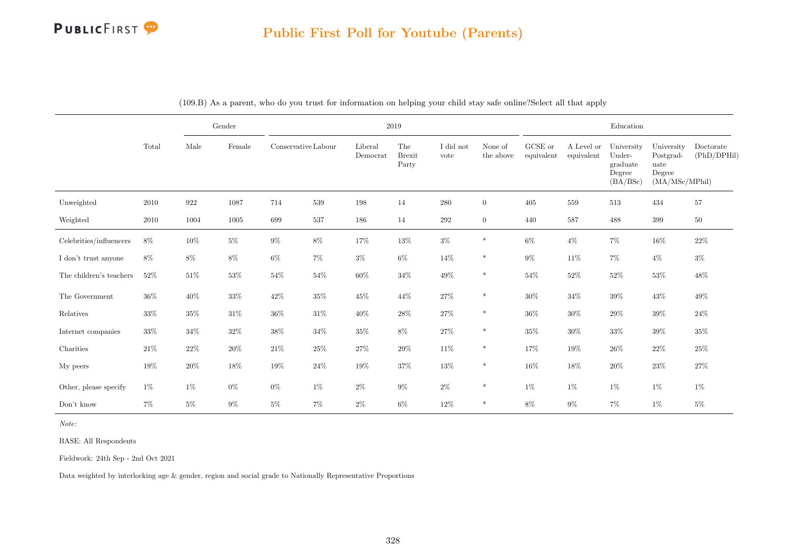## PUBLICFIRST<sup>9</sup>

|                         |          |        | Gender |        |                     |                     | 2019                          |                   |                      |                       |                          | Education                                              |                                                             |                          |
|-------------------------|----------|--------|--------|--------|---------------------|---------------------|-------------------------------|-------------------|----------------------|-----------------------|--------------------------|--------------------------------------------------------|-------------------------------------------------------------|--------------------------|
|                         | Total    | Male   | Female |        | Conservative Labour | Liberal<br>Democrat | The<br><b>Brexit</b><br>Party | I did not<br>vote | None of<br>the above | GCSE or<br>equivalent | A Level or<br>equivalent | University<br>Under-<br>graduate<br>Degree<br>(BA/BSc) | University<br>Postgrad-<br>uate<br>Degree<br>(MA/MSc/MPhil) | Doctorate<br>(PhD/DPHil) |
| Unweighted              | 2010     | 922    | 1087   | 714    | 539                 | 198                 | 14                            | 280               | $\overline{0}$       | 405                   | 559                      | 513                                                    | 434                                                         | 57                       |
| Weighted                | $2010\,$ | 1004   | 1005   | 699    | 537                 | 186                 | 14                            | $\,292$           | $\overline{0}$       | 440                   | 587                      | 488                                                    | 399                                                         | $50\,$                   |
| Celebrities/influencers | $8\%$    | $10\%$ | $5\%$  | $9\%$  | $8\%$               | 17%                 | $13\%$                        | $3\%$             | $\ast$               | $6\%$                 | $4\%$                    | $7\%$                                                  | $16\%$                                                      | $22\%$                   |
| I don't trust anyone    | 8%       | $8\%$  | $8\%$  | $6\%$  | $7\%$               | $3\%$               | $6\%$                         | 14%               | $\ast$               | $9\%$                 | 11\%                     | 7%                                                     | $4\%$                                                       | $3\%$                    |
| The children's teachers | 52%      | $51\%$ | $53\%$ | $54\%$ | $54\%$              | $60\%$              | $34\%$                        | $49\%$            | $\ast$               | $54\%$                | $52\%$                   | $52\%$                                                 | $53\%$                                                      | $48\%$                   |
| The Government          | $36\%$   | $40\%$ | $33\%$ | 42\%   | $35\%$              | $45\%$              | 44\%                          | $27\%$            | $\ast$               | $30\%$                | 34%                      | $39\%$                                                 | $43\%$                                                      | $49\%$                   |
| Relatives               | 33%      | 35%    | $31\%$ | $36\%$ | 31%                 | $40\%$              | $28\%$                        | 27\%              | $*$                  | $36\%$                | 30%                      | $29\%$                                                 | $39\%$                                                      | 24%                      |
| Internet companies      | 33%      | $34\%$ | $32\%$ | $38\%$ | 34%                 | $35\%$              | $8\%$                         | 27%               | $\ast$               | $35\%$                | $30\%$                   | $33\%$                                                 | $39\%$                                                      | 35%                      |
| Charities               | 21\%     | $22\%$ | $20\%$ | 21\%   | 25%                 | $27\%$              | $29\%$                        | $11\%$            | $\ast$               | 17%                   | 19%                      | $26\%$                                                 | $22\%$                                                      | 25%                      |
| My peers                | $19\%$   | $20\%$ | $18\%$ | $19\%$ | $24\%$              | $19\%$              | $37\%$                        | $13\%$            | $\ast$               | $16\%$                | $18\%$                   | $20\%$                                                 | $23\%$                                                      | $27\%$                   |
| Other, please specify   | $1\%$    | $1\%$  | $0\%$  | $0\%$  | $1\%$               | $2\%$               | $9\%$                         | $2\%$             | $\ast$               | $1\%$                 | $1\%$                    | $1\%$                                                  | $1\%$                                                       | $1\%$                    |
| Don't know              | 7%       | $5\%$  | $9\%$  | $5\%$  | $7\%$               | $2\%$               | $6\%$                         | 12%               | $\ast$               | $8\%$                 | $9\%$                    | 7%                                                     | $1\%$                                                       | $5\%$                    |

|  |  |  |  |  |  |  |  | (109.B) As a parent, who do you trust for information on helping your child stay safe online? Select all that apply |  |
|--|--|--|--|--|--|--|--|---------------------------------------------------------------------------------------------------------------------|--|
|--|--|--|--|--|--|--|--|---------------------------------------------------------------------------------------------------------------------|--|

Note:

BASE: All Respondents

Fieldwork: 24th Sep - 2nd Oct 2021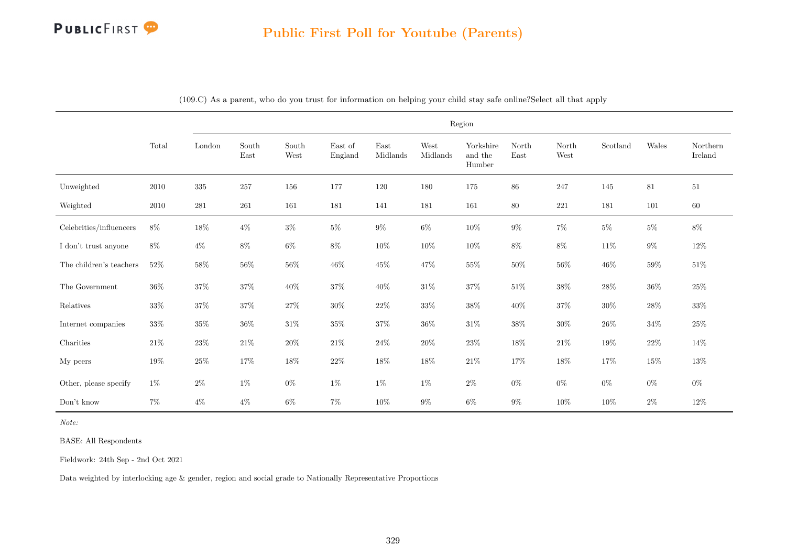

|                         |          |                         |                                |               |                    |                  |                  | Region                         |               |               |          |        |                     |
|-------------------------|----------|-------------------------|--------------------------------|---------------|--------------------|------------------|------------------|--------------------------------|---------------|---------------|----------|--------|---------------------|
|                         | Total    | $\operatorname{London}$ | $\operatorname{South}$<br>East | South<br>West | East of<br>England | East<br>Midlands | West<br>Midlands | Yorkshire<br>and the<br>Humber | North<br>East | North<br>West | Scotland | Wales  | Northern<br>Ireland |
| Unweighted              | $2010\,$ | $335\,$                 | $257\,$                        | 156           | 177                | 120              | 180              | 175                            | 86            | 247           | 145      | 81     | 51                  |
| Weighted                | 2010     | 281                     | 261                            | 161           | 181                | 141              | 181              | 161                            | 80            | 221           | 181      | 101    | 60                  |
| Celebrities/influencers | $8\%$    | $18\%$                  | $4\%$                          | $3\%$         | $5\%$              | $9\%$            | $6\%$            | $10\%$                         | $9\%$         | $7\%$         | $5\%$    | $5\%$  | $8\%$               |
| I don't trust anyone    | $8\%$    | $4\%$                   | $8\%$                          | $6\%$         | $8\%$              | $10\%$           | $10\%$           | $10\%$                         | $8\%$         | $8\%$         | $11\%$   | $9\%$  | $12\%$              |
| The children's teachers | $52\%$   | $58\%$                  | $56\%$                         | $56\%$        | $46\%$             | $45\%$           | $47\%$           | $55\%$                         | $50\%$        | $56\%$        | $46\%$   | $59\%$ | $51\%$              |
| The Government          | $36\%$   | 37%                     | $37\%$                         | $40\%$        | $37\%$             | 40%              | $31\%$           | 37%                            | $51\%$        | $38\%$        | $28\%$   | $36\%$ | $25\%$              |
| Relatives               | $33\%$   | $37\%$                  | $37\%$                         | $27\%$        | $30\%$             | $22\%$           | $33\%$           | $38\%$                         | $40\%$        | $37\%$        | $30\%$   | $28\%$ | $33\%$              |
| Internet companies      | $33\%$   | $35\%$                  | $36\%$                         | $31\%$        | $35\%$             | $37\%$           | $36\%$           | $31\%$                         | $38\%$        | $30\%$        | $26\%$   | $34\%$ | $25\%$              |
| Charities               | $21\%$   | $23\%$                  | $21\%$                         | $20\%$        | $21\%$             | $24\%$           | $20\%$           | $23\%$                         | $18\%$        | $21\%$        | $19\%$   | $22\%$ | 14%                 |
| My peers                | $19\%$   | $25\%$                  | 17%                            | $18\%$        | $22\%$             | $18\%$           | $18\%$           | $21\%$                         | $17\%$        | $18\%$        | $17\%$   | $15\%$ | $13\%$              |
| Other, please specify   | $1\%$    | $2\%$                   | $1\%$                          | $0\%$         | $1\%$              | $1\%$            | $1\%$            | $2\%$                          | $0\%$         | $0\%$         | $0\%$    | $0\%$  | $0\%$               |
| $\mathrm{Don't}$ know   | $7\%$    | $4\%$                   | $4\%$                          | $6\%$         | $7\%$              | $10\%$           | $9\%$            | $6\%$                          | $9\%$         | 10%           | 10%      | $2\%$  | $12\%$              |

(109.C) As a parent, who do you trust for information on helping your child stay safe online?Select all that apply

Note:

BASE: All Respondents

Fieldwork: 24th Sep - 2nd Oct 2021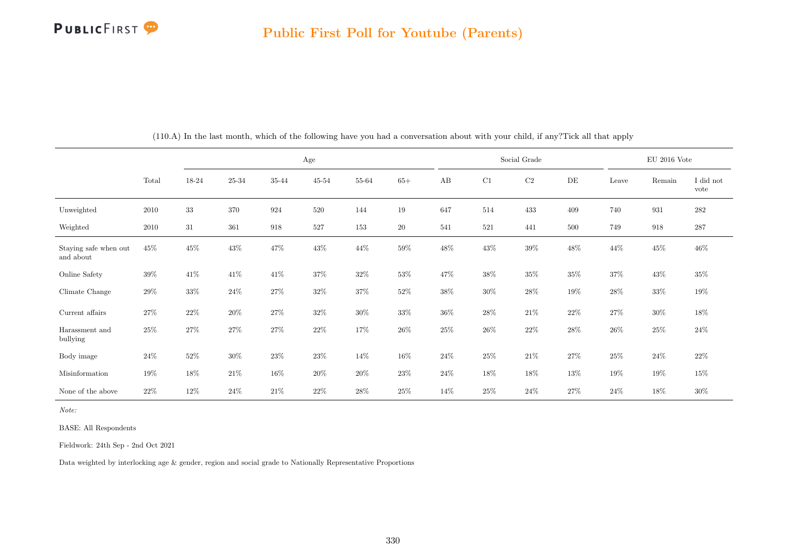

|                                    |          |        |        |        | Age       |        |        |        |        | Social Grade |           |        | $EU$ 2016 Vote |                   |
|------------------------------------|----------|--------|--------|--------|-----------|--------|--------|--------|--------|--------------|-----------|--------|----------------|-------------------|
|                                    | Total    | 18-24  | 25-34  | 35-44  | $45 - 54$ | 55-64  | $65+$  | AB     | C1     | C2           | $\rm{DE}$ | Leave  | Remain         | I did not<br>vote |
| Unweighted                         | $2010\,$ | $33\,$ | 370    | 924    | 520       | 144    | $19\,$ | 647    | 514    | 433          | 409       | 740    | 931            | $\bf 282$         |
| Weighted                           | 2010     | 31     | 361    | 918    | 527       | 153    | $20\,$ | 541    | 521    | 441          | 500       | 749    | 918            | $287\,$           |
| Staying safe when out<br>and about | $45\%$   | $45\%$ | 43\%   | 47%    | 43\%      | 44\%   | $59\%$ | $48\%$ | 43\%   | $39\%$       | 48\%      | $44\%$ | 45%            | $46\%$            |
| Online Safety                      | 39%      | 41\%   | 41%    | $41\%$ | $37\%$    | $32\%$ | $53\%$ | 47%    | $38\%$ | $35\%$       | $35\%$    | 37%    | $43\%$         | $35\%$            |
| Climate Change                     | $29\%$   | 33%    | $24\%$ | $27\%$ | $32\%$    | $37\%$ | $52\%$ | $38\%$ | $30\%$ | $28\%$       | 19%       | $28\%$ | 33%            | $19\%$            |
| Current affairs                    | $27\%$   | 22%    | $20\%$ | $27\%$ | 32%       | $30\%$ | $33\%$ | $36\%$ | $28\%$ | $21\%$       | $22\%$    | 27%    | 30%            | $18\%$            |
| Harassment and<br>bullying         | 25%      | 27%    | $27\%$ | $27\%$ | $22\%$    | $17\%$ | $26\%$ | 25%    | $26\%$ | $22\%$       | $28\%$    | $26\%$ | $25\%$         | $24\%$            |
| Body image                         | $24\%$   | 52%    | $30\%$ | 23\%   | 23%       | 14%    | $16\%$ | $24\%$ | $25\%$ | $21\%$       | 27%       | $25\%$ | $24\%$         | $22\%$            |
| Misinformation                     | $19\%$   | 18%    | $21\%$ | $16\%$ | $20\%$    | $20\%$ | $23\%$ | $24\%$ | 18%    | 18%          | 13%       | 19%    | 19%            | $15\%$            |
| None of the above                  | $22\%$   | 12%    | 24\%   | $21\%$ | 22%       | $28\%$ | 25%    | 14%    | 25%    | 24%          | 27%       | 24\%   | 18%            | 30%               |

(110.A) In the last month, which of the following have you had a conversation about with your child, if any?Tick all that apply

Note:

BASE: All Respondents

Fieldwork: 24th Sep - 2nd Oct 2021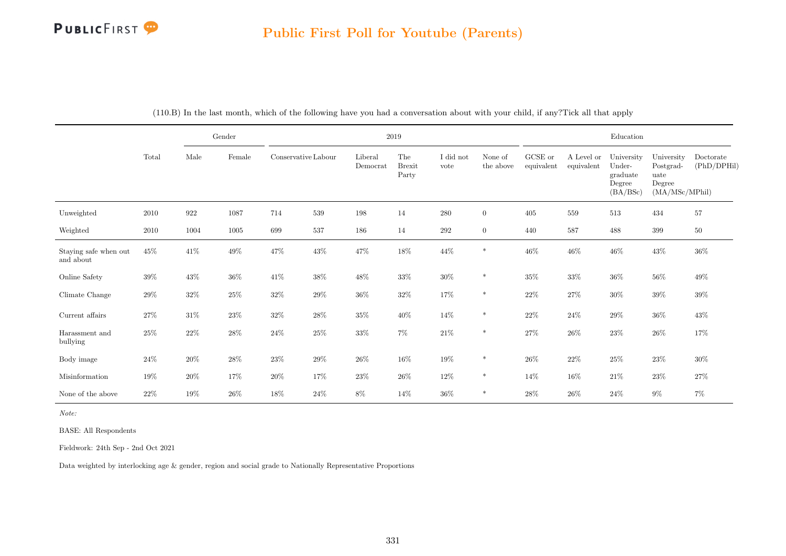## PUBLICFIRST<sup>9</sup>

## Public First Poll for Youtube (Parents)

|                                    |          |        | Gender |                     |        |                     | $2019\,$                      |                   |                      |                       |                          | Education                                              |                                                             |                          |
|------------------------------------|----------|--------|--------|---------------------|--------|---------------------|-------------------------------|-------------------|----------------------|-----------------------|--------------------------|--------------------------------------------------------|-------------------------------------------------------------|--------------------------|
|                                    | Total    | Male   | Female | Conservative Labour |        | Liberal<br>Democrat | The<br><b>Brexit</b><br>Party | I did not<br>vote | None of<br>the above | GCSE or<br>equivalent | A Level or<br>equivalent | University<br>Under-<br>graduate<br>Degree<br>(BA/BSc) | University<br>Postgrad-<br>uate<br>Degree<br>(MA/MSc/MPhil) | Doctorate<br>(PhD/DPHil) |
| Unweighted                         | $2010\,$ | 922    | 1087   | 714                 | 539    | 198                 | 14                            | $280\,$           | $\overline{0}$       | 405                   | 559                      | $513\,$                                                | 434                                                         | 57                       |
| Weighted                           | 2010     | 1004   | 1005   | 699                 | 537    | 186                 | 14                            | $\,292$           | $\overline{0}$       | 440                   | 587                      | 488                                                    | 399                                                         | $50\,$                   |
| Staying safe when out<br>and about | $45\%$   | $41\%$ | $49\%$ | $47\%$              | $43\%$ | $47\%$              | $18\%$                        | $44\%$            | $\ast$               | $46\%$                | $46\%$                   | $46\%$                                                 | $43\%$                                                      | $36\%$                   |
| Online Safety                      | $39\%$   | $43\%$ | $36\%$ | 41\%                | $38\%$ | 48\%                | $33\%$                        | $30\%$            | $\ast$               | $35\%$                | $33\%$                   | $36\%$                                                 | $56\%$                                                      | 49%                      |
| Climate Change                     | $29\%$   | $32\%$ | $25\%$ | $32\%$              | $29\%$ | $36\%$              | $32\%$                        | $17\%$            | $\ast$               | $22\%$                | $27\%$                   | $30\%$                                                 | $39\%$                                                      | $39\%$                   |
| Current affairs $\,$               | $27\%$   | $31\%$ | $23\%$ | $32\%$              | $28\%$ | $35\%$              | $40\%$                        | 14\%              | $\ast$               | $22\%$                | $24\%$                   | $29\%$                                                 | $36\%$                                                      | $43\%$                   |
| Harassment and<br>bullying         | $25\%$   | $22\%$ | $28\%$ | $24\%$              | $25\%$ | $33\%$              | $7\%$                         | $21\%$            | $\ast$               | $27\%$                | $26\%$                   | $23\%$                                                 | $26\%$                                                      | 17%                      |
| Body image                         | $24\%$   | $20\%$ | $28\%$ | $23\%$              | $29\%$ | $26\%$              | $16\%$                        | $19\%$            | $\ast$               | $26\%$                | $22\%$                   | $25\%$                                                 | $23\%$                                                      | 30%                      |
| Misinformation                     | $19\%$   | $20\%$ | 17%    | $20\%$              | 17%    | 23\%                | $26\%$                        | 12\%              | $\ast$               | 14%                   | $16\%$                   | $21\%$                                                 | $23\%$                                                      | $27\%$                   |
| None of the above                  | $22\%$   | 19%    | 26%    | 18%                 | 24\%   | $8\%$               | 14%                           | $36\%$            | $\ast$               | $28\%$                | 26%                      | $24\%$                                                 | $9\%$                                                       | $7\%$                    |

(110.B) In the last month, which of the following have you had a conversation about with your child, if any?Tick all that apply

Note:

BASE: All Respondents

Fieldwork: 24th Sep - 2nd Oct 2021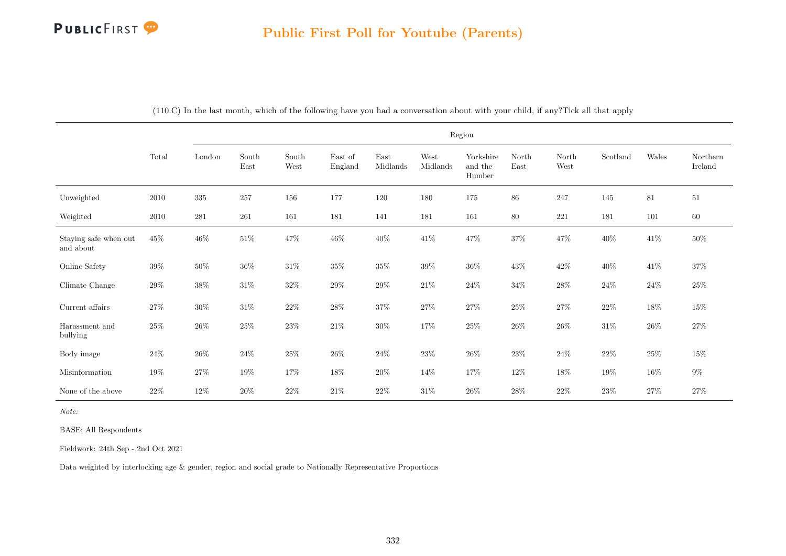## PUBLICFIRST<sup>9</sup>

|                                    |        |         |                                |               |                    |                  |                  | Region                         |               |               |          |        |                     |
|------------------------------------|--------|---------|--------------------------------|---------------|--------------------|------------------|------------------|--------------------------------|---------------|---------------|----------|--------|---------------------|
|                                    | Total  | London  | South<br>$\operatorname{East}$ | South<br>West | East of<br>England | East<br>Midlands | West<br>Midlands | Yorkshire<br>and the<br>Humber | North<br>East | North<br>West | Scotland | Wales  | Northern<br>Ireland |
| Unweighted                         | 2010   | $335\,$ | $257\,$                        | 156           | 177                | 120              | 180              | 175                            | 86            | 247           | 145      | 81     | 51                  |
| Weighted                           | 2010   | 281     | 261                            | 161           | 181                | 141              | 181              | 161                            | 80            | 221           | 181      | 101    | $60\,$              |
| Staying safe when out<br>and about | $45\%$ | $46\%$  | $51\%$                         | 47\%          | $46\%$             | $40\%$           | $41\%$           | $47\%$                         | $37\%$        | 47%           | $40\%$   | 41\%   | $50\%$              |
| Online Safety                      | $39\%$ | $50\%$  | $36\%$                         | $31\%$        | $35\%$             | $35\%$           | $39\%$           | $36\%$                         | $43\%$        | $42\%$        | $40\%$   | $41\%$ | $37\%$              |
| Climate Change                     | $29\%$ | $38\%$  | $31\%$                         | $32\%$        | $29\%$             | $29\%$           | $21\%$           | $24\%$                         | $34\%$        | $28\%$        | $24\%$   | $24\%$ | $25\%$              |
| Current affairs                    | $27\%$ | $30\%$  | $31\%$                         | $22\%$        | $28\%$             | $37\%$           | $27\%$           | $27\%$                         | $25\%$        | $27\%$        | $22\%$   | $18\%$ | $15\%$              |
| Harassment and<br>bullying         | $25\%$ | $26\%$  | $25\%$                         | $23\%$        | $21\%$             | $30\%$           | $17\%$           | $25\%$                         | $26\%$        | $26\%$        | $31\%$   | $26\%$ | $27\%$              |
| Body image                         | $24\%$ | $26\%$  | $24\%$                         | $25\%$        | $26\%$             | $24\%$           | $23\%$           | $26\%$                         | $23\%$        | $24\%$        | $22\%$   | $25\%$ | $15\%$              |
| Misinformation                     | 19%    | $27\%$  | $19\%$                         | $17\%$        | $18\%$             | $20\%$           | $14\%$           | $17\%$                         | $12\%$        | $18\%$        | $19\%$   | $16\%$ | $9\%$               |
| None of the above                  | $22\%$ | $12\%$  | 20%                            | $22\%$        | 21\%               | $22\%$           | $31\%$           | $26\%$                         | $28\%$        | $22\%$        | 23%      | $27\%$ | 27%                 |

(110.C) In the last month, which of the following have you had a conversation about with your child, if any?Tick all that apply

Note:

BASE: All Respondents

Fieldwork: 24th Sep - 2nd Oct 2021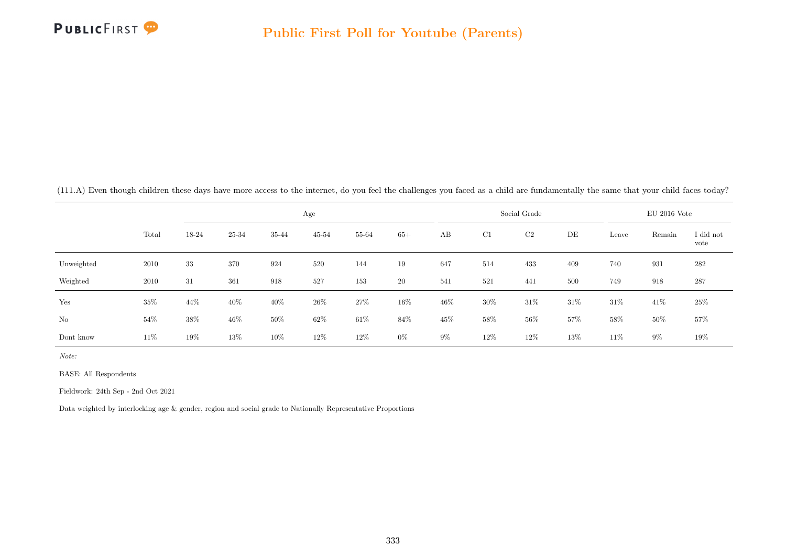

(111.A) Even though children these days have more access to the internet, do you feel the challenges you faced as a child are fundamentally the same that your child faces today?

|            |       |        |        |        | Age       |        |        |       |     | Social Grade |      |        | $EU$ 2016 Vote |                   |
|------------|-------|--------|--------|--------|-----------|--------|--------|-------|-----|--------------|------|--------|----------------|-------------------|
|            | Total | 18-24  | 25-34  | 35-44  | $45 - 54$ | 55-64  | $65+$  | AB    | C1  | C2           | DE   | Leave  | Remain         | I did not<br>vote |
| Unweighted | 2010  | 33     | 370    | 924    | 520       | 144    | 19     | 647   | 514 | 433          | 409  | 740    | 931            | 282               |
| Weighted   | 2010  | 31     | 361    | 918    | 527       | 153    | 20     | 541   | 521 | 441          | 500  | 749    | 918            | 287               |
| Yes        | 35%   | 44\%   | $40\%$ | 40%    | 26\%      | $27\%$ | $16\%$ | 46%   | 30% | $31\%$       | 31\% | $31\%$ | 41\%           | $25\%$            |
| No         | 54%   | 38%    | $46\%$ | 50%    | 62%       | $61\%$ | 84%    | 45%   | 58% | $56\%$       | 57%  | 58%    | $50\%$         | $57\%$            |
| Dont know  | 11\%  | $19\%$ | 13%    | $10\%$ | 12%       | $12\%$ | $0\%$  | $9\%$ | 12% | $12\%$       | 13%  | $11\%$ | $9\%$          | 19%               |

Note:

BASE: All Respondents

Fieldwork: 24th Sep - 2nd Oct 2021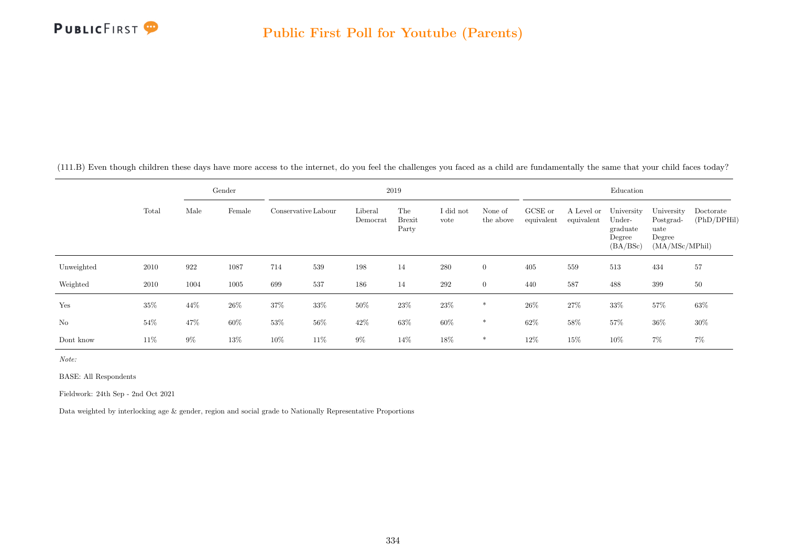

(111.B) Even though children these days have more access to the internet, do you feel the challenges you faced as a child are fundamentally the same that your child faces today?

|            |        |       | Gender |                     |        |                     | 2019                          |                   |                      |                       |                          | Education                                              |                                                             |                          |
|------------|--------|-------|--------|---------------------|--------|---------------------|-------------------------------|-------------------|----------------------|-----------------------|--------------------------|--------------------------------------------------------|-------------------------------------------------------------|--------------------------|
|            | Total  | Male  | Female | Conservative Labour |        | Liberal<br>Democrat | The<br><b>Brexit</b><br>Party | I did not<br>vote | None of<br>the above | GCSE or<br>equivalent | A Level or<br>equivalent | University<br>Under-<br>graduate<br>Degree<br>(BA/BSc) | University<br>Postgrad-<br>uate<br>Degree<br>(MA/MSc/MPhil) | Doctorate<br>(PhD/DPHil) |
| Unweighted | 2010   | 922   | 1087   | 714                 | 539    | 198                 | 14                            | 280               | $\overline{0}$       | 405                   | 559                      | 513                                                    | 434                                                         | 57                       |
| Weighted   | 2010   | 1004  | 1005   | 699                 | 537    | 186                 | 14                            | 292               | $\overline{0}$       | 440                   | 587                      | 488                                                    | 399                                                         | $50\,$                   |
| Yes        | 35%    | 44%   | $26\%$ | 37%                 | 33%    | $50\%$              | 23%                           | $23\%$            | $\ast$               | 26\%                  | $27\%$                   | $33\%$                                                 | $57\%$                                                      | 63%                      |
| No         | $54\%$ | 47%   | $60\%$ | 53%                 | $56\%$ | 42%                 | 63%                           | $60\%$            | $\ast$               | 62%                   | $58\%$                   | 57%                                                    | $36\%$                                                      | 30%                      |
| Dont know  | 11\%   | $9\%$ | 13%    | 10%                 | 11%    | $9\%$               | 14%                           | 18%               | $\ast$               | 12%                   | 15%                      | 10%                                                    | $7\%$                                                       | 7%                       |

Note:

BASE: All Respondents

Fieldwork: 24th Sep - 2nd Oct 2021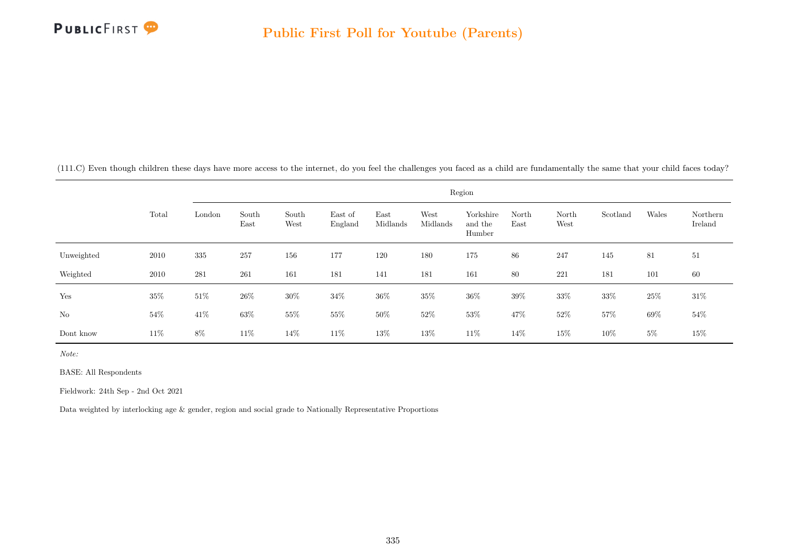

(111.C) Even though children these days have more access to the internet, do you feel the challenges you faced as a child are fundamentally the same that your child faces today?

|            |       |        |               |               |                    |                  |                  | Region                         |               |               |          |        |                     |
|------------|-------|--------|---------------|---------------|--------------------|------------------|------------------|--------------------------------|---------------|---------------|----------|--------|---------------------|
|            | Total | London | South<br>East | South<br>West | East of<br>England | East<br>Midlands | West<br>Midlands | Yorkshire<br>and the<br>Humber | North<br>East | North<br>West | Scotland | Wales  | Northern<br>Ireland |
| Unweighted | 2010  | 335    | 257           | 156           | 177                | 120              | 180              | 175                            | 86            | 247           | 145      | 81     | 51                  |
| Weighted   | 2010  | 281    | 261           | 161           | 181                | 141              | 181              | 161                            | 80            | 221           | 181      | 101    | 60                  |
| Yes        | 35%   | $51\%$ | $26\%$        | $30\%$        | $34\%$             | $36\%$           | $35\%$           | $36\%$                         | $39\%$        | 33%           | $33\%$   | $25\%$ | $31\%$              |
| No         | 54%   | 41\%   | $63\%$        | 55\%          | $55\%$             | $50\%$           | $52\%$           | $53\%$                         | 47%           | $52\%$        | 57%      | $69\%$ | $54\%$              |
| Dont know  | 11\%  | 8%     | 11\%          | 14\%          | 11\%               | 13%              | $13\%$           | 11\%                           | 14%           | 15%           | $10\%$   | $5\%$  | $15\%$              |

Note:

BASE: All Respondents

Fieldwork: 24th Sep - 2nd Oct 2021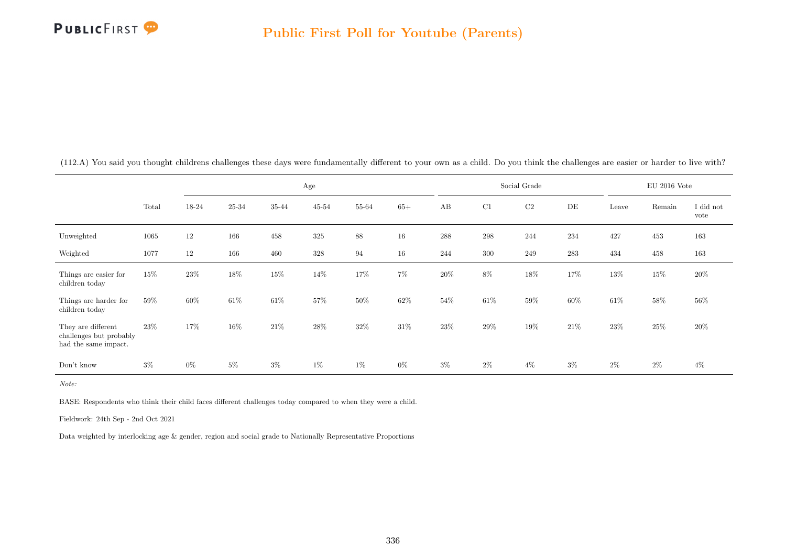

|                                                                       |       |       |        |       | Age       |        |        |       |        | Social Grade |       |        | $\rm EU$ 2016 Vote |                   |
|-----------------------------------------------------------------------|-------|-------|--------|-------|-----------|--------|--------|-------|--------|--------------|-------|--------|--------------------|-------------------|
|                                                                       | Total | 18-24 | 25-34  | 35-44 | $45 - 54$ | 55-64  | $65+$  | AB    | C1     | $\rm C2$     | DE    | Leave  | Remain             | I did not<br>vote |
| Unweighted                                                            | 1065  | 12    | 166    | 458   | 325       | 88     | 16     | 288   | 298    | 244          | 234   | 427    | 453                | 163               |
| Weighted                                                              | 1077  | 12    | 166    | 460   | 328       | 94     | 16     | 244   | 300    | 249          | 283   | 434    | 458                | 163               |
| Things are easier for<br>children today                               | 15%   | 23\%  | 18%    | 15%   | 14%       | 17%    | $7\%$  | 20%   | $8\%$  | 18%          | 17%   | 13%    | $15\%$             | 20%               |
| Things are harder for<br>children today                               | 59%   | 60%   | 61\%   | 61\%  | 57%       | $50\%$ | $62\%$ | 54%   | $61\%$ | $59\%$       | 60%   | $61\%$ | $58\%$             | 56%               |
| They are different<br>challenges but probably<br>had the same impact. | 23\%  | 17%   | $16\%$ | 21\%  | 28%       | 32%    | 31\%   | 23%   | 29%    | 19%          | 21\%  | 23\%   | 25%                | 20%               |
| Don't know                                                            | $3\%$ | $0\%$ | $5\%$  | $3\%$ | $1\%$     | $1\%$  | $0\%$  | $3\%$ | $2\%$  | $4\%$        | $3\%$ | $2\%$  | $2\%$              | $4\%$             |

(112.A) You said you thought childrens challenges these days were fundamentally different to your own as a child. Do you think the challenges are easier or harder to live with?

Note:

BASE: Respondents who think their child faces different challenges today compared to when they were a child.

Fieldwork: 24th Sep - 2nd Oct 2021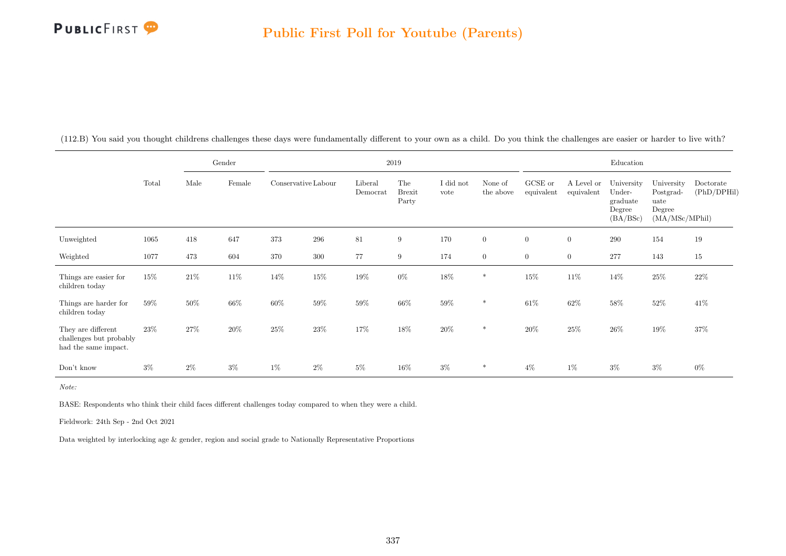

|                                                                       |       |       | Gender |                     |       |                     | $2019\,$                      |                   |                      |                       |                          | Education                                              |                                                             |                          |
|-----------------------------------------------------------------------|-------|-------|--------|---------------------|-------|---------------------|-------------------------------|-------------------|----------------------|-----------------------|--------------------------|--------------------------------------------------------|-------------------------------------------------------------|--------------------------|
|                                                                       | Total | Male  | Female | Conservative Labour |       | Liberal<br>Democrat | The<br><b>Brexit</b><br>Party | I did not<br>vote | None of<br>the above | GCSE or<br>equivalent | A Level or<br>equivalent | University<br>Under-<br>graduate<br>Degree<br>(BA/BSc) | University<br>Postgrad-<br>uate<br>Degree<br>(MA/MSc/MPhil) | Doctorate<br>(PhD/DPHil) |
| Unweighted                                                            | 1065  | 418   | 647    | 373                 | 296   | 81                  | 9                             | 170               | $\overline{0}$       | $\overline{0}$        | $\overline{0}$           | 290                                                    | 154                                                         | 19                       |
| Weighted                                                              | 1077  | 473   | 604    | 370                 | 300   | 77                  | 9                             | 174               | $\overline{0}$       | $\overline{0}$        | $\overline{0}$           | 277                                                    | 143                                                         | $15\,$                   |
| Things are easier for<br>children today                               | 15%   | 21\%  | 11%    | 14%                 | 15%   | $19\%$              | $0\%$                         | 18%               | *                    | $15\%$                | 11\%                     | 14\%                                                   | $25\%$                                                      | $22\%$                   |
| Things are harder for<br>children today                               | 59%   | 50%   | $66\%$ | $60\%$              | 59%   | 59%                 | $66\%$                        | $59\%$            | *                    | 61\%                  | 62%                      | $58\%$                                                 | $52\%$                                                      | 41\%                     |
| They are different<br>challenges but probably<br>had the same impact. | 23\%  | 27%   | 20%    | $25\%$              | 23%   | 17%                 | 18%                           | $20\%$            | $\ast$               | 20%                   | $25\%$                   | $26\%$                                                 | 19%                                                         | $37\%$                   |
| Don't know                                                            | $3\%$ | $2\%$ | $3\%$  | $1\%$               | $2\%$ | $5\%$               | 16%                           | $3\%$             | *                    | $4\%$                 | 1%                       | $3\%$                                                  | $3\%$                                                       | $0\%$                    |

(112.B) You said you thought childrens challenges these days were fundamentally different to your own as a child. Do you think the challenges are easier or harder to live with?

Note:

BASE: Respondents who think their child faces different challenges today compared to when they were a child.

Fieldwork: 24th Sep - 2nd Oct 2021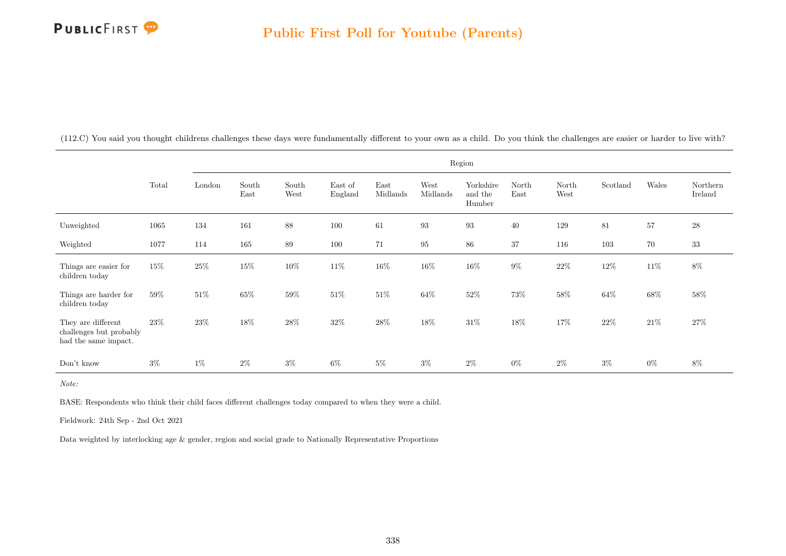

|                                                                       |          |        |               |               |                    |                  | Region            |                                |               |               |          |        |                     |
|-----------------------------------------------------------------------|----------|--------|---------------|---------------|--------------------|------------------|-------------------|--------------------------------|---------------|---------------|----------|--------|---------------------|
|                                                                       | Total    | London | South<br>East | South<br>West | East of<br>England | East<br>Midlands | West<br>Midlands  | Yorkshire<br>and the<br>Humber | North<br>East | North<br>West | Scotland | Wales  | Northern<br>Ireland |
| Unweighted                                                            | 1065     | 134    | 161           | 88            | 100                | 61               | $\boldsymbol{93}$ | $\boldsymbol{93}$              | 40            | 129           | 81       | $57\,$ | $\sqrt{28}$         |
| Weighted                                                              | $1077\,$ | 114    | 165           | 89            | 100                | 71               | $\rm 95$          | $86\,$                         | 37            | 116           | 103      | $70\,$ | $33\,$              |
| Things are easier for<br>children today                               | $15\%$   | $25\%$ | 15%           | $10\%$        | 11%                | $16\%$           | 16%               | $16\%$                         | $9\%$         | $22\%$        | $12\%$   | $11\%$ | $8\%$               |
| Things are harder for<br>children today                               | 59%      | $51\%$ | 65%           | 59%           | 51%                | $51\%$           | 64%               | $52\%$                         | 73%           | $58\%$        | 64%      | $68\%$ | 58%                 |
| They are different<br>challenges but probably<br>had the same impact. | 23\%     | 23\%   | $18\%$        | 28\%          | 32%                | 28\%             | 18%               | $31\%$                         | 18%           | 17%           | 22\%     | $21\%$ | 27%                 |
| Don't know                                                            | $3\%$    | $1\%$  | $2\%$         | $3\%$         | $6\%$              | $5\%$            | $3\%$             | $2\%$                          | $0\%$         | $2\%$         | $3\%$    | $0\%$  | $8\%$               |

(112.C) You said you thought childrens challenges these days were fundamentally different to your own as a child. Do you think the challenges are easier or harder to live with?

Note:

BASE: Respondents who think their child faces different challenges today compared to when they were a child.

Fieldwork: 24th Sep - 2nd Oct 2021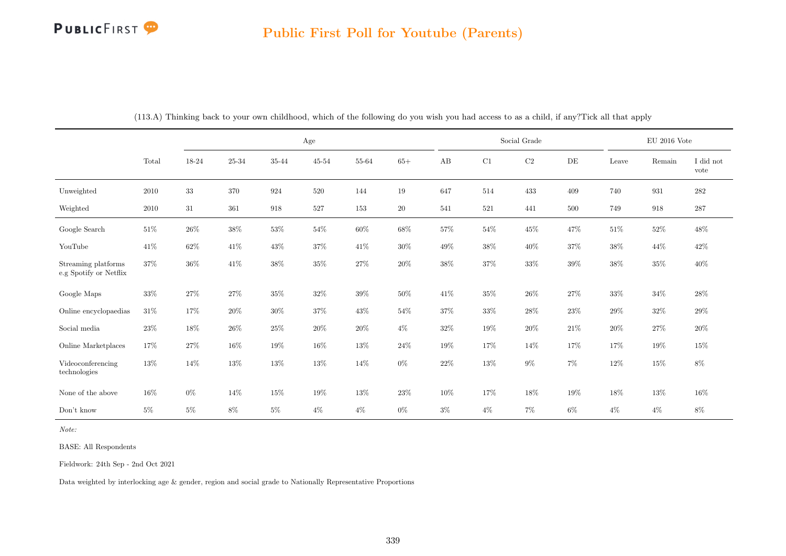## PUBLICFIRST<sup>9</sup>

|                                               |        |        |        |        | Age    |        |        |        |        | Social Grade |           |        | $\rm EU$ 2016 Vote |                   |
|-----------------------------------------------|--------|--------|--------|--------|--------|--------|--------|--------|--------|--------------|-----------|--------|--------------------|-------------------|
|                                               | Total  | 18-24  | 25-34  | 35-44  | 45-54  | 55-64  | $65+$  | AB     | C1     | $\rm C2$     | $\rm{DE}$ | Leave  | Remain             | I did not<br>vote |
| Unweighted                                    | 2010   | $33\,$ | 370    | 924    | 520    | 144    | $19\,$ | 647    | 514    | 433          | 409       | 740    | 931                | $\bf 282$         |
| Weighted                                      | 2010   | 31     | 361    | 918    | 527    | 153    | 20     | 541    | 521    | 441          | 500       | 749    | 918                | 287               |
| Google Search                                 | $51\%$ | $26\%$ | $38\%$ | $53\%$ | $54\%$ | $60\%$ | $68\%$ | $57\%$ | $54\%$ | $45\%$       | $47\%$    | $51\%$ | $52\%$             | $48\%$            |
| YouTube                                       | $41\%$ | 62%    | $41\%$ | $43\%$ | 37%    | $41\%$ | $30\%$ | $49\%$ | $38\%$ | $40\%$       | $37\%$    | $38\%$ | 44%                | $42\%$            |
| Streaming platforms<br>e.g Spotify or Netflix | $37\%$ | $36\%$ | $41\%$ | $38\%$ | $35\%$ | $27\%$ | $20\%$ | $38\%$ | $37\%$ | $33\%$       | $39\%$    | $38\%$ | $35\%$             | $40\%$            |
| Google Maps                                   | $33\%$ | 27%    | $27\%$ | $35\%$ | $32\%$ | 39%    | $50\%$ | 41%    | $35\%$ | $26\%$       | 27%       | $33\%$ | $34\%$             | $28\%$            |
| Online encyclopaedias                         | $31\%$ | 17%    | $20\%$ | $30\%$ | 37%    | $43\%$ | $54\%$ | $37\%$ | $33\%$ | $28\%$       | $23\%$    | $29\%$ | $32\%$             | $29\%$            |
| Social media                                  | $23\%$ | 18%    | $26\%$ | $25\%$ | $20\%$ | $20\%$ | $4\%$  | $32\%$ | $19\%$ | $20\%$       | $21\%$    | $20\%$ | $27\%$             | $20\%$            |
| Online Marketplaces                           | 17%    | 27\%   | $16\%$ | $19\%$ | $16\%$ | $13\%$ | $24\%$ | 19%    | $17\%$ | 14%          | 17%       | $17\%$ | 19%                | 15%               |
| Videoconferencing<br>technologies             | 13%    | $14\%$ | $13\%$ | $13\%$ | $13\%$ | $14\%$ | $0\%$  | $22\%$ | $13\%$ | $9\%$        | $7\%$     | $12\%$ | $15\%$             | $8\%$             |
| None of the above                             | $16\%$ | $0\%$  | 14\%   | $15\%$ | 19%    | 13%    | $23\%$ | $10\%$ | 17%    | 18%          | 19%       | 18%    | 13%                | $16\%$            |
| $\mathrm{Don't}$ know                         | $5\%$  | $5\%$  | $8\%$  | $5\%$  | $4\%$  | $4\%$  | $0\%$  | $3\%$  | $4\%$  | $7\%$        | $6\%$     | $4\%$  | $4\%$              | $8\%$             |

(113.A) Thinking back to your own childhood, which of the following do you wish you had access to as a child, if any?Tick all that apply

Note:

BASE: All Respondents

Fieldwork: 24th Sep - 2nd Oct 2021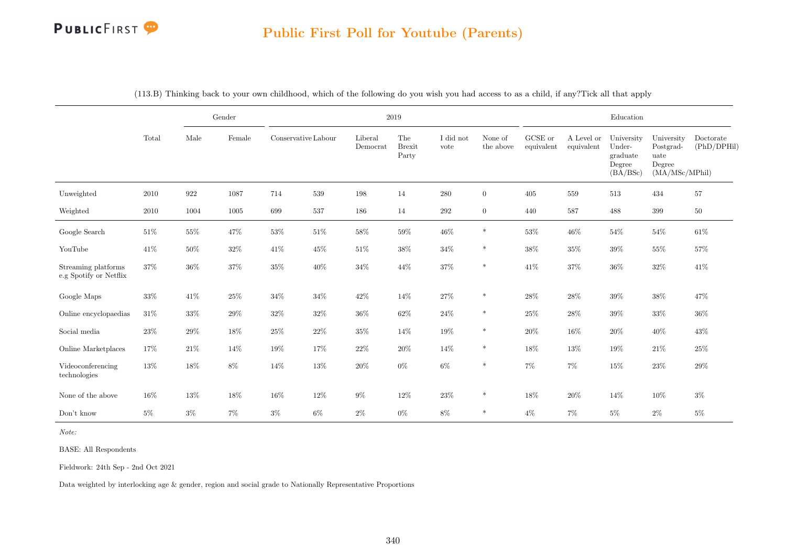

|                                               |          |                    | Gender |                     |         |                     | $\,2019$                      |                   |                      |                       |                          | Education                                              |                                                             |                          |
|-----------------------------------------------|----------|--------------------|--------|---------------------|---------|---------------------|-------------------------------|-------------------|----------------------|-----------------------|--------------------------|--------------------------------------------------------|-------------------------------------------------------------|--------------------------|
|                                               | Total    | Male               | Female | Conservative Labour |         | Liberal<br>Democrat | The<br><b>Brexit</b><br>Party | I did not<br>vote | None of<br>the above | GCSE or<br>equivalent | A Level or<br>equivalent | University<br>Under-<br>graduate<br>Degree<br>(BA/BSc) | University<br>Postgrad-<br>uate<br>Degree<br>(MA/MSc/MPhil) | Doctorate<br>(PhD/DPHil) |
| Unweighted                                    | $2010\,$ | $\boldsymbol{922}$ | 1087   | 714                 | $539\,$ | 198                 | 14                            | $280\,$           | $\mathbf{0}$         | 405                   | $559\,$                  | 513                                                    | 434                                                         | $57\,$                   |
| Weighted                                      | 2010     | 1004               | 1005   | 699                 | 537     | 186                 | 14                            | $\,292$           | $\overline{0}$       | 440                   | 587                      | 488                                                    | 399                                                         | $50\,$                   |
| Google Search                                 | $51\%$   | $55\%$             | 47%    | 53%                 | $51\%$  | $58\%$              | $59\%$                        | 46\%              | $\ast$               | $53\%$                | 46%                      | $54\%$                                                 | $54\%$                                                      | $61\%$                   |
| YouTube                                       | 41\%     | $50\%$             | $32\%$ | 41\%                | 45%     | $51\%$              | 38\%                          | $34\%$            | $\ast$               | $38\%$                | 35%                      | 39%                                                    | $55\%$                                                      | 57%                      |
| Streaming platforms<br>e.g Spotify or Netflix | 37%      | $36\%$             | $37\%$ | 35%                 | $40\%$  | $34\%$              | 44%                           | $37\%$            | $\ast$               | 41\%                  | 37%                      | $36\%$                                                 | $32\%$                                                      | 41\%                     |
| Google Maps                                   | 33%      | 41%                | 25%    | 34%                 | $34\%$  | $42\%$              | 14%                           | 27%               | $\ast$               | $28\%$                | 28\%                     | $39\%$                                                 | $38\%$                                                      | 47%                      |
| Online encyclopaedias                         | 31%      | 33%                | 29%    | 32%                 | $32\%$  | $36\%$              | $62\%$                        | 24%               | $\ast$               | 25%                   | 28%                      | 39%                                                    | 33%                                                         | $36\%$                   |
| Social media                                  | $23\%$   | $29\%$             | $18\%$ | $25\%$              | $22\%$  | 35%                 | 14%                           | 19%               | $\ast$               | $20\%$                | 16%                      | $20\%$                                                 | $40\%$                                                      | $43\%$                   |
| Online Marketplaces                           | 17%      | $21\%$             | $14\%$ | 19%                 | 17%     | $22\%$              | $20\%$                        | 14%               | $\ast$               | 18%                   | 13%                      | $19\%$                                                 | $21\%$                                                      | $25\%$                   |
| Videoconferencing<br>technologies             | $13\%$   | 18%                | $8\%$  | 14%                 | 13%     | 20%                 | $0\%$                         | $6\%$             | $\ast$               | $7\%$                 | 7%                       | 15%                                                    | $23\%$                                                      | 29%                      |
| None of the above                             | 16%      | 13%                | 18%    | 16%                 | $12\%$  | $9\%$               | 12%                           | $23\%$            | $\ast$               | 18%                   | 20%                      | 14%                                                    | $10\%$                                                      | $3\%$                    |
| Don't know                                    | $5\%$    | $3\%$              | $7\%$  | $3\%$               | $6\%$   | $2\%$               | $0\%$                         | $8\%$             | $\ast$               | $4\%$                 | $7\%$                    | $5\%$                                                  | $2\%$                                                       | $5\%$                    |

(113.B) Thinking back to your own childhood, which of the following do you wish you had access to as a child, if any?Tick all that apply

Note:

BASE: All Respondents

Fieldwork: 24th Sep - 2nd Oct 2021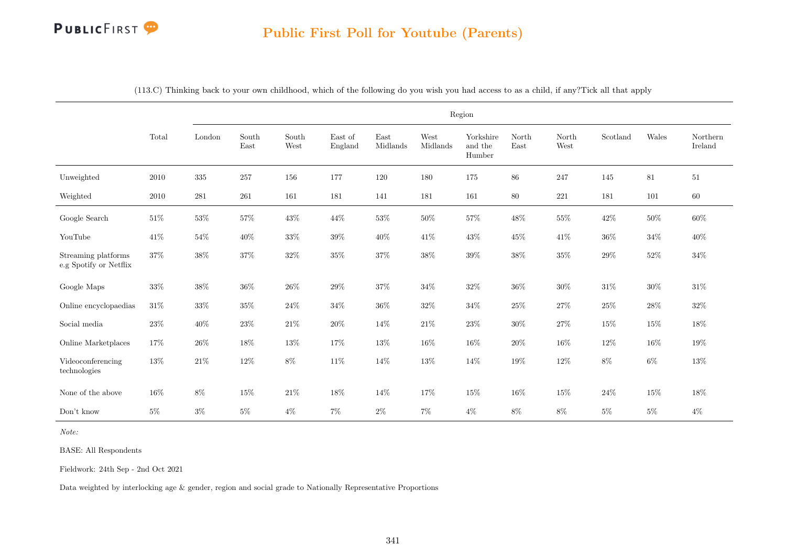# PUBLICFIRST<sup>9</sup>

#### Public First Poll for Youtube (Parents)

|                                               |        |         |               |               |                    |                  |                  | Region                         |               |               |          |        |                     |
|-----------------------------------------------|--------|---------|---------------|---------------|--------------------|------------------|------------------|--------------------------------|---------------|---------------|----------|--------|---------------------|
|                                               | Total  | London  | South<br>East | South<br>West | East of<br>England | East<br>Midlands | West<br>Midlands | Yorkshire<br>and the<br>Humber | North<br>East | North<br>West | Scotland | Wales  | Northern<br>Ireland |
| Unweighted                                    | 2010   | $335\,$ | 257           | 156           | 177                | 120              | 180              | 175                            | $86\,$        | 247           | 145      | 81     | 51                  |
| Weighted                                      | 2010   | 281     | 261           | 161           | 181                | 141              | 181              | 161                            | $80\,$        | $221\,$       | 181      | 101    | $60\,$              |
| Google Search                                 | $51\%$ | $53\%$  | $57\%$        | $43\%$        | 44\%               | $53\%$           | $50\%$           | $57\%$                         | $48\%$        | $55\%$        | $42\%$   | $50\%$ | $60\%$              |
| YouTube                                       | $41\%$ | $54\%$  | $40\%$        | $33\%$        | $39\%$             | 40\%             | $41\%$           | $43\%$                         | $45\%$        | $41\%$        | $36\%$   | $34\%$ | $40\%$              |
| Streaming platforms<br>e.g Spotify or Netflix | 37%    | 38%     | 37%           | 32%           | 35%                | $37\%$           | $38\%$           | $39\%$                         | $38\%$        | $35\%$        | $29\%$   | $52\%$ | $34\%$              |
| Google Maps                                   | $33\%$ | 38%     | $36\%$        | 26\%          | 29%                | $37\%$           | $34\%$           | $32\%$                         | $36\%$        | $30\%$        | $31\%$   | $30\%$ | 31\%                |
| Online encyclopaedias                         | $31\%$ | $33\%$  | $35\%$        | $24\%$        | $34\%$             | $36\%$           | $32\%$           | $34\%$                         | $25\%$        | $27\%$        | $25\%$   | $28\%$ | $32\%$              |
| Social media                                  | $23\%$ | $40\%$  | $23\%$        | $21\%$        | $20\%$             | $14\%$           | $21\%$           | $23\%$                         | $30\%$        | $27\%$        | 15%      | $15\%$ | 18%                 |
| Online Marketplaces                           | 17%    | $26\%$  | $18\%$        | $13\%$        | $17\%$             | $13\%$           | $16\%$           | $16\%$                         | $20\%$        | $16\%$        | 12%      | $16\%$ | 19%                 |
| Videoconferencing<br>technologies             | $13\%$ | $21\%$  | $12\%$        | $8\%$         | $11\%$             | $14\%$           | $13\%$           | $14\%$                         | $19\%$        | $12\%$        | $8\%$    | $6\%$  | $13\%$              |
| None of the above                             | 16%    | $8\%$   | 15%           | $21\%$        | 18%                | 14\%             | 17%              | $15\%$                         | $16\%$        | $15\%$        | $24\%$   | $15\%$ | 18%                 |
| Don't know                                    | $5\%$  | $3\%$   | $5\%$         | $4\%$         | $7\%$              | $2\%$            | $7\%$            | $4\%$                          | $8\%$         | $8\%$         | $5\%$    | $5\%$  | $4\%$               |

(113.C) Thinking back to your own childhood, which of the following do you wish you had access to as a child, if any?Tick all that apply

Note:

BASE: All Respondents

Fieldwork: 24th Sep - 2nd Oct 2021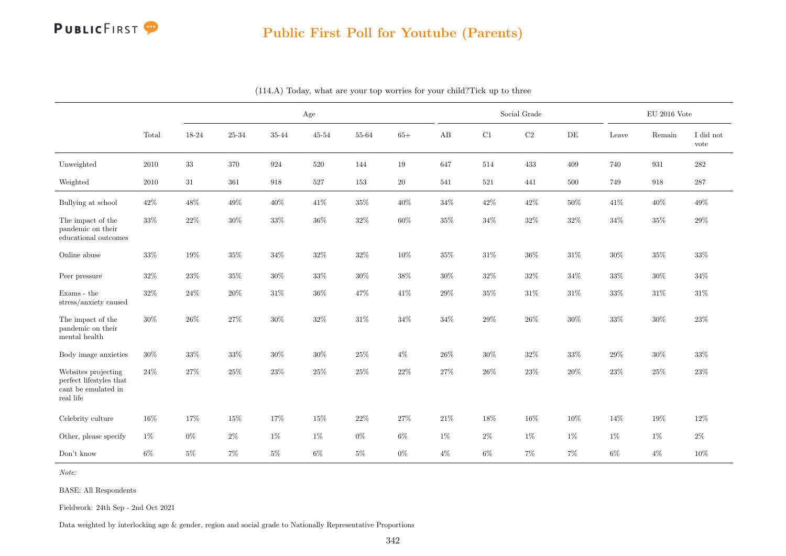

|                                                                                    |        |        |        |        | Age       |        |        |        |        | Social Grade |           |        | $\rm EU$ 2016 Vote |                   |
|------------------------------------------------------------------------------------|--------|--------|--------|--------|-----------|--------|--------|--------|--------|--------------|-----------|--------|--------------------|-------------------|
|                                                                                    | Total  | 18-24  | 25-34  | 35-44  | $45 - 54$ | 55-64  | $65+$  | AB     | C1     | $\rm C2$     | $\rm{DE}$ | Leave  | Remain             | I did not<br>vote |
| Unweighted                                                                         | 2010   | $33\,$ | 370    | 924    | 520       | 144    | 19     | 647    | 514    | 433          | 409       | 740    | 931                | 282               |
| Weighted                                                                           | 2010   | 31     | 361    | 918    | 527       | 153    | $20\,$ | 541    | 521    | 441          | 500       | 749    | 918                | $287\,$           |
| Bullying at school                                                                 | 42%    | 48%    | 49%    | 40%    | 41\%      | $35\%$ | $40\%$ | 34%    | $42\%$ | $42\%$       | 50%       | 41\%   | 40%                | 49%               |
| The impact of the<br>pandemic on their<br>educational outcomes                     | 33%    | $22\%$ | $30\%$ | 33%    | 36%       | $32\%$ | $60\%$ | 35%    | 34%    | $32\%$       | $32\%$    | $34\%$ | 35%                | 29%               |
| Online abuse                                                                       | $33\%$ | 19%    | $35\%$ | $34\%$ | $32\%$    | $32\%$ | $10\%$ | $35\%$ | $31\%$ | $36\%$       | $31\%$    | $30\%$ | $35\%$             | $33\%$            |
| Peer pressure                                                                      | $32\%$ | $23\%$ | 35%    | $30\%$ | $33\%$    | $30\%$ | $38\%$ | $30\%$ | $32\%$ | $32\%$       | $34\%$    | $33\%$ | $30\%$             | $34\%$            |
| Exams - the<br>stress/anxiety caused                                               | $32\%$ | 24%    | 20%    | 31\%   | 36%       | 47%    | 41\%   | 29%    | 35%    | 31\%         | 31\%      | 33%    | 31%                | 31\%              |
| The impact of the<br>pandemic on their<br>mental health                            | $30\%$ | $26\%$ | $27\%$ | $30\%$ | $32\%$    | $31\%$ | $34\%$ | $34\%$ | $29\%$ | $26\%$       | $30\%$    | $33\%$ | $30\%$             | $23\%$            |
| Body image anxieties                                                               | 30%    | $33\%$ | $33\%$ | $30\%$ | $30\%$    | $25\%$ | $4\%$  | 26%    | $30\%$ | $32\%$       | 33%       | $29\%$ | 30%                | 33%               |
| Websites projecting<br>perfect lifestyles that<br>cant be emulated in<br>real life | 24%    | 27%    | 25%    | $23\%$ | 25%       | $25\%$ | $22\%$ | 27%    | $26\%$ | $23\%$       | 20%       | $23\%$ | 25%                | 23\%              |
| Celebrity culture                                                                  | 16%    | 17%    | 15%    | 17%    | 15%       | $22\%$ | 27%    | 21\%   | 18%    | $16\%$       | 10%       | 14%    | 19%                | 12%               |
| Other, please specify                                                              | $1\%$  | $0\%$  | $2\%$  | $1\%$  | $1\%$     | $0\%$  | $6\%$  | $1\%$  | $2\%$  | $1\%$        | $1\%$     | $1\%$  | $1\%$              | $2\%$             |
| Don't know                                                                         | $6\%$  | $5\%$  | 7%     | $5\%$  | $6\%$     | $5\%$  | $0\%$  | $4\%$  | $6\%$  | $7\%$        | 7%        | $6\%$  | $4\%$              | $10\%$            |

(114.A) Today, what are your top worries for your child?Tick up to three

Note:

BASE: All Respondents

Fieldwork: 24th Sep - 2nd Oct 2021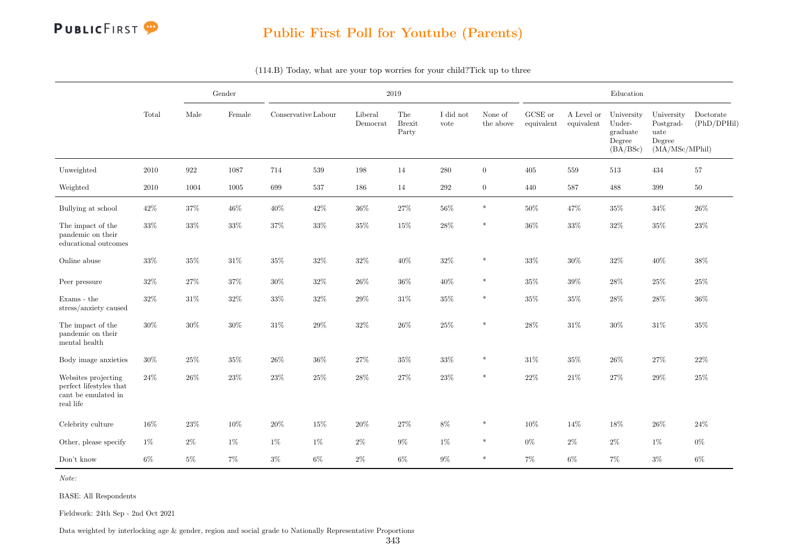

|                                                                                    |        |        | Gender |        |                     |                     | 2019                          |                   |                      |                       |                          | Education                                              |                                                             |                          |
|------------------------------------------------------------------------------------|--------|--------|--------|--------|---------------------|---------------------|-------------------------------|-------------------|----------------------|-----------------------|--------------------------|--------------------------------------------------------|-------------------------------------------------------------|--------------------------|
|                                                                                    | Total  | Male   | Female |        | Conservative Labour | Liberal<br>Democrat | The<br><b>Brexit</b><br>Party | I did not<br>vote | None of<br>the above | GCSE or<br>equivalent | A Level or<br>equivalent | University<br>Under-<br>graduate<br>Degree<br>(BA/BSc) | University<br>Postgrad-<br>uate<br>Degree<br>(MA/MSc/MPhil) | Doctorate<br>(PhD/DPHil) |
| Unweighted                                                                         | 2010   | 922    | 1087   | 714    | 539                 | 198                 | 14                            | 280               | $\overline{0}$       | 405                   | 559                      | 513                                                    | 434                                                         | 57                       |
| Weighted                                                                           | 2010   | 1004   | 1005   | 699    | 537                 | 186                 | 14                            | $\,292$           | $\overline{0}$       | 440                   | 587                      | 488                                                    | 399                                                         | $50\,$                   |
| Bullying at school                                                                 | $42\%$ | $37\%$ | $46\%$ | $40\%$ | $42\%$              | $36\%$              | $27\%$                        | $56\%$            | $\ast$               | $50\%$                | $47\%$                   | $35\%$                                                 | $34\%$                                                      | 26\%                     |
| The impact of the<br>pandemic on their<br>educational outcomes                     | 33%    | $33\%$ | $33\%$ | $37\%$ | $33\%$              | $35\%$              | $15\%$                        | $28\%$            | $\ast$               | $36\%$                | 33%                      | $32\%$                                                 | 35%                                                         | 23%                      |
| Online abuse                                                                       | $33\%$ | 35%    | $31\%$ | $35\%$ | 32%                 | $32\%$              | 40%                           | $32\%$            | *                    | $33\%$                | 30%                      | $32\%$                                                 | $40\%$                                                      | 38%                      |
| Peer pressure                                                                      | $32\%$ | $27\%$ | $37\%$ | $30\%$ | $32\%$              | $26\%$              | $36\%$                        | 40%               | $\ast$               | $35\%$                | $39\%$                   | $28\%$                                                 | $25\%$                                                      | $25\%$                   |
| Exams - the $\,$<br>stress/anxiety caused                                          | $32\%$ | 31\%   | $32\%$ | $33\%$ | $32\%$              | $29\%$              | $31\%$                        | $35\%$            | $\ast$               | $35\%$                | $35\%$                   | 28%                                                    | $28\%$                                                      | 36%                      |
| The impact of the<br>pandemic on their<br>mental health                            | 30%    | 30%    | $30\%$ | $31\%$ | 29%                 | $32\%$              | $26\%$                        | $25\%$            | $\ast$               | $28\%$                | $31\%$                   | $30\%$                                                 | $31\%$                                                      | 35%                      |
| Body image anxieties                                                               | $30\%$ | 25%    | $35\%$ | $26\%$ | 36%                 | $27\%$              | $35\%$                        | $33\%$            | $\ast$               | $31\%$                | 35%                      | 26%                                                    | $27\%$                                                      | 22%                      |
| Websites projecting<br>perfect lifestyles that<br>cant be emulated in<br>real life | $24\%$ | $26\%$ | $23\%$ | $23\%$ | $25\%$              | $28\%$              | $27\%$                        | $23\%$            | $\ast$               | $22\%$                | $21\%$                   | $27\%$                                                 | $29\%$                                                      | $25\%$                   |
| Celebrity culture                                                                  | 16%    | $23\%$ | 10%    | $20\%$ | 15%                 | $20\%$              | $27\%$                        | $8\%$             | $\ast$               | 10%                   | 14%                      | 18%                                                    | $26\%$                                                      | $24\%$                   |
| Other, please specify                                                              | $1\%$  | $2\%$  | $1\%$  | $1\%$  | 1%                  | $2\%$               | $9\%$                         | $1\%$             | $\ast$               | $0\%$                 | $2\%$                    | $2\%$                                                  | 1%                                                          | $0\%$                    |
| Don't know                                                                         | 6%     | $5\%$  | 7%     | $3\%$  | 6%                  | $2\%$               | 6%                            | $9\%$             | $\ast$               | 7%                    | $6\%$                    | 7%                                                     | $3\%$                                                       | $6\%$                    |

(114.B) Today, what are your top worries for your child?Tick up to three

Note:

BASE: All Respondents

Fieldwork: 24th Sep - 2nd Oct 2021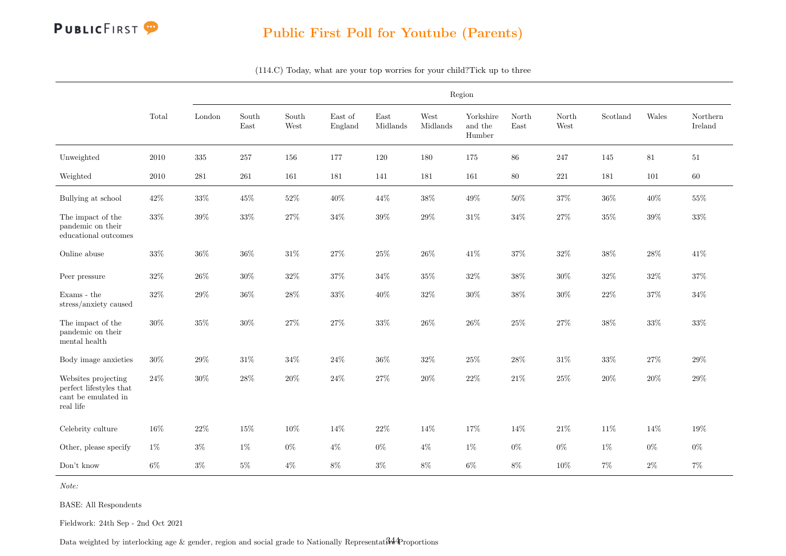

Region Total London South East South West East of England East Midlands West Midlands Yorkshire and the Humber North East North West Scotland Wales Northern Ireland Unweighted 2010 335 257 156 177 120 180 175 86 247 145 81 51 Weighted 2010 281 261 161 181 141 181 161 80 221 181 101 60 Bullying at school  $42\%$   $33\%$   $45\%$   $52\%$   $40\%$   $44\%$   $38\%$   $49\%$   $50\%$   $37\%$   $36\%$   $40\%$   $55\%$ The impact of the pandemic on their educational outcomes  $33\%$   $39\%$   $33\%$   $27\%$   $34\%$   $39\%$   $29\%$   $31\%$   $34\%$   $27\%$   $35\%$   $39\%$   $33\%$ Online abuse 33% 36% 36% 31% 27% 25% 26% 41% 37% 32% 38% 28% 41% Peer pressure 32% 26% 30% 32% 37% 34% 35% 32% 38% 30% 32% 32% 37% Exams - the stress/anxiety caused  $32\%$   $29\%$   $36\%$   $28\%$   $33\%$   $40\%$   $32\%$   $30\%$   $38\%$   $30\%$   $22\%$   $37\%$   $34\%$ The impact of the pandemic on their mental health  $30\%$   $35\%$   $30\%$   $27\%$   $27\%$   $33\%$   $26\%$   $26\%$   $25\%$   $27\%$   $38\%$   $33\%$   $33\%$ Body image anxieties  $30\%$   $29\%$   $31\%$   $34\%$   $24\%$   $36\%$   $32\%$   $25\%$   $28\%$   $31\%$   $33\%$   $27\%$   $29\%$ Websites projecting perfect lifestyles that cant be emulated in real life  $24\%$   $30\%$   $28\%$   $20\%$   $24\%$   $27\%$   $20\%$   $22\%$   $21\%$   $25\%$   $20\%$   $20\%$   $29\%$ Celebrity culture 16% 22% 15% 10% 14% 22% 14% 17% 14% 21% 11% 14% 19% Other, please specify  $1\%$   $3\%$   $1\%$   $0\%$   $4\%$   $0\%$   $4\%$   $1\%$   $1\%$   $0\%$   $0\%$   $1\%$   $0\%$   $0\%$ Don't know 6% 3% 5% 4% 8% 3% 8% 6% 8% 10% 7% 2% 7%

(114.C) Today, what are your top worries for your child?Tick up to three

Note:

BASE: All Respondents

Fieldwork: 24th Sep - 2nd Oct 2021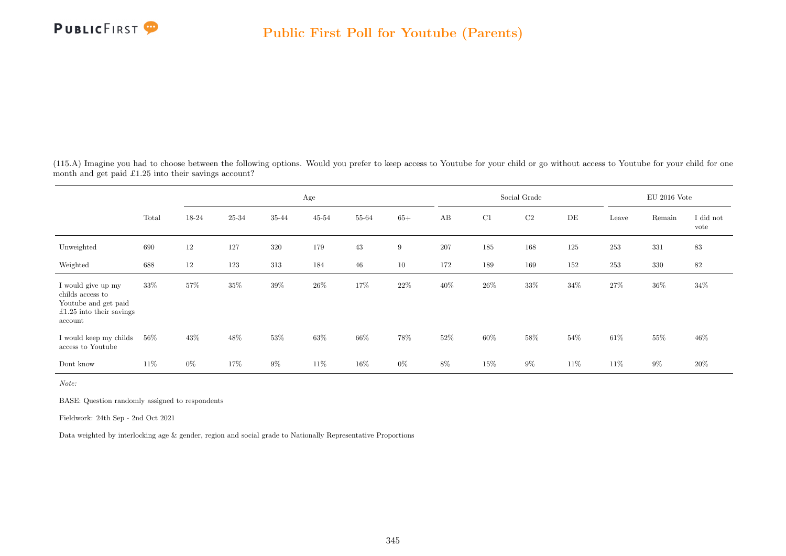

(115.A) Imagine you had to choose between the following options. Would you prefer to keep access to Youtube for your child or go without access to Youtube for your child for one month and get paid £1.25 into their savings account?

|                                                                                                         |        |       |           |         | Age    |        |        |        |        | Social Grade |        |        | $\rm EU$ 2016 Vote |                   |
|---------------------------------------------------------------------------------------------------------|--------|-------|-----------|---------|--------|--------|--------|--------|--------|--------------|--------|--------|--------------------|-------------------|
|                                                                                                         | Total  | 18-24 | $25 - 34$ | 35-44   | 45-54  | 55-64  | $65+$  | AB     | C1     | $\rm C2$     | DE     | Leave  | Remain             | I did not<br>vote |
| Unweighted                                                                                              | 690    | 12    | 127       | $320\,$ | 179    | 43     | 9      | 207    | 185    | 168          | 125    | 253    | 331                | $83\,$            |
| Weighted                                                                                                | 688    | 12    | 123       | $313\,$ | 184    | 46     | 10     | 172    | 189    | 169          | 152    | 253    | $330\,$            | 82                |
| I would give up my<br>childs access to<br>Youtube and get paid<br>$£1.25$ into their savings<br>account | 33%    | 57%   | $35\%$    | $39\%$  | $26\%$ | 17%    | $22\%$ | 40\%   | $26\%$ | $33\%$       | $34\%$ | 27%    | $36\%$             | $34\%$            |
| I would keep my childs<br>access to Youtube                                                             | $56\%$ | 43\%  | 48%       | $53\%$  | 63%    | $66\%$ | $78\%$ | $52\%$ | $60\%$ | $58\%$       | 54%    | $61\%$ | 55%                | $46\%$            |
| Dont know                                                                                               | 11\%   | $0\%$ | 17%       | $9\%$   | 11\%   | 16\%   | $0\%$  | 8%     | $15\%$ | $9\%$        | 11\%   | 11\%   | $9\%$              | $20\%$            |

Note:

BASE: Question randomly assigned to respondents

Fieldwork: 24th Sep - 2nd Oct 2021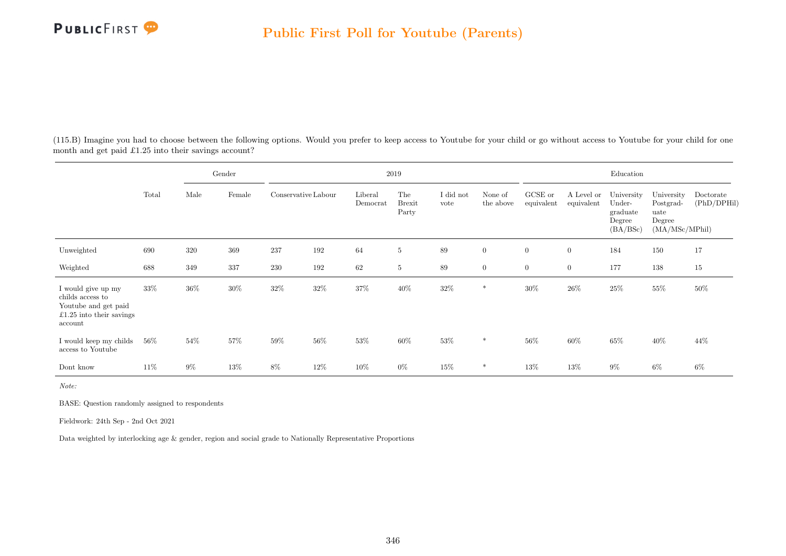

(115.B) Imagine you had to choose between the following options. Would you prefer to keep access to Youtube for your child or go without access to Youtube for your child for one month and get paid £1.25 into their savings account?

|                                                                                                       |        |        | Gender |                     |      |                     | $2019\,$                      |                   |                      |                       |                          | Education                                              |                                                             |                          |
|-------------------------------------------------------------------------------------------------------|--------|--------|--------|---------------------|------|---------------------|-------------------------------|-------------------|----------------------|-----------------------|--------------------------|--------------------------------------------------------|-------------------------------------------------------------|--------------------------|
|                                                                                                       | Total  | Male   | Female | Conservative Labour |      | Liberal<br>Democrat | The<br><b>Brexit</b><br>Party | I did not<br>vote | None of<br>the above | GCSE or<br>equivalent | A Level or<br>equivalent | University<br>Under-<br>graduate<br>Degree<br>(BA/BSc) | University<br>Postgrad-<br>uate<br>Degree<br>(MA/MSc/MPhil) | Doctorate<br>(PhD/DPHil) |
| Unweighted                                                                                            | 690    | 320    | 369    | 237                 | 192  | 64                  | $\overline{5}$                | 89                | $\overline{0}$       | $\overline{0}$        | $\overline{0}$           | 184                                                    | 150                                                         | 17                       |
| Weighted                                                                                              | 688    | 349    | 337    | $230\,$             | 192  | 62                  | $\overline{5}$                | 89                | $\overline{0}$       | $\boldsymbol{0}$      | $\overline{0}$           | 177                                                    | 138                                                         | $15\,$                   |
| I would give up my<br>childs access to<br>Youtube and get paid<br>£1.25 into their savings<br>account | $33\%$ | $36\%$ | $30\%$ | 32\%                | 32\% | $37\%$              | $40\%$                        | $32\%$            | *                    | $30\%$                | $26\%$                   | $25\%$                                                 | 55%                                                         | 50%                      |
| I would keep my childs<br>access to Youtube                                                           | $56\%$ | 54%    | 57%    | $59\%$              | 56%  | 53%                 | $60\%$                        | $53\%$            | $\ast$               | 56%                   | 60%                      | 65%                                                    | 40\%                                                        | 44\%                     |
| Dont know                                                                                             | $11\%$ | $9\%$  | 13%    | $8\%$               | 12\% | 10%                 | $0\%$                         | 15%               | *                    | 13%                   | 13%                      | $9\%$                                                  | $6\%$                                                       | 6%                       |

Note:

BASE: Question randomly assigned to respondents

Fieldwork: 24th Sep - 2nd Oct 2021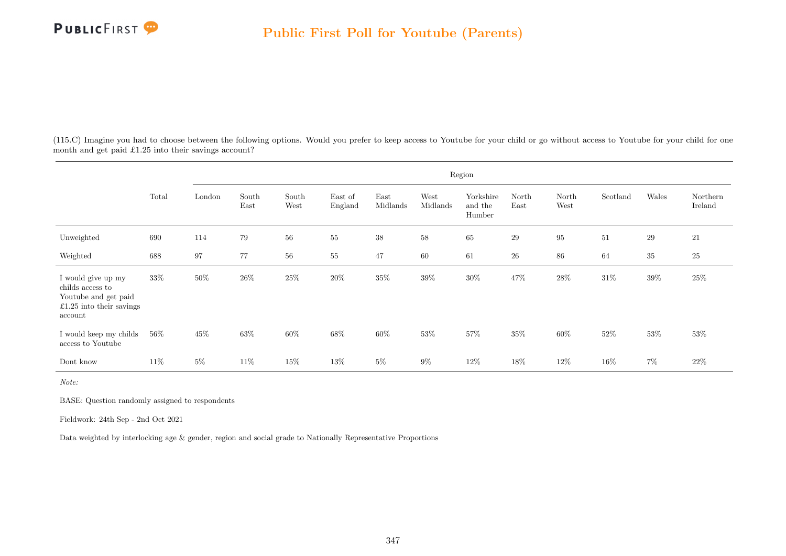

(115.C) Imagine you had to choose between the following options. Would you prefer to keep access to Youtube for your child or go without access to Youtube for your child for one month and get paid £1.25 into their savings account?

|                                                                                                       |        |        |               |               |                    |                  |                  | Region                         |               |               |          |        |                     |
|-------------------------------------------------------------------------------------------------------|--------|--------|---------------|---------------|--------------------|------------------|------------------|--------------------------------|---------------|---------------|----------|--------|---------------------|
|                                                                                                       | Total  | London | South<br>East | South<br>West | East of<br>England | East<br>Midlands | West<br>Midlands | Yorkshire<br>and the<br>Humber | North<br>East | North<br>West | Scotland | Wales  | Northern<br>Ireland |
| Unweighted                                                                                            | 690    | 114    | 79            | $56\,$        | 55                 | 38               | 58               | $65\,$                         | 29            | $\rm 95$      | $51\,$   | 29     | 21                  |
| Weighted                                                                                              | 688    | 97     | 77            | $56\,$        | $55\,$             | 47               | 60               | 61                             | $26\,$        | 86            | 64       | $35\,$ | $25\,$              |
| I would give up my<br>childs access to<br>Youtube and get paid<br>£1.25 into their savings<br>account | 33%    | $50\%$ | $26\%$        | $25\%$        | $20\%$             | $35\%$           | $39\%$           | $30\%$                         | 47%           | $28\%$        | $31\%$   | $39\%$ | 25\%                |
| I would keep my childs<br>access to Youtube                                                           | $56\%$ | 45%    | 63%           | 60%           | 68%                | 60%              | 53%              | $57\%$                         | 35%           | 60%           | 52%      | $53\%$ | 53%                 |
| Dont know                                                                                             | $11\%$ | $5\%$  | 11\%          | 15%           | 13%                | $5\%$            | $9\%$            | 12\%                           | 18%           | 12\%          | $16\%$   | $7\%$  | 22\%                |

Note:

BASE: Question randomly assigned to respondents

Fieldwork: 24th Sep - 2nd Oct 2021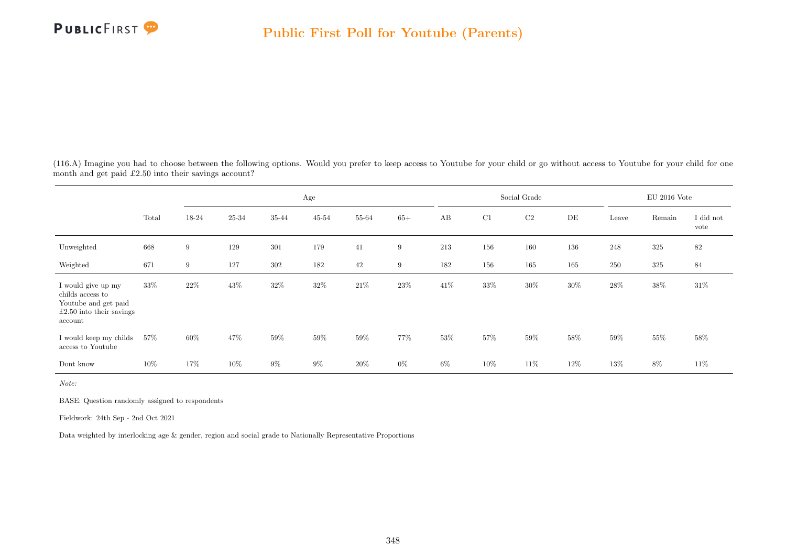

(116.A) Imagine you had to choose between the following options. Would you prefer to keep access to Youtube for your child or go without access to Youtube for your child for one month and get paid £2.50 into their savings account?

|                                                                                                         |        |        |           |         | Age    |        |        |     |        | Social Grade |        |        | $\rm EU$ 2016 Vote |                   |
|---------------------------------------------------------------------------------------------------------|--------|--------|-----------|---------|--------|--------|--------|-----|--------|--------------|--------|--------|--------------------|-------------------|
|                                                                                                         | Total  | 18-24  | $25 - 34$ | 35-44   | 45-54  | 55-64  | $65+$  | AB  | C1     | $\rm C2$     | DE     | Leave  | Remain             | I did not<br>vote |
| Unweighted                                                                                              | 668    | 9      | 129       | $301\,$ | 179    | 41     | 9      | 213 | 156    | 160          | 136    | 248    | $325\,$            | 82                |
| Weighted                                                                                                | 671    | 9      | 127       | $302\,$ | 182    | 42     | 9      | 182 | 156    | 165          | 165    | 250    | $325\,$            | 84                |
| I would give up my<br>childs access to<br>Youtube and get paid<br>$£2.50$ into their savings<br>account | 33%    | $22\%$ | $43\%$    | $32\%$  | $32\%$ | $21\%$ | $23\%$ | 41% | $33\%$ | $30\%$       | $30\%$ | 28%    | $38\%$             | $31\%$            |
| I would keep my childs<br>access to Youtube                                                             | $57\%$ | 60%    | 47\%      | $59\%$  | $59\%$ | $59\%$ | 77%    | 53% | $57\%$ | $59\%$       | 58%    | $59\%$ | 55%                | 58%               |
| Dont know                                                                                               | 10%    | 17%    | $10\%$    | $9\%$   | $9\%$  | $20\%$ | $0\%$  | 6%  | 10%    | 11\%         | $12\%$ | $13\%$ | 8%                 | $11\%$            |

Note:

BASE: Question randomly assigned to respondents

Fieldwork: 24th Sep - 2nd Oct 2021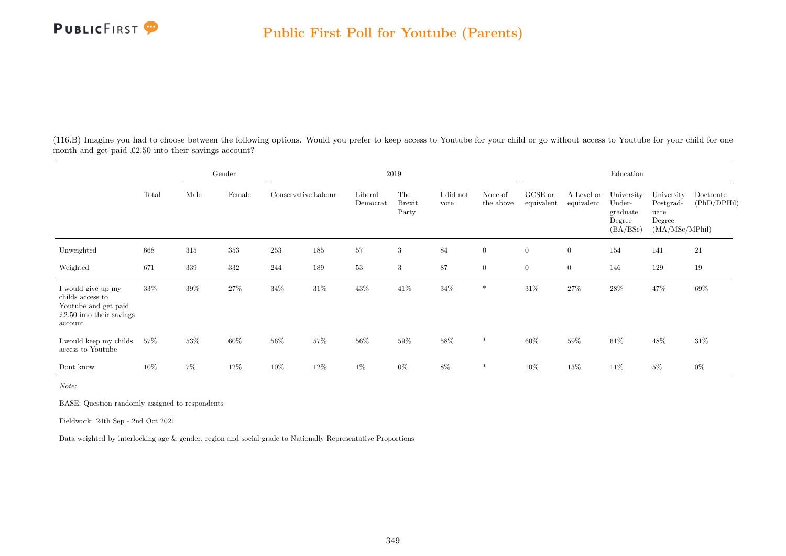

(116.B) Imagine you had to choose between the following options. Would you prefer to keep access to Youtube for your child or go without access to Youtube for your child for one month and get paid £2.50 into their savings account?

|                                                                                                         |        |         | Gender |                     |        |                     | $2019\,$                      |                   |                      |                       |                          | Education                                              |                                                             |                          |
|---------------------------------------------------------------------------------------------------------|--------|---------|--------|---------------------|--------|---------------------|-------------------------------|-------------------|----------------------|-----------------------|--------------------------|--------------------------------------------------------|-------------------------------------------------------------|--------------------------|
|                                                                                                         | Total  | Male    | Female | Conservative Labour |        | Liberal<br>Democrat | The<br><b>Brexit</b><br>Party | I did not<br>vote | None of<br>the above | GCSE or<br>equivalent | A Level or<br>equivalent | University<br>Under-<br>graduate<br>Degree<br>(BA/BSc) | University<br>Postgrad-<br>uate<br>Degree<br>(MA/MSc/MPhil) | Doctorate<br>(PhD/DPHil) |
| Unweighted                                                                                              | 668    | 315     | 353    | 253                 | 185    | 57                  | 3                             | 84                | $\overline{0}$       | $\overline{0}$        | $\overline{0}$           | 154                                                    | 141                                                         | 21                       |
| Weighted                                                                                                | 671    | $339\,$ | 332    | 244                 | 189    | $53\,$              | 3                             | 87                | $\overline{0}$       | $\boldsymbol{0}$      | $\overline{0}$           | 146                                                    | 129                                                         | 19                       |
| I would give up my<br>childs access to<br>Youtube and get paid<br>$£2.50$ into their savings<br>account | $33\%$ | 39%     | 27%    | 34%                 | $31\%$ | $43\%$              | $41\%$                        | $34\%$            | *                    | $31\%$                | $27\%$                   | $28\%$                                                 | 47%                                                         | 69%                      |
| I would keep my childs<br>access to Youtube                                                             | 57%    | 53%     | 60%    | $56\%$              | 57%    | 56%                 | $59\%$                        | $58\%$            | $\ast$               | 60%                   | 59%                      | 61\%                                                   | $48\%$                                                      | 31\%                     |
| Dont know                                                                                               | $10\%$ | $7\%$   | $12\%$ | $10\%$              | 12\%   | $1\%$               | $0\%$                         | 8%                | *                    | $10\%$                | 13%                      | 11\%                                                   | $5\%$                                                       | $0\%$                    |

Note:

BASE: Question randomly assigned to respondents

Fieldwork: 24th Sep - 2nd Oct 2021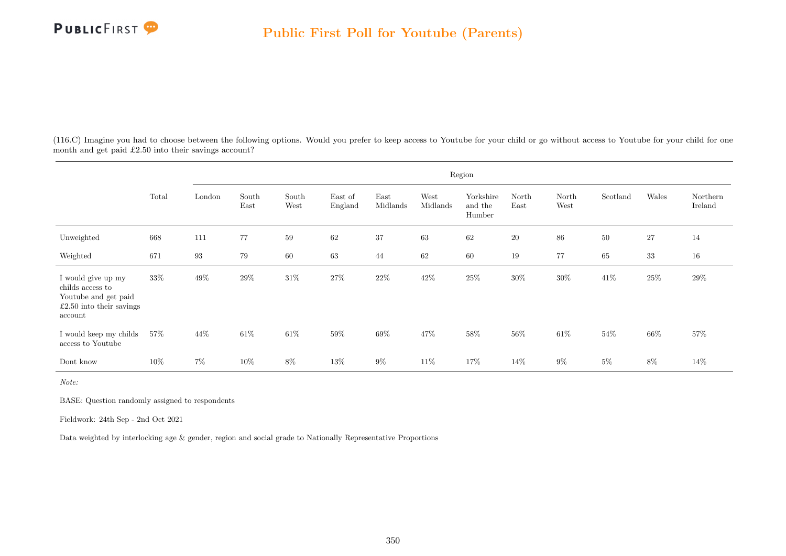

(116.C) Imagine you had to choose between the following options. Would you prefer to keep access to Youtube for your child or go without access to Youtube for your child for one month and get paid £2.50 into their savings account?

|                                                                                                         |        |                   |               |               |                    |                  |                  | Region                         |               |               |          |        |                     |
|---------------------------------------------------------------------------------------------------------|--------|-------------------|---------------|---------------|--------------------|------------------|------------------|--------------------------------|---------------|---------------|----------|--------|---------------------|
|                                                                                                         | Total  | London            | South<br>East | South<br>West | East of<br>England | East<br>Midlands | West<br>Midlands | Yorkshire<br>and the<br>Humber | North<br>East | North<br>West | Scotland | Wales  | Northern<br>Ireland |
| Unweighted                                                                                              | 668    | 111               | 77            | 59            | 62                 | 37               | 63               | 62                             | 20            | 86            | 50       | 27     | 14                  |
| Weighted                                                                                                | 671    | $\boldsymbol{93}$ | 79            | 60            | 63                 | 44               | 62               | 60                             | 19            | 77            | 65       | 33     | 16                  |
| I would give up my<br>childs access to<br>Youtube and get paid<br>$£2.50$ into their savings<br>account | 33%    | $49\%$            | $29\%$        | $31\%$        | $27\%$             | $22\%$           | $42\%$           | $25\%$                         | 30%           | $30\%$        | $41\%$   | $25\%$ | $29\%$              |
| I would keep my childs<br>access to Youtube                                                             | $57\%$ | 44\%              | 61\%          | $61\%$        | $59\%$             | $69\%$           | 47%              | $58\%$                         | 56\%          | $61\%$        | 54\%     | $66\%$ | 57%                 |
| Dont know                                                                                               | 10%    | $7\%$             | 10%           | $8\%$         | 13%                | $9\%$            | 11\%             | 17%                            | 14\%          | $9\%$         | $5\%$    | 8%     | $14\%$              |

Note:

BASE: Question randomly assigned to respondents

Fieldwork: 24th Sep - 2nd Oct 2021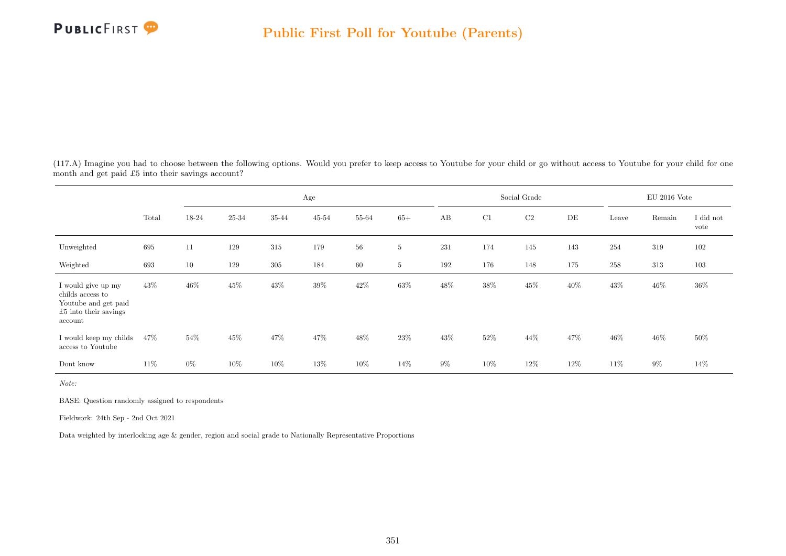

(117.A) Imagine you had to choose between the following options. Would you prefer to keep access to Youtube for your child or go without access to Youtube for your child for one month and get paid £5 into their savings account?

|                                                                                                             |       |        |           |         | Age    |       |                 |       |        | Social Grade |        |        | $\rm EU$ 2016 Vote |                   |
|-------------------------------------------------------------------------------------------------------------|-------|--------|-----------|---------|--------|-------|-----------------|-------|--------|--------------|--------|--------|--------------------|-------------------|
|                                                                                                             | Total | 18-24  | $25 - 34$ | 35-44   | 45-54  | 55-64 | $65+$           | AB    | C1     | $\rm C2$     | DE     | Leave  | Remain             | I did not<br>vote |
| Unweighted                                                                                                  | 695   | 11     | 129       | $315\,$ | 179    | 56    | $5\phantom{.0}$ | 231   | 174    | 145          | 143    | 254    | 319                | 102               |
| Weighted                                                                                                    | 693   | 10     | 129       | $305\,$ | 184    | 60    | 5               | 192   | 176    | 148          | 175    | 258    | 313                | 103               |
| I would give up my<br>childs access to<br>Youtube and get paid<br>$\pounds 5$ into their savings<br>account | 43\%  | $46\%$ | $45\%$    | $43\%$  | $39\%$ | 42\%  | $63\%$          | 48\%  | 38%    | $45\%$       | $40\%$ | 43\%   | $46\%$             | $36\%$            |
| I would keep my childs<br>access to Youtube                                                                 | 47\%  | 54%    | $45\%$    | 47%     | 47%    | 48\%  | $23\%$          | 43\%  | $52\%$ | 44\%         | 47\%   | $46\%$ | 46\%               | $50\%$            |
| Dont know                                                                                                   | 11\%  | $0\%$  | 10%       | 10%     | 13%    | 10%   | 14\%            | $9\%$ | 10%    | 12%          | $12\%$ | 11\%   | $9\%$              | 14%               |

Note:

BASE: Question randomly assigned to respondents

Fieldwork: 24th Sep - 2nd Oct 2021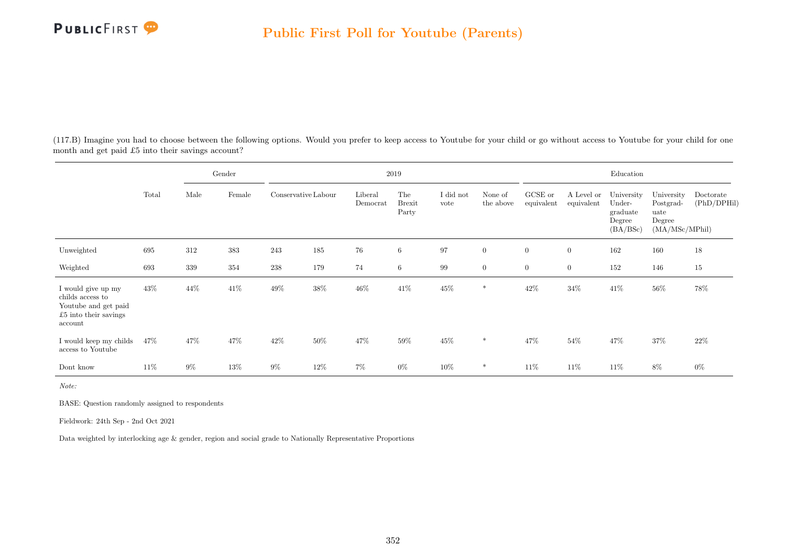

(117.B) Imagine you had to choose between the following options. Would you prefer to keep access to Youtube for your child or go without access to Youtube for your child for one month and get paid £5 into their savings account?

|                                                                                                    |        |         | Gender |                     |        |                     | $2019\,$                      |                   |                      |                       |                          | Education                                              |                                                             |                          |
|----------------------------------------------------------------------------------------------------|--------|---------|--------|---------------------|--------|---------------------|-------------------------------|-------------------|----------------------|-----------------------|--------------------------|--------------------------------------------------------|-------------------------------------------------------------|--------------------------|
|                                                                                                    | Total  | Male    | Female | Conservative Labour |        | Liberal<br>Democrat | The<br><b>Brexit</b><br>Party | I did not<br>vote | None of<br>the above | GCSE or<br>equivalent | A Level or<br>equivalent | University<br>Under-<br>graduate<br>Degree<br>(BA/BSc) | University<br>Postgrad-<br>uate<br>Degree<br>(MA/MSc/MPhil) | Doctorate<br>(PhD/DPHil) |
| Unweighted                                                                                         | 695    | 312     | 383    | 243                 | 185    | 76                  | 6                             | 97                | $\overline{0}$       | $\overline{0}$        | $\overline{0}$           | 162                                                    | 160                                                         | 18                       |
| Weighted                                                                                           | 693    | $339\,$ | 354    | $\,238$             | 179    | 74                  | $6\phantom{.}6$               | 99                | $\overline{0}$       | $\boldsymbol{0}$      | $\overline{0}$           | 152                                                    | 146                                                         | $15\,$                   |
| I would give up my<br>childs access to<br>Youtube and get paid<br>£5 into their savings<br>account | 43%    | 44%     | 41\%   | 49%                 | $38\%$ | $46\%$              | $41\%$                        | $45\%$            | *                    | $42\%$                | $34\%$                   | 41\%                                                   | $56\%$                                                      | 78%                      |
| I would keep my childs<br>access to Youtube                                                        | 47\%   | 47\%    | 47%    | 42\%                | 50%    | 47%                 | $59\%$                        | 45%               | $\ast$               | 47%                   | 54%                      | 47%                                                    | 37%                                                         | 22\%                     |
| Dont know                                                                                          | $11\%$ | $9\%$   | 13%    | $9\%$               | $12\%$ | 7%                  | $0\%$                         | 10%               | *                    | 11%                   | 11\%                     | 11\%                                                   | 8%                                                          | $0\%$                    |

Note:

BASE: Question randomly assigned to respondents

Fieldwork: 24th Sep - 2nd Oct 2021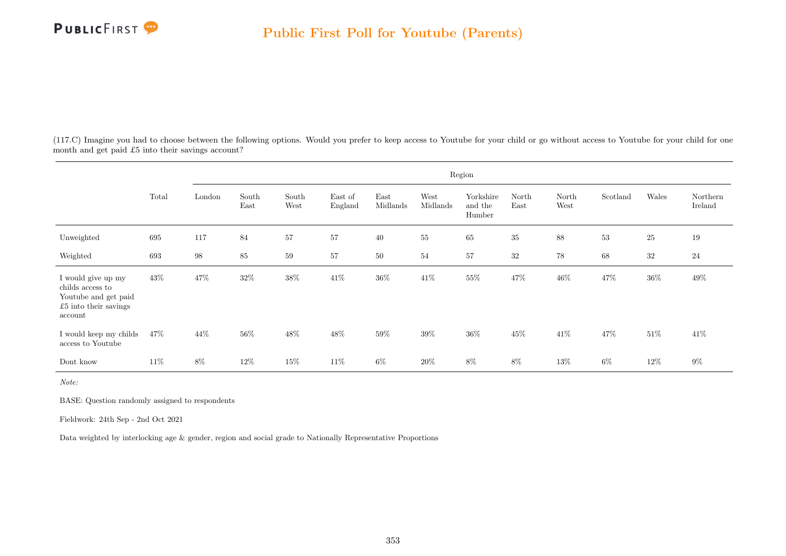

(117.C) Imagine you had to choose between the following options. Would you prefer to keep access to Youtube for your child or go without access to Youtube for your child for one month and get paid £5 into their savings account?

|                                                                                                      |       |                   |               |               |                    |                  |                  | Region                         |               |               |          |        |                     |
|------------------------------------------------------------------------------------------------------|-------|-------------------|---------------|---------------|--------------------|------------------|------------------|--------------------------------|---------------|---------------|----------|--------|---------------------|
|                                                                                                      | Total | London            | South<br>East | South<br>West | East of<br>England | East<br>Midlands | West<br>Midlands | Yorkshire<br>and the<br>Humber | North<br>East | North<br>West | Scotland | Wales  | Northern<br>Ireland |
| Unweighted                                                                                           | 695   | 117               | 84            | 57            | 57                 | 40               | 55               | 65                             | 35            | 88            | 53       | 25     | 19                  |
| Weighted                                                                                             | 693   | $\boldsymbol{98}$ | $85\,$        | 59            | 57                 | 50               | 54               | 57                             | 32            | 78            | 68       | 32     | $24\,$              |
| I would give up my<br>childs access to<br>Youtube and get paid<br>$£5$ into their savings<br>account | 43\%  | $47\%$            | $32\%$        | $38\%$        | $41\%$             | $36\%$           | $41\%$           | 55\%                           | $47\%$        | $46\%$        | 47%      | $36\%$ | 49%                 |
| I would keep my childs<br>access to Youtube                                                          | 47\%  | $44\%$            | 56%           | $48\%$        | $48\%$             | $59\%$           | $39\%$           | $36\%$                         | $45\%$        | $41\%$        | 47%      | $51\%$ | $41\%$              |
| Dont know                                                                                            | 11\%  | 8%                | 12%           | 15%           | 11\%               | $6\%$            | 20%              | 8%                             | 8%            | 13%           | 6%       | 12\%   | $9\%$               |

Note:

BASE: Question randomly assigned to respondents

Fieldwork: 24th Sep - 2nd Oct 2021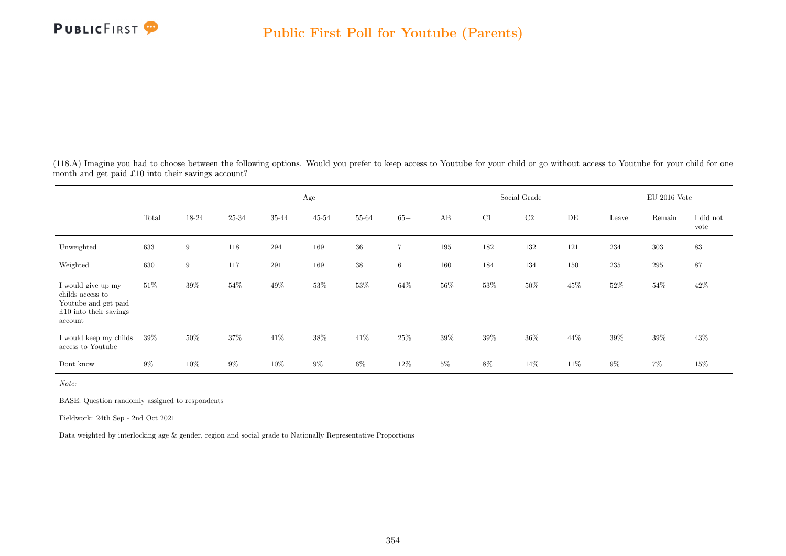

(118.A) Imagine you had to choose between the following options. Would you prefer to keep access to Youtube for your child or go without access to Youtube for your child for one month and get paid £10 into their savings account?

|                                                                                                             |        |        |        |        | Age       |        |                |        |        | Social Grade |        |        | $\rm EU$ 2016 Vote |                   |
|-------------------------------------------------------------------------------------------------------------|--------|--------|--------|--------|-----------|--------|----------------|--------|--------|--------------|--------|--------|--------------------|-------------------|
|                                                                                                             | Total  | 18-24  | 25-34  | 35-44  | $45 - 54$ | 55-64  | $65+$          | AB     | C1     | $\rm C2$     | DE     | Leave  | Remain             | I did not<br>vote |
| Unweighted                                                                                                  | 633    | 9      | 118    | 294    | 169       | 36     | $\overline{7}$ | 195    | 182    | 132          | 121    | 234    | $303\,$            | 83                |
| Weighted                                                                                                    | 630    | 9      | 117    | 291    | 169       | 38     | 6              | 160    | 184    | 134          | 150    | 235    | 295                | 87                |
| I would give up my<br>childs access to<br>Youtube and get paid<br>$\pounds10$ into their savings<br>account | $51\%$ | $39\%$ | $54\%$ | $49\%$ | $53\%$    | $53\%$ | $64\%$         | $56\%$ | $53\%$ | $50\%$       | $45\%$ | $52\%$ | $54\%$             | $42\%$            |
| I would keep my childs<br>access to Youtube                                                                 | $39\%$ | 50%    | $37\%$ | $41\%$ | $38\%$    | $41\%$ | $25\%$         | $39\%$ | $39\%$ | $36\%$       | 44\%   | $39\%$ | $39\%$             | 43\%              |
| Dont know                                                                                                   | $9\%$  | 10%    | $9\%$  | $10\%$ | $9\%$     | 6%     | 12%            | $5\%$  | $8\%$  | 14\%         | 11\%   | $9\%$  | $7\%$              | 15%               |

Note:

BASE: Question randomly assigned to respondents

Fieldwork: 24th Sep - 2nd Oct 2021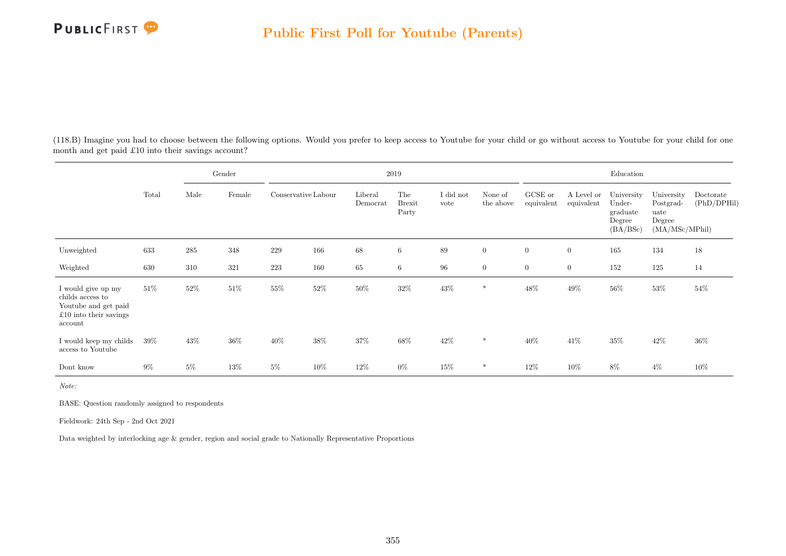

(118.B) Imagine you had to choose between the following options. Would you prefer to keep access to Youtube for your child or go without access to Youtube for your child for one month and get paid £10 into their savings account?

|                                                                                                       |        |        | Gender |                     |        |                     | $2019\,$                      |                   |                      |                       |                          | Education                                              |                                                             |                          |
|-------------------------------------------------------------------------------------------------------|--------|--------|--------|---------------------|--------|---------------------|-------------------------------|-------------------|----------------------|-----------------------|--------------------------|--------------------------------------------------------|-------------------------------------------------------------|--------------------------|
|                                                                                                       | Total  | Male   | Female | Conservative Labour |        | Liberal<br>Democrat | The<br><b>Brexit</b><br>Party | I did not<br>vote | None of<br>the above | GCSE or<br>equivalent | A Level or<br>equivalent | University<br>Under-<br>graduate<br>Degree<br>(BA/BSc) | University<br>Postgrad-<br>uate<br>Degree<br>(MA/MSc/MPhil) | Doctorate<br>(PhD/DPHil) |
| Unweighted                                                                                            | 633    | 285    | 348    | 229                 | 166    | 68                  | $6\phantom{.}6$               | 89                | $\overline{0}$       | $\overline{0}$        | $\overline{0}$           | 165                                                    | 134                                                         | 18                       |
| Weighted                                                                                              | 630    | 310    | 321    | $223\,$             | 160    | 65                  | 6                             | 96                | $\overline{0}$       | $\overline{0}$        | $\overline{0}$           | 152                                                    | 125                                                         | 14                       |
| I would give up my<br>childs access to<br>Youtube and get paid<br>$£10$ into their savings<br>account | $51\%$ | $52\%$ | 51%    | 55%                 | $52\%$ | $50\%$              | $32\%$                        | $43\%$            | *                    | 48%                   | $49\%$                   | $56\%$                                                 | 53%                                                         | 54%                      |
| I would keep my childs<br>access to Youtube                                                           | 39%    | 43\%   | 36%    | 40\%                | 38%    | $37\%$              | $68\%$                        | $42\%$            | $\ast$               | $40\%$                | 41\%                     | 35%                                                    | 42\%                                                        | $36\%$                   |
| Dont know                                                                                             | $9\%$  | $5\%$  | $13\%$ | $5\%$               | 10%    | 12\%                | $0\%$                         | 15%               | *                    | 12%                   | 10%                      | 8%                                                     | $4\%$                                                       | $10\%$                   |

Note:

BASE: Question randomly assigned to respondents

Fieldwork: 24th Sep - 2nd Oct 2021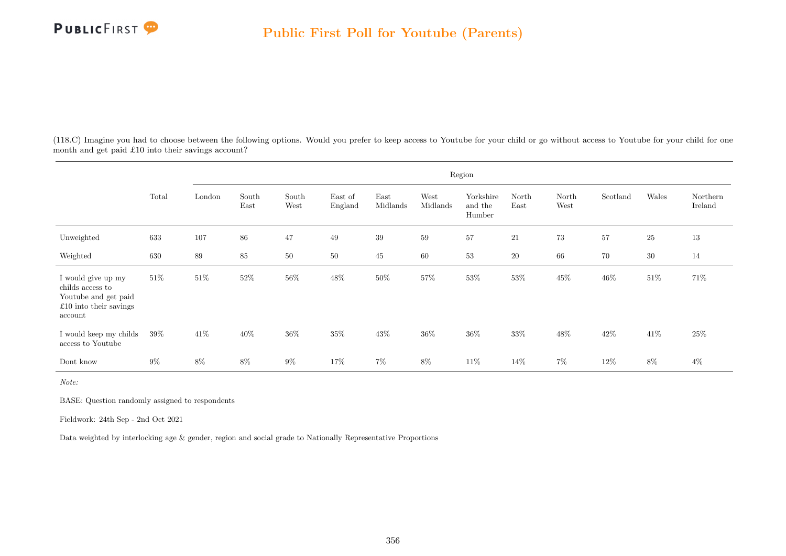

(118.C) Imagine you had to choose between the following options. Would you prefer to keep access to Youtube for your child or go without access to Youtube for your child for one month and get paid £10 into their savings account?

|                                                                                                     |        |        |               |               |                    |                  |                  | Region                         |               |               |          |        |                     |
|-----------------------------------------------------------------------------------------------------|--------|--------|---------------|---------------|--------------------|------------------|------------------|--------------------------------|---------------|---------------|----------|--------|---------------------|
|                                                                                                     | Total  | London | South<br>East | South<br>West | East of<br>England | East<br>Midlands | West<br>Midlands | Yorkshire<br>and the<br>Humber | North<br>East | North<br>West | Scotland | Wales  | Northern<br>Ireland |
| Unweighted                                                                                          | 633    | 107    | 86            | 47            | 49                 | 39               | 59               | 57                             | 21            | 73            | 57       | 25     | 13                  |
| Weighted                                                                                            | 630    | 89     | $85\,$        | $50\,$        | $50\,$             | $45\,$           | 60               | 53                             | $20\,$        | 66            | $70\,$   | 30     | 14                  |
| I would give up my<br>childs access to<br>Youtube and get paid<br>£10 into their savings<br>account | $51\%$ | $51\%$ | $52\%$        | $56\%$        | $48\%$             | $50\%$           | $57\%$           | $53\%$                         | $53\%$        | $45\%$        | $46\%$   | $51\%$ | 71%                 |
| I would keep my childs<br>$\,$ access to Youtube                                                    | $39\%$ | 41\%   | 40%           | 36\%          | 35%                | $43\%$           | 36%              | 36%                            | 33%           | $48\%$        | 42\%     | 41%    | 25\%                |
| Dont know                                                                                           | $9\%$  | 8%     | $8\%$         | $9\%$         | 17%                | $7\%$            | $8\%$            | 11\%                           | 14%           | $7\%$         | 12\%     | 8%     | $4\%$               |

Note:

BASE: Question randomly assigned to respondents

Fieldwork: 24th Sep - 2nd Oct 2021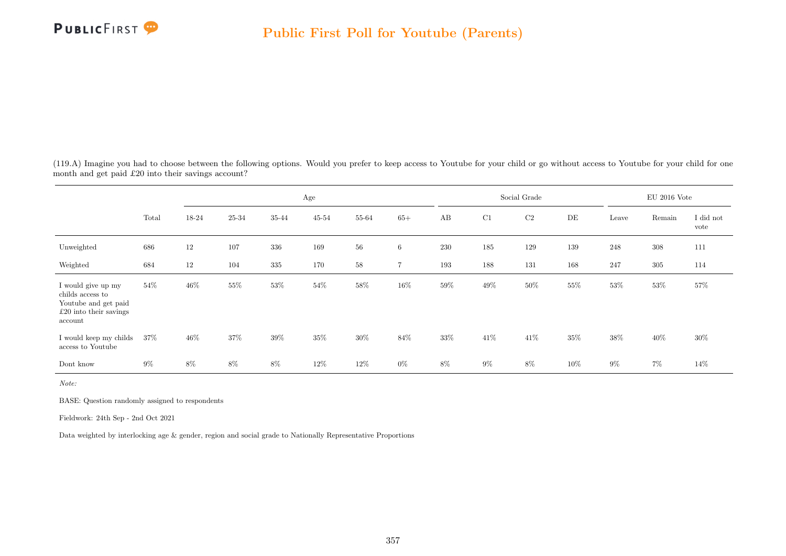

(119.A) Imagine you had to choose between the following options. Would you prefer to keep access to Youtube for your child or go without access to Youtube for your child for one month and get paid £20 into their savings account?

|                                                                                                       |       |        |           |         | Age    |        |                |        |        | Social Grade |        |        | $\rm EU$ 2016 Vote |                   |
|-------------------------------------------------------------------------------------------------------|-------|--------|-----------|---------|--------|--------|----------------|--------|--------|--------------|--------|--------|--------------------|-------------------|
|                                                                                                       | Total | 18-24  | $25 - 34$ | 35-44   | 45-54  | 55-64  | $65+$          | AB     | C1     | $\rm C2$     | DE     | Leave  | Remain             | I did not<br>vote |
| Unweighted                                                                                            | 686   | 12     | 107       | 336     | 169    | 56     | 6              | 230    | 185    | 129          | 139    | 248    | $308\,$            | 111               |
| Weighted                                                                                              | 684   | 12     | 104       | $335\,$ | 170    | $58\,$ | $\overline{7}$ | 193    | 188    | 131          | 168    | 247    | $305\,$            | 114               |
| I would give up my<br>childs access to<br>Youtube and get paid<br>$£20$ into their savings<br>account | 54%   | $46\%$ | $55\%$    | $53\%$  | $54\%$ | $58\%$ | $16\%$         | $59\%$ | 49\%   | $50\%$       | $55\%$ | $53\%$ | $53\%$             | $57\%$            |
| I would keep my childs<br>access to Youtube                                                           | 37%   | 46\%   | $37\%$    | $39\%$  | 35%    | $30\%$ | $84\%$         | 33%    | $41\%$ | 41\%         | 35%    | 38%    | 40%                | $30\%$            |
| Dont know                                                                                             | $9\%$ | 8%     | 8%        | $8\%$   | 12%    | $12\%$ | $0\%$          | 8%     | $9\%$  | $8\%$        | 10%    | $9\%$  | $7\%$              | 14%               |

Note:

BASE: Question randomly assigned to respondents

Fieldwork: 24th Sep - 2nd Oct 2021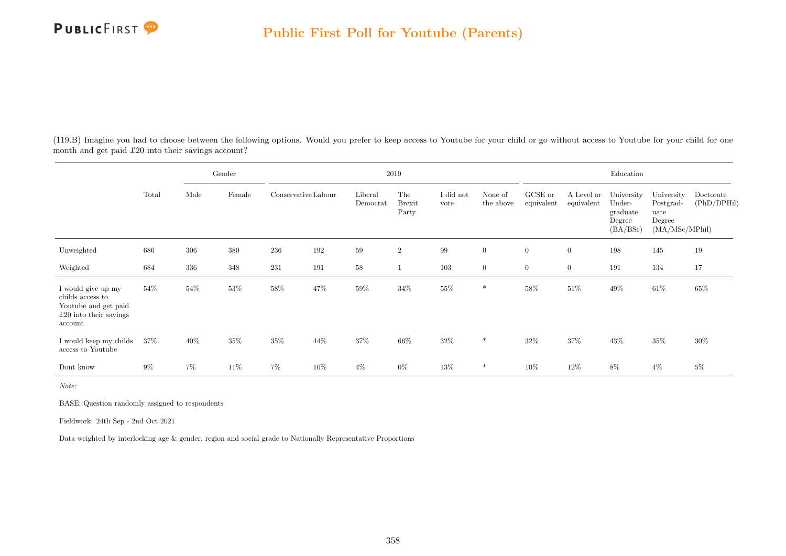

(119.B) Imagine you had to choose between the following options. Would you prefer to keep access to Youtube for your child or go without access to Youtube for your child for one month and get paid £20 into their savings account?

|                                                                                                       |        |       | Gender |                     |      |                     | $2019\,$                      |                   |                      |                       |                          | Education                                              |                                                             |                          |
|-------------------------------------------------------------------------------------------------------|--------|-------|--------|---------------------|------|---------------------|-------------------------------|-------------------|----------------------|-----------------------|--------------------------|--------------------------------------------------------|-------------------------------------------------------------|--------------------------|
|                                                                                                       | Total  | Male  | Female | Conservative Labour |      | Liberal<br>Democrat | The<br><b>Brexit</b><br>Party | I did not<br>vote | None of<br>the above | GCSE or<br>equivalent | A Level or<br>equivalent | University<br>Under-<br>graduate<br>Degree<br>(BA/BSc) | University<br>Postgrad-<br>uate<br>Degree<br>(MA/MSc/MPhil) | Doctorate<br>(PhD/DPHil) |
| Unweighted                                                                                            | 686    | 306   | 380    | 236                 | 192  | 59                  | $\overline{2}$                | 99                | $\overline{0}$       | $\overline{0}$        | $\overline{0}$           | 198                                                    | 145                                                         | 19                       |
| Weighted                                                                                              | 684    | 336   | 348    | 231                 | 191  | $58\,$              | 1                             | 103               | $\overline{0}$       | $\boldsymbol{0}$      | $\overline{0}$           | 191                                                    | 134                                                         | 17                       |
| I would give up my<br>childs access to<br>Youtube and get paid<br>$£20$ into their savings<br>account | $54\%$ | 54%   | $53\%$ | $58\%$              | 47\% | $59\%$              | $34\%$                        | $55\%$            | *                    | $58\%$                | $51\%$                   | $49\%$                                                 | $61\%$                                                      | 65%                      |
| I would keep my childs<br>access to Youtube                                                           | 37%    | 40%   | 35%    | $35\%$              | 44\% | 37%                 | $66\%$                        | $32\%$            | $\ast$               | 32%                   | 37%                      | $43\%$                                                 | $35\%$                                                      | 30%                      |
| Dont know                                                                                             | $9\%$  | $7\%$ | 11\%   | $7\%$               | 10%  | $4\%$               | $0\%$                         | 13%               | *                    | $10\%$                | 12%                      | 8%                                                     | $4\%$                                                       | $5\%$                    |

Note:

BASE: Question randomly assigned to respondents

Fieldwork: 24th Sep - 2nd Oct 2021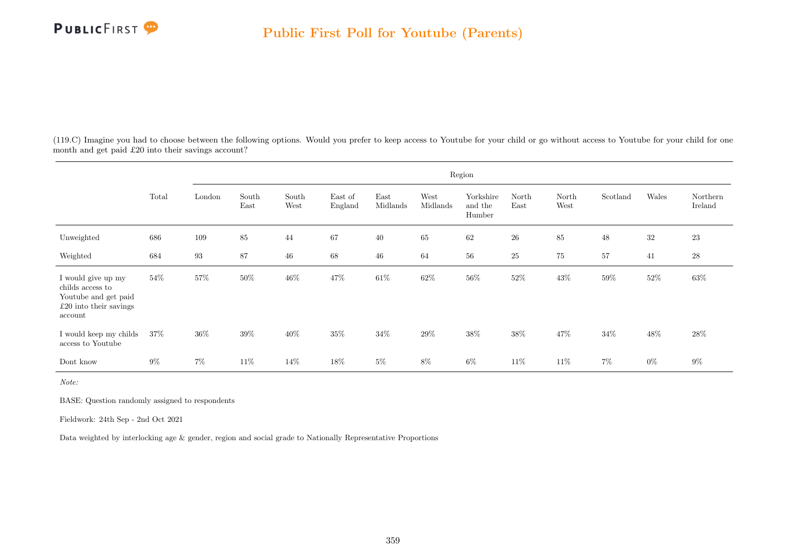

(119.C) Imagine you had to choose between the following options. Would you prefer to keep access to Youtube for your child or go without access to Youtube for your child for one month and get paid £20 into their savings account?

|                                                                                                       |        |                   |               |               |                    |                  |                  | Region                         |               |               |          |        |                     |
|-------------------------------------------------------------------------------------------------------|--------|-------------------|---------------|---------------|--------------------|------------------|------------------|--------------------------------|---------------|---------------|----------|--------|---------------------|
|                                                                                                       | Total  | London            | South<br>East | South<br>West | East of<br>England | East<br>Midlands | West<br>Midlands | Yorkshire<br>and the<br>Humber | North<br>East | North<br>West | Scotland | Wales  | Northern<br>Ireland |
| Unweighted                                                                                            | 686    | 109               | $85\,$        | 44            | 67                 | $40\,$           | $65\,$           | 62                             | $26\,$        | 85            | 48       | $32\,$ | 23                  |
| Weighted                                                                                              | 684    | $\boldsymbol{93}$ | 87            | $\sqrt{46}$   | 68                 | $\sqrt{46}$      | 64               | $56\,$                         | $25\,$        | 75            | 57       | 41     | $\sqrt{28}$         |
| I would give up my<br>childs access to<br>Youtube and get paid<br>$£20$ into their savings<br>account | 54%    | $57\%$            | $50\%$        | $46\%$        | 47%                | $61\%$           | $62\%$           | $56\%$                         | $52\%$        | $43\%$        | 59%      | $52\%$ | $63\%$              |
| I would keep my childs<br>access to Youtube                                                           | $37\%$ | 36%               | 39%           | 40%           | 35%                | 34%              | 29%              | $38\%$                         | 38%           | 47%           | 34\%     | $48\%$ | 28\%                |
| Dont know                                                                                             | $9\%$  | $7\%$             | 11\%          | 14%           | 18%                | $5\%$            | $8\%$            | $6\%$                          | 11\%          | 11\%          | $7\%$    | $0\%$  | $9\%$               |

Note:

BASE: Question randomly assigned to respondents

Fieldwork: 24th Sep - 2nd Oct 2021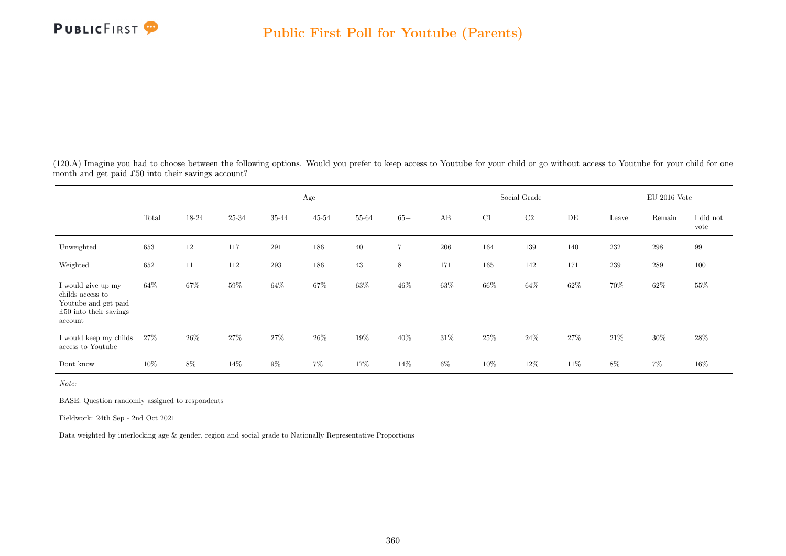

(120.A) Imagine you had to choose between the following options. Would you prefer to keep access to Youtube for your child or go without access to Youtube for your child for one month and get paid £50 into their savings account?

|                                                                                                       |        |       |        |        | Age       |        |                |        |        | Social Grade | $\rm EU$ 2016 Vote |        |         |                   |
|-------------------------------------------------------------------------------------------------------|--------|-------|--------|--------|-----------|--------|----------------|--------|--------|--------------|--------------------|--------|---------|-------------------|
|                                                                                                       | Total  | 18-24 | 25-34  | 35-44  | $45 - 54$ | 55-64  | $65+$          | AB     | C1     | $\rm C2$     | DE                 | Leave  | Remain  | I did not<br>vote |
| Unweighted                                                                                            | 653    | 12    | 117    | 291    | 186       | 40     | $\overline{7}$ | 206    | 164    | 139          | 140                | 232    | $\,298$ | 99                |
| Weighted                                                                                              | 652    | 11    | 112    | 293    | 186       | 43     | 8              | 171    | 165    | 142          | 171                | 239    | 289     | 100               |
| I would give up my<br>childs access to<br>Youtube and get paid<br>$£50$ into their savings<br>account | 64\%   | 67%   | $59\%$ | $64\%$ | $67\%$    | $63\%$ | $46\%$         | $63\%$ | $66\%$ | 64%          | $62\%$             | 70%    | 62%     | 55%               |
| I would keep my childs<br>access to Youtube                                                           | $27\%$ | 26\%  | $27\%$ | $27\%$ | 26\%      | 19%    | $40\%$         | 31\%   | 25%    | $24\%$       | 27%                | $21\%$ | $30\%$  | 28\%              |
| Dont know                                                                                             | 10%    | 8%    | 14%    | $9\%$  | 7%        | 17%    | 14\%           | 6%     | 10%    | 12%          | 11%                | $8\%$  | $7\%$   | $16\%$            |

Note:

BASE: Question randomly assigned to respondents

Fieldwork: 24th Sep - 2nd Oct 2021

Data weighted by interlocking age & gender, region and social grade to Nationally Representative Proportions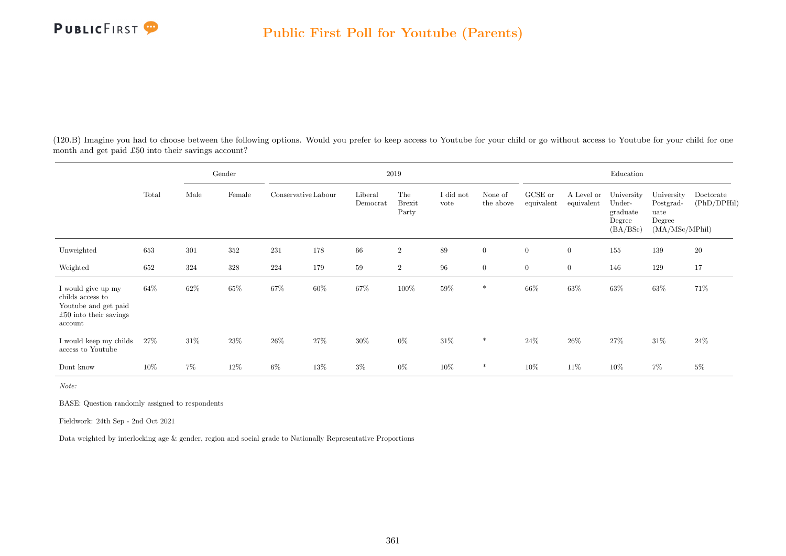

(120.B) Imagine you had to choose between the following options. Would you prefer to keep access to Youtube for your child or go without access to Youtube for your child for one month and get paid £50 into their savings account?

|                                                                                                     | Total  | Gender |        | $2019\,$            |        |                     |                               |                   |                      |                       | Education                |                                                        |                                                             |                          |  |
|-----------------------------------------------------------------------------------------------------|--------|--------|--------|---------------------|--------|---------------------|-------------------------------|-------------------|----------------------|-----------------------|--------------------------|--------------------------------------------------------|-------------------------------------------------------------|--------------------------|--|
|                                                                                                     |        | Male   | Female | Conservative Labour |        | Liberal<br>Democrat | The<br><b>Brexit</b><br>Party | I did not<br>vote | None of<br>the above | GCSE or<br>equivalent | A Level or<br>equivalent | University<br>Under-<br>graduate<br>Degree<br>(BA/BSc) | University<br>Postgrad-<br>uate<br>Degree<br>(MA/MSc/MPhil) | Doctorate<br>(PhD/DPHil) |  |
| Unweighted                                                                                          | 653    | 301    | 352    | 231                 | 178    | 66                  | $\overline{2}$                | 89                | $\overline{0}$       | $\overline{0}$        | $\overline{0}$           | 155                                                    | 139                                                         | $20\,$                   |  |
| Weighted                                                                                            | 652    | 324    | 328    | 224                 | 179    | 59                  | $\overline{2}$                | 96                | $\overline{0}$       | $\boldsymbol{0}$      | $\overline{0}$           | 146                                                    | 129                                                         | 17                       |  |
| I would give up my<br>childs access to<br>Youtube and get paid<br>£50 into their savings<br>account | $64\%$ | 62\%   | 65%    | 67%                 | $60\%$ | $67\%$              | 100%                          | $59\%$            | *                    | 66%                   | $63\%$                   | $63\%$                                                 | 63%                                                         | 71%                      |  |
| I would keep my childs<br>access to Youtube                                                         | 27\%   | 31\%   | 23%    | $26\%$              | 27%    | 30%                 | $0\%$                         | 31\%              | $\ast$               | 24\%                  | 26\%                     | 27%                                                    | $31\%$                                                      | 24\%                     |  |
| Dont know                                                                                           | $10\%$ | $7\%$  | $12\%$ | $6\%$               | 13%    | $3\%$               | $0\%$                         | $10\%$            | *                    | $10\%$                | 11\%                     | 10%                                                    | 7%                                                          | $5\%$                    |  |

Note:

BASE: Question randomly assigned to respondents

Fieldwork: 24th Sep - 2nd Oct 2021

Data weighted by interlocking age & gender, region and social grade to Nationally Representative Proportions